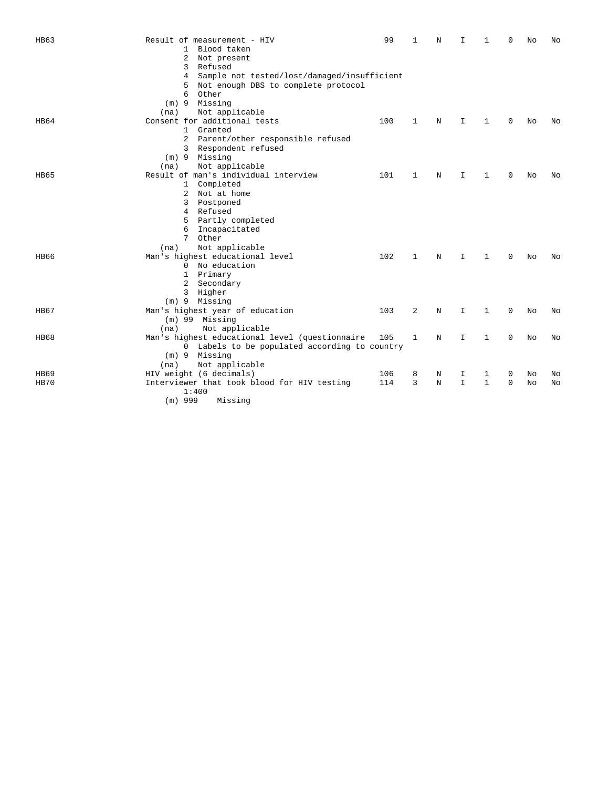| HB63 |              | Result of measurement - HIV                    | 99  | 1            | N | I            | 1            | $\Omega$ | No | No |
|------|--------------|------------------------------------------------|-----|--------------|---|--------------|--------------|----------|----|----|
|      | $\mathbf{1}$ | Blood taken                                    |     |              |   |              |              |          |    |    |
|      | 2            | Not present                                    |     |              |   |              |              |          |    |    |
|      | $\mathbf{3}$ | Refused                                        |     |              |   |              |              |          |    |    |
|      |              | 4 Sample not tested/lost/damaged/insufficient  |     |              |   |              |              |          |    |    |
|      | 5            | Not enough DBS to complete protocol            |     |              |   |              |              |          |    |    |
|      | 6            | Other                                          |     |              |   |              |              |          |    |    |
|      |              | $(m)$ 9 Missing                                |     |              |   |              |              |          |    |    |
|      | (na)         | Not applicable                                 |     |              |   |              |              |          |    |    |
| HB64 |              | Consent for additional tests                   | 100 | 1            | N | I            | 1            | 0        | No | No |
|      |              | 1 Granted                                      |     |              |   |              |              |          |    |    |
|      | 2            | Parent/other responsible refused               |     |              |   |              |              |          |    |    |
|      |              | 3 Respondent refused                           |     |              |   |              |              |          |    |    |
|      |              | (m) 9 Missing                                  |     |              |   |              |              |          |    |    |
|      | (na)         | Not applicable                                 |     |              |   |              |              |          |    |    |
| HB65 |              | Result of man's individual interview           | 101 | 1            | N | I            | 1            | 0        | No | No |
|      |              | 1 Completed                                    |     |              |   |              |              |          |    |    |
|      |              | 2 Not at home                                  |     |              |   |              |              |          |    |    |
|      |              | 3 Postponed                                    |     |              |   |              |              |          |    |    |
|      |              | 4 Refused                                      |     |              |   |              |              |          |    |    |
|      |              | 5 Partly completed                             |     |              |   |              |              |          |    |    |
|      | 6            | Incapacitated                                  |     |              |   |              |              |          |    |    |
|      |              | 7 Other                                        |     |              |   |              |              |          |    |    |
|      | (na)         | Not applicable                                 |     |              |   |              |              |          |    |    |
| HB66 |              | Man's highest educational level                | 102 | $\mathbf{1}$ | N | I.           | 1            | 0        | No | No |
|      |              | 0 No education                                 |     |              |   |              |              |          |    |    |
|      | $\mathbf{1}$ | Primary                                        |     |              |   |              |              |          |    |    |
|      | 2            | Secondary                                      |     |              |   |              |              |          |    |    |
|      |              | 3 Higher                                       |     |              |   |              |              |          |    |    |
|      |              | (m) 9 Missing                                  |     |              |   |              |              |          |    |    |
| HB67 |              | Man's highest year of education                | 103 | 2            | N | I            | 1            | 0        | No | No |
|      |              | $(m)$ 99 Missing                               |     |              |   |              |              |          |    |    |
|      | (na)         | Not applicable                                 |     |              |   |              |              |          |    |    |
| HB68 |              | Man's highest educational level (questionnaire | 105 | 1            | Ν | T.           | 1            | 0        | No | No |
|      |              | 0 Labels to be populated according to country  |     |              |   |              |              |          |    |    |
|      |              | (m) 9 Missing                                  |     |              |   |              |              |          |    |    |
|      | (na)         | Not applicable                                 |     |              |   |              |              |          |    |    |
| HB69 |              | HIV weight (6 decimals)                        | 106 | 8            | Ν | I            | 1            | 0        | No | No |
| HB70 |              | Interviewer that took blood for HIV testing    | 114 | 3            | N | $\mathbf{I}$ | $\mathbf{1}$ | $\Omega$ | No | No |
|      |              | 1:400                                          |     |              |   |              |              |          |    |    |
|      | $(m)$ 999    | Missing                                        |     |              |   |              |              |          |    |    |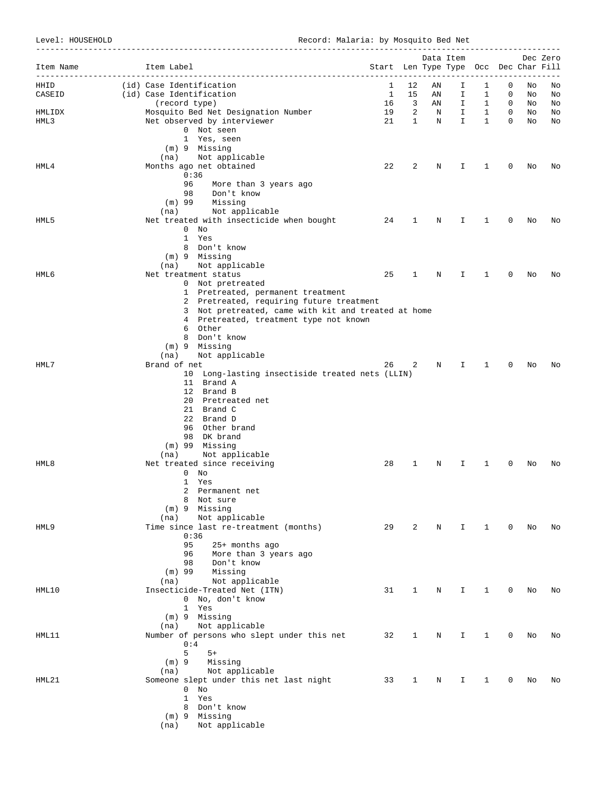Level: HOUSEHOLD **Record: Malaria:** by Mosquito Bed Net

| (id) Case Identification<br>HHID<br>1<br>12<br>1<br>0<br>ΑN<br>I<br>No<br>No<br>(id) Case Identification<br>$\mathbf{1}$<br>15<br>CASEID<br>AN<br>I.<br>1<br>0<br>No<br>No<br>(record type)<br>16<br>$\overline{\mathbf{3}}$<br>AN<br>I.<br>$\mathbf{1}$<br>0<br>No<br>No<br>Mosquito Bed Net Designation Number<br>19<br>2<br>0<br>HMLIDX<br>N<br>I.<br>$\mathbf{1}$<br>No<br>No<br>Net observed by interviewer<br>21<br>$\mathbf{1}$<br>I.<br>$\mathbf{1}$<br>0<br>HML3<br>N<br>No<br>No<br>0 Not seen<br>1 Yes, seen<br>(m) 9 Missing<br>Not applicable<br>(na)<br>22<br>Months ago net obtained<br>2<br>HML4<br>1<br>0<br>Ν<br>I<br>No<br>No<br>0:36<br>96<br>More than 3 years ago<br>98<br>Don't know<br>$(m)$ 99<br>Missing<br>Not applicable<br>(na)<br>Net treated with insecticide when bought<br>HML5<br>24<br>1<br>1<br>0<br>Ν<br>Ι.<br>No<br>No<br>$0$ No<br>1 Yes<br>8 Don't know<br>(m) 9 Missing<br>Not applicable<br>(na)<br>Net treatment status<br>25<br>1<br>HML <sub>6</sub><br>N<br>I.<br>1<br>0<br>No<br>No<br>0 Not pretreated<br>1 Pretreated, permanent treatment<br>2 Pretreated, requiring future treatment<br>3 Not pretreated, came with kit and treated at home<br>4 Pretreated, treatment type not known<br>6 Other<br>8 Don't know<br>(m) 9 Missing<br>Not applicable<br>(na)<br>Brand of net<br>HML7<br>26<br>2<br>$\mathbf{1}$<br>0<br>Ν<br>Ι.<br>No<br>No<br>10 Long-lasting insectiside treated nets (LLIN)<br>11 Brand A<br>12 Brand B<br>20 Pretreated net<br>21 Brand C<br>22 Brand D<br>96 Other brand<br>98 DK brand<br>$(m)$ 99 Missing<br>Not applicable<br>(na)<br>Net treated since receiving<br>28<br>HML8<br>1<br>0<br>Ν<br>I<br>1<br>No<br>No<br>$0$ No<br>$\mathbf{1}$<br>Yes<br>$\mathbf{2}$<br>Permanent net<br>Not sure<br>8<br>$(m)$ 9 Missing<br>Not applicable<br>(na)<br>Time since last re-treatment (months)<br>HML9<br>29<br>2<br>$\mathbf N$<br>$\mathbf{I}$<br>$\mathbf{1}$<br>$\overline{0}$<br>No<br>No<br>0:36<br>95<br>25+ months ago<br>96<br>More than 3 years ago<br>98<br>Don't know<br>$(m)$ 99<br>Missing<br>Not applicable<br>(na)<br>Insecticide-Treated Net (ITN)<br>31<br>HML10<br>1<br>N<br>Ι.<br>$\mathbf{1}$<br>0<br>No<br>No<br>0 No, don't know<br>1 Yes<br>(m) 9 Missing<br>Not applicable<br>(na)<br>Number of persons who slept under this net<br>32<br>HML11<br>1<br>N<br>I.<br>1<br>0<br>No<br>No<br>0:4<br>5<br>$5+$<br>(m) 9 Missing<br>Not applicable<br>(na)<br>Someone slept under this net last night<br>HML21<br>33<br>$\mathbf{1}$<br>N<br>Ι.<br>$\mathbf{1}$<br>0<br>No<br>No<br>$0$ No<br>1 Yes<br>8 Don't know<br>(m) 9 Missing | Item Name | Item Label             | Start Len Type Type Occ Dec Char Fill |  | Data Item |  | Dec Zero |
|----------------------------------------------------------------------------------------------------------------------------------------------------------------------------------------------------------------------------------------------------------------------------------------------------------------------------------------------------------------------------------------------------------------------------------------------------------------------------------------------------------------------------------------------------------------------------------------------------------------------------------------------------------------------------------------------------------------------------------------------------------------------------------------------------------------------------------------------------------------------------------------------------------------------------------------------------------------------------------------------------------------------------------------------------------------------------------------------------------------------------------------------------------------------------------------------------------------------------------------------------------------------------------------------------------------------------------------------------------------------------------------------------------------------------------------------------------------------------------------------------------------------------------------------------------------------------------------------------------------------------------------------------------------------------------------------------------------------------------------------------------------------------------------------------------------------------------------------------------------------------------------------------------------------------------------------------------------------------------------------------------------------------------------------------------------------------------------------------------------------------------------------------------------------------------------------------------------------------------------------------------------------------------------------------------------------------------------------------------------------------------------------------------------------------------------------------------------------------------------------------------------------------------------------------------------------------------------------------------------------------------|-----------|------------------------|---------------------------------------|--|-----------|--|----------|
|                                                                                                                                                                                                                                                                                                                                                                                                                                                                                                                                                                                                                                                                                                                                                                                                                                                                                                                                                                                                                                                                                                                                                                                                                                                                                                                                                                                                                                                                                                                                                                                                                                                                                                                                                                                                                                                                                                                                                                                                                                                                                                                                                                                                                                                                                                                                                                                                                                                                                                                                                                                                                                  |           | _______________        |                                       |  |           |  |          |
|                                                                                                                                                                                                                                                                                                                                                                                                                                                                                                                                                                                                                                                                                                                                                                                                                                                                                                                                                                                                                                                                                                                                                                                                                                                                                                                                                                                                                                                                                                                                                                                                                                                                                                                                                                                                                                                                                                                                                                                                                                                                                                                                                                                                                                                                                                                                                                                                                                                                                                                                                                                                                                  |           |                        |                                       |  |           |  |          |
|                                                                                                                                                                                                                                                                                                                                                                                                                                                                                                                                                                                                                                                                                                                                                                                                                                                                                                                                                                                                                                                                                                                                                                                                                                                                                                                                                                                                                                                                                                                                                                                                                                                                                                                                                                                                                                                                                                                                                                                                                                                                                                                                                                                                                                                                                                                                                                                                                                                                                                                                                                                                                                  |           |                        |                                       |  |           |  |          |
|                                                                                                                                                                                                                                                                                                                                                                                                                                                                                                                                                                                                                                                                                                                                                                                                                                                                                                                                                                                                                                                                                                                                                                                                                                                                                                                                                                                                                                                                                                                                                                                                                                                                                                                                                                                                                                                                                                                                                                                                                                                                                                                                                                                                                                                                                                                                                                                                                                                                                                                                                                                                                                  |           |                        |                                       |  |           |  |          |
|                                                                                                                                                                                                                                                                                                                                                                                                                                                                                                                                                                                                                                                                                                                                                                                                                                                                                                                                                                                                                                                                                                                                                                                                                                                                                                                                                                                                                                                                                                                                                                                                                                                                                                                                                                                                                                                                                                                                                                                                                                                                                                                                                                                                                                                                                                                                                                                                                                                                                                                                                                                                                                  |           |                        |                                       |  |           |  |          |
|                                                                                                                                                                                                                                                                                                                                                                                                                                                                                                                                                                                                                                                                                                                                                                                                                                                                                                                                                                                                                                                                                                                                                                                                                                                                                                                                                                                                                                                                                                                                                                                                                                                                                                                                                                                                                                                                                                                                                                                                                                                                                                                                                                                                                                                                                                                                                                                                                                                                                                                                                                                                                                  |           |                        |                                       |  |           |  |          |
|                                                                                                                                                                                                                                                                                                                                                                                                                                                                                                                                                                                                                                                                                                                                                                                                                                                                                                                                                                                                                                                                                                                                                                                                                                                                                                                                                                                                                                                                                                                                                                                                                                                                                                                                                                                                                                                                                                                                                                                                                                                                                                                                                                                                                                                                                                                                                                                                                                                                                                                                                                                                                                  |           |                        |                                       |  |           |  |          |
|                                                                                                                                                                                                                                                                                                                                                                                                                                                                                                                                                                                                                                                                                                                                                                                                                                                                                                                                                                                                                                                                                                                                                                                                                                                                                                                                                                                                                                                                                                                                                                                                                                                                                                                                                                                                                                                                                                                                                                                                                                                                                                                                                                                                                                                                                                                                                                                                                                                                                                                                                                                                                                  |           |                        |                                       |  |           |  |          |
|                                                                                                                                                                                                                                                                                                                                                                                                                                                                                                                                                                                                                                                                                                                                                                                                                                                                                                                                                                                                                                                                                                                                                                                                                                                                                                                                                                                                                                                                                                                                                                                                                                                                                                                                                                                                                                                                                                                                                                                                                                                                                                                                                                                                                                                                                                                                                                                                                                                                                                                                                                                                                                  |           |                        |                                       |  |           |  |          |
|                                                                                                                                                                                                                                                                                                                                                                                                                                                                                                                                                                                                                                                                                                                                                                                                                                                                                                                                                                                                                                                                                                                                                                                                                                                                                                                                                                                                                                                                                                                                                                                                                                                                                                                                                                                                                                                                                                                                                                                                                                                                                                                                                                                                                                                                                                                                                                                                                                                                                                                                                                                                                                  |           |                        |                                       |  |           |  |          |
|                                                                                                                                                                                                                                                                                                                                                                                                                                                                                                                                                                                                                                                                                                                                                                                                                                                                                                                                                                                                                                                                                                                                                                                                                                                                                                                                                                                                                                                                                                                                                                                                                                                                                                                                                                                                                                                                                                                                                                                                                                                                                                                                                                                                                                                                                                                                                                                                                                                                                                                                                                                                                                  |           |                        |                                       |  |           |  |          |
|                                                                                                                                                                                                                                                                                                                                                                                                                                                                                                                                                                                                                                                                                                                                                                                                                                                                                                                                                                                                                                                                                                                                                                                                                                                                                                                                                                                                                                                                                                                                                                                                                                                                                                                                                                                                                                                                                                                                                                                                                                                                                                                                                                                                                                                                                                                                                                                                                                                                                                                                                                                                                                  |           |                        |                                       |  |           |  |          |
|                                                                                                                                                                                                                                                                                                                                                                                                                                                                                                                                                                                                                                                                                                                                                                                                                                                                                                                                                                                                                                                                                                                                                                                                                                                                                                                                                                                                                                                                                                                                                                                                                                                                                                                                                                                                                                                                                                                                                                                                                                                                                                                                                                                                                                                                                                                                                                                                                                                                                                                                                                                                                                  |           |                        |                                       |  |           |  |          |
|                                                                                                                                                                                                                                                                                                                                                                                                                                                                                                                                                                                                                                                                                                                                                                                                                                                                                                                                                                                                                                                                                                                                                                                                                                                                                                                                                                                                                                                                                                                                                                                                                                                                                                                                                                                                                                                                                                                                                                                                                                                                                                                                                                                                                                                                                                                                                                                                                                                                                                                                                                                                                                  |           |                        |                                       |  |           |  |          |
|                                                                                                                                                                                                                                                                                                                                                                                                                                                                                                                                                                                                                                                                                                                                                                                                                                                                                                                                                                                                                                                                                                                                                                                                                                                                                                                                                                                                                                                                                                                                                                                                                                                                                                                                                                                                                                                                                                                                                                                                                                                                                                                                                                                                                                                                                                                                                                                                                                                                                                                                                                                                                                  |           |                        |                                       |  |           |  |          |
|                                                                                                                                                                                                                                                                                                                                                                                                                                                                                                                                                                                                                                                                                                                                                                                                                                                                                                                                                                                                                                                                                                                                                                                                                                                                                                                                                                                                                                                                                                                                                                                                                                                                                                                                                                                                                                                                                                                                                                                                                                                                                                                                                                                                                                                                                                                                                                                                                                                                                                                                                                                                                                  |           |                        |                                       |  |           |  |          |
|                                                                                                                                                                                                                                                                                                                                                                                                                                                                                                                                                                                                                                                                                                                                                                                                                                                                                                                                                                                                                                                                                                                                                                                                                                                                                                                                                                                                                                                                                                                                                                                                                                                                                                                                                                                                                                                                                                                                                                                                                                                                                                                                                                                                                                                                                                                                                                                                                                                                                                                                                                                                                                  |           |                        |                                       |  |           |  |          |
|                                                                                                                                                                                                                                                                                                                                                                                                                                                                                                                                                                                                                                                                                                                                                                                                                                                                                                                                                                                                                                                                                                                                                                                                                                                                                                                                                                                                                                                                                                                                                                                                                                                                                                                                                                                                                                                                                                                                                                                                                                                                                                                                                                                                                                                                                                                                                                                                                                                                                                                                                                                                                                  |           |                        |                                       |  |           |  |          |
|                                                                                                                                                                                                                                                                                                                                                                                                                                                                                                                                                                                                                                                                                                                                                                                                                                                                                                                                                                                                                                                                                                                                                                                                                                                                                                                                                                                                                                                                                                                                                                                                                                                                                                                                                                                                                                                                                                                                                                                                                                                                                                                                                                                                                                                                                                                                                                                                                                                                                                                                                                                                                                  |           |                        |                                       |  |           |  |          |
|                                                                                                                                                                                                                                                                                                                                                                                                                                                                                                                                                                                                                                                                                                                                                                                                                                                                                                                                                                                                                                                                                                                                                                                                                                                                                                                                                                                                                                                                                                                                                                                                                                                                                                                                                                                                                                                                                                                                                                                                                                                                                                                                                                                                                                                                                                                                                                                                                                                                                                                                                                                                                                  |           |                        |                                       |  |           |  |          |
|                                                                                                                                                                                                                                                                                                                                                                                                                                                                                                                                                                                                                                                                                                                                                                                                                                                                                                                                                                                                                                                                                                                                                                                                                                                                                                                                                                                                                                                                                                                                                                                                                                                                                                                                                                                                                                                                                                                                                                                                                                                                                                                                                                                                                                                                                                                                                                                                                                                                                                                                                                                                                                  |           |                        |                                       |  |           |  |          |
|                                                                                                                                                                                                                                                                                                                                                                                                                                                                                                                                                                                                                                                                                                                                                                                                                                                                                                                                                                                                                                                                                                                                                                                                                                                                                                                                                                                                                                                                                                                                                                                                                                                                                                                                                                                                                                                                                                                                                                                                                                                                                                                                                                                                                                                                                                                                                                                                                                                                                                                                                                                                                                  |           |                        |                                       |  |           |  |          |
|                                                                                                                                                                                                                                                                                                                                                                                                                                                                                                                                                                                                                                                                                                                                                                                                                                                                                                                                                                                                                                                                                                                                                                                                                                                                                                                                                                                                                                                                                                                                                                                                                                                                                                                                                                                                                                                                                                                                                                                                                                                                                                                                                                                                                                                                                                                                                                                                                                                                                                                                                                                                                                  |           |                        |                                       |  |           |  |          |
|                                                                                                                                                                                                                                                                                                                                                                                                                                                                                                                                                                                                                                                                                                                                                                                                                                                                                                                                                                                                                                                                                                                                                                                                                                                                                                                                                                                                                                                                                                                                                                                                                                                                                                                                                                                                                                                                                                                                                                                                                                                                                                                                                                                                                                                                                                                                                                                                                                                                                                                                                                                                                                  |           |                        |                                       |  |           |  |          |
|                                                                                                                                                                                                                                                                                                                                                                                                                                                                                                                                                                                                                                                                                                                                                                                                                                                                                                                                                                                                                                                                                                                                                                                                                                                                                                                                                                                                                                                                                                                                                                                                                                                                                                                                                                                                                                                                                                                                                                                                                                                                                                                                                                                                                                                                                                                                                                                                                                                                                                                                                                                                                                  |           |                        |                                       |  |           |  |          |
|                                                                                                                                                                                                                                                                                                                                                                                                                                                                                                                                                                                                                                                                                                                                                                                                                                                                                                                                                                                                                                                                                                                                                                                                                                                                                                                                                                                                                                                                                                                                                                                                                                                                                                                                                                                                                                                                                                                                                                                                                                                                                                                                                                                                                                                                                                                                                                                                                                                                                                                                                                                                                                  |           |                        |                                       |  |           |  |          |
|                                                                                                                                                                                                                                                                                                                                                                                                                                                                                                                                                                                                                                                                                                                                                                                                                                                                                                                                                                                                                                                                                                                                                                                                                                                                                                                                                                                                                                                                                                                                                                                                                                                                                                                                                                                                                                                                                                                                                                                                                                                                                                                                                                                                                                                                                                                                                                                                                                                                                                                                                                                                                                  |           |                        |                                       |  |           |  |          |
|                                                                                                                                                                                                                                                                                                                                                                                                                                                                                                                                                                                                                                                                                                                                                                                                                                                                                                                                                                                                                                                                                                                                                                                                                                                                                                                                                                                                                                                                                                                                                                                                                                                                                                                                                                                                                                                                                                                                                                                                                                                                                                                                                                                                                                                                                                                                                                                                                                                                                                                                                                                                                                  |           |                        |                                       |  |           |  |          |
|                                                                                                                                                                                                                                                                                                                                                                                                                                                                                                                                                                                                                                                                                                                                                                                                                                                                                                                                                                                                                                                                                                                                                                                                                                                                                                                                                                                                                                                                                                                                                                                                                                                                                                                                                                                                                                                                                                                                                                                                                                                                                                                                                                                                                                                                                                                                                                                                                                                                                                                                                                                                                                  |           |                        |                                       |  |           |  |          |
|                                                                                                                                                                                                                                                                                                                                                                                                                                                                                                                                                                                                                                                                                                                                                                                                                                                                                                                                                                                                                                                                                                                                                                                                                                                                                                                                                                                                                                                                                                                                                                                                                                                                                                                                                                                                                                                                                                                                                                                                                                                                                                                                                                                                                                                                                                                                                                                                                                                                                                                                                                                                                                  |           |                        |                                       |  |           |  |          |
|                                                                                                                                                                                                                                                                                                                                                                                                                                                                                                                                                                                                                                                                                                                                                                                                                                                                                                                                                                                                                                                                                                                                                                                                                                                                                                                                                                                                                                                                                                                                                                                                                                                                                                                                                                                                                                                                                                                                                                                                                                                                                                                                                                                                                                                                                                                                                                                                                                                                                                                                                                                                                                  |           |                        |                                       |  |           |  |          |
|                                                                                                                                                                                                                                                                                                                                                                                                                                                                                                                                                                                                                                                                                                                                                                                                                                                                                                                                                                                                                                                                                                                                                                                                                                                                                                                                                                                                                                                                                                                                                                                                                                                                                                                                                                                                                                                                                                                                                                                                                                                                                                                                                                                                                                                                                                                                                                                                                                                                                                                                                                                                                                  |           |                        |                                       |  |           |  |          |
|                                                                                                                                                                                                                                                                                                                                                                                                                                                                                                                                                                                                                                                                                                                                                                                                                                                                                                                                                                                                                                                                                                                                                                                                                                                                                                                                                                                                                                                                                                                                                                                                                                                                                                                                                                                                                                                                                                                                                                                                                                                                                                                                                                                                                                                                                                                                                                                                                                                                                                                                                                                                                                  |           |                        |                                       |  |           |  |          |
|                                                                                                                                                                                                                                                                                                                                                                                                                                                                                                                                                                                                                                                                                                                                                                                                                                                                                                                                                                                                                                                                                                                                                                                                                                                                                                                                                                                                                                                                                                                                                                                                                                                                                                                                                                                                                                                                                                                                                                                                                                                                                                                                                                                                                                                                                                                                                                                                                                                                                                                                                                                                                                  |           |                        |                                       |  |           |  |          |
|                                                                                                                                                                                                                                                                                                                                                                                                                                                                                                                                                                                                                                                                                                                                                                                                                                                                                                                                                                                                                                                                                                                                                                                                                                                                                                                                                                                                                                                                                                                                                                                                                                                                                                                                                                                                                                                                                                                                                                                                                                                                                                                                                                                                                                                                                                                                                                                                                                                                                                                                                                                                                                  |           |                        |                                       |  |           |  |          |
|                                                                                                                                                                                                                                                                                                                                                                                                                                                                                                                                                                                                                                                                                                                                                                                                                                                                                                                                                                                                                                                                                                                                                                                                                                                                                                                                                                                                                                                                                                                                                                                                                                                                                                                                                                                                                                                                                                                                                                                                                                                                                                                                                                                                                                                                                                                                                                                                                                                                                                                                                                                                                                  |           |                        |                                       |  |           |  |          |
|                                                                                                                                                                                                                                                                                                                                                                                                                                                                                                                                                                                                                                                                                                                                                                                                                                                                                                                                                                                                                                                                                                                                                                                                                                                                                                                                                                                                                                                                                                                                                                                                                                                                                                                                                                                                                                                                                                                                                                                                                                                                                                                                                                                                                                                                                                                                                                                                                                                                                                                                                                                                                                  |           |                        |                                       |  |           |  |          |
|                                                                                                                                                                                                                                                                                                                                                                                                                                                                                                                                                                                                                                                                                                                                                                                                                                                                                                                                                                                                                                                                                                                                                                                                                                                                                                                                                                                                                                                                                                                                                                                                                                                                                                                                                                                                                                                                                                                                                                                                                                                                                                                                                                                                                                                                                                                                                                                                                                                                                                                                                                                                                                  |           |                        |                                       |  |           |  |          |
|                                                                                                                                                                                                                                                                                                                                                                                                                                                                                                                                                                                                                                                                                                                                                                                                                                                                                                                                                                                                                                                                                                                                                                                                                                                                                                                                                                                                                                                                                                                                                                                                                                                                                                                                                                                                                                                                                                                                                                                                                                                                                                                                                                                                                                                                                                                                                                                                                                                                                                                                                                                                                                  |           |                        |                                       |  |           |  |          |
|                                                                                                                                                                                                                                                                                                                                                                                                                                                                                                                                                                                                                                                                                                                                                                                                                                                                                                                                                                                                                                                                                                                                                                                                                                                                                                                                                                                                                                                                                                                                                                                                                                                                                                                                                                                                                                                                                                                                                                                                                                                                                                                                                                                                                                                                                                                                                                                                                                                                                                                                                                                                                                  |           |                        |                                       |  |           |  |          |
|                                                                                                                                                                                                                                                                                                                                                                                                                                                                                                                                                                                                                                                                                                                                                                                                                                                                                                                                                                                                                                                                                                                                                                                                                                                                                                                                                                                                                                                                                                                                                                                                                                                                                                                                                                                                                                                                                                                                                                                                                                                                                                                                                                                                                                                                                                                                                                                                                                                                                                                                                                                                                                  |           |                        |                                       |  |           |  |          |
|                                                                                                                                                                                                                                                                                                                                                                                                                                                                                                                                                                                                                                                                                                                                                                                                                                                                                                                                                                                                                                                                                                                                                                                                                                                                                                                                                                                                                                                                                                                                                                                                                                                                                                                                                                                                                                                                                                                                                                                                                                                                                                                                                                                                                                                                                                                                                                                                                                                                                                                                                                                                                                  |           |                        |                                       |  |           |  |          |
|                                                                                                                                                                                                                                                                                                                                                                                                                                                                                                                                                                                                                                                                                                                                                                                                                                                                                                                                                                                                                                                                                                                                                                                                                                                                                                                                                                                                                                                                                                                                                                                                                                                                                                                                                                                                                                                                                                                                                                                                                                                                                                                                                                                                                                                                                                                                                                                                                                                                                                                                                                                                                                  |           |                        |                                       |  |           |  |          |
|                                                                                                                                                                                                                                                                                                                                                                                                                                                                                                                                                                                                                                                                                                                                                                                                                                                                                                                                                                                                                                                                                                                                                                                                                                                                                                                                                                                                                                                                                                                                                                                                                                                                                                                                                                                                                                                                                                                                                                                                                                                                                                                                                                                                                                                                                                                                                                                                                                                                                                                                                                                                                                  |           |                        |                                       |  |           |  |          |
|                                                                                                                                                                                                                                                                                                                                                                                                                                                                                                                                                                                                                                                                                                                                                                                                                                                                                                                                                                                                                                                                                                                                                                                                                                                                                                                                                                                                                                                                                                                                                                                                                                                                                                                                                                                                                                                                                                                                                                                                                                                                                                                                                                                                                                                                                                                                                                                                                                                                                                                                                                                                                                  |           |                        |                                       |  |           |  |          |
|                                                                                                                                                                                                                                                                                                                                                                                                                                                                                                                                                                                                                                                                                                                                                                                                                                                                                                                                                                                                                                                                                                                                                                                                                                                                                                                                                                                                                                                                                                                                                                                                                                                                                                                                                                                                                                                                                                                                                                                                                                                                                                                                                                                                                                                                                                                                                                                                                                                                                                                                                                                                                                  |           |                        |                                       |  |           |  |          |
|                                                                                                                                                                                                                                                                                                                                                                                                                                                                                                                                                                                                                                                                                                                                                                                                                                                                                                                                                                                                                                                                                                                                                                                                                                                                                                                                                                                                                                                                                                                                                                                                                                                                                                                                                                                                                                                                                                                                                                                                                                                                                                                                                                                                                                                                                                                                                                                                                                                                                                                                                                                                                                  |           |                        |                                       |  |           |  |          |
|                                                                                                                                                                                                                                                                                                                                                                                                                                                                                                                                                                                                                                                                                                                                                                                                                                                                                                                                                                                                                                                                                                                                                                                                                                                                                                                                                                                                                                                                                                                                                                                                                                                                                                                                                                                                                                                                                                                                                                                                                                                                                                                                                                                                                                                                                                                                                                                                                                                                                                                                                                                                                                  |           |                        |                                       |  |           |  |          |
|                                                                                                                                                                                                                                                                                                                                                                                                                                                                                                                                                                                                                                                                                                                                                                                                                                                                                                                                                                                                                                                                                                                                                                                                                                                                                                                                                                                                                                                                                                                                                                                                                                                                                                                                                                                                                                                                                                                                                                                                                                                                                                                                                                                                                                                                                                                                                                                                                                                                                                                                                                                                                                  |           |                        |                                       |  |           |  |          |
|                                                                                                                                                                                                                                                                                                                                                                                                                                                                                                                                                                                                                                                                                                                                                                                                                                                                                                                                                                                                                                                                                                                                                                                                                                                                                                                                                                                                                                                                                                                                                                                                                                                                                                                                                                                                                                                                                                                                                                                                                                                                                                                                                                                                                                                                                                                                                                                                                                                                                                                                                                                                                                  |           |                        |                                       |  |           |  |          |
|                                                                                                                                                                                                                                                                                                                                                                                                                                                                                                                                                                                                                                                                                                                                                                                                                                                                                                                                                                                                                                                                                                                                                                                                                                                                                                                                                                                                                                                                                                                                                                                                                                                                                                                                                                                                                                                                                                                                                                                                                                                                                                                                                                                                                                                                                                                                                                                                                                                                                                                                                                                                                                  |           |                        |                                       |  |           |  |          |
|                                                                                                                                                                                                                                                                                                                                                                                                                                                                                                                                                                                                                                                                                                                                                                                                                                                                                                                                                                                                                                                                                                                                                                                                                                                                                                                                                                                                                                                                                                                                                                                                                                                                                                                                                                                                                                                                                                                                                                                                                                                                                                                                                                                                                                                                                                                                                                                                                                                                                                                                                                                                                                  |           |                        |                                       |  |           |  |          |
|                                                                                                                                                                                                                                                                                                                                                                                                                                                                                                                                                                                                                                                                                                                                                                                                                                                                                                                                                                                                                                                                                                                                                                                                                                                                                                                                                                                                                                                                                                                                                                                                                                                                                                                                                                                                                                                                                                                                                                                                                                                                                                                                                                                                                                                                                                                                                                                                                                                                                                                                                                                                                                  |           |                        |                                       |  |           |  |          |
|                                                                                                                                                                                                                                                                                                                                                                                                                                                                                                                                                                                                                                                                                                                                                                                                                                                                                                                                                                                                                                                                                                                                                                                                                                                                                                                                                                                                                                                                                                                                                                                                                                                                                                                                                                                                                                                                                                                                                                                                                                                                                                                                                                                                                                                                                                                                                                                                                                                                                                                                                                                                                                  |           |                        |                                       |  |           |  |          |
|                                                                                                                                                                                                                                                                                                                                                                                                                                                                                                                                                                                                                                                                                                                                                                                                                                                                                                                                                                                                                                                                                                                                                                                                                                                                                                                                                                                                                                                                                                                                                                                                                                                                                                                                                                                                                                                                                                                                                                                                                                                                                                                                                                                                                                                                                                                                                                                                                                                                                                                                                                                                                                  |           |                        |                                       |  |           |  |          |
|                                                                                                                                                                                                                                                                                                                                                                                                                                                                                                                                                                                                                                                                                                                                                                                                                                                                                                                                                                                                                                                                                                                                                                                                                                                                                                                                                                                                                                                                                                                                                                                                                                                                                                                                                                                                                                                                                                                                                                                                                                                                                                                                                                                                                                                                                                                                                                                                                                                                                                                                                                                                                                  |           |                        |                                       |  |           |  |          |
|                                                                                                                                                                                                                                                                                                                                                                                                                                                                                                                                                                                                                                                                                                                                                                                                                                                                                                                                                                                                                                                                                                                                                                                                                                                                                                                                                                                                                                                                                                                                                                                                                                                                                                                                                                                                                                                                                                                                                                                                                                                                                                                                                                                                                                                                                                                                                                                                                                                                                                                                                                                                                                  |           |                        |                                       |  |           |  |          |
|                                                                                                                                                                                                                                                                                                                                                                                                                                                                                                                                                                                                                                                                                                                                                                                                                                                                                                                                                                                                                                                                                                                                                                                                                                                                                                                                                                                                                                                                                                                                                                                                                                                                                                                                                                                                                                                                                                                                                                                                                                                                                                                                                                                                                                                                                                                                                                                                                                                                                                                                                                                                                                  |           |                        |                                       |  |           |  |          |
|                                                                                                                                                                                                                                                                                                                                                                                                                                                                                                                                                                                                                                                                                                                                                                                                                                                                                                                                                                                                                                                                                                                                                                                                                                                                                                                                                                                                                                                                                                                                                                                                                                                                                                                                                                                                                                                                                                                                                                                                                                                                                                                                                                                                                                                                                                                                                                                                                                                                                                                                                                                                                                  |           |                        |                                       |  |           |  |          |
|                                                                                                                                                                                                                                                                                                                                                                                                                                                                                                                                                                                                                                                                                                                                                                                                                                                                                                                                                                                                                                                                                                                                                                                                                                                                                                                                                                                                                                                                                                                                                                                                                                                                                                                                                                                                                                                                                                                                                                                                                                                                                                                                                                                                                                                                                                                                                                                                                                                                                                                                                                                                                                  |           |                        |                                       |  |           |  |          |
|                                                                                                                                                                                                                                                                                                                                                                                                                                                                                                                                                                                                                                                                                                                                                                                                                                                                                                                                                                                                                                                                                                                                                                                                                                                                                                                                                                                                                                                                                                                                                                                                                                                                                                                                                                                                                                                                                                                                                                                                                                                                                                                                                                                                                                                                                                                                                                                                                                                                                                                                                                                                                                  |           |                        |                                       |  |           |  |          |
|                                                                                                                                                                                                                                                                                                                                                                                                                                                                                                                                                                                                                                                                                                                                                                                                                                                                                                                                                                                                                                                                                                                                                                                                                                                                                                                                                                                                                                                                                                                                                                                                                                                                                                                                                                                                                                                                                                                                                                                                                                                                                                                                                                                                                                                                                                                                                                                                                                                                                                                                                                                                                                  |           | Not applicable<br>(na) |                                       |  |           |  |          |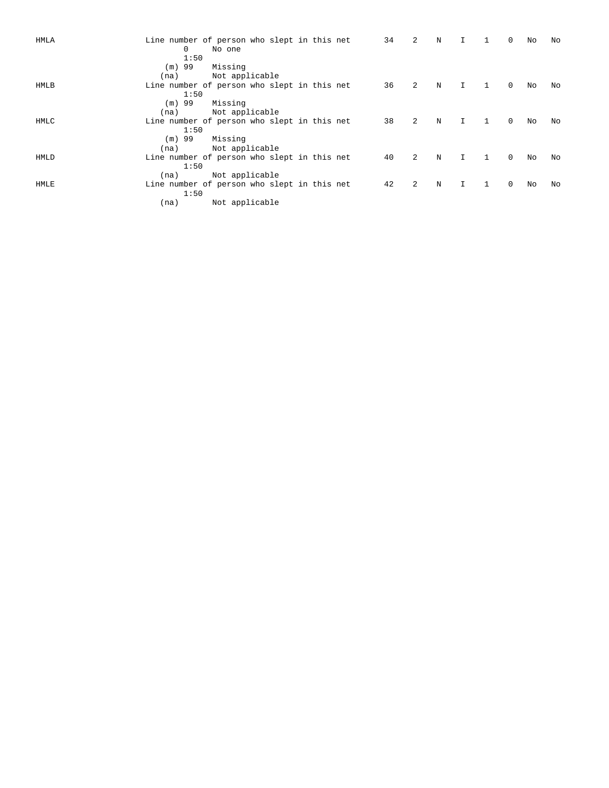| HMLA | $\Omega$         | Line number of person who slept in this net<br>No one<br>1:50 |  | 34 | 2 | N |             |                | $\Omega$    | No | No |
|------|------------------|---------------------------------------------------------------|--|----|---|---|-------------|----------------|-------------|----|----|
|      | (m) 99<br>(na)   | Missing<br>Not applicable                                     |  |    |   |   |             |                |             |    |    |
| HMLB |                  | Line number of person who slept in this net<br>1:50           |  | 36 | 2 | N | I.          | $\mathbf{1}$   | $\mathbf 0$ | No | No |
|      | $(m)$ 99<br>(na) | Missing<br>Not applicable                                     |  |    |   |   |             |                |             |    |    |
| HMLC |                  | Line number of person who slept in this net<br>1:50           |  | 38 | 2 | N | I.          | $\overline{1}$ | $\Omega$    | No | No |
|      | $(m)$ 99<br>(na) | Missing<br>Not applicable                                     |  |    |   |   |             |                |             |    |    |
| HMLD |                  | Line number of person who slept in this net<br>1:50           |  | 40 | 2 | N | $\mathbf I$ | $\overline{1}$ | $\Omega$    | No | No |
|      | (na)             | Not applicable                                                |  |    |   |   |             |                |             |    |    |
| HMLE |                  | Line number of person who slept in this net<br>1:50           |  | 42 | 2 | N | I.          | -1             | $\Omega$    | No | No |
|      | (na)             | Not applicable                                                |  |    |   |   |             |                |             |    |    |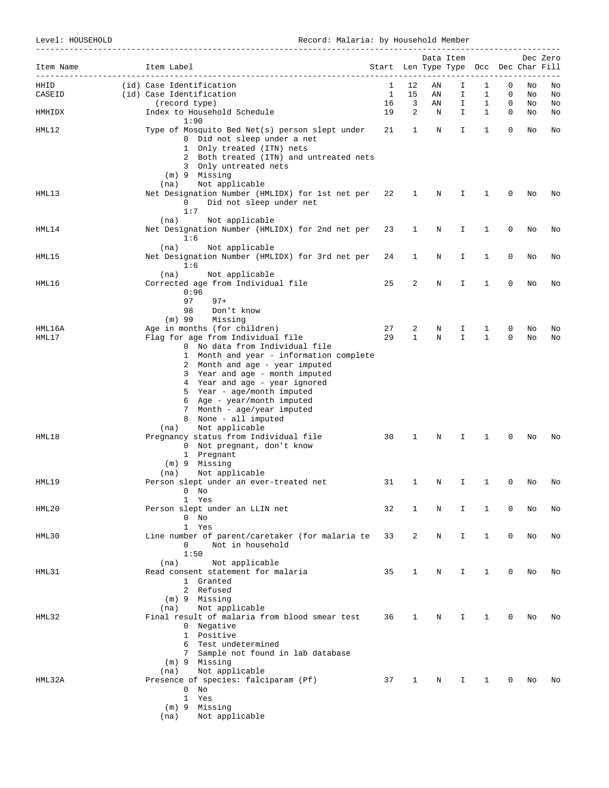Level: HOUSEHOLD **Record: Malaria: by Household Member** 

| Item Name | Item Label                                                                | Start Len Type Type Occ Dec Char Fill |              |    | Data Item |              |        |    | Dec Zero |
|-----------|---------------------------------------------------------------------------|---------------------------------------|--------------|----|-----------|--------------|--------|----|----------|
| HHID      | _______________________<br>(id) Case Identification                       | 1                                     | 12           | ΑN | I         | 1            | 0      | No | No       |
| CASEID    | (id) Case Identification                                                  | 1                                     | 15           | ΑN | I         | 1            | 0      | No | No       |
|           | (record type)                                                             | 16                                    | 3<br>2       | AN | I.        | $\mathbf{1}$ | 0<br>0 | No | No       |
| HMHIDX    | Index to Household Schedule<br>1:90                                       | 19                                    |              | Ν  | I.        | $\mathbf{1}$ |        | No | No       |
| HML12     | Type of Mosquito Bed Net(s) person slept under                            | 21                                    | 1            | Ν  | I         | 1            | 0      | No | No       |
|           | 0 Did not sleep under a net<br>1 Only treated (ITN) nets                  |                                       |              |    |           |              |        |    |          |
|           | 2 Both treated (ITN) and untreated nets                                   |                                       |              |    |           |              |        |    |          |
|           | 3 Only untreated nets                                                     |                                       |              |    |           |              |        |    |          |
|           | (m) 9 Missing<br>Not applicable<br>(na)                                   |                                       |              |    |           |              |        |    |          |
| HML13     | Net Designation Number (HMLIDX) for 1st net per                           | 22                                    | 1            | Ν  | Ι.        | 1            | 0      | No | No       |
|           | Did not sleep under net<br>$\mathbf{0}$<br>1:7                            |                                       |              |    |           |              |        |    |          |
|           | Not applicable<br>(na)                                                    |                                       |              |    |           |              |        |    |          |
| HML14     | Net Designation Number (HMLIDX) for 2nd net per                           | 23                                    | 1            | Ν  | I.        | 1            | 0      | No | No       |
|           | 1:6<br>Not applicable<br>(na)                                             |                                       |              |    |           |              |        |    |          |
| HML15     | Net Designation Number (HMLIDX) for 3rd net per                           | 24                                    | 1            | Ν  | I         | 1            | 0      | No | No       |
|           | 1:6<br>Not applicable<br>(na)                                             |                                       |              |    |           |              |        |    |          |
| HML16     | Corrected age from Individual file                                        | 25                                    | 2            | Ν  | Ι         | 1            | 0      | No | No       |
|           | 0:96                                                                      |                                       |              |    |           |              |        |    |          |
|           | 97<br>$97+$<br>98<br>Don't know                                           |                                       |              |    |           |              |        |    |          |
|           | $(m)$ 99<br>Missing                                                       |                                       |              |    |           |              |        |    |          |
| HML16A    | Age in months (for children)                                              | 27                                    | 2            | Ν  | I         | 1            | 0      | No | No       |
| HML17     | Flag for age from Individual file                                         | 29                                    | $\mathbf{1}$ | N  | I.        | $\mathbf{1}$ | 0      | No | No       |
|           | 0 No data from Individual file                                            |                                       |              |    |           |              |        |    |          |
|           | 1 Month and year - information complete<br>2 Month and age - year imputed |                                       |              |    |           |              |        |    |          |
|           | 3 Year and age - month imputed                                            |                                       |              |    |           |              |        |    |          |
|           | 4 Year and age - year ignored                                             |                                       |              |    |           |              |        |    |          |
|           | 5 Year - age/month imputed                                                |                                       |              |    |           |              |        |    |          |
|           | 6 Age - year/month imputed                                                |                                       |              |    |           |              |        |    |          |
|           | 7 Month - age/year imputed                                                |                                       |              |    |           |              |        |    |          |
|           | 8 None - all imputed<br>Not applicable<br>(na)                            |                                       |              |    |           |              |        |    |          |
| HML18     | Pregnancy status from Individual file                                     | 30                                    | 1            | N  | I         | 1            | 0      | No | No       |
|           | 0 Not pregnant, don't know                                                |                                       |              |    |           |              |        |    |          |
|           | Pregnant<br>$\mathbf{1}$                                                  |                                       |              |    |           |              |        |    |          |
|           | (m) 9 Missing                                                             |                                       |              |    |           |              |        |    |          |
| HML19     | Not applicable<br>(na)<br>Person slept under an ever-treated net          | 31                                    | 1            | N  | I         | 1            | 0      | No | No       |
|           | $0$ No $-$                                                                |                                       |              |    |           |              |        |    |          |
|           | 1 Yes                                                                     |                                       |              |    |           |              |        |    |          |
| HML20     | Person slept under an LLIN net                                            | 32                                    | 1            | Ν  | I.        | 1            | 0      | No | No       |
|           | $0$ No                                                                    |                                       |              |    |           |              |        |    |          |
| HML30     | 1 Yes<br>Line number of parent/caretaker (for malaria te                  | 33                                    | 2            | Ν  | I.        | $\mathbf{1}$ | 0      | No | No       |
|           | Not in household<br>$\mathbf{0}$                                          |                                       |              |    |           |              |        |    |          |
|           | 1:50                                                                      |                                       |              |    |           |              |        |    |          |
|           | Not applicable<br>(na)                                                    |                                       |              |    |           |              |        |    |          |
| HML31     | Read consent statement for malaria<br>1 Granted                           | 35                                    | 1            | Ν  | I.        | $\mathbf{1}$ | 0      | No | No       |
|           | 2 Refused                                                                 |                                       |              |    |           |              |        |    |          |
|           | $(m)$ 9 Missing                                                           |                                       |              |    |           |              |        |    |          |
|           | Not applicable<br>(na)                                                    |                                       |              |    |           |              |        |    |          |
| HML32     | Final result of malaria from blood smear test                             | 36                                    | 1            | Ν  | I.        | $\mathbf{1}$ | 0      | No | No       |
|           | 0 Negative                                                                |                                       |              |    |           |              |        |    |          |
|           | 1 Positive<br>6 Test undetermined                                         |                                       |              |    |           |              |        |    |          |
|           | 7 Sample not found in lab database                                        |                                       |              |    |           |              |        |    |          |
|           | (m) 9 Missing                                                             |                                       |              |    |           |              |        |    |          |
|           | Not applicable<br>(na)                                                    |                                       |              |    |           |              |        |    |          |
| HML32A    | Presence of species: falciparam (Pf)                                      | 37                                    | 1            | Ν  | I.        | $\mathbf{1}$ | 0      | No | No       |
|           | $0$ No<br>1 Yes                                                           |                                       |              |    |           |              |        |    |          |
|           | (m) 9 Missing                                                             |                                       |              |    |           |              |        |    |          |
|           | Not applicable<br>(na)                                                    |                                       |              |    |           |              |        |    |          |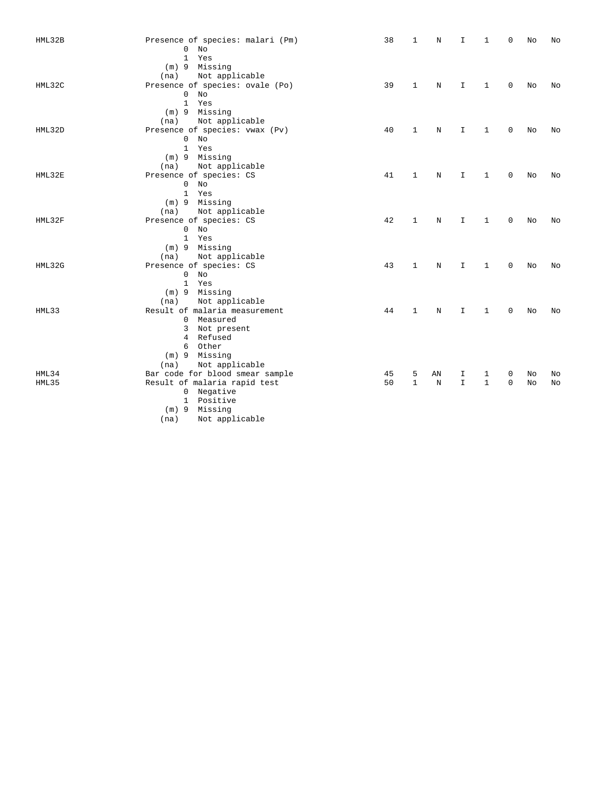| HML32B | Presence of species: malari (Pm) | 38 | 1            | N  | I           | 1            | 0           | No | No |
|--------|----------------------------------|----|--------------|----|-------------|--------------|-------------|----|----|
|        | $0$ No                           |    |              |    |             |              |             |    |    |
|        | $\mathbf{1}$<br>Yes              |    |              |    |             |              |             |    |    |
|        | (m) 9 Missing                    |    |              |    |             |              |             |    |    |
|        | Not applicable<br>(na)           |    |              |    |             |              |             |    |    |
| HML32C | Presence of species: ovale (Po)  | 39 | 1            | N  | I           | $\mathbf{1}$ | $\mathbf 0$ | No | No |
|        | $0$ No                           |    |              |    |             |              |             |    |    |
|        | 1 Yes                            |    |              |    |             |              |             |    |    |
|        | (m) 9 Missing                    |    |              |    |             |              |             |    |    |
|        | Not applicable<br>(na)           |    |              |    |             |              |             |    |    |
| HML32D | Presence of species: vwax (Pv)   | 40 | $\mathbf{1}$ | N  | I           | 1            | 0           | No | No |
|        | $0$ No                           |    |              |    |             |              |             |    |    |
|        | 1 Yes                            |    |              |    |             |              |             |    |    |
|        | (m) 9 Missing                    |    |              |    |             |              |             |    |    |
|        | Not applicable<br>(na)           |    |              |    |             |              |             |    |    |
| HML32E | Presence of species: CS          | 41 | $\mathbf{1}$ | N  | I.          | 1            | $\mathbf 0$ | No | No |
|        | $0$ No                           |    |              |    |             |              |             |    |    |
|        | 1 Yes                            |    |              |    |             |              |             |    |    |
|        | (m) 9 Missing                    |    |              |    |             |              |             |    |    |
|        | Not applicable<br>(na)           |    |              |    |             |              |             |    |    |
| HML32F | Presence of species: CS          | 42 | 1            | N  | I.          | 1            | 0           | No | No |
|        | $0$ No                           |    |              |    |             |              |             |    |    |
|        | 1 Yes                            |    |              |    |             |              |             |    |    |
|        | (m) 9 Missing                    |    |              |    |             |              |             |    |    |
|        | Not applicable<br>(na)           |    |              |    |             |              |             |    |    |
| HML32G | Presence of species: CS          | 43 | $\mathbf{1}$ | N  | I           | $\mathbf{1}$ | 0           | No | No |
|        | $0$ No                           |    |              |    |             |              |             |    |    |
|        | 1 Yes                            |    |              |    |             |              |             |    |    |
|        | (m) 9 Missing                    |    |              |    |             |              |             |    |    |
|        | Not applicable<br>(na)           |    |              |    |             |              |             |    |    |
| HML33  | Result of malaria measurement    | 44 | 1            | N  | I           | 1            | 0           | No | No |
|        | 0 Measured                       |    |              |    |             |              |             |    |    |
|        | 3 Not present                    |    |              |    |             |              |             |    |    |
|        | 4 Refused                        |    |              |    |             |              |             |    |    |
|        | Other<br>6                       |    |              |    |             |              |             |    |    |
|        | (m) 9 Missing                    |    |              |    |             |              |             |    |    |
|        | Not applicable<br>(na)           |    |              |    |             |              |             |    |    |
| HML34  | Bar code for blood smear sample  | 45 | 5            | AN | I.          | 1            | 0           | No | No |
| HML35  | Result of malaria rapid test     | 50 | 1            | N  | $\mathbf I$ | $\mathbf{1}$ | $\mathbf 0$ | No | No |
|        | 0 Negative                       |    |              |    |             |              |             |    |    |
|        | 1 Positive                       |    |              |    |             |              |             |    |    |
|        | $(m)$ 9 Missing                  |    |              |    |             |              |             |    |    |
|        | Not applicable<br>(na)           |    |              |    |             |              |             |    |    |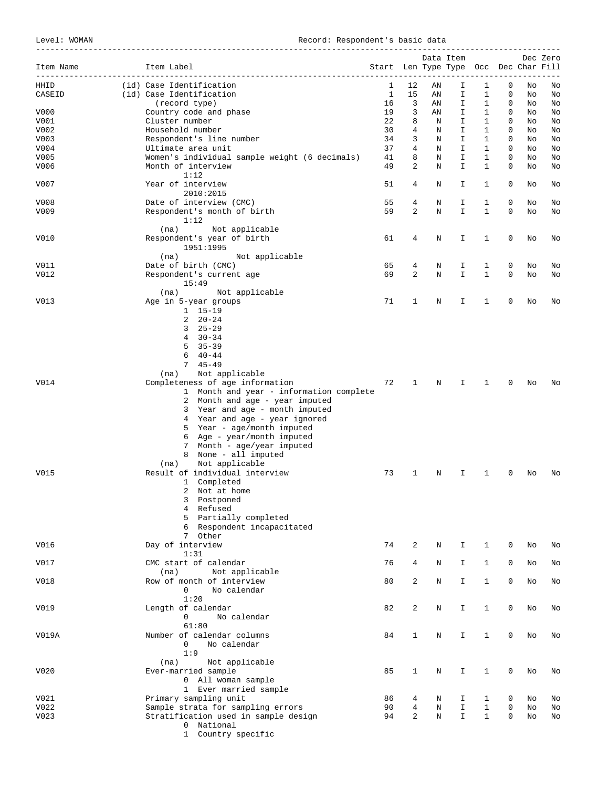Level: WOMAN Record: Respondent's basic data

|           |                                               |                                       |                |          | Data Item    |                              |              |          | Dec Zero |
|-----------|-----------------------------------------------|---------------------------------------|----------------|----------|--------------|------------------------------|--------------|----------|----------|
| Item Name | Item Label                                    | Start Len Type Type Occ Dec Char Fill |                |          |              |                              |              |          |          |
|           | ______________________________                |                                       |                |          |              |                              |              |          |          |
| HHID      | (id) Case Identification                      | 1                                     | 12             | ΑN       | I            | 1                            | 0<br>0       | No       | No       |
| CASEID    | (id) Case Identification<br>(record type)     | 1<br>16                               | 15<br>3        | ΑN<br>AN | I<br>I       | $\mathbf{1}$<br>$\mathbf{1}$ | 0            | No<br>No | No<br>No |
| V000      | Country code and phase                        | 19                                    | 3              | AN       | I.           | 1                            | 0            | No       | No       |
| V001      | Cluster number                                | 22                                    | 8              | N        | I.           | $\mathbf{1}$                 | 0            | No       | No       |
| V002      | Household number                              | 30                                    | 4              | N        | I.           | $\mathbf{1}$                 | 0            | No       | No       |
| V003      | Respondent's line number                      | 34                                    | 3              | N        | I.           | $\mathbf{1}$                 | 0            | No       | No       |
| V004      | Ultimate area unit                            | 37                                    | 4              | N        | I.           | $\mathbf{1}$                 | 0            | No       | No       |
| V005      | Women's individual sample weight (6 decimals) | 41                                    | 8              | N        | I.           | $\mathbf 1$                  | $\mathbf 0$  | No       | No       |
| V006      | Month of interview                            | 49                                    | $\overline{2}$ | N        | I.           | $\mathbf 1$                  | $\Omega$     | No       | No       |
|           | 1:12                                          |                                       |                |          |              |                              |              |          |          |
| V007      | Year of interview                             | 51                                    | 4              | Ν        | I            | 1                            | 0            | No       | No       |
|           | 2010:2015                                     |                                       |                |          |              |                              |              |          |          |
| V008      | Date of interview (CMC)                       | 55                                    | 4              | Ν        | I            | 1                            | 0            | No       | No       |
| V009      | Respondent's month of birth                   | 59                                    | $\overline{2}$ | N        | I.           | $\mathbf{1}$                 | $\mathbf 0$  | No       | No       |
|           | 1:12                                          |                                       |                |          |              |                              |              |          |          |
|           | (na)<br>Not applicable                        |                                       |                |          |              |                              |              |          |          |
| V010      | Respondent's year of birth<br>1951:1995       | 61                                    | 4              | N        | I.           | $\mathbf{1}$                 | 0            | No       | No       |
|           | Not applicable<br>(na)                        |                                       |                |          |              |                              |              |          |          |
| V011      | Date of birth (CMC)                           | 65                                    | 4              | Ν        | I            | 1                            | 0            | No       | No       |
| V012      | Respondent's current age                      | 69                                    | $\overline{a}$ | N        | I.           | $\mathbf{1}$                 | 0            | No       | No       |
|           | 15:49                                         |                                       |                |          |              |                              |              |          |          |
|           | (na)<br>Not applicable                        |                                       |                |          |              |                              |              |          |          |
| V013      | Age in 5-year groups                          | 71                                    | 1              | N        | I.           | $\mathbf{1}$                 | 0            | No       | No       |
|           | $1 15 - 19$                                   |                                       |                |          |              |                              |              |          |          |
|           | $2 \t20 - 24$                                 |                                       |                |          |              |                              |              |          |          |
|           | $325-29$                                      |                                       |                |          |              |                              |              |          |          |
|           | $4 \quad 30 - 34$                             |                                       |                |          |              |                              |              |          |          |
|           | $5 \quad 35 - 39$                             |                                       |                |          |              |                              |              |          |          |
|           | 6<br>$40 - 44$                                |                                       |                |          |              |                              |              |          |          |
|           | $745 - 49$                                    |                                       |                |          |              |                              |              |          |          |
|           | Not applicable<br>(na)                        |                                       |                |          |              |                              |              |          |          |
| V014      | Completeness of age information               | 72                                    | $\mathbf{1}$   | N        | I.           | $\mathbf 1$                  | 0            | No       | No       |
|           | 1 Month and year - information complete       |                                       |                |          |              |                              |              |          |          |
|           | 2 Month and age - year imputed                |                                       |                |          |              |                              |              |          |          |
|           | 3 Year and age - month imputed                |                                       |                |          |              |                              |              |          |          |
|           | 4 Year and age - year ignored                 |                                       |                |          |              |                              |              |          |          |
|           | 5 Year - age/month imputed                    |                                       |                |          |              |                              |              |          |          |
|           | 6 Age - year/month imputed                    |                                       |                |          |              |                              |              |          |          |
|           | 7 Month - age/year imputed                    |                                       |                |          |              |                              |              |          |          |
|           | 8 None - all imputed                          |                                       |                |          |              |                              |              |          |          |
|           | Not applicable<br>(na)                        |                                       |                |          |              |                              |              |          |          |
| V015      | Result of individual interview                | 73                                    | 1              | N        | I            | 1                            | 0            | No       | No       |
|           | Completed<br>$\mathbf{1}$                     |                                       |                |          |              |                              |              |          |          |
|           | 2 Not at home                                 |                                       |                |          |              |                              |              |          |          |
|           | Postponed<br>3                                |                                       |                |          |              |                              |              |          |          |
|           | 4 Refused<br>5 Partially completed            |                                       |                |          |              |                              |              |          |          |
|           | 6 Respondent incapacitated                    |                                       |                |          |              |                              |              |          |          |
|           | 7 Other                                       |                                       |                |          |              |                              |              |          |          |
| V016      | Day of interview                              | 74                                    | 2              | N        | I.           | $\mathbf{1}$                 | 0            | No       | No       |
|           | 1:31                                          |                                       |                |          |              |                              |              |          |          |
| V017      | CMC start of calendar                         | 76                                    | 4              | N        | I.           | $\mathbf{1}$                 | 0            | No       | No       |
|           | Not applicable<br>(na)                        |                                       |                |          |              |                              |              |          |          |
| V018      | Row of month of interview                     | 80                                    | 2              | N        | $\mathbf I$  | $\mathbf{1}$                 | 0            | No       | No       |
|           | No calendar<br>0                              |                                       |                |          |              |                              |              |          |          |
|           | 1:20                                          |                                       |                |          |              |                              |              |          |          |
| V019      | Length of calendar                            | 82                                    | 2              | N        | I            | $\mathbf{1}$                 | $\mathbf 0$  | No       | No       |
|           | 0<br>No calendar                              |                                       |                |          |              |                              |              |          |          |
|           | 61:80                                         |                                       |                |          |              |                              |              |          |          |
| V019A     | Number of calendar columns                    | 84                                    | $\mathbf{1}$   | Ν        | I            | $\mathbf{1}$                 | 0            | No       | No       |
|           | No calendar<br>0                              |                                       |                |          |              |                              |              |          |          |
|           | 1:9<br>Not applicable<br>(na)                 |                                       |                |          |              |                              |              |          |          |
| V020      | Ever-married sample                           | 85                                    | 1              | N        | I.           | $\mathbf{1}$                 | 0            | No       | No       |
|           | 0 All woman sample                            |                                       |                |          |              |                              |              |          |          |
|           | 1 Ever married sample                         |                                       |                |          |              |                              |              |          |          |
| V021      | Primary sampling unit                         | 86                                    | 4              | N        | I            | 1                            | 0            | No       | No       |
| V022      | Sample strata for sampling errors             | 90                                    | 4              | N        | $\mathbf I$  | $\mathbf{1}$                 | $\mathbf{0}$ | No       | No       |
| V023      | Stratification used in sample design          | 94                                    | $\overline{a}$ | N        | $\mathbf{I}$ | $\mathbf{1}$                 | $\Omega$     | No       | No       |
|           | 0 National                                    |                                       |                |          |              |                              |              |          |          |
|           | 1 Country specific                            |                                       |                |          |              |                              |              |          |          |
|           |                                               |                                       |                |          |              |                              |              |          |          |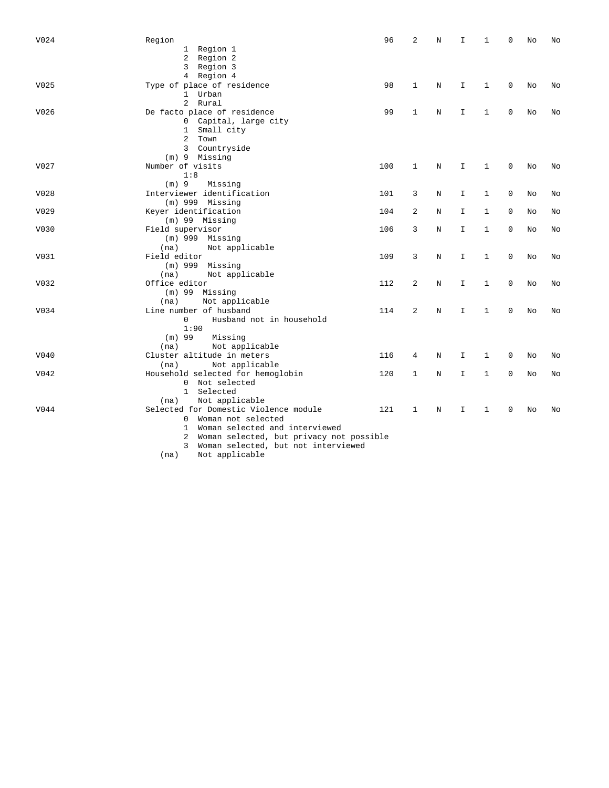| V024 | Region                                        | 96  | 2            | N | I            | 1            | 0        | No | No |
|------|-----------------------------------------------|-----|--------------|---|--------------|--------------|----------|----|----|
|      | 1 Region 1                                    |     |              |   |              |              |          |    |    |
|      | Region 2<br>$\mathbf{2}$                      |     |              |   |              |              |          |    |    |
|      | Region 3<br>$\mathbf{3}$                      |     |              |   |              |              |          |    |    |
|      | 4 Region 4                                    |     |              |   |              |              |          |    |    |
| V025 | Type of place of residence                    | 98  | $\mathbf{1}$ | N | $\mathbf I$  | $\mathbf{1}$ | 0        | No | No |
|      | 1 Urban                                       |     |              |   |              |              |          |    |    |
|      | 2 Rural                                       |     |              |   |              |              |          |    |    |
| V026 | De facto place of residence                   | 99  | $\mathbf{1}$ | N | I.           | $\mathbf{1}$ | 0        | No | No |
|      | 0 Capital, large city                         |     |              |   |              |              |          |    |    |
|      | 1 Small city                                  |     |              |   |              |              |          |    |    |
|      | 2 Town                                        |     |              |   |              |              |          |    |    |
|      | 3 Countryside                                 |     |              |   |              |              |          |    |    |
|      | (m) 9 Missing                                 |     |              |   |              |              |          |    |    |
| V027 | Number of visits                              | 100 | 1            | N | I            | 1            | $\Omega$ | No | No |
|      | 1:8                                           |     |              |   |              |              |          |    |    |
|      | $(m)$ 9<br>Missing                            |     |              |   |              |              |          |    |    |
| V028 | Interviewer identification                    | 101 | 3            | Ν | I            | 1            | 0        | No | No |
|      | $(m)$ 999 Missing                             |     |              |   |              |              |          |    |    |
| V029 | Keyer identification                          | 104 | 2            | Ν | I            | 1            | 0        | No | No |
|      | $(m)$ 99 Missing                              |     |              |   |              |              |          |    |    |
| V030 | Field supervisor                              | 106 | 3            | N | $\mathbf I$  | $\mathbf{1}$ | $\Omega$ | No | No |
|      | $(m)$ 999 Missing                             |     |              |   |              |              |          |    |    |
|      | Not applicable<br>(na)                        |     |              |   |              |              |          |    |    |
| V031 | Field editor                                  | 109 | 3            | N | I            | $\mathbf{1}$ | $\Omega$ | No | No |
|      | $(m)$ 999 Missing                             |     |              |   |              |              |          |    |    |
|      | Not applicable<br>(na)                        |     |              |   |              |              |          |    |    |
| V032 | Office editor                                 | 112 | 2            | N | I.           | $\mathbf{1}$ | $\Omega$ | No | No |
|      | $(m)$ 99 Missing                              |     |              |   |              |              |          |    |    |
|      | Not applicable<br>(na)                        |     |              |   |              |              |          |    |    |
| V034 | Line number of husband                        | 114 | 2            | N | I            | 1            | 0        | No | No |
|      | Husband not in household<br>0                 |     |              |   |              |              |          |    |    |
|      | 1:90                                          |     |              |   |              |              |          |    |    |
|      | $(m)$ 99<br>Missing                           |     |              |   |              |              |          |    |    |
|      | Not applicable<br>(na)                        |     |              |   |              |              |          |    |    |
| V040 | Cluster altitude in meters                    | 116 | 4            | Ν | I            | 1            | 0        | No | No |
|      | Not applicable<br>(na)                        |     |              |   |              |              |          |    |    |
| V042 | Household selected for hemoglobin             | 120 | 1            | N | $\mathbf{I}$ | $\mathbf{1}$ | $\Omega$ | No | No |
|      | 0 Not selected                                |     |              |   |              |              |          |    |    |
|      | 1 Selected                                    |     |              |   |              |              |          |    |    |
|      | Not applicable<br>(na)                        |     |              |   |              |              |          |    |    |
| V044 | Selected for Domestic Violence module         | 121 | 1            | Ν | I            | 1            | 0        | No | No |
|      | Woman not selected<br>$\Omega$                |     |              |   |              |              |          |    |    |
|      | 1 Woman selected and interviewed              |     |              |   |              |              |          |    |    |
|      | Woman selected, but privacy not possible<br>2 |     |              |   |              |              |          |    |    |
|      | Woman selected, but not interviewed<br>3      |     |              |   |              |              |          |    |    |

(na) Not applicable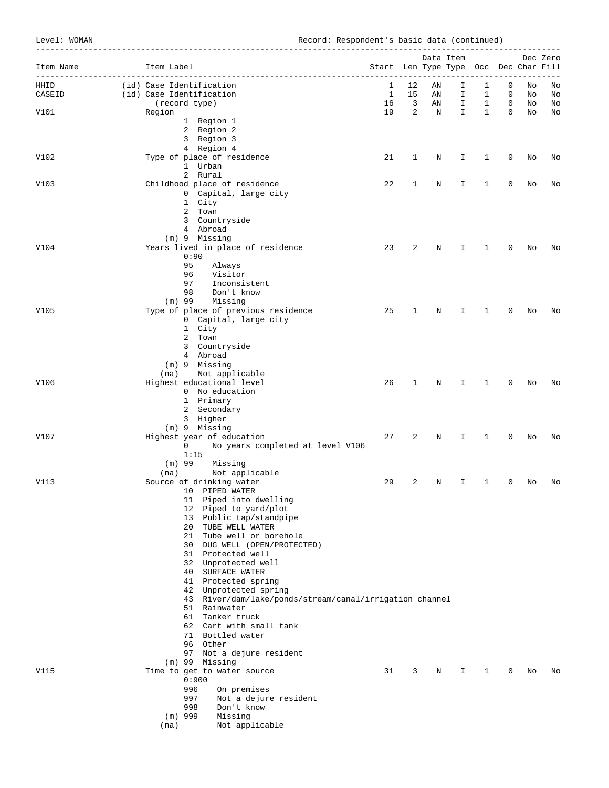Level: WOMAN Record: Respondent's basic data (continued)

| Item Name | Item Label<br>------------------------                   | Start Len Type Type Occ Dec Char Fill |                     |         | Data Item    |                              |                   |          | Dec Zero |
|-----------|----------------------------------------------------------|---------------------------------------|---------------------|---------|--------------|------------------------------|-------------------|----------|----------|
| HHID      | (id) Case Identification                                 | 1                                     | 12                  | ΑN      | I            | 1                            | 0                 | No       | No       |
| CASEID    | (id) Case Identification                                 | $\mathbf{1}$                          | 15                  | AN      | I.           | $\mathbf{1}$                 | 0                 | No       | No       |
| V101      | (record type)<br>Region                                  | 16<br>19                              | $\overline{3}$<br>2 | AN<br>N | I<br>I.      | $\mathbf{1}$<br>$\mathbf{1}$ | 0<br>$\mathbf{0}$ | No<br>No | No<br>No |
|           | 1 Region 1                                               |                                       |                     |         |              |                              |                   |          |          |
|           | 2 Region 2                                               |                                       |                     |         |              |                              |                   |          |          |
|           | 3 Region 3                                               |                                       |                     |         |              |                              |                   |          |          |
| V102      | 4 Region 4<br>Type of place of residence                 | 21                                    | 1                   | N       | I.           | 1                            | 0                 | No       | No       |
|           | 1 Urban                                                  |                                       |                     |         |              |                              |                   |          |          |
|           | 2 Rural                                                  |                                       |                     |         |              |                              |                   |          |          |
| V103      | Childhood place of residence<br>0 Capital, large city    | 22                                    | 1                   | Ν       | I            | 1                            | 0                 | No       | No       |
|           | 1 City                                                   |                                       |                     |         |              |                              |                   |          |          |
|           | 2 Town                                                   |                                       |                     |         |              |                              |                   |          |          |
|           | 3 Countryside                                            |                                       |                     |         |              |                              |                   |          |          |
|           | 4 Abroad<br>(m) 9 Missing                                |                                       |                     |         |              |                              |                   |          |          |
| V104      | Years lived in place of residence                        | 23                                    | 2                   | Ν       | Ι.           | 1                            | 0                 | No       | No       |
|           | 0:90                                                     |                                       |                     |         |              |                              |                   |          |          |
|           | 95<br>Always                                             |                                       |                     |         |              |                              |                   |          |          |
|           | 96<br>Visitor<br>97<br>Inconsistent                      |                                       |                     |         |              |                              |                   |          |          |
|           | 98<br>Don't know                                         |                                       |                     |         |              |                              |                   |          |          |
|           | $(m)$ 99<br>Missing                                      |                                       |                     |         |              |                              |                   |          |          |
| V105      | Type of place of previous residence                      | 25                                    | 1                   | N       | I.           | 1                            | 0                 | No       | No       |
|           | 0 Capital, large city<br>1 City                          |                                       |                     |         |              |                              |                   |          |          |
|           | 2 Town                                                   |                                       |                     |         |              |                              |                   |          |          |
|           | 3 Countryside                                            |                                       |                     |         |              |                              |                   |          |          |
|           | 4 Abroad                                                 |                                       |                     |         |              |                              |                   |          |          |
|           | (m) 9 Missing<br>Not applicable<br>(na)                  |                                       |                     |         |              |                              |                   |          |          |
| V106      | Highest educational level                                | 26                                    | 1                   | N       | I            | 1                            | 0                 | No       | No       |
|           | 0 No education                                           |                                       |                     |         |              |                              |                   |          |          |
|           | 1 Primary<br>2 Secondary                                 |                                       |                     |         |              |                              |                   |          |          |
|           | 3 Higher                                                 |                                       |                     |         |              |                              |                   |          |          |
|           | (m) 9 Missing                                            |                                       |                     |         |              |                              |                   |          |          |
| V107      | Highest year of education                                | 27                                    | 2                   | Ν       | I            | 1                            | 0                 | No       | No       |
|           | $\mathbf{0}$<br>No years completed at level V106<br>1:15 |                                       |                     |         |              |                              |                   |          |          |
|           | $(m)$ 99<br>Missing                                      |                                       |                     |         |              |                              |                   |          |          |
|           | Not applicable<br>(na)                                   |                                       |                     |         |              |                              |                   |          |          |
| V113      | Source of drinking water                                 | 29                                    | 2                   | N       | I.           | 1                            | 0                 | No       | No       |
|           | 10 PIPED WATER<br>11 Piped into dwelling                 |                                       |                     |         |              |                              |                   |          |          |
|           | 12 Piped to yard/plot                                    |                                       |                     |         |              |                              |                   |          |          |
|           | 13 Public tap/standpipe                                  |                                       |                     |         |              |                              |                   |          |          |
|           | 20 TUBE WELL WATER<br>21 Tube well or borehole           |                                       |                     |         |              |                              |                   |          |          |
|           | 30 DUG WELL (OPEN/PROTECTED)                             |                                       |                     |         |              |                              |                   |          |          |
|           | 31 Protected well                                        |                                       |                     |         |              |                              |                   |          |          |
|           | 32 Unprotected well                                      |                                       |                     |         |              |                              |                   |          |          |
|           | 40 SURFACE WATER<br>41 Protected spring                  |                                       |                     |         |              |                              |                   |          |          |
|           | 42 Unprotected spring                                    |                                       |                     |         |              |                              |                   |          |          |
|           | 43 River/dam/lake/ponds/stream/canal/irrigation channel  |                                       |                     |         |              |                              |                   |          |          |
|           | 51 Rainwater                                             |                                       |                     |         |              |                              |                   |          |          |
|           | 61 Tanker truck<br>62 Cart with small tank               |                                       |                     |         |              |                              |                   |          |          |
|           | 71 Bottled water                                         |                                       |                     |         |              |                              |                   |          |          |
|           | 96 Other                                                 |                                       |                     |         |              |                              |                   |          |          |
|           | 97 Not a dejure resident                                 |                                       |                     |         |              |                              |                   |          |          |
| V115      | (m) 99 Missing<br>Time to get to water source            | 31                                    | 3                   | N       | $\mathbf{I}$ | $\mathbf{1}$                 | 0                 | No       | No       |
|           | 0:900                                                    |                                       |                     |         |              |                              |                   |          |          |
|           | 996<br>On premises                                       |                                       |                     |         |              |                              |                   |          |          |
|           | 997<br>Not a dejure resident<br>998<br>Don't know        |                                       |                     |         |              |                              |                   |          |          |
|           | $(m)$ 999<br>Missing                                     |                                       |                     |         |              |                              |                   |          |          |
|           | Not applicable<br>(na)                                   |                                       |                     |         |              |                              |                   |          |          |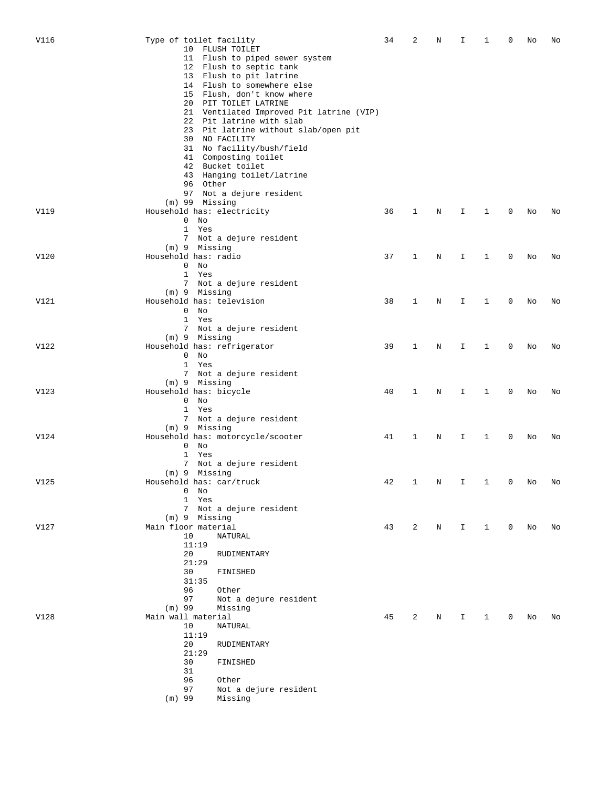| V116 | Type of toilet facility<br>10 FLUSH TOILET<br>11 Flush to piped sewer system<br>12 Flush to septic tank<br>13 Flush to pit latrine<br>14 Flush to somewhere else<br>15 Flush, don't know where<br>20 PIT TOILET LATRINE<br>21 Ventilated Improved Pit latrine (VIP)<br>22 Pit latrine with slab<br>23 Pit latrine without slab/open pit<br>30 NO FACILITY | 34 | 2              | Ν           | Ι             | 1            | 0 | No | No |
|------|-----------------------------------------------------------------------------------------------------------------------------------------------------------------------------------------------------------------------------------------------------------------------------------------------------------------------------------------------------------|----|----------------|-------------|---------------|--------------|---|----|----|
|      | 31 No facility/bush/field<br>41 Composting toilet<br>42 Bucket toilet<br>43 Hanging toilet/latrine<br>96 Other<br>97 Not a dejure resident                                                                                                                                                                                                                |    |                |             |               |              |   |    |    |
| V119 | (m) 99 Missing<br>Household has: electricity<br>$0$ No<br>1 Yes<br>7 Not a dejure resident                                                                                                                                                                                                                                                                | 36 | 1              | N           | I             | 1            | 0 | No | No |
| V120 | (m) 9 Missing<br>Household has: radio<br>$0$ No<br>$\mathbf{1}$<br>Yes<br>7 Not a dejure resident                                                                                                                                                                                                                                                         | 37 | 1              | Ν           | I             | 1            | 0 | No | No |
| V121 | $(m)$ 9 Missing<br>Household has: television<br>$0$ No<br>1 Yes<br>7 Not a dejure resident                                                                                                                                                                                                                                                                | 38 | 1              | Ν           | I.            | 1            | 0 | No | No |
| V122 | (m) 9 Missing<br>Household has: refrigerator<br>$0$ No<br>1 Yes<br>7 Not a dejure resident                                                                                                                                                                                                                                                                | 39 | 1              | N           | I             | 1            | 0 | No | No |
| V123 | (m) 9 Missing<br>Household has: bicycle<br>$0$ No<br>1 Yes<br>7 Not a dejure resident                                                                                                                                                                                                                                                                     | 40 | 1              | Ν           | I             | 1            | 0 | No | No |
| V124 | $(m)$ 9 Missing<br>Household has: motorcycle/scooter<br>$0$ No<br>1 Yes                                                                                                                                                                                                                                                                                   | 41 | 1              | Ν           | Ι             | 1            | 0 | No | No |
| V125 | 7 Not a dejure resident<br>$(m)$ 9 Missing<br>Household has: car/truck<br>$0$ No<br>1 Yes<br>7 Not a dejure resident                                                                                                                                                                                                                                      | 42 | 1              | N           | $\mathbbm{1}$ | $\mathbf 1$  | 0 | No | No |
| V127 | $(m)$ 9 Missing<br>Main floor material<br>10<br>NATURAL<br>11:19<br>20<br>RUDIMENTARY<br>21:29                                                                                                                                                                                                                                                            | 43 | 2              | N           | I.            | $\mathbf{1}$ | 0 | No | No |
|      | 30<br>FINISHED<br>31:35<br>96<br>Other<br>97<br>Not a dejure resident<br>$(m)$ 99<br>Missing                                                                                                                                                                                                                                                              |    |                |             |               |              |   |    |    |
| V128 | Main wall material<br>10<br>NATURAL<br>11:19<br>20<br>RUDIMENTARY<br>21:29<br>30<br>FINISHED<br>31<br>96<br>Other<br>97<br>Not a dejure resident<br>$(m)$ 99<br>Missing                                                                                                                                                                                   | 45 | $\overline{2}$ | $\mathbf N$ | I.            | $\mathbf{1}$ | 0 | No | No |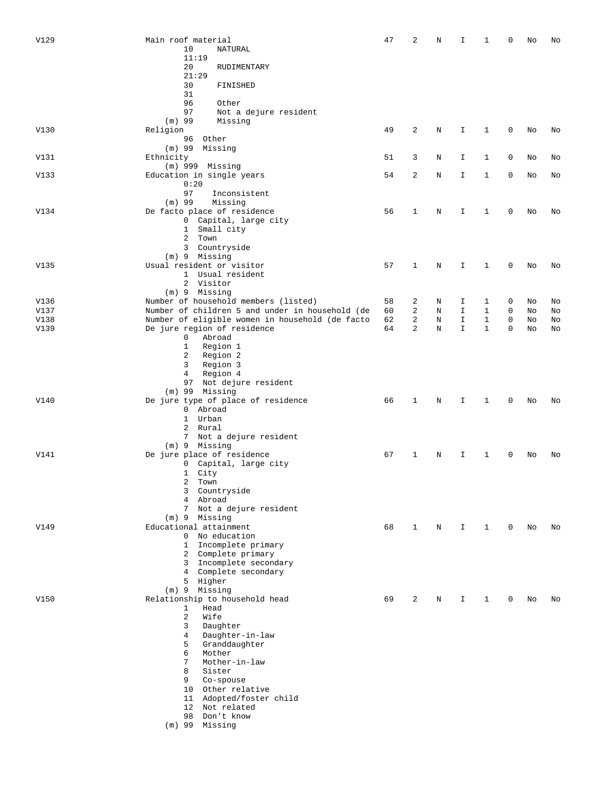| V129 | Main roof material                                    | 47 | 2            | N          | I            | 1            | 0            | No | No |
|------|-------------------------------------------------------|----|--------------|------------|--------------|--------------|--------------|----|----|
|      | 10<br>NATURAL                                         |    |              |            |              |              |              |    |    |
|      | 11:19                                                 |    |              |            |              |              |              |    |    |
|      | 20<br>RUDIMENTARY                                     |    |              |            |              |              |              |    |    |
|      | 21:29                                                 |    |              |            |              |              |              |    |    |
|      | 30<br>FINISHED<br>31                                  |    |              |            |              |              |              |    |    |
|      | 96<br>Other                                           |    |              |            |              |              |              |    |    |
|      | 97<br>Not a dejure resident                           |    |              |            |              |              |              |    |    |
|      | $(m)$ 99<br>Missing                                   |    |              |            |              |              |              |    |    |
| V130 | Religion                                              | 49 | 2            | Ν          | I            | $\mathbf{1}$ | 0            | No | No |
|      | 96<br>Other                                           |    |              |            |              |              |              |    |    |
|      | $(m)$ 99<br>Missing                                   |    |              |            |              |              |              |    |    |
| V131 | Ethnicity                                             | 51 | 3            | N          | I.           | 1            | 0            | No | No |
|      | $(m)$ 999 Missing                                     |    |              |            |              |              |              |    |    |
| V133 | Education in single years<br>0:20                     | 54 | 2            | Ν          | I            | 1            | 0            | No | No |
|      | 97<br>Inconsistent                                    |    |              |            |              |              |              |    |    |
|      | $(m)$ 99<br>Missing                                   |    |              |            |              |              |              |    |    |
| V134 | De facto place of residence                           | 56 | 1            | N          | I            | 1            | 0            | No | No |
|      | 0 Capital, large city                                 |    |              |            |              |              |              |    |    |
|      | 1 Small city                                          |    |              |            |              |              |              |    |    |
|      | 2 Town                                                |    |              |            |              |              |              |    |    |
|      | 3 Countryside                                         |    |              |            |              |              |              |    |    |
|      | $(m)$ 9 Missing                                       |    |              |            |              |              |              |    |    |
| V135 | Usual resident or visitor                             | 57 | 1            | N          | I.           | 1            | 0            | No | No |
|      | 1 Usual resident                                      |    |              |            |              |              |              |    |    |
|      | 2 Visitor                                             |    |              |            |              |              |              |    |    |
| V136 | (m) 9 Missing<br>Number of household members (listed) | 58 | 2            | Ν          | I            | 1            | 0            | No | No |
| V137 | Number of children 5 and under in household (de       | 60 | 2            | N          | I.           | $\mathbf{1}$ | $\mathbf{0}$ | No | No |
| V138 | Number of eligible women in household (de facto       | 62 | 2            | N          | I            | $\mathbf{1}$ | $\mathbf{0}$ | No | No |
| V139 | De jure region of residence                           | 64 | 2            | N          | $\mathbf{I}$ | $\mathbf{1}$ | $\Omega$     | No | No |
|      | $\mathsf{O}$<br>Abroad                                |    |              |            |              |              |              |    |    |
|      | Region 1<br>$\mathbf{1}$                              |    |              |            |              |              |              |    |    |
|      | $\overline{a}$<br>Region 2                            |    |              |            |              |              |              |    |    |
|      | 3<br>Region 3                                         |    |              |            |              |              |              |    |    |
|      | Region 4<br>$\overline{4}$                            |    |              |            |              |              |              |    |    |
|      | Not dejure resident<br>97<br>$(m)$ 99                 |    |              |            |              |              |              |    |    |
| V140 | Missing<br>De jure type of place of residence         | 66 | 1            | Ν          | I            | 1            | 0            | No | No |
|      | 0 Abroad                                              |    |              |            |              |              |              |    |    |
|      | 1 Urban                                               |    |              |            |              |              |              |    |    |
|      | 2 Rural                                               |    |              |            |              |              |              |    |    |
|      | 7 Not a dejure resident                               |    |              |            |              |              |              |    |    |
|      | $(m)$ 9 Missing                                       |    |              |            |              |              |              |    |    |
| V141 | De jure place of residence                            | 67 | 1            | N          | I            | 1            | 0            | No | No |
|      | 0 Capital, large city                                 |    |              |            |              |              |              |    |    |
|      | 1 City                                                |    |              |            |              |              |              |    |    |
|      | 2<br>Town<br>3 Countryside                            |    |              |            |              |              |              |    |    |
|      | 4 Abroad                                              |    |              |            |              |              |              |    |    |
|      | 7 Not a dejure resident                               |    |              |            |              |              |              |    |    |
|      | $(m)$ 9 Missing                                       |    |              |            |              |              |              |    |    |
| V149 | Educational attainment                                | 68 | $\mathbf{1}$ | $_{\rm N}$ | $\mathbf{I}$ | $\mathbf{1}$ | 0            | No | No |
|      | 0 No education                                        |    |              |            |              |              |              |    |    |
|      | 1 Incomplete primary                                  |    |              |            |              |              |              |    |    |
|      | 2 Complete primary                                    |    |              |            |              |              |              |    |    |
|      | 3 Incomplete secondary                                |    |              |            |              |              |              |    |    |
|      | 4 Complete secondary<br>5 Higher                      |    |              |            |              |              |              |    |    |
|      | (m) 9 Missing                                         |    |              |            |              |              |              |    |    |
| V150 | Relationship to household head                        | 69 | 2            | N          | I            | 1            | 0            | No | No |
|      | Head<br>$\mathbf{1}$                                  |    |              |            |              |              |              |    |    |
|      | 2<br>Wife                                             |    |              |            |              |              |              |    |    |
|      | $\mathbf{3}$<br>Daughter                              |    |              |            |              |              |              |    |    |
|      | Daughter-in-law<br>$4\overline{ }$                    |    |              |            |              |              |              |    |    |
|      | 5<br>Granddaughter                                    |    |              |            |              |              |              |    |    |
|      | 6<br>Mother                                           |    |              |            |              |              |              |    |    |
|      | $7^{\circ}$<br>Mother-in-law<br>8<br>Sister           |    |              |            |              |              |              |    |    |
|      | Co-spouse<br>9                                        |    |              |            |              |              |              |    |    |
|      | 10 Other relative                                     |    |              |            |              |              |              |    |    |
|      | 11 Adopted/foster child                               |    |              |            |              |              |              |    |    |
|      | 12 Not related                                        |    |              |            |              |              |              |    |    |
|      | 98 Don't know                                         |    |              |            |              |              |              |    |    |
|      | (m) 99 Missing                                        |    |              |            |              |              |              |    |    |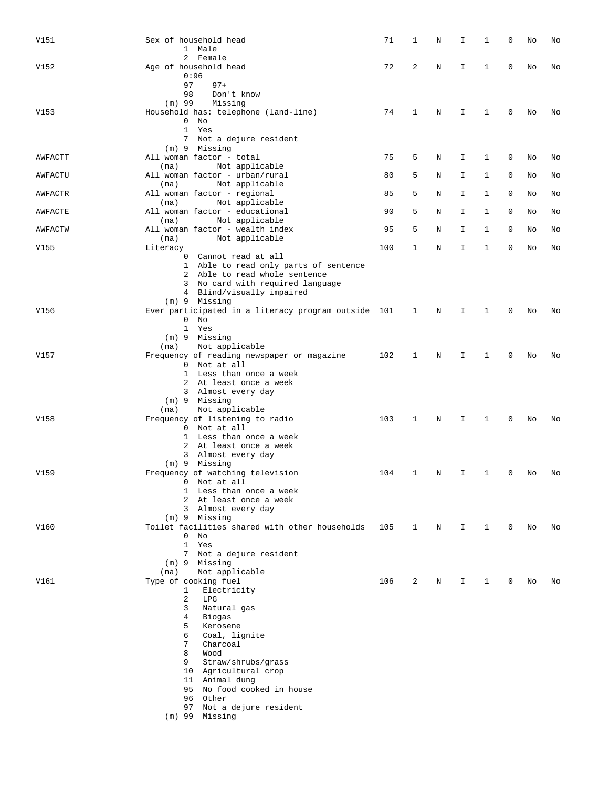| V151    | Sex of household head<br>1 Male<br>2 Female                                                                                                                                                                                                                                                                                          | 71  | 1            | Ν | I  | 1            | 0 | No | No |
|---------|--------------------------------------------------------------------------------------------------------------------------------------------------------------------------------------------------------------------------------------------------------------------------------------------------------------------------------------|-----|--------------|---|----|--------------|---|----|----|
| V152    | Age of household head<br>0:96<br>97<br>$97+$<br>98<br>Don't know                                                                                                                                                                                                                                                                     | 72  | 2            | N | Ι  | 1            | 0 | No | No |
| V153    | Missing<br>$(m)$ 99<br>Household has: telephone (land-line)<br>0<br>No<br>$\mathbf{1}$<br>Yes<br>7 Not a dejure resident<br>(m) 9 Missing                                                                                                                                                                                            | 74  | 1            | N | I  | 1            | 0 | No | No |
| AWFACTT | All woman factor - total<br>Not applicable<br>(na)                                                                                                                                                                                                                                                                                   | 75  | 5            | N | I  | 1            | 0 | No | No |
| AWFACTU | All woman factor - urban/rural<br>Not applicable<br>(na)                                                                                                                                                                                                                                                                             | 80  | 5            | Ν | I  | 1            | 0 | No | No |
| AWFACTR | All woman factor - regional<br>Not applicable<br>(na)                                                                                                                                                                                                                                                                                | 85  | 5            | Ν | I  | 1            | 0 | No | No |
| AWFACTE | All woman factor - educational<br>Not applicable<br>(na)                                                                                                                                                                                                                                                                             | 90  | 5            | Ν | I  | 1            | 0 | No | No |
| AWFACTW | All woman factor - wealth index<br>Not applicable<br>(na)                                                                                                                                                                                                                                                                            | 95  | 5            | N | I  | 1            | 0 | No | No |
| V155    | Literacy<br>0 Cannot read at all                                                                                                                                                                                                                                                                                                     | 100 | 1            | Ν | I  | 1            | 0 | No | No |
|         | 1 Able to read only parts of sentence<br>2 Able to read whole sentence<br>3 No card with required language<br>4 Blind/visually impaired<br>(m) 9 Missing                                                                                                                                                                             |     |              |   |    |              |   |    |    |
| V156    | Ever participated in a literacy program outside 101<br>$0$ No                                                                                                                                                                                                                                                                        |     | 1            | N | I  | 1            | 0 | No | No |
|         | $\mathbf{1}$<br>Yes<br>(m) 9 Missing<br>Not applicable<br>(na)                                                                                                                                                                                                                                                                       |     |              |   |    |              |   |    |    |
| V157    | Frequency of reading newspaper or magazine<br>0 Not at all<br>1 Less than once a week<br>2 At least once a week<br>3 Almost every day<br>(m) 9 Missing<br>Not applicable<br>(na)                                                                                                                                                     | 102 | 1            | N | I  | 1            | 0 | No | No |
| V158    | Frequency of listening to radio<br>0 Not at all<br>1 Less than once a week<br>2 At least once a week<br>3 Almost every day<br>(m) 9 Missing                                                                                                                                                                                          | 103 | 1            | N | I  | 1            | 0 | No | No |
| V159    | Frequency of watching television<br>0<br>Not at all<br>1 Less than once a week<br>2 At least once a week<br>3 Almost every day<br>(m) 9 Missing                                                                                                                                                                                      | 104 | 1            | Ν | I  | 1            | 0 | No | No |
| V160    | Toilet facilities shared with other households<br>$0$ No<br>1 Yes<br>7 Not a dejure resident<br>$(m)$ 9 Missing<br>Not applicable<br>(na)                                                                                                                                                                                            | 105 | $\mathbf{1}$ | N | Ι. | $\mathbf{1}$ | 0 | No | No |
| V161    | Type of cooking fuel<br>Electricity<br>$\mathbf{1}$<br>2<br>LPG<br>3<br>Natural gas<br>4<br>Biogas<br>5<br>Kerosene<br>6<br>Coal, lignite<br>7<br>Charcoal<br>8<br>Wood<br>9<br>Straw/shrubs/grass<br>10 Agricultural crop<br>11 Animal dung<br>95 No food cooked in house<br>96 Other<br>97 Not a dejure resident<br>(m) 99 Missing | 106 | 2            | N | I. | $\mathbf{1}$ | 0 | No | No |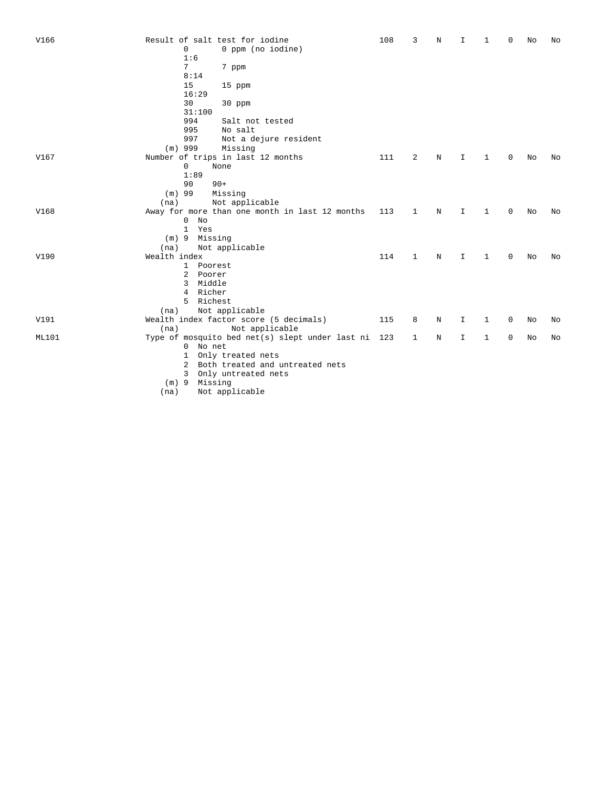| V166         | Result of salt test for iodine<br>0<br>0 ppm (no iodine) | 108 | 3            | N       | I            | 1 | $\Omega$ | No | No |
|--------------|----------------------------------------------------------|-----|--------------|---------|--------------|---|----------|----|----|
|              | 1:6                                                      |     |              |         |              |   |          |    |    |
|              | $7\overline{ }$<br>7 ppm                                 |     |              |         |              |   |          |    |    |
|              | 8:14                                                     |     |              |         |              |   |          |    |    |
|              | 15<br>15 ppm                                             |     |              |         |              |   |          |    |    |
|              | 16:29                                                    |     |              |         |              |   |          |    |    |
|              | 30<br>30 ppm                                             |     |              |         |              |   |          |    |    |
|              | 31:100                                                   |     |              |         |              |   |          |    |    |
|              | 994<br>Salt not tested                                   |     |              |         |              |   |          |    |    |
|              | 995<br>No salt                                           |     |              |         |              |   |          |    |    |
|              | 997<br>Not a dejure resident                             |     |              |         |              |   |          |    |    |
|              | $(m)$ 999<br>Missing                                     |     |              |         |              |   |          |    |    |
| V167         | Number of trips in last 12 months                        | 111 | 2            | $\rm N$ | I            | 1 | 0        | No | No |
|              | $\mathbf{0}$<br>None                                     |     |              |         |              |   |          |    |    |
|              | 1:89                                                     |     |              |         |              |   |          |    |    |
|              | 90<br>$90+$                                              |     |              |         |              |   |          |    |    |
|              | $(m)$ 99<br>Missing                                      |     |              |         |              |   |          |    |    |
|              | Not applicable<br>(na)                                   |     |              |         |              |   |          |    |    |
| V168         | Away for more than one month in last 12 months           | 113 | 1            | N       | I.           | 1 | 0        | No | No |
|              | $0$ No                                                   |     |              |         |              |   |          |    |    |
|              | $\mathbf{1}$<br>Yes                                      |     |              |         |              |   |          |    |    |
|              | (m) 9 Missing                                            |     |              |         |              |   |          |    |    |
|              | Not applicable<br>(na)                                   |     |              |         |              |   |          |    |    |
| V190         | Wealth index                                             | 114 | $\mathbf{1}$ | N       | $\mathbf I$  | 1 | 0        | No | No |
|              | 1 Poorest                                                |     |              |         |              |   |          |    |    |
|              | 2 Poorer                                                 |     |              |         |              |   |          |    |    |
|              | 3 Middle                                                 |     |              |         |              |   |          |    |    |
|              | 4 Richer                                                 |     |              |         |              |   |          |    |    |
|              | 5 Richest                                                |     |              |         |              |   |          |    |    |
|              | Not applicable<br>(na)                                   |     |              |         |              |   |          |    |    |
| V191         | Wealth index factor score (5 decimals)                   | 115 | 8            | N       | I            | 1 | 0        | No | No |
|              | Not applicable<br>(na)                                   |     |              |         |              |   |          |    |    |
| <b>ML101</b> | Type of mosquito bed net(s) slept under last ni          | 123 | 1            | N       | $\mathbf{I}$ | 1 | 0        | No | No |
|              | 0 No net                                                 |     |              |         |              |   |          |    |    |
|              | Only treated nets<br>1                                   |     |              |         |              |   |          |    |    |
|              | Both treated and untreated nets<br>2                     |     |              |         |              |   |          |    |    |
|              | Only untreated nets<br>3                                 |     |              |         |              |   |          |    |    |
|              | Missing<br>$(m)$ 9                                       |     |              |         |              |   |          |    |    |
|              | Not applicable<br>(na)                                   |     |              |         |              |   |          |    |    |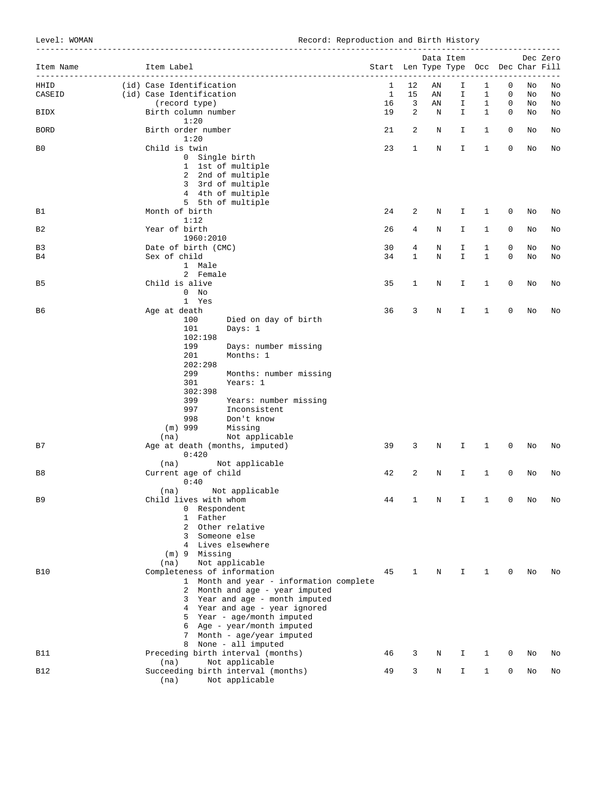Level: WOMAN Record: Reproduction and Birth History

| Item Name      | Item Label                                                                                   |                                                                                                                                                                                                                                                                                               | Start Len Type Type Occ Dec Char Fill |    |    | Data Item |              |              |    | Dec Zero |
|----------------|----------------------------------------------------------------------------------------------|-----------------------------------------------------------------------------------------------------------------------------------------------------------------------------------------------------------------------------------------------------------------------------------------------|---------------------------------------|----|----|-----------|--------------|--------------|----|----------|
| HHID           | (id) Case Identification                                                                     | ______________________________                                                                                                                                                                                                                                                                | $\mathbf 1$                           | 12 | ΑN | I         | 1            | 0            | No | No       |
| CASEID         | (id) Case Identification                                                                     |                                                                                                                                                                                                                                                                                               | $\mathbf{1}$                          | 15 | AN | I         | $\mathbf{1}$ | $\mathbf{0}$ | No | No       |
|                | (record type)                                                                                |                                                                                                                                                                                                                                                                                               | 16                                    | 3  | AN | I         | $\mathbf{1}$ | 0            | No | No       |
| BIDX           | Birth column number<br>1:20                                                                  |                                                                                                                                                                                                                                                                                               | 19                                    | 2  | N  | I.        | $\mathbf{1}$ | $\mathbf 0$  | No | No       |
| <b>BORD</b>    | Birth order number<br>1:20                                                                   |                                                                                                                                                                                                                                                                                               | 21                                    | 2  | Ν  | I         | 1            | $\mathbf 0$  | No | No       |
| B <sub>0</sub> | Child is twin                                                                                |                                                                                                                                                                                                                                                                                               | 23                                    | 1  | N  | I         | 1            | $\mathbf 0$  | No | No       |
|                | 0 Single birth                                                                               | 1 1st of multiple<br>2 2nd of multiple<br>3 3rd of multiple<br>4 4th of multiple<br>5 5th of multiple                                                                                                                                                                                         |                                       |    |    |           |              |              |    |          |
| B1             | Month of birth<br>1:12                                                                       |                                                                                                                                                                                                                                                                                               | 24                                    | 2  | Ν  | I         | 1            | 0            | No | No       |
| B <sub>2</sub> | Year of birth<br>1960:2010                                                                   |                                                                                                                                                                                                                                                                                               | 26                                    | 4  | Ν  | I         | 1            | $\mathbf 0$  | No | No       |
| B3             | Date of birth (CMC)                                                                          |                                                                                                                                                                                                                                                                                               | 30                                    | 4  | Ν  | I         | 1            | $\mathbf 0$  | No | No       |
| B4             | Sex of child<br>1 Male                                                                       |                                                                                                                                                                                                                                                                                               | 34                                    | 1  | N  | I.        | $\mathbf{1}$ | 0            | No | No       |
| B5             | 2 Female<br>Child is alive                                                                   |                                                                                                                                                                                                                                                                                               | 35                                    | 1  | N  | I.        | 1            | $\mathbf 0$  | No | No       |
|                | $0$ No<br>1 Yes                                                                              |                                                                                                                                                                                                                                                                                               |                                       |    |    |           |              |              |    |          |
| B6             | Age at death<br>100<br>101<br>102:198<br>199<br>201<br>202:298<br>299<br>301<br>302:398      | Died on day of birth<br>Days: $1$<br>Days: number missing<br>Months: 1<br>Months: number missing<br>Years: 1                                                                                                                                                                                  | 36                                    | 3  | Ν  | I         | $\mathbf{1}$ | 0            | No | No       |
| B7             | 399<br>997<br>998<br>$(m)$ 999<br>(na)<br>0:420                                              | Years: number missing<br>Inconsistent<br>Don't know<br>Missing<br>Not applicable<br>Age at death (months, imputed)                                                                                                                                                                            | 39                                    | 3  | Ν  | I         | 1            | $\mathbf 0$  | No | No       |
|                | (na)                                                                                         | Not applicable                                                                                                                                                                                                                                                                                |                                       |    |    |           |              |              |    |          |
| B8             | Current age of child<br>0:40<br>(na)                                                         | Not applicable                                                                                                                                                                                                                                                                                | 42                                    | 2  | N  | I         | 1            | 0            | No | No       |
| B <sub>9</sub> | Child lives with whom<br>0 Respondent<br>1 Father<br>3 Someone else<br>(m) 9 Missing<br>(na) | 2 Other relative<br>4 Lives elsewhere<br>Not applicable                                                                                                                                                                                                                                       | 44                                    | 1  | Ν  | I         | ı            | 0            | No | No       |
| <b>B10</b>     |                                                                                              | Completeness of information<br>1 Month and year - information complete<br>2 Month and age - year imputed<br>3 Year and age - month imputed<br>4 Year and age - year ignored<br>5 Year - age/month imputed<br>6 Age - year/month imputed<br>7 Month - age/year imputed<br>8 None - all imputed | 45                                    | 1  | N  | I         | 1            | 0            | No | No       |
| B11            |                                                                                              | Preceding birth interval (months)                                                                                                                                                                                                                                                             | 46                                    | 3  | Ν  | I         | 1            | 0            | No | No       |
| <b>B12</b>     | (na)<br>(na)                                                                                 | Not applicable<br>Succeeding birth interval (months)<br>Not applicable                                                                                                                                                                                                                        | 49                                    | 3  | Ν  | I         | 1            | 0            | No | No       |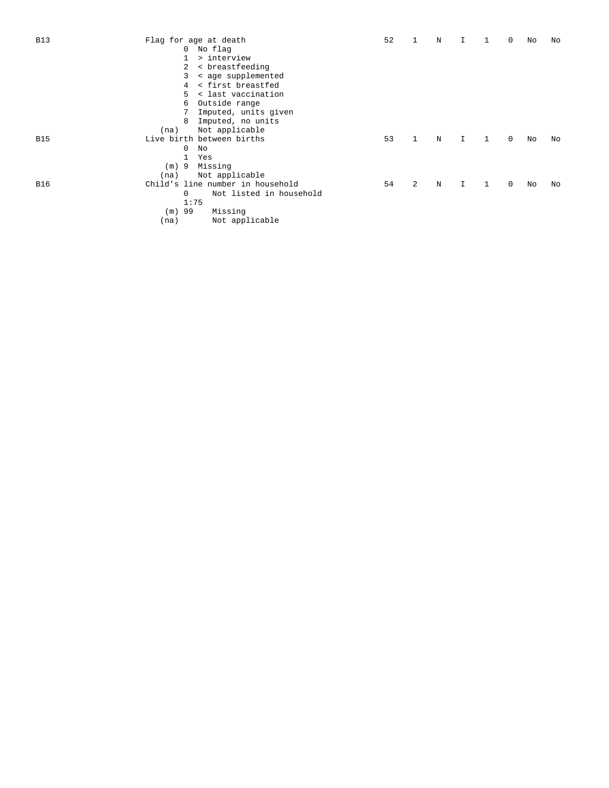| <b>B13</b> | Flag for age at death               | 52 |                | N |              |   | 0           | No | No |
|------------|-------------------------------------|----|----------------|---|--------------|---|-------------|----|----|
|            | 0 No flag                           |    |                |   |              |   |             |    |    |
|            | > interview                         |    |                |   |              |   |             |    |    |
|            | < breastfeeding<br>2                |    |                |   |              |   |             |    |    |
|            | < age supplemented<br>3             |    |                |   |              |   |             |    |    |
|            | < first breastfed<br>4              |    |                |   |              |   |             |    |    |
|            | < last vaccination<br>5.            |    |                |   |              |   |             |    |    |
|            | Outside range<br>6                  |    |                |   |              |   |             |    |    |
|            | Imputed, units given<br>7           |    |                |   |              |   |             |    |    |
|            | Imputed, no units<br>8              |    |                |   |              |   |             |    |    |
| (na)       | Not applicable                      |    |                |   |              |   |             |    |    |
| <b>B15</b> | Live birth between births           | 53 | $\mathbf{1}$   | N | $\mathbf I$  | 1 | $\mathbf 0$ | No | No |
|            | 0<br>No                             |    |                |   |              |   |             |    |    |
|            | Yes<br>$\mathbf{1}$                 |    |                |   |              |   |             |    |    |
|            | (m) 9 Missing                       |    |                |   |              |   |             |    |    |
| (na)       | Not applicable                      |    |                |   |              |   |             |    |    |
| <b>B16</b> | Child's line number in household    | 54 | $\overline{2}$ | N | $\mathbf{I}$ | 1 | 0           | No | No |
|            | Not listed in household<br>$\Omega$ |    |                |   |              |   |             |    |    |
|            | 1:75                                |    |                |   |              |   |             |    |    |
| $(m)$ 99   | Missing                             |    |                |   |              |   |             |    |    |
| (na)       | Not applicable                      |    |                |   |              |   |             |    |    |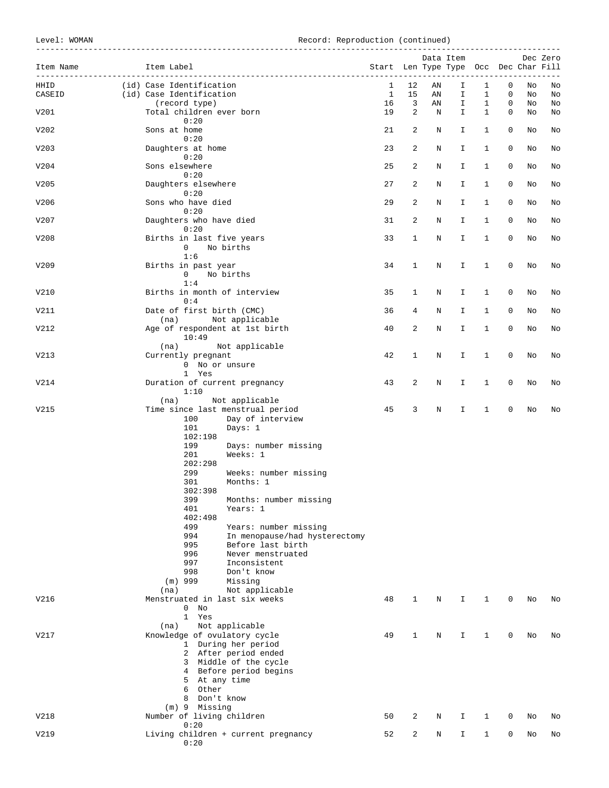Level: WOMAN Record: Reproduction (continued)

| Item Name | Item Label<br>__________________________________                 | Start Len Type Type Occ Dec Char Fill |                         |    | Data Item<br>______________ |              |   |    | Dec Zero |
|-----------|------------------------------------------------------------------|---------------------------------------|-------------------------|----|-----------------------------|--------------|---|----|----------|
| HHID      | (id) Case Identification                                         | 1                                     | 12                      | ΑN | I.                          | 1            | 0 | No | No       |
| CASEID    | (id) Case Identification                                         | $\mathbf{1}$                          | 15                      | AN | I                           | $\mathbf{1}$ | 0 | No | No       |
|           | (record type)                                                    | 16                                    | $\overline{\mathbf{3}}$ | AN | I                           | $\mathbf{1}$ | 0 | No | No       |
| V201      | Total children ever born<br>0:20                                 | 19                                    | 2                       | N  | I.                          | $\mathbf{1}$ | 0 | No | No       |
| V202      | Sons at home                                                     | 21                                    | 2                       | Ν  | I.                          | 1            | 0 | No | No       |
| V203      | 0:20<br>Daughters at home                                        | 23                                    | 2                       | Ν  | I.                          | 1            | 0 | No | No       |
|           | 0:20                                                             |                                       |                         |    |                             |              |   |    |          |
| V204      | Sons elsewhere<br>0:20                                           | 25                                    | 2                       | Ν  | I                           | 1            | 0 | No | No       |
| V205      | Daughters elsewhere<br>0:20                                      | 27                                    | 2                       | Ν  | I.                          | 1            | 0 | No | No       |
| V206      | Sons who have died                                               | 29                                    | 2                       | Ν  | I                           | 1            | 0 | No | No       |
| V207      | 0:20<br>Daughters who have died                                  | 31                                    | 2                       | Ν  | I.                          | 1            | 0 | No | No       |
| V208      | 0:20<br>Births in last five years                                | 33                                    | 1                       | Ν  | I                           | 1            | 0 | No | No       |
|           | No births<br>$\mathbf{0}$<br>1:6                                 |                                       |                         |    |                             |              |   |    |          |
| V209      | Births in past year                                              | 34                                    | $\mathbf 1$             | N  | I                           | $\mathbf{1}$ | 0 | No | No       |
|           | $\overline{0}$<br>No births<br>1:4                               |                                       |                         |    |                             |              |   |    |          |
| V210      | Births in month of interview                                     | 35                                    | 1                       | Ν  | I.                          | 1            | 0 | No | No       |
| V211      | 0:4<br>Date of first birth (CMC)                                 | 36                                    | 4                       | Ν  | I.                          | 1            | 0 | No | No       |
|           | (na) Not applicable                                              |                                       |                         |    |                             |              | 0 |    |          |
| V212      | Age of respondent at 1st birth<br>10:49                          | 40                                    | 2                       | N  | I.                          | 1            |   | No | No       |
|           | Not applicable<br>(na)                                           |                                       |                         |    |                             |              |   |    |          |
| V213      | Currently pregnant<br>0 No or unsure                             | 42                                    | $\mathbf{1}$            | Ν  | I.                          | $\mathbf{1}$ | 0 | No | No       |
|           | 1 Yes                                                            |                                       |                         |    |                             |              |   |    |          |
| V214      | Duration of current pregnancy<br>1:10                            | 43                                    | 2                       | Ν  | I.                          | $\mathbf{1}$ | 0 | No | No       |
|           | Not applicable<br>(na)                                           |                                       |                         |    |                             |              |   |    |          |
| V215      | Time since last menstrual period<br>Day of interview<br>100      | 45                                    | 3                       | Ν  | I.                          | $\mathbf{1}$ | 0 | No | No       |
|           | 101<br>Days: 1                                                   |                                       |                         |    |                             |              |   |    |          |
|           | 102:198                                                          |                                       |                         |    |                             |              |   |    |          |
|           | 199<br>Days: number missing                                      |                                       |                         |    |                             |              |   |    |          |
|           | Weeks: 1<br>201<br>202:298                                       |                                       |                         |    |                             |              |   |    |          |
|           | 299<br>Weeks: number missing                                     |                                       |                         |    |                             |              |   |    |          |
|           | 301<br>Months: 1                                                 |                                       |                         |    |                             |              |   |    |          |
|           | 302:398                                                          |                                       |                         |    |                             |              |   |    |          |
|           | 399<br>Months: number missing                                    |                                       |                         |    |                             |              |   |    |          |
|           | 401<br>Years: 1                                                  |                                       |                         |    |                             |              |   |    |          |
|           | 402:498                                                          |                                       |                         |    |                             |              |   |    |          |
|           | 499<br>Years: number missing                                     |                                       |                         |    |                             |              |   |    |          |
|           | 994<br>In menopause/had hysterectomy<br>995<br>Before last birth |                                       |                         |    |                             |              |   |    |          |
|           | 996<br>Never menstruated                                         |                                       |                         |    |                             |              |   |    |          |
|           | 997<br>Inconsistent                                              |                                       |                         |    |                             |              |   |    |          |
|           | 998<br>Don't know                                                |                                       |                         |    |                             |              |   |    |          |
|           | $(m)$ 999<br>Missing                                             |                                       |                         |    |                             |              |   |    |          |
|           | Not applicable<br>(na)                                           |                                       |                         |    |                             |              |   |    |          |
| V216      | Menstruated in last six weeks                                    | 48                                    | 1                       | Ν  | I.                          | $\mathbf{1}$ | 0 | No | No       |
|           | $\Omega$<br>No                                                   |                                       |                         |    |                             |              |   |    |          |
|           | 1 Yes                                                            |                                       |                         |    |                             |              |   |    |          |
| V217      | Not applicable<br>(na)<br>Knowledge of ovulatory cycle           | 49                                    | 1                       |    |                             |              | 0 |    |          |
|           | 1 During her period                                              |                                       |                         | Ν  | I                           | 1            |   | No | No       |
|           | 2 After period ended                                             |                                       |                         |    |                             |              |   |    |          |
|           | 3 Middle of the cycle                                            |                                       |                         |    |                             |              |   |    |          |
|           | 4 Before period begins                                           |                                       |                         |    |                             |              |   |    |          |
|           | 5 At any time                                                    |                                       |                         |    |                             |              |   |    |          |
|           | 6 Other                                                          |                                       |                         |    |                             |              |   |    |          |
|           | 8 Don't know                                                     |                                       |                         |    |                             |              |   |    |          |
|           | (m) 9 Missing                                                    |                                       |                         |    |                             |              |   |    |          |
| V218      | Number of living children                                        | 50                                    | 2                       | N  | I.                          | 1            | 0 | No | No       |
|           | 0:20                                                             |                                       |                         |    |                             |              |   |    |          |
| V219      | Living children + current pregnancy<br>0:20                      | 52                                    | 2                       | Ν  | I.                          | 1            | 0 | No | No       |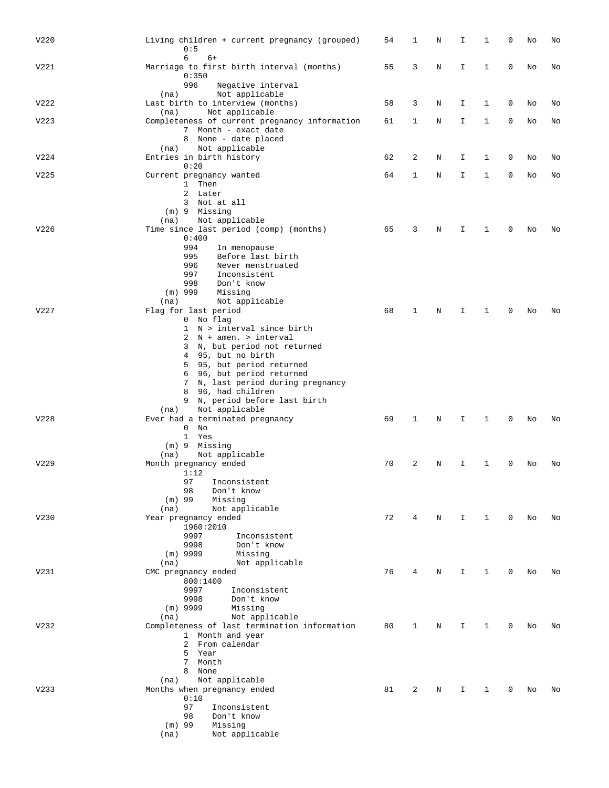| V220 | Living children + current pregnancy (grouped)                         | 54 | 1           | Ν | I  | 1            | 0           | No | No |
|------|-----------------------------------------------------------------------|----|-------------|---|----|--------------|-------------|----|----|
|      | 0:5                                                                   |    |             |   |    |              |             |    |    |
|      | 6<br>$6+$                                                             |    |             |   |    |              |             |    |    |
| V221 | Marriage to first birth interval (months)<br>0:350                    | 55 | 3           | N | I. | 1            | 0           | No | No |
|      | 996<br>Negative interval                                              |    |             |   |    |              |             |    |    |
|      | Not applicable<br>(na)                                                |    |             |   |    |              |             |    |    |
| V222 | Last birth to interview (months)                                      | 58 | 3           | Ν | I  | 1            | 0           | No | No |
|      | Not applicable<br>(na)                                                |    |             |   |    |              |             |    |    |
| V223 | Completeness of current pregnancy information<br>7 Month - exact date | 61 | 1           | N | I. | 1            | $\mathbf 0$ | No | No |
|      | 8 None - date placed                                                  |    |             |   |    |              |             |    |    |
|      | Not applicable<br>(na)                                                |    |             |   |    |              |             |    |    |
| V224 | Entries in birth history                                              | 62 | 2           | Ν | I. | 1            | $\mathbf 0$ | No | No |
| V225 | 0:20<br>Current pregnancy wanted                                      | 64 | 1           | N | I  | 1            | 0           | No | No |
|      | 1 Then                                                                |    |             |   |    |              |             |    |    |
|      | 2 Later                                                               |    |             |   |    |              |             |    |    |
|      | 3 Not at all                                                          |    |             |   |    |              |             |    |    |
|      | (m) 9 Missing                                                         |    |             |   |    |              |             |    |    |
| V226 | Not applicable<br>(na)<br>Time since last period (comp) (months)      | 65 | 3           | N | I. | 1            | $\mathbf 0$ | No | No |
|      | 0:400                                                                 |    |             |   |    |              |             |    |    |
|      | 994<br>In menopause                                                   |    |             |   |    |              |             |    |    |
|      | 995<br>Before last birth                                              |    |             |   |    |              |             |    |    |
|      | 996<br>Never menstruated<br>997<br>Inconsistent                       |    |             |   |    |              |             |    |    |
|      | 998<br>Don't know                                                     |    |             |   |    |              |             |    |    |
|      | $(m)$ 999<br>Missing                                                  |    |             |   |    |              |             |    |    |
|      | Not applicable<br>(na)                                                |    |             |   |    |              |             |    |    |
| V227 | Flag for last period                                                  | 68 | 1           | Ν | I  | $\mathbf{1}$ | $\mathbf 0$ | No | No |
|      | 0 No flag<br>$1 \tN >$ interval since birth                           |    |             |   |    |              |             |    |    |
|      | $N + amen.$ > interval<br>2                                           |    |             |   |    |              |             |    |    |
|      | N, but period not returned<br>3                                       |    |             |   |    |              |             |    |    |
|      | 4 95, but no birth                                                    |    |             |   |    |              |             |    |    |
|      | 5 95, but period returned<br>6 96, but period returned                |    |             |   |    |              |             |    |    |
|      | 7 N, last period during pregnancy                                     |    |             |   |    |              |             |    |    |
|      | 8 96, had children                                                    |    |             |   |    |              |             |    |    |
|      | 9 N, period before last birth                                         |    |             |   |    |              |             |    |    |
|      | Not applicable<br>(na)                                                |    |             |   |    |              |             |    |    |
| V228 | Ever had a terminated pregnancy<br>$0$ No                             | 69 | 1           | Ν | I  | 1            | $\mathbf 0$ | No | No |
|      | 1 Yes                                                                 |    |             |   |    |              |             |    |    |
|      | $(m)$ 9 Missing                                                       |    |             |   |    |              |             |    |    |
|      | Not applicable<br>(na)                                                |    |             |   |    |              |             |    |    |
| V229 | Month pregnancy ended<br>1:12                                         | 70 | 2           | N | I  | 1            | 0           | No | No |
|      | 97<br>Inconsistent                                                    |    |             |   |    |              |             |    |    |
|      | 98<br>Don't know                                                      |    |             |   |    |              |             |    |    |
|      | $(m)$ 99<br>Missing                                                   |    |             |   |    |              |             |    |    |
| V230 | Not applicable<br>(na)<br>Year pregnancy ended                        | 72 | 4           | N | I. | $\mathbf{1}$ | 0           | No | No |
|      | 1960:2010                                                             |    |             |   |    |              |             |    |    |
|      | 9997<br>Inconsistent                                                  |    |             |   |    |              |             |    |    |
|      | 9998<br>Don't know                                                    |    |             |   |    |              |             |    |    |
|      | $(m)$ 9999<br>Missing<br>Not applicable<br>(na)                       |    |             |   |    |              |             |    |    |
| V231 | CMC pregnancy ended                                                   | 76 | 4           | Ν | I  | 1            | 0           | No | No |
|      | 800:1400                                                              |    |             |   |    |              |             |    |    |
|      | 9997<br>Inconsistent                                                  |    |             |   |    |              |             |    |    |
|      | 9998<br>Don't know                                                    |    |             |   |    |              |             |    |    |
|      | $(m)$ 9999<br>Missing<br>Not applicable<br>(na)                       |    |             |   |    |              |             |    |    |
| V232 | Completeness of last termination information                          | 80 | $\mathbf 1$ | Ν | I  | 1            | 0           | No | No |
|      | 1 Month and year                                                      |    |             |   |    |              |             |    |    |
|      | 2 From calendar                                                       |    |             |   |    |              |             |    |    |
|      | 5 Year<br>7 Month                                                     |    |             |   |    |              |             |    |    |
|      | 8 None                                                                |    |             |   |    |              |             |    |    |
|      | Not applicable<br>(na)                                                |    |             |   |    |              |             |    |    |
| V233 | Months when pregnancy ended                                           | 81 | 2           | N | I. | 1            | $\mathbf 0$ | No | No |
|      | 0:10<br>97<br>Inconsistent                                            |    |             |   |    |              |             |    |    |
|      | Don't know<br>98                                                      |    |             |   |    |              |             |    |    |
|      | Missing<br>$(m)$ 99                                                   |    |             |   |    |              |             |    |    |
|      | Not applicable<br>(na)                                                |    |             |   |    |              |             |    |    |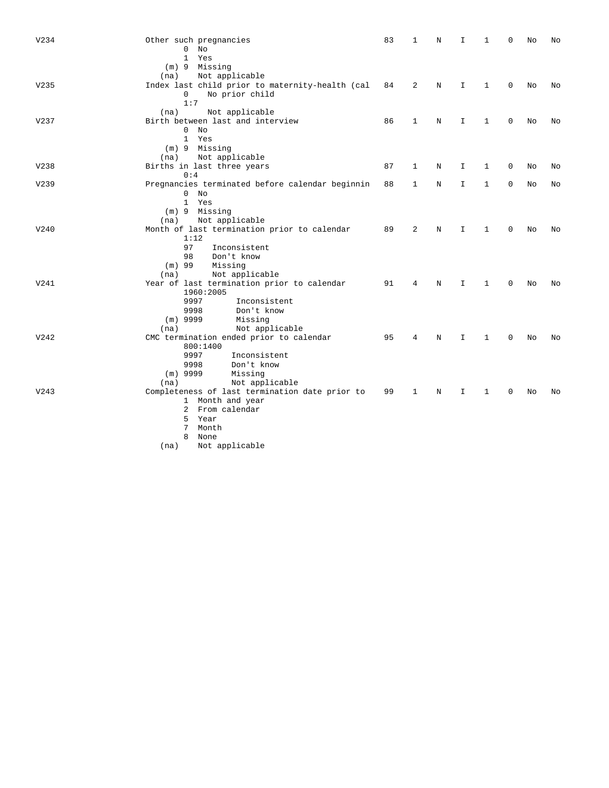| V234 | Other such pregnancies<br>$0$ No                    | 83 | 1 | N | I  | 1 | 0           | No | No |
|------|-----------------------------------------------------|----|---|---|----|---|-------------|----|----|
|      | $\mathbf{1}$<br>Yes                                 |    |   |   |    |   |             |    |    |
|      | $(m)$ 9 Missing                                     |    |   |   |    |   |             |    |    |
|      | Not applicable<br>(na)                              |    |   |   |    |   |             |    |    |
| V235 | Index last child prior to maternity-health (cal     | 84 | 2 | N | I  | 1 | 0           | No | No |
|      | $\mathbf{0}$<br>No prior child<br>1:7               |    |   |   |    |   |             |    |    |
|      | Not applicable<br>(na)                              |    |   |   |    |   |             |    |    |
| V237 | Birth between last and interview                    | 86 | 1 | N | I  | 1 | $\mathbf 0$ | No | No |
|      | $\Omega$<br>Nο                                      |    |   |   |    |   |             |    |    |
|      | 1 Yes                                               |    |   |   |    |   |             |    |    |
|      | (m) 9 Missing                                       |    |   |   |    |   |             |    |    |
|      | Not applicable<br>(na)                              |    |   |   |    |   |             |    |    |
| V238 | Births in last three years                          | 87 | 1 | N | I  | 1 | 0           | No | No |
|      | 0:4                                                 |    |   |   |    |   |             |    |    |
| V239 | Pregnancies terminated before calendar beginnin     | 88 | 1 | N | I  | 1 | 0           | No | No |
|      | $0$ No                                              |    |   |   |    |   |             |    |    |
|      | 1 Yes                                               |    |   |   |    |   |             |    |    |
|      | (m) 9 Missing                                       |    |   |   |    |   |             |    |    |
|      | Not applicable<br>(na)                              |    |   |   |    |   | $\Omega$    |    |    |
| V240 | Month of last termination prior to calendar<br>1:12 | 89 | 2 | N | T. | 1 |             | No | No |
|      | 97<br>Inconsistent                                  |    |   |   |    |   |             |    |    |
|      | 98<br>Don't know                                    |    |   |   |    |   |             |    |    |
|      | $(m)$ 99<br>Missing                                 |    |   |   |    |   |             |    |    |
|      | Not applicable<br>(na)                              |    |   |   |    |   |             |    |    |
| V241 | Year of last termination prior to calendar          | 91 | 4 | N | I. | 1 | $\mathbf 0$ | No | No |
|      | 1960:2005                                           |    |   |   |    |   |             |    |    |
|      | 9997<br>Inconsistent                                |    |   |   |    |   |             |    |    |
|      | 9998<br>Don't know                                  |    |   |   |    |   |             |    |    |
|      | $(m)$ 9999<br>Missing                               |    |   |   |    |   |             |    |    |
|      | Not applicable<br>(na)                              |    |   |   |    |   |             |    |    |
| V242 | CMC termination ended prior to calendar             | 95 | 4 | N | I  | 1 | 0           | No | No |
|      | 800:1400                                            |    |   |   |    |   |             |    |    |
|      | 9997<br>Inconsistent                                |    |   |   |    |   |             |    |    |
|      | 9998<br>Don't know<br>$(m)$ 9999<br>Missing         |    |   |   |    |   |             |    |    |
|      | Not applicable<br>(na)                              |    |   |   |    |   |             |    |    |
| V243 | Completeness of last termination date prior to      | 99 | 1 | N | I  | 1 | 0           | No | No |
|      | 1 Month and year                                    |    |   |   |    |   |             |    |    |
|      | 2 From calendar                                     |    |   |   |    |   |             |    |    |
|      | 5<br>Year                                           |    |   |   |    |   |             |    |    |
|      | 7<br>Month                                          |    |   |   |    |   |             |    |    |
|      | 8 None                                              |    |   |   |    |   |             |    |    |
|      | Not applicable<br>(na)                              |    |   |   |    |   |             |    |    |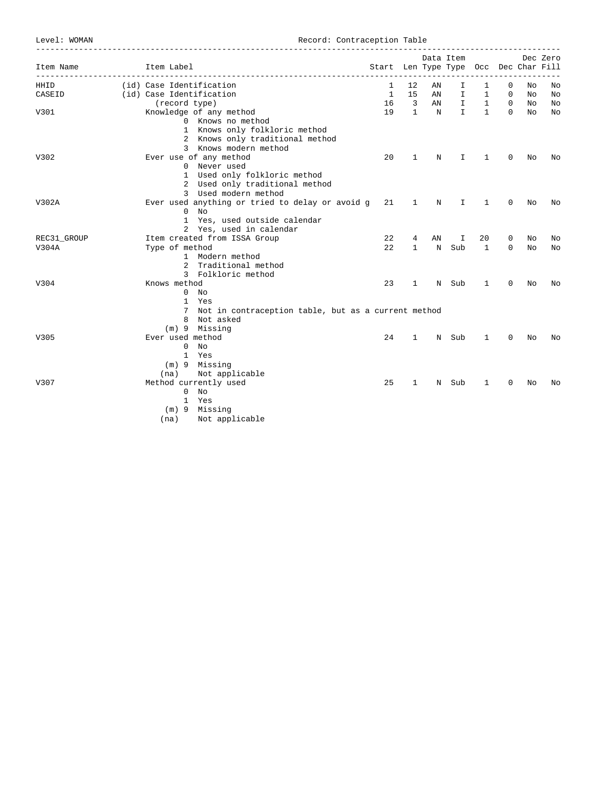Level: WOMAN Record: Contraception Table

| Item Name   | Item Label               |                                                       | Start Len Type Type Occ Dec Char Fill |                          | Data Item |              |                                         |                              |    | Dec Zero |
|-------------|--------------------------|-------------------------------------------------------|---------------------------------------|--------------------------|-----------|--------------|-----------------------------------------|------------------------------|----|----------|
| HHID        | (id) Case Identification |                                                       | 1                                     | 12                       | ΑN        | I            | 1                                       | $\Omega$                     | No | No       |
| CASEID      | (id) Case Identification |                                                       | $\overline{1}$                        | 15                       | AN        | $\mathbf{I}$ | $\mathbf{1}$                            | $\circ$                      | No | No       |
|             | (record type)            |                                                       | 16                                    | $\overline{\phantom{a}}$ | AN        |              | $\begin{matrix} 1 & 1 & 0 \end{matrix}$ |                              | No | No       |
| V301        |                          | Knowledge of any method                               | 19                                    | $\mathbf{1}$             | N         | $\mathbf{I}$ |                                         | $1 \quad \cdots$<br>$\Omega$ | No | No       |
|             |                          | 0 Knows no method                                     |                                       |                          |           |              |                                         |                              |    |          |
|             |                          | 1 Knows only folkloric method                         |                                       |                          |           |              |                                         |                              |    |          |
|             |                          | 2 Knows only traditional method                       |                                       |                          |           |              |                                         |                              |    |          |
|             |                          | 3 Knows modern method                                 |                                       |                          |           |              |                                         |                              |    |          |
| V302        |                          | Ever use of any method                                | 20                                    | 1                        | N         | I.           | 1                                       | $\Omega$                     | No | No       |
|             |                          | 0 Never used                                          |                                       |                          |           |              |                                         |                              |    |          |
|             |                          | 1 Used only folkloric method                          |                                       |                          |           |              |                                         |                              |    |          |
|             |                          | 2 Used only traditional method                        |                                       |                          |           |              |                                         |                              |    |          |
|             |                          | 3 Used modern method                                  |                                       |                          |           |              |                                         |                              |    |          |
| V302A       |                          | Ever used anything or tried to delay or avoid g       | 21                                    | 1                        | N         | I.           | 1                                       | 0                            | No | No       |
|             |                          | $0$ No                                                |                                       |                          |           |              |                                         |                              |    |          |
|             |                          | 1 Yes, used outside calendar                          |                                       |                          |           |              |                                         |                              |    |          |
|             |                          | 2 Yes, used in calendar                               |                                       |                          |           |              |                                         |                              |    |          |
| REC31_GROUP |                          | Item created from ISSA Group                          | 22                                    | 4                        | ΑN        | I            | 20                                      | 0                            | No | No       |
| V304A       | Type of method           |                                                       | 22                                    | $\mathbf{1}$             | N         | Sub          | 1                                       | $\Omega$                     | No | No       |
|             |                          | 1 Modern method                                       |                                       |                          |           |              |                                         |                              |    |          |
|             |                          | 2 Traditional method                                  |                                       |                          |           |              |                                         |                              |    |          |
|             |                          | 3 Folkloric method                                    |                                       |                          |           |              |                                         |                              |    |          |
| V304        | Knows method             |                                                       | 23                                    | $\mathbf{1}$             | N         | Sub          | 1                                       | $\Omega$                     | No | No       |
|             |                          | $0$ No                                                |                                       |                          |           |              |                                         |                              |    |          |
|             |                          | 1 Yes                                                 |                                       |                          |           |              |                                         |                              |    |          |
|             |                          | 7 Not in contraception table, but as a current method |                                       |                          |           |              |                                         |                              |    |          |
|             |                          | 8 Not asked                                           |                                       |                          |           |              |                                         |                              |    |          |
|             |                          | (m) 9 Missing                                         |                                       |                          |           |              |                                         |                              |    |          |
| V305        | Ever used method         |                                                       | 24                                    | 1                        | N         | Sub          | 1                                       | 0                            | No | No       |
|             | $\mathbf{0}$             | No                                                    |                                       |                          |           |              |                                         |                              |    |          |
|             |                          | 1 Yes                                                 |                                       |                          |           |              |                                         |                              |    |          |
|             |                          | (m) 9 Missing                                         |                                       |                          |           |              |                                         |                              |    |          |
|             | (na)                     | Not applicable                                        |                                       |                          |           |              |                                         |                              |    |          |
| V307        |                          | Method currently used                                 | 25                                    | $\mathbf{1}$             |           | N Sub        | 1                                       | 0                            | No | No       |
|             |                          | $0$ No                                                |                                       |                          |           |              |                                         |                              |    |          |
|             | 1                        | Yes                                                   |                                       |                          |           |              |                                         |                              |    |          |
|             |                          | (m) 9 Missing                                         |                                       |                          |           |              |                                         |                              |    |          |
|             | (na)                     | Not applicable                                        |                                       |                          |           |              |                                         |                              |    |          |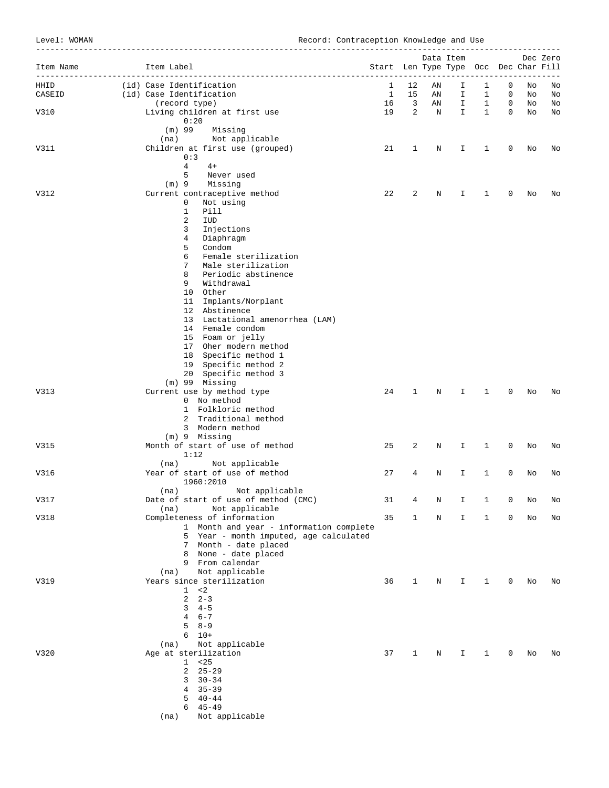Level: WOMAN Record: Contraception Knowledge and Use

| Item Name | Item Label                                                                                                                                                                           |              |                         |             | Data Item<br>Start Len Type Type Occ Dec Char Fill |              |                  |    | Dec Zero |
|-----------|--------------------------------------------------------------------------------------------------------------------------------------------------------------------------------------|--------------|-------------------------|-------------|----------------------------------------------------|--------------|------------------|----|----------|
| HHID      | ________________________<br>(id) Case Identification                                                                                                                                 | 1            | 12                      | ΑN          | Ι.                                                 | 1            | 0                | No | No       |
| CASEID    | (id) Case Identification                                                                                                                                                             | $\mathbf{1}$ | 15                      | AN          | I.                                                 | $\mathbf{1}$ | 0                | No | No       |
|           | (record type)                                                                                                                                                                        | 16           | $\overline{\mathbf{3}}$ | AN          | $\mathbf{I}$                                       | $\mathbf{1}$ | 0<br>$\mathbf 0$ | No | No       |
| V310      | Living children at first use<br>0:20<br>$(m)$ 99<br>Missing                                                                                                                          | 19           | $\overline{2}$          | $\mathbf N$ | I.                                                 | $\mathbf{1}$ |                  | No | No       |
|           | Not applicable<br>(na)                                                                                                                                                               |              |                         |             |                                                    |              |                  |    |          |
| V311      | Children at first use (grouped)<br>0:3<br>$\overline{4}$<br>$4+$                                                                                                                     | 21           | 1                       | Ν           | I.                                                 | $\mathbf{1}$ | 0                | No | No       |
|           | 5<br>Never used<br>Missing<br>$(m)$ 9                                                                                                                                                |              |                         |             |                                                    |              |                  |    |          |
| V312      | Current contraceptive method<br>Not using<br>$\mathbf{0}$<br>$\mathbf{1}$<br>Pill<br>2<br>IUD                                                                                        | 22           | 2                       | Ν           | Ι.                                                 | 1            | 0                | No | No       |
|           | 3<br>Injections<br>Diaphragm<br>4<br>5<br>Condom                                                                                                                                     |              |                         |             |                                                    |              |                  |    |          |
|           | Female sterilization<br>6<br>7<br>Male sterilization<br>8<br>Periodic abstinence                                                                                                     |              |                         |             |                                                    |              |                  |    |          |
|           | 9<br>Withdrawal<br>10 Other                                                                                                                                                          |              |                         |             |                                                    |              |                  |    |          |
|           | 11 Implants/Norplant<br>12 Abstinence<br>13 Lactational amenorrhea (LAM)                                                                                                             |              |                         |             |                                                    |              |                  |    |          |
|           | 14 Female condom<br>15 Foam or jelly<br>17 Oher modern method                                                                                                                        |              |                         |             |                                                    |              |                  |    |          |
|           | 18 Specific method 1<br>19 Specific method 2<br>20 Specific method 3                                                                                                                 |              |                         |             |                                                    |              |                  |    |          |
|           | (m) 99 Missing                                                                                                                                                                       |              |                         |             |                                                    |              |                  |    |          |
| V313      | Current use by method type<br>0 No method<br>1 Folkloric method<br>2 Traditional method<br>3 Modern method                                                                           | 24           | 1                       | N           | I.                                                 | 1            | 0                | No | No       |
|           | (m) 9 Missing                                                                                                                                                                        |              |                         |             |                                                    |              |                  |    |          |
| V315      | Month of start of use of method<br>1:12<br>Not applicable<br>(na)                                                                                                                    | 25           | 2                       | N           | I.                                                 | 1            | 0                | No | No       |
| V316      | Year of start of use of method<br>1960:2010                                                                                                                                          | 27           | 4                       | Ν           | I                                                  | 1            | 0                | No | No       |
| V317      | Not applicable<br>(na)<br>Date of start of use of method (CMC)                                                                                                                       | 31           | 4                       | Ν           | I                                                  | 1            | 0                | No | No       |
|           | (na)<br>Not applicable                                                                                                                                                               |              |                         |             |                                                    |              |                  |    |          |
| V318      | Completeness of information<br>1 Month and year - information complete<br>5 Year - month imputed, age calculated<br>7 Month - date placed<br>8 None - date placed<br>9 From calendar | 35           | 1                       | Ν           | Ι                                                  | 1            | 0                | No | No       |
| V319      | Not applicable<br>(na)<br>Years since sterilization<br>$~<$ 2<br>$\mathbf{1}$                                                                                                        | 36           | $\mathbf{1}$            | Ν           | I                                                  | 1            | 0                | No | No       |
|           | $2 \quad 2-3$<br>$4 - 5$<br>3<br>$6 - 7$<br>4<br>5<br>$8 - 9$<br>$10+$<br>6                                                                                                          |              |                         |             |                                                    |              |                  |    |          |
| V320      | Not applicable<br>(na)<br>Age at sterilization<br>$1 \times 25$<br>2<br>$25 - 29$<br>$30 - 34$<br>3<br>$35 - 39$<br>4<br>$40 - 44$<br>5<br>$45 - 49$<br>6                            | 37           | $\mathbf 1$             | Ν           | I.                                                 | 1            | 0                | No | No       |
|           | Not applicable<br>(na)                                                                                                                                                               |              |                         |             |                                                    |              |                  |    |          |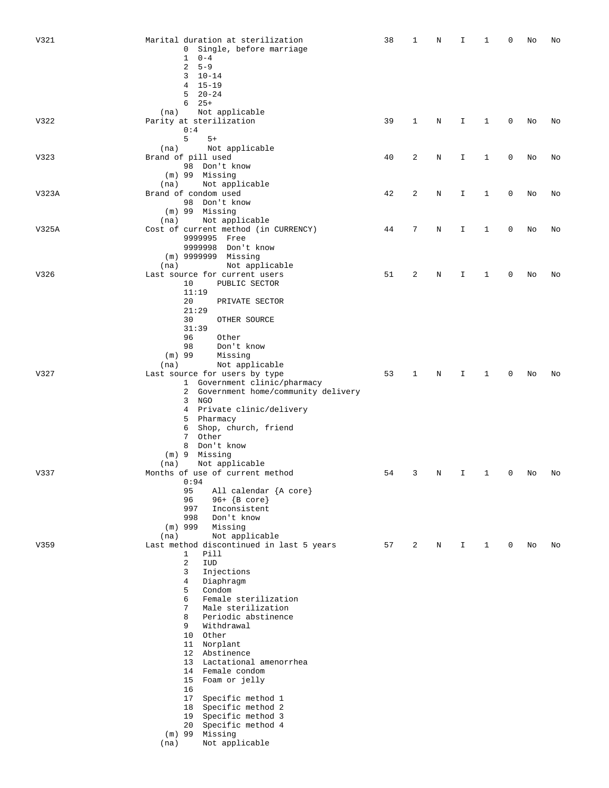| V321  | Marital duration at sterilization        | 38 | 1 | N       | I | 1 | 0 | No | No |
|-------|------------------------------------------|----|---|---------|---|---|---|----|----|
|       | 0 Single, before marriage                |    |   |         |   |   |   |    |    |
|       | $0 - 4$<br>$\mathbf{1}$                  |    |   |         |   |   |   |    |    |
|       | $5 - 9$<br>2                             |    |   |         |   |   |   |    |    |
|       | 3<br>$10 - 14$                           |    |   |         |   |   |   |    |    |
|       | $15 - 19$<br>4                           |    |   |         |   |   |   |    |    |
|       | 5<br>$20 - 24$                           |    |   |         |   |   |   |    |    |
|       |                                          |    |   |         |   |   |   |    |    |
|       | $25+$<br>6                               |    |   |         |   |   |   |    |    |
|       | Not applicable<br>(na)                   |    |   |         |   |   |   |    |    |
| V322  | Parity at sterilization                  | 39 | 1 | N       | I | 1 | 0 | No | No |
|       | 0:4                                      |    |   |         |   |   |   |    |    |
|       | 5<br>$5+$                                |    |   |         |   |   |   |    |    |
|       | Not applicable<br>(na)                   |    |   |         |   |   |   |    |    |
| V323  | Brand of pill used                       | 40 | 2 | Ν       | I | 1 | 0 | No | No |
|       | 98 Don't know                            |    |   |         |   |   |   |    |    |
|       | $(m)$ 99 Missing                         |    |   |         |   |   |   |    |    |
|       | Not applicable<br>(na)                   |    |   |         |   |   |   |    |    |
| V323A | Brand of condom used                     | 42 | 2 | Ν       | I | 1 | 0 | No | No |
|       | 98 Don't know                            |    |   |         |   |   |   |    |    |
|       |                                          |    |   |         |   |   |   |    |    |
|       | (m) 99 Missing                           |    |   |         |   |   |   |    |    |
|       | Not applicable<br>(na)                   |    |   |         |   |   |   |    |    |
| V325A | Cost of current method (in CURRENCY)     | 44 | 7 | Ν       | I | 1 | 0 | No | No |
|       | 9999995<br>Free                          |    |   |         |   |   |   |    |    |
|       | 9999998<br>Don't know                    |    |   |         |   |   |   |    |    |
|       | (m) 9999999 Missing                      |    |   |         |   |   |   |    |    |
|       | Not applicable<br>(na)                   |    |   |         |   |   |   |    |    |
| V326  | Last source for current users            | 51 | 2 | $\rm N$ | I | 1 | 0 | No | No |
|       | 10<br>PUBLIC SECTOR                      |    |   |         |   |   |   |    |    |
|       | 11:19                                    |    |   |         |   |   |   |    |    |
|       | 20                                       |    |   |         |   |   |   |    |    |
|       | PRIVATE SECTOR                           |    |   |         |   |   |   |    |    |
|       | 21:29                                    |    |   |         |   |   |   |    |    |
|       | 30<br>OTHER SOURCE                       |    |   |         |   |   |   |    |    |
|       | 31:39                                    |    |   |         |   |   |   |    |    |
|       | 96<br>Other                              |    |   |         |   |   |   |    |    |
|       | Don't know<br>98                         |    |   |         |   |   |   |    |    |
|       | $(m)$ 99<br>Missing                      |    |   |         |   |   |   |    |    |
|       | Not applicable<br>(na)                   |    |   |         |   |   |   |    |    |
| V327  | Last source for users by type            | 53 | 1 | N       | I | 1 | 0 | No | No |
|       | 1 Government clinic/pharmacy             |    |   |         |   |   |   |    |    |
|       | Government home/community delivery<br>2  |    |   |         |   |   |   |    |    |
|       | <b>NGO</b><br>3                          |    |   |         |   |   |   |    |    |
|       | Private clinic/delivery<br>4             |    |   |         |   |   |   |    |    |
|       |                                          |    |   |         |   |   |   |    |    |
|       | Pharmacy<br>5                            |    |   |         |   |   |   |    |    |
|       | Shop, church, friend<br>6                |    |   |         |   |   |   |    |    |
|       | 7<br>Other                               |    |   |         |   |   |   |    |    |
|       | 8<br>Don't know                          |    |   |         |   |   |   |    |    |
|       | (m) 9 Missing                            |    |   |         |   |   |   |    |    |
|       | Not applicable<br>(na)                   |    |   |         |   |   |   |    |    |
| V337  | Months of use of current method          | 54 | 3 | N       | I | 1 | 0 | No | No |
|       | 0:94                                     |    |   |         |   |   |   |    |    |
|       | All calendar {A core}<br>95              |    |   |         |   |   |   |    |    |
|       | $96+ {B core}$<br>96                     |    |   |         |   |   |   |    |    |
|       | 997<br>Inconsistent                      |    |   |         |   |   |   |    |    |
|       | 998<br>Don't know                        |    |   |         |   |   |   |    |    |
|       | $(m)$ 999<br>Missing                     |    |   |         |   |   |   |    |    |
|       |                                          |    |   |         |   |   |   |    |    |
|       | Not applicable<br>(na)                   |    |   |         |   |   |   |    |    |
| V359  | Last method discontinued in last 5 years | 57 | 2 | N       | I | 1 | 0 | No | No |
|       | Pill<br>$\mathbf{1}$                     |    |   |         |   |   |   |    |    |
|       | 2<br>IUD                                 |    |   |         |   |   |   |    |    |
|       | 3<br>Injections                          |    |   |         |   |   |   |    |    |
|       | 4<br>Diaphragm                           |    |   |         |   |   |   |    |    |
|       | 5<br>Condom                              |    |   |         |   |   |   |    |    |
|       | 6<br>Female sterilization                |    |   |         |   |   |   |    |    |
|       | 7<br>Male sterilization                  |    |   |         |   |   |   |    |    |
|       | 8<br>Periodic abstinence                 |    |   |         |   |   |   |    |    |
|       | 9<br>Withdrawal                          |    |   |         |   |   |   |    |    |
|       | 10 Other                                 |    |   |         |   |   |   |    |    |
|       |                                          |    |   |         |   |   |   |    |    |
|       | 11 Norplant                              |    |   |         |   |   |   |    |    |
|       | 12 Abstinence                            |    |   |         |   |   |   |    |    |
|       | 13 Lactational amenorrhea                |    |   |         |   |   |   |    |    |
|       | 14 Female condom                         |    |   |         |   |   |   |    |    |
|       | 15 Foam or jelly                         |    |   |         |   |   |   |    |    |
|       | 16                                       |    |   |         |   |   |   |    |    |
|       | 17<br>Specific method 1                  |    |   |         |   |   |   |    |    |
|       | 18 Specific method 2                     |    |   |         |   |   |   |    |    |
|       | Specific method 3<br>19                  |    |   |         |   |   |   |    |    |
|       | 20<br>Specific method 4                  |    |   |         |   |   |   |    |    |
|       | (m) 99<br>Missing                        |    |   |         |   |   |   |    |    |
|       | Not applicable<br>(na)                   |    |   |         |   |   |   |    |    |
|       |                                          |    |   |         |   |   |   |    |    |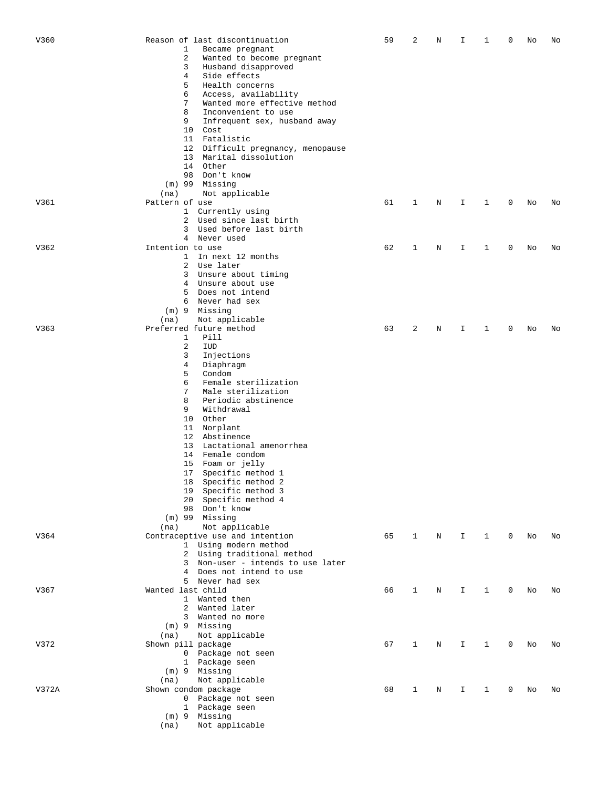| V360  | Reason of last discontinuation<br>$\mathbf{1}$<br>Became pregnant<br>2<br>Wanted to become pregnant<br>3<br>Husband disapproved<br>4<br>Side effects<br>5<br>Health concerns<br>6<br>Access, availability<br>7<br>Wanted more effective method<br>8<br>Inconvenient to use<br>9<br>Infrequent sex, husband away<br>10<br>Cost<br>11 Fatalistic<br>Difficult pregnancy, menopause<br>12<br>13<br>Marital dissolution<br>Other<br>14<br>98 Don't know<br>Missing<br>$(m)$ 99                                                        | 59 | 2 | Ν | I | 1            | 0 | No | No |
|-------|-----------------------------------------------------------------------------------------------------------------------------------------------------------------------------------------------------------------------------------------------------------------------------------------------------------------------------------------------------------------------------------------------------------------------------------------------------------------------------------------------------------------------------------|----|---|---|---|--------------|---|----|----|
| V361  | Not applicable<br>(na)<br>Pattern of use<br>1 Currently using<br>2 Used since last birth<br>3 Used before last birth<br>4 Never used                                                                                                                                                                                                                                                                                                                                                                                              | 61 | 1 | N | I | 1            | 0 | No | No |
| V362  | Intention to use<br>1 In next 12 months<br>2 Use later<br>3 Unsure about timing<br>4 Unsure about use<br>5 Does not intend<br>6 Never had sex<br>$(m)$ 9 Missing<br>Not applicable<br>(na)                                                                                                                                                                                                                                                                                                                                        | 62 | 1 | Ν | I | 1            | 0 | No | No |
| V363  | Preferred future method<br>$\mathbf{1}$<br>Pill<br>2<br>IUD<br>3<br>Injections<br>4<br>Diaphragm<br>5<br>Condom<br>6<br>Female sterilization<br>7<br>Male sterilization<br>8<br>Periodic abstinence<br>9<br>Withdrawal<br>Other<br>10<br>11<br>Norplant<br>12 Abstinence<br>13<br>Lactational amenorrhea<br>14 Female condom<br>15 Foam or jelly<br>17<br>Specific method 1<br>Specific method 2<br>18<br>Specific method 3<br>19<br>Specific method 4<br>20<br>Don't know<br>98<br>Missing<br>$(m)$ 99<br>Not applicable<br>(na) | 63 | 2 | Ν | Ι | 1            | 0 | No | No |
| V364  | Contraceptive use and intention<br>1 Using modern method<br>2 Using traditional method<br>3 Non-user - intends to use later<br>4 Does not intend to use<br>5 Never had sex                                                                                                                                                                                                                                                                                                                                                        | 65 | 1 | N | Ι | 1            | 0 | No | No |
| V367  | Wanted last child<br>1 Wanted then<br>2 Wanted later<br>3 Wanted no more<br>$(m)$ 9 Missing<br>Not applicable<br>(na)                                                                                                                                                                                                                                                                                                                                                                                                             | 66 | 1 | N | I | $\mathbf{1}$ | 0 | No | No |
| V372  | Shown pill package<br>0 Package not seen<br>1 Package seen<br>(m) 9 Missing<br>Not applicable<br>(na)                                                                                                                                                                                                                                                                                                                                                                                                                             | 67 | 1 | Ν | Ι | 1            | 0 | No | No |
| V372A | Shown condom package<br>0 Package not seen<br>1 Package seen<br>(m) 9 Missing<br>Not applicable<br>(na)                                                                                                                                                                                                                                                                                                                                                                                                                           | 68 | 1 | Ν | I | 1            | 0 | No | No |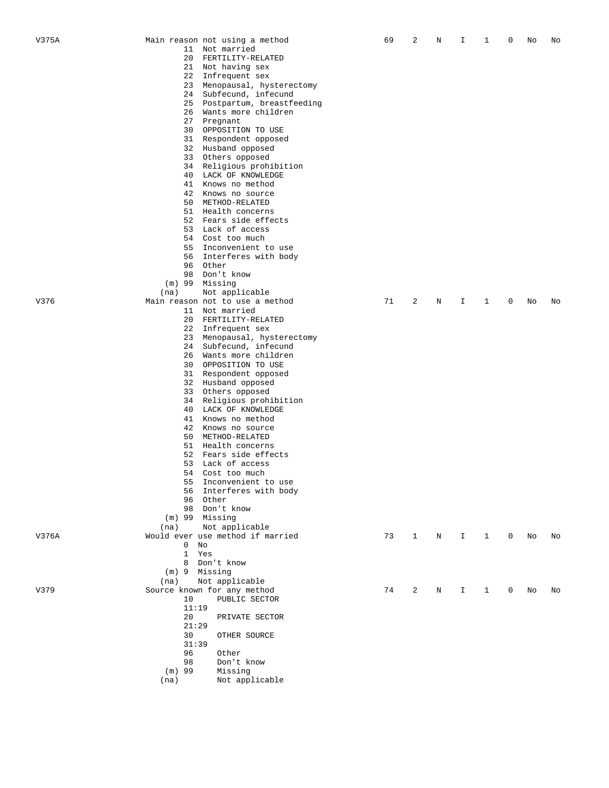11 Not married 20 FERTILITY-RELATED

 (m) 99 Missing (na) Not applicable

|       | 21 Not having sex                |    |              |   |    |              |             |    |    |
|-------|----------------------------------|----|--------------|---|----|--------------|-------------|----|----|
|       | 22 Infrequent sex                |    |              |   |    |              |             |    |    |
|       | 23 Menopausal, hysterectomy      |    |              |   |    |              |             |    |    |
|       | 24 Subfecund, infecund           |    |              |   |    |              |             |    |    |
|       | 25 Postpartum, breastfeeding     |    |              |   |    |              |             |    |    |
|       |                                  |    |              |   |    |              |             |    |    |
|       | 26 Wants more children           |    |              |   |    |              |             |    |    |
|       | 27 Pregnant                      |    |              |   |    |              |             |    |    |
|       | 30 OPPOSITION TO USE             |    |              |   |    |              |             |    |    |
|       | 31 Respondent opposed            |    |              |   |    |              |             |    |    |
|       | 32 Husband opposed               |    |              |   |    |              |             |    |    |
|       | 33 Others opposed                |    |              |   |    |              |             |    |    |
|       | 34 Religious prohibition         |    |              |   |    |              |             |    |    |
|       | 40 LACK OF KNOWLEDGE             |    |              |   |    |              |             |    |    |
|       | 41 Knows no method               |    |              |   |    |              |             |    |    |
|       | 42 Knows no source               |    |              |   |    |              |             |    |    |
|       | 50 METHOD-RELATED                |    |              |   |    |              |             |    |    |
|       | 51 Health concerns               |    |              |   |    |              |             |    |    |
|       | 52 Fears side effects            |    |              |   |    |              |             |    |    |
|       |                                  |    |              |   |    |              |             |    |    |
|       | 53 Lack of access                |    |              |   |    |              |             |    |    |
|       | 54 Cost too much                 |    |              |   |    |              |             |    |    |
|       | 55 Inconvenient to use           |    |              |   |    |              |             |    |    |
|       | 56 Interferes with body          |    |              |   |    |              |             |    |    |
|       | 96 Other                         |    |              |   |    |              |             |    |    |
|       | 98 Don't know                    |    |              |   |    |              |             |    |    |
|       | $(m)$ 99 Missing                 |    |              |   |    |              |             |    |    |
|       | Not applicable<br>(na)           |    |              |   |    |              |             |    |    |
| V376  | Main reason not to use a method  | 71 | 2            | Ν | Ι. | 1            | 0           | No | No |
|       | 11 Not married                   |    |              |   |    |              |             |    |    |
|       | 20 FERTILITY-RELATED             |    |              |   |    |              |             |    |    |
|       |                                  |    |              |   |    |              |             |    |    |
|       | 22 Infrequent sex                |    |              |   |    |              |             |    |    |
|       | 23 Menopausal, hysterectomy      |    |              |   |    |              |             |    |    |
|       | 24 Subfecund, infecund           |    |              |   |    |              |             |    |    |
|       | 26 Wants more children           |    |              |   |    |              |             |    |    |
|       | 30 OPPOSITION TO USE             |    |              |   |    |              |             |    |    |
|       | 31 Respondent opposed            |    |              |   |    |              |             |    |    |
|       | 32 Husband opposed               |    |              |   |    |              |             |    |    |
|       | 33 Others opposed                |    |              |   |    |              |             |    |    |
|       | 34 Religious prohibition         |    |              |   |    |              |             |    |    |
|       | 40 LACK OF KNOWLEDGE             |    |              |   |    |              |             |    |    |
|       | 41 Knows no method               |    |              |   |    |              |             |    |    |
|       |                                  |    |              |   |    |              |             |    |    |
|       | 42 Knows no source               |    |              |   |    |              |             |    |    |
|       | 50 METHOD-RELATED                |    |              |   |    |              |             |    |    |
|       | 51 Health concerns               |    |              |   |    |              |             |    |    |
|       | 52 Fears side effects            |    |              |   |    |              |             |    |    |
|       | 53 Lack of access                |    |              |   |    |              |             |    |    |
|       | 54 Cost too much                 |    |              |   |    |              |             |    |    |
|       | 55 Inconvenient to use           |    |              |   |    |              |             |    |    |
|       | 56 Interferes with body          |    |              |   |    |              |             |    |    |
|       | 96 Other                         |    |              |   |    |              |             |    |    |
|       | 98 Don't know                    |    |              |   |    |              |             |    |    |
|       | (m) 99 Missing                   |    |              |   |    |              |             |    |    |
|       |                                  |    |              |   |    |              |             |    |    |
|       | Not applicable<br>(na)           |    |              |   |    |              |             |    |    |
| V376A | Would ever use method if married | 73 | $\mathbf{1}$ | N | I. | $\mathbf{1}$ | $\mathbf 0$ | No | No |
|       | 0<br>No                          |    |              |   |    |              |             |    |    |
|       | 1 Yes                            |    |              |   |    |              |             |    |    |
|       | 8 Don't know                     |    |              |   |    |              |             |    |    |
|       | (m) 9 Missing                    |    |              |   |    |              |             |    |    |
|       | Not applicable<br>(na)           |    |              |   |    |              |             |    |    |
| V379  | Source known for any method      | 74 | 2            | N | Ι. | $\mathbf{1}$ | 0           | No | No |
|       | PUBLIC SECTOR<br>10              |    |              |   |    |              |             |    |    |
|       | 11:19                            |    |              |   |    |              |             |    |    |
|       | 20<br>PRIVATE SECTOR             |    |              |   |    |              |             |    |    |
|       | 21:29                            |    |              |   |    |              |             |    |    |
|       |                                  |    |              |   |    |              |             |    |    |
|       | 30<br>OTHER SOURCE               |    |              |   |    |              |             |    |    |
|       | 31:39                            |    |              |   |    |              |             |    |    |
|       | 96<br>Other                      |    |              |   |    |              |             |    |    |
|       | 98<br>Don't know                 |    |              |   |    |              |             |    |    |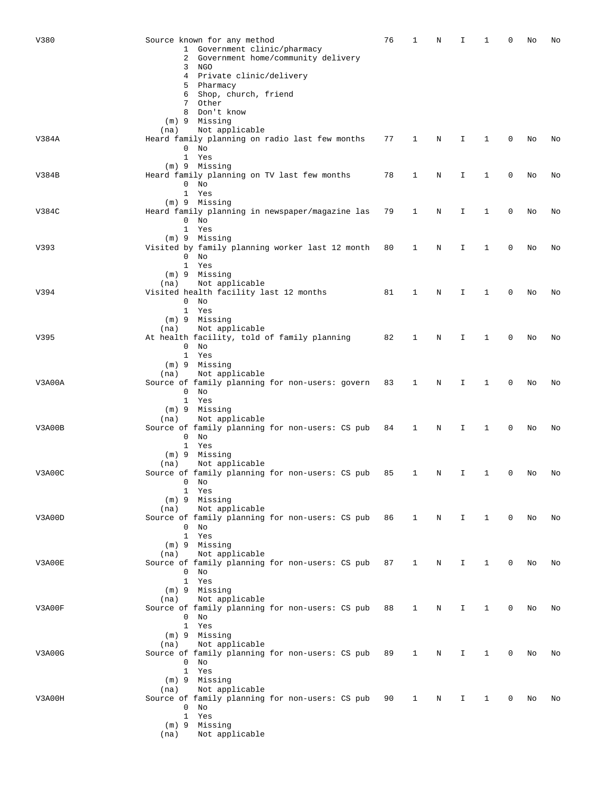| V380   | Source known for any method                               | 76 | 1            | Ν            | I           | 1            | 0 | No | No |
|--------|-----------------------------------------------------------|----|--------------|--------------|-------------|--------------|---|----|----|
|        | 1 Government clinic/pharmacy                              |    |              |              |             |              |   |    |    |
|        | 2 Government home/community delivery                      |    |              |              |             |              |   |    |    |
|        | 3 NGO                                                     |    |              |              |             |              |   |    |    |
|        | 4 Private clinic/delivery                                 |    |              |              |             |              |   |    |    |
|        | 5 Pharmacy                                                |    |              |              |             |              |   |    |    |
|        | 6 Shop, church, friend                                    |    |              |              |             |              |   |    |    |
|        | 7 Other                                                   |    |              |              |             |              |   |    |    |
|        | 8 Don't know                                              |    |              |              |             |              |   |    |    |
|        | (m) 9 Missing                                             |    |              |              |             |              |   |    |    |
|        | Not applicable<br>(na)                                    |    |              |              |             |              |   |    |    |
| V384A  | Heard family planning on radio last few months            | 77 | 1            | N            | I           | 1            | 0 | No | No |
|        | $0$ No<br>1 Yes                                           |    |              |              |             |              |   |    |    |
|        |                                                           |    |              |              |             |              |   |    |    |
|        | (m) 9 Missing                                             |    |              |              |             |              | 0 |    |    |
| V384B  | Heard family planning on TV last few months               | 78 | 1            | N            | I           | 1            |   | No | No |
|        | $0$ No<br>1 Yes                                           |    |              |              |             |              |   |    |    |
|        | (m) 9 Missing                                             |    |              |              |             |              |   |    |    |
| V384C  | Heard family planning in newspaper/magazine las           | 79 | 1            | Ν            | I           | $\mathbf{1}$ | 0 | No | No |
|        | $0$ No                                                    |    |              |              |             |              |   |    |    |
|        | 1 Yes                                                     |    |              |              |             |              |   |    |    |
|        | (m) 9 Missing                                             |    |              |              |             |              |   |    |    |
| V393   | Visited by family planning worker last 12 month           | 80 | 1            | Ν            | I           | 1            | 0 | No | No |
|        | $0$ No                                                    |    |              |              |             |              |   |    |    |
|        | 1 Yes                                                     |    |              |              |             |              |   |    |    |
|        | (m) 9 Missing                                             |    |              |              |             |              |   |    |    |
|        |                                                           |    |              |              |             |              |   |    |    |
| V394   | Not applicable<br>(na)                                    | 81 | 1            | N            | I           | 1            | 0 |    | No |
|        | Visited health facility last 12 months<br>$0$ No          |    |              |              |             |              |   | No |    |
|        | 1 Yes                                                     |    |              |              |             |              |   |    |    |
|        | (m) 9 Missing                                             |    |              |              |             |              |   |    |    |
|        | Not applicable                                            |    |              |              |             |              |   |    |    |
| V395   | (na)                                                      | 82 | 1            | N            | I           | 1            | 0 |    | No |
|        | At health facility, told of family planning<br>$0$ No     |    |              |              |             |              |   | No |    |
|        | 1 Yes                                                     |    |              |              |             |              |   |    |    |
|        |                                                           |    |              |              |             |              |   |    |    |
|        | (m) 9 Missing<br>Not applicable                           |    |              |              |             |              |   |    |    |
|        | (na)                                                      |    |              |              |             |              | 0 | No |    |
| V3A00A | Source of family planning for non-users: govern<br>$0$ No | 83 | 1            | Ν            | I           | 1            |   |    | No |
|        | 1 Yes                                                     |    |              |              |             |              |   |    |    |
|        | (m) 9 Missing                                             |    |              |              |             |              |   |    |    |
|        | Not applicable<br>(na)                                    |    |              |              |             |              |   |    |    |
| V3A00B | Source of family planning for non-users: CS pub           | 84 | 1            | N            | I           | 1            | 0 | No | No |
|        | $0$ No                                                    |    |              |              |             |              |   |    |    |
|        | 1 Yes                                                     |    |              |              |             |              |   |    |    |
|        | (m) 9 Missing                                             |    |              |              |             |              |   |    |    |
|        | Not applicable<br>(na)                                    |    |              |              |             |              |   |    |    |
| V3A00C | Source of family planning for non-users: CS pub           | 85 | 1            | Ν            | I.          | 1            | 0 | No | No |
|        | $0$ No                                                    |    |              |              |             |              |   |    |    |
|        | 1 Yes                                                     |    |              |              |             |              |   |    |    |
|        | $(m)$ 9 Missing                                           |    |              |              |             |              |   |    |    |
|        | Not applicable<br>(na)                                    |    |              |              |             |              |   |    |    |
| V3A00D | Source of family planning for non-users: CS pub 86        |    | $\mathbf{1}$ | $\, {\rm N}$ | $\mathbf I$ | $\mathbf{1}$ | 0 | No | No |
|        | $0$ No                                                    |    |              |              |             |              |   |    |    |
|        | 1 Yes                                                     |    |              |              |             |              |   |    |    |
|        | (m) 9 Missing                                             |    |              |              |             |              |   |    |    |
|        | Not applicable<br>(na)                                    |    |              |              |             |              |   |    |    |
| V3A00E | Source of family planning for non-users: CS pub 87        |    | 1            | N            | I           | $\mathbf{1}$ | 0 | No | No |
|        | $0$ No                                                    |    |              |              |             |              |   |    |    |
|        | 1 Yes                                                     |    |              |              |             |              |   |    |    |
|        | (m) 9 Missing                                             |    |              |              |             |              |   |    |    |
|        | Not applicable<br>(na)                                    |    |              |              |             |              |   |    |    |
| V3A00F | Source of family planning for non-users: CS pub 88        |    | 1            | N            | I           | 1            | 0 | No | No |
|        | $0$ No                                                    |    |              |              |             |              |   |    |    |
|        | 1 Yes                                                     |    |              |              |             |              |   |    |    |
|        | (m) 9 Missing                                             |    |              |              |             |              |   |    |    |
|        | Not applicable<br>(na)                                    |    |              |              |             |              |   |    |    |
| V3A00G | Source of family planning for non-users: CS pub           | 89 | 1            | N            | I           | 1            | 0 | No | No |
|        | $0$ No                                                    |    |              |              |             |              |   |    |    |
|        | 1 Yes                                                     |    |              |              |             |              |   |    |    |
|        | (m) 9 Missing                                             |    |              |              |             |              |   |    |    |
|        | Not applicable<br>(na)                                    |    |              |              |             |              |   |    |    |
| V3A00H | Source of family planning for non-users: CS pub           | 90 | 1            | N            | I           | 1            | 0 | No | No |
|        | $0$ No                                                    |    |              |              |             |              |   |    |    |
|        | 1 Yes                                                     |    |              |              |             |              |   |    |    |
|        | $(m)$ 9 Missing                                           |    |              |              |             |              |   |    |    |
|        | Not applicable<br>(na)                                    |    |              |              |             |              |   |    |    |
|        |                                                           |    |              |              |             |              |   |    |    |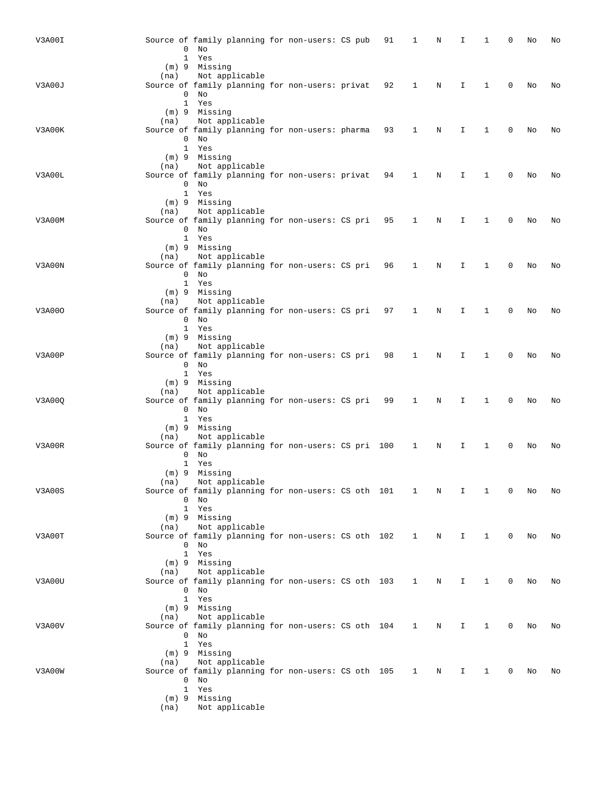| V3A00I | 0            | Source of family planning for non-users: CS pub<br>No<br>1 Yes                                                                                   |  |  | 91 | 1            | N | I  | 1            | 0 | No | No |
|--------|--------------|--------------------------------------------------------------------------------------------------------------------------------------------------|--|--|----|--------------|---|----|--------------|---|----|----|
| V3A00J | (na)         | $(m)$ 9 Missing<br>Not applicable<br>Source of family planning for non-users: privat<br>$0$ No<br>1 Yes                                          |  |  | 92 | 1            | N | I. | 1            | 0 | No | No |
| V3A00K | (na)         | $(m)$ 9 Missing<br>Not applicable<br>Source of family planning for non-users: pharma<br>$0$ No<br>1 Yes                                          |  |  | 93 | 1            | Ν | I  | 1            | 0 | No | No |
| V3A00L | (na)         | (m) 9 Missing<br>Not applicable<br>Source of family planning for non-users: privat 94<br>$0$ No<br>1 Yes                                         |  |  |    | 1            | Ν | I  | 1            | 0 | No | No |
| V3A00M | (na)         | (m) 9 Missing<br>Not applicable<br>Source of family planning for non-users: CS pri<br>$0$ No<br>1 Yes                                            |  |  | 95 | 1            | N | I  | 1            | 0 | No | No |
| V3A00N |              | (m) 9 Missing<br>(na) Not applicable<br>Source of family planning for non-users: CS pri<br>$0$ No<br>1 Yes                                       |  |  | 96 | 1            | N | I  | 1            | 0 | No | No |
| V3A000 | (na)         | $(m)$ 9 Missing<br>Not applicable<br>Source of family planning for non-users: CS pri<br>$0$ No<br>1 Yes                                          |  |  | 97 | 1            | N | I  | 1            | 0 | No | No |
| V3A00P | (na)         | $(m)$ 9 Missing<br>Not applicable<br>Source of family planning for non-users: CS pri<br>$0$ No<br>1 Yes                                          |  |  | 98 | 1            | Ν | I  | 1            | 0 | No | No |
| V3A00Q | (na)         | (m) 9 Missing<br>Not applicable<br>Source of family planning for non-users: CS pri 99<br>$0$ No<br>1 Yes                                         |  |  |    | 1            | Ν | I. | 1            | 0 | No | No |
| V3A00R | (na)         | $(m)$ 9 Missing<br>Not applicable<br>Source of family planning for non-users: CS pri 100<br>$0$ No<br>1 Yes                                      |  |  |    | 1            | N | I  | 1            | 0 | No | No |
| V3A00S | (na)<br>0    | (m) 9 Missing<br>Not applicable<br>Source of family planning for non-users: CS oth 101 1<br>No<br>1 Yes                                          |  |  |    |              | N | I  | 1            | 0 | No | No |
| V3A00T | (na)         | (m) 9 Missing<br>Not applicable<br>Source of family planning for non-users: CS oth 102<br>$0$ No<br>1 Yes                                        |  |  |    | $\mathbf{1}$ | N | I  | 1            | 0 | No | No |
| V3A00U | (na)         | $(m)$ 9 Missing<br>Not applicable<br>Source of family planning for non-users: CS oth 103 1<br>$0$ No<br>1 Yes                                    |  |  |    |              | N | Ι. | 1            | 0 | No | No |
| V3A00V | (na)         | $(m)$ 9 Missing<br>Not applicable<br>Source of family planning for non-users: CS oth 104<br>$0$ No<br>1 Yes                                      |  |  |    | 1            | N | I. | $\mathbf{1}$ | 0 | No | No |
| V3A00W | (na)<br>(na) | $(m)$ 9 Missing<br>Not applicable<br>Source of family planning for non-users: CS oth 105 1<br>$0$ No<br>1 Yes<br>(m) 9 Missing<br>Not applicable |  |  |    |              | N | Ι. | $\mathbf{1}$ | 0 | No | No |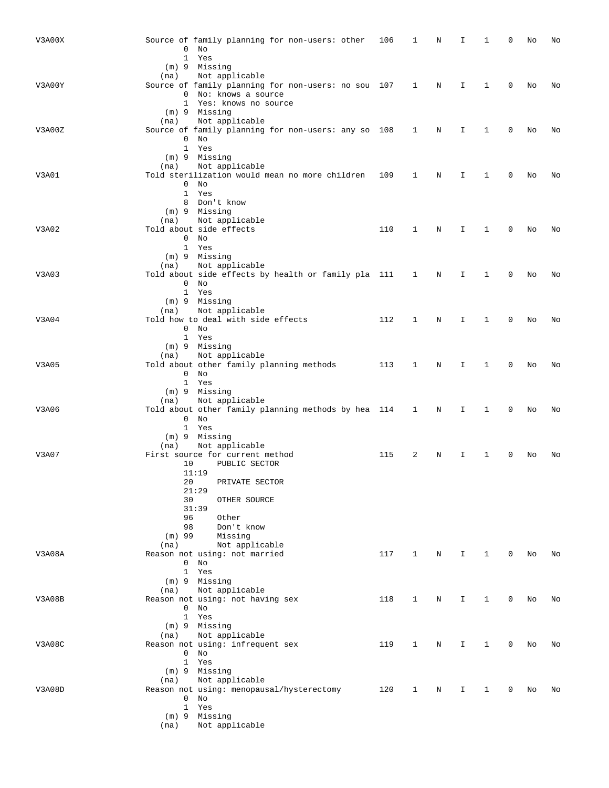| V3A00X | Source of family planning for non-users: other<br>$0$ No                                                               | 106 | 1            | Ν | I  | 1            | 0 | No | No |
|--------|------------------------------------------------------------------------------------------------------------------------|-----|--------------|---|----|--------------|---|----|----|
|        | 1 Yes<br>$(m)$ 9 Missing<br>Not applicable<br>(na)                                                                     |     |              |   |    |              |   |    |    |
| V3A00Y | Source of family planning for non-users: no sou 107<br>0 No: knows a source<br>1 Yes: knows no source<br>(m) 9 Missing |     | $\mathbf{1}$ | N | I  | 1            | 0 | No | No |
| V3A00Z | Not applicable<br>(na)<br>Source of family planning for non-users: any so 108<br>$0$ No<br>1 Yes                       |     | 1            | N | I  | 1            | 0 | No | No |
| V3A01  | (m) 9 Missing<br>Not applicable<br>(na)<br>Told sterilization would mean no more children<br>$0$ No                    | 109 | 1            | Ν | I. | 1            | 0 | No | No |
|        | 1 Yes<br>8 Don't know<br>$(m)$ 9 Missing<br>(na) Not applicable                                                        |     |              |   |    |              |   |    |    |
| V3A02  | Told about side effects<br>$0$ No<br>1 Yes<br>(m) 9 Missing                                                            | 110 | 1            | N | I. | 1            | 0 | No | No |
| V3A03  | Not applicable<br>(na)<br>Told about side effects by health or family pla 111<br>$0$ No<br>1 Yes                       |     | 1            | N | I  | 1            | 0 | No | No |
| V3A04  | (m) 9 Missing<br>(na) Not applicable<br>Told how to deal with side effects<br>$0$ No                                   | 112 | $\mathbf{1}$ | N | I. | 1            | 0 | No | No |
| V3A05  | 1 Yes<br>(m) 9 Missing<br>Not applicable<br>(na)<br>Told about other family planning methods<br>$0$ No                 | 113 | 1            | Ν | I  | 1            | 0 | No | No |
| V3A06  | 1 Yes<br>(m) 9 Missing<br>(na) Not applicable<br>Told about other family planning methods by hea 114<br>$0$ No         |     | 1            | N | I  | 1            | 0 | No | No |
| V3A07  | 1 Yes<br>(m) 9 Missing<br>Not applicable<br>(na)<br>First source for current method                                    | 115 | 2            | N | I. | 1            | 0 | No | No |
|        | 10<br>PUBLIC SECTOR<br>11:19<br>20<br>PRIVATE SECTOR<br>21:29                                                          |     |              |   |    |              |   |    |    |
|        | 30<br>OTHER SOURCE<br>31:39<br>96<br>Other                                                                             |     |              |   |    |              |   |    |    |
| V3A08A | 98<br>Don't know<br>$(m)$ 99<br>Missing<br>Not applicable<br>(na)<br>Reason not using: not married<br>$0$ No           | 117 | 1            | N | Ι. | 1            | 0 | No | No |
| V3A08B | 1 Yes<br>$(m)$ 9 Missing<br>Not applicable<br>(na)<br>Reason not using: not having sex                                 | 118 | 1            | N | I  | $\mathbf{1}$ | 0 | No | No |
|        | $0$ No<br>1 Yes<br>(m) 9 Missing<br>Not applicable                                                                     |     |              |   |    |              |   |    |    |
| V3A08C | (na)<br>Reason not using: infrequent sex<br>$0$ No<br>1 Yes<br>(m) 9 Missing                                           | 119 | 1            | N | I  | 1            | 0 | No | No |
| V3A08D | Not applicable<br>(na)<br>Reason not using: menopausal/hysterectomy<br>$0$ No<br>1 Yes                                 | 120 | 1            | N | I. | $\mathbf{1}$ | 0 | No | No |
|        | (m) 9 Missing<br>Not applicable<br>(na)                                                                                |     |              |   |    |              |   |    |    |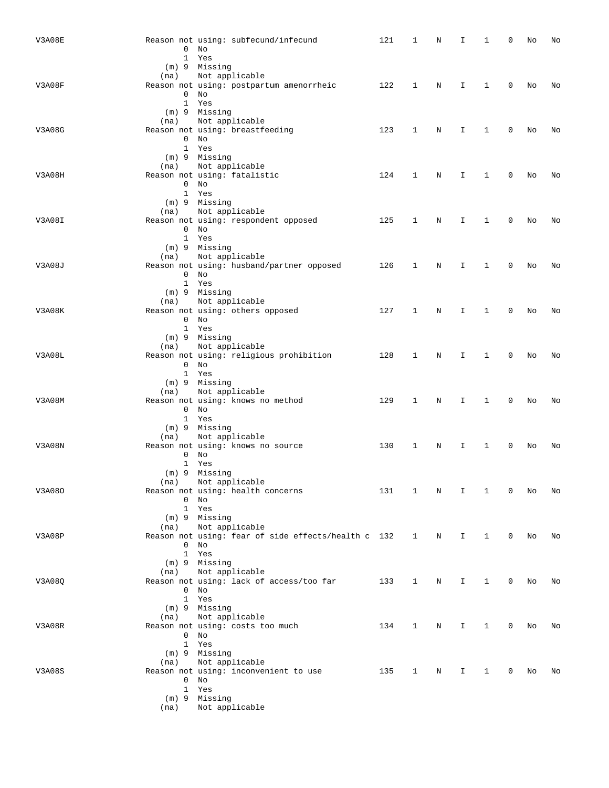| <b>V3A08E</b> |      | Reason not using: subfecund/infecund<br>$0$ No                              | 121 | 1            | Ν | Ι  | 1            | 0           | No | No |
|---------------|------|-----------------------------------------------------------------------------|-----|--------------|---|----|--------------|-------------|----|----|
|               |      | 1 Yes<br>(m) 9 Missing<br>Not applicable                                    |     |              |   |    |              |             |    |    |
| V3A08F        | (na) | Reason not using: postpartum amenorrheic<br>$0$ No                          | 122 | 1            | N | I. | 1            | 0           | No | No |
|               | (na) | 1 Yes<br>(m) 9 Missing<br>Not applicable                                    |     |              |   |    |              |             |    |    |
| V3A08G        |      | Reason not using: breastfeeding<br>$0$ No<br>1 Yes                          | 123 | 1            | Ν | I  | 1            | 0           | No | No |
| V3A08H        | (na) | (m) 9 Missing<br>Not applicable<br>Reason not using: fatalistic             | 124 | 1            | N | I  | 1            | 0           | No | No |
|               |      | $0$ No<br>1 Yes                                                             |     |              |   |    |              |             |    |    |
| V3A08I        | (na) | (m) 9 Missing<br>Not applicable<br>Reason not using: respondent opposed     | 125 | 1            | N | I  | $\mathbf{1}$ | 0           | No | No |
|               |      | $0$ No<br>1 Yes<br>$(m)$ 9 Missing                                          |     |              |   |    |              |             |    |    |
| V3A08J        | (na) | Not applicable<br>Reason not using: husband/partner opposed<br>$0$ No       | 126 | 1            | N | I  | 1            | 0           | No | No |
|               |      | 1 Yes<br>(m) 9 Missing                                                      |     |              |   |    |              |             |    |    |
| V3A08K        | (na) | Not applicable<br>Reason not using: others opposed<br>$0$ No                | 127 | 1            | N | I  | 1            | 0           | No | No |
|               | (na) | 1 Yes<br>(m) 9 Missing<br>Not applicable                                    |     |              |   |    |              |             |    |    |
| V3A08L        |      | Reason not using: religious prohibition<br>$0$ No<br>1 Yes                  | 128 | 1            | N | I  | 1            | 0           | No | No |
| V3A08M        | (na) | (m) 9 Missing<br>Not applicable<br>Reason not using: knows no method        | 129 | 1            | Ν | I  | 1            | 0           | No | No |
|               |      | $0$ No<br>1 Yes<br>(m) 9 Missing                                            |     |              |   |    |              |             |    |    |
| V3A08N        | (na) | Not applicable<br>Reason not using: knows no source<br>$0$ No               | 130 | 1            | N | I  | 1            | $\mathbf 0$ | No | No |
|               |      | 1 Yes<br>$(m)$ 9 Missing                                                    |     |              |   |    |              |             |    |    |
| V3A080        | (na) | Not applicable<br>Reason not using: health concerns<br>$0$ No               | 131 | 1            | N | I. | 1            | 0           | No | No |
|               | (na) | 1 Yes<br>(m) 9 Missing<br>Not applicable                                    |     |              |   |    |              |             |    |    |
| V3A08P        |      | Reason not using: fear of side effects/health c 132<br>$0$ No<br>1 Yes      |     | $\mathbf{1}$ | N | I. | $\mathbf{1}$ | 0           | No | No |
| V3A08Q        | (na) | (m) 9 Missing<br>Not applicable<br>Reason not using: lack of access/too far | 133 | 1            | N | I. | $\mathbf{1}$ | $\mathbf 0$ | No | No |
|               |      | $0$ No<br>1 Yes                                                             |     |              |   |    |              |             |    |    |
| V3A08R        | (na) | (m) 9 Missing<br>Not applicable<br>Reason not using: costs too much         | 134 | $\mathbf{1}$ | N | I. | $\mathbf{1}$ | 0           | No | No |
|               |      | $0$ No<br>1 Yes<br>(m) 9 Missing                                            |     |              |   |    |              |             |    |    |
| V3A08S        | (na) | Not applicable<br>Reason not using: inconvenient to use<br>$0$ No           | 135 | 1            | N | I. | $\mathbf{1}$ | 0           | No | No |
|               | (na) | 1 Yes<br>(m) 9 Missing<br>Not applicable                                    |     |              |   |    |              |             |    |    |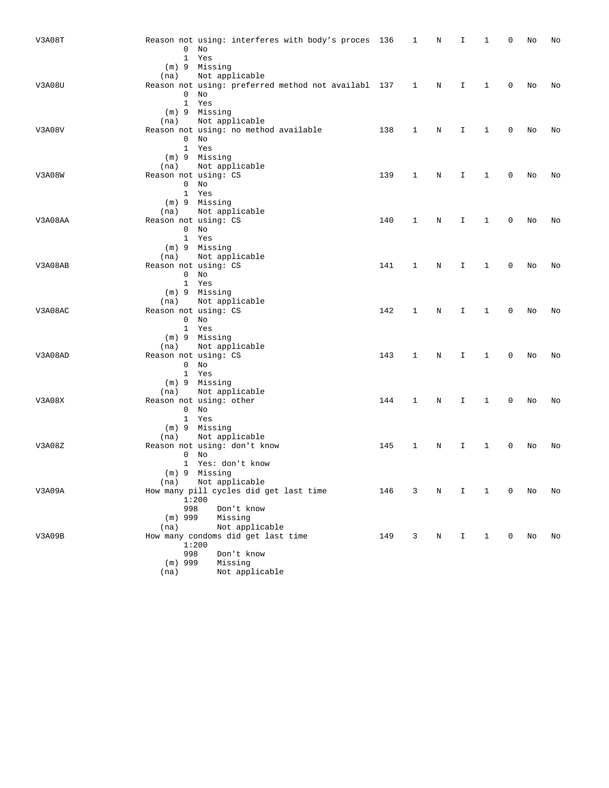| V3A08T  |                              | Reason not using: interferes with body's proces 136<br>$0$ No<br>1 Yes<br>(m) 9 Missing  |     | 1            | Ν | I  | 1            | 0           | No | No |
|---------|------------------------------|------------------------------------------------------------------------------------------|-----|--------------|---|----|--------------|-------------|----|----|
| V3A08U  | (na)                         | Not applicable<br>Reason not using: preferred method not availabl 137<br>$0$ No<br>1 Yes |     | 1            | N | I. | $\mathbf{1}$ | $\mathbf 0$ | No | No |
| V3A08V  | (na)                         | (m) 9 Missing<br>Not applicable<br>Reason not using: no method available<br>$0$ No       | 138 | 1            | N | I  | 1            | 0           | No | No |
|         | (na)                         | 1 Yes<br>$(m)$ 9 Missing<br>Not applicable                                               |     |              |   |    |              |             |    |    |
| V3A08W  | Reason not using: CS         | $0$ No<br>1 Yes<br>(m) 9 Missing                                                         | 139 | $\mathbf{1}$ | N | I  | 1            | 0           | No | No |
| V3A08AA | (na)<br>Reason not using: CS | Not applicable<br>$0$ No<br>1 Yes                                                        | 140 | 1            | Ν | I  | 1            | 0           | No | No |
| V3A08AB | (na)<br>Reason not using: CS | $(m)$ 9 Missing<br>Not applicable<br>$0$ No                                              | 141 | 1            | N | I  | 1            | 0           | No | No |
| V3A08AC | (na)<br>Reason not using: CS | 1 Yes<br>(m) 9 Missing<br>Not applicable<br>$0$ No                                       | 142 | 1            | N | I  | 1            | 0           | No | No |
| V3A08AD | (na)<br>Reason not using: CS | 1 Yes<br>(m) 9 Missing<br>Not applicable                                                 | 143 | 1            | N | I  | $\mathbf{1}$ | 0           | No | No |
|         | (na)                         | $0$ No<br>1 Yes<br>(m) 9 Missing<br>Not applicable                                       |     |              |   |    |              |             |    |    |
| V3A08X  |                              | Reason not using: other<br>$0$ No<br>1 Yes<br>(m) 9 Missing                              | 144 | 1            | Ν | I  | 1            | 0           | No | No |
| V3A08Z  | (na)                         | Not applicable<br>Reason not using: don't know<br>$0$ No<br>1 Yes: don't know            | 145 | $\mathbf{1}$ | Ν | I  | $\mathbf{1}$ | $\mathbf 0$ | No | No |
| V3A09A  | (na)                         | $(m)$ 9 Missing<br>Not applicable<br>How many pill cycles did get last time<br>1:200     | 146 | 3            | N | I  | 1            | 0           | No | No |
| V3A09B  | 998<br>$(m)$ 999<br>(na)     | Don't know<br>Missing<br>Not applicable<br>How many condoms did get last time<br>1:200   | 149 | 3            | Ν | Ι  | 1            | 0           | No | No |
|         | 998<br>$(m)$ 999<br>(na)     | Don't know<br>Missing<br>Not applicable                                                  |     |              |   |    |              |             |    |    |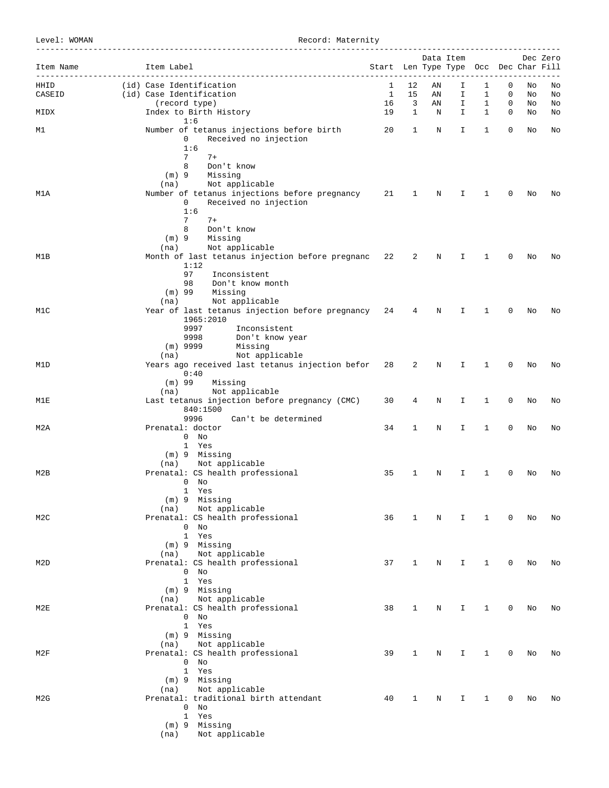Level: WOMAN Record: Maternity

| Item Name        | Item Label<br>____________________________                                                | Start Len Type Type Occ Dec Char Fill |                              |         | Data Item |                              |                   |          | Dec Zero |
|------------------|-------------------------------------------------------------------------------------------|---------------------------------------|------------------------------|---------|-----------|------------------------------|-------------------|----------|----------|
| HHID             | (id) Case Identification                                                                  | 1                                     | 12                           | ΑN      | I         | 1                            | 0                 | No       | No       |
| CASEID           | (id) Case Identification                                                                  | 1                                     | 15                           | ΑN      | I.        | 1                            | 0                 | No       | No       |
| MIDX             | (record type)<br>Index to Birth History                                                   | 16<br>19                              | $\overline{\mathbf{3}}$<br>1 | AN<br>N | I.<br>I.  | $\mathbf{1}$<br>$\mathbf{1}$ | 0<br>$\mathbf{0}$ | No<br>No | No<br>No |
| М1               | 1:6<br>Number of tetanus injections before birth                                          | $\sim$ 20                             | 1                            | Ν       | I.        | 1                            | 0                 | No       | No       |
|                  | Received no injection<br>0<br>1:6                                                         |                                       |                              |         |           |                              |                   |          |          |
|                  | $7^{\circ}$<br>$7+$<br>8<br>Don't know<br>$(m)$ 9<br>Missing                              |                                       |                              |         |           |                              |                   |          |          |
|                  | Not applicable<br>(na)                                                                    |                                       |                              |         |           |                              |                   |          |          |
| M1A              | Number of tetanus injections before pregnancy 21<br>Received no injection<br>$\mathbf{0}$ |                                       | 1                            | Ν       | Ι.        | 1                            | 0                 | No       | No       |
|                  | 1:6<br>7<br>$7+$                                                                          |                                       |                              |         |           |                              |                   |          |          |
|                  | 8<br>Don't know                                                                           |                                       |                              |         |           |                              |                   |          |          |
|                  | Missing<br>$(m)$ 9<br>Not applicable<br>(na)                                              |                                       |                              |         |           |                              |                   |          |          |
| M1B              | Month of last tetanus injection before pregnanc 22                                        |                                       | 2                            | N       | I.        | 1                            | 0                 | No       | No       |
|                  | 1:12                                                                                      |                                       |                              |         |           |                              |                   |          |          |
|                  | 97<br>Inconsistent<br>98<br>Don't know month                                              |                                       |                              |         |           |                              |                   |          |          |
|                  | $(m)$ 99<br>Missing                                                                       |                                       |                              |         |           |                              |                   |          |          |
| M1C              | Not applicable<br>(na)<br>Year of last tetanus injection before pregnancy 24 4            |                                       |                              | N       | I.        | 1                            | 0                 | No       | No       |
|                  | 1965:2010                                                                                 |                                       |                              |         |           |                              |                   |          |          |
|                  | 9997<br>Inconsistent<br>9998<br>Don't know year                                           |                                       |                              |         |           |                              |                   |          |          |
|                  | $(m)$ 9999<br>Missing                                                                     |                                       |                              |         |           |                              |                   |          |          |
|                  | Not applicable<br>(na)<br>Years ago received last tetanus injection befor                 |                                       |                              |         |           |                              | 0                 |          |          |
| M1D              | 0:40                                                                                      | 28                                    | 2                            | Ν       | I         | 1                            |                   | No       | No       |
|                  | $(m)$ 99<br>Missing                                                                       |                                       |                              |         |           |                              |                   |          |          |
| M1E              | Not applicable<br>(na)<br>Last tetanus injection before pregnancy (CMC)                   | 30                                    | 4                            | Ν       | I         | 1                            | 0                 | No       | No       |
|                  | 840:1500                                                                                  |                                       |                              |         |           |                              |                   |          |          |
| M2A              | Can't be determined<br>9996<br>Prenatal: doctor                                           | 34                                    | 1                            | Ν       | I         | 1                            | 0                 | No       | No       |
|                  | $0$ No                                                                                    |                                       |                              |         |           |                              |                   |          |          |
|                  | 1 Yes<br>(m) 9 Missing                                                                    |                                       |                              |         |           |                              |                   |          |          |
|                  | Not applicable<br>(na)                                                                    |                                       |                              |         |           |                              |                   |          |          |
| M2B              | Prenatal: CS health professional<br>$0$ No                                                | 35                                    | 1                            | Ν       | I         | 1                            | 0                 | No       | No       |
|                  | 1 Yes                                                                                     |                                       |                              |         |           |                              |                   |          |          |
|                  | $(m)$ 9 Missing                                                                           |                                       |                              |         |           |                              |                   |          |          |
| M2C              | Not applicable<br>(na)<br>Prenatal: CS health professional                                | 36                                    | 1                            | N       | I.        | $\mathbf{1}$                 | 0                 | No       | No       |
|                  | $0$ No                                                                                    |                                       |                              |         |           |                              |                   |          |          |
|                  | 1 Yes<br>(m) 9 Missing                                                                    |                                       |                              |         |           |                              |                   |          |          |
|                  | Not applicable<br>(na)                                                                    |                                       |                              |         |           |                              |                   |          |          |
| M <sub>2</sub> D | Prenatal: CS health professional<br>$0$ No                                                | 37                                    | $\mathbf{1}$                 | N       | I.        | 1                            | 0                 | No       | No       |
|                  | 1 Yes                                                                                     |                                       |                              |         |           |                              |                   |          |          |
|                  | $(m)$ 9 Missing<br>(na) Not applicable                                                    |                                       |                              |         |           |                              |                   |          |          |
| M2E              | Prenatal: CS health professional                                                          | 38                                    | 1                            | N       | I.        | $\mathbf{1}$                 | 0                 | No       | No       |
|                  | $0$ No<br>1 Yes                                                                           |                                       |                              |         |           |                              |                   |          |          |
|                  | (m) 9 Missing                                                                             |                                       |                              |         |           |                              |                   |          |          |
|                  | Not applicable<br>(na)                                                                    |                                       |                              |         |           |                              |                   |          |          |
| M2F              | Prenatal: CS health professional<br>$0$ No                                                | 39                                    | 1                            | N       | I.        | 1                            | 0                 | No       | No       |
|                  | 1 Yes                                                                                     |                                       |                              |         |           |                              |                   |          |          |
|                  | (m) 9 Missing<br>Not applicable<br>(na)                                                   |                                       |                              |         |           |                              |                   |          |          |
| M2G              | Prenatal: traditional birth attendant                                                     | 40                                    | 1                            | Ν       | I.        | $\mathbf{1}$                 | 0                 | No       | No       |
|                  | $0$ No<br>1 Yes                                                                           |                                       |                              |         |           |                              |                   |          |          |
|                  | $(m)$ 9 Missing                                                                           |                                       |                              |         |           |                              |                   |          |          |
|                  | Not applicable<br>(na)                                                                    |                                       |                              |         |           |                              |                   |          |          |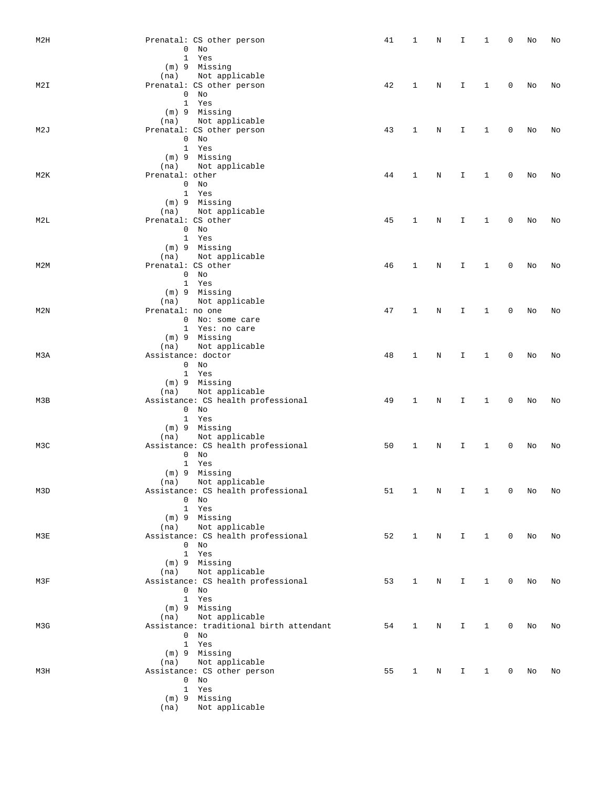| M2H              | Prenatal: CS other person               | 41 | 1            | Ν | Ι  | 1            | 0 | No | No |
|------------------|-----------------------------------------|----|--------------|---|----|--------------|---|----|----|
|                  |                                         |    |              |   |    |              |   |    |    |
|                  | $0$ No                                  |    |              |   |    |              |   |    |    |
|                  | 1 Yes                                   |    |              |   |    |              |   |    |    |
|                  | (m) 9 Missing                           |    |              |   |    |              |   |    |    |
|                  | Not applicable<br>(na)                  |    |              |   |    |              |   |    |    |
| M2I              | Prenatal: CS other person               | 42 | 1            | N | I. | $\mathbf{1}$ | 0 | No | No |
|                  | $0$ No                                  |    |              |   |    |              |   |    |    |
|                  | 1 Yes                                   |    |              |   |    |              |   |    |    |
|                  | (m) 9 Missing                           |    |              |   |    |              |   |    |    |
|                  | Not applicable<br>(na)                  |    |              |   |    |              |   |    |    |
| M2J              | Prenatal: CS other person               | 43 | 1            | Ν | I  | 1            | 0 | No | No |
|                  | $0$ No                                  |    |              |   |    |              |   |    |    |
|                  | 1 Yes                                   |    |              |   |    |              |   |    |    |
|                  | (m) 9 Missing                           |    |              |   |    |              |   |    |    |
|                  | Not applicable<br>(na)                  |    |              |   |    |              |   |    |    |
| M2K              | Prenatal: other                         | 44 | 1            | N | I. | $\mathbf{1}$ | 0 | No | No |
|                  | $0$ No                                  |    |              |   |    |              |   |    |    |
|                  | 1 Yes                                   |    |              |   |    |              |   |    |    |
|                  | (m) 9 Missing                           |    |              |   |    |              |   |    |    |
|                  | (na) Not applicable                     |    |              |   |    |              |   |    |    |
| M2L              | Prenatal: CS other                      | 45 | 1            | Ν | I. | 1            | 0 | No | No |
|                  | $0$ No                                  |    |              |   |    |              |   |    |    |
|                  | 1 Yes                                   |    |              |   |    |              |   |    |    |
|                  | $(m)$ 9 Missing                         |    |              |   |    |              |   |    |    |
|                  | (na) Not applicable                     |    |              |   |    |              |   |    |    |
| M <sub>2</sub> M | Prenatal: CS other                      | 46 | $\mathbf{1}$ | Ν | I. | $\mathbf{1}$ | 0 | No | No |
|                  | $0$ No                                  |    |              |   |    |              |   |    |    |
|                  | 1 Yes                                   |    |              |   |    |              |   |    |    |
|                  | (m) 9 Missing                           |    |              |   |    |              |   |    |    |
|                  | Not applicable<br>(na)                  |    |              |   |    |              |   |    |    |
| M2N              | Prenatal: no one                        | 47 | 1            | N | I. | 1            | 0 | No |    |
|                  | 0 No: some care                         |    |              |   |    |              |   |    | No |
|                  |                                         |    |              |   |    |              |   |    |    |
|                  | 1 Yes: no care                          |    |              |   |    |              |   |    |    |
|                  | (m) 9 Missing                           |    |              |   |    |              |   |    |    |
|                  | Not applicable<br>(na)                  |    |              |   |    |              |   |    |    |
| M3A              | Assistance: doctor                      | 48 | 1            | Ν | I. | $\mathbf{1}$ | 0 | No | No |
|                  | $0$ No                                  |    |              |   |    |              |   |    |    |
|                  | 1 Yes                                   |    |              |   |    |              |   |    |    |
|                  | (m) 9 Missing                           |    |              |   |    |              |   |    |    |
|                  | Not applicable<br>(na)                  |    |              |   |    |              |   |    |    |
| M3B              | Assistance: CS health professional      | 49 | 1            | Ν | I. | $\mathbf{1}$ | 0 | No | No |
|                  | $0$ No                                  |    |              |   |    |              |   |    |    |
|                  | 1 Yes                                   |    |              |   |    |              |   |    |    |
|                  | (m) 9 Missing                           |    |              |   |    |              |   |    |    |
|                  | (na) Not applicable                     |    |              |   |    |              |   |    |    |
| M3C              | Assistance: CS health professional      | 50 | 1            | N | I. | $\mathbf{1}$ | 0 | No | No |
|                  | $0$ No                                  |    |              |   |    |              |   |    |    |
|                  | 1 Yes                                   |    |              |   |    |              |   |    |    |
|                  | $(m)$ 9 Missing                         |    |              |   |    |              |   |    |    |
|                  | Not applicable<br>(na)                  |    |              |   |    |              |   |    |    |
| M3D              | Assistance: CS health professional      | 51 | 1            | Ν | Ι. | 1            | 0 | No | No |
|                  | $0$ No                                  |    |              |   |    |              |   |    |    |
|                  | 1 Yes                                   |    |              |   |    |              |   |    |    |
|                  | (m) 9 Missing                           |    |              |   |    |              |   |    |    |
|                  | Not applicable<br>(na)                  |    |              |   |    |              |   |    |    |
| M3E              | Assistance: CS health professional      | 52 | 1            | N | Ι. | $\mathbf{1}$ | 0 | No | No |
|                  | $0$ No                                  |    |              |   |    |              |   |    |    |
|                  | 1 Yes                                   |    |              |   |    |              |   |    |    |
|                  | (m) 9 Missing                           |    |              |   |    |              |   |    |    |
|                  | (na) Not applicable                     |    |              |   |    |              |   |    |    |
| M3F              | Assistance: CS health professional      | 53 | 1            | N | Ι. | 1            | 0 | No | No |
|                  | $0$ No                                  |    |              |   |    |              |   |    |    |
|                  | 1 Yes                                   |    |              |   |    |              |   |    |    |
|                  | (m) 9 Missing                           |    |              |   |    |              |   |    |    |
|                  | (na) Not applicable                     |    |              |   |    |              |   |    |    |
| M3G              | Assistance: traditional birth attendant | 54 | $\mathbf 1$  | N | I  | $\mathbf{1}$ | 0 |    |    |
|                  |                                         |    |              |   |    |              |   | No | No |
|                  | $0$ No                                  |    |              |   |    |              |   |    |    |
|                  | 1 Yes                                   |    |              |   |    |              |   |    |    |
|                  | (m) 9 Missing                           |    |              |   |    |              |   |    |    |
|                  | Not applicable<br>(na)                  |    |              |   |    |              |   |    |    |
| M3H              | Assistance: CS other person             | 55 | $\mathbf 1$  | N | Ι. | $\mathbf{1}$ | 0 | No | No |
|                  | $0$ No                                  |    |              |   |    |              |   |    |    |
|                  | 1 Yes                                   |    |              |   |    |              |   |    |    |
|                  | (m) 9 Missing                           |    |              |   |    |              |   |    |    |
|                  | Not applicable<br>(na)                  |    |              |   |    |              |   |    |    |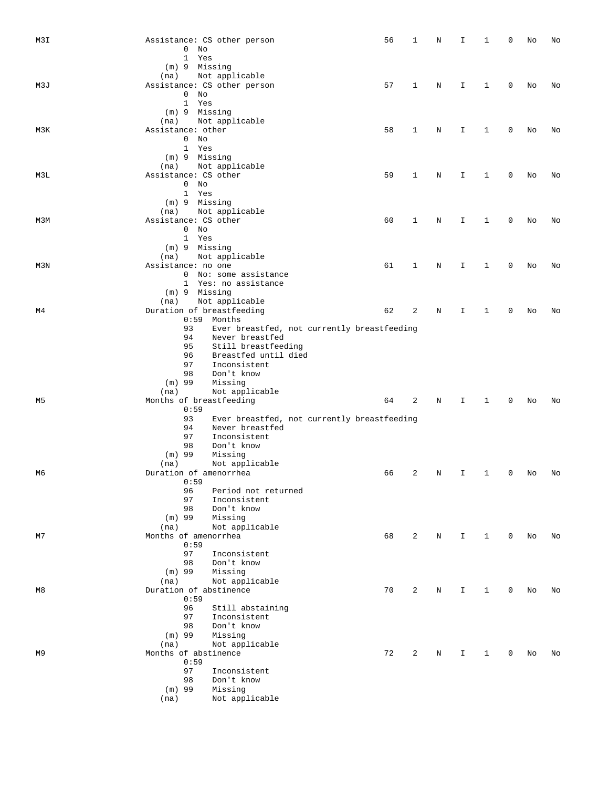|     |                         |                                             | 56 | 1 |   | I           | 1            | 0           |    |    |
|-----|-------------------------|---------------------------------------------|----|---|---|-------------|--------------|-------------|----|----|
| M3I |                         | Assistance: CS other person                 |    |   | Ν |             |              |             | No | No |
|     | 0<br>No                 |                                             |    |   |   |             |              |             |    |    |
|     | $\mathbf{1}$<br>Yes     |                                             |    |   |   |             |              |             |    |    |
|     | $(m)$ 9 Missing         |                                             |    |   |   |             |              |             |    |    |
|     | (na)                    | Not applicable                              |    |   |   |             |              |             |    |    |
| M3J |                         | Assistance: CS other person                 | 57 | 1 | N | I           | 1            | 0           | No | No |
|     | $0$ No                  |                                             |    |   |   |             |              |             |    |    |
|     | 1 Yes                   |                                             |    |   |   |             |              |             |    |    |
|     |                         |                                             |    |   |   |             |              |             |    |    |
|     | (m) 9 Missing           |                                             |    |   |   |             |              |             |    |    |
|     | (na)                    | Not applicable                              |    |   |   |             |              |             |    |    |
| M3K | Assistance: other       |                                             | 58 | 1 | Ν | I           | 1            | $\mathbf 0$ | No | No |
|     | $0$ No                  |                                             |    |   |   |             |              |             |    |    |
|     | 1 Yes                   |                                             |    |   |   |             |              |             |    |    |
|     | (m) 9 Missing           |                                             |    |   |   |             |              |             |    |    |
|     | (na)                    | Not applicable                              |    |   |   |             |              |             |    |    |
| M3L | Assistance: CS other    |                                             | 59 | 1 | Ν | I           | 1            | 0           | No | No |
|     | $0$ No                  |                                             |    |   |   |             |              |             |    |    |
|     |                         |                                             |    |   |   |             |              |             |    |    |
|     | 1 Yes                   |                                             |    |   |   |             |              |             |    |    |
|     | (m) 9 Missing           |                                             |    |   |   |             |              |             |    |    |
|     | (na)                    | Not applicable                              |    |   |   |             |              |             |    |    |
| мзм | Assistance: CS other    |                                             | 60 | 1 | N | I           | 1            | 0           | No | No |
|     | $0$ No                  |                                             |    |   |   |             |              |             |    |    |
|     | 1<br>Yes                |                                             |    |   |   |             |              |             |    |    |
|     | (m) 9 Missing           |                                             |    |   |   |             |              |             |    |    |
|     |                         |                                             |    |   |   |             |              |             |    |    |
|     | (na)                    | Not applicable                              |    |   |   |             |              |             |    |    |
| M3N | Assistance: no one      |                                             | 61 | 1 | N | I           | 1            | 0           | No | No |
|     |                         | 0 No: some assistance                       |    |   |   |             |              |             |    |    |
|     |                         | 1 Yes: no assistance                        |    |   |   |             |              |             |    |    |
|     | (m) 9 Missing           |                                             |    |   |   |             |              |             |    |    |
|     | (na)                    | Not applicable                              |    |   |   |             |              |             |    |    |
| M4  |                         | Duration of breastfeeding                   | 62 | 2 | Ν | I           | 1            | 0           | No | No |
|     |                         | $0:59$ Months                               |    |   |   |             |              |             |    |    |
|     | 93                      |                                             |    |   |   |             |              |             |    |    |
|     |                         | Ever breastfed, not currently breastfeeding |    |   |   |             |              |             |    |    |
|     | 94                      | Never breastfed                             |    |   |   |             |              |             |    |    |
|     | 95                      | Still breastfeeding                         |    |   |   |             |              |             |    |    |
|     | 96                      | Breastfed until died                        |    |   |   |             |              |             |    |    |
|     | 97                      | Inconsistent                                |    |   |   |             |              |             |    |    |
|     | 98                      | Don't know                                  |    |   |   |             |              |             |    |    |
|     | $(m)$ 99                | Missing                                     |    |   |   |             |              |             |    |    |
|     | (na)                    | Not applicable                              |    |   |   |             |              |             |    |    |
|     |                         |                                             |    | 2 |   |             |              | $\mathbf 0$ |    |    |
| M5  | Months of breastfeeding |                                             | 64 |   | N | I           | 1            |             | No | No |
|     | 0:59                    |                                             |    |   |   |             |              |             |    |    |
|     | 93                      | Ever breastfed, not currently breastfeeding |    |   |   |             |              |             |    |    |
|     | 94                      | Never breastfed                             |    |   |   |             |              |             |    |    |
|     | 97                      | Inconsistent                                |    |   |   |             |              |             |    |    |
|     | 98                      | Don't know                                  |    |   |   |             |              |             |    |    |
|     | $(m)$ 99                | Missing                                     |    |   |   |             |              |             |    |    |
|     |                         | Not applicable                              |    |   |   |             |              |             |    |    |
|     | (na)                    |                                             |    |   |   |             |              |             |    |    |
| M6  | Duration of amenorrhea  |                                             | 66 | 2 | N | I           | 1            | 0           | No | No |
|     | 0:59                    |                                             |    |   |   |             |              |             |    |    |
|     | 96                      | Period not returned                         |    |   |   |             |              |             |    |    |
|     | 97                      | Inconsistent                                |    |   |   |             |              |             |    |    |
|     | 98                      | Don't know                                  |    |   |   |             |              |             |    |    |
|     | $(m)$ 99                | Missing                                     |    |   |   |             |              |             |    |    |
|     | (na)                    | Not applicable                              |    |   |   |             |              |             |    |    |
|     |                         |                                             |    |   |   |             |              |             |    |    |
| M7  | Months of amenorrhea    |                                             | 68 | 2 | N | I.          | $\mathbf{1}$ | 0           | No | No |
|     | 0:59                    |                                             |    |   |   |             |              |             |    |    |
|     | 97                      | Inconsistent                                |    |   |   |             |              |             |    |    |
|     | 98                      | Don't know                                  |    |   |   |             |              |             |    |    |
|     | $(m)$ 99                | Missing                                     |    |   |   |             |              |             |    |    |
|     | (na)                    | Not applicable                              |    |   |   |             |              |             |    |    |
| M8  | Duration of abstinence  |                                             | 70 | 2 | N | $\mathbf I$ | $\mathbf{1}$ | 0           | No | No |
|     | 0:59                    |                                             |    |   |   |             |              |             |    |    |
|     |                         |                                             |    |   |   |             |              |             |    |    |
|     | 96                      | Still abstaining                            |    |   |   |             |              |             |    |    |
|     | 97                      | Inconsistent                                |    |   |   |             |              |             |    |    |
|     | 98                      | Don't know                                  |    |   |   |             |              |             |    |    |
|     | $(m)$ 99                | Missing                                     |    |   |   |             |              |             |    |    |
|     | (na)                    | Not applicable                              |    |   |   |             |              |             |    |    |
| M9  | Months of abstinence    |                                             | 72 | 2 | N | I           | $\mathbf{1}$ | 0           | No | No |
|     | 0:59                    |                                             |    |   |   |             |              |             |    |    |
|     | 97                      |                                             |    |   |   |             |              |             |    |    |
|     |                         | Inconsistent                                |    |   |   |             |              |             |    |    |
|     | 98                      | Don't know                                  |    |   |   |             |              |             |    |    |
|     | $(m)$ 99                | Missing                                     |    |   |   |             |              |             |    |    |
|     | (na)                    | Not applicable                              |    |   |   |             |              |             |    |    |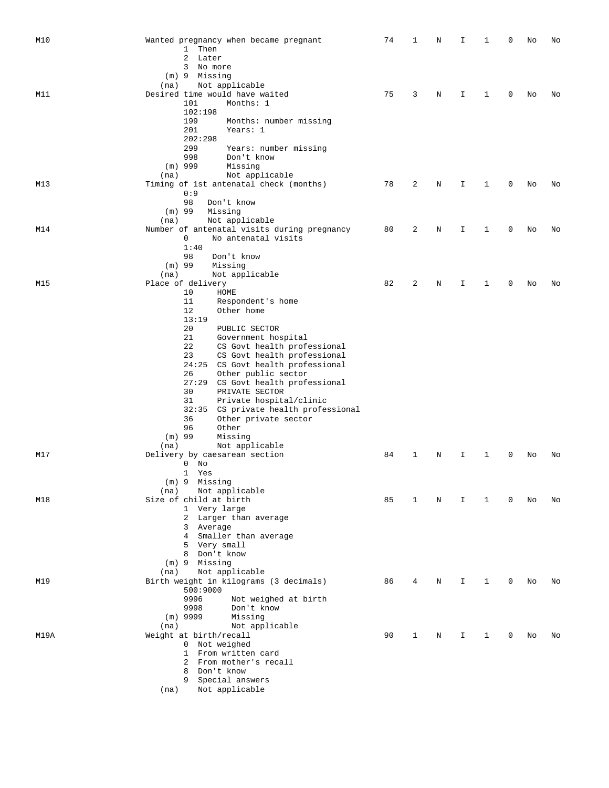| M10  | Wanted pregnancy when became pregnant<br>1 Then<br>2<br>Later<br>3 No more<br>(m) 9 Missing<br>Not applicable<br>(na)                                                                                                                                                                                                                                                                                                                                                                                                                                       | 74 | 1 | Ν | I. | 1 | $\mathbf 0$ | No | No |
|------|-------------------------------------------------------------------------------------------------------------------------------------------------------------------------------------------------------------------------------------------------------------------------------------------------------------------------------------------------------------------------------------------------------------------------------------------------------------------------------------------------------------------------------------------------------------|----|---|---|----|---|-------------|----|----|
| M11  | Desired time would have waited<br>101<br>Months: 1<br>102:198<br>199<br>Months: number missing<br>201<br>Years: 1<br>202:298<br>299<br>Years: number missing<br>998<br>Don't know<br>$(m)$ 999<br>Missing<br>Not applicable<br>(na)                                                                                                                                                                                                                                                                                                                         | 75 | 3 | N | I  | 1 | $\mathbf 0$ | No | No |
| M13  | Timing of 1st antenatal check (months)<br>0:9<br>98<br>Don't know<br>$(m)$ 99<br>Missing<br>Not applicable<br>(na)                                                                                                                                                                                                                                                                                                                                                                                                                                          | 78 | 2 | N | I  | 1 | $\mathbf 0$ | No | No |
| M14  | Number of antenatal visits during pregnancy<br>No antenatal visits<br>$\mathbf 0$<br>1:40<br>98<br>Don't know<br>$(m)$ 99<br>Missing                                                                                                                                                                                                                                                                                                                                                                                                                        | 80 | 2 | N | I  | 1 | 0           | No | No |
| M15  | Not applicable<br>(na)<br>Place of delivery<br>10<br>HOME<br>11<br>Respondent's home<br>12<br>Other home<br>13:19<br>20<br>PUBLIC SECTOR<br>21<br>Government hospital<br>22<br>CS Govt health professional<br>CS Govt health professional<br>23<br>CS Govt health professional<br>24:25<br>26<br>Other public sector<br>CS Govt health professional<br>27:29<br>30<br>PRIVATE SECTOR<br>31<br>Private hospital/clinic<br>32:35 CS private health professional<br>36<br>Other private sector<br>96<br>Other<br>$(m)$ 99<br>Missing<br>Not applicable<br>(na) | 82 | 2 | N | I  | 1 | 0           | No | No |
| M17  | Delivery by caesarean section<br>$0$ No<br>$\mathbf{1}$<br>Yes<br>$(m)$ 9 Missing<br>Not applicable<br>(na)                                                                                                                                                                                                                                                                                                                                                                                                                                                 | 84 | 1 | Ν | Ι. | 1 | 0           | No | No |
| M18  | Size of child at birth<br>1 Very large<br>2 Larger than average<br>3 Average<br>4 Smaller than average<br>5 Very small<br>8 Don't know<br>$(m)$ 9 Missing<br>Not applicable<br>(na)                                                                                                                                                                                                                                                                                                                                                                         | 85 | 1 | N | I  | 1 | 0           | No | No |
| M19  | Birth weight in kilograms (3 decimals)<br>500:9000<br>9996<br>Not weighed at birth<br>9998<br>Don't know<br>$(m)$ 9999<br>Missing<br>Not applicable<br>(na)                                                                                                                                                                                                                                                                                                                                                                                                 | 86 | 4 | Ν | I  | 1 | 0           | No | No |
| M19A | Weight at birth/recall<br>0 Not weighed<br>1 From written card<br>2 From mother's recall<br>8 Don't know<br>9<br>Special answers<br>Not applicable<br>(na)                                                                                                                                                                                                                                                                                                                                                                                                  | 90 | 1 | N | I  | 1 | 0           | No | No |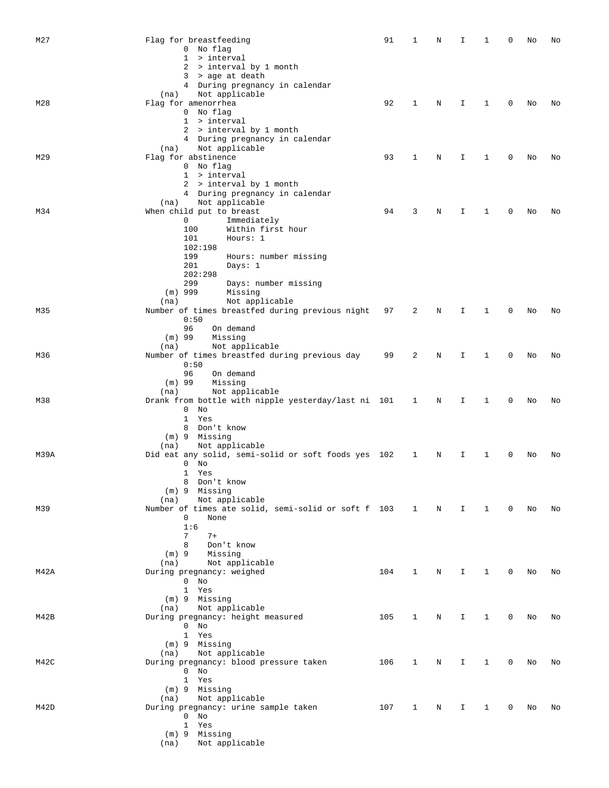| M27  | Flag for breastfeeding                              | 91  | 1            | N | I  | 1            | 0 | No | No |
|------|-----------------------------------------------------|-----|--------------|---|----|--------------|---|----|----|
|      | 0 No flag                                           |     |              |   |    |              |   |    |    |
|      | 1 > interval                                        |     |              |   |    |              |   |    |    |
|      | 2 > interval by 1 month                             |     |              |   |    |              |   |    |    |
|      | 3 > age at death                                    |     |              |   |    |              |   |    |    |
|      | 4 During pregnancy in calendar                      |     |              |   |    |              |   |    |    |
|      | Not applicable<br>(na)                              |     |              |   |    |              |   |    |    |
| M28  | Flag for amenorrhea                                 | 92  | 1            | Ν | I  | 1            | 0 | No | No |
|      | 0 No flag<br>1 > interval                           |     |              |   |    |              |   |    |    |
|      | 2 > interval by 1 month                             |     |              |   |    |              |   |    |    |
|      | 4 During pregnancy in calendar                      |     |              |   |    |              |   |    |    |
|      | Not applicable<br>(na)                              |     |              |   |    |              |   |    |    |
| M29  | Flag for abstinence                                 | 93  | 1            | Ν | I  | 1            | 0 | No | No |
|      | 0 No flag                                           |     |              |   |    |              |   |    |    |
|      | $1$ > interval                                      |     |              |   |    |              |   |    |    |
|      | 2 > interval by 1 month                             |     |              |   |    |              |   |    |    |
|      | 4 During pregnancy in calendar                      |     |              |   |    |              |   |    |    |
|      | Not applicable<br>(na)                              |     |              |   |    |              |   |    |    |
| M34  | When child put to breast<br>0                       | 94  | 3            | Ν | I  | 1            | 0 | No | No |
|      | Immediately<br>Within first hour<br>100             |     |              |   |    |              |   |    |    |
|      | Hours: 1<br>101                                     |     |              |   |    |              |   |    |    |
|      | 102:198                                             |     |              |   |    |              |   |    |    |
|      | 199<br>Hours: number missing                        |     |              |   |    |              |   |    |    |
|      | 201<br>Days: $1$                                    |     |              |   |    |              |   |    |    |
|      | 202:298                                             |     |              |   |    |              |   |    |    |
|      | 299<br>Days: number missing                         |     |              |   |    |              |   |    |    |
|      | $(m)$ 999<br>Missing                                |     |              |   |    |              |   |    |    |
|      | Not applicable<br>(na)                              |     |              |   |    |              |   |    |    |
| M35  | Number of times breastfed during previous night     | 97  | 2            | N | I. | 1            | 0 | No | No |
|      | 0:50<br>96<br>On demand                             |     |              |   |    |              |   |    |    |
|      | $(m)$ 99<br>Missing                                 |     |              |   |    |              |   |    |    |
|      | Not applicable<br>(na)                              |     |              |   |    |              |   |    |    |
| M36  | Number of times breastfed during previous day       | 99  | 2            | Ν | I  | 1            | 0 | No | No |
|      | 0:50                                                |     |              |   |    |              |   |    |    |
|      | 96<br>On demand                                     |     |              |   |    |              |   |    |    |
|      | $(m)$ 99<br>Missing                                 |     |              |   |    |              |   |    |    |
|      | Not applicable<br>(na)                              |     |              |   |    |              |   |    |    |
| M38  | Drank from bottle with nipple yesterday/last ni 101 |     | $\mathbf{1}$ | Ν | I  | 1            | 0 | No | No |
|      | $\mathbf{0}$<br>No                                  |     |              |   |    |              |   |    |    |
|      | $\mathbf{1}$<br>Yes                                 |     |              |   |    |              |   |    |    |
|      | 8 Don't know<br>(m) 9 Missing                       |     |              |   |    |              |   |    |    |
|      | Not applicable<br>(na)                              |     |              |   |    |              |   |    |    |
| M39A | Did eat any solid, semi-solid or soft foods yes 102 |     | 1            | Ν | I  | 1            | 0 | No | No |
|      | $\mathbf{0}$<br>No                                  |     |              |   |    |              |   |    |    |
|      | 1<br>Yes                                            |     |              |   |    |              |   |    |    |
|      | 8 Don't know                                        |     |              |   |    |              |   |    |    |
|      | (m) 9 Missing                                       |     |              |   |    |              |   |    |    |
|      | Not applicable<br>(na)                              |     |              |   |    |              |   |    |    |
| M39  | Number of times ate solid, semi-solid or soft f 103 |     | $\mathbf{1}$ | N | I. | 1            | 0 | No | No |
|      | 0<br>None<br>1:6                                    |     |              |   |    |              |   |    |    |
|      | 7<br>$7+$                                           |     |              |   |    |              |   |    |    |
|      | 8<br>Don't know                                     |     |              |   |    |              |   |    |    |
|      | Missing<br>$(m)$ 9                                  |     |              |   |    |              |   |    |    |
|      | Not applicable<br>(na)                              |     |              |   |    |              |   |    |    |
| M42A | During pregnancy: weighed                           | 104 | 1            | N | I. | 1            | 0 | No | No |
|      | $0$ No                                              |     |              |   |    |              |   |    |    |
|      | 1 Yes                                               |     |              |   |    |              |   |    |    |
|      | (m) 9 Missing                                       |     |              |   |    |              |   |    |    |
|      | Not applicable<br>(na)                              |     |              |   |    |              |   |    |    |
| M42B | During pregnancy: height measured                   | 105 | 1            | Ν | I. | 1            | 0 | No | No |
|      | $0$ No                                              |     |              |   |    |              |   |    |    |
|      | 1 Yes                                               |     |              |   |    |              |   |    |    |
|      | (m) 9 Missing<br>Not applicable<br>(na)             |     |              |   |    |              |   |    |    |
| M42C | During pregnancy: blood pressure taken              | 106 | 1            | Ν | I. | $\mathbf{1}$ | 0 | No | No |
|      | $0$ No                                              |     |              |   |    |              |   |    |    |
|      | $\mathbf{1}$<br>Yes                                 |     |              |   |    |              |   |    |    |
|      | (m) 9 Missing                                       |     |              |   |    |              |   |    |    |
|      | Not applicable<br>(na)                              |     |              |   |    |              |   |    |    |
| M42D | During pregnancy: urine sample taken                | 107 | 1            | Ν | I. | $\mathbf{1}$ | 0 | No | No |
|      | $0$ No                                              |     |              |   |    |              |   |    |    |
|      | 1 Yes                                               |     |              |   |    |              |   |    |    |
|      | (m) 9 Missing                                       |     |              |   |    |              |   |    |    |
|      | (na)<br>Not applicable                              |     |              |   |    |              |   |    |    |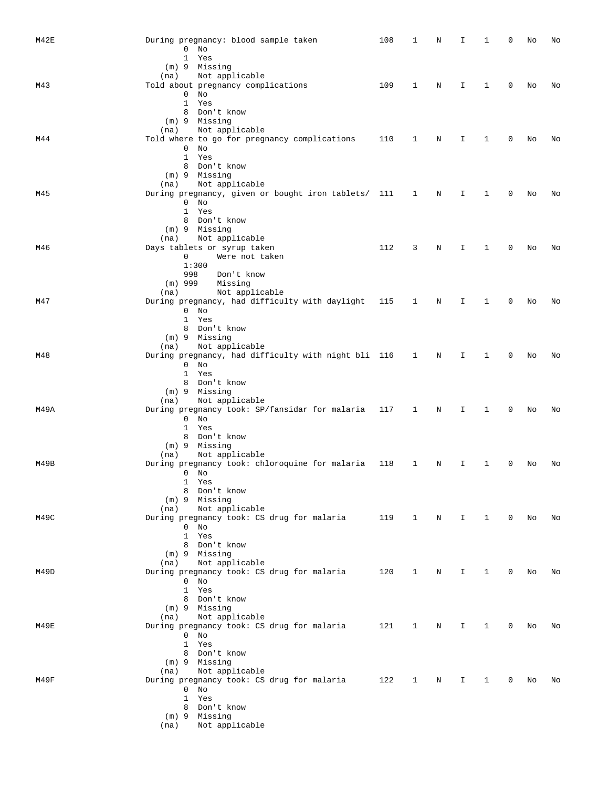| M42E | During pregnancy: blood sample taken                                     | 108 | 1            | Ν | I  | 1            | 0 | No | No |
|------|--------------------------------------------------------------------------|-----|--------------|---|----|--------------|---|----|----|
|      | $0$ No                                                                   |     |              |   |    |              |   |    |    |
|      | $\mathbf{1}$<br>Yes                                                      |     |              |   |    |              |   |    |    |
|      | (m) 9 Missing                                                            |     |              |   |    |              |   |    |    |
|      | Not applicable<br>(na)                                                   |     |              |   |    |              |   |    |    |
| M43  | Told about pregnancy complications<br>$0$ No                             | 109 | 1            | N | I  | 1            | 0 | No | No |
|      | 1 Yes                                                                    |     |              |   |    |              |   |    |    |
|      | 8 Don't know                                                             |     |              |   |    |              |   |    |    |
|      | (m) 9 Missing                                                            |     |              |   |    |              |   |    |    |
|      | Not applicable<br>(na)                                                   |     |              |   |    |              |   |    |    |
| M44  | Told where to go for pregnancy complications                             | 110 | 1            | Ν | I. | 1            | 0 | No | No |
|      | $0$ No                                                                   |     |              |   |    |              |   |    |    |
|      | 1 Yes<br>8 Don't know                                                    |     |              |   |    |              |   |    |    |
|      | (m) 9 Missing                                                            |     |              |   |    |              |   |    |    |
|      | Not applicable<br>(na)                                                   |     |              |   |    |              |   |    |    |
| M45  | During pregnancy, given or bought iron tablets/ 111                      |     | 1            | Ν | I  | 1            | 0 | No | No |
|      | $0$ No                                                                   |     |              |   |    |              |   |    |    |
|      | 1 Yes                                                                    |     |              |   |    |              |   |    |    |
|      | 8 Don't know                                                             |     |              |   |    |              |   |    |    |
|      | (m) 9 Missing                                                            |     |              |   |    |              |   |    |    |
| M46  | Not applicable<br>(na)<br>Days tablets or syrup taken                    | 112 | 3            | N | I  | 1            | 0 | No | No |
|      | 0<br>Were not taken                                                      |     |              |   |    |              |   |    |    |
|      | 1:300                                                                    |     |              |   |    |              |   |    |    |
|      | 998<br>Don't know                                                        |     |              |   |    |              |   |    |    |
|      | $(m)$ 999<br>Missing                                                     |     |              |   |    |              |   |    |    |
|      | Not applicable<br>(na)                                                   |     |              |   |    |              |   |    |    |
| M47  | During pregnancy, had difficulty with daylight                           | 115 | 1            | N | I  | 1            | 0 | No | No |
|      | $0$ No<br>1 Yes                                                          |     |              |   |    |              |   |    |    |
|      | 8 Don't know                                                             |     |              |   |    |              |   |    |    |
|      | (m) 9 Missing                                                            |     |              |   |    |              |   |    |    |
|      | Not applicable<br>(na)                                                   |     |              |   |    |              |   |    |    |
| M48  | During pregnancy, had difficulty with night bli 116 1                    |     |              | N | I  | 1            | 0 | No | No |
|      | $0$ No                                                                   |     |              |   |    |              |   |    |    |
|      | 1 Yes                                                                    |     |              |   |    |              |   |    |    |
|      | 8 Don't know                                                             |     |              |   |    |              |   |    |    |
|      | (m) 9 Missing                                                            |     |              |   |    |              |   |    |    |
| M49A | Not applicable<br>(na)<br>During pregnancy took: SP/fansidar for malaria | 117 | 1            | N | I. | 1            | 0 | No | No |
|      | $0$ No                                                                   |     |              |   |    |              |   |    |    |
|      | 1 Yes                                                                    |     |              |   |    |              |   |    |    |
|      | 8 Don't know                                                             |     |              |   |    |              |   |    |    |
|      | (m) 9 Missing                                                            |     |              |   |    |              |   |    |    |
|      | Not applicable<br>(na)                                                   |     |              |   |    |              |   |    |    |
| M49B | During pregnancy took: chloroquine for malaria                           | 118 | 1            | N | I  | 1            | 0 | No | No |
|      | $0$ No                                                                   |     |              |   |    |              |   |    |    |
|      | 1 Yes<br>8 Don't know                                                    |     |              |   |    |              |   |    |    |
|      | $(m)$ 9 Missing                                                          |     |              |   |    |              |   |    |    |
|      | Not applicable<br>(na)                                                   |     |              |   |    |              |   |    |    |
| M49C | During pregnancy took: CS drug for malaria                               | 119 | 1            | N | I  | $\mathbf{1}$ | 0 | No | No |
|      | $0$ No                                                                   |     |              |   |    |              |   |    |    |
|      | 1 Yes                                                                    |     |              |   |    |              |   |    |    |
|      | 8 Don't know                                                             |     |              |   |    |              |   |    |    |
|      | (m) 9 Missing<br>Not applicable                                          |     |              |   |    |              |   |    |    |
| M49D | (na)<br>During pregnancy took: CS drug for malaria                       | 120 | $\mathbf{1}$ | N | I. | $\mathbf{1}$ | 0 | No | No |
|      | $0$ No                                                                   |     |              |   |    |              |   |    |    |
|      | 1 Yes                                                                    |     |              |   |    |              |   |    |    |
|      | 8 Don't know                                                             |     |              |   |    |              |   |    |    |
|      | $(m)$ 9 Missing                                                          |     |              |   |    |              |   |    |    |
|      | Not applicable<br>(na)                                                   |     |              |   |    |              |   |    |    |
| M49E | During pregnancy took: CS drug for malaria                               | 121 | 1            | N | I. | $\mathbf{1}$ | 0 | No | No |
|      | $0$ No                                                                   |     |              |   |    |              |   |    |    |
|      | 1 Yes<br>8 Don't know                                                    |     |              |   |    |              |   |    |    |
|      | (m) 9 Missing                                                            |     |              |   |    |              |   |    |    |
|      | Not applicable<br>(na)                                                   |     |              |   |    |              |   |    |    |
| M49F | During pregnancy took: CS drug for malaria                               | 122 | $\mathbf{1}$ | N | I. | 1            | 0 | No | No |
|      | $0$ No                                                                   |     |              |   |    |              |   |    |    |
|      | 1<br>Yes                                                                 |     |              |   |    |              |   |    |    |
|      | 8 Don't know                                                             |     |              |   |    |              |   |    |    |
|      | (m) 9 Missing                                                            |     |              |   |    |              |   |    |    |
|      | Not applicable<br>(na)                                                   |     |              |   |    |              |   |    |    |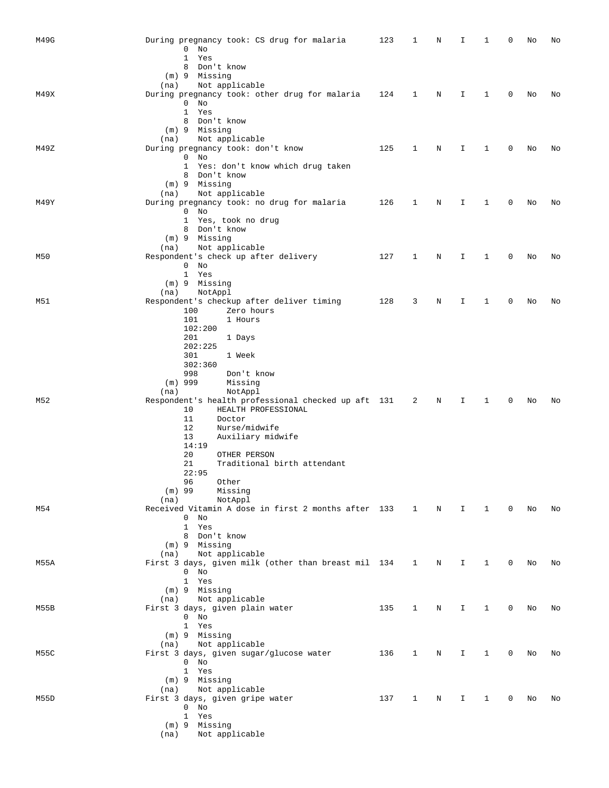| M49G | During pregnancy took: CS drug for malaria                                       | 123 | 1            | N           | I.           | 1            | 0              | No | No |
|------|----------------------------------------------------------------------------------|-----|--------------|-------------|--------------|--------------|----------------|----|----|
|      | $0$ No                                                                           |     |              |             |              |              |                |    |    |
|      | 1<br>Yes<br>8 Don't know                                                         |     |              |             |              |              |                |    |    |
|      | (m) 9 Missing                                                                    |     |              |             |              |              |                |    |    |
|      | Not applicable<br>(na)                                                           |     |              |             |              |              |                |    |    |
| M49X | During pregnancy took: other drug for malaria<br>$0$ No                          | 124 | 1            | N           | I            | 1            | 0              | No | No |
|      | 1<br>Yes                                                                         |     |              |             |              |              |                |    |    |
|      | 8 Don't know                                                                     |     |              |             |              |              |                |    |    |
|      | (m) 9 Missing                                                                    |     |              |             |              |              |                |    |    |
| M49Z | Not applicable<br>(na)<br>During pregnancy took: don't know                      | 125 | 1            | Ν           | I            | 1            | 0              | No | No |
|      | $0$ No                                                                           |     |              |             |              |              |                |    |    |
|      | Yes: don't know which drug taken<br>1                                            |     |              |             |              |              |                |    |    |
|      | 8 Don't know                                                                     |     |              |             |              |              |                |    |    |
|      | $(m)$ 9 Missing<br>Not applicable<br>(na)                                        |     |              |             |              |              |                |    |    |
| M49Y | During pregnancy took: no drug for malaria                                       | 126 | 1            | N           | I            | $\mathbf{1}$ | 0              | No | No |
|      | $0$ No                                                                           |     |              |             |              |              |                |    |    |
|      | 1 Yes, took no drug                                                              |     |              |             |              |              |                |    |    |
|      | 8 Don't know<br>$(m)$ 9 Missing                                                  |     |              |             |              |              |                |    |    |
|      | Not applicable<br>(na)                                                           |     |              |             |              |              |                |    |    |
| M50  | Respondent's check up after delivery                                             | 127 | 1            | Ν           | I            | 1            | 0              | No | No |
|      | $0$ No                                                                           |     |              |             |              |              |                |    |    |
|      | 1 Yes<br>(m) 9 Missing                                                           |     |              |             |              |              |                |    |    |
|      | (na)<br>NotAppl                                                                  |     |              |             |              |              |                |    |    |
| M51  | Respondent's checkup after deliver timing                                        | 128 | 3            | Ν           | I            | 1            | 0              | No | No |
|      | 100<br>Zero hours<br>101<br>1 Hours                                              |     |              |             |              |              |                |    |    |
|      | 102:200                                                                          |     |              |             |              |              |                |    |    |
|      | 201<br>1 Days                                                                    |     |              |             |              |              |                |    |    |
|      | 202:225                                                                          |     |              |             |              |              |                |    |    |
|      | 301<br>1 Week<br>302:360                                                         |     |              |             |              |              |                |    |    |
|      | 998<br>Don't know                                                                |     |              |             |              |              |                |    |    |
|      | $(m)$ 999<br>Missing                                                             |     |              |             |              |              |                |    |    |
|      | NotAppl<br>(na)                                                                  |     |              |             |              |              |                |    |    |
| M52  | Respondent's health professional checked up aft 131<br>HEALTH PROFESSIONAL<br>10 |     | 2            | Ν           | I            | 1            | 0              | No | No |
|      | 11<br>Doctor                                                                     |     |              |             |              |              |                |    |    |
|      | 12<br>Nurse/midwife                                                              |     |              |             |              |              |                |    |    |
|      | 13<br>Auxiliary midwife<br>14:19                                                 |     |              |             |              |              |                |    |    |
|      | 20<br>OTHER PERSON                                                               |     |              |             |              |              |                |    |    |
|      | 21<br>Traditional birth attendant                                                |     |              |             |              |              |                |    |    |
|      | 22:95                                                                            |     |              |             |              |              |                |    |    |
|      | 96<br>Other<br>$(m)$ 99<br>Missing                                               |     |              |             |              |              |                |    |    |
|      | (na)<br>NotAppl                                                                  |     |              |             |              |              |                |    |    |
| M54  | Received Vitamin A dose in first 2 months after 133 1 N                          |     |              |             | $\mathbf{I}$ | 1            | $\overline{0}$ | No | No |
|      | $0$ No                                                                           |     |              |             |              |              |                |    |    |
|      | 1 Yes<br>8 Don't know                                                            |     |              |             |              |              |                |    |    |
|      | (m) 9 Missing                                                                    |     |              |             |              |              |                |    |    |
|      | Not applicable<br>(na)                                                           |     |              |             |              |              |                |    |    |
| M55A | First 3 days, given milk (other than breast mil 134 1<br>$0$ No                  |     |              | $\mathbf N$ | $\mathbf{I}$ | $\mathbf{1}$ | 0              | No | No |
|      | 1 Yes                                                                            |     |              |             |              |              |                |    |    |
|      | (m) 9 Missing                                                                    |     |              |             |              |              |                |    |    |
|      | (na) Not applicable                                                              |     |              |             |              |              |                |    |    |
| M55B | First 3 days, given plain water<br>$0$ No                                        | 135 | $\mathbf{1}$ | N           | I.           | $\mathbf{1}$ | 0              | No | No |
|      | 1 Yes                                                                            |     |              |             |              |              |                |    |    |
|      | $(m)$ 9 Missing                                                                  |     |              |             |              |              |                |    |    |
| M55C | (na) Not applicable<br>First 3 days, given sugar/glucose water                   | 136 | $\mathbf{1}$ | N           | $\mathbf{I}$ | 1            | 0              | No | No |
|      | $0$ No                                                                           |     |              |             |              |              |                |    |    |
|      | 1 Yes                                                                            |     |              |             |              |              |                |    |    |
|      | (m) 9 Missing                                                                    |     |              |             |              |              |                |    |    |
| M55D | Not applicable<br>(na)<br>First 3 days, given gripe water                        | 137 | $\mathbf{1}$ | N           | $\mathbf{I}$ | 1            | 0              | No | No |
|      | $0$ No                                                                           |     |              |             |              |              |                |    |    |
|      | 1 Yes                                                                            |     |              |             |              |              |                |    |    |
|      | (m) 9 Missing                                                                    |     |              |             |              |              |                |    |    |
|      | Not applicable<br>(na)                                                           |     |              |             |              |              |                |    |    |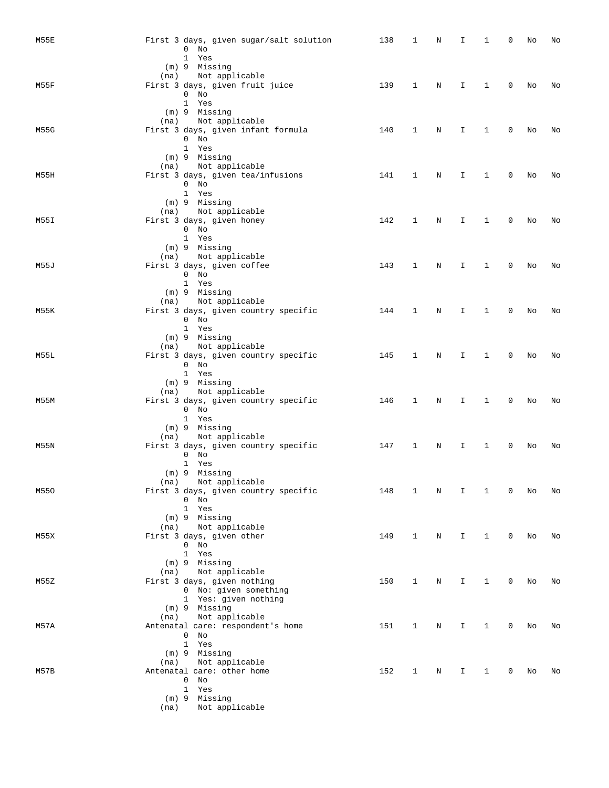| <b>M55E</b> |      | First 3 days, given sugar/salt solution                | 138 | 1           | N | I           | 1            | 0           | No | No |
|-------------|------|--------------------------------------------------------|-----|-------------|---|-------------|--------------|-------------|----|----|
|             |      | $0$ No                                                 |     |             |   |             |              |             |    |    |
|             |      | 1 Yes                                                  |     |             |   |             |              |             |    |    |
|             |      | (m) 9 Missing<br>(na) Not applicable                   |     |             |   |             |              |             |    |    |
| M55F        |      | First 3 days, given fruit juice                        | 139 | 1           | N | $\mathbf I$ | $\mathbf{1}$ | $\mathbf 0$ | No | No |
|             |      | $0$ No                                                 |     |             |   |             |              |             |    |    |
|             |      | 1 Yes                                                  |     |             |   |             |              |             |    |    |
|             |      | (m) 9 Missing<br>(na) Not applicable                   |     |             |   |             |              |             |    |    |
| M55G        |      | First 3 days, given infant formula                     | 140 | 1           | Ν | I           | $\mathbf{1}$ | $\mathbf 0$ | No | No |
|             |      | $0$ No                                                 |     |             |   |             |              |             |    |    |
|             |      | 1 Yes                                                  |     |             |   |             |              |             |    |    |
|             | (na) | (m) 9 Missing<br>Not applicable                        |     |             |   |             |              |             |    |    |
| M55H        |      | First 3 days, given tea/infusions                      | 141 | 1           | N | I           | 1            | $\mathbf 0$ | No | No |
|             |      | $0$ No                                                 |     |             |   |             |              |             |    |    |
|             |      | 1 Yes                                                  |     |             |   |             |              |             |    |    |
|             |      | (m) 9 Missing                                          |     |             |   |             |              |             |    |    |
| M55I        |      | (na) Not applicable<br>First 3 days, given honey       | 142 | 1           | N | I           | 1            | 0           | No | No |
|             |      | $0$ No                                                 |     |             |   |             |              |             |    |    |
|             |      | 1 Yes                                                  |     |             |   |             |              |             |    |    |
|             |      | (m) 9 Missing                                          |     |             |   |             |              |             |    |    |
| M55J        |      | (na) Not applicable<br>First 3 days, given coffee      | 143 | 1           | N | I           | $\mathbf{1}$ | $\mathbf 0$ | No | No |
|             |      | $0$ No                                                 |     |             |   |             |              |             |    |    |
|             |      | 1 Yes                                                  |     |             |   |             |              |             |    |    |
|             |      | $(m)$ 9 Missing                                        |     |             |   |             |              |             |    |    |
| M55K        | (na) | Not applicable<br>First 3 days, given country specific | 144 | $\mathbf 1$ | N | I           | $\mathbf{1}$ | 0           | No | No |
|             |      | $0$ No                                                 |     |             |   |             |              |             |    |    |
|             |      | 1 Yes                                                  |     |             |   |             |              |             |    |    |
|             |      | (m) 9 Missing                                          |     |             |   |             |              |             |    |    |
|             | (na) | Not applicable                                         |     |             |   |             |              | $\mathbf 0$ |    |    |
| M55L        |      | First 3 days, given country specific<br>$0$ No         | 145 | 1           | Ν | I           | $\mathbf{1}$ |             | No | No |
|             |      | 1 Yes                                                  |     |             |   |             |              |             |    |    |
|             |      | (m) 9 Missing                                          |     |             |   |             |              |             |    |    |
|             | (na) | Not applicable                                         |     |             |   |             |              |             |    |    |
| M55M        |      | First 3 days, given country specific<br>$0$ No         | 146 | 1           | N | I           | 1            | $\mathbf 0$ | No | No |
|             |      | 1 Yes                                                  |     |             |   |             |              |             |    |    |
|             |      | (m) 9 Missing                                          |     |             |   |             |              |             |    |    |
|             |      | (na) Not applicable                                    |     |             |   |             |              |             |    |    |
| M55N        |      | First 3 days, given country specific<br>$0$ No         | 147 | 1           | Ν | Ι           | 1            | 0           | No | No |
|             |      | 1 Yes                                                  |     |             |   |             |              |             |    |    |
|             |      | $(m)$ 9 Missing                                        |     |             |   |             |              |             |    |    |
|             | (na) | Not applicable                                         |     |             |   |             |              |             |    |    |
| M550        |      | First 3 days, given country specific<br>$0$ No         | 148 | 1           | Ν | Ι           | 1            | 0           | No | No |
|             |      | 1 Yes                                                  |     |             |   |             |              |             |    |    |
|             |      | (m) 9 Missing                                          |     |             |   |             |              |             |    |    |
|             |      | (na) Not applicable                                    |     |             |   |             |              |             |    |    |
| M55X        |      | First 3 days, given other<br>$0$ No                    | 149 | 1           | N | I           | 1            | 0           | No | No |
|             |      | 1 Yes                                                  |     |             |   |             |              |             |    |    |
|             |      | (m) 9 Missing                                          |     |             |   |             |              |             |    |    |
|             | (na) | Not applicable                                         |     |             |   |             |              |             |    |    |
| M55Z        |      | First 3 days, given nothing<br>0 No: given something   | 150 | $\mathbf 1$ | N | I.          | $\mathbf{1}$ | 0           | No | No |
|             |      | 1 Yes: given nothing                                   |     |             |   |             |              |             |    |    |
|             |      | (m) 9 Missing                                          |     |             |   |             |              |             |    |    |
|             | (na) | Not applicable                                         |     |             |   |             |              |             |    |    |
| M57A        |      | Antenatal care: respondent's home<br>$0$ No            | 151 | 1           | N | I           | 1            | 0           | No | No |
|             |      | 1 Yes                                                  |     |             |   |             |              |             |    |    |
|             |      | (m) 9 Missing                                          |     |             |   |             |              |             |    |    |
|             | (na) | Not applicable                                         |     |             |   |             |              |             |    |    |
| M57B        |      | Antenatal care: other home<br>$0$ No                   | 152 | 1           | N | I           | 1            | 0           | No | No |
|             |      | 1 Yes                                                  |     |             |   |             |              |             |    |    |
|             |      | (m) 9 Missing                                          |     |             |   |             |              |             |    |    |
|             | (na) | Not applicable                                         |     |             |   |             |              |             |    |    |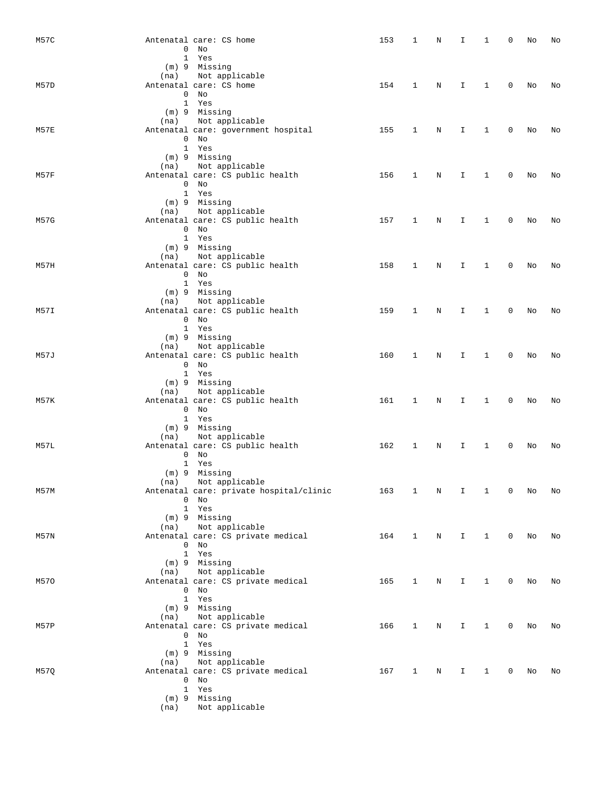| M57C |      | Antenatal care: CS home<br>$0$ No<br>1 Yes                                                           | 153 | 1            | N          | I  | 1            | 0            | No | No |
|------|------|------------------------------------------------------------------------------------------------------|-----|--------------|------------|----|--------------|--------------|----|----|
| M57D | (na) | (m) 9 Missing<br>Not applicable<br>Antenatal care: CS home<br>$0$ No<br>1 Yes                        | 154 | 1            | N          | I. | $\mathbf{1}$ | $\mathbf 0$  | No | No |
| M57E |      | (m) 9 Missing<br>(na) Not applicable<br>Antenatal care: government hospital<br>$0$ No<br>1 Yes       | 155 | $\mathbf 1$  | N          | Ι  | $\mathbf{1}$ | 0            | No | No |
| M57F |      | $(m)$ 9 Missing<br>(na) Not applicable<br>Antenatal care: CS public health<br>$0$ No                 | 156 | 1            | N          | I. | $\mathbf{1}$ | $\mathbf{0}$ | No | No |
| M57G |      | 1 Yes<br>(m) 9 Missing<br>(na) Not applicable<br>Antenatal care: CS public health<br>$0$ No<br>1 Yes | 157 | 1            | N          | I  | $\mathbf{1}$ | 0            | No | No |
| M57H |      | (m) 9 Missing<br>(na) Not applicable<br>Antenatal care: CS public health<br>$0$ No<br>1 Yes          | 158 | 1            | N          | Ι. | 1            | 0            | No | No |
| M57I |      | (m) 9 Missing<br>(na) Not applicable<br>Antenatal care: CS public health<br>$0$ No<br>1 Yes          | 159 | 1            | N          | I. | 1            | 0            | No | No |
| M57J |      | (m) 9 Missing<br>(na) Not applicable<br>Antenatal care: CS public health<br>$0$ No<br>1 Yes          | 160 | $\mathbf 1$  | N          | I  | $\mathbf{1}$ | $\mathbf 0$  | No | No |
| M57K |      | (m) 9 Missing<br>(na) Not applicable<br>Antenatal care: CS public health<br>$0$ No<br>1 Yes          | 161 | 1            | N          | I  | $\mathbf{1}$ | $\mathbf 0$  | No | No |
| M57L |      | $(m)$ 9 Missing<br>(na) Not applicable<br>Antenatal care: CS public health<br>$0$ No<br>1 Yes        | 162 | 1            | N          | I  | $\mathbf{1}$ | $\mathbf 0$  | No | No |
| M57M | (na) | (m) 9 Missing<br>Not applicable<br>Antenatal care: private hospital/clinic<br>$0$ No<br>1 Yes        | 163 | $\mathbf{1}$ | N          | Ι. | 1            | 0            | No | No |
| M57N |      | (m) 9 Missing<br>(na) Not applicable<br>Antenatal care: CS private medical<br>$0$ No<br>1 Yes        | 164 | 1            | N          | I. | 1            | 0            | No | No |
| M570 |      | $(m)$ 9 Missing<br>(na) Not applicable<br>Antenatal care: CS private medical<br>$0$ No<br>1 Yes      | 165 | $\mathbf{1}$ | $_{\rm N}$ | I. | $\mathbf{1}$ | 0            | No | No |
| M57P | (na) | (m) 9 Missing<br>Not applicable<br>Antenatal care: CS private medical<br>$0$ No<br>1 Yes             | 166 | $\mathbf{1}$ | N          | I. | $\mathbf{1}$ | 0            | No | No |
| M57Q |      | (m) 9 Missing<br>(na) Not applicable<br>Antenatal care: CS private medical<br>$0$ No<br>1 Yes        | 167 | $\mathbf{1}$ | N          | Ι. | $\mathbf{1}$ | 0            | No | No |
|      | (na) | (m) 9 Missing<br>Not applicable                                                                      |     |              |            |    |              |              |    |    |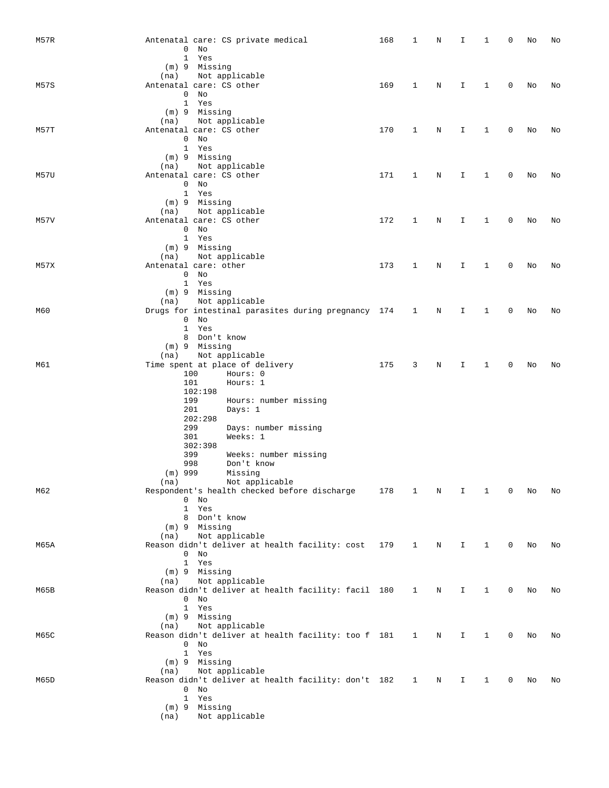| M57R        | Antenatal care: CS private medical<br>$0$ No<br>$\mathbf{1}$<br>Yes                                                     | 168 | 1            | N           | I            | 1            | 0            | No | No |
|-------------|-------------------------------------------------------------------------------------------------------------------------|-----|--------------|-------------|--------------|--------------|--------------|----|----|
| M57S        | (m) 9 Missing<br>Not applicable<br>(na)<br>Antenatal care: CS other<br>$0$ No<br>1 Yes                                  | 169 | 1            | N           | I.           | 1            | 0            | No | No |
| M57T        | (m) 9 Missing<br>Not applicable<br>(na)<br>Antenatal care: CS other<br>$0$ No<br>1 Yes                                  | 170 | $\mathbf{1}$ | N           | I            | 1            | 0            | No | No |
| <b>M57U</b> | (m) 9 Missing<br>Not applicable<br>(na)<br>Antenatal care: CS other<br>$0$ No<br>1 Yes                                  | 171 | 1            | N           | I            | $\mathbf{1}$ | 0            | No | No |
| M57V        | (m) 9 Missing<br>Not applicable<br>(na)<br>Antenatal care: CS other<br>$0$ No<br>1 Yes                                  | 172 | 1            | Ν           | Ι            | 1            | 0            | No | No |
| M57X        | (m) 9 Missing<br>Not applicable<br>(na)<br>Antenatal care: other<br>$0$ No<br>1 Yes                                     | 173 | 1            | N           | I            | 1            | 0            | No | No |
| M60         | (m) 9 Missing<br>Not applicable<br>(na)<br>Drugs for intestinal parasites during pregnancy 174<br>$0$ No<br>1 Yes       |     | $\mathbf{1}$ | N           | I.           | 1            | 0            | No | No |
| M61         | 8 Don't know<br>(m) 9 Missing<br>Not applicable<br>(na)<br>Time spent at place of delivery<br>100<br>Hours: 0           | 175 | 3            | N           | I            | 1            | 0            | No | No |
|             | 101<br>Hours: 1<br>102:198<br>199<br>Hours: number missing<br>201<br>Days: 1<br>202:298                                 |     |              |             |              |              |              |    |    |
|             | 299<br>Days: number missing<br>Weeks: 1<br>301<br>302:398<br>399<br>Weeks: number missing<br>Don't know<br>998          |     |              |             |              |              |              |    |    |
| M62         | $(m)$ 999<br>Missing<br>Not applicable<br>(na)<br>Respondent's health checked before discharge<br>$0$ No<br>1 Yes       | 178 | $\mathbf{1}$ | N           | Ι.           | 1            | 0            | No | No |
| M65A        | 8 Don't know<br>(m) 9 Missing<br>Not applicable<br>(na)<br>Reason didn't deliver at health facility: cost 179<br>$0$ No |     | 1            | N           | I.           | $\mathbf{1}$ | $\mathbf{0}$ | No | No |
| M65B        | 1 Yes<br>(m) 9 Missing<br>Not applicable<br>(na)<br>Reason didn't deliver at health facility: facil 180 1<br>$0$ No     |     |              | $_{\rm N}$  | $\mathbf{I}$ | $\mathbf{1}$ | 0            | No | No |
| M65C        | 1 Yes<br>$(m)$ 9 Missing<br>Not applicable<br>(na)<br>Reason didn't deliver at health facility: too f 181 1<br>$0$ No   |     |              | $_{\rm N}$  | I.           | $\mathbf{1}$ | 0            | No | No |
| M65D        | 1 Yes<br>(m) 9 Missing<br>Not applicable<br>(na)<br>Reason didn't deliver at health facility: don't 182<br>$0$ No       |     | $\mathbf{1}$ | $\mathbf N$ | I.           | 1            | 0            | No | No |
|             | 1 Yes<br>$(m)$ 9 Missing<br>Not applicable<br>(na)                                                                      |     |              |             |              |              |              |    |    |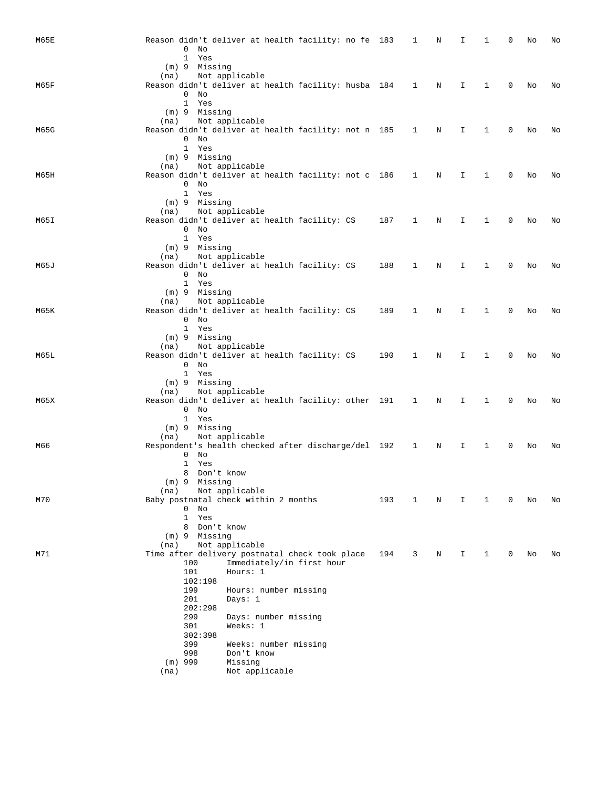| M65E | Reason didn't deliver at health facility: no fe 183                 |                           |  |     | 1            | Ν | I           | 1            | 0           | No | No |
|------|---------------------------------------------------------------------|---------------------------|--|-----|--------------|---|-------------|--------------|-------------|----|----|
|      | $0$ No                                                              |                           |  |     |              |   |             |              |             |    |    |
|      | 1 Yes<br>(m) 9 Missing                                              |                           |  |     |              |   |             |              |             |    |    |
|      | (na)                                                                | Not applicable            |  |     |              |   |             |              |             |    |    |
| M65F | Reason didn't deliver at health facility: husba 184 1               |                           |  |     |              | N | Ι.          | $\mathbf{1}$ | 0           | No | No |
|      | $0$ No<br>1 Yes                                                     |                           |  |     |              |   |             |              |             |    |    |
|      | (m) 9 Missing                                                       |                           |  |     |              |   |             |              |             |    |    |
|      | (na)                                                                | Not applicable            |  |     |              |   |             |              |             |    |    |
| M65G | Reason didn't deliver at health facility: not n 185 1               |                           |  |     |              | N | Ι.          | $\mathbf{1}$ | 0           | No | No |
|      | $0$ No<br>1 Yes                                                     |                           |  |     |              |   |             |              |             |    |    |
|      | (m) 9 Missing                                                       |                           |  |     |              |   |             |              |             |    |    |
|      | (na)                                                                | Not applicable            |  |     |              |   |             |              |             |    |    |
| M65H | Reason didn't deliver at health facility: not c 186 1<br>$0$ No     |                           |  |     |              | N | Ι.          | $\mathbf{1}$ | 0           | No | No |
|      | 1 Yes                                                               |                           |  |     |              |   |             |              |             |    |    |
|      | (m) 9 Missing                                                       |                           |  |     |              |   |             |              |             |    |    |
|      | (na)                                                                | Not applicable            |  |     |              |   |             |              |             |    |    |
| M65I | Reason didn't deliver at health facility: CS<br>$0$ No              |                           |  | 187 | 1            | N | Ι.          | $\mathbf{1}$ | 0           | No | No |
|      | 1 Yes                                                               |                           |  |     |              |   |             |              |             |    |    |
|      | (m) 9 Missing                                                       |                           |  |     |              |   |             |              |             |    |    |
| M65J | (na) Not applicable<br>Reason didn't deliver at health facility: CS |                           |  | 188 | 1            | N | I.          | $\mathbf{1}$ | 0           | No | No |
|      | $0$ No                                                              |                           |  |     |              |   |             |              |             |    |    |
|      | 1 Yes                                                               |                           |  |     |              |   |             |              |             |    |    |
|      | (m) 9 Missing                                                       |                           |  |     |              |   |             |              |             |    |    |
| M65K | (na)<br>Reason didn't deliver at health facility: CS                | Not applicable            |  | 189 | 1            | N | I           | 1            | 0           | No | No |
|      | $0$ No                                                              |                           |  |     |              |   |             |              |             |    |    |
|      | 1 Yes                                                               |                           |  |     |              |   |             |              |             |    |    |
|      | (m) 9 Missing<br>(na)                                               | Not applicable            |  |     |              |   |             |              |             |    |    |
| M65L | Reason didn't deliver at health facility: CS                        |                           |  | 190 | 1            | N | $\mathbf I$ | $\mathbf{1}$ | $\mathbf 0$ | No | No |
|      | $0$ No                                                              |                           |  |     |              |   |             |              |             |    |    |
|      | 1 Yes<br>(m) 9 Missing                                              |                           |  |     |              |   |             |              |             |    |    |
|      | (na)                                                                | Not applicable            |  |     |              |   |             |              |             |    |    |
| M65X | Reason didn't deliver at health facility: other 191 1               |                           |  |     |              | N | Ι.          | $\mathbf{1}$ | 0           | No | No |
|      | $0$ No<br>1 Yes                                                     |                           |  |     |              |   |             |              |             |    |    |
|      | (m) 9 Missing                                                       |                           |  |     |              |   |             |              |             |    |    |
|      | (na)                                                                | Not applicable            |  |     |              |   |             |              |             |    |    |
| M66  | Respondent's health checked after discharge/del 192                 |                           |  |     | $\mathbf{1}$ | Ν | Ι.          | 1            | 0           | No | No |
|      | $0$ No<br>1 Yes                                                     |                           |  |     |              |   |             |              |             |    |    |
|      | 8 Don't know                                                        |                           |  |     |              |   |             |              |             |    |    |
|      | (m) 9 Missing                                                       |                           |  |     |              |   |             |              |             |    |    |
| M70  | (na)<br>Baby postnatal check within 2 months                        | Not applicable            |  | 193 | 1            | N | I.          | 1            | 0           | No | No |
|      | $\circ$<br>No                                                       |                           |  |     |              |   |             |              |             |    |    |
|      | $\mathbf{1}$<br>Yes                                                 |                           |  |     |              |   |             |              |             |    |    |
|      | 8 Don't know                                                        |                           |  |     |              |   |             |              |             |    |    |
|      | $(m)$ 9 Missing<br>(na)                                             | Not applicable            |  |     |              |   |             |              |             |    |    |
| M71  | Time after delivery postnatal check took place                      |                           |  | 194 | 3            | Ν | I.          | 1            | 0           | No | No |
|      | 100                                                                 | Immediately/in first hour |  |     |              |   |             |              |             |    |    |
|      | 101<br>102:198                                                      | Hours: 1                  |  |     |              |   |             |              |             |    |    |
|      | 199                                                                 | Hours: number missing     |  |     |              |   |             |              |             |    |    |
|      | 201                                                                 | Days: $1$                 |  |     |              |   |             |              |             |    |    |
|      | 202:298<br>299                                                      | Days: number missing      |  |     |              |   |             |              |             |    |    |
|      | 301                                                                 | Weeks: 1                  |  |     |              |   |             |              |             |    |    |
|      | 302:398                                                             |                           |  |     |              |   |             |              |             |    |    |
|      | 399                                                                 | Weeks: number missing     |  |     |              |   |             |              |             |    |    |
|      | 998<br>$(m)$ 999                                                    | Don't know<br>Missing     |  |     |              |   |             |              |             |    |    |
|      | (na)                                                                | Not applicable            |  |     |              |   |             |              |             |    |    |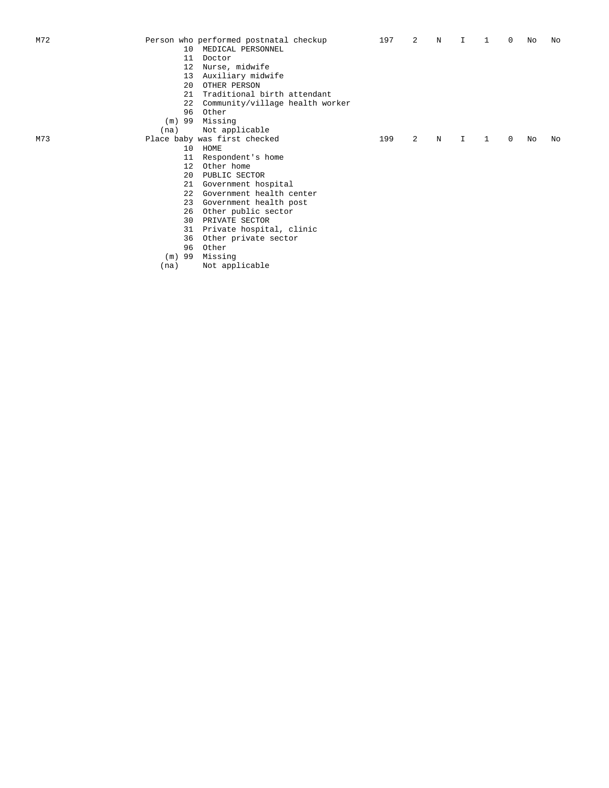| M72 |                 | Person who performed postnatal checkup | 197 | 2 | N | I | -1 | $\Omega$ | No | No |
|-----|-----------------|----------------------------------------|-----|---|---|---|----|----------|----|----|
|     | 10              | MEDICAL PERSONNEL                      |     |   |   |   |    |          |    |    |
|     | 11              | Doctor                                 |     |   |   |   |    |          |    |    |
|     | 12 <sup>°</sup> | Nurse, midwife                         |     |   |   |   |    |          |    |    |
|     | 13              | Auxiliary midwife                      |     |   |   |   |    |          |    |    |
|     | $20^{\circ}$    | OTHER PERSON                           |     |   |   |   |    |          |    |    |
|     | 21              | Traditional birth attendant            |     |   |   |   |    |          |    |    |
|     | 22              | Community/village health worker        |     |   |   |   |    |          |    |    |
|     | 96              | Other                                  |     |   |   |   |    |          |    |    |
|     | 99<br>(m)       | Missing                                |     |   |   |   |    |          |    |    |
|     | (na)            | Not applicable                         |     |   |   |   |    |          |    |    |
| M73 |                 | Place baby was first checked           | 199 | 2 | N | I | 1  | 0        | No | No |
|     |                 | 10 HOME                                |     |   |   |   |    |          |    |    |
|     | 11              | Respondent's home                      |     |   |   |   |    |          |    |    |
|     | 12 <sup>2</sup> | Other home                             |     |   |   |   |    |          |    |    |
|     | $20^{\circ}$    | PUBLIC SECTOR                          |     |   |   |   |    |          |    |    |
|     | 21              | Government hospital                    |     |   |   |   |    |          |    |    |
|     | $2.2^{\circ}$   | Government health center               |     |   |   |   |    |          |    |    |
|     | 23              | Government health post                 |     |   |   |   |    |          |    |    |
|     | 26              | Other public sector                    |     |   |   |   |    |          |    |    |
|     | 30              | PRIVATE SECTOR                         |     |   |   |   |    |          |    |    |
|     | 31              | Private hospital, clinic               |     |   |   |   |    |          |    |    |
|     | 36              | Other private sector                   |     |   |   |   |    |          |    |    |
|     | 96              | Other                                  |     |   |   |   |    |          |    |    |
|     | 99<br>(m)       | Missing                                |     |   |   |   |    |          |    |    |
|     | (na)            | Not applicable                         |     |   |   |   |    |          |    |    |
|     |                 |                                        |     |   |   |   |    |          |    |    |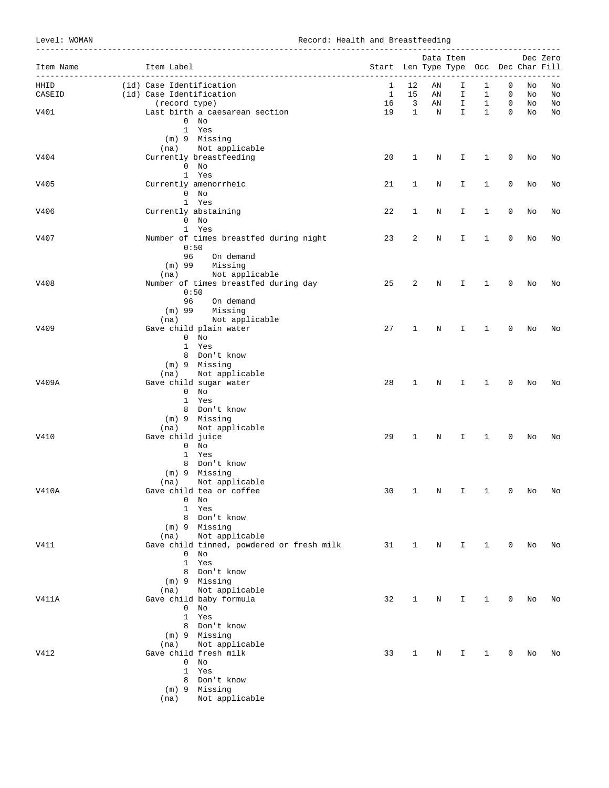Level: WOMAN Record: Health and Breastfeeding

|           |                                |                                           |                                       |                         |             |            | ---------------------- |                |    |          |
|-----------|--------------------------------|-------------------------------------------|---------------------------------------|-------------------------|-------------|------------|------------------------|----------------|----|----------|
|           |                                |                                           |                                       |                         |             | Data Item  |                        |                |    | Dec Zero |
| Item Name | Item Label                     |                                           | Start Len Type Type Occ Dec Char Fill |                         |             | ---------- |                        |                |    |          |
| HHID      | (id) Case Identification       |                                           | 1                                     | 12                      | ΑN          | I.         | 1                      | 0              | No | No       |
| CASEID    | (id) Case Identification       |                                           | 1                                     | 15                      | AN          | I.         | $\mathbf{1}$           | 0              | No | No       |
|           | (record type)                  |                                           | 16                                    | $\overline{\mathbf{3}}$ | AN          | I          | $\mathbf{1}$           | 0              | No | No       |
| V401      |                                | Last birth a caesarean section            | 19                                    | $\mathbf{1}$            | $\mathbf N$ | I.         | $\mathbf{1}$           | $\mathbf 0$    | No | No       |
|           |                                | $0$ No                                    |                                       |                         |             |            |                        |                |    |          |
|           |                                | 1 Yes                                     |                                       |                         |             |            |                        |                |    |          |
|           |                                | (m) 9 Missing<br>(na) Not applicable      |                                       |                         |             |            |                        |                |    |          |
| V404      |                                | Currently breastfeeding                   | 20                                    | $\mathbf{1}$            | N           | I.         | $\mathbf{1}$           | 0              | No | No       |
|           | $0$ No                         |                                           |                                       |                         |             |            |                        |                |    |          |
|           |                                | 1 Yes                                     |                                       |                         |             |            |                        |                |    |          |
| V405      |                                | Currently amenorrheic                     | 21                                    | 1                       | Ν           | I          | 1                      | 0              | No | No       |
|           | $0$ No                         |                                           |                                       |                         |             |            |                        |                |    |          |
|           |                                | 1 Yes                                     |                                       |                         |             |            |                        |                |    |          |
| V406      | Currently abstaining<br>$0$ No |                                           | 22                                    | 1                       | Ν           | I          | 1                      | 0              | No | No       |
|           |                                | 1 Yes                                     |                                       |                         |             |            |                        |                |    |          |
| V407      |                                | Number of times breastfed during night    | 23                                    | 2                       | Ν           | I.         | 1                      | 0              | No | No       |
|           | 0:50                           |                                           |                                       |                         |             |            |                        |                |    |          |
|           | 96                             | On demand                                 |                                       |                         |             |            |                        |                |    |          |
|           | (m) 99                         | Missing                                   |                                       |                         |             |            |                        |                |    |          |
|           |                                | (na) Not applicable                       |                                       |                         |             |            |                        |                |    |          |
| V408      |                                | Number of times breastfed during day      | 25                                    | 2                       | Ν           | I          | 1                      | 0              | No | No       |
|           | 0:50<br>96                     | On demand                                 |                                       |                         |             |            |                        |                |    |          |
|           | $(m)$ 99                       | Missing                                   |                                       |                         |             |            |                        |                |    |          |
|           | (na)                           | Not applicable                            |                                       |                         |             |            |                        |                |    |          |
| V409      |                                | Gave child plain water                    | 27                                    | 1                       | N           | I          | 1                      | 0              | No | No       |
|           | $0$ No                         |                                           |                                       |                         |             |            |                        |                |    |          |
|           |                                | 1 Yes                                     |                                       |                         |             |            |                        |                |    |          |
|           |                                | 8 Don't know                              |                                       |                         |             |            |                        |                |    |          |
|           |                                | (m) 9 Missing<br>Not applicable           |                                       |                         |             |            |                        |                |    |          |
| V409A     | (na)                           | Gave child sugar water                    | 28                                    | 1                       | N           | I          | 1                      | 0              | No | No       |
|           | $0$ No                         |                                           |                                       |                         |             |            |                        |                |    |          |
|           |                                | 1 Yes                                     |                                       |                         |             |            |                        |                |    |          |
|           |                                | 8 Don't know                              |                                       |                         |             |            |                        |                |    |          |
|           |                                | (m) 9 Missing                             |                                       |                         |             |            |                        |                |    |          |
|           | (na)                           | Not applicable                            |                                       |                         |             |            |                        |                |    |          |
| V410      | Gave child juice<br>$0$ No     |                                           | 29                                    | 1                       | N           | I          | 1                      | 0              | No | No       |
|           | $\mathbf{1}$                   | Yes                                       |                                       |                         |             |            |                        |                |    |          |
|           |                                | 8 Don't know                              |                                       |                         |             |            |                        |                |    |          |
|           |                                | (m) 9 Missing                             |                                       |                         |             |            |                        |                |    |          |
|           | (na)                           | Not applicable                            |                                       |                         |             |            |                        |                |    |          |
| V410A     |                                | Gave child tea or coffee                  | 30                                    |                         |             | 1 N I 1    |                        | $\overline{0}$ | No | No       |
|           | 0                              | No                                        |                                       |                         |             |            |                        |                |    |          |
|           | 1                              | Yes                                       |                                       |                         |             |            |                        |                |    |          |
|           |                                | 8 Don't know<br>$(m)$ 9 Missing           |                                       |                         |             |            |                        |                |    |          |
|           | (na)                           | Not applicable                            |                                       |                         |             |            |                        |                |    |          |
| V411      |                                | Gave child tinned, powdered or fresh milk | 31                                    | $\mathbf 1$             | N           | Ι.         | $\mathbf{1}$           | 0              | No | No       |
|           |                                | $0$ No                                    |                                       |                         |             |            |                        |                |    |          |
|           |                                | 1 Yes                                     |                                       |                         |             |            |                        |                |    |          |
|           |                                | 8 Don't know                              |                                       |                         |             |            |                        |                |    |          |
|           |                                | (m) 9 Missing                             |                                       |                         |             |            |                        |                |    |          |
| V411A     | (na)                           | Not applicable<br>Gave child baby formula | 32                                    |                         |             |            |                        |                |    |          |
|           |                                | $0$ No                                    |                                       | $\mathbf{1}$            | N           | I.         | 1                      | 0              | No | No       |
|           |                                | 1 Yes                                     |                                       |                         |             |            |                        |                |    |          |
|           |                                | 8 Don't know                              |                                       |                         |             |            |                        |                |    |          |
|           |                                | (m) 9 Missing                             |                                       |                         |             |            |                        |                |    |          |
|           | (na)                           | Not applicable                            |                                       |                         |             |            |                        |                |    |          |
| V412      |                                | Gave child fresh milk                     | 33                                    | $\mathbf{1}$            | N           | Ι.         | 1                      | 0              | No | No       |
|           |                                | $0$ No                                    |                                       |                         |             |            |                        |                |    |          |
|           |                                | 1 Yes<br>8 Don't know                     |                                       |                         |             |            |                        |                |    |          |
|           |                                | (m) 9 Missing                             |                                       |                         |             |            |                        |                |    |          |
|           | (na)                           | Not applicable                            |                                       |                         |             |            |                        |                |    |          |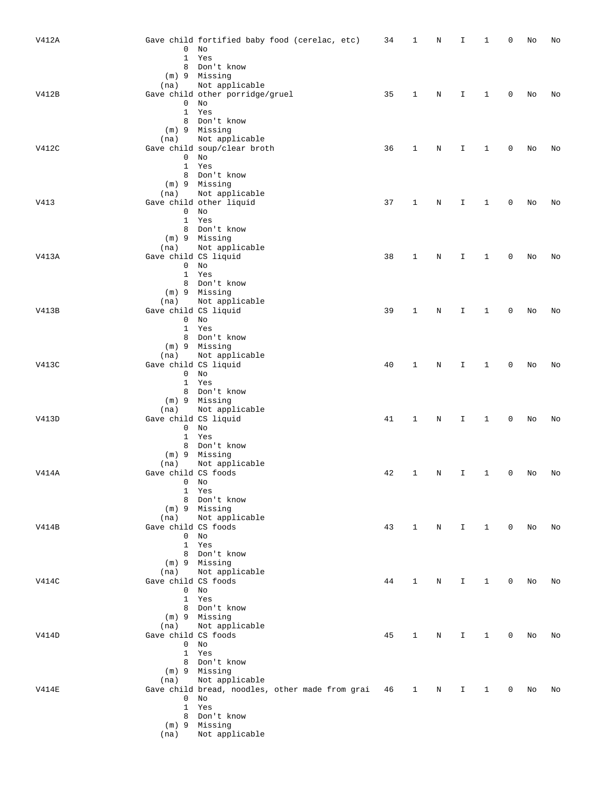| V412A |                      | Gave child fortified baby food (cerelac, etc)   | 34 | 1            | Ν          | I            | 1            | 0 | No | No |
|-------|----------------------|-------------------------------------------------|----|--------------|------------|--------------|--------------|---|----|----|
|       | 0                    | No                                              |    |              |            |              |              |   |    |    |
|       | $\mathbf{1}$         | Yes                                             |    |              |            |              |              |   |    |    |
|       |                      |                                                 |    |              |            |              |              |   |    |    |
|       | 8                    | Don't know                                      |    |              |            |              |              |   |    |    |
|       |                      | (m) 9 Missing                                   |    |              |            |              |              |   |    |    |
|       | (na)                 | Not applicable                                  |    |              |            |              |              |   |    |    |
| V412B |                      | Gave child other porridge/gruel                 | 35 | 1            | Ν          | I            | 1            | 0 | No | No |
|       |                      | $0$ No                                          |    |              |            |              |              |   |    |    |
|       | $\mathbf{1}$         | Yes                                             |    |              |            |              |              |   |    |    |
|       |                      | 8 Don't know                                    |    |              |            |              |              |   |    |    |
|       |                      | (m) 9 Missing                                   |    |              |            |              |              |   |    |    |
|       | (na)                 | Not applicable                                  |    |              |            |              |              |   |    |    |
| V412C |                      | Gave child soup/clear broth                     | 36 | 1            | N          | I            | 1            | 0 | No | No |
|       |                      | $0$ No                                          |    |              |            |              |              |   |    |    |
|       |                      | 1 Yes                                           |    |              |            |              |              |   |    |    |
|       |                      |                                                 |    |              |            |              |              |   |    |    |
|       |                      | 8 Don't know                                    |    |              |            |              |              |   |    |    |
|       |                      | (m) 9 Missing                                   |    |              |            |              |              |   |    |    |
|       | (na)                 | Not applicable                                  |    |              |            |              |              |   |    |    |
| V413  |                      | Gave child other liquid                         | 37 | 1            | Ν          | I            | 1            | 0 | No | No |
|       |                      | $0$ No                                          |    |              |            |              |              |   |    |    |
|       | $\mathbf{1}$         | Yes                                             |    |              |            |              |              |   |    |    |
|       |                      | 8 Don't know                                    |    |              |            |              |              |   |    |    |
|       |                      | (m) 9 Missing                                   |    |              |            |              |              |   |    |    |
|       | (na)                 | Not applicable                                  |    |              |            |              |              |   |    |    |
|       |                      |                                                 |    |              |            |              |              |   |    |    |
| V413A | Gave child CS liquid |                                                 | 38 | 1            | N          | I            | 1            | 0 | No | No |
|       |                      | $0$ No                                          |    |              |            |              |              |   |    |    |
|       | $\mathbf{1}$         | Yes                                             |    |              |            |              |              |   |    |    |
|       |                      | 8 Don't know                                    |    |              |            |              |              |   |    |    |
|       |                      | $(m)$ 9 Missing                                 |    |              |            |              |              |   |    |    |
|       | (na)                 | Not applicable                                  |    |              |            |              |              |   |    |    |
| V413B | Gave child CS liquid |                                                 | 39 | 1            | Ν          | I            | 1            | 0 | No | No |
|       |                      | $0$ No                                          |    |              |            |              |              |   |    |    |
|       | $\mathbf{1}$         | Yes                                             |    |              |            |              |              |   |    |    |
|       |                      |                                                 |    |              |            |              |              |   |    |    |
|       |                      | 8 Don't know                                    |    |              |            |              |              |   |    |    |
|       |                      | (m) 9 Missing                                   |    |              |            |              |              |   |    |    |
|       | (na)                 | Not applicable                                  |    |              |            |              |              |   |    |    |
| V413C | Gave child CS liquid |                                                 | 40 | 1            | Ν          | I            | 1            | 0 | No | No |
|       |                      | $0$ No                                          |    |              |            |              |              |   |    |    |
|       | $\mathbf{1}$         | Yes                                             |    |              |            |              |              |   |    |    |
|       |                      | 8 Don't know                                    |    |              |            |              |              |   |    |    |
|       |                      | (m) 9 Missing                                   |    |              |            |              |              |   |    |    |
|       |                      |                                                 |    |              |            |              |              |   |    |    |
|       | (na)                 | Not applicable                                  |    |              |            |              |              |   |    |    |
| V413D | Gave child CS liquid |                                                 | 41 | 1            | Ν          | Ι            | 1            | 0 | No | No |
|       |                      | $0$ No                                          |    |              |            |              |              |   |    |    |
|       | $\mathbf{1}$         | Yes                                             |    |              |            |              |              |   |    |    |
|       |                      | 8 Don't know                                    |    |              |            |              |              |   |    |    |
|       |                      | (m) 9 Missing                                   |    |              |            |              |              |   |    |    |
|       | (na)                 | Not applicable                                  |    |              |            |              |              |   |    |    |
| V414A | Gave child CS foods  |                                                 | 42 | 1            | Ν          | Ι            | 1            | 0 | No | No |
|       |                      | $0$ No                                          |    |              |            |              |              |   |    |    |
|       |                      | 1 Yes                                           |    |              |            |              |              |   |    |    |
|       |                      |                                                 |    |              |            |              |              |   |    |    |
|       |                      | 8 Don't know                                    |    |              |            |              |              |   |    |    |
|       |                      | (m) 9 Missing                                   |    |              |            |              |              |   |    |    |
|       | (na)                 | Not applicable                                  |    |              |            |              |              |   |    |    |
| V414B | Gave child CS foods  |                                                 | 43 | $\mathbf{1}$ | $_{\rm N}$ | $\mathbf{I}$ | $\mathbf{1}$ | 0 | No | No |
|       | 0                    | No                                              |    |              |            |              |              |   |    |    |
|       |                      | 1 Yes                                           |    |              |            |              |              |   |    |    |
|       |                      | 8 Don't know                                    |    |              |            |              |              |   |    |    |
|       |                      | (m) 9 Missing                                   |    |              |            |              |              |   |    |    |
|       | (na)                 | Not applicable                                  |    |              |            |              |              |   |    |    |
|       |                      |                                                 |    |              |            |              |              |   |    |    |
| V414C | Gave child CS foods  |                                                 | 44 | $\mathbf{1}$ | N          | Ι.           | $\mathbf{1}$ | 0 | No | No |
|       |                      | $0$ No                                          |    |              |            |              |              |   |    |    |
|       |                      | 1 Yes                                           |    |              |            |              |              |   |    |    |
|       |                      | 8 Don't know                                    |    |              |            |              |              |   |    |    |
|       |                      | (m) 9 Missing                                   |    |              |            |              |              |   |    |    |
|       | (na)                 | Not applicable                                  |    |              |            |              |              |   |    |    |
| V414D | Gave child CS foods  |                                                 | 45 | 1            | N          | Ι.           | $\mathbf{1}$ | 0 | No | No |
|       |                      | $0$ No                                          |    |              |            |              |              |   |    |    |
|       |                      | 1 Yes                                           |    |              |            |              |              |   |    |    |
|       |                      | 8 Don't know                                    |    |              |            |              |              |   |    |    |
|       |                      |                                                 |    |              |            |              |              |   |    |    |
|       |                      | (m) 9 Missing                                   |    |              |            |              |              |   |    |    |
|       | (na)                 | Not applicable                                  |    |              |            |              |              |   |    |    |
| V414E |                      | Gave child bread, noodles, other made from grai | 46 | 1            | N          | Ι.           | 1            | 0 | No | No |
|       |                      | $0$ No                                          |    |              |            |              |              |   |    |    |
|       |                      | 1 Yes                                           |    |              |            |              |              |   |    |    |
|       |                      | 8 Don't know                                    |    |              |            |              |              |   |    |    |
|       |                      | (m) 9 Missing                                   |    |              |            |              |              |   |    |    |
|       | (na)                 | Not applicable                                  |    |              |            |              |              |   |    |    |
|       |                      |                                                 |    |              |            |              |              |   |    |    |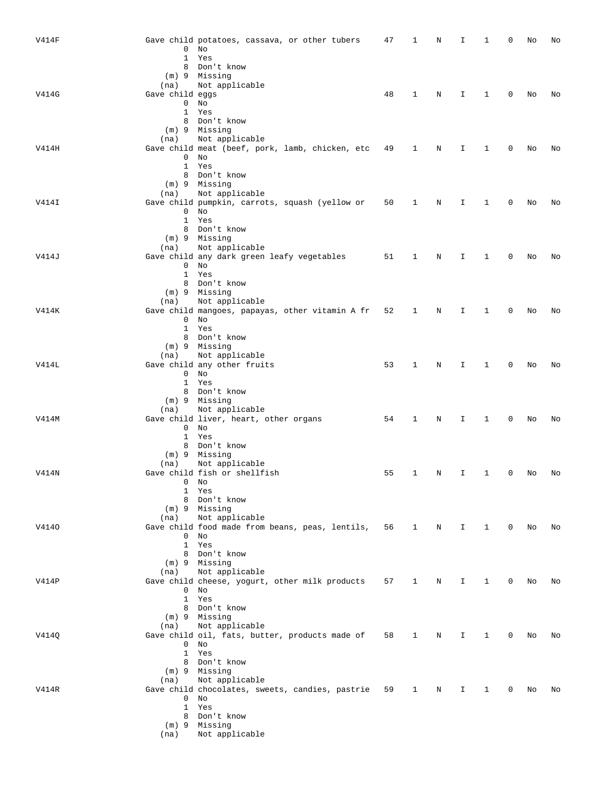| V414F |                      | Gave child potatoes, cassava, or other tubers               | 47 | 1            | Ν          | Ι            | 1            | 0 | No | No |
|-------|----------------------|-------------------------------------------------------------|----|--------------|------------|--------------|--------------|---|----|----|
|       | 0                    | No                                                          |    |              |            |              |              |   |    |    |
|       | 1                    | Yes                                                         |    |              |            |              |              |   |    |    |
|       |                      | 8 Don't know                                                |    |              |            |              |              |   |    |    |
|       |                      | (m) 9 Missing                                               |    |              |            |              |              |   |    |    |
| V414G | (na)                 | Not applicable                                              | 48 | 1            |            | I            | 1            | 0 |    |    |
|       | Gave child eggs<br>0 | No                                                          |    |              | N          |              |              |   | No | No |
|       | 1                    | Yes                                                         |    |              |            |              |              |   |    |    |
|       |                      | 8 Don't know                                                |    |              |            |              |              |   |    |    |
|       |                      | (m) 9 Missing                                               |    |              |            |              |              |   |    |    |
|       | (na)                 | Not applicable                                              |    |              |            |              |              |   |    |    |
| V414H |                      | Gave child meat (beef, pork, lamb, chicken, etc             | 49 | 1            | N          | I            | 1            | 0 | No | No |
|       | $\overline{0}$       | No                                                          |    |              |            |              |              |   |    |    |
|       | $\mathbf 1$          | Yes<br>8 Don't know                                         |    |              |            |              |              |   |    |    |
|       |                      | (m) 9 Missing                                               |    |              |            |              |              |   |    |    |
|       | (na)                 | Not applicable                                              |    |              |            |              |              |   |    |    |
| V414I |                      | Gave child pumpkin, carrots, squash (yellow or              | 50 | 1            | N          | I            | 1            | 0 | No | No |
|       |                      | $0$ No                                                      |    |              |            |              |              |   |    |    |
|       | $\mathbf{1}$         | Yes                                                         |    |              |            |              |              |   |    |    |
|       |                      | 8 Don't know                                                |    |              |            |              |              |   |    |    |
|       | (na)                 | (m) 9 Missing<br>Not applicable                             |    |              |            |              |              |   |    |    |
| V414J |                      | Gave child any dark green leafy vegetables                  | 51 | 1            | N          | Ι            | 1            | 0 | No | No |
|       | $\overline{0}$       | No                                                          |    |              |            |              |              |   |    |    |
|       |                      | 1 Yes                                                       |    |              |            |              |              |   |    |    |
|       |                      | 8 Don't know                                                |    |              |            |              |              |   |    |    |
|       |                      | (m) 9 Missing                                               |    |              |            |              |              |   |    |    |
| V414K | (na)                 | Not applicable                                              |    |              |            | I            | 1            | 0 |    |    |
|       |                      | Gave child mangoes, papayas, other vitamin A fr<br>$0$ No   | 52 | 1            | Ν          |              |              |   | No | No |
|       |                      | 1 Yes                                                       |    |              |            |              |              |   |    |    |
|       |                      | 8 Don't know                                                |    |              |            |              |              |   |    |    |
|       |                      | (m) 9 Missing                                               |    |              |            |              |              |   |    |    |
|       | (na)                 | Not applicable                                              |    |              |            |              |              |   |    |    |
| V414L |                      | Gave child any other fruits                                 | 53 | 1            | N          | I            | 1            | 0 | No | No |
|       | $\mathbf{1}$         | $0$ No<br>Yes                                               |    |              |            |              |              |   |    |    |
|       |                      | 8 Don't know                                                |    |              |            |              |              |   |    |    |
|       |                      | (m) 9 Missing                                               |    |              |            |              |              |   |    |    |
|       | (na)                 | Not applicable                                              |    |              |            |              |              |   |    |    |
| V414M |                      | Gave child liver, heart, other organs                       | 54 | 1            | N          | I            | 1            | 0 | No | No |
|       |                      | $0$ No                                                      |    |              |            |              |              |   |    |    |
|       | 1                    | Yes<br>8 Don't know                                         |    |              |            |              |              |   |    |    |
|       |                      | (m) 9 Missing                                               |    |              |            |              |              |   |    |    |
|       | (na)                 | Not applicable                                              |    |              |            |              |              |   |    |    |
| V414N |                      | Gave child fish or shellfish                                | 55 | 1            | N          | I            | 1            | 0 | No | No |
|       | $\overline{0}$       | No                                                          |    |              |            |              |              |   |    |    |
|       |                      | 1 Yes                                                       |    |              |            |              |              |   |    |    |
|       |                      | 8 Don't know                                                |    |              |            |              |              |   |    |    |
|       | (na)                 | (m) 9 Missing<br>Not applicable                             |    |              |            |              |              |   |    |    |
| V4140 |                      | Gave child food made from beans, peas, lentils, 56 1        |    |              | $_{\rm N}$ | $\mathbf{I}$ | $\mathbf{1}$ | 0 | No | No |
|       |                      | $0$ No                                                      |    |              |            |              |              |   |    |    |
|       |                      | 1 Yes                                                       |    |              |            |              |              |   |    |    |
|       |                      | 8 Don't know                                                |    |              |            |              |              |   |    |    |
|       |                      | $(m)$ 9 Missing                                             |    |              |            |              |              |   |    |    |
|       | (na)                 | Not applicable                                              |    |              |            |              |              |   |    |    |
| V414P |                      | Gave child cheese, yogurt, other milk products 57<br>$0$ No |    | $\mathbf{1}$ | N          | Ι.           | $\mathbf{1}$ | 0 | No | No |
|       |                      | 1 Yes                                                       |    |              |            |              |              |   |    |    |
|       |                      | 8 Don't know                                                |    |              |            |              |              |   |    |    |
|       |                      | (m) 9 Missing                                               |    |              |            |              |              |   |    |    |
|       | (na)                 | Not applicable                                              |    |              |            |              |              |   |    |    |
| V414Q |                      | Gave child oil, fats, butter, products made of 58           |    | $\mathbf{1}$ | N          | I.           | $\mathbf{1}$ | 0 | No | No |
|       |                      | $0$ No<br>1 Yes                                             |    |              |            |              |              |   |    |    |
|       |                      | 8 Don't know                                                |    |              |            |              |              |   |    |    |
|       |                      | $(m)$ 9 Missing                                             |    |              |            |              |              |   |    |    |
|       | (na)                 | Not applicable                                              |    |              |            |              |              |   |    |    |
| V414R |                      | Gave child chocolates, sweets, candies, pastrie 59          |    | $\mathbf{1}$ | N          | I.           | $\mathbf{1}$ | 0 | No | No |
|       |                      | $0$ No                                                      |    |              |            |              |              |   |    |    |
|       |                      | 1 Yes<br>8 Don't know                                       |    |              |            |              |              |   |    |    |
|       |                      | $(m)$ 9 Missing                                             |    |              |            |              |              |   |    |    |
|       | (na)                 | Not applicable                                              |    |              |            |              |              |   |    |    |
|       |                      |                                                             |    |              |            |              |              |   |    |    |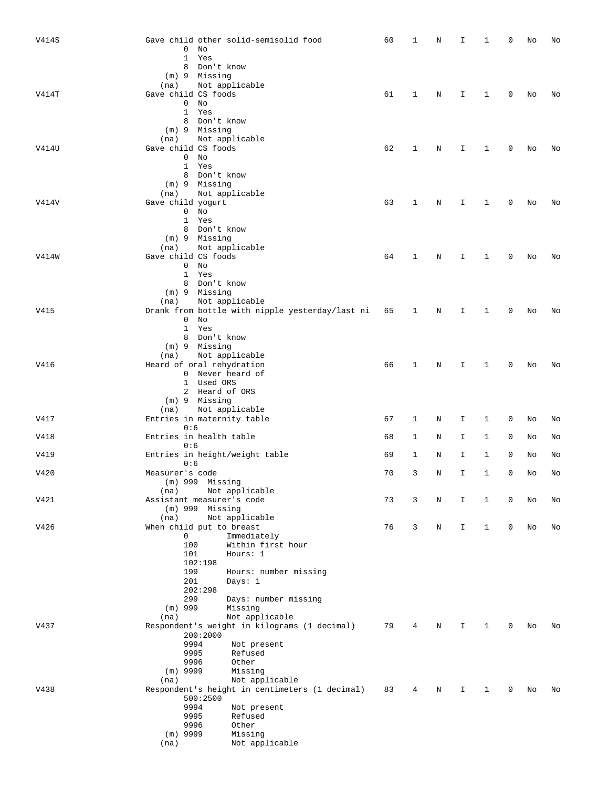| V414S | Gave child other solid-semisolid food           | 60 | 1 | N | I | 1 | 0 | No | No |
|-------|-------------------------------------------------|----|---|---|---|---|---|----|----|
|       | 0<br>No                                         |    |   |   |   |   |   |    |    |
|       | 1<br>Yes                                        |    |   |   |   |   |   |    |    |
|       | 8<br>Don't know                                 |    |   |   |   |   |   |    |    |
|       | (m) 9 Missing                                   |    |   |   |   |   |   |    |    |
|       | Not applicable<br>(na)                          |    |   |   |   |   |   |    |    |
| V414T | Gave child CS foods                             | 61 | 1 | N | I | 1 | 0 | No | No |
|       | 0<br>No                                         |    |   |   |   |   |   |    |    |
|       | $\mathbf{1}$<br>Yes                             |    |   |   |   |   |   |    |    |
|       | 8<br>Don't know                                 |    |   |   |   |   |   |    |    |
|       | (m) 9 Missing                                   |    |   |   |   |   |   |    |    |
|       | Not applicable<br>(na)                          |    |   |   |   |   |   |    |    |
| V414U | Gave child CS foods                             | 62 | 1 | Ν | I | 1 | 0 | No | No |
|       | 0<br>No                                         |    |   |   |   |   |   |    |    |
|       | $\mathbf{1}$<br>Yes                             |    |   |   |   |   |   |    |    |
|       | 8 Don't know                                    |    |   |   |   |   |   |    |    |
|       | (m) 9 Missing                                   |    |   |   |   |   |   |    |    |
| V414V | Not applicable<br>(na)<br>Gave child yogurt     | 63 | 1 | N | I | 1 | 0 | No | No |
|       | $\overline{0}$<br>No                            |    |   |   |   |   |   |    |    |
|       | $\mathbf{1}$<br>Yes                             |    |   |   |   |   |   |    |    |
|       | 8 Don't know                                    |    |   |   |   |   |   |    |    |
|       | (m) 9 Missing                                   |    |   |   |   |   |   |    |    |
|       | Not applicable<br>(na)                          |    |   |   |   |   |   |    |    |
| V414W | Gave child CS foods                             | 64 | 1 | N | I | 1 | 0 | No | No |
|       | $0$ No                                          |    |   |   |   |   |   |    |    |
|       | 1<br>Yes                                        |    |   |   |   |   |   |    |    |
|       | 8 Don't know                                    |    |   |   |   |   |   |    |    |
|       | (m) 9 Missing                                   |    |   |   |   |   |   |    |    |
|       | Not applicable<br>(na)                          |    |   |   |   |   |   |    |    |
| V415  | Drank from bottle with nipple yesterday/last ni | 65 | 1 | Ν | I | 1 | 0 | No | No |
|       | $0$ No                                          |    |   |   |   |   |   |    |    |
|       | $\mathbf{1}$<br>Yes                             |    |   |   |   |   |   |    |    |
|       | 8 Don't know                                    |    |   |   |   |   |   |    |    |
|       | (m) 9 Missing                                   |    |   |   |   |   |   |    |    |
|       | Not applicable<br>(na)                          |    |   |   |   |   |   |    |    |
| V416  | Heard of oral rehydration                       | 66 | 1 | N | I | 1 | 0 | No | No |
|       | 0 Never heard of                                |    |   |   |   |   |   |    |    |
|       | 1 Used ORS                                      |    |   |   |   |   |   |    |    |
|       | 2 Heard of ORS                                  |    |   |   |   |   |   |    |    |
|       | (m) 9 Missing<br>Not applicable<br>(na)         |    |   |   |   |   |   |    |    |
| V417  | Entries in maternity table                      | 67 | 1 | Ν | Ι | 1 | 0 | No | No |
|       | 0:6                                             |    |   |   |   |   |   |    |    |
| V418  | Entries in health table                         | 68 | 1 | Ν | I | 1 | 0 | No | No |
|       | 0:6                                             |    |   |   |   |   |   |    |    |
| V419  | Entries in height/weight table                  | 69 | 1 | N | I | 1 | 0 | No | No |
|       | 0:6                                             |    |   |   |   |   |   |    |    |
| V420  | Measurer's code                                 | 70 | 3 | N | I | 1 | 0 | No | No |
|       | (m) 999 Missing                                 |    |   |   |   |   |   |    |    |
|       | Not applicable<br>(na)                          |    |   |   |   |   |   |    |    |
| V421  | Assistant measurer's code                       | 73 | 3 | Ν | I | 1 | 0 | No | No |
|       | $(m)$ 999 Missing                               |    |   |   |   |   |   |    |    |
|       | (na)<br>Not applicable                          |    |   |   |   |   |   |    |    |
| V426  | When child put to breast                        | 76 | 3 | N | I | 1 | 0 | No | No |
|       | 0<br>Immediately                                |    |   |   |   |   |   |    |    |
|       | 100<br>Within first hour                        |    |   |   |   |   |   |    |    |
|       | 101<br>Hours: 1<br>102:198                      |    |   |   |   |   |   |    |    |
|       | 199<br>Hours: number missing                    |    |   |   |   |   |   |    |    |
|       | 201<br>Days: $1$                                |    |   |   |   |   |   |    |    |
|       | 202:298                                         |    |   |   |   |   |   |    |    |
|       | 299<br>Days: number missing                     |    |   |   |   |   |   |    |    |
|       | $(m)$ 999<br>Missing                            |    |   |   |   |   |   |    |    |
|       | Not applicable<br>(na)                          |    |   |   |   |   |   |    |    |
| V437  | Respondent's weight in kilograms (1 decimal)    | 79 | 4 | Ν | I | 1 | 0 | No | No |
|       | 200:2000                                        |    |   |   |   |   |   |    |    |
|       | 9994<br>Not present                             |    |   |   |   |   |   |    |    |
|       | 9995<br>Refused                                 |    |   |   |   |   |   |    |    |
|       | 9996<br>Other                                   |    |   |   |   |   |   |    |    |
|       | $(m)$ 9999<br>Missing                           |    |   |   |   |   |   |    |    |
|       | Not applicable<br>(na)                          |    |   |   |   |   |   |    |    |
| V438  | Respondent's height in centimeters (1 decimal)  | 83 | 4 | Ν | I | 1 | 0 | No | No |
|       | 500:2500                                        |    |   |   |   |   |   |    |    |
|       | 9994<br>Not present                             |    |   |   |   |   |   |    |    |
|       | 9995<br>Refused<br>9996<br>Other                |    |   |   |   |   |   |    |    |
|       | $(m)$ 9999<br>Missing                           |    |   |   |   |   |   |    |    |
|       | (na)<br>Not applicable                          |    |   |   |   |   |   |    |    |
|       |                                                 |    |   |   |   |   |   |    |    |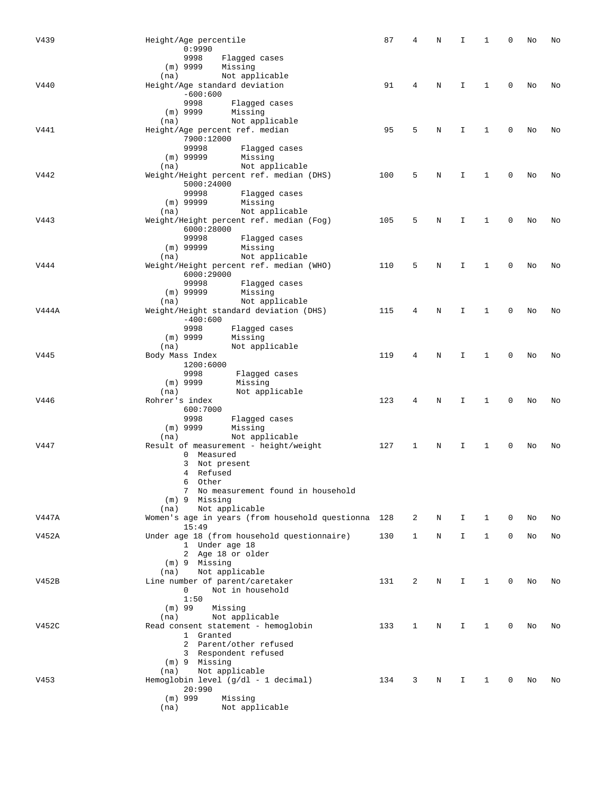| V439  | Height/Age percentile                                            | 87  | 4            | N | I | -1           | 0 | No | No |
|-------|------------------------------------------------------------------|-----|--------------|---|---|--------------|---|----|----|
|       | 0:9990                                                           |     |              |   |   |              |   |    |    |
|       | 9998<br>Flagged cases                                            |     |              |   |   |              |   |    |    |
|       | $(m)$ 9999<br>Missing                                            |     |              |   |   |              |   |    |    |
| V440  | Not applicable<br>(na)<br>Height/Age standard deviation          | 91  | 4            | Ν | I | 1            | 0 | No | No |
|       | $-600:600$                                                       |     |              |   |   |              |   |    |    |
|       | 9998<br>Flagged cases                                            |     |              |   |   |              |   |    |    |
|       | $(m)$ 9999<br>Missing                                            |     |              |   |   |              |   |    |    |
|       | Not applicable<br>(na)                                           |     |              |   |   |              |   |    |    |
| V441  | Height/Age percent ref. median<br>7900:12000                     | 95  | 5            | Ν | I | 1            | 0 | No | No |
|       | 99998<br>Flagged cases                                           |     |              |   |   |              |   |    |    |
|       | $(m)$ 99999<br>Missing                                           |     |              |   |   |              |   |    |    |
|       | Not applicable<br>(na)                                           |     |              |   |   |              |   |    |    |
| V442  | Weight/Height percent ref. median (DHS)                          | 100 | 5            | Ν | I | 1            | 0 | No | No |
|       | 5000:24000<br>99998<br>Flagged cases                             |     |              |   |   |              |   |    |    |
|       | Missing<br>$(m)$ 99999                                           |     |              |   |   |              |   |    |    |
|       | Not applicable<br>(na)                                           |     |              |   |   |              |   |    |    |
| V443  | Weight/Height percent ref. median (Fog)                          | 105 | 5            | Ν | I | 1            | 0 | No | No |
|       | 6000:28000                                                       |     |              |   |   |              |   |    |    |
|       | 99998<br>Flagged cases<br>$(m)$ 99999                            |     |              |   |   |              |   |    |    |
|       | Missing<br>Not applicable<br>(na)                                |     |              |   |   |              |   |    |    |
| V444  | Weight/Height percent ref. median (WHO)                          | 110 | 5            | Ν | I | 1            | 0 | No | No |
|       | 6000:29000                                                       |     |              |   |   |              |   |    |    |
|       | 99998<br>Flagged cases                                           |     |              |   |   |              |   |    |    |
|       | $(m)$ 99999<br>Missing                                           |     |              |   |   |              |   |    |    |
| V444A | Not applicable<br>(na)<br>Weight/Height standard deviation (DHS) | 115 | 4            | Ν | I | 1            | 0 | No | No |
|       | $-400:600$                                                       |     |              |   |   |              |   |    |    |
|       | 9998<br>Flagged cases                                            |     |              |   |   |              |   |    |    |
|       | $(m)$ 9999<br>Missing                                            |     |              |   |   |              |   |    |    |
| V445  | Not applicable<br>(na)                                           | 119 | 4            | N | I | 1            | 0 | No | No |
|       | Body Mass Index<br>1200:6000                                     |     |              |   |   |              |   |    |    |
|       | 9998<br>Flagged cases                                            |     |              |   |   |              |   |    |    |
|       | $(m)$ 9999<br>Missing                                            |     |              |   |   |              |   |    |    |
|       | Not applicable<br>(na)                                           |     |              |   |   |              |   |    |    |
| V446  | Rohrer's index<br>600:7000                                       | 123 | 4            | Ν | I | 1            | 0 | No | No |
|       | 9998<br>Flagged cases                                            |     |              |   |   |              |   |    |    |
|       | $(m)$ 9999<br>Missing                                            |     |              |   |   |              |   |    |    |
|       | Not applicable<br>(na)                                           |     |              |   |   |              |   |    |    |
| V447  | Result of measurement - height/weight                            | 127 | 1            | Ν | I | 1            | 0 | No | No |
|       | 0 Measured<br>3<br>Not present                                   |     |              |   |   |              |   |    |    |
|       | 4 Refused                                                        |     |              |   |   |              |   |    |    |
|       | 6 Other                                                          |     |              |   |   |              |   |    |    |
|       | 7 No measurement found in household                              |     |              |   |   |              |   |    |    |
|       | $(m)$ 9 Missing<br>Not applicable<br>(na)                        |     |              |   |   |              |   |    |    |
| V447A | Women's age in years (from household questionna 128              |     | 2            | Ν | I | $\mathbf{1}$ | 0 | No | No |
|       | 15:49                                                            |     |              |   |   |              |   |    |    |
| V452A | Under age 18 (from household questionnaire)                      | 130 | 1            | Ν | I | $\mathbf{1}$ | 0 | No | No |
|       | 1 Under age 18                                                   |     |              |   |   |              |   |    |    |
|       | 2 Age 18 or older<br>$(m)$ 9 Missing                             |     |              |   |   |              |   |    |    |
|       | Not applicable<br>(na)                                           |     |              |   |   |              |   |    |    |
| V452B | Line number of parent/caretaker                                  | 131 | 2            | N | I | 1            | 0 | No | No |
|       | Not in household<br>0                                            |     |              |   |   |              |   |    |    |
|       | 1:50                                                             |     |              |   |   |              |   |    |    |
|       | $(m)$ 99<br>Missing<br>Not applicable<br>(na)                    |     |              |   |   |              |   |    |    |
| V452C | Read consent statement - hemoglobin                              | 133 | $\mathbf{1}$ | N | I | 1            | 0 | No | No |
|       | 1 Granted                                                        |     |              |   |   |              |   |    |    |
|       | 2 Parent/other refused                                           |     |              |   |   |              |   |    |    |
|       | 3 Respondent refused                                             |     |              |   |   |              |   |    |    |
|       | (m) 9 Missing<br>Not applicable<br>(na)                          |     |              |   |   |              |   |    |    |
| V453  | Hemoglobin level (g/dl - 1 decimal)                              | 134 | 3            | N | I | 1            | 0 | No | No |
|       | 20:990                                                           |     |              |   |   |              |   |    |    |
|       | $(m)$ 999<br>Missing                                             |     |              |   |   |              |   |    |    |
|       | Not applicable<br>(na)                                           |     |              |   |   |              |   |    |    |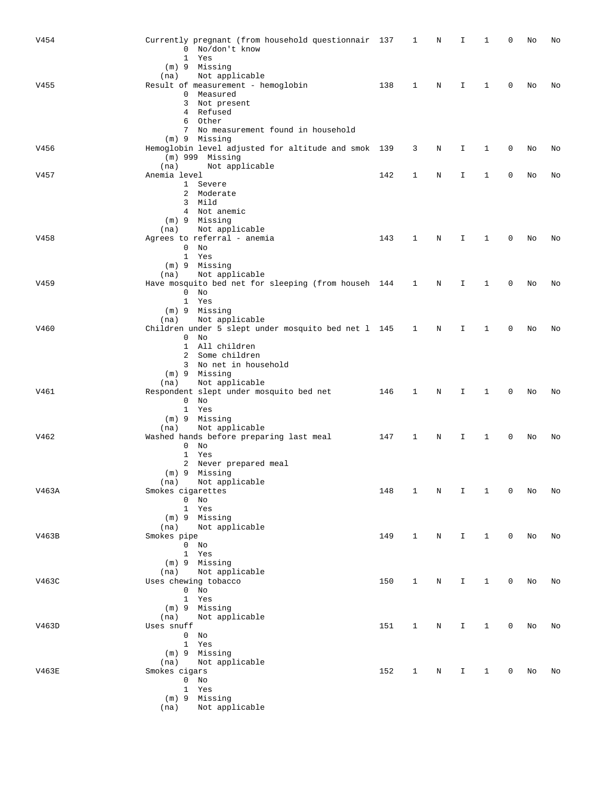| V454  | Currently pregnant (from household questionnair 137   |     | 1            | Ν          | Ι            | 1            | 0            | No | No |
|-------|-------------------------------------------------------|-----|--------------|------------|--------------|--------------|--------------|----|----|
|       | 0 No/don't know                                       |     |              |            |              |              |              |    |    |
|       | 1 Yes                                                 |     |              |            |              |              |              |    |    |
|       |                                                       |     |              |            |              |              |              |    |    |
|       | (m) 9 Missing                                         |     |              |            |              |              |              |    |    |
|       | Not applicable<br>(na)                                |     |              |            |              |              |              |    |    |
| V455  | Result of measurement - hemoglobin                    | 138 | 1            | N          | I.           | 1            | 0            | No | No |
|       | 0 Measured                                            |     |              |            |              |              |              |    |    |
|       | 3 Not present                                         |     |              |            |              |              |              |    |    |
|       | 4 Refused                                             |     |              |            |              |              |              |    |    |
|       | 6 Other                                               |     |              |            |              |              |              |    |    |
|       | 7<br>No measurement found in household                |     |              |            |              |              |              |    |    |
|       | (m) 9 Missing                                         |     |              |            |              |              |              |    |    |
| V456  | Hemoglobin level adjusted for altitude and smok 139   |     | 3            | Ν          | I.           | 1            | 0            | No | No |
|       | $(m)$ 999 Missing                                     |     |              |            |              |              |              |    |    |
|       | Not applicable<br>(na)                                |     |              |            |              |              |              |    |    |
| V457  | Anemia level                                          | 142 | $\mathbf{1}$ | N          | I            | 1            | 0            | No | No |
|       | 1 Severe                                              |     |              |            |              |              |              |    |    |
|       | 2 Moderate                                            |     |              |            |              |              |              |    |    |
|       | 3 Mild                                                |     |              |            |              |              |              |    |    |
|       | 4 Not anemic                                          |     |              |            |              |              |              |    |    |
|       | (m) 9 Missing                                         |     |              |            |              |              |              |    |    |
|       | Not applicable<br>(na)                                |     |              |            |              |              |              |    |    |
| V458  | Agrees to referral - anemia                           | 143 | $\mathbf 1$  | N          | I            | $\mathbf{1}$ | 0            | No | No |
|       | $0$ No                                                |     |              |            |              |              |              |    |    |
|       | 1 Yes                                                 |     |              |            |              |              |              |    |    |
|       | (m) 9 Missing                                         |     |              |            |              |              |              |    |    |
|       |                                                       |     |              |            |              |              |              |    |    |
|       | Not applicable<br>(na)                                |     |              |            |              | 1            | 0            |    |    |
| V459  | Have mosquito bed net for sleeping (from househ 144 1 |     |              | N          | I.           |              |              | No | No |
|       | $0$ No                                                |     |              |            |              |              |              |    |    |
|       | 1 Yes                                                 |     |              |            |              |              |              |    |    |
|       | (m) 9 Missing                                         |     |              |            |              |              |              |    |    |
|       | Not applicable<br>(na)                                |     |              |            |              |              |              |    |    |
| V460  | Children under 5 slept under mosquito bed net 1 145   |     | $\mathbf{1}$ | N          | I            | 1            | 0            | No | No |
|       | $0$ No                                                |     |              |            |              |              |              |    |    |
|       | 1 All children                                        |     |              |            |              |              |              |    |    |
|       | 2 Some children                                       |     |              |            |              |              |              |    |    |
|       | 3 No net in household                                 |     |              |            |              |              |              |    |    |
|       | (m) 9 Missing                                         |     |              |            |              |              |              |    |    |
|       | Not applicable<br>(na)                                |     |              |            |              |              |              |    |    |
| V461  | Respondent slept under mosquito bed net               | 146 | 1            | N          | I            | 1            | 0            | No | No |
|       | $0$ No                                                |     |              |            |              |              |              |    |    |
|       | 1 Yes                                                 |     |              |            |              |              |              |    |    |
|       | (m) 9 Missing                                         |     |              |            |              |              |              |    |    |
|       | Not applicable<br>(na)                                |     |              |            |              |              |              |    |    |
| V462  | Washed hands before preparing last meal               | 147 | 1            | N          | I            | 1            | 0            | No | No |
|       | $0$ No                                                |     |              |            |              |              |              |    |    |
|       | 1 Yes                                                 |     |              |            |              |              |              |    |    |
|       | 2 Never prepared meal                                 |     |              |            |              |              |              |    |    |
|       | (m) 9 Missing                                         |     |              |            |              |              |              |    |    |
|       | (na)<br>Not applicable                                |     |              |            |              |              |              |    |    |
| V463A | Smokes cigarettes                                     | 148 | $\mathbf{1}$ | N          | I.           | 1            | 0            | No | No |
|       | $0$ No                                                |     |              |            |              |              |              |    |    |
|       | 1 Yes                                                 |     |              |            |              |              |              |    |    |
|       | (m) 9 Missing                                         |     |              |            |              |              |              |    |    |
|       | (na) Not applicable                                   |     |              |            |              |              |              |    |    |
| V463B | Smokes pipe                                           | 149 |              |            |              |              |              |    |    |
|       |                                                       |     | $\mathbf{1}$ | $_{\rm N}$ | I.           | $\mathbf{1}$ | 0            | No | No |
|       | $0$ No                                                |     |              |            |              |              |              |    |    |
|       | 1 Yes                                                 |     |              |            |              |              |              |    |    |
|       | (m) 9 Missing                                         |     |              |            |              |              |              |    |    |
|       | (na) Not applicable                                   |     |              |            |              |              |              |    |    |
| V463C | Uses chewing tobacco                                  | 150 | $\mathbf{1}$ | N          | I.           | $\mathbf{1}$ | $\mathsf{O}$ | No | No |
|       | $0$ No                                                |     |              |            |              |              |              |    |    |
|       | 1 Yes                                                 |     |              |            |              |              |              |    |    |
|       | (m) 9 Missing                                         |     |              |            |              |              |              |    |    |
|       | (na) Not applicable                                   |     |              |            |              |              |              |    |    |
| V463D | Uses snuff                                            | 151 | $\mathbf{1}$ | N          | $\mathbf{I}$ | $\mathbf{1}$ | 0            | No | No |
|       | $0$ No                                                |     |              |            |              |              |              |    |    |
|       | 1 Yes                                                 |     |              |            |              |              |              |    |    |
|       | (m) 9 Missing                                         |     |              |            |              |              |              |    |    |
|       | (na) Not applicable                                   |     |              |            |              |              |              |    |    |
| V463E | Smokes cigars                                         | 152 | $\mathbf{1}$ | N          | $\mathbf{I}$ | $\mathbf{1}$ | $\mathsf{O}$ | No | No |
|       | $0$ No                                                |     |              |            |              |              |              |    |    |
|       | 1 Yes                                                 |     |              |            |              |              |              |    |    |
|       | (m) 9 Missing                                         |     |              |            |              |              |              |    |    |
|       | (na) Not applicable                                   |     |              |            |              |              |              |    |    |
|       |                                                       |     |              |            |              |              |              |    |    |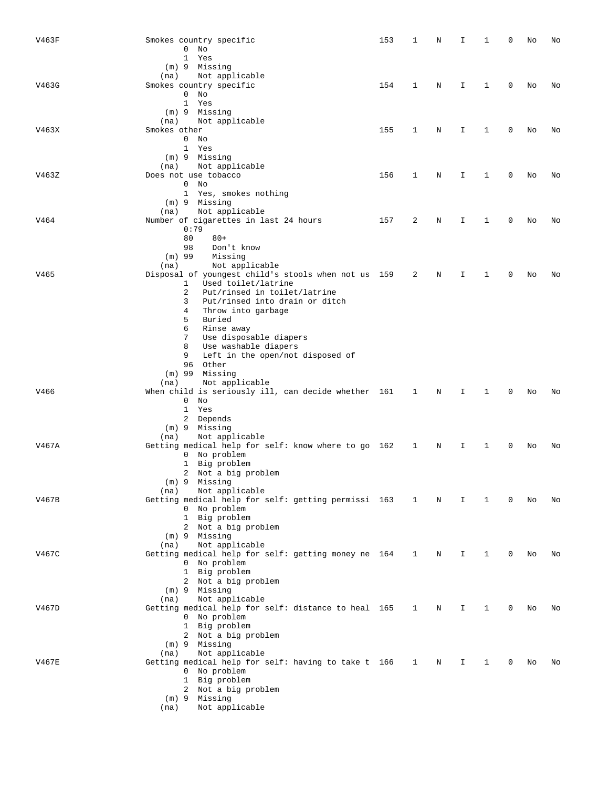| V463F        | Smokes country specific<br>$0$ No<br>1<br>Yes                                                                                                                                                                                                                                                                                                                                                                                                              | 153 | 1            | N | I  | 1 | 0 | No | No |
|--------------|------------------------------------------------------------------------------------------------------------------------------------------------------------------------------------------------------------------------------------------------------------------------------------------------------------------------------------------------------------------------------------------------------------------------------------------------------------|-----|--------------|---|----|---|---|----|----|
| V463G        | (m) 9 Missing<br>(na)<br>Not applicable<br>Smokes country specific<br>$0$ No<br>1 Yes<br>(m) 9 Missing                                                                                                                                                                                                                                                                                                                                                     | 154 | 1            | Ν | I. | 1 | 0 | No | No |
| V463X        | Not applicable<br>(na)<br>Smokes other<br>$0$ No<br>1 Yes                                                                                                                                                                                                                                                                                                                                                                                                  | 155 | $\mathbf{1}$ | N | I  | 1 | 0 | No | No |
| V463Z        | (m) 9 Missing<br>Not applicable<br>(na)<br>Does not use tobacco<br>$0$ No<br>1 Yes, smokes nothing                                                                                                                                                                                                                                                                                                                                                         | 156 | 1            | Ν | I  | 1 | 0 | No | No |
| V464         | (m) 9 Missing<br>Not applicable<br>(na)<br>Number of cigarettes in last 24 hours<br>0:79                                                                                                                                                                                                                                                                                                                                                                   | 157 | 2            | N | I  | 1 | 0 | No | No |
| V465         | 80<br>$80+$<br>98<br>Don't know<br>$(m)$ 99<br>Missing<br>Not applicable<br>(na)<br>Disposal of youngest child's stools when not us 159<br>Used toilet/latrine<br>$\mathbf{1}$<br>2<br>Put/rinsed in toilet/latrine<br>Put/rinsed into drain or ditch<br>3<br>4<br>Throw into garbage<br>5<br>Buried<br>6<br>Rinse away<br>Use disposable diapers<br>7<br>8<br>Use washable diapers<br>Left in the open/not disposed of<br>9<br>96 Other<br>(m) 99 Missing |     | 2            | N | I  | 1 | 0 | No | No |
| V466         | Not applicable<br>(na)<br>When child is seriously ill, can decide whether 161<br>$0$ No<br>1 Yes<br>2 Depends                                                                                                                                                                                                                                                                                                                                              |     | $\mathbf{1}$ | N | I  | 1 | 0 | No | No |
| V467A        | $(m)$ 9 Missing<br>Not applicable<br>(na)<br>Getting medical help for self: know where to go 162<br>0 No problem<br>1 Big problem<br>2 Not a big problem<br>(m) 9 Missing                                                                                                                                                                                                                                                                                  |     | $\mathbf{1}$ | N | I. | 1 | 0 | No | No |
| V467B        | (na)<br>Not applicable<br>Getting medical help for self: getting permissi 163<br>0 No problem<br>1 Big problem<br>2 Not a big problem<br>(m) 9 Missing                                                                                                                                                                                                                                                                                                     |     | $\mathbf{1}$ | N | Ι. | 1 | 0 | No | No |
| V467C        | Not applicable<br>(na)<br>Getting medical help for self: getting money ne 164<br>0 No problem<br>1 Big problem<br>2 Not a big problem                                                                                                                                                                                                                                                                                                                      |     | $\mathbf{1}$ | N | I. | 1 | 0 | No | No |
| V467D        | (m) 9 Missing<br>Not applicable<br>(na)<br>Getting medical help for self: distance to heal 165<br>0 No problem<br>1 Big problem<br>2 Not a big problem                                                                                                                                                                                                                                                                                                     |     | $\mathbf{1}$ | N | I  | 1 | 0 | No | No |
| <b>V467E</b> | (m) 9 Missing<br>Not applicable<br>(na)<br>Getting medical help for self: having to take t 166<br>0 No problem<br>1 Big problem<br>2 Not a big problem<br>(m) 9 Missing<br>Not applicable<br>(na)                                                                                                                                                                                                                                                          |     | 1            | N | I  | 1 | 0 | No | No |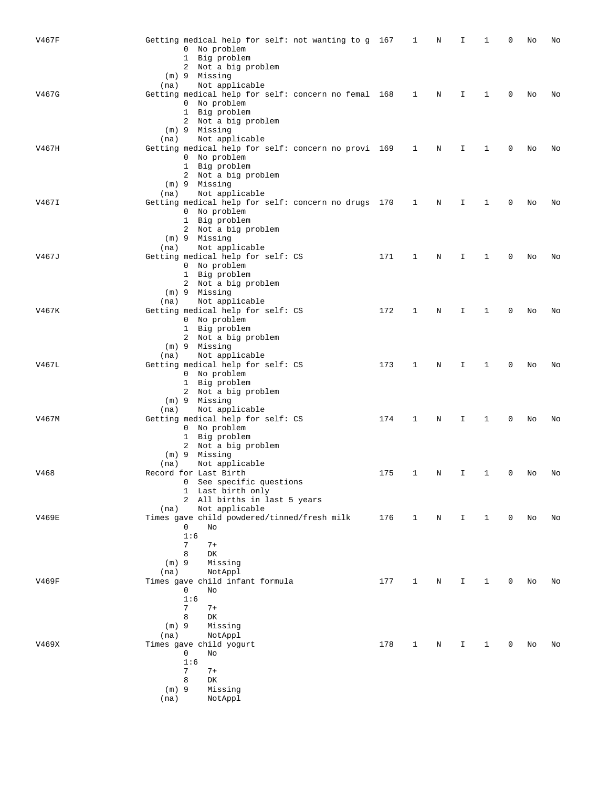| V467F | Getting medical help for self: not wanting to g 167<br>0 No problem<br>1 Big problem<br>2 Not a big problem<br>(m) 9 Missing                                                     |     | 1 | Ν | I  | 1            | 0 | No | No |
|-------|----------------------------------------------------------------------------------------------------------------------------------------------------------------------------------|-----|---|---|----|--------------|---|----|----|
| V467G | Not applicable<br>(na)<br>Getting medical help for self: concern no femal 168<br>0 No problem<br>1 Big problem<br>2 Not a big problem<br>(m) 9 Missing<br>Not applicable<br>(na) |     | 1 | Ν | I  | 1            | 0 | No | No |
| V467H | Getting medical help for self: concern no provi 169<br>0 No problem<br>1 Big problem<br>2 Not a big problem<br>(m) 9 Missing                                                     |     | 1 | Ν | Ι  | 1            | 0 | No | No |
| V467I | Not applicable<br>(na)<br>Getting medical help for self: concern no drugs 170<br>0 No problem<br>1 Big problem<br>2 Not a big problem<br>$(m)$ 9 Missing                         |     | 1 | N | I  | 1            | 0 | No | No |
| V467J | Not applicable<br>(na)<br>Getting medical help for self: CS<br>0 No problem<br>1 Big problem<br>2 Not a big problem<br>(m) 9 Missing                                             | 171 | 1 | Ν | I  | 1            | 0 | No | No |
| V467K | Not applicable<br>(na)<br>Getting medical help for self: CS<br>0 No problem<br>1 Big problem<br>2 Not a big problem<br>$(m)$ 9 Missing                                           | 172 | 1 | Ν | I  | 1            | 0 | No | No |
| V467L | Not applicable<br>(na)<br>Getting medical help for self: CS<br>0 No problem<br>1 Big problem<br>2 Not a big problem<br>(m) 9 Missing                                             | 173 | 1 | Ν | I  | 1            | 0 | No | No |
| V467M | Not applicable<br>(na)<br>Getting medical help for self: CS<br>0 No problem<br>1 Big problem<br>2 Not a big problem<br>(m) 9 Missing<br>Not applicable<br>(na)                   | 174 | 1 | Ν | I  | 1            | 0 | No | No |
| V468  | Record for Last Birth<br>0 See specific questions<br>1 Last birth only<br>2 All births in last 5 years<br>Not applicable<br>(na)                                                 | 175 | 1 | N | I  | 1            | 0 | No | No |
| V469E | Times gave child powdered/tinned/fresh milk<br>0<br>No<br>1:6<br>7<br>$7+$<br>8<br>DK<br>$(m)$ 9<br>Missing<br>(na)<br>NotAppl                                                   | 176 | 1 | N | I  | $\mathbf{1}$ | 0 | No | No |
| V469F | Times gave child infant formula<br>0<br>No<br>1:6<br>7<br>$7+$<br>8<br>DK<br>$(m)$ 9<br>Missing<br>(na)                                                                          | 177 | 1 | N | Ι. | 1            | 0 | No | No |
| V469X | NotAppl<br>Times gave child yogurt<br>0<br>No<br>1:6<br>7<br>$7+$<br>8<br>DK<br>$(m)$ 9<br>Missing<br>(na)<br>NotAppl                                                            | 178 | 1 | N | I  | 1            | 0 | No | No |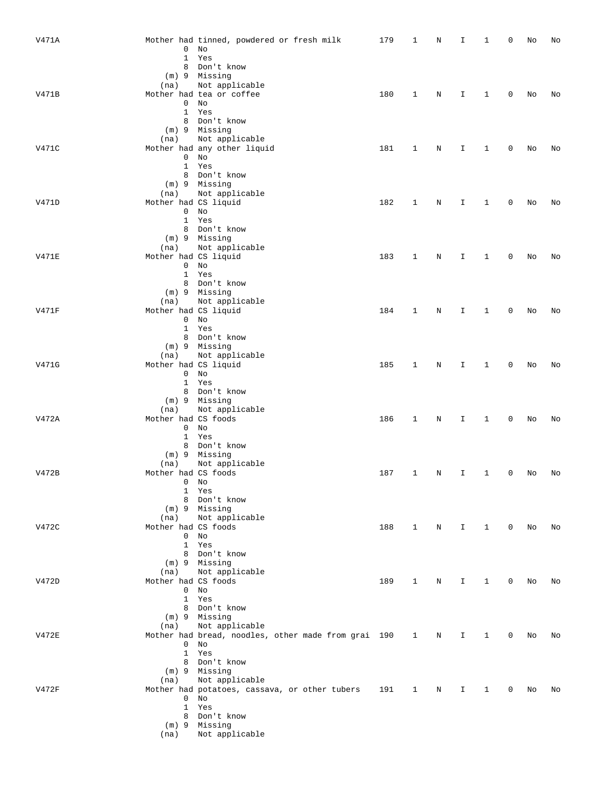| V471A |                      | Mother had tinned, powdered or fresh milk             | 179 | 1            | Ν           | I            | 1            | 0 | No | No |
|-------|----------------------|-------------------------------------------------------|-----|--------------|-------------|--------------|--------------|---|----|----|
|       | 0                    | No                                                    |     |              |             |              |              |   |    |    |
|       | $\mathbf{1}$         | Yes                                                   |     |              |             |              |              |   |    |    |
|       |                      |                                                       |     |              |             |              |              |   |    |    |
|       | 8                    | Don't know                                            |     |              |             |              |              |   |    |    |
|       |                      | (m) 9 Missing                                         |     |              |             |              |              |   |    |    |
|       | (na)                 | Not applicable                                        |     |              |             |              |              |   |    |    |
| V471B |                      | Mother had tea or coffee                              | 180 | 1            | Ν           | I            | 1            | 0 | No | No |
|       |                      | $0$ No                                                |     |              |             |              |              |   |    |    |
|       | $\mathbf{1}$         | Yes                                                   |     |              |             |              |              |   |    |    |
|       |                      | 8 Don't know                                          |     |              |             |              |              |   |    |    |
|       |                      | (m) 9 Missing                                         |     |              |             |              |              |   |    |    |
|       | (na)                 | Not applicable                                        |     |              |             |              |              |   |    |    |
|       |                      |                                                       | 181 | 1            |             |              |              | 0 |    |    |
| V471C |                      | Mother had any other liquid                           |     |              | Ν           | Ι            | 1            |   | No | No |
|       |                      | $0$ No                                                |     |              |             |              |              |   |    |    |
|       |                      | 1 Yes                                                 |     |              |             |              |              |   |    |    |
|       |                      | 8 Don't know                                          |     |              |             |              |              |   |    |    |
|       |                      | (m) 9 Missing                                         |     |              |             |              |              |   |    |    |
|       | (na)                 | Not applicable                                        |     |              |             |              |              |   |    |    |
| V471D | Mother had CS liquid |                                                       | 182 | 1            | Ν           | I            | 1            | 0 | No | No |
|       |                      | $0$ No                                                |     |              |             |              |              |   |    |    |
|       | $\mathbf{1}$         | Yes                                                   |     |              |             |              |              |   |    |    |
|       |                      | 8 Don't know                                          |     |              |             |              |              |   |    |    |
|       |                      |                                                       |     |              |             |              |              |   |    |    |
|       |                      | $(m)$ 9 Missing                                       |     |              |             |              |              |   |    |    |
|       | (na)                 | Not applicable                                        |     |              |             |              |              |   |    |    |
| V471E | Mother had CS liquid |                                                       | 183 | 1            | N           | I            | 1            | 0 | No | No |
|       |                      | $0$ No                                                |     |              |             |              |              |   |    |    |
|       | $\mathbf{1}$         | Yes                                                   |     |              |             |              |              |   |    |    |
|       |                      | 8 Don't know                                          |     |              |             |              |              |   |    |    |
|       |                      | (m) 9 Missing                                         |     |              |             |              |              |   |    |    |
|       |                      | Not applicable                                        |     |              |             |              |              |   |    |    |
|       | (na)                 |                                                       |     |              |             |              |              |   |    |    |
| V471F | Mother had CS liquid |                                                       | 184 | 1            | Ν           | I            | 1            | 0 | No | No |
|       |                      | $0$ No                                                |     |              |             |              |              |   |    |    |
|       | $\mathbf{1}$         | Yes                                                   |     |              |             |              |              |   |    |    |
|       |                      | 8 Don't know                                          |     |              |             |              |              |   |    |    |
|       |                      | (m) 9 Missing                                         |     |              |             |              |              |   |    |    |
|       | (na)                 | Not applicable                                        |     |              |             |              |              |   |    |    |
| V471G | Mother had CS liquid |                                                       | 185 | 1            | Ν           | Ι            | 1            | 0 | No | No |
|       |                      | $0$ No                                                |     |              |             |              |              |   |    |    |
|       | $\mathbf{1}$         | Yes                                                   |     |              |             |              |              |   |    |    |
|       |                      |                                                       |     |              |             |              |              |   |    |    |
|       |                      | 8 Don't know                                          |     |              |             |              |              |   |    |    |
|       |                      | (m) 9 Missing                                         |     |              |             |              |              |   |    |    |
|       | (na)                 | Not applicable                                        |     |              |             |              |              |   |    |    |
| V472A | Mother had CS foods  |                                                       | 186 | 1            | Ν           | Ι            | 1            | 0 | No | No |
|       |                      | $0$ No                                                |     |              |             |              |              |   |    |    |
|       | $\mathbf{1}$         | Yes                                                   |     |              |             |              |              |   |    |    |
|       |                      | 8 Don't know                                          |     |              |             |              |              |   |    |    |
|       |                      | $(m)$ 9 Missing                                       |     |              |             |              |              |   |    |    |
|       | (na)                 | Not applicable                                        |     |              |             |              |              |   |    |    |
| V472B | Mother had CS foods  |                                                       | 187 | 1            | Ν           | I            | 1            | 0 | No | No |
|       |                      |                                                       |     |              |             |              |              |   |    |    |
|       |                      | $0$ No                                                |     |              |             |              |              |   |    |    |
|       |                      | 1 Yes                                                 |     |              |             |              |              |   |    |    |
|       |                      | 8 Don't know                                          |     |              |             |              |              |   |    |    |
|       |                      | (m) 9 Missing                                         |     |              |             |              |              |   |    |    |
|       | (na)                 | Not applicable                                        |     |              |             |              |              |   |    |    |
| V472C | Mother had CS foods  |                                                       | 188 | $\mathbf{1}$ | $\mathbf N$ | $\mathbf{I}$ | $\mathbf{1}$ | 0 | No | No |
|       |                      | $0$ No                                                |     |              |             |              |              |   |    |    |
|       |                      | 1 Yes                                                 |     |              |             |              |              |   |    |    |
|       |                      | 8 Don't know                                          |     |              |             |              |              |   |    |    |
|       |                      |                                                       |     |              |             |              |              |   |    |    |
|       |                      | (m) 9 Missing                                         |     |              |             |              |              |   |    |    |
|       | (na)                 | Not applicable                                        |     |              |             |              |              |   |    |    |
| V472D | Mother had CS foods  |                                                       | 189 | 1            | N           | $\mathbf{I}$ | $\mathbf{1}$ | 0 | No | No |
|       |                      | $0$ No                                                |     |              |             |              |              |   |    |    |
|       |                      | 1 Yes                                                 |     |              |             |              |              |   |    |    |
|       |                      | 8 Don't know                                          |     |              |             |              |              |   |    |    |
|       |                      | (m) 9 Missing                                         |     |              |             |              |              |   |    |    |
|       | (na)                 | Not applicable                                        |     |              |             |              |              |   |    |    |
| V472E |                      | Mother had bread, noodles, other made from grai 190 1 |     |              | N           | I.           | 1            | 0 | No | No |
|       |                      | $0$ No                                                |     |              |             |              |              |   |    |    |
|       |                      | 1 Yes                                                 |     |              |             |              |              |   |    |    |
|       |                      |                                                       |     |              |             |              |              |   |    |    |
|       |                      | 8 Don't know                                          |     |              |             |              |              |   |    |    |
|       |                      | (m) 9 Missing                                         |     |              |             |              |              |   |    |    |
|       | (na)                 | Not applicable                                        |     |              |             |              |              |   |    |    |
| V472F |                      | Mother had potatoes, cassava, or other tubers         | 191 | 1            | N           | I            | $\mathbf{1}$ | 0 | No | No |
|       |                      | $0$ No                                                |     |              |             |              |              |   |    |    |
|       |                      | 1 Yes                                                 |     |              |             |              |              |   |    |    |
|       |                      | 8 Don't know                                          |     |              |             |              |              |   |    |    |
|       |                      | (m) 9 Missing                                         |     |              |             |              |              |   |    |    |
|       | (na)                 | Not applicable                                        |     |              |             |              |              |   |    |    |
|       |                      |                                                       |     |              |             |              |              |   |    |    |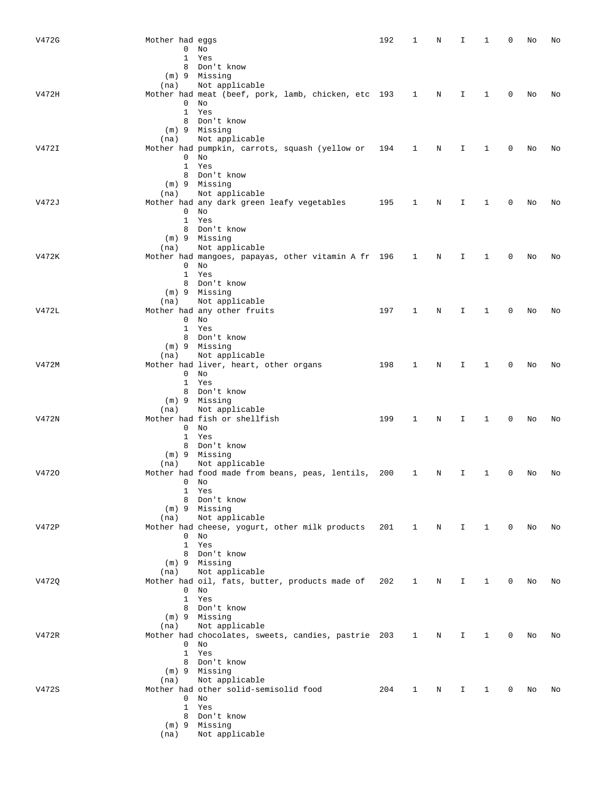| V472G        | Mother had eggs   |                                                           | 192 | 1            | N           | I                              | 1            | 0            | No | No |
|--------------|-------------------|-----------------------------------------------------------|-----|--------------|-------------|--------------------------------|--------------|--------------|----|----|
|              | 0                 | No                                                        |     |              |             |                                |              |              |    |    |
|              | 1                 | Yes                                                       |     |              |             |                                |              |              |    |    |
|              | 8                 | Don't know                                                |     |              |             |                                |              |              |    |    |
|              |                   | (m) 9 Missing                                             |     |              |             |                                |              |              |    |    |
|              | (na)              | Not applicable                                            |     |              |             |                                |              |              |    |    |
| V472H        | 0                 | Mother had meat (beef, pork, lamb, chicken, etc 193<br>No |     | 1            | N           | I                              | 1            | 0            | No | No |
|              | $\mathbf{1}$      | Yes                                                       |     |              |             |                                |              |              |    |    |
|              | 8                 | Don't know                                                |     |              |             |                                |              |              |    |    |
|              |                   | (m) 9 Missing                                             |     |              |             |                                |              |              |    |    |
|              | (na)              | Not applicable                                            |     |              |             |                                |              |              |    |    |
| V472I        |                   | Mother had pumpkin, carrots, squash (yellow or            | 194 | 1            | N           | Ι                              | 1            | 0            | No | No |
|              | 0                 | No                                                        |     |              |             |                                |              |              |    |    |
|              | $\mathbf{1}$<br>8 | Yes                                                       |     |              |             |                                |              |              |    |    |
|              |                   | Don't know<br>(m) 9 Missing                               |     |              |             |                                |              |              |    |    |
|              | (na)              | Not applicable                                            |     |              |             |                                |              |              |    |    |
| V472J        |                   | Mother had any dark green leafy vegetables                | 195 | 1            | Ν           | I                              | 1            | 0            | No | No |
|              |                   | $0$ No                                                    |     |              |             |                                |              |              |    |    |
|              | $\mathbf{1}$      | Yes                                                       |     |              |             |                                |              |              |    |    |
|              | 8                 | Don't know                                                |     |              |             |                                |              |              |    |    |
|              |                   | (m) 9 Missing                                             |     |              |             |                                |              |              |    |    |
|              | (na)              | Not applicable                                            |     |              |             |                                |              |              |    |    |
| V472K        | 0                 | Mother had mangoes, papayas, other vitamin A fr 196<br>No |     | 1            | Ν           | I                              | 1            | 0            | No | No |
|              | $\mathbf{1}$      | Yes                                                       |     |              |             |                                |              |              |    |    |
|              | 8                 | Don't know                                                |     |              |             |                                |              |              |    |    |
|              |                   | (m) 9 Missing                                             |     |              |             |                                |              |              |    |    |
|              | (na)              | Not applicable                                            |     |              |             |                                |              |              |    |    |
| <b>V472L</b> |                   | Mother had any other fruits                               | 197 | 1            | N           | I                              | 1            | 0            | No | No |
|              | 0                 | No                                                        |     |              |             |                                |              |              |    |    |
|              | 1                 | Yes                                                       |     |              |             |                                |              |              |    |    |
|              | 8                 | Don't know                                                |     |              |             |                                |              |              |    |    |
|              | (na)              | $(m)$ 9 Missing<br>Not applicable                         |     |              |             |                                |              |              |    |    |
| V472M        |                   | Mother had liver, heart, other organs                     | 198 | 1            | Ν           | I                              | 1            | 0            | No | No |
|              |                   | $0$ No                                                    |     |              |             |                                |              |              |    |    |
|              | $\mathbf{1}$      | Yes                                                       |     |              |             |                                |              |              |    |    |
|              | 8                 | Don't know                                                |     |              |             |                                |              |              |    |    |
|              |                   | (m) 9 Missing                                             |     |              |             |                                |              |              |    |    |
|              | (na)              | Not applicable                                            |     |              |             |                                |              |              |    |    |
| V472N        |                   | Mother had fish or shellfish                              | 199 | 1            | Ν           | I                              | 1            | 0            | No | No |
|              |                   | $0$ No<br>1 Yes                                           |     |              |             |                                |              |              |    |    |
|              | 8                 | Don't know                                                |     |              |             |                                |              |              |    |    |
|              |                   | (m) 9 Missing                                             |     |              |             |                                |              |              |    |    |
|              | (na)              | Not applicable                                            |     |              |             |                                |              |              |    |    |
| V4720        |                   | Mother had food made from beans, peas, lentils, 200       |     | 1            | Ν           | Ι                              | 1            | 0            | No | No |
|              |                   | $0$ No                                                    |     |              |             |                                |              |              |    |    |
|              |                   | 1 Yes                                                     |     |              |             |                                |              |              |    |    |
|              |                   | 8 Don't know                                              |     |              |             |                                |              |              |    |    |
|              |                   | (m) 9 Missing<br>Not applicable                           |     |              |             |                                |              |              |    |    |
| V472P        | (na)              | Mother had cheese, yogurt, other milk products 201 1      |     |              | $\mathbf N$ | $\mathbf{I}$<br>$\overline{1}$ |              | $\circ$      | No | No |
|              |                   | $0$ No                                                    |     |              |             |                                |              |              |    |    |
|              |                   | 1 Yes                                                     |     |              |             |                                |              |              |    |    |
|              |                   | 8 Don't know                                              |     |              |             |                                |              |              |    |    |
|              |                   | (m) 9 Missing                                             |     |              |             |                                |              |              |    |    |
|              | (na)              | Not applicable                                            |     |              |             |                                |              |              |    |    |
| V472Q        |                   | Mother had oil, fats, butter, products made of 202        |     | $\mathbf{1}$ | $\mathbf N$ | Ι.                             | $\mathbf{1}$ | $\mathbf{0}$ | No | No |
|              |                   | $0$ No<br>1 Yes                                           |     |              |             |                                |              |              |    |    |
|              |                   | 8 Don't know                                              |     |              |             |                                |              |              |    |    |
|              |                   | (m) 9 Missing                                             |     |              |             |                                |              |              |    |    |
|              | (na)              | Not applicable                                            |     |              |             |                                |              |              |    |    |
| V472R        |                   | Mother had chocolates, sweets, candies, pastrie 203 1     |     |              | $\mathbf N$ | $\mathbf{I}$                   | $\mathbf{1}$ | 0            | No | No |
|              |                   | $0$ No                                                    |     |              |             |                                |              |              |    |    |
|              |                   | 1 Yes                                                     |     |              |             |                                |              |              |    |    |
|              |                   | 8 Don't know                                              |     |              |             |                                |              |              |    |    |
|              |                   | $(m)$ 9 Missing<br>Not applicable                         |     |              |             |                                |              |              |    |    |
| V472S        | (na)              | Mother had other solid-semisolid food                     | 204 | 1            | N           | Ι.                             | $\mathbf{1}$ | 0            | No | No |
|              |                   | $0$ No                                                    |     |              |             |                                |              |              |    |    |
|              |                   | 1 Yes                                                     |     |              |             |                                |              |              |    |    |
|              |                   | 8 Don't know                                              |     |              |             |                                |              |              |    |    |
|              |                   | $(m)$ 9 Missing                                           |     |              |             |                                |              |              |    |    |
|              | (na)              | Not applicable                                            |     |              |             |                                |              |              |    |    |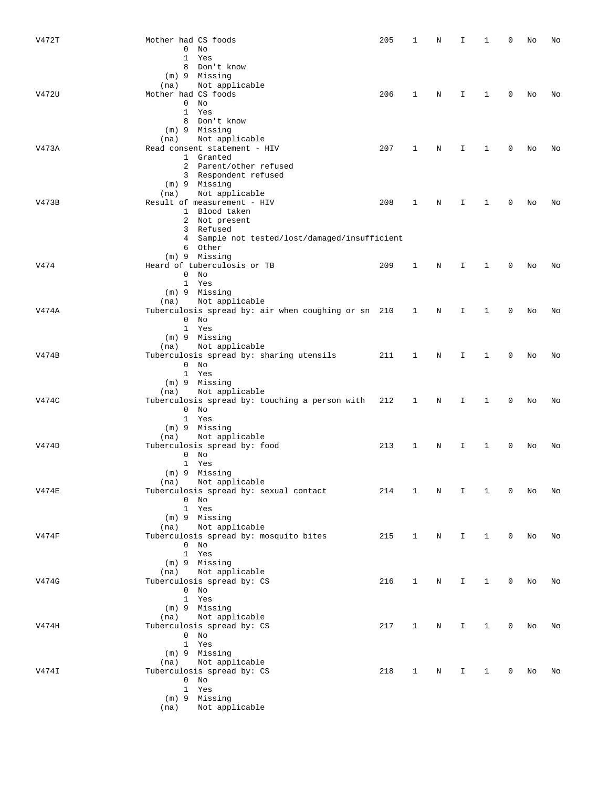| V472T | Mother had CS foods                                 | 205 | 1            | Ν | Ι  | 1            | 0 | No | No |
|-------|-----------------------------------------------------|-----|--------------|---|----|--------------|---|----|----|
|       | 0<br>No                                             |     |              |   |    |              |   |    |    |
|       | 1<br>Yes                                            |     |              |   |    |              |   |    |    |
|       | 8 Don't know                                        |     |              |   |    |              |   |    |    |
|       | $(m)$ 9 Missing                                     |     |              |   |    |              |   |    |    |
|       | Not applicable<br>(na)                              |     |              |   |    |              |   |    |    |
| V472U | Mother had CS foods                                 | 206 | 1            | N | I. | $\mathbf{1}$ | 0 | No | No |
|       | $0$ No                                              |     |              |   |    |              |   |    |    |
|       | 1<br>Yes                                            |     |              |   |    |              |   |    |    |
|       |                                                     |     |              |   |    |              |   |    |    |
|       | 8 Don't know                                        |     |              |   |    |              |   |    |    |
|       | (m) 9 Missing                                       |     |              |   |    |              |   |    |    |
|       | Not applicable<br>(na)                              |     |              |   |    |              |   |    |    |
| V473A | Read consent statement - HIV                        | 207 | 1            | N | I  | 1            | 0 | No | No |
|       | 1 Granted                                           |     |              |   |    |              |   |    |    |
|       | 2 Parent/other refused                              |     |              |   |    |              |   |    |    |
|       | 3 Respondent refused                                |     |              |   |    |              |   |    |    |
|       | (m) 9 Missing                                       |     |              |   |    |              |   |    |    |
|       | Not applicable<br>(na)                              |     |              |   |    |              |   |    |    |
|       |                                                     |     |              |   |    |              |   |    |    |
| V473B | Result of measurement - HIV                         | 208 | 1            | N | I  | 1            | 0 | No | No |
|       | 1 Blood taken                                       |     |              |   |    |              |   |    |    |
|       | 2 Not present                                       |     |              |   |    |              |   |    |    |
|       | 3 Refused                                           |     |              |   |    |              |   |    |    |
|       | 4 Sample not tested/lost/damaged/insufficient       |     |              |   |    |              |   |    |    |
|       | 6 Other                                             |     |              |   |    |              |   |    |    |
|       | $(m)$ 9 Missing                                     |     |              |   |    |              |   |    |    |
| V474  | Heard of tuberculosis or TB                         | 209 | 1            | Ν | I  | 1            | 0 | No | No |
|       |                                                     |     |              |   |    |              |   |    |    |
|       | $\overline{0}$<br>No                                |     |              |   |    |              |   |    |    |
|       | 1 Yes                                               |     |              |   |    |              |   |    |    |
|       | (m) 9 Missing                                       |     |              |   |    |              |   |    |    |
|       | Not applicable<br>(na)                              |     |              |   |    |              |   |    |    |
| V474A | Tuberculosis spread by: air when coughing or sn 210 |     | 1            | N | I. | $\mathbf{1}$ | 0 | No | No |
|       | $0$ No                                              |     |              |   |    |              |   |    |    |
|       | 1 Yes                                               |     |              |   |    |              |   |    |    |
|       | $(m)$ 9 Missing                                     |     |              |   |    |              |   |    |    |
|       | Not applicable<br>(na)                              |     |              |   |    |              |   |    |    |
|       |                                                     |     |              |   |    |              |   |    |    |
| V474B | Tuberculosis spread by: sharing utensils            | 211 | 1            | N | I. | 1            | 0 | No | No |
|       | $0$ No                                              |     |              |   |    |              |   |    |    |
|       | 1 Yes                                               |     |              |   |    |              |   |    |    |
|       | (m) 9 Missing                                       |     |              |   |    |              |   |    |    |
|       | Not applicable<br>(na)                              |     |              |   |    |              |   |    |    |
| V474C | Tuberculosis spread by: touching a person with      | 212 | 1            | Ν | I  | 1            | 0 | No | No |
|       | $0$ No                                              |     |              |   |    |              |   |    |    |
|       | 1 Yes                                               |     |              |   |    |              |   |    |    |
|       |                                                     |     |              |   |    |              |   |    |    |
|       | (m) 9 Missing                                       |     |              |   |    |              |   |    |    |
|       | Not applicable<br>(na)                              |     |              |   |    |              |   |    |    |
| V474D | Tuberculosis spread by: food                        | 213 | 1            | Ν | I  | 1            | 0 | No | No |
|       | $0$ No                                              |     |              |   |    |              |   |    |    |
|       | 1 Yes                                               |     |              |   |    |              |   |    |    |
|       | (m) 9 Missing                                       |     |              |   |    |              |   |    |    |
|       | Not applicable<br>(na)                              |     |              |   |    |              |   |    |    |
| V474E | Tuberculosis spread by: sexual contact              | 214 | 1            | N | Ι. | 1            | 0 | No | No |
|       | $0$ No                                              |     |              |   |    |              |   |    |    |
|       | 1 Yes                                               |     |              |   |    |              |   |    |    |
|       |                                                     |     |              |   |    |              |   |    |    |
|       | (m) 9 Missing                                       |     |              |   |    |              |   |    |    |
|       | (na) Not applicable                                 |     |              |   |    |              |   |    |    |
| V474F | Tuberculosis spread by: mosquito bites              | 215 | 1            | N | I  | $\mathbf{1}$ | 0 | No | No |
|       | $0$ No                                              |     |              |   |    |              |   |    |    |
|       | 1 Yes                                               |     |              |   |    |              |   |    |    |
|       | $(m)$ 9 Missing                                     |     |              |   |    |              |   |    |    |
|       | (na) Not applicable                                 |     |              |   |    |              |   |    |    |
| V474G | Tuberculosis spread by: CS                          | 216 | 1            | N | I. | $\mathbf{1}$ | 0 | No | No |
|       |                                                     |     |              |   |    |              |   |    |    |
|       | $0$ No                                              |     |              |   |    |              |   |    |    |
|       | 1 Yes                                               |     |              |   |    |              |   |    |    |
|       | $(m)$ 9 Missing                                     |     |              |   |    |              |   |    |    |
|       | (na) Not applicable                                 |     |              |   |    |              |   |    |    |
| V474H | Tuberculosis spread by: CS                          | 217 | $\mathbf{1}$ | N | Ι. | $\mathbf{1}$ | 0 | No | No |
|       | $0$ No                                              |     |              |   |    |              |   |    |    |
|       | 1 Yes                                               |     |              |   |    |              |   |    |    |
|       | (m) 9 Missing                                       |     |              |   |    |              |   |    |    |
|       | (na) Not applicable                                 |     |              |   |    |              |   |    |    |
|       |                                                     |     |              |   |    |              |   |    |    |
| V474I | Tuberculosis spread by: CS                          | 218 | $\mathbf{1}$ | N | Ι. | $\mathbf{1}$ | 0 | No | No |
|       | $0$ No                                              |     |              |   |    |              |   |    |    |
|       | 1 Yes                                               |     |              |   |    |              |   |    |    |
|       | (m) 9 Missing                                       |     |              |   |    |              |   |    |    |
|       | Not applicable<br>(na)                              |     |              |   |    |              |   |    |    |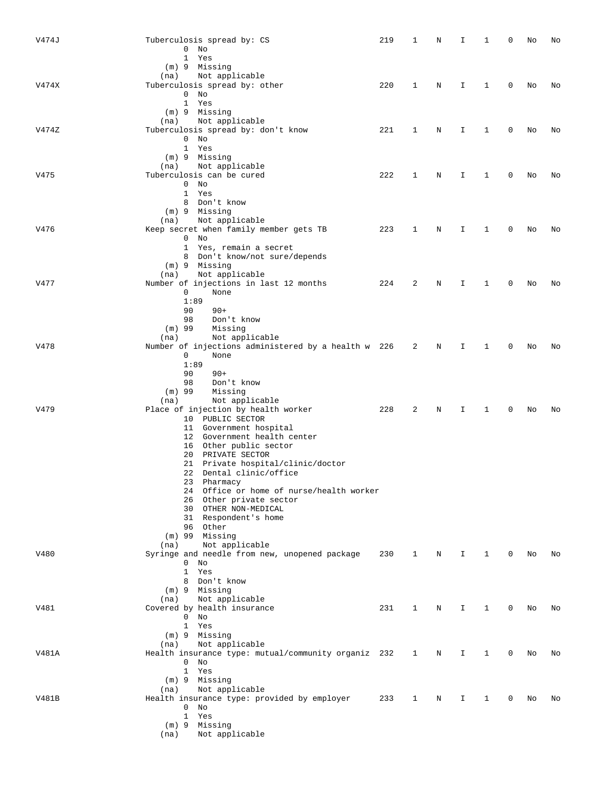| V474J | Tuberculosis spread by: CS                            | 219 | 1            | Ν | I           | 1            | 0           | No | No |
|-------|-------------------------------------------------------|-----|--------------|---|-------------|--------------|-------------|----|----|
|       | $0$ No                                                |     |              |   |             |              |             |    |    |
|       | 1 Yes                                                 |     |              |   |             |              |             |    |    |
|       | (m) 9 Missing                                         |     |              |   |             |              |             |    |    |
|       | Not applicable<br>(na)                                |     |              |   |             |              |             |    |    |
| V474X | Tuberculosis spread by: other                         | 220 | 1            | N | I           | 1            | $\mathbf 0$ | No | No |
|       | $0$ No                                                |     |              |   |             |              |             |    |    |
|       | 1 Yes                                                 |     |              |   |             |              |             |    |    |
|       | (m) 9 Missing                                         |     |              |   |             |              |             |    |    |
|       | Not applicable<br>(na)                                |     |              |   |             |              |             |    |    |
| V474Z | Tuberculosis spread by: don't know                    | 221 | 1            | N | I           | 1            | 0           | No | No |
|       | $0$ No                                                |     |              |   |             |              |             |    |    |
|       | 1 Yes                                                 |     |              |   |             |              |             |    |    |
|       | (m) 9 Missing                                         |     |              |   |             |              |             |    |    |
|       |                                                       |     |              |   |             |              |             |    |    |
|       | Not applicable<br>(na)                                |     |              |   |             |              |             |    |    |
| V475  | Tuberculosis can be cured                             | 222 | 1            | Ν | I           | 1            | 0           | No | No |
|       | $0$ No                                                |     |              |   |             |              |             |    |    |
|       | 1 Yes                                                 |     |              |   |             |              |             |    |    |
|       | 8 Don't know                                          |     |              |   |             |              |             |    |    |
|       | (m) 9 Missing                                         |     |              |   |             |              |             |    |    |
|       | Not applicable<br>(na)                                |     |              |   |             |              |             |    |    |
| V476  | Keep secret when family member gets TB                | 223 | 1            | N | I           | 1            | 0           | No | No |
|       | $0$ No                                                |     |              |   |             |              |             |    |    |
|       | 1 Yes, remain a secret                                |     |              |   |             |              |             |    |    |
|       | 8 Don't know/not sure/depends                         |     |              |   |             |              |             |    |    |
|       | (m) 9 Missing                                         |     |              |   |             |              |             |    |    |
|       | Not applicable<br>(na)                                |     |              |   |             |              |             |    |    |
| V477  | Number of injections in last 12 months                | 224 | 2            | N | I           | 1            | 0           | No | No |
|       | 0<br>None                                             |     |              |   |             |              |             |    |    |
|       | 1:89                                                  |     |              |   |             |              |             |    |    |
|       | $90+$<br>90                                           |     |              |   |             |              |             |    |    |
|       | 98<br>Don't know                                      |     |              |   |             |              |             |    |    |
|       | $(m)$ 99<br>Missing                                   |     |              |   |             |              |             |    |    |
|       | Not applicable<br>(na)                                |     |              |   |             |              |             |    |    |
| V478  | Number of injections administered by a health w 226   |     | 2            | N | I           | 1            | 0           | No | No |
|       | 0<br>None                                             |     |              |   |             |              |             |    |    |
|       | 1:89                                                  |     |              |   |             |              |             |    |    |
|       | 90<br>$90+$                                           |     |              |   |             |              |             |    |    |
|       | 98<br>Don't know                                      |     |              |   |             |              |             |    |    |
|       | $(m)$ 99<br>Missing                                   |     |              |   |             |              |             |    |    |
|       | Not applicable<br>(na)                                |     |              |   |             |              |             |    |    |
| V479  | Place of injection by health worker                   | 228 | 2            | N | I           | 1            | 0           | No | No |
|       |                                                       |     |              |   |             |              |             |    |    |
|       | 10 PUBLIC SECTOR                                      |     |              |   |             |              |             |    |    |
|       | 11 Government hospital<br>12 Government health center |     |              |   |             |              |             |    |    |
|       |                                                       |     |              |   |             |              |             |    |    |
|       | 16 Other public sector                                |     |              |   |             |              |             |    |    |
|       | 20 PRIVATE SECTOR                                     |     |              |   |             |              |             |    |    |
|       | 21 Private hospital/clinic/doctor                     |     |              |   |             |              |             |    |    |
|       | 22 Dental clinic/office                               |     |              |   |             |              |             |    |    |
|       | 23 Pharmacy                                           |     |              |   |             |              |             |    |    |
|       | 24 Office or home of nurse/health worker              |     |              |   |             |              |             |    |    |
|       | 26 Other private sector                               |     |              |   |             |              |             |    |    |
|       | 30 OTHER NON-MEDICAL                                  |     |              |   |             |              |             |    |    |
|       | 31 Respondent's home                                  |     |              |   |             |              |             |    |    |
|       | 96 Other                                              |     |              |   |             |              |             |    |    |
|       | $(m)$ 99 Missing                                      |     |              |   |             |              |             |    |    |
|       | Not applicable<br>(na)                                |     |              |   |             |              |             |    |    |
| V480  | Syringe and needle from new, unopened package         | 230 | 1            | N | $\mathbf I$ | $\mathbf{1}$ | $\mathbf 0$ | No | No |
|       | $0$ No                                                |     |              |   |             |              |             |    |    |
|       | 1 Yes                                                 |     |              |   |             |              |             |    |    |
|       | 8 Don't know                                          |     |              |   |             |              |             |    |    |
|       | (m) 9 Missing                                         |     |              |   |             |              |             |    |    |
|       | Not applicable<br>(na)                                |     |              |   |             |              |             |    |    |
| V481  | Covered by health insurance                           | 231 | 1            | N | I           | 1            | 0           | No | No |
|       | $0$ No                                                |     |              |   |             |              |             |    |    |
|       | 1 Yes                                                 |     |              |   |             |              |             |    |    |
|       | (m) 9 Missing                                         |     |              |   |             |              |             |    |    |
|       | Not applicable<br>(na)                                |     |              |   |             |              |             |    |    |
| V481A | Health insurance type: mutual/community organiz 232   |     | 1            | N | I.          | 1            | 0           | No | No |
|       | $0$ No                                                |     |              |   |             |              |             |    |    |
|       | 1 Yes                                                 |     |              |   |             |              |             |    |    |
|       | $(m)$ 9 Missing                                       |     |              |   |             |              |             |    |    |
|       | Not applicable<br>(na)                                |     |              |   |             |              |             |    |    |
| V481B | Health insurance type: provided by employer           | 233 | $\mathbf{1}$ | N | I           | 1            | 0           | No | No |
|       | $0$ No                                                |     |              |   |             |              |             |    |    |
|       | 1 Yes                                                 |     |              |   |             |              |             |    |    |
|       | $(m)$ 9 Missing                                       |     |              |   |             |              |             |    |    |
|       | Not applicable<br>(na)                                |     |              |   |             |              |             |    |    |
|       |                                                       |     |              |   |             |              |             |    |    |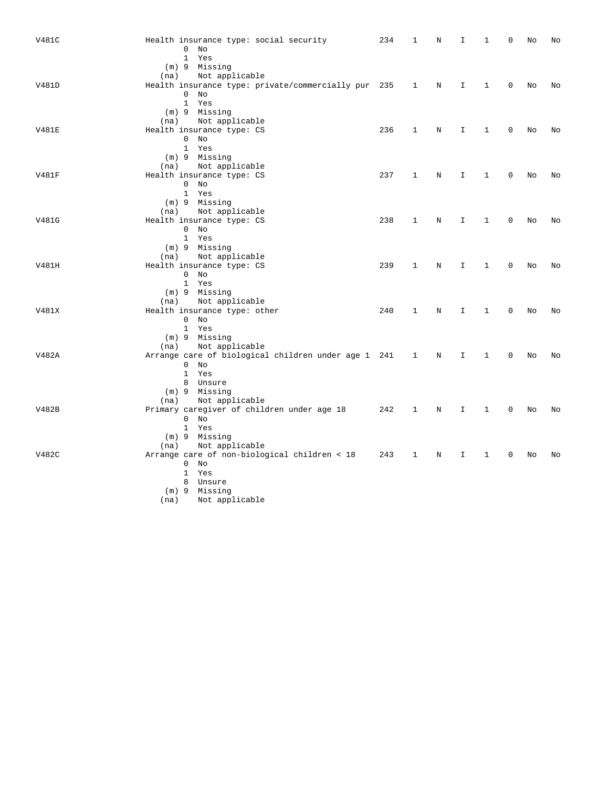| V481C |      | Health insurance type: social security              | 234 | 1            | Ν | I  | 1            | 0           | No | No |
|-------|------|-----------------------------------------------------|-----|--------------|---|----|--------------|-------------|----|----|
|       |      | $0$ No                                              |     |              |   |    |              |             |    |    |
|       |      | 1 Yes                                               |     |              |   |    |              |             |    |    |
|       |      | $(m)$ 9 Missing                                     |     |              |   |    |              |             |    |    |
|       | (na) | Not applicable                                      |     |              |   |    |              |             |    |    |
| V481D |      | Health insurance type: private/commercially pur 235 |     | 1            | N | I  | $\mathbf{1}$ | $\mathbf 0$ | No | No |
|       |      | $0$ No                                              |     |              |   |    |              |             |    |    |
|       |      | 1 Yes                                               |     |              |   |    |              |             |    |    |
|       |      | (m) 9 Missing                                       |     |              |   |    |              |             |    |    |
|       | (na) | Not applicable                                      |     |              |   |    |              |             |    |    |
| V481E |      | Health insurance type: CS                           | 236 | 1            | N | I. | 1            | $\mathbf 0$ | No | No |
|       |      | $0$ No                                              |     |              |   |    |              |             |    |    |
|       |      | 1 Yes                                               |     |              |   |    |              |             |    |    |
|       |      | $(m)$ 9 Missing                                     |     |              |   |    |              |             |    |    |
|       | (na) | Not applicable                                      |     |              |   |    |              |             |    |    |
| V481F |      | Health insurance type: CS                           | 237 | $\mathbf{1}$ | N | I  | $\mathbf{1}$ | 0           | No | No |
|       |      | $0$ No                                              |     |              |   |    |              |             |    |    |
|       |      | 1 Yes                                               |     |              |   |    |              |             |    |    |
|       |      | (m) 9 Missing                                       |     |              |   |    |              |             |    |    |
|       | (na) | Not applicable                                      |     |              |   |    |              |             |    |    |
| V481G |      | Health insurance type: CS                           | 238 | 1            | Ν | I  | 1            | 0           | No | No |
|       |      | $0$ No                                              |     |              |   |    |              |             |    |    |
|       |      | 1 Yes                                               |     |              |   |    |              |             |    |    |
|       |      | $(m)$ 9 Missing                                     |     |              |   |    |              |             |    |    |
|       |      | (na) Not applicable                                 |     |              |   |    |              |             |    |    |
| V481H |      | Health insurance type: CS                           | 239 | 1            | N | I. | 1            | 0           | No | No |
|       |      | $0$ No                                              |     |              |   |    |              |             |    |    |
|       |      | 1 Yes                                               |     |              |   |    |              |             |    |    |
|       |      | $(m)$ 9 Missing                                     |     |              |   |    |              |             |    |    |
|       | (na) | Not applicable                                      |     |              |   |    |              |             |    |    |
| V481X |      | Health insurance type: other                        | 240 | 1            | N | I. | $\mathbf{1}$ | $\mathbf 0$ | No | No |
|       |      | $0$ No                                              |     |              |   |    |              |             |    |    |
|       |      | 1 Yes                                               |     |              |   |    |              |             |    |    |
|       |      | $(m)$ 9 Missing                                     |     |              |   |    |              |             |    |    |
|       |      | (na) Not applicable                                 |     |              |   |    |              |             |    |    |
| V482A |      | Arrange care of biological children under age 1 241 |     | 1            | N | I  | 1            | 0           | No | No |
|       |      | $0$ No                                              |     |              |   |    |              |             |    |    |
|       |      | 1 Yes                                               |     |              |   |    |              |             |    |    |
|       |      | 8 Unsure                                            |     |              |   |    |              |             |    |    |
|       |      | $(m)$ 9 Missing                                     |     |              |   |    |              |             |    |    |
|       | (na) | Not applicable                                      |     |              |   |    |              |             |    |    |
| V482B |      | Primary caregiver of children under age 18          | 242 | $\mathbf{1}$ | N | I  | $\mathbf{1}$ | 0           | No | No |
|       |      | $0$ No                                              |     |              |   |    |              |             |    |    |
|       |      | 1 Yes                                               |     |              |   |    |              |             |    |    |
|       |      | (m) 9 Missing                                       |     |              |   |    |              |             |    |    |
|       | (na) | Not applicable                                      |     |              |   |    |              |             |    |    |
| V482C |      | Arrange care of non-biological children < 18        | 243 | $\mathbf{1}$ | Ν | I  | 1            | 0           | No | No |
|       |      | $0$ No                                              |     |              |   |    |              |             |    |    |
|       |      | 1 Yes                                               |     |              |   |    |              |             |    |    |
|       |      | 8 Unsure                                            |     |              |   |    |              |             |    |    |
|       |      | $(m)$ 9 Missing                                     |     |              |   |    |              |             |    |    |
|       | (na) | Not applicable                                      |     |              |   |    |              |             |    |    |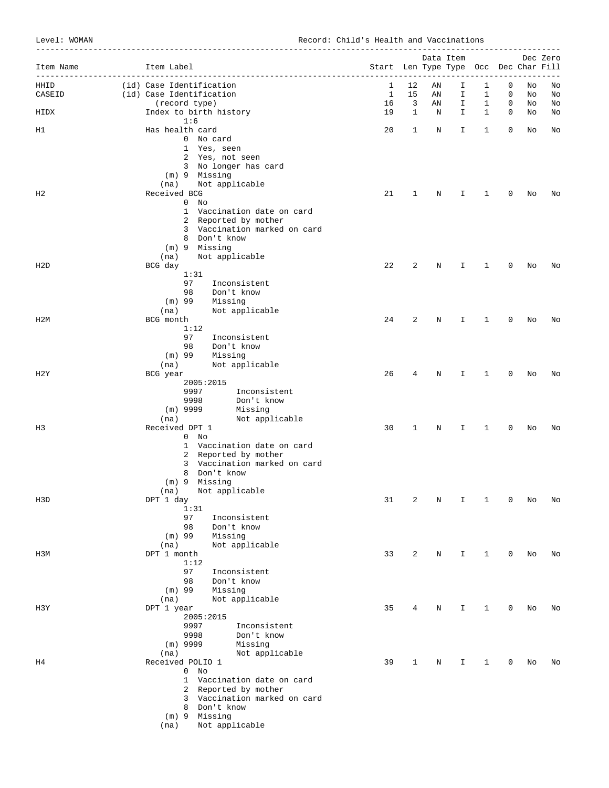Level: WOMAN Record: Child's Health and Vaccinations

| Item Name        | Item Label                                           | Start Len Type Type Occ Dec Char Fill |             | Data Item |        |              |                  |          | Dec Zero |
|------------------|------------------------------------------------------|---------------------------------------|-------------|-----------|--------|--------------|------------------|----------|----------|
|                  | __________________________                           |                                       |             |           |        |              |                  |          |          |
| HHID<br>CASEID   | (id) Case Identification<br>(id) Case Identification | 1<br>1                                | 12<br>15    | ΑN<br>ΑN  | I<br>I | 1<br>1       | $\mathbf 0$<br>0 | No<br>No | No<br>No |
|                  | (record type)                                        | 16                                    | 3           | AN        | I.     | $\mathbf{1}$ | 0                | No       | No       |
| HIDX             | Index to birth history<br>1:6                        | 19                                    | $\mathbf 1$ | Ν         | I.     | $\mathbf{1}$ | $\mathbf 0$      | No       | No       |
| H1               | Has health card                                      | 20                                    | 1           | Ν         | I.     | 1            | 0                | No       | No       |
|                  | 0 No card                                            |                                       |             |           |        |              |                  |          |          |
|                  | 1 Yes, seen<br>2 Yes, not seen                       |                                       |             |           |        |              |                  |          |          |
|                  | 3 No longer has card                                 |                                       |             |           |        |              |                  |          |          |
|                  | (m) 9 Missing<br>(na)<br>Not applicable              |                                       |             |           |        |              |                  |          |          |
| Η2               | Received BCG                                         | 21                                    | 1           | N         | I      | 1            | 0                | No       | No       |
|                  | $0$ No<br>1 Vaccination date on card                 |                                       |             |           |        |              |                  |          |          |
|                  | 2 Reported by mother                                 |                                       |             |           |        |              |                  |          |          |
|                  | 3 Vaccination marked on card                         |                                       |             |           |        |              |                  |          |          |
|                  | 8 Don't know<br>(m) 9 Missing                        |                                       |             |           |        |              |                  |          |          |
|                  | Not applicable<br>(na)                               |                                       |             |           |        |              |                  |          |          |
| H2D              | BCG day<br>1:31                                      | 22                                    | 2           | N         | I      | 1            | 0                | No       | No       |
|                  | 97<br>Inconsistent                                   |                                       |             |           |        |              |                  |          |          |
|                  | 98<br>Don't know                                     |                                       |             |           |        |              |                  |          |          |
|                  | $(m)$ 99<br>Missing<br>(na)<br>Not applicable        |                                       |             |           |        |              |                  |          |          |
| H2M              | BCG month                                            | 24                                    | 2           | Ν         | I      | 1            | 0                | No       | No       |
|                  | 1:12                                                 |                                       |             |           |        |              |                  |          |          |
|                  | 97<br>Inconsistent<br>98<br>Don't know               |                                       |             |           |        |              |                  |          |          |
|                  | $(m)$ 99<br>Missing                                  |                                       |             |           |        |              |                  |          |          |
| H <sub>2</sub> Y | Not applicable<br>(na)<br>BCG year                   | 26                                    | 4           | Ν         | I.     | 1            | 0                | No       | No       |
|                  | 2005:2015                                            |                                       |             |           |        |              |                  |          |          |
|                  | 9997<br>Inconsistent                                 |                                       |             |           |        |              |                  |          |          |
|                  | 9998<br>Don't know<br>Missing<br>$(m)$ 9999          |                                       |             |           |        |              |                  |          |          |
|                  | (na)<br>Not applicable                               |                                       |             |           |        |              |                  |          |          |
| H3               | Received DPT 1<br>$0$ No                             | 30                                    | 1           | N         | I      | 1            | 0                | No       | No       |
|                  | 1 Vaccination date on card                           |                                       |             |           |        |              |                  |          |          |
|                  | 2 Reported by mother                                 |                                       |             |           |        |              |                  |          |          |
|                  | 3 Vaccination marked on card<br>8 Don't know         |                                       |             |           |        |              |                  |          |          |
|                  | (m) 9 Missing                                        |                                       |             |           |        |              |                  |          |          |
| H3D              | (na) Not applicable                                  | 31                                    | 2           | Ν         | I      | 1            | 0                | No       | No       |
|                  | DPT 1 day<br>1:31                                    |                                       |             |           |        |              |                  |          |          |
|                  | 97<br>Inconsistent                                   |                                       |             |           |        |              |                  |          |          |
|                  | 98<br>Don't know<br>$(m)$ 99<br>Missing              |                                       |             |           |        |              |                  |          |          |
|                  | Not applicable<br>(na)                               |                                       |             |           |        |              |                  |          |          |
| H3M              | DPT 1 month<br>1:12                                  | 33                                    | 2           | $\rm N$   | I      | 1            | 0                | No       | No       |
|                  | 97<br>Inconsistent                                   |                                       |             |           |        |              |                  |          |          |
|                  | 98<br>Don't know                                     |                                       |             |           |        |              |                  |          |          |
|                  | $(m)$ 99<br>Missing<br>(na)<br>Not applicable        |                                       |             |           |        |              |                  |          |          |
| H3Y              | DPT 1 year                                           | 35                                    | 4           | Ν         | Ι      | 1            | 0                | No       | No       |
|                  | 2005:2015                                            |                                       |             |           |        |              |                  |          |          |
|                  | 9997<br>Inconsistent<br>9998<br>Don't know           |                                       |             |           |        |              |                  |          |          |
|                  | $(m)$ 9999<br>Missing                                |                                       |             |           |        |              |                  |          |          |
| Η4               | Not applicable<br>(na)<br>Received POLIO 1           | 39                                    | 1           | Ν         | I      | 1            | 0                | No       | No       |
|                  | $0$ No                                               |                                       |             |           |        |              |                  |          |          |
|                  | 1 Vaccination date on card                           |                                       |             |           |        |              |                  |          |          |
|                  | 2 Reported by mother<br>3 Vaccination marked on card |                                       |             |           |        |              |                  |          |          |
|                  | 8 Don't know                                         |                                       |             |           |        |              |                  |          |          |
|                  | $(m)$ 9<br>Missing                                   |                                       |             |           |        |              |                  |          |          |
|                  | Not applicable<br>(na)                               |                                       |             |           |        |              |                  |          |          |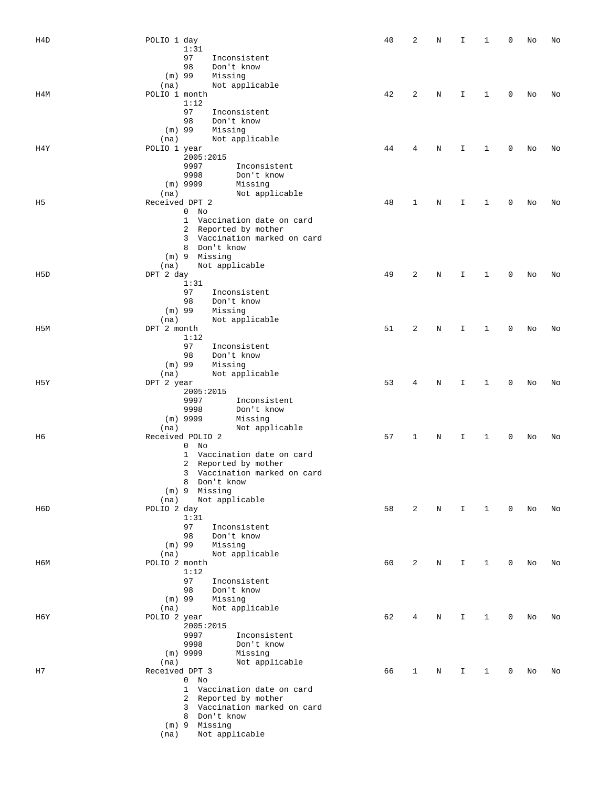| H4D              | POLIO 1 day                  | 40 | 2 | N | Ι  | 1            | 0 | No | No |
|------------------|------------------------------|----|---|---|----|--------------|---|----|----|
|                  | 1:31                         |    |   |   |    |              |   |    |    |
|                  | 97<br>Inconsistent           |    |   |   |    |              |   |    |    |
|                  | 98<br>Don't know             |    |   |   |    |              |   |    |    |
|                  | $(m)$ 99<br>Missing          |    |   |   |    |              |   |    |    |
|                  | Not applicable<br>(na)       |    |   |   |    |              |   |    |    |
| H4M              | POLIO 1 month                | 42 | 2 | N | I  | 1            | 0 | No | No |
|                  | 1:12                         |    |   |   |    |              |   |    |    |
|                  | 97<br>Inconsistent           |    |   |   |    |              |   |    |    |
|                  | 98<br>Don't know             |    |   |   |    |              |   |    |    |
|                  | $(m)$ 99<br>Missing          |    |   |   |    |              |   |    |    |
|                  | Not applicable<br>(na)       |    |   |   |    |              |   |    |    |
| H4Y              | POLIO 1 year                 | 44 | 4 | N | I  | 1            | 0 | No | No |
|                  | 2005:2015                    |    |   |   |    |              |   |    |    |
|                  | 9997<br>Inconsistent         |    |   |   |    |              |   |    |    |
|                  | 9998<br>Don't know           |    |   |   |    |              |   |    |    |
|                  | $(m)$ 9999<br>Missing        |    |   |   |    |              |   |    |    |
|                  | (na)<br>Not applicable       |    |   |   |    |              |   |    |    |
| H <sub>5</sub>   | Received DPT 2               | 48 | 1 | N | I  | 1            | 0 | No | No |
|                  | $0$ No                       |    |   |   |    |              |   |    |    |
|                  | 1 Vaccination date on card   |    |   |   |    |              |   |    |    |
|                  | 2 Reported by mother         |    |   |   |    |              |   |    |    |
|                  | 3 Vaccination marked on card |    |   |   |    |              |   |    |    |
|                  | 8 Don't know                 |    |   |   |    |              |   |    |    |
|                  | (m) 9 Missing                |    |   |   |    |              |   |    |    |
|                  | (na)<br>Not applicable       |    |   |   |    |              |   |    |    |
| H <sub>5</sub> D | DPT 2 day                    | 49 | 2 | N | I  | 1            | 0 | No | No |
|                  | 1:31                         |    |   |   |    |              |   |    |    |
|                  | 97<br>Inconsistent           |    |   |   |    |              |   |    |    |
|                  | 98<br>Don't know             |    |   |   |    |              |   |    |    |
|                  | $(m)$ 99<br>Missing          |    |   |   |    |              |   |    |    |
|                  | Not applicable<br>(na)       |    |   |   |    |              |   |    |    |
| H5M              | DPT 2 month                  | 51 | 2 | N | I  | 1            | 0 | No | No |
|                  | 1:12                         |    |   |   |    |              |   |    |    |
|                  | 97<br>Inconsistent           |    |   |   |    |              |   |    |    |
|                  | 98<br>Don't know             |    |   |   |    |              |   |    |    |
|                  | $(m)$ 99<br>Missing          |    |   |   |    |              |   |    |    |
|                  | Not applicable<br>(na)       |    |   |   |    |              |   |    |    |
| H5Y              | DPT 2 year                   | 53 | 4 | N | I  | 1            | 0 | No | No |
|                  | 2005:2015                    |    |   |   |    |              |   |    |    |
|                  | 9997<br>Inconsistent         |    |   |   |    |              |   |    |    |
|                  | 9998<br>Don't know           |    |   |   |    |              |   |    |    |
|                  | $(m)$ 9999<br>Missing        |    |   |   |    |              |   |    |    |
|                  | Not applicable<br>(na)       |    |   |   |    |              |   |    |    |
| H6               | Received POLIO 2             | 57 | 1 | Ν | Ι  | 1            | 0 | No | No |
|                  | $0$ No                       |    |   |   |    |              |   |    |    |
|                  | 1 Vaccination date on card   |    |   |   |    |              |   |    |    |
|                  | 2 Reported by mother         |    |   |   |    |              |   |    |    |
|                  | 3 Vaccination marked on card |    |   |   |    |              |   |    |    |
|                  | 8 Don't know                 |    |   |   |    |              |   |    |    |
|                  | (m) 9 Missing                |    |   |   |    |              |   |    |    |
|                  | Not applicable<br>(na)       |    |   |   |    |              |   |    |    |
| H6D              | POLIO 2 day                  | 58 | 2 | N | I  | $\mathbf{1}$ | 0 | No | No |
|                  | 1:31                         |    |   |   |    |              |   |    |    |
|                  | 97<br>Inconsistent           |    |   |   |    |              |   |    |    |
|                  | 98<br>Don't know             |    |   |   |    |              |   |    |    |
|                  | $(m)$ 99<br>Missing          |    |   |   |    |              |   |    |    |
|                  | Not applicable<br>(na)       |    |   |   |    |              |   |    |    |
| н6м              | POLIO 2 month                | 60 | 2 | Ν | I  | $\mathbf{1}$ | 0 | No | No |
|                  | 1:12                         |    |   |   |    |              |   |    |    |
|                  | 97<br>Inconsistent           |    |   |   |    |              |   |    |    |
|                  | 98<br>Don't know             |    |   |   |    |              |   |    |    |
|                  | $(m)$ 99<br>Missing          |    |   |   |    |              |   |    |    |
|                  | (na)<br>Not applicable       |    |   |   |    |              |   |    |    |
| НбҮ              | POLIO 2 year                 | 62 | 4 | N | Ι. | $\mathbf{1}$ | 0 | No | No |
|                  | 2005:2015                    |    |   |   |    |              |   |    |    |
|                  | 9997<br>Inconsistent         |    |   |   |    |              |   |    |    |
|                  | 9998<br>Don't know           |    |   |   |    |              |   |    |    |
|                  | $(m)$ 9999<br>Missing        |    |   |   |    |              |   |    |    |
|                  | Not applicable<br>(na)       |    |   |   |    |              |   |    |    |
| Η7               | Received DPT 3               | 66 | 1 | N | Ι. | $\mathbf{1}$ | 0 | No | No |
|                  | $0$ No                       |    |   |   |    |              |   |    |    |
|                  | 1 Vaccination date on card   |    |   |   |    |              |   |    |    |
|                  | 2 Reported by mother         |    |   |   |    |              |   |    |    |
|                  | 3 Vaccination marked on card |    |   |   |    |              |   |    |    |
|                  | 8 Don't know                 |    |   |   |    |              |   |    |    |
|                  | $(m)$ 9 Missing              |    |   |   |    |              |   |    |    |
|                  | Not applicable<br>(na)       |    |   |   |    |              |   |    |    |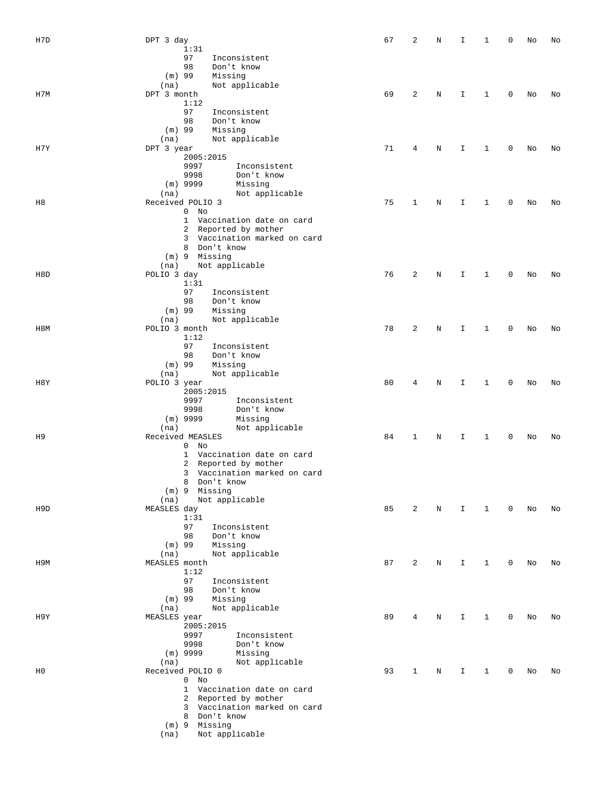| H7D | DPT 3 day                                | 67 | 2           | Ν | I  | 1            | 0 | No | No |
|-----|------------------------------------------|----|-------------|---|----|--------------|---|----|----|
|     | 1:31                                     |    |             |   |    |              |   |    |    |
|     | 97<br>Inconsistent                       |    |             |   |    |              |   |    |    |
|     | 98<br>Don't know                         |    |             |   |    |              |   |    |    |
|     | Missing<br>$(m)$ 99                      |    |             |   |    |              |   |    |    |
|     | Not applicable<br>(na)                   |    |             |   |    |              |   |    |    |
| H7M | DPT 3 month                              | 69 | 2           | N | I  | 1            | 0 | No | No |
|     | 1:12                                     |    |             |   |    |              |   |    |    |
|     | 97<br>Inconsistent                       |    |             |   |    |              |   |    |    |
|     | 98<br>Don't know                         |    |             |   |    |              |   |    |    |
|     | Missing<br>$(m)$ 99                      |    |             |   |    |              |   |    |    |
|     | Not applicable<br>(na)                   | 71 | 4           |   |    |              | 0 |    |    |
| H7Y | DPT 3 year<br>2005:2015                  |    |             | N | I  | 1            |   | No | No |
|     | 9997<br>Inconsistent                     |    |             |   |    |              |   |    |    |
|     | 9998<br>Don't know                       |    |             |   |    |              |   |    |    |
|     | $(m)$ 9999<br>Missing                    |    |             |   |    |              |   |    |    |
|     | Not applicable<br>(na)                   |    |             |   |    |              |   |    |    |
| Η8  | Received POLIO 3                         | 75 | 1           | N | I  | 1            | 0 | No | No |
|     | $0$ No                                   |    |             |   |    |              |   |    |    |
|     | 1 Vaccination date on card               |    |             |   |    |              |   |    |    |
|     | 2 Reported by mother                     |    |             |   |    |              |   |    |    |
|     | 3 Vaccination marked on card             |    |             |   |    |              |   |    |    |
|     | 8 Don't know                             |    |             |   |    |              |   |    |    |
|     | (m) 9 Missing                            |    |             |   |    |              |   |    |    |
|     | Not applicable<br>(na)                   |    |             |   |    |              |   |    |    |
| H8D | POLIO 3 day                              | 76 | 2           | N | I  | 1            | 0 | No | No |
|     | 1:31                                     |    |             |   |    |              |   |    |    |
|     | 97<br>Inconsistent                       |    |             |   |    |              |   |    |    |
|     | Don't know<br>98                         |    |             |   |    |              |   |    |    |
|     | $(m)$ 99<br>Missing                      |    |             |   |    |              |   |    |    |
|     | Not applicable<br>(na)                   |    |             |   |    |              |   |    |    |
| H8M | POLIO 3 month                            | 78 | 2           | N | I  | 1            | 0 | No | No |
|     | 1:12                                     |    |             |   |    |              |   |    |    |
|     | 97<br>Inconsistent                       |    |             |   |    |              |   |    |    |
|     | 98<br>Don't know                         |    |             |   |    |              |   |    |    |
|     | $(m)$ 99<br>Missing                      |    |             |   |    |              |   |    |    |
|     | (na)<br>Not applicable                   |    |             |   |    |              |   |    |    |
| H8Y | POLIO 3 year                             | 80 | 4           | Ν | I  | 1            | 0 | No | No |
|     | 2005:2015<br>9997<br>Inconsistent        |    |             |   |    |              |   |    |    |
|     | 9998<br>Don't know                       |    |             |   |    |              |   |    |    |
|     | $(m)$ 9999<br>Missing                    |    |             |   |    |              |   |    |    |
|     | Not applicable<br>(na)                   |    |             |   |    |              |   |    |    |
| H9  | Received MEASLES                         | 84 | 1           | N | Ι  | 1            | 0 | No | No |
|     | $0$ No                                   |    |             |   |    |              |   |    |    |
|     | Vaccination date on card<br>$\mathbf{1}$ |    |             |   |    |              |   |    |    |
|     | 2 Reported by mother                     |    |             |   |    |              |   |    |    |
|     | 3 Vaccination marked on card             |    |             |   |    |              |   |    |    |
|     | 8 Don't know                             |    |             |   |    |              |   |    |    |
|     | (m) 9 Missing                            |    |             |   |    |              |   |    |    |
|     | Not applicable<br>(na)                   |    |             |   |    |              |   |    |    |
| H9D | MEASLES day                              | 85 | 2           | N | Ι. | $\mathbf{1}$ | 0 | No | No |
|     | 1:31                                     |    |             |   |    |              |   |    |    |
|     | 97<br>Inconsistent                       |    |             |   |    |              |   |    |    |
|     | 98<br>Don't know                         |    |             |   |    |              |   |    |    |
|     | $(m)$ 99<br>Missing                      |    |             |   |    |              |   |    |    |
|     | Not applicable<br>(na)                   |    |             |   |    |              |   |    |    |
| H9M | MEASLES month                            | 87 | 2           | N | Ι. | $\mathbf{1}$ | 0 | No | No |
|     | 1:12                                     |    |             |   |    |              |   |    |    |
|     | 97<br>Inconsistent                       |    |             |   |    |              |   |    |    |
|     | 98<br>Don't know                         |    |             |   |    |              |   |    |    |
|     | $(m)$ 99<br>Missing                      |    |             |   |    |              |   |    |    |
| H9Y | Not applicable<br>(na)                   | 89 | 4           |   | I  | 1            | 0 |    |    |
|     | MEASLES year<br>2005:2015                |    |             | N |    |              |   | No | No |
|     | 9997<br>Inconsistent                     |    |             |   |    |              |   |    |    |
|     | 9998<br>Don't know                       |    |             |   |    |              |   |    |    |
|     | $(m)$ 9999<br>Missing                    |    |             |   |    |              |   |    |    |
|     | Not applicable<br>(na)                   |    |             |   |    |              |   |    |    |
| H0  | Received POLIO 0                         | 93 | $\mathbf 1$ | N | Ι. | 1            | 0 | No | No |
|     | $0$ No                                   |    |             |   |    |              |   |    |    |
|     | 1 Vaccination date on card               |    |             |   |    |              |   |    |    |
|     | 2 Reported by mother                     |    |             |   |    |              |   |    |    |
|     | 3 Vaccination marked on card             |    |             |   |    |              |   |    |    |
|     | 8 Don't know                             |    |             |   |    |              |   |    |    |
|     | (m) 9 Missing                            |    |             |   |    |              |   |    |    |
|     | Not applicable<br>(na)                   |    |             |   |    |              |   |    |    |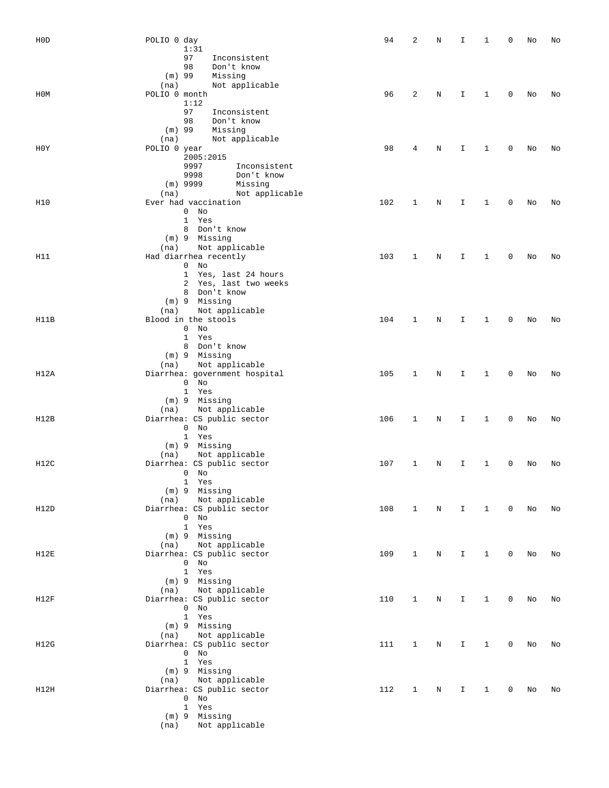| H <sub>0</sub> D | POLIO 0 day                                          | 94  | 2            | Ν          | I            | 1            | 0           | No | No |
|------------------|------------------------------------------------------|-----|--------------|------------|--------------|--------------|-------------|----|----|
|                  | 1:31                                                 |     |              |            |              |              |             |    |    |
|                  | 97<br>Inconsistent                                   |     |              |            |              |              |             |    |    |
|                  | 98<br>Don't know                                     |     |              |            |              |              |             |    |    |
|                  | $(m)$ 99<br>Missing                                  |     |              |            |              |              |             |    |    |
|                  | Not applicable<br>(na)                               |     |              |            |              |              |             |    |    |
| H0M              | POLIO 0 month                                        | 96  | 2            | $\rm N$    | I            | 1            | $\mathbf 0$ | No | No |
|                  | 1:12                                                 |     |              |            |              |              |             |    |    |
|                  | 97<br>Inconsistent                                   |     |              |            |              |              |             |    |    |
|                  | 98<br>Don't know                                     |     |              |            |              |              |             |    |    |
|                  | $(m)$ 99<br>Missing<br>Not applicable                |     |              |            |              |              |             |    |    |
| H0Y              | (na)<br>POLIO 0 year                                 | 98  | 4            | Ν          | I            | 1            | $\mathbf 0$ | No | No |
|                  | 2005:2015                                            |     |              |            |              |              |             |    |    |
|                  | 9997<br>Inconsistent                                 |     |              |            |              |              |             |    |    |
|                  | 9998<br>Don't know                                   |     |              |            |              |              |             |    |    |
|                  | $(m)$ 9999<br>Missing                                |     |              |            |              |              |             |    |    |
|                  | Not applicable<br>(na)                               |     |              |            |              |              |             |    |    |
| H10              | Ever had vaccination                                 | 102 | 1            | Ν          | I            | 1            | 0           | No | No |
|                  | $0$ No                                               |     |              |            |              |              |             |    |    |
|                  | $\mathbf{1}$<br>Yes                                  |     |              |            |              |              |             |    |    |
|                  | 8 Don't know                                         |     |              |            |              |              |             |    |    |
|                  | (m) 9 Missing                                        |     |              |            |              |              |             |    |    |
|                  | Not applicable<br>(na)                               |     |              |            |              |              |             |    |    |
| H11              | Had diarrhea recently                                | 103 | $\mathbf{1}$ | N          | I            | 1            | 0           | No | No |
|                  | $0$ No                                               |     |              |            |              |              |             |    |    |
|                  | 1 Yes, last 24 hours<br>2 Yes, last two weeks        |     |              |            |              |              |             |    |    |
|                  | 8 Don't know                                         |     |              |            |              |              |             |    |    |
|                  | (m) 9 Missing                                        |     |              |            |              |              |             |    |    |
|                  | Not applicable<br>(na)                               |     |              |            |              |              |             |    |    |
| H11B             | Blood in the stools                                  | 104 | 1            | $\rm N$    | I            | 1            | 0           | No | No |
|                  | $0$ No                                               |     |              |            |              |              |             |    |    |
|                  | 1 Yes                                                |     |              |            |              |              |             |    |    |
|                  | 8 Don't know                                         |     |              |            |              |              |             |    |    |
|                  | (m) 9 Missing                                        |     |              |            |              |              |             |    |    |
|                  | Not applicable<br>(na)                               |     |              |            |              |              |             |    |    |
| H12A             | Diarrhea: government hospital                        | 105 | 1            | N          | I.           | 1            | 0           | No | No |
|                  | $0$ No                                               |     |              |            |              |              |             |    |    |
|                  | 1 Yes                                                |     |              |            |              |              |             |    |    |
|                  | (m) 9 Missing                                        |     |              |            |              |              |             |    |    |
| H12B             | Not applicable<br>(na)<br>Diarrhea: CS public sector | 106 | 1            | Ν          | I.           |              | 0           | No | No |
|                  | $0$ No                                               |     |              |            |              | 1            |             |    |    |
|                  | 1 Yes                                                |     |              |            |              |              |             |    |    |
|                  | (m) 9 Missing                                        |     |              |            |              |              |             |    |    |
|                  | Not applicable<br>(na)                               |     |              |            |              |              |             |    |    |
| H12C             | Diarrhea: CS public sector                           | 107 | 1            | N          | I            | 1            | 0           | No | No |
|                  | $0$ No                                               |     |              |            |              |              |             |    |    |
|                  | 1 Yes                                                |     |              |            |              |              |             |    |    |
|                  | (m) 9 Missing                                        |     |              |            |              |              |             |    |    |
|                  | Not applicable<br>(na)                               |     |              |            |              |              |             |    |    |
| H12D             | Diarrhea: CS public sector                           | 108 | $\mathbf{1}$ | $_{\rm N}$ | $\mathbf{I}$ | $\mathbf{1}$ | 0           | No | No |
|                  | $0$ No                                               |     |              |            |              |              |             |    |    |
|                  | 1 Yes                                                |     |              |            |              |              |             |    |    |
|                  | (m) 9 Missing<br>(na) Not applicable                 |     |              |            |              |              |             |    |    |
| H12E             | Diarrhea: CS public sector                           | 109 | $\mathbf 1$  | N          | I            | $\mathbf{1}$ | $\mathsf 0$ | No | No |
|                  | $0$ No                                               |     |              |            |              |              |             |    |    |
|                  | 1 Yes                                                |     |              |            |              |              |             |    |    |
|                  | $(m)$ 9 Missing                                      |     |              |            |              |              |             |    |    |
|                  | Not applicable<br>(na)                               |     |              |            |              |              |             |    |    |
| H12F             | Diarrhea: CS public sector                           | 110 | $\mathbf 1$  | N          | Ι.           | $\mathbf{1}$ | 0           | No | No |
|                  | $0$ No                                               |     |              |            |              |              |             |    |    |
|                  | 1 Yes                                                |     |              |            |              |              |             |    |    |
|                  | (m) 9 Missing                                        |     |              |            |              |              |             |    |    |
|                  | (na) Not applicable                                  |     |              |            |              |              |             |    |    |
| H12G             | Diarrhea: CS public sector                           | 111 | 1            | N          | Ι.           | 1            | 0           | No | No |
|                  | $0$ No                                               |     |              |            |              |              |             |    |    |
|                  | 1 Yes                                                |     |              |            |              |              |             |    |    |
|                  | (m) 9 Missing<br>Not applicable                      |     |              |            |              |              |             |    |    |
| H12H             | (na)<br>Diarrhea: CS public sector                   | 112 | 1            | N          | Ι.           | 1            | 0           | No | No |
|                  | $0$ No                                               |     |              |            |              |              |             |    |    |
|                  | 1 Yes                                                |     |              |            |              |              |             |    |    |
|                  | (m) 9 Missing                                        |     |              |            |              |              |             |    |    |
|                  | Not applicable<br>(na)                               |     |              |            |              |              |             |    |    |
|                  |                                                      |     |              |            |              |              |             |    |    |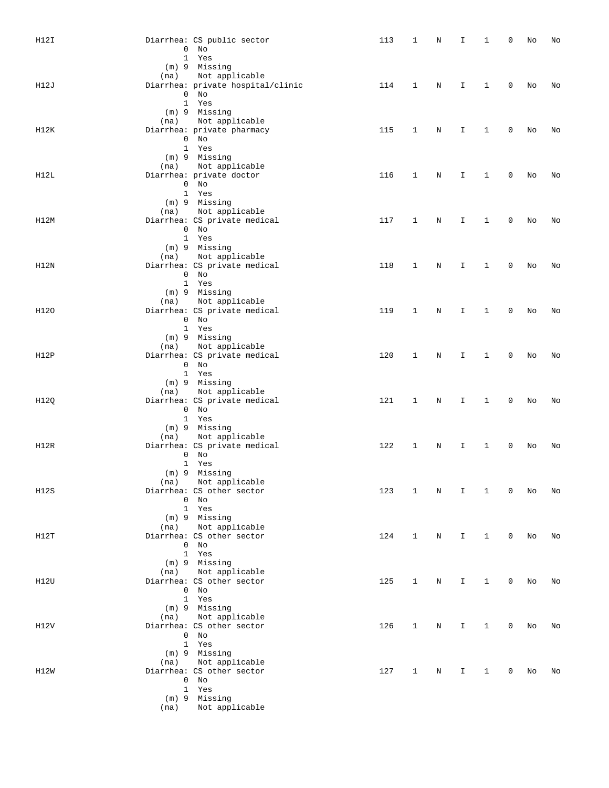| H12I |      | Diarrhea: CS public sector                  | 113 | 1            | Ν | I            | 1            | 0           | No | No |
|------|------|---------------------------------------------|-----|--------------|---|--------------|--------------|-------------|----|----|
|      |      | $0$ No                                      |     |              |   |              |              |             |    |    |
|      |      | 1 Yes                                       |     |              |   |              |              |             |    |    |
|      |      | $(m)$ 9 Missing                             |     |              |   |              |              |             |    |    |
|      |      | (na) Not applicable                         |     |              |   |              |              |             |    |    |
| H12J |      | Diarrhea: private hospital/clinic           | 114 | 1            | N | I            | $\mathbf{1}$ | $\mathbf 0$ | No | No |
|      |      | $0$ No                                      |     |              |   |              |              |             |    |    |
|      |      | 1 Yes                                       |     |              |   |              |              |             |    |    |
|      |      | (m) 9 Missing                               |     |              |   |              |              |             |    |    |
|      |      | (na) Not applicable                         |     |              |   |              |              |             |    |    |
| H12K |      | Diarrhea: private pharmacy                  | 115 | $\mathbf{1}$ | N | I            | 1            | 0           | No | No |
|      |      | $0$ No<br>1 Yes                             |     |              |   |              |              |             |    |    |
|      |      | $(m)$ 9 Missing                             |     |              |   |              |              |             |    |    |
|      | (na) | Not applicable                              |     |              |   |              |              |             |    |    |
| H12L |      | Diarrhea: private doctor                    | 116 | $\mathbf{1}$ | N | I            | $\mathbf{1}$ | 0           | No | No |
|      |      | $0$ No                                      |     |              |   |              |              |             |    |    |
|      |      | 1 Yes                                       |     |              |   |              |              |             |    |    |
|      |      | $(m)$ 9 Missing                             |     |              |   |              |              |             |    |    |
|      |      | (na) Not applicable                         |     |              |   |              |              |             |    |    |
| H12M |      | Diarrhea: CS private medical                | 117 | $\mathbf{1}$ | N | I            | $\mathbf{1}$ | 0           | No | No |
|      |      | $0$ No                                      |     |              |   |              |              |             |    |    |
|      |      | 1 Yes                                       |     |              |   |              |              |             |    |    |
|      |      | $(m)$ 9 Missing                             |     |              |   |              |              |             |    |    |
|      |      | (na) Not applicable                         |     |              |   |              |              |             |    |    |
| H12N |      | Diarrhea: CS private medical                | 118 | 1            | N | I            | $\mathbf{1}$ | 0           | No | No |
|      |      | $0$ No                                      |     |              |   |              |              |             |    |    |
|      |      | 1 Yes                                       |     |              |   |              |              |             |    |    |
|      |      | (m) 9 Missing                               |     |              |   |              |              |             |    |    |
|      |      | (na) Not applicable                         |     |              |   |              |              |             |    |    |
| H120 |      | Diarrhea: CS private medical<br>$0$ No      | 119 | 1            | N | I            | $\mathbf{1}$ | 0           | No | No |
|      |      | 1 Yes                                       |     |              |   |              |              |             |    |    |
|      |      | (m) 9 Missing                               |     |              |   |              |              |             |    |    |
|      |      | (na) Not applicable                         |     |              |   |              |              |             |    |    |
| H12P |      | Diarrhea: CS private medical                | 120 | 1            | N | I            | $\mathbf{1}$ | 0           | No | No |
|      |      | $0$ No                                      |     |              |   |              |              |             |    |    |
|      |      | 1 Yes                                       |     |              |   |              |              |             |    |    |
|      |      | (m) 9 Missing                               |     |              |   |              |              |             |    |    |
|      | (na) | Not applicable                              |     |              |   |              |              |             |    |    |
| H12Q |      | Diarrhea: CS private medical                | 121 | $\mathbf{1}$ | Ν | I            | 1            | 0           | No | No |
|      |      | $0$ No                                      |     |              |   |              |              |             |    |    |
|      |      | 1 Yes                                       |     |              |   |              |              |             |    |    |
|      |      | $(m)$ 9 Missing                             |     |              |   |              |              |             |    |    |
|      |      | (na) Not applicable                         |     |              |   |              |              |             |    |    |
| H12R |      | Diarrhea: CS private medical                | 122 | $\mathbf{1}$ | N | I            | $\mathbf{1}$ | 0           | No | No |
|      |      | $0$ No                                      |     |              |   |              |              |             |    |    |
|      |      | 1 Yes                                       |     |              |   |              |              |             |    |    |
|      |      | $(m)$ 9 Missing                             |     |              |   |              |              |             |    |    |
| H12S | (na) | Not applicable<br>Diarrhea: CS other sector | 123 | 1            | N | I            | 1            | 0           | No | No |
|      |      | $0$ No                                      |     |              |   |              |              |             |    |    |
|      |      | 1 Yes                                       |     |              |   |              |              |             |    |    |
|      |      | (m) 9 Missing                               |     |              |   |              |              |             |    |    |
|      |      | (na) Not applicable                         |     |              |   |              |              |             |    |    |
| H12T |      | Diarrhea: CS other sector                   | 124 | 1            | N | I.           | $\mathbf{1}$ | 0           | No | No |
|      |      | $0$ No                                      |     |              |   |              |              |             |    |    |
|      |      | 1 Yes                                       |     |              |   |              |              |             |    |    |
|      |      | (m) 9 Missing                               |     |              |   |              |              |             |    |    |
|      |      | (na) Not applicable                         |     |              |   |              |              |             |    |    |
| H12U |      | Diarrhea: CS other sector                   | 125 | $\mathbf{1}$ | N | $\mathbf{I}$ | $\mathbf{1}$ | 0           | No | No |
|      |      | $0$ No                                      |     |              |   |              |              |             |    |    |
|      |      | 1 Yes                                       |     |              |   |              |              |             |    |    |
|      |      | (m) 9 Missing                               |     |              |   |              |              |             |    |    |
|      |      | (na) Not applicable                         |     |              |   |              |              |             |    |    |
| H12V |      | Diarrhea: CS other sector<br>$0$ No         | 126 | $\mathbf 1$  | N | I.           | $\mathbf{1}$ | 0           | No | No |
|      |      | 1 Yes                                       |     |              |   |              |              |             |    |    |
|      |      | (m) 9 Missing                               |     |              |   |              |              |             |    |    |
|      |      | (na) Not applicable                         |     |              |   |              |              |             |    |    |
| H12W |      | Diarrhea: CS other sector                   | 127 | $\mathbf{1}$ | N | I.           | $\mathbf{1}$ | 0           | No | No |
|      |      | $0$ No                                      |     |              |   |              |              |             |    |    |
|      |      | 1 Yes                                       |     |              |   |              |              |             |    |    |
|      |      | (m) 9 Missing                               |     |              |   |              |              |             |    |    |
|      | (na) | Not applicable                              |     |              |   |              |              |             |    |    |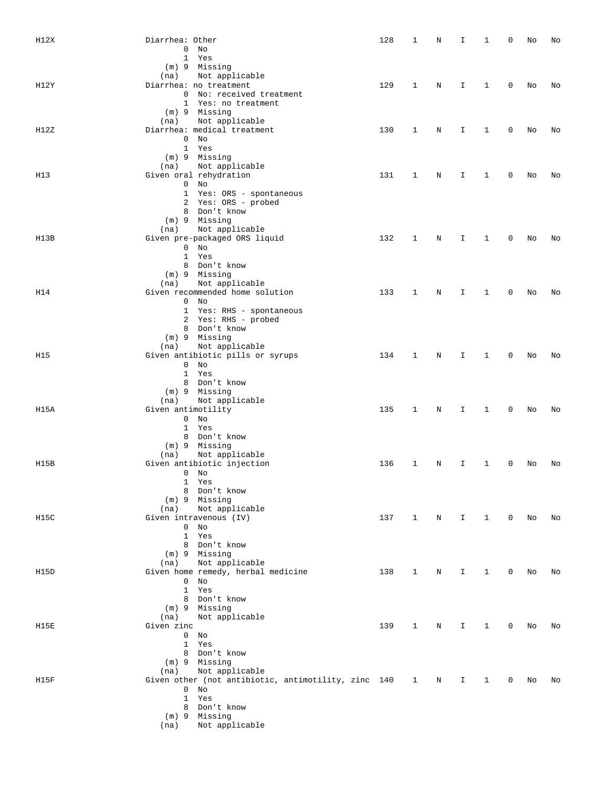| H12X        | Diarrhea: Other                                     | 128 | 1            | N | I            | 1            | 0           | No | No |
|-------------|-----------------------------------------------------|-----|--------------|---|--------------|--------------|-------------|----|----|
|             | $0$ No                                              |     |              |   |              |              |             |    |    |
|             | 1 Yes                                               |     |              |   |              |              |             |    |    |
|             | (m) 9 Missing                                       |     |              |   |              |              |             |    |    |
|             | Not applicable<br>(na)                              |     |              |   |              |              |             |    |    |
| H12Y        | Diarrhea: no treatment                              | 129 | $\mathbf{1}$ | N | I.           | $\mathbf{1}$ | 0           | No | No |
|             | 0 No: received treatment                            |     |              |   |              |              |             |    |    |
|             | 1 Yes: no treatment                                 |     |              |   |              |              |             |    |    |
|             | (m) 9 Missing                                       |     |              |   |              |              |             |    |    |
|             | Not applicable<br>(na)                              |     |              |   |              |              |             |    |    |
| H12Z        | Diarrhea: medical treatment                         | 130 | 1            |   |              | 1            | 0           |    |    |
|             | $0$ No                                              |     |              | N | I            |              |             | No | No |
|             | 1 Yes                                               |     |              |   |              |              |             |    |    |
|             |                                                     |     |              |   |              |              |             |    |    |
|             | (m) 9 Missing                                       |     |              |   |              |              |             |    |    |
|             | Not applicable<br>(na)                              |     |              |   |              |              |             |    |    |
| H13         | Given oral rehydration                              | 131 | 1            | Ν | I            | $\mathbf{1}$ | 0           | No | No |
|             | $0$ No                                              |     |              |   |              |              |             |    |    |
|             | 1 Yes: ORS - spontaneous                            |     |              |   |              |              |             |    |    |
|             | 2 Yes: ORS - probed                                 |     |              |   |              |              |             |    |    |
|             | 8 Don't know                                        |     |              |   |              |              |             |    |    |
|             | (m) 9 Missing                                       |     |              |   |              |              |             |    |    |
|             | Not applicable<br>(na)                              |     |              |   |              |              |             |    |    |
| H13B        | Given pre-packaged ORS liquid                       | 132 | 1            | N | Ι            | 1            | 0           | No | No |
|             | $0$ No                                              |     |              |   |              |              |             |    |    |
|             | 1 Yes                                               |     |              |   |              |              |             |    |    |
|             | 8 Don't know                                        |     |              |   |              |              |             |    |    |
|             | (m) 9 Missing                                       |     |              |   |              |              |             |    |    |
|             | Not applicable<br>(na)                              |     |              |   |              |              |             |    |    |
| H14         | Given recommended home solution                     | 133 | $\mathbf{1}$ | N | I            | 1            | 0           | No | No |
|             | $0$ No                                              |     |              |   |              |              |             |    |    |
|             | 1 Yes: RHS - spontaneous                            |     |              |   |              |              |             |    |    |
|             | 2 Yes: RHS - probed                                 |     |              |   |              |              |             |    |    |
|             | 8 Don't know                                        |     |              |   |              |              |             |    |    |
|             | (m) 9 Missing                                       |     |              |   |              |              |             |    |    |
|             | Not applicable<br>(na)                              |     |              |   |              |              |             |    |    |
| H15         | Given antibiotic pills or syrups                    | 134 | $\mathbf 1$  | N | I            | $\mathbf{1}$ | $\mathbf 0$ | No | No |
|             | $0$ No                                              |     |              |   |              |              |             |    |    |
|             | 1 Yes                                               |     |              |   |              |              |             |    |    |
|             | 8 Don't know                                        |     |              |   |              |              |             |    |    |
|             | $(m)$ 9 Missing                                     |     |              |   |              |              |             |    |    |
|             | Not applicable<br>(na)                              |     |              |   |              |              |             |    |    |
| H15A        | Given antimotility                                  | 135 | 1            | N | I.           | 1            | 0           | No | No |
|             | $0$ No                                              |     |              |   |              |              |             |    |    |
|             | 1 Yes                                               |     |              |   |              |              |             |    |    |
|             | 8 Don't know                                        |     |              |   |              |              |             |    |    |
|             | (m) 9 Missing                                       |     |              |   |              |              |             |    |    |
|             | Not applicable<br>(na)                              |     |              |   |              |              |             |    |    |
| H15B        | Given antibiotic injection                          | 136 | 1            | N | I            | 1            | 0           | No | No |
|             | $0$ No                                              |     |              |   |              |              |             |    |    |
|             | 1 Yes                                               |     |              |   |              |              |             |    |    |
|             | 8 Don't know                                        |     |              |   |              |              |             |    |    |
|             | $(m)$ 9 Missing                                     |     |              |   |              |              |             |    |    |
|             | Not applicable<br>(na)                              |     |              |   |              |              |             |    |    |
| H15C        | Given intravenous (IV)                              | 137 | $\mathbf{1}$ | N | $\mathbf{I}$ | $\mathbf{1}$ | 0           | No | No |
|             | $0$ No                                              |     |              |   |              |              |             |    |    |
|             | 1 Yes                                               |     |              |   |              |              |             |    |    |
|             | 8 Don't know                                        |     |              |   |              |              |             |    |    |
|             | (m) 9 Missing                                       |     |              |   |              |              |             |    |    |
|             | (na) Not applicable                                 |     |              |   |              |              |             |    |    |
| H15D        | Given home remedy, herbal medicine                  | 138 | $\mathbf{1}$ | N | I            | $\mathbf{1}$ | 0           | No | No |
|             | $0$ No                                              |     |              |   |              |              |             |    |    |
|             | 1 Yes                                               |     |              |   |              |              |             |    |    |
|             | 8 Don't know                                        |     |              |   |              |              |             |    |    |
|             | (m) 9 Missing                                       |     |              |   |              |              |             |    |    |
|             | Not applicable<br>(na)                              |     |              |   |              |              |             |    |    |
| H15E        | Given zinc                                          | 139 | $\mathbf{1}$ | N | I.           | $\mathbf{1}$ | 0           | No | No |
|             | $0$ No                                              |     |              |   |              |              |             |    |    |
|             | 1 Yes                                               |     |              |   |              |              |             |    |    |
|             | 8 Don't know                                        |     |              |   |              |              |             |    |    |
|             | (m) 9 Missing                                       |     |              |   |              |              |             |    |    |
|             | Not applicable<br>(na)                              |     |              |   |              |              |             |    |    |
| <b>H15F</b> | Given other (not antibiotic, antimotility, zinc 140 |     | $1 \quad$    | N | I.           | $\mathbf{1}$ | 0           | No | No |
|             | $0$ No                                              |     |              |   |              |              |             |    |    |
|             | 1 Yes                                               |     |              |   |              |              |             |    |    |
|             | 8 Don't know                                        |     |              |   |              |              |             |    |    |
|             | (m) 9 Missing                                       |     |              |   |              |              |             |    |    |
|             |                                                     |     |              |   |              |              |             |    |    |
|             | (na) Not applicable                                 |     |              |   |              |              |             |    |    |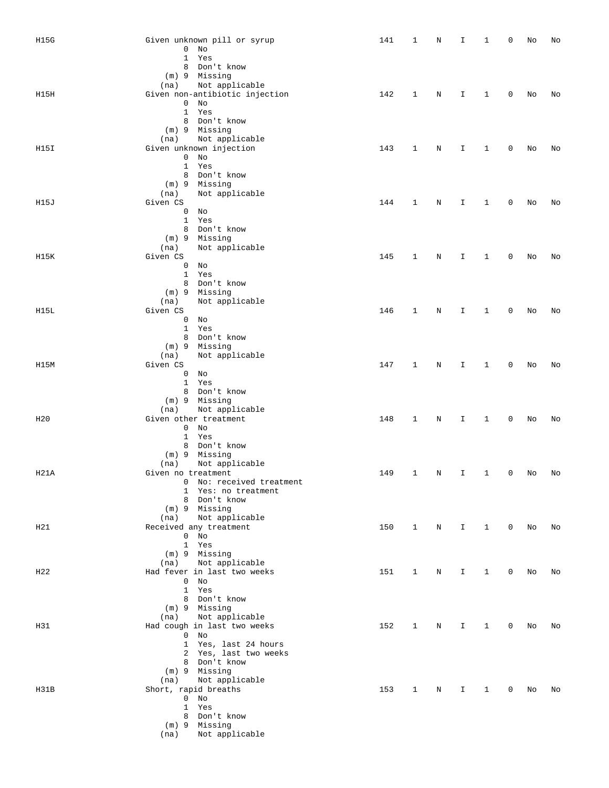| H15G            | Given unknown pill or syrup    | 141 | 1            | Ν           | I            | 1            | 0            | No | No |
|-----------------|--------------------------------|-----|--------------|-------------|--------------|--------------|--------------|----|----|
|                 | $0$ No                         |     |              |             |              |              |              |    |    |
|                 | $\mathbf{1}$<br>Yes            |     |              |             |              |              |              |    |    |
|                 | 8<br>Don't know                |     |              |             |              |              |              |    |    |
|                 | (m) 9 Missing                  |     |              |             |              |              |              |    |    |
|                 | Not applicable<br>(na)         |     |              |             |              |              |              |    |    |
| H15H            | Given non-antibiotic injection | 142 | 1            | Ν           | I            | 1            | 0            | No | No |
|                 | $0$ No                         |     |              |             |              |              |              |    |    |
|                 | $\mathbf{1}$<br>Yes            |     |              |             |              |              |              |    |    |
|                 | 8 Don't know                   |     |              |             |              |              |              |    |    |
|                 | (m) 9 Missing                  |     |              |             |              |              |              |    |    |
|                 | Not applicable<br>(na)         |     |              |             |              |              |              |    |    |
| H15I            | Given unknown injection        | 143 | 1            | N           | I            | 1            | 0            | No | No |
|                 | $0$ No                         |     |              |             |              |              |              |    |    |
|                 | $\mathbf{1}$<br>Yes            |     |              |             |              |              |              |    |    |
|                 |                                |     |              |             |              |              |              |    |    |
|                 | 8 Don't know                   |     |              |             |              |              |              |    |    |
|                 | Missing<br>(m) 9               |     |              |             |              |              |              |    |    |
|                 | Not applicable<br>(na)         |     |              |             |              |              |              |    |    |
| H15J            | Given CS                       | 144 | 1            | N           | I            | 1            | 0            | No | No |
|                 | 0<br>No                        |     |              |             |              |              |              |    |    |
|                 | 1<br>Yes                       |     |              |             |              |              |              |    |    |
|                 | 8<br>Don't know                |     |              |             |              |              |              |    |    |
|                 | (m) 9 Missing                  |     |              |             |              |              |              |    |    |
|                 | (na)<br>Not applicable         |     |              |             |              |              |              |    |    |
| H15K            | Given CS                       | 145 | 1            | N           | I            | 1            | 0            | No | No |
|                 | 0<br>No                        |     |              |             |              |              |              |    |    |
|                 | 1<br>Yes                       |     |              |             |              |              |              |    |    |
|                 | 8<br>Don't know                |     |              |             |              |              |              |    |    |
|                 | Missing<br>$(m)$ 9             |     |              |             |              |              |              |    |    |
|                 | (na)<br>Not applicable         |     |              |             |              |              |              |    |    |
| H15L            | Given CS                       | 146 | $\mathbf{1}$ | Ν           | I            | 1            | 0            | No | No |
|                 | 0<br>No                        |     |              |             |              |              |              |    |    |
|                 | 1<br>Yes                       |     |              |             |              |              |              |    |    |
|                 | 8<br>Don't know                |     |              |             |              |              |              |    |    |
|                 | (m) 9 Missing                  |     |              |             |              |              |              |    |    |
|                 | (na)<br>Not applicable         |     |              |             |              |              |              |    |    |
| H15M            | Given CS                       | 147 | 1            | $\rm N$     | I            | 1            | 0            | No | No |
|                 | 0<br>No                        |     |              |             |              |              |              |    |    |
|                 | $\mathbf{1}$<br>Yes            |     |              |             |              |              |              |    |    |
|                 |                                |     |              |             |              |              |              |    |    |
|                 | 8 Don't know                   |     |              |             |              |              |              |    |    |
|                 | (m) 9 Missing                  |     |              |             |              |              |              |    |    |
|                 | Not applicable<br>(na)         |     |              |             |              |              |              |    |    |
| H20             | Given other treatment          | 148 | 1            | Ν           | I.           | 1            | 0            | No | No |
|                 | $0$ No                         |     |              |             |              |              |              |    |    |
|                 | $\mathbf{1}$<br>Yes            |     |              |             |              |              |              |    |    |
|                 | 8 Don't know                   |     |              |             |              |              |              |    |    |
|                 | (m) 9 Missing                  |     |              |             |              |              |              |    |    |
|                 | Not applicable<br>(na)         |     |              |             |              |              |              |    |    |
| H21A            | Given no treatment             | 149 | 1            | N           | I.           | 1            | 0            | No | No |
|                 | 0 No: received treatment       |     |              |             |              |              |              |    |    |
|                 | 1 Yes: no treatment            |     |              |             |              |              |              |    |    |
|                 | 8 Don't know                   |     |              |             |              |              |              |    |    |
|                 | (m) 9 Missing                  |     |              |             |              |              |              |    |    |
|                 | Not applicable<br>(na)         |     |              |             |              |              |              |    |    |
| H21             | Received any treatment         | 150 | $\mathbf{1}$ | $\mathbf N$ | $\mathbf{I}$ | $\mathbf{1}$ | $\mathsf{O}$ | No | No |
|                 | $0$ No                         |     |              |             |              |              |              |    |    |
|                 | 1 Yes                          |     |              |             |              |              |              |    |    |
|                 | (m) 9 Missing                  |     |              |             |              |              |              |    |    |
|                 | Not applicable<br>(na)         |     |              |             |              |              |              |    |    |
| H <sub>22</sub> | Had fever in last two weeks    | 151 | 1            | N           | I            | $\mathbf{1}$ | 0            | No | No |
|                 | $0$ No                         |     |              |             |              |              |              |    |    |
|                 | 1 Yes                          |     |              |             |              |              |              |    |    |
|                 | 8 Don't know                   |     |              |             |              |              |              |    |    |
|                 | $(m)$ 9 Missing                |     |              |             |              |              |              |    |    |
|                 | Not applicable<br>(na)         |     |              |             |              |              |              |    |    |
| H31             | Had cough in last two weeks    | 152 | $\mathbf{1}$ | N           | I            | $\mathbf{1}$ | 0            | No | No |
|                 | $0$ No                         |     |              |             |              |              |              |    |    |
|                 |                                |     |              |             |              |              |              |    |    |
|                 | 1 Yes, last 24 hours           |     |              |             |              |              |              |    |    |
|                 | 2 Yes, last two weeks          |     |              |             |              |              |              |    |    |
|                 | 8 Don't know                   |     |              |             |              |              |              |    |    |
|                 | (m) 9 Missing                  |     |              |             |              |              |              |    |    |
|                 | Not applicable<br>(na)         |     |              |             |              |              |              |    |    |
| H31B            | Short, rapid breaths           | 153 | $\mathbf{1}$ | N           | Ι.           | $\mathbf{1}$ | 0            | No | No |
|                 | $0$ No                         |     |              |             |              |              |              |    |    |
|                 | 1 Yes                          |     |              |             |              |              |              |    |    |
|                 | 8 Don't know                   |     |              |             |              |              |              |    |    |
|                 | $(m)$ 9 Missing                |     |              |             |              |              |              |    |    |
|                 | Not applicable<br>(na)         |     |              |             |              |              |              |    |    |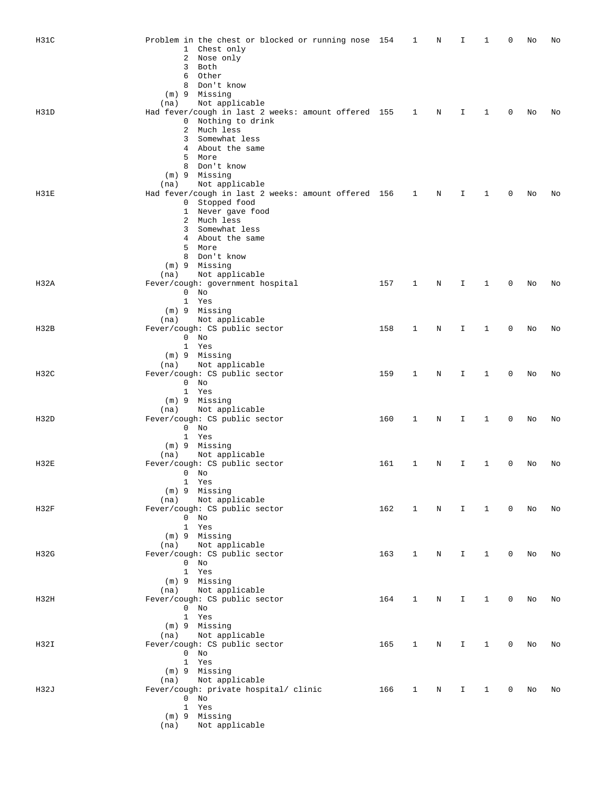| H31C        | Problem in the chest or blocked or running nose 154<br>1 Chest only<br>2<br>Nose only<br>3 Both<br>Other<br>6      |     | 1            | Ν           | Ι            | 1            | 0              | No | No |
|-------------|--------------------------------------------------------------------------------------------------------------------|-----|--------------|-------------|--------------|--------------|----------------|----|----|
| H31D        | 8 Don't know<br>(m) 9 Missing<br>Not applicable<br>(na)<br>Had fever/cough in last 2 weeks: amount offered 155     |     | 1            | N           | I            | 1            | 0              | No | No |
|             | Nothing to drink<br>$\mathbf{0}$<br>2 Much less<br>3 Somewhat less<br>4 About the same<br>5 More<br>8 Don't know   |     |              |             |              |              |                |    |    |
| H31E        | (m) 9 Missing<br>Not applicable<br>(na)<br>Had fever/cough in last 2 weeks: amount offered 156<br>0 Stopped food   |     | $\mathbf{1}$ | N           | I            | 1            | 0              | No | No |
|             | 1 Never gave food<br>2 Much less<br>3 Somewhat less<br>4 About the same<br>5 More<br>8 Don't know<br>(m) 9 Missing |     |              |             |              |              |                |    |    |
| H32A        | Not applicable<br>(na)<br>Fever/cough: government hospital                                                         | 157 | 1            | N           | I            | 1            | $\mathbf 0$    | No | No |
|             | $0$ No<br>1 Yes<br>(m) 9 Missing<br>Not applicable<br>(na)                                                         |     |              |             |              |              |                |    |    |
| H32B        | Fever/cough: CS public sector<br>$0$ No                                                                            | 158 | 1            | N           | I            | 1            | 0              | No | No |
|             | 1 Yes<br>(m) 9 Missing<br>Not applicable<br>(na)                                                                   |     |              |             |              |              |                |    |    |
| H32C        | Fever/cough: CS public sector<br>$0$ No<br>1 Yes                                                                   | 159 | 1            | Ν           | I            | 1            | 0              | No | No |
|             | (m) 9 Missing                                                                                                      |     |              |             |              |              |                |    |    |
| H32D        | Not applicable<br>(na)<br>Fever/cough: CS public sector<br>$0$ No<br>1 Yes                                         | 160 | 1            | N           | I            | 1            | 0              | No | No |
| <b>H32E</b> | (m) 9 Missing<br>Not applicable<br>(na)<br>Fever/cough: CS public sector                                           | 161 | 1            | N           | I            | 1            | 0              | No | No |
|             | $0$ No<br>1 Yes<br>(m) 9 Missing                                                                                   |     |              |             |              |              |                |    |    |
| H32F        | (na) Not applicable<br>Fever/cough: CS public sector<br>$0$ No<br>1 Yes                                            | 162 | $\mathbf{1}$ | $\mathbf N$ | $1 \quad 1$  |              | $\overline{0}$ | No | No |
| H32G        | (m) 9 Missing<br>(na) Not applicable<br>Fever/cough: CS public sector<br>$0$ No<br>1 Yes                           | 163 | $\mathbf{1}$ | N           | I.           | $\mathbf{1}$ | 0              | No | No |
| H32H        | (m) 9 Missing<br>(na) Not applicable<br>Fever/cough: CS public sector<br>$0$ No                                    | 164 | 1            | N           | I.           | $\mathbf{1}$ | 0              | No | No |
| H32I        | 1 Yes<br>(m) 9 Missing<br>(na) Not applicable<br>Fever/cough: CS public sector                                     | 165 | $\mathbf{1}$ | N           | I.           | $\mathbf{1}$ | 0              | No | No |
|             | $0$ No<br>1 Yes<br>$(m)$ 9 Missing                                                                                 |     |              |             |              |              |                |    |    |
| H32J        | (na) Not applicable<br>Fever/cough: private hospital/ clinic<br>$0$ No<br>1 Yes                                    | 166 | $\mathbf{1}$ | N           | $\mathbf{I}$ | $\mathbf{1}$ | 0              | No | No |
|             | (m) 9 Missing<br>Not applicable<br>(na)                                                                            |     |              |             |              |              |                |    |    |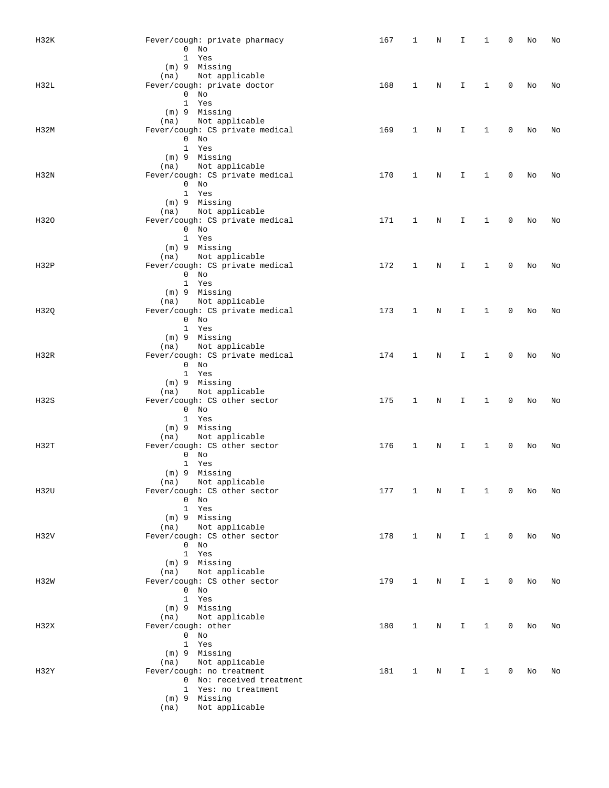| H32K | Fever/cough: private pharmacy   | 167 | 1            | Ν | I  | 1            | 0           | No | No |
|------|---------------------------------|-----|--------------|---|----|--------------|-------------|----|----|
|      | $0$ No                          |     |              |   |    |              |             |    |    |
|      | 1 Yes                           |     |              |   |    |              |             |    |    |
|      | (m) 9 Missing                   |     |              |   |    |              |             |    |    |
|      |                                 |     |              |   |    |              |             |    |    |
|      | Not applicable<br>(na)          |     |              |   |    |              |             |    |    |
| H32L | Fever/cough: private doctor     | 168 | 1            | Ν | I. | 1            | 0           | No | No |
|      | $0$ No                          |     |              |   |    |              |             |    |    |
|      | 1 Yes                           |     |              |   |    |              |             |    |    |
|      | (m) 9 Missing                   |     |              |   |    |              |             |    |    |
|      | Not applicable<br>(na)          |     |              |   |    |              |             |    |    |
| H32M | Fever/cough: CS private medical | 169 | 1            | N | I  | 1            | $\mathbf 0$ | No | No |
|      | $0$ No                          |     |              |   |    |              |             |    |    |
|      | 1 Yes                           |     |              |   |    |              |             |    |    |
|      | (m) 9 Missing                   |     |              |   |    |              |             |    |    |
|      | Not applicable<br>(na)          |     |              |   |    |              |             |    |    |
| H32N | Fever/cough: CS private medical | 170 | 1            | Ν | I. | 1            | 0           | No | No |
|      | $0$ No                          |     |              |   |    |              |             |    |    |
|      | 1 Yes                           |     |              |   |    |              |             |    |    |
|      | (m) 9 Missing                   |     |              |   |    |              |             |    |    |
|      |                                 |     |              |   |    |              |             |    |    |
|      | Not applicable<br>(na)          |     |              |   |    |              |             |    |    |
| H320 | Fever/cough: CS private medical | 171 | 1            | Ν | I  | 1            | 0           | No | No |
|      | $0$ No                          |     |              |   |    |              |             |    |    |
|      | 1 Yes                           |     |              |   |    |              |             |    |    |
|      | (m) 9 Missing                   |     |              |   |    |              |             |    |    |
|      | (na) Not applicable             |     |              |   |    |              |             |    |    |
| H32P | Fever/cough: CS private medical | 172 | 1            | N | I  | 1            | 0           | No | No |
|      | $0$ No                          |     |              |   |    |              |             |    |    |
|      | 1 Yes                           |     |              |   |    |              |             |    |    |
|      | (m) 9 Missing                   |     |              |   |    |              |             |    |    |
|      |                                 |     |              |   |    |              |             |    |    |
|      | Not applicable<br>(na)          |     |              |   |    |              |             |    |    |
| H32Q | Fever/cough: CS private medical | 173 | 1            | Ν | I. | 1            | 0           | No | No |
|      | $0$ No                          |     |              |   |    |              |             |    |    |
|      | 1 Yes                           |     |              |   |    |              |             |    |    |
|      | (m) 9 Missing                   |     |              |   |    |              |             |    |    |
|      | Not applicable<br>(na)          |     |              |   |    |              |             |    |    |
| H32R | Fever/cough: CS private medical | 174 | 1            | N | I  | $\mathbf{1}$ | 0           | No | No |
|      | $0$ No                          |     |              |   |    |              |             |    |    |
|      | 1 Yes                           |     |              |   |    |              |             |    |    |
|      | (m) 9 Missing                   |     |              |   |    |              |             |    |    |
|      | Not applicable<br>(na)          |     |              |   |    |              |             |    |    |
|      |                                 | 175 |              |   |    |              |             |    |    |
| H32S | Fever/cough: CS other sector    |     | 1            | Ν | I. | 1            | 0           | No | No |
|      | $0$ No                          |     |              |   |    |              |             |    |    |
|      | 1 Yes                           |     |              |   |    |              |             |    |    |
|      | (m) 9 Missing                   |     |              |   |    |              |             |    |    |
|      | (na) Not applicable             |     |              |   |    |              |             |    |    |
| H32T | Fever/cough: CS other sector    | 176 | 1            | N | I  | 1            | 0           | No | No |
|      | $0$ No                          |     |              |   |    |              |             |    |    |
|      | 1 Yes                           |     |              |   |    |              |             |    |    |
|      | $(m)$ 9 Missing                 |     |              |   |    |              |             |    |    |
|      | Not applicable<br>(na)          |     |              |   |    |              |             |    |    |
| H32U | Fever/cough: CS other sector    | 177 | 1            | Ν | I. | 1            | 0           | No | No |
|      | $0$ No                          |     |              |   |    |              |             |    |    |
|      |                                 |     |              |   |    |              |             |    |    |
|      | 1 Yes                           |     |              |   |    |              |             |    |    |
|      | (m) 9 Missing                   |     |              |   |    |              |             |    |    |
|      | (na) Not applicable             |     |              |   |    |              |             |    |    |
| H32V | Fever/cough: CS other sector    | 178 | 1            | N | Ι. | $\mathbf{1}$ | 0           | No | No |
|      | $0$ No                          |     |              |   |    |              |             |    |    |
|      | 1 Yes                           |     |              |   |    |              |             |    |    |
|      | (m) 9 Missing                   |     |              |   |    |              |             |    |    |
|      | (na) Not applicable             |     |              |   |    |              |             |    |    |
| H32W | Fever/cough: CS other sector    | 179 | 1            | N | I. | $\mathbf{1}$ | 0           | No | No |
|      | $0$ No                          |     |              |   |    |              |             |    |    |
|      | 1 Yes                           |     |              |   |    |              |             |    |    |
|      |                                 |     |              |   |    |              |             |    |    |
|      | (m) 9 Missing                   |     |              |   |    |              |             |    |    |
|      | (na) Not applicable             |     |              |   |    |              |             |    |    |
| H32X | Fever/cough: other              | 180 | 1            | N | I  | $\mathbf{1}$ | 0           | No | No |
|      | $0$ No                          |     |              |   |    |              |             |    |    |
|      | 1 Yes                           |     |              |   |    |              |             |    |    |
|      | (m) 9 Missing                   |     |              |   |    |              |             |    |    |
|      | Not applicable<br>(na)          |     |              |   |    |              |             |    |    |
| H32Y | Fever/cough: no treatment       | 181 | $\mathbf{1}$ | N | Ι. | $\mathbf{1}$ | 0           | No | No |
|      | 0 No: received treatment        |     |              |   |    |              |             |    |    |
|      | 1 Yes: no treatment             |     |              |   |    |              |             |    |    |
|      |                                 |     |              |   |    |              |             |    |    |
|      | (m) 9 Missing                   |     |              |   |    |              |             |    |    |
|      | Not applicable<br>(na)          |     |              |   |    |              |             |    |    |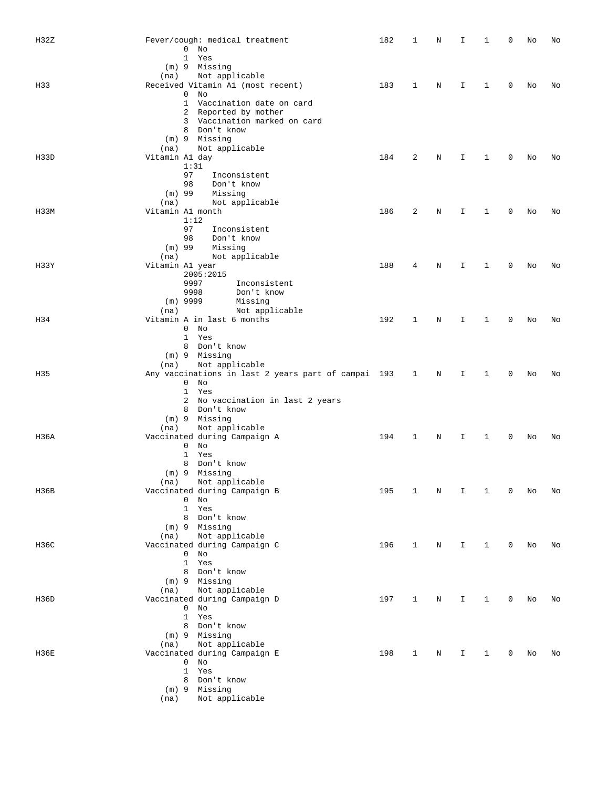| H32Z        |                  | Fever/cough: medical treatment                      | 182 | 1            | Ν | I.          | 1            | 0           | No | No |
|-------------|------------------|-----------------------------------------------------|-----|--------------|---|-------------|--------------|-------------|----|----|
|             | 0                | No                                                  |     |              |   |             |              |             |    |    |
|             | $\mathbf{1}$     | Yes                                                 |     |              |   |             |              |             |    |    |
|             |                  | (m) 9 Missing                                       |     |              |   |             |              |             |    |    |
|             | (na)             | Not applicable                                      |     |              |   |             |              |             |    |    |
| H33         |                  | Received Vitamin A1 (most recent)                   | 183 | 1            | N | I           | 1            | 0           | No | No |
|             |                  | $0$ No                                              |     |              |   |             |              |             |    |    |
|             |                  | 1 Vaccination date on card                          |     |              |   |             |              |             |    |    |
|             |                  | 2 Reported by mother                                |     |              |   |             |              |             |    |    |
|             |                  | 3 Vaccination marked on card                        |     |              |   |             |              |             |    |    |
|             |                  | 8 Don't know                                        |     |              |   |             |              |             |    |    |
|             |                  | (m) 9 Missing                                       |     |              |   |             |              |             |    |    |
|             | (na)             | Not applicable                                      |     |              |   |             |              |             |    |    |
| H33D        | Vitamin A1 day   |                                                     | 184 | 2            | N | I           | 1            | 0           | No | No |
|             | 1:31             |                                                     |     |              |   |             |              |             |    |    |
|             | 97               | Inconsistent                                        |     |              |   |             |              |             |    |    |
|             | 98               | Don't know                                          |     |              |   |             |              |             |    |    |
|             | $(m)$ 99         | Missing                                             |     |              |   |             |              |             |    |    |
|             | (na)             | Not applicable                                      |     |              |   |             |              |             |    |    |
| H33M        | Vitamin A1 month |                                                     | 186 | 2            | N | I           | 1            | 0           | No | No |
|             | 1:12             |                                                     |     |              |   |             |              |             |    |    |
|             | 97               | Inconsistent                                        |     |              |   |             |              |             |    |    |
|             | 98               | Don't know                                          |     |              |   |             |              |             |    |    |
|             | $(m)$ 99         | Missing                                             |     |              |   |             |              |             |    |    |
|             | (na)             | Not applicable                                      |     |              |   |             |              |             |    |    |
| H33Y        | Vitamin A1 year  |                                                     | 188 | 4            | Ν | I           | 1            | $\mathbf 0$ | No | No |
|             |                  | 2005:2015                                           |     |              |   |             |              |             |    |    |
|             | 9997             | Inconsistent                                        |     |              |   |             |              |             |    |    |
|             | 9998             | Don't know                                          |     |              |   |             |              |             |    |    |
|             | $(m)$ 9999       | Missing                                             |     |              |   |             |              |             |    |    |
|             | (na)             | Not applicable                                      |     |              |   |             |              |             |    |    |
| H34         |                  | Vitamin A in last 6 months                          | 192 | 1            | N | I.          | 1            | $\mathbf 0$ | No | No |
|             |                  | $0$ No                                              |     |              |   |             |              |             |    |    |
|             |                  | 1 Yes<br>8 Don't know                               |     |              |   |             |              |             |    |    |
|             |                  | (m) 9 Missing                                       |     |              |   |             |              |             |    |    |
|             | (na)             | Not applicable                                      |     |              |   |             |              |             |    |    |
| H35         |                  | Any vaccinations in last 2 years part of campai 193 |     | $\mathbf{1}$ | N | I           | 1            | 0           | No | No |
|             |                  | $0$ No                                              |     |              |   |             |              |             |    |    |
|             |                  | 1 Yes                                               |     |              |   |             |              |             |    |    |
|             |                  | 2 No vaccination in last 2 years                    |     |              |   |             |              |             |    |    |
|             |                  | 8 Don't know                                        |     |              |   |             |              |             |    |    |
|             |                  | (m) 9 Missing                                       |     |              |   |             |              |             |    |    |
|             | (na)             | Not applicable                                      |     |              |   |             |              |             |    |    |
| H36A        |                  | Vaccinated during Campaign A                        | 194 | 1            | N | Ι           | 1            | 0           | No | No |
|             |                  | $0$ No                                              |     |              |   |             |              |             |    |    |
|             |                  | 1 Yes                                               |     |              |   |             |              |             |    |    |
|             |                  | 8 Don't know                                        |     |              |   |             |              |             |    |    |
|             |                  | (m) 9 Missing                                       |     |              |   |             |              |             |    |    |
|             | (na)             | Not applicable                                      |     |              |   |             |              |             |    |    |
| H36B        |                  | Vaccinated during Campaign B                        | 195 | 1            | Ν | I           | 1            | 0           | No | No |
|             | $\mathbf 0$      | No                                                  |     |              |   |             |              |             |    |    |
|             |                  | 1 Yes                                               |     |              |   |             |              |             |    |    |
|             |                  | 8 Don't know                                        |     |              |   |             |              |             |    |    |
|             |                  | (m) 9 Missing                                       |     |              |   |             |              |             |    |    |
|             | (na)             | Not applicable                                      |     |              |   |             |              |             |    |    |
| H36C        |                  | Vaccinated during Campaign C                        | 196 | $\mathbf 1$  | N | I           | $\mathbf{1}$ | 0           | No | No |
|             |                  | $0$ No                                              |     |              |   |             |              |             |    |    |
|             |                  | 1 Yes                                               |     |              |   |             |              |             |    |    |
|             |                  | 8 Don't know                                        |     |              |   |             |              |             |    |    |
|             |                  | $(m)$ 9 Missing                                     |     |              |   |             |              |             |    |    |
|             | (na)             | Not applicable                                      |     |              |   |             |              |             |    |    |
| H36D        |                  | Vaccinated during Campaign D                        | 197 | $\mathbf{1}$ | N | I           | $\mathbf{1}$ | 0           | No | No |
|             |                  | $0$ No                                              |     |              |   |             |              |             |    |    |
|             |                  | 1 Yes                                               |     |              |   |             |              |             |    |    |
|             |                  | 8 Don't know                                        |     |              |   |             |              |             |    |    |
|             |                  | (m) 9 Missing                                       |     |              |   |             |              |             |    |    |
|             | (na)             | Not applicable                                      |     |              |   |             |              |             |    |    |
| <b>H36E</b> |                  | Vaccinated during Campaign E                        | 198 | $\mathbf{1}$ | N | $\mathbf I$ | $\mathbf{1}$ | 0           | No | No |
|             |                  | $0$ No                                              |     |              |   |             |              |             |    |    |
|             |                  | 1 Yes                                               |     |              |   |             |              |             |    |    |
|             |                  | 8 Don't know                                        |     |              |   |             |              |             |    |    |
|             |                  | $(m)$ 9 Missing                                     |     |              |   |             |              |             |    |    |
|             | (na)             | Not applicable                                      |     |              |   |             |              |             |    |    |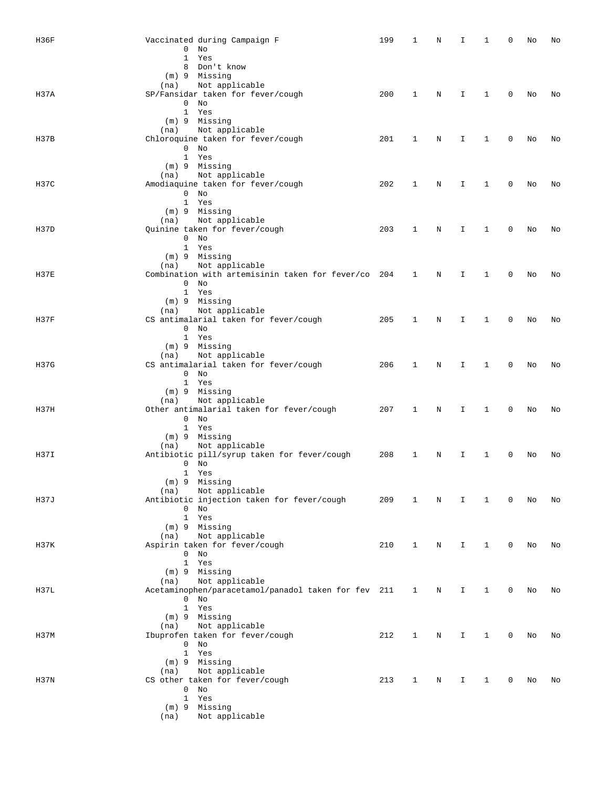| H36F        | Vaccinated during Campaign F<br>$\overline{0}$<br>No<br>$\mathbf{1}$<br>Yes<br>8 Don't know                         | 199 | 1            | N | I. | 1            | 0           | No | No |
|-------------|---------------------------------------------------------------------------------------------------------------------|-----|--------------|---|----|--------------|-------------|----|----|
| H37A        | (m) 9 Missing<br>Not applicable<br>(na)<br>SP/Fansidar taken for fever/cough                                        | 200 | 1            | N | I. | 1            | $\Omega$    | No | No |
|             | $0$ No<br>1 Yes<br>(m) 9 Missing                                                                                    |     |              |   |    |              |             |    |    |
| H37B        | Not applicable<br>(na)<br>Chloroquine taken for fever/cough<br>$0$ No<br>1 Yes                                      | 201 | 1            | N | I  | 1            | 0           | No | No |
| H37C        | (m) 9 Missing<br>Not applicable<br>(na)<br>Amodiaquine taken for fever/cough<br>$0$ No<br>1 Yes                     | 202 | 1            | Ν | I  | 1            | 0           | No | No |
| H37D        | $(m)$ 9 Missing<br>(na) Not applicable<br>Quinine taken for fever/cough<br>$0$ No<br>1 Yes                          | 203 | 1            | N | I. | 1            | 0           | No | No |
| H37E        | (m) 9 Missing<br>Not applicable<br>(na)<br>Combination with artemisinin taken for fever/co 204<br>$0$ No<br>1 Yes   |     | 1            | N | I  | $\mathbf{1}$ | 0           | No | No |
| <b>H37F</b> | (m) 9 Missing<br>Not applicable<br>(na)<br>CS antimalarial taken for fever/cough<br>$0$ No<br>1 Yes                 | 205 | 1            | N | I. | $\mathbf{1}$ | $\Omega$    | No | No |
| H37G        | (m) 9 Missing<br>Not applicable<br>(na)<br>CS antimalarial taken for fever/cough<br>$0$ No<br>1 Yes                 | 206 | 1            | N | I  | $\mathbf{1}$ | 0           | No | No |
| H37H        | (m) 9 Missing<br>Not applicable<br>(na)<br>Other antimalarial taken for fever/cough<br>$0$ No<br>1 Yes              | 207 | 1            | N | I  | 1            | 0           | No | No |
| H37I        | (m) 9 Missing<br>Not applicable<br>(na)<br>Antibiotic pill/syrup taken for fever/cough<br>$0$ No<br>1 Yes           | 208 | 1            | Ν | I. | 1            | 0           | No | No |
| H37J        | (m) 9 Missing<br>Not applicable<br>(na)<br>Antibiotic injection taken for fever/cough<br>$0$ No<br>1 Yes            | 209 | 1            | N | I. | 1            | 0           | No | No |
| H37K        | (m) 9 Missing<br>Not applicable<br>(na)<br>Aspirin taken for fever/cough<br>$0$ No<br>1 Yes                         | 210 | 1            | N | I. | $\mathbf{1}$ | $\mathbf 0$ | No | No |
| H37L        | $(m)$ 9 Missing<br>Not applicable<br>(na)<br>Acetaminophen/paracetamol/panadol taken for fev 211<br>$0$ No<br>1 Yes |     | $\mathbf{1}$ | N | Ι. | $\mathbf{1}$ | 0           | No | No |
| H37M        | (m) 9 Missing<br>Not applicable<br>(na)<br>Ibuprofen taken for fever/cough<br>$0$ No<br>1 Yes                       | 212 | 1            | N | I  | 1            | 0           | No | No |
| H37N        | (m) 9 Missing<br>Not applicable<br>(na)<br>CS other taken for fever/cough<br>$0$ No<br>1 Yes                        | 213 | 1            | N | Ι. | 1            | 0           | No | No |
|             | (m) 9 Missing<br>Not applicable<br>(na)                                                                             |     |              |   |    |              |             |    |    |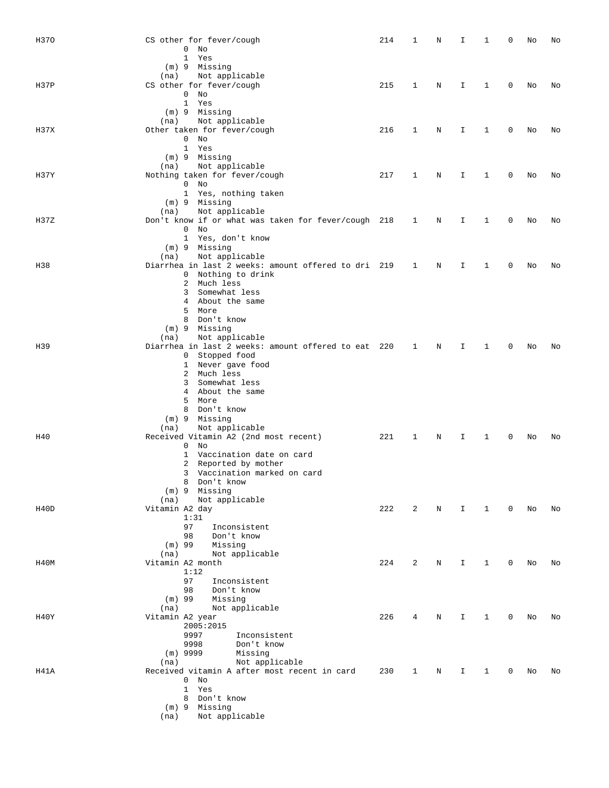| H370 | CS other for fever/cough                            | 214 | 1            | Ν | I  | 1            | 0            | No | No |
|------|-----------------------------------------------------|-----|--------------|---|----|--------------|--------------|----|----|
|      | $\overline{0}$<br>No                                |     |              |   |    |              |              |    |    |
|      | $\mathbf{1}$<br>Yes                                 |     |              |   |    |              |              |    |    |
|      |                                                     |     |              |   |    |              |              |    |    |
|      | (m) 9 Missing                                       |     |              |   |    |              |              |    |    |
|      | Not applicable<br>(na)                              |     |              |   |    |              |              |    |    |
| H37P | CS other for fever/cough                            | 215 | 1            | N | I. | 1            | 0            | No | No |
|      | $0$ No                                              |     |              |   |    |              |              |    |    |
|      | 1 Yes                                               |     |              |   |    |              |              |    |    |
|      | (m) 9 Missing                                       |     |              |   |    |              |              |    |    |
|      | Not applicable<br>(na)                              |     |              |   |    |              |              |    |    |
| H37X | Other taken for fever/cough                         | 216 | 1            | N | I  | 1            | 0            | No | No |
|      | $0$ No                                              |     |              |   |    |              |              |    |    |
|      | 1 Yes                                               |     |              |   |    |              |              |    |    |
|      | (m) 9 Missing                                       |     |              |   |    |              |              |    |    |
|      | Not applicable<br>(na)                              |     |              |   |    |              |              |    |    |
| H37Y | Nothing taken for fever/cough                       | 217 | 1            | N | I  | 1            | 0            | No | No |
|      | $0$ No                                              |     |              |   |    |              |              |    |    |
|      | 1 Yes, nothing taken                                |     |              |   |    |              |              |    |    |
|      | (m) 9 Missing                                       |     |              |   |    |              |              |    |    |
|      | Not applicable<br>(na)                              |     |              |   |    |              |              |    |    |
| H37Z | Don't know if or what was taken for fever/cough 218 |     | 1            | Ν | I  | 1            | 0            | No | No |
|      | $0$ No                                              |     |              |   |    |              |              |    |    |
|      | 1 Yes, don't know                                   |     |              |   |    |              |              |    |    |
|      | $(m)$ 9 Missing                                     |     |              |   |    |              |              |    |    |
|      | Not applicable<br>(na)                              |     |              |   |    |              |              |    |    |
| H38  | Diarrhea in last 2 weeks: amount offered to dri 219 |     | $\mathbf{1}$ | N | I  | 1            | 0            | No | No |
|      | 0 Nothing to drink                                  |     |              |   |    |              |              |    |    |
|      | 2 Much less                                         |     |              |   |    |              |              |    |    |
|      | 3 Somewhat less                                     |     |              |   |    |              |              |    |    |
|      | 4 About the same                                    |     |              |   |    |              |              |    |    |
|      | 5 More                                              |     |              |   |    |              |              |    |    |
|      | 8 Don't know                                        |     |              |   |    |              |              |    |    |
|      | (m) 9 Missing                                       |     |              |   |    |              |              |    |    |
|      | Not applicable<br>(na)                              |     |              |   |    |              |              |    |    |
| H39  | Diarrhea in last 2 weeks: amount offered to eat 220 |     | 1            | N | I. | 1            | 0            | No | No |
|      |                                                     |     |              |   |    |              |              |    |    |
|      | 0 Stopped food                                      |     |              |   |    |              |              |    |    |
|      | 1 Never gave food                                   |     |              |   |    |              |              |    |    |
|      | 2 Much less                                         |     |              |   |    |              |              |    |    |
|      | 3 Somewhat less                                     |     |              |   |    |              |              |    |    |
|      | 4 About the same                                    |     |              |   |    |              |              |    |    |
|      | 5<br>More                                           |     |              |   |    |              |              |    |    |
|      | 8 Don't know                                        |     |              |   |    |              |              |    |    |
|      | (m) 9 Missing                                       |     |              |   |    |              |              |    |    |
|      | Not applicable<br>(na)                              |     |              |   |    |              |              |    |    |
| H40  | Received Vitamin A2 (2nd most recent)               | 221 | 1            | N | I  | 1            | 0            | No | No |
|      | $0$ No                                              |     |              |   |    |              |              |    |    |
|      | 1 Vaccination date on card                          |     |              |   |    |              |              |    |    |
|      | 2 Reported by mother                                |     |              |   |    |              |              |    |    |
|      | 3 Vaccination marked on card                        |     |              |   |    |              |              |    |    |
|      | 8 Don't know                                        |     |              |   |    |              |              |    |    |
|      | (m) 9 Missing                                       |     |              |   |    |              |              |    |    |
|      | Not applicable<br>(na)                              |     |              |   |    |              |              |    |    |
| H40D | Vitamin A2 day                                      | 222 | 2            | N | I. | $\mathbf{1}$ | $\mathbf{0}$ | No | No |
|      | 1:31                                                |     |              |   |    |              |              |    |    |
|      | 97<br>Inconsistent                                  |     |              |   |    |              |              |    |    |
|      | Don't know<br>98                                    |     |              |   |    |              |              |    |    |
|      | $(m)$ 99<br>Missing                                 |     |              |   |    |              |              |    |    |
|      | Not applicable<br>(na)                              |     |              |   |    |              |              |    |    |
| H40M | Vitamin A2 month                                    | 224 | 2            | N | I. | $\mathbf{1}$ | 0            | No | No |
|      | 1:12                                                |     |              |   |    |              |              |    |    |
|      | 97<br>Inconsistent                                  |     |              |   |    |              |              |    |    |
|      | Don't know<br>98                                    |     |              |   |    |              |              |    |    |
|      | Missing<br>$(m)$ 99                                 |     |              |   |    |              |              |    |    |
|      | Not applicable<br>(na)                              |     |              |   |    |              |              |    |    |
| H40Y | Vitamin A2 year                                     | 226 | 4            | N | I. | $\mathbf{1}$ | 0            | No | No |
|      | 2005:2015                                           |     |              |   |    |              |              |    |    |
|      | 9997<br>Inconsistent                                |     |              |   |    |              |              |    |    |
|      | 9998<br>Don't know                                  |     |              |   |    |              |              |    |    |
|      |                                                     |     |              |   |    |              |              |    |    |
|      | $(m)$ 9999<br>Missing                               |     |              |   |    |              |              |    |    |
|      | Not applicable<br>(na)                              |     |              |   |    |              |              |    |    |
| H41A | Received vitamin A after most recent in card        | 230 | 1            | N | I  | $\mathbf{1}$ | 0            | No | No |
|      | $0$ No                                              |     |              |   |    |              |              |    |    |
|      | 1 Yes                                               |     |              |   |    |              |              |    |    |
|      | 8 Don't know                                        |     |              |   |    |              |              |    |    |
|      | $(m)$ 9 Missing                                     |     |              |   |    |              |              |    |    |
|      | Not applicable<br>(na)                              |     |              |   |    |              |              |    |    |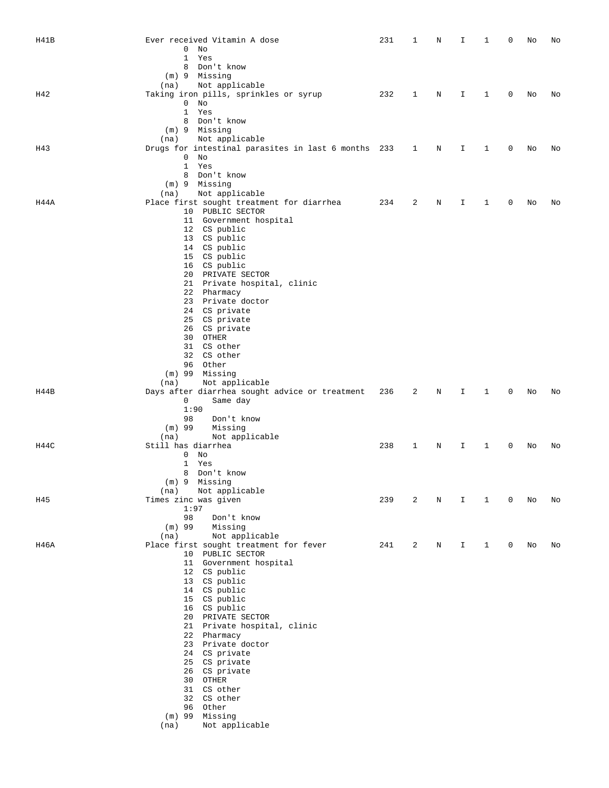| H41B | Ever received Vitamin A dose                                    | 231 | 1 | Ν | I  | 1            | 0 | No | No |
|------|-----------------------------------------------------------------|-----|---|---|----|--------------|---|----|----|
|      | $0$ No                                                          |     |   |   |    |              |   |    |    |
|      | $\mathbf{1}$<br>Yes                                             |     |   |   |    |              |   |    |    |
|      | 8 Don't know                                                    |     |   |   |    |              |   |    |    |
|      | (m) 9 Missing                                                   |     |   |   |    |              |   |    |    |
|      | Not applicable<br>(na)                                          |     |   |   |    |              |   |    |    |
| H42  | Taking iron pills, sprinkles or syrup                           | 232 | 1 | Ν | Ι. | $\mathbf{1}$ | 0 | No | No |
|      | $0$ No                                                          |     |   |   |    |              |   |    |    |
|      | 1 Yes                                                           |     |   |   |    |              |   |    |    |
|      | 8 Don't know                                                    |     |   |   |    |              |   |    |    |
|      | (m) 9 Missing                                                   |     |   |   |    |              |   |    |    |
|      | (na) Not applicable                                             |     |   |   |    |              |   |    |    |
| H43  | Drugs for intestinal parasites in last 6 months 233 1<br>$0$ No |     |   | N | Ι. | $\mathbf{1}$ | 0 | No | No |
|      | 1 Yes                                                           |     |   |   |    |              |   |    |    |
|      | 8 Don't know                                                    |     |   |   |    |              |   |    |    |
|      | $(m)$ 9 Missing                                                 |     |   |   |    |              |   |    |    |
|      | Not applicable<br>(na)                                          |     |   |   |    |              |   |    |    |
| H44A | Place first sought treatment for diarrhea                       | 234 | 2 | N | I  | 1            | 0 | No | No |
|      | 10 PUBLIC SECTOR                                                |     |   |   |    |              |   |    |    |
|      | 11 Government hospital                                          |     |   |   |    |              |   |    |    |
|      | 12 CS public                                                    |     |   |   |    |              |   |    |    |
|      | 13 CS public                                                    |     |   |   |    |              |   |    |    |
|      | 14 CS public                                                    |     |   |   |    |              |   |    |    |
|      | 15 CS public                                                    |     |   |   |    |              |   |    |    |
|      | 16 CS public                                                    |     |   |   |    |              |   |    |    |
|      | 20 PRIVATE SECTOR                                               |     |   |   |    |              |   |    |    |
|      | 21 Private hospital, clinic                                     |     |   |   |    |              |   |    |    |
|      | 22 Pharmacy<br>23 Private doctor                                |     |   |   |    |              |   |    |    |
|      | 24 CS private                                                   |     |   |   |    |              |   |    |    |
|      | 25 CS private                                                   |     |   |   |    |              |   |    |    |
|      | 26 CS private                                                   |     |   |   |    |              |   |    |    |
|      | 30 OTHER                                                        |     |   |   |    |              |   |    |    |
|      | 31 CS other                                                     |     |   |   |    |              |   |    |    |
|      | 32 CS other                                                     |     |   |   |    |              |   |    |    |
|      | 96 Other                                                        |     |   |   |    |              |   |    |    |
|      | (m) 99 Missing                                                  |     |   |   |    |              |   |    |    |
|      | Not applicable<br>(na)                                          |     |   |   |    |              |   |    |    |
| H44B | Days after diarrhea sought advice or treatment 236              |     | 2 | N | Ι. | $\mathbf{1}$ | 0 | No | No |
|      | $\overline{0}$<br>Same day                                      |     |   |   |    |              |   |    |    |
|      | 1:90                                                            |     |   |   |    |              |   |    |    |
|      | 98<br>Don't know                                                |     |   |   |    |              |   |    |    |
|      | Missing<br>$(m)$ 99                                             |     |   |   |    |              |   |    |    |
|      | Not applicable<br>(na)                                          |     |   |   |    |              |   |    |    |
| H44C | Still has diarrhea                                              | 238 | 1 | Ν | Ι. | $\mathbf{1}$ | 0 | No | No |
|      | $0$ No                                                          |     |   |   |    |              |   |    |    |
|      | $\mathbf{1}$<br>Yes<br>8 Don't know                             |     |   |   |    |              |   |    |    |
|      | $(m)$ 9 Missing                                                 |     |   |   |    |              |   |    |    |
|      | Not applicable<br>(na)                                          |     |   |   |    |              |   |    |    |
| H45  | Times zinc was given                                            | 239 | 2 | N | I. | 1            | 0 | No | No |
|      | 1:97                                                            |     |   |   |    |              |   |    |    |
|      | 98<br>Don't know                                                |     |   |   |    |              |   |    |    |
|      | $(m)$ 99<br>Missing                                             |     |   |   |    |              |   |    |    |
|      | Not applicable<br>(na)                                          |     |   |   |    |              |   |    |    |
| H46A | Place first sought treatment for fever                          | 241 | 2 | N | Ι. | $\mathbf{1}$ | 0 | No | No |
|      | 10 PUBLIC SECTOR                                                |     |   |   |    |              |   |    |    |
|      | 11 Government hospital                                          |     |   |   |    |              |   |    |    |
|      | 12 CS public                                                    |     |   |   |    |              |   |    |    |
|      | 13 CS public                                                    |     |   |   |    |              |   |    |    |
|      | 14 CS public                                                    |     |   |   |    |              |   |    |    |
|      | 15 CS public<br>16 CS public                                    |     |   |   |    |              |   |    |    |
|      | 20 PRIVATE SECTOR                                               |     |   |   |    |              |   |    |    |
|      | 21 Private hospital, clinic                                     |     |   |   |    |              |   |    |    |
|      | 22 Pharmacy                                                     |     |   |   |    |              |   |    |    |
|      | 23 Private doctor                                               |     |   |   |    |              |   |    |    |
|      | 24 CS private                                                   |     |   |   |    |              |   |    |    |
|      | 25 CS private                                                   |     |   |   |    |              |   |    |    |
|      | 26 CS private                                                   |     |   |   |    |              |   |    |    |
|      | 30 OTHER                                                        |     |   |   |    |              |   |    |    |
|      | 31 CS other                                                     |     |   |   |    |              |   |    |    |
|      | 32 CS other                                                     |     |   |   |    |              |   |    |    |
|      | 96 Other                                                        |     |   |   |    |              |   |    |    |
|      | (m) 99 Missing                                                  |     |   |   |    |              |   |    |    |
|      | Not applicable<br>(na)                                          |     |   |   |    |              |   |    |    |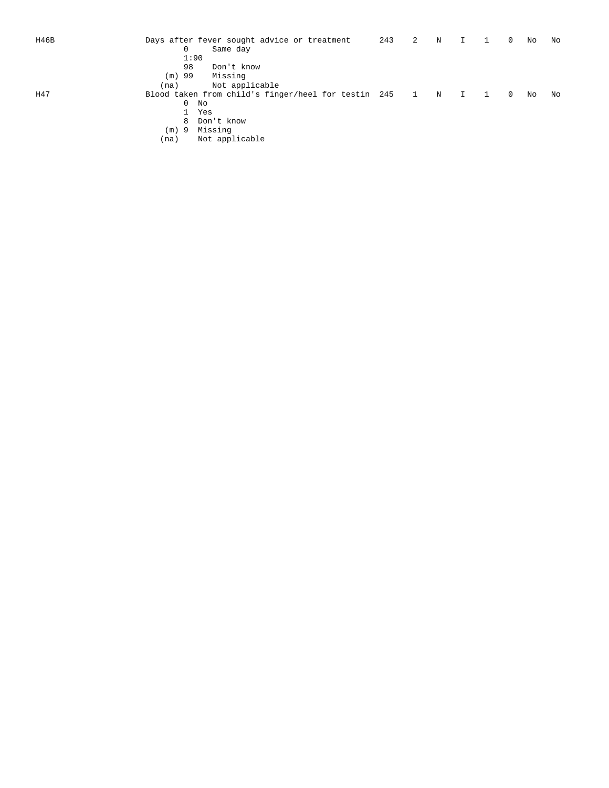| H46B |            | Days after fever sought advice or treatment           | 243 | $\overline{\phantom{a}}$ 2 | $_{\rm N}$  |   | 0        | No | No |
|------|------------|-------------------------------------------------------|-----|----------------------------|-------------|---|----------|----|----|
|      | 0          | Same day                                              |     |                            |             |   |          |    |    |
|      |            | 1:90                                                  |     |                            |             |   |          |    |    |
|      | 98         | Don't know                                            |     |                            |             |   |          |    |    |
|      | $(m)$ 99   | Missing                                               |     |                            |             |   |          |    |    |
|      | (na)       | Not applicable                                        |     |                            |             |   |          |    |    |
| H47  |            | Blood taken from child's finger/heel for testin 245 1 |     |                            | $\mathbb N$ | I | $\Omega$ | No | No |
|      | 0          | No                                                    |     |                            |             |   |          |    |    |
|      |            | 1 Yes                                                 |     |                            |             |   |          |    |    |
|      | 8          | Don't know                                            |     |                            |             |   |          |    |    |
|      | - 9<br>(m) | Missing                                               |     |                            |             |   |          |    |    |
|      |            |                                                       |     |                            |             |   |          |    |    |

(na) Not applicable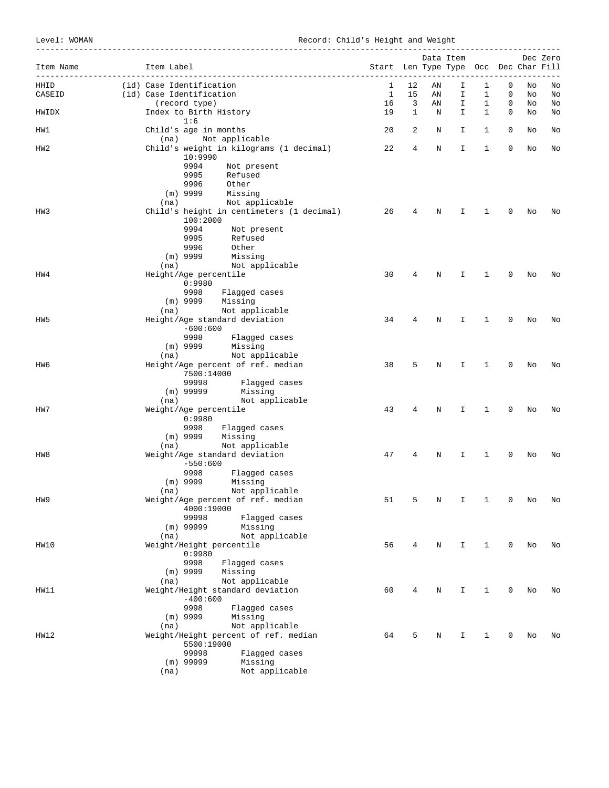Level: WOMAN Record: Child's Height and Weight

| Item Name       | Item Label                                                                | Start Len Type Type Occ Dec Char Fill |          | Data Item |        |              |        |          | Dec Zero |
|-----------------|---------------------------------------------------------------------------|---------------------------------------|----------|-----------|--------|--------------|--------|----------|----------|
|                 | -----------------                                                         |                                       |          |           |        |              |        |          |          |
| HHID<br>CASEID  | (id) Case Identification<br>(id) Case Identification                      | 1<br>1                                | 12<br>15 | ΑN<br>ΑN  | I<br>Ι | 1<br>1       | 0<br>0 | No<br>No | No<br>No |
|                 | (record type)                                                             | 16                                    | 3        | ΑN        | I      | $\mathbf{1}$ | 0      | No       | No       |
| HWIDX           | Index to Birth History<br>1:6                                             | 19                                    | 1        | Ν         | I.     | $\mathbf{1}$ | 0      | No       | No       |
| HW1             | Child's age in months                                                     | 20                                    | 2        | Ν         | I      | 1            | 0      | No       | No       |
| HW <sub>2</sub> | (na) Not applicable<br>Child's weight in kilograms (1 decimal)            | 22                                    | 4        | Ν         | I      | 1            | 0      | No       | No       |
|                 | 10:9990<br>9994<br>Not present<br>9995<br>Refused                         |                                       |          |           |        |              |        |          |          |
|                 | 9996<br>Other<br>$(m)$ 9999<br>Missing<br>Not applicable<br>(na)          |                                       |          |           |        |              |        |          |          |
| HW3             | Child's height in centimeters (1 decimal)                                 | 26                                    | 4        | Ν         | I      | 1            | 0      | No       | No       |
|                 | 100:2000<br>9994<br>Not present<br>Refused<br>9995                        |                                       |          |           |        |              |        |          |          |
|                 | 9996<br>Other<br>$(m)$ 9999<br>Missing                                    |                                       |          |           |        |              |        |          |          |
| HW4             | (na)<br>Not applicable<br>Height/Age percentile                           | 30                                    | 4        | N         | I      | 1            | 0      | No       | No       |
|                 | 0:9980<br>9998<br>Flagged cases<br>$(m)$ 9999<br>Missing                  |                                       |          |           |        |              |        |          |          |
|                 | Not applicable<br>(na)                                                    |                                       |          |           |        |              |        |          |          |
| HW5             | Height/Age standard deviation<br>$-600:600$                               | 34                                    | 4        | Ν         | I      | 1            | 0      | No       | No       |
|                 | 9998<br>Flagged cases<br>$(m)$ 9999<br>Missing<br>Not applicable<br>(na)  |                                       |          |           |        |              |        |          |          |
| HW6             | Height/Age percent of ref. median<br>7500:14000                           | 38                                    | 5        | Ν         | I      | 1            | 0      | No       | No       |
|                 | 99998<br>Flagged cases<br>(m) 99999<br>Missing                            |                                       |          |           |        |              |        |          |          |
| HW7             | Not applicable<br>(na)<br>Weight/Age percentile                           | 43                                    | 4        | Ν         | I      | 1            | 0      | No       | No       |
|                 | 0:9980<br>9998<br>Flagged cases<br>$(m)$ 9999<br>Missing                  |                                       |          |           |        |              |        |          |          |
|                 | Not applicable<br>(na)                                                    |                                       |          |           |        |              |        |          |          |
| HW8             | Weight/Age standard deviation<br>$-550:600$                               | 47                                    | 4        | Ν         | I      | 1            | 0      | No       | No       |
|                 | 9998<br>Flagged cases<br>$(m)$ 9999<br>Missing                            |                                       |          |           |        |              |        |          |          |
|                 | (na) Not applicable                                                       |                                       |          |           |        |              |        |          |          |
| HW9             | Weight/Age percent of ref. median<br>4000:19000<br>99998<br>Flagged cases | 51                                    | 5        | N         | I      | 1            | 0      | No       | No       |
|                 | $(m)$ 99999<br>Missing                                                    |                                       |          |           |        |              |        |          |          |
| HW10            | Not applicable<br>(na)<br>Weight/Height percentile<br>0:9980              | 56                                    | 4        | Ν         | I      | 1            | 0      | No       | No       |
|                 | 9998<br>Flagged cases<br>$(m)$ 9999<br>Missing                            |                                       |          |           |        |              |        |          |          |
| HW11            | Not applicable<br>(na)<br>Weight/Height standard deviation                | 60                                    | 4        | Ν         | I      | 1            | 0      | No       | No       |
|                 | $-400:600$<br>9998<br>Flagged cases                                       |                                       |          |           |        |              |        |          |          |
|                 | $(m)$ 9999<br>Missing<br>Not applicable<br>(na)                           |                                       |          |           |        |              |        |          |          |
| HW12            | Weight/Height percent of ref. median<br>5500:19000                        | 64                                    | 5        | Ν         | I      | 1            | 0      | No       | No       |
|                 | 99998<br>Flagged cases<br>$(m)$ 99999<br>Missing                          |                                       |          |           |        |              |        |          |          |
|                 | Not applicable<br>(na)                                                    |                                       |          |           |        |              |        |          |          |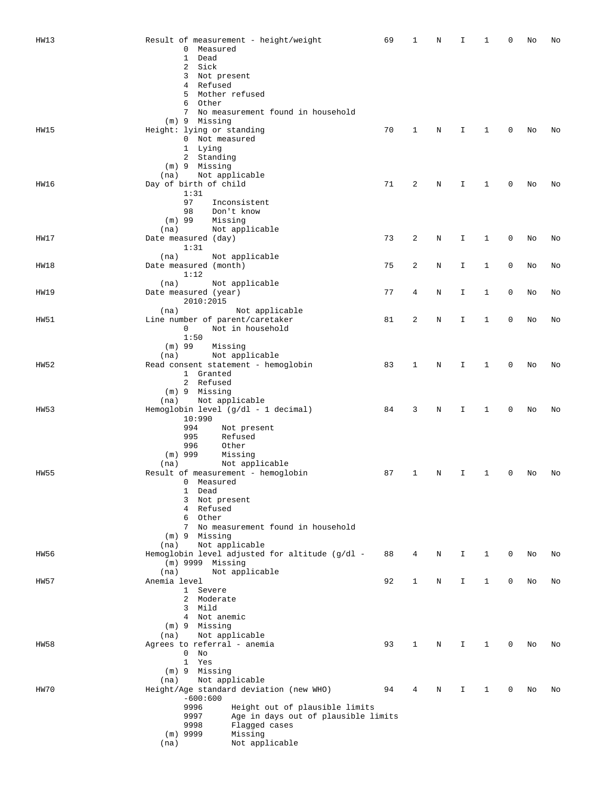| HW13        | Result of measurement - height/weight            |                  |                                     | 69 | 1           | Ν | Ι  | 1            | 0 | No | No |
|-------------|--------------------------------------------------|------------------|-------------------------------------|----|-------------|---|----|--------------|---|----|----|
|             | Measured<br>0                                    |                  |                                     |    |             |   |    |              |   |    |    |
|             | $\mathbf{1}$<br>Dead                             |                  |                                     |    |             |   |    |              |   |    |    |
|             | Sick<br>2                                        |                  |                                     |    |             |   |    |              |   |    |    |
|             | 3 Not present                                    |                  |                                     |    |             |   |    |              |   |    |    |
|             | Refused<br>4                                     |                  |                                     |    |             |   |    |              |   |    |    |
|             | 5                                                | Mother refused   |                                     |    |             |   |    |              |   |    |    |
|             | 6<br>Other                                       |                  |                                     |    |             |   |    |              |   |    |    |
|             | $7^{\circ}$                                      |                  | No measurement found in household   |    |             |   |    |              |   |    |    |
|             | $(m)$ 9 Missing                                  |                  |                                     |    |             |   |    |              |   |    |    |
| HW15        | Height: lying or standing<br>0 Not measured      |                  |                                     | 70 | 1           | N | I. | 1            | 0 | No | No |
|             | 1 Lying                                          |                  |                                     |    |             |   |    |              |   |    |    |
|             | 2 Standing                                       |                  |                                     |    |             |   |    |              |   |    |    |
|             | (m) 9 Missing                                    |                  |                                     |    |             |   |    |              |   |    |    |
|             | (na)                                             | Not applicable   |                                     |    |             |   |    |              |   |    |    |
| HW16        | Day of birth of child                            |                  |                                     | 71 | 2           | N | I  | 1            | 0 | No | No |
|             | 1:31                                             |                  |                                     |    |             |   |    |              |   |    |    |
|             | 97                                               | Inconsistent     |                                     |    |             |   |    |              |   |    |    |
|             | 98                                               | Don't know       |                                     |    |             |   |    |              |   |    |    |
|             | $(m)$ 99                                         | Missing          |                                     |    |             |   |    |              |   |    |    |
|             | (na)                                             | Not applicable   |                                     |    |             |   |    |              |   |    |    |
| HW17        | Date measured (day)                              |                  |                                     | 73 | 2           | Ν | I  | 1            | 0 | No | No |
|             | 1:31                                             |                  |                                     |    |             |   |    |              |   |    |    |
|             | (na)                                             | Not applicable   |                                     |    |             |   |    |              |   |    |    |
| HW18        | Date measured (month)                            |                  |                                     | 75 | 2           | Ν | I  | 1            | 0 | No | No |
|             | 1:12                                             |                  |                                     |    |             |   |    |              |   |    |    |
|             | (na)                                             | Not applicable   |                                     |    |             |   |    |              |   |    |    |
| HW19        | Date measured (year)                             |                  |                                     | 77 | 4           | Ν | I  | 1            | 0 | No | No |
|             | 2010:2015                                        |                  |                                     |    |             |   |    |              |   |    |    |
|             | (na)                                             | Not applicable   |                                     |    |             |   |    |              |   |    |    |
| HW51        | Line number of parent/caretaker                  |                  |                                     | 81 | 2           | Ν | I  | $\mathbf{1}$ | 0 | No | No |
|             | 0                                                | Not in household |                                     |    |             |   |    |              |   |    |    |
|             | 1:50                                             |                  |                                     |    |             |   |    |              |   |    |    |
|             | $(m)$ 99                                         | Missing          |                                     |    |             |   |    |              |   |    |    |
|             | (na)                                             | Not applicable   |                                     |    |             |   |    |              |   |    |    |
| HW52        | Read consent statement - hemoglobin<br>1 Granted |                  |                                     | 83 | 1           | N | I  | 1            | 0 | No | No |
|             | 2 Refused                                        |                  |                                     |    |             |   |    |              |   |    |    |
|             | (m) 9 Missing                                    |                  |                                     |    |             |   |    |              |   |    |    |
|             | (na)                                             | Not applicable   |                                     |    |             |   |    |              |   |    |    |
| HW53        | Hemoglobin level (g/dl - 1 decimal)              |                  |                                     | 84 | 3           | N | I  | 1            | 0 | No | No |
|             | 10:990                                           |                  |                                     |    |             |   |    |              |   |    |    |
|             | 994                                              | Not present      |                                     |    |             |   |    |              |   |    |    |
|             | 995                                              | Refused          |                                     |    |             |   |    |              |   |    |    |
|             | 996                                              | Other            |                                     |    |             |   |    |              |   |    |    |
|             | $(m)$ 999                                        | Missing          |                                     |    |             |   |    |              |   |    |    |
|             | (na)                                             | Not applicable   |                                     |    |             |   |    |              |   |    |    |
| <b>HW55</b> | Result of measurement - hemoglobin               |                  |                                     | 87 | 1           | N | I  | 1            | 0 | No | No |
|             | Measured<br>0                                    |                  |                                     |    |             |   |    |              |   |    |    |
|             | $\mathbf{1}$<br>Dead                             |                  |                                     |    |             |   |    |              |   |    |    |
|             | 3 Not present                                    |                  |                                     |    |             |   |    |              |   |    |    |
|             | 4 Refused                                        |                  |                                     |    |             |   |    |              |   |    |    |
|             | 6 Other                                          |                  |                                     |    |             |   |    |              |   |    |    |
|             |                                                  |                  | 7 No measurement found in household |    |             |   |    |              |   |    |    |
|             | $(m)$ 9 Missing                                  |                  |                                     |    |             |   |    |              |   |    |    |
|             | (na)                                             | Not applicable   |                                     |    |             |   |    |              |   |    |    |
| HW56        | Hemoglobin level adjusted for altitude (g/dl -   |                  |                                     | 88 | 4           | Ν | I. | $\mathbf{1}$ | 0 | No | No |
|             | $(m)$ 9999 Missing                               |                  |                                     |    |             |   |    |              |   |    |    |
|             | (na)<br>Anemia level                             | Not applicable   |                                     |    | $\mathbf 1$ |   |    | $\mathbf{1}$ | 0 |    |    |
| HW57        | 1 Severe                                         |                  |                                     | 92 |             | N | I. |              |   | No | No |
|             | 2 Moderate                                       |                  |                                     |    |             |   |    |              |   |    |    |
|             | 3 Mild                                           |                  |                                     |    |             |   |    |              |   |    |    |
|             | 4 Not anemic                                     |                  |                                     |    |             |   |    |              |   |    |    |
|             | $(m)$ 9 Missing                                  |                  |                                     |    |             |   |    |              |   |    |    |
|             | (na)                                             | Not applicable   |                                     |    |             |   |    |              |   |    |    |
| HW58        | Agrees to referral - anemia                      |                  |                                     | 93 | $\mathbf 1$ | N | Ι. | 1            | 0 | No | No |
|             | $0$ No                                           |                  |                                     |    |             |   |    |              |   |    |    |
|             | 1 Yes                                            |                  |                                     |    |             |   |    |              |   |    |    |
|             | $(m)$ 9 Missing                                  |                  |                                     |    |             |   |    |              |   |    |    |
|             | (na)                                             | Not applicable   |                                     |    |             |   |    |              |   |    |    |
| HW70        | Height/Age standard deviation (new WHO)          |                  |                                     | 94 | 4           | N | I  | 1            | 0 | No | No |
|             | $-600:600$                                       |                  |                                     |    |             |   |    |              |   |    |    |
|             | 9996                                             |                  | Height out of plausible limits      |    |             |   |    |              |   |    |    |
|             | 9997                                             |                  | Age in days out of plausible limits |    |             |   |    |              |   |    |    |
|             | 9998                                             | Flagged cases    |                                     |    |             |   |    |              |   |    |    |
|             | $(m)$ 9999                                       | Missing          |                                     |    |             |   |    |              |   |    |    |
|             | (na)                                             | Not applicable   |                                     |    |             |   |    |              |   |    |    |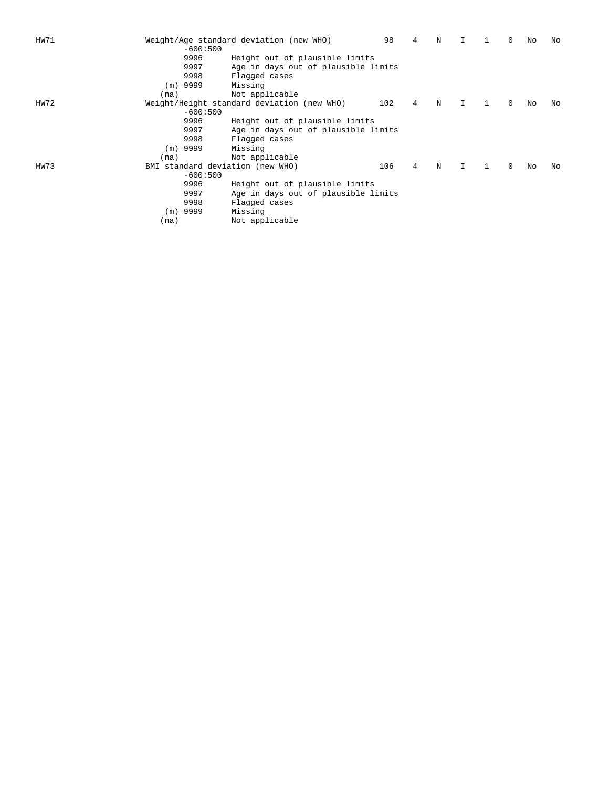| HW71 |      |            | Weight/Age standard deviation (new WHO)    | 98  | 4 | N |   |    | 0        | No | No |
|------|------|------------|--------------------------------------------|-----|---|---|---|----|----------|----|----|
|      |      | $-600:500$ |                                            |     |   |   |   |    |          |    |    |
|      |      | 9996       | Height out of plausible limits             |     |   |   |   |    |          |    |    |
|      |      | 9997       | Age in days out of plausible limits        |     |   |   |   |    |          |    |    |
|      |      | 9998       | Flagged cases                              |     |   |   |   |    |          |    |    |
|      |      | $(m)$ 9999 | Missing                                    |     |   |   |   |    |          |    |    |
|      | (na) |            | Not applicable                             |     |   |   |   |    |          |    |    |
| HW72 |      |            | Weight/Height standard deviation (new WHO) | 102 | 4 | N |   |    | $\Omega$ | No | No |
|      |      | $-600:500$ |                                            |     |   |   |   |    |          |    |    |
|      |      | 9996       | Height out of plausible limits             |     |   |   |   |    |          |    |    |
|      |      | 9997       | Age in days out of plausible limits        |     |   |   |   |    |          |    |    |
|      |      | 9998       | Flagged cases                              |     |   |   |   |    |          |    |    |
|      |      | $(m)$ 9999 | Missing                                    |     |   |   |   |    |          |    |    |
|      | (na) |            | Not applicable                             |     |   |   |   |    |          |    |    |
| HW73 |      |            | BMI standard deviation (new WHO)           | 106 | 4 | N | I | -1 | $\Omega$ | No | No |
|      |      | $-600:500$ |                                            |     |   |   |   |    |          |    |    |
|      |      | 9996       | Height out of plausible limits             |     |   |   |   |    |          |    |    |
|      |      | 9997       | Age in days out of plausible limits        |     |   |   |   |    |          |    |    |
|      |      | 9998       | Flagged cases                              |     |   |   |   |    |          |    |    |
|      |      | $(m)$ 9999 | Missing                                    |     |   |   |   |    |          |    |    |
|      | (na) |            | Not applicable                             |     |   |   |   |    |          |    |    |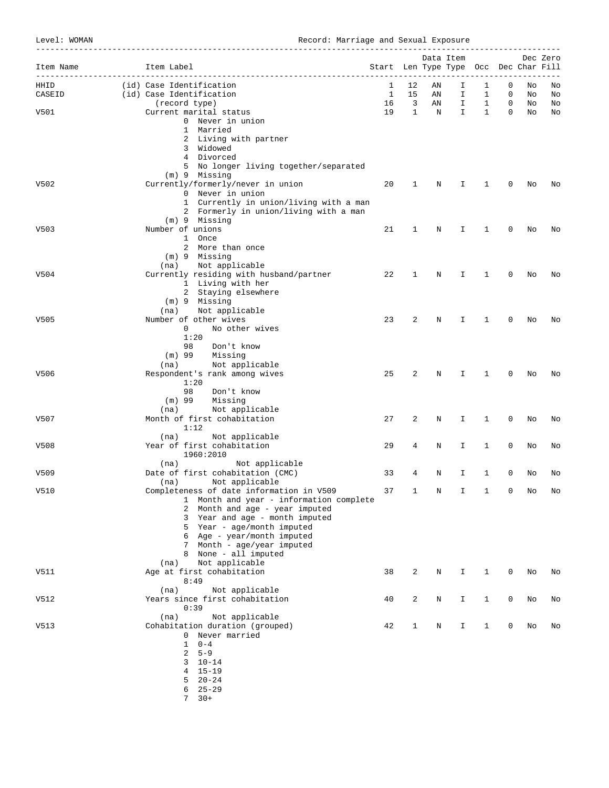Level: WOMAN **Record:** Marriage and Sexual Exposure

|                |                                                      |                                       |              |          | Data Item    |              |              |          | Dec Zero |
|----------------|------------------------------------------------------|---------------------------------------|--------------|----------|--------------|--------------|--------------|----------|----------|
| Item Name      | Item Label<br>________________________________       | Start Len Type Type Occ Dec Char Fill |              |          |              |              |              |          |          |
| HHID<br>CASEID | (id) Case Identification<br>(id) Case Identification | 1<br>$\mathbf{1}$                     | 12<br>15     | ΑN<br>AN | I<br>I.      | 1<br>1       | 0<br>0       | No<br>No | No<br>No |
|                | (record type)                                        | 16                                    | 3            | AN       | I            | $\mathbf{1}$ | 0            | No       | No       |
| V501           | Current marital status                               | 19                                    | $\mathbf{1}$ | N        | $\mathbf I$  | $\mathbf{1}$ | $\mathbf{0}$ | No       | No       |
|                | 0 Never in union                                     |                                       |              |          |              |              |              |          |          |
|                | 1 Married                                            |                                       |              |          |              |              |              |          |          |
|                | 2 Living with partner                                |                                       |              |          |              |              |              |          |          |
|                | 3 Widowed                                            |                                       |              |          |              |              |              |          |          |
|                | 4 Divorced                                           |                                       |              |          |              |              |              |          |          |
|                | 5 No longer living together/separated                |                                       |              |          |              |              |              |          |          |
|                | (m) 9 Missing                                        |                                       |              |          |              |              |              |          |          |
| V502           | Currently/formerly/never in union                    | 20                                    | 1            | N        | I.           | 1            | 0            | No       | No       |
|                | 0 Never in union                                     |                                       |              |          |              |              |              |          |          |
|                | 1 Currently in union/living with a man               |                                       |              |          |              |              |              |          |          |
|                | 2 Formerly in union/living with a man                |                                       |              |          |              |              |              |          |          |
| V503           | (m) 9 Missing<br>Number of unions                    | 21                                    | 1            | Ν        | I.           | 1            | 0            | No       | No       |
|                | 1 Once                                               |                                       |              |          |              |              |              |          |          |
|                | 2 More than once                                     |                                       |              |          |              |              |              |          |          |
|                | (m) 9 Missing                                        |                                       |              |          |              |              |              |          |          |
|                | Not applicable<br>(na)                               |                                       |              |          |              |              |              |          |          |
| V504           | Currently residing with husband/partner              | 22                                    | 1            | N        | I            | 1            | 0            | No       | No       |
|                | 1 Living with her                                    |                                       |              |          |              |              |              |          |          |
|                | 2 Staying elsewhere                                  |                                       |              |          |              |              |              |          |          |
|                | (m) 9 Missing                                        |                                       |              |          |              |              |              |          |          |
|                | Not applicable<br>(na)                               |                                       |              |          |              |              |              |          |          |
| V505           | Number of other wives                                | 23                                    | 2            | Ν        | I            | 1            | 0            | No       | No       |
|                | $\mathbf 0$<br>No other wives                        |                                       |              |          |              |              |              |          |          |
|                | 1:20<br>98<br>Don't know                             |                                       |              |          |              |              |              |          |          |
|                | $(m)$ 99<br>Missing                                  |                                       |              |          |              |              |              |          |          |
|                | Not applicable<br>(na)                               |                                       |              |          |              |              |              |          |          |
| V506           | Respondent's rank among wives                        | 25                                    | 2            | N        | Ι.           | 1            | 0            | No       | No       |
|                | 1:20                                                 |                                       |              |          |              |              |              |          |          |
|                | 98<br>Don't know                                     |                                       |              |          |              |              |              |          |          |
|                | $(m)$ 99<br>Missing                                  |                                       |              |          |              |              |              |          |          |
|                | Not applicable<br>(na)                               |                                       |              |          |              |              |              |          |          |
| V507           | Month of first cohabitation                          | 27                                    | 2            | N        | I            | 1            | 0            | No       | No       |
|                | 1:12                                                 |                                       |              |          |              |              |              |          |          |
|                | Not applicable<br>(na)                               |                                       |              |          |              |              |              |          |          |
| V508           | Year of first cohabitation                           | 29                                    | 4            | N        | I.           | 1            | 0            | No       | No       |
|                | 1960:2010<br>Not applicable<br>(na)                  |                                       |              |          |              |              |              |          |          |
| V509           | Date of first cohabitation (CMC)                     | 33                                    | 4            | N        | I            | 1            | 0            | No       | No       |
|                | Not applicable<br>(na)                               |                                       |              |          |              |              |              |          |          |
| V510           | Completeness of date information in V509             | 37                                    | ı            | N        | $\mathbf{I}$ | 1            | 0            | No       | No       |
|                | 1 Month and year - information complete              |                                       |              |          |              |              |              |          |          |
|                | 2 Month and age - year imputed                       |                                       |              |          |              |              |              |          |          |
|                | 3 Year and age - month imputed                       |                                       |              |          |              |              |              |          |          |
|                | 5 Year - age/month imputed                           |                                       |              |          |              |              |              |          |          |
|                | 6 Age - year/month imputed                           |                                       |              |          |              |              |              |          |          |
|                | 7 Month - age/year imputed                           |                                       |              |          |              |              |              |          |          |
|                | 8 None - all imputed                                 |                                       |              |          |              |              |              |          |          |
|                | Not applicable<br>(na)                               |                                       |              |          |              |              |              |          |          |
| V511           | Age at first cohabitation<br>8:49                    | 38                                    | 2            | N        | I            | 1            | 0            | No       | No       |
|                | Not applicable<br>(na)                               |                                       |              |          |              |              |              |          |          |
| V512           | Years since first cohabitation                       | 40                                    | 2            | Ν        | I            | 1            | 0            | No       | No       |
|                | 0:39                                                 |                                       |              |          |              |              |              |          |          |
|                | Not applicable<br>(na)                               |                                       |              |          |              |              |              |          |          |
| V513           | Cohabitation duration (grouped)                      | 42                                    | 1            | Ν        | I            | 1            | 0            | No       | No       |
|                | 0 Never married                                      |                                       |              |          |              |              |              |          |          |
|                | $\mathbf{1}$<br>$0 - 4$                              |                                       |              |          |              |              |              |          |          |
|                | $5 - 9$<br>$\overline{a}$                            |                                       |              |          |              |              |              |          |          |
|                | 3<br>$10 - 14$                                       |                                       |              |          |              |              |              |          |          |
|                | $15 - 19$<br>4                                       |                                       |              |          |              |              |              |          |          |
|                | $20 - 24$<br>5                                       |                                       |              |          |              |              |              |          |          |
|                | $25 - 29$<br>6<br>7<br>$30+$                         |                                       |              |          |              |              |              |          |          |
|                |                                                      |                                       |              |          |              |              |              |          |          |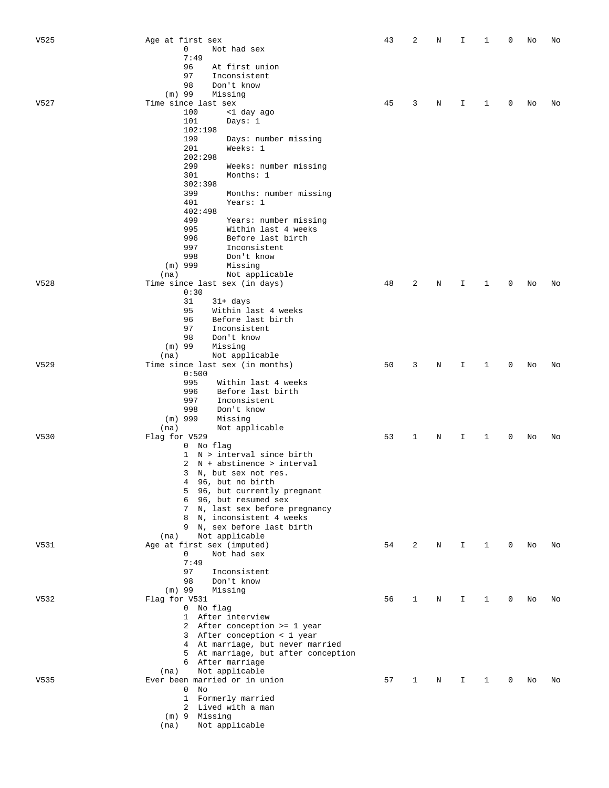| V525 | Age at first sex                                            | 43 | 2 | Ν | I  | 1 | 0 | No | No |
|------|-------------------------------------------------------------|----|---|---|----|---|---|----|----|
|      | 0<br>Not had sex                                            |    |   |   |    |   |   |    |    |
|      | 7:49                                                        |    |   |   |    |   |   |    |    |
|      | 96<br>At first union                                        |    |   |   |    |   |   |    |    |
|      | 97<br>Inconsistent                                          |    |   |   |    |   |   |    |    |
|      | 98<br>Don't know                                            |    |   |   |    |   |   |    |    |
|      | $(m)$ 99<br>Missing                                         |    |   |   |    |   |   |    |    |
| V527 | Time since last sex                                         | 45 | 3 | N | I  | 1 | 0 | No | No |
|      | 100<br><1 day ago                                           |    |   |   |    |   |   |    |    |
|      | 101<br>Days: $1$                                            |    |   |   |    |   |   |    |    |
|      | 102:198                                                     |    |   |   |    |   |   |    |    |
|      | 199<br>Days: number missing<br>201<br>Weeks: 1              |    |   |   |    |   |   |    |    |
|      | 202:298                                                     |    |   |   |    |   |   |    |    |
|      | 299<br>Weeks: number missing                                |    |   |   |    |   |   |    |    |
|      | 301<br>Months: 1                                            |    |   |   |    |   |   |    |    |
|      | 302:398                                                     |    |   |   |    |   |   |    |    |
|      | 399<br>Months: number missing                               |    |   |   |    |   |   |    |    |
|      | 401<br>Years: 1                                             |    |   |   |    |   |   |    |    |
|      | 402:498                                                     |    |   |   |    |   |   |    |    |
|      | 499<br>Years: number missing                                |    |   |   |    |   |   |    |    |
|      | Within last 4 weeks<br>995                                  |    |   |   |    |   |   |    |    |
|      | Before last birth<br>996                                    |    |   |   |    |   |   |    |    |
|      | 997<br>Inconsistent                                         |    |   |   |    |   |   |    |    |
|      | 998<br>Don't know                                           |    |   |   |    |   |   |    |    |
|      | $(m)$ 999<br>Missing                                        |    |   |   |    |   |   |    |    |
|      | Not applicable<br>(na)                                      |    |   |   |    |   |   |    |    |
| V528 | Time since last sex (in days)                               | 48 | 2 | N | I. | 1 | 0 | No | No |
|      | 0:30                                                        |    |   |   |    |   |   |    |    |
|      | 31<br>$31+ days$                                            |    |   |   |    |   |   |    |    |
|      | Within last 4 weeks<br>95                                   |    |   |   |    |   |   |    |    |
|      | Before last birth<br>96<br>97                               |    |   |   |    |   |   |    |    |
|      | Inconsistent<br>98<br>Don't know                            |    |   |   |    |   |   |    |    |
|      | $(m)$ 99<br>Missing                                         |    |   |   |    |   |   |    |    |
|      | Not applicable<br>(na)                                      |    |   |   |    |   |   |    |    |
| V529 | Time since last sex (in months)                             | 50 | 3 | N | I  | 1 | 0 | No | No |
|      | 0:500                                                       |    |   |   |    |   |   |    |    |
|      | 995<br>Within last 4 weeks                                  |    |   |   |    |   |   |    |    |
|      | 996<br>Before last birth                                    |    |   |   |    |   |   |    |    |
|      | 997<br>Inconsistent                                         |    |   |   |    |   |   |    |    |
|      | 998<br>Don't know                                           |    |   |   |    |   |   |    |    |
|      | $(m)$ 999<br>Missing                                        |    |   |   |    |   |   |    |    |
|      | Not applicable<br>(na)                                      |    |   |   |    |   |   |    |    |
| V530 | Flag for V529                                               | 53 | 1 | N | I  | 1 | 0 | No | No |
|      | 0 No flag                                                   |    |   |   |    |   |   |    |    |
|      | N > interval since birth<br>$\mathbf{1}$                    |    |   |   |    |   |   |    |    |
|      | N + abstinence > interval<br>2                              |    |   |   |    |   |   |    |    |
|      | 3<br>N, but sex not res.                                    |    |   |   |    |   |   |    |    |
|      | 96, but no birth<br>$4 \quad$                               |    |   |   |    |   |   |    |    |
|      | 5 96, but currently pregnant                                |    |   |   |    |   |   |    |    |
|      | 6 96, but resumed sex                                       |    |   |   |    |   |   |    |    |
|      | 7 N, last sex before pregnancy<br>8 N, inconsistent 4 weeks |    |   |   |    |   |   |    |    |
|      | 9 N, sex before last birth                                  |    |   |   |    |   |   |    |    |
|      | Not applicable<br>(na)                                      |    |   |   |    |   |   |    |    |
| V531 | Age at first sex (imputed)                                  | 54 | 2 | Ν | I  | 1 | 0 | No | No |
|      | 0<br>Not had sex                                            |    |   |   |    |   |   |    |    |
|      | 7:49                                                        |    |   |   |    |   |   |    |    |
|      | 97<br>Inconsistent                                          |    |   |   |    |   |   |    |    |
|      | Don't know<br>98                                            |    |   |   |    |   |   |    |    |
|      | $(m)$ 99<br>Missing                                         |    |   |   |    |   |   |    |    |
| V532 | Flag for V531                                               | 56 | 1 | N | I  | 1 | 0 | No | No |
|      | 0 No flag                                                   |    |   |   |    |   |   |    |    |
|      | 1 After interview                                           |    |   |   |    |   |   |    |    |
|      | 2 After conception >= 1 year                                |    |   |   |    |   |   |    |    |
|      | 3 After conception < 1 year                                 |    |   |   |    |   |   |    |    |
|      | 4 At marriage, but never married                            |    |   |   |    |   |   |    |    |
|      | 5 At marriage, but after conception                         |    |   |   |    |   |   |    |    |
|      | 6 After marriage<br>Not applicable<br>(na)                  |    |   |   |    |   |   |    |    |
| V535 | Ever been married or in union                               | 57 | 1 | Ν | I  | 1 | 0 | No | No |
|      | 0<br>No                                                     |    |   |   |    |   |   |    |    |
|      | 1 Formerly married                                          |    |   |   |    |   |   |    |    |
|      | 2 Lived with a man                                          |    |   |   |    |   |   |    |    |
|      | (m) 9 Missing                                               |    |   |   |    |   |   |    |    |
|      | Not applicable<br>(na)                                      |    |   |   |    |   |   |    |    |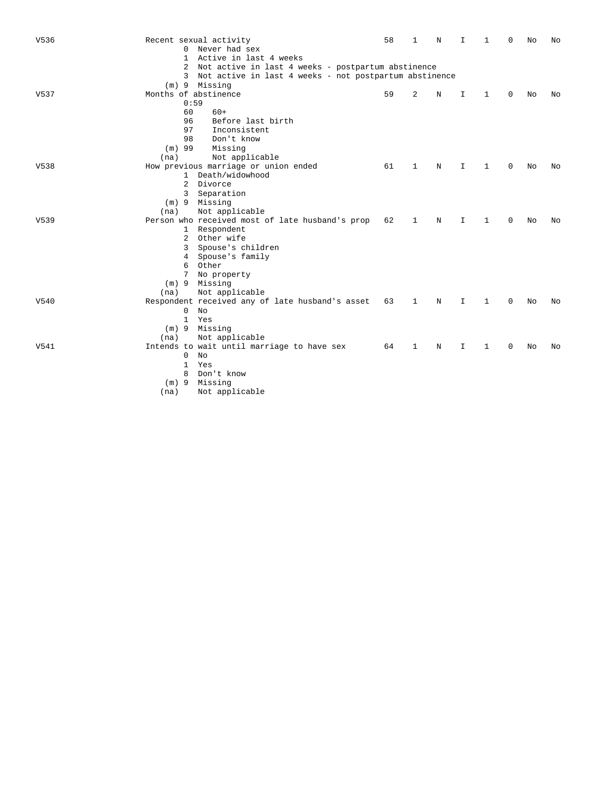| V536 | Recent sexual activity                                   | 58 | 1 | N | I  | 1 | $\Omega$ | No | No |
|------|----------------------------------------------------------|----|---|---|----|---|----------|----|----|
|      | 0 Never had sex                                          |    |   |   |    |   |          |    |    |
|      | Active in last 4 weeks<br>1.                             |    |   |   |    |   |          |    |    |
|      | 2 Not active in last 4 weeks - postpartum abstinence     |    |   |   |    |   |          |    |    |
|      | 3 Not active in last 4 weeks - not postpartum abstinence |    |   |   |    |   |          |    |    |
|      | (m) 9 Missing                                            |    |   |   |    |   |          |    |    |
| V537 | Months of abstinence                                     | 59 | 2 | N | I  | 1 | $\Omega$ | No | No |
|      | 0:59                                                     |    |   |   |    |   |          |    |    |
|      | 60<br>$60+$                                              |    |   |   |    |   |          |    |    |
|      | 96<br>Before last birth                                  |    |   |   |    |   |          |    |    |
|      | 97<br>Inconsistent                                       |    |   |   |    |   |          |    |    |
|      | 98<br>Don't know                                         |    |   |   |    |   |          |    |    |
|      | $(m)$ 99<br>Missing                                      |    |   |   |    |   |          |    |    |
|      | Not applicable<br>(na)                                   |    |   |   |    |   |          |    |    |
| V538 | How previous marriage or union ended                     | 61 | 1 | N | I  | 1 | 0        | No | No |
|      | 1 Death/widowhood                                        |    |   |   |    |   |          |    |    |
|      | Divorce<br>2                                             |    |   |   |    |   |          |    |    |
|      | Separation<br>3                                          |    |   |   |    |   |          |    |    |
|      | $(m)$ 9 Missing                                          |    |   |   |    |   |          |    |    |
|      | Not applicable<br>(na)                                   |    |   |   |    |   |          |    |    |
| V539 | Person who received most of late husband's prop          | 62 | 1 | N | I  | 1 | 0        | No | No |
|      | 1 Respondent                                             |    |   |   |    |   |          |    |    |
|      | Other wife<br>$\overline{2}$                             |    |   |   |    |   |          |    |    |
|      | Spouse's children<br>3                                   |    |   |   |    |   |          |    |    |
|      | Spouse's family<br>$4\phantom{0}$                        |    |   |   |    |   |          |    |    |
|      | Other<br>6                                               |    |   |   |    |   |          |    |    |
|      | 7<br>No property                                         |    |   |   |    |   |          |    |    |
|      | (m) 9 Missing                                            |    |   |   |    |   |          |    |    |
|      | Not applicable<br>(na)                                   |    |   |   |    |   |          |    |    |
| V540 | Respondent received any of late husband's asset          | 63 | 1 | N | I  | 1 | $\Omega$ | No | No |
|      | 0<br>No                                                  |    |   |   |    |   |          |    |    |
|      | $\mathbf 1$<br>Yes                                       |    |   |   |    |   |          |    |    |
|      | (m) 9 Missing                                            |    |   |   |    |   |          |    |    |
|      | Not applicable<br>(na)                                   |    |   |   |    |   |          |    |    |
| V541 | Intends to wait until marriage to have sex               | 64 | 1 | N | I. | 1 | 0        | No | No |
|      | $\Omega$<br>No                                           |    |   |   |    |   |          |    |    |
|      | Yes<br>1                                                 |    |   |   |    |   |          |    |    |
|      | Don't know<br>8                                          |    |   |   |    |   |          |    |    |
|      | Missing<br>$(m)$ 9                                       |    |   |   |    |   |          |    |    |
|      | Not applicable<br>(na)                                   |    |   |   |    |   |          |    |    |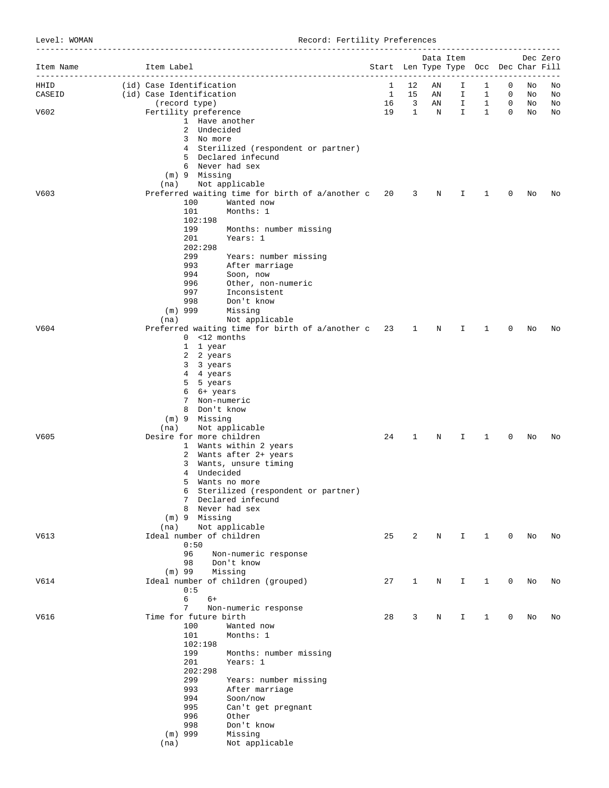Level: WOMAN Record: Fertility Preferences

| Item Name | Item Label                   |                |                                                    |             |              |                                         |    | Data Item<br>Start Len Type Type Occ Dec Char Fill |              |                   |    | Dec Zero |
|-----------|------------------------------|----------------|----------------------------------------------------|-------------|--------------|-----------------------------------------|----|----------------------------------------------------|--------------|-------------------|----|----------|
| HHID      | (id) Case Identification     |                | ---------------------------                        | ----------- | 1            | -----<br>12                             | AN | ---------<br>Ι.                                    | 1            | 0                 | No | No       |
| CASEID    | (id) Case Identification     |                |                                                    |             | $\mathbf{1}$ | 15                                      | AN | I.                                                 | $\mathbf{1}$ | 0                 | No | No       |
| V602      | (record type)                |                |                                                    |             | 16           | $\overline{\mathbf{3}}$<br>$\mathbf{1}$ | AN | $\mathbf{I}$                                       | $\mathbf{1}$ | 0<br>$\mathbf{0}$ | No | No       |
|           | Fertility preference         |                | 1 Have another                                     |             | 19           |                                         | N  | Ι.                                                 | $\mathbf{1}$ |                   | No | No       |
|           |                              | 2 Undecided    |                                                    |             |              |                                         |    |                                                    |              |                   |    |          |
|           |                              | 3 No more      |                                                    |             |              |                                         |    |                                                    |              |                   |    |          |
|           |                              |                | 4 Sterilized (respondent or partner)               |             |              |                                         |    |                                                    |              |                   |    |          |
|           |                              |                | 5 Declared infecund<br>6 Never had sex             |             |              |                                         |    |                                                    |              |                   |    |          |
|           | $(m)$ 9 Missing              |                |                                                    |             |              |                                         |    |                                                    |              |                   |    |          |
|           | (na)                         |                | Not applicable                                     |             |              |                                         |    |                                                    |              |                   |    |          |
| V603      |                              |                | Preferred waiting time for birth of a/another c 20 |             |              | 3                                       | N  | Ι.                                                 | 1            | 0                 | No | No       |
|           | 100                          |                | Wanted now                                         |             |              |                                         |    |                                                    |              |                   |    |          |
|           | 101                          | 102:198        | Months: 1                                          |             |              |                                         |    |                                                    |              |                   |    |          |
|           | 199                          |                | Months: number missing                             |             |              |                                         |    |                                                    |              |                   |    |          |
|           | 201                          |                | Years: 1                                           |             |              |                                         |    |                                                    |              |                   |    |          |
|           |                              | 202:298        |                                                    |             |              |                                         |    |                                                    |              |                   |    |          |
|           | 299                          |                | Years: number missing                              |             |              |                                         |    |                                                    |              |                   |    |          |
|           | 993<br>994                   |                | After marriage                                     |             |              |                                         |    |                                                    |              |                   |    |          |
|           | 996                          |                | Soon, now<br>Other, non-numeric                    |             |              |                                         |    |                                                    |              |                   |    |          |
|           | 997                          |                | Inconsistent                                       |             |              |                                         |    |                                                    |              |                   |    |          |
|           | 998                          |                | Don't know                                         |             |              |                                         |    |                                                    |              |                   |    |          |
|           | $(m)$ 999                    |                | Missing                                            |             |              |                                         |    |                                                    |              |                   |    |          |
|           | (na)                         |                | Not applicable                                     |             |              |                                         |    |                                                    |              |                   |    |          |
| V604      |                              | $0$ <12 months | Preferred waiting time for birth of a/another c    |             | 23           | 1                                       | N  | I.                                                 | 1            | 0                 | No | No       |
|           | $\mathbf{1}$                 | 1 year         |                                                    |             |              |                                         |    |                                                    |              |                   |    |          |
|           |                              | 2 2 years      |                                                    |             |              |                                         |    |                                                    |              |                   |    |          |
|           |                              | 3 3 years      |                                                    |             |              |                                         |    |                                                    |              |                   |    |          |
|           |                              | 4 4 years      |                                                    |             |              |                                         |    |                                                    |              |                   |    |          |
|           |                              | 5 5 years      |                                                    |             |              |                                         |    |                                                    |              |                   |    |          |
|           |                              | 6 6+ years     | 7 Non-numeric                                      |             |              |                                         |    |                                                    |              |                   |    |          |
|           |                              | 8 Don't know   |                                                    |             |              |                                         |    |                                                    |              |                   |    |          |
|           | (m) 9 Missing                |                |                                                    |             |              |                                         |    |                                                    |              |                   |    |          |
|           | (na)                         |                | Not applicable                                     |             |              |                                         |    |                                                    |              |                   |    |          |
| V605      | Desire for more children     |                |                                                    |             | 24           | 1                                       | Ν  | Ι.                                                 | 1            | 0                 | No | Νo       |
|           |                              |                | 1 Wants within 2 years<br>2 Wants after 2+ years   |             |              |                                         |    |                                                    |              |                   |    |          |
|           |                              |                | 3 Wants, unsure timing                             |             |              |                                         |    |                                                    |              |                   |    |          |
|           |                              | 4 Undecided    |                                                    |             |              |                                         |    |                                                    |              |                   |    |          |
|           | 5                            |                | Wants no more                                      |             |              |                                         |    |                                                    |              |                   |    |          |
|           | 6                            |                | Sterilized (respondent or partner)                 |             |              |                                         |    |                                                    |              |                   |    |          |
|           |                              |                | 7 Declared infecund<br>8 Never had sex             |             |              |                                         |    |                                                    |              |                   |    |          |
|           | $(m)$ 9 Missing              |                |                                                    |             |              |                                         |    |                                                    |              |                   |    |          |
|           | (na)                         |                | Not applicable                                     |             |              |                                         |    |                                                    |              |                   |    |          |
| V613      | Ideal number of children     |                |                                                    |             | 25           | 2                                       | N  | I.                                                 | $\mathbf{1}$ | 0                 | No | No       |
|           | 0:50                         |                |                                                    |             |              |                                         |    |                                                    |              |                   |    |          |
|           | 96<br>98                     |                | Non-numeric response                               |             |              |                                         |    |                                                    |              |                   |    |          |
|           | $(m)$ 99                     |                | Don't know<br>Missing                              |             |              |                                         |    |                                                    |              |                   |    |          |
| V614      |                              |                | Ideal number of children (grouped)                 |             | 27           | $\mathbf 1$                             | N  | I                                                  | 1            | 0                 | No | No       |
|           | 0:5                          |                |                                                    |             |              |                                         |    |                                                    |              |                   |    |          |
|           | 6                            | $6+$           |                                                    |             |              |                                         |    |                                                    |              |                   |    |          |
|           | 7                            |                | Non-numeric response                               |             |              |                                         |    |                                                    |              |                   |    |          |
| V616      | Time for future birth<br>100 |                | Wanted now                                         |             | 28           | 3                                       | Ν  | I.                                                 | 1            | 0                 | No | No       |
|           | 101                          |                | Months: 1                                          |             |              |                                         |    |                                                    |              |                   |    |          |
|           |                              | 102:198        |                                                    |             |              |                                         |    |                                                    |              |                   |    |          |
|           | 199                          |                | Months: number missing                             |             |              |                                         |    |                                                    |              |                   |    |          |
|           | 201                          |                | Years: 1                                           |             |              |                                         |    |                                                    |              |                   |    |          |
|           | 299                          | 202:298        |                                                    |             |              |                                         |    |                                                    |              |                   |    |          |
|           | 993                          |                | Years: number missing<br>After marriage            |             |              |                                         |    |                                                    |              |                   |    |          |
|           | 994                          |                | Soon/now                                           |             |              |                                         |    |                                                    |              |                   |    |          |
|           | 995                          |                | Can't get pregnant                                 |             |              |                                         |    |                                                    |              |                   |    |          |
|           | 996                          |                | Other                                              |             |              |                                         |    |                                                    |              |                   |    |          |
|           | 998                          |                | Don't know                                         |             |              |                                         |    |                                                    |              |                   |    |          |
|           | $(m)$ 999<br>(na)            |                | Missing<br>Not applicable                          |             |              |                                         |    |                                                    |              |                   |    |          |
|           |                              |                |                                                    |             |              |                                         |    |                                                    |              |                   |    |          |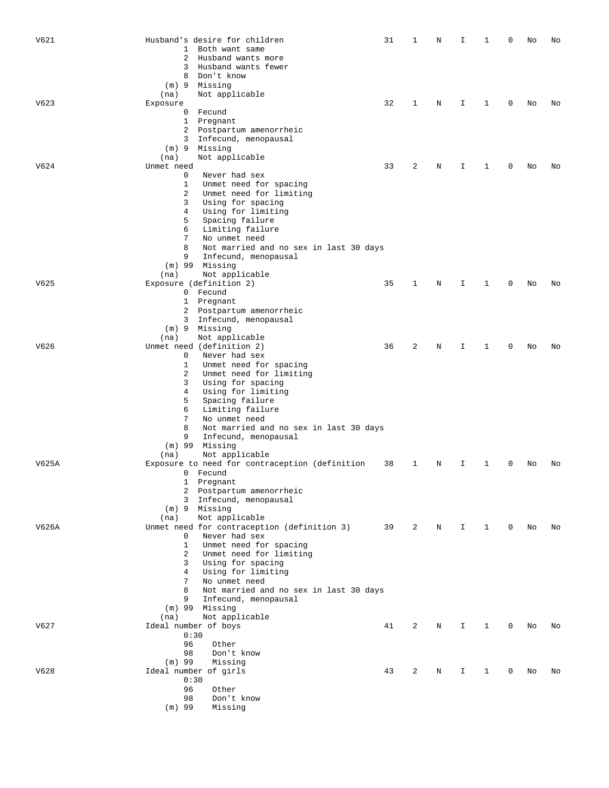| V621  | Husband's desire for children<br>$\mathbf{1}$<br>Both want same<br>2<br>Husband wants more<br>3 | 31 | 1 | N | Ι  |              | 0 | No | No |
|-------|-------------------------------------------------------------------------------------------------|----|---|---|----|--------------|---|----|----|
|       | Husband wants fewer<br>8<br>Don't know<br>(m) 9 Missing<br>Not applicable<br>(na)               |    |   |   |    |              |   |    |    |
| V623  | Exposure                                                                                        | 32 | 1 | N | I  | 1            | 0 | No | No |
|       | Fecund<br>0                                                                                     |    |   |   |    |              |   |    |    |
|       | 1 Pregnant                                                                                      |    |   |   |    |              |   |    |    |
|       | 2 Postpartum amenorrheic<br>Infecund, menopausal<br>3                                           |    |   |   |    |              |   |    |    |
|       | (m) 9 Missing                                                                                   |    |   |   |    |              |   |    |    |
|       | Not applicable<br>(na)                                                                          |    |   |   |    |              |   |    |    |
| V624  | Unmet need                                                                                      | 33 | 2 | N | I  | 1            | 0 | No | No |
|       | Never had sex<br>0                                                                              |    |   |   |    |              |   |    |    |
|       | 1<br>Unmet need for spacing<br>2<br>Unmet need for limiting                                     |    |   |   |    |              |   |    |    |
|       | 3<br>Using for spacing                                                                          |    |   |   |    |              |   |    |    |
|       | 4<br>Using for limiting                                                                         |    |   |   |    |              |   |    |    |
|       | 5<br>Spacing failure                                                                            |    |   |   |    |              |   |    |    |
|       | 6<br>Limiting failure                                                                           |    |   |   |    |              |   |    |    |
|       | 7<br>No unmet need                                                                              |    |   |   |    |              |   |    |    |
|       | 8<br>Not married and no sex in last 30 days<br>9<br>Infecund, menopausal                        |    |   |   |    |              |   |    |    |
|       | $(m)$ 99<br>Missing                                                                             |    |   |   |    |              |   |    |    |
|       | Not applicable<br>(na)                                                                          |    |   |   |    |              |   |    |    |
| V625  | Exposure (definition 2)                                                                         | 35 | 1 | N | I  | 1            | 0 | Νo | No |
|       | 0 Fecund                                                                                        |    |   |   |    |              |   |    |    |
|       | 1 Pregnant<br>2 Postpartum amenorrheic                                                          |    |   |   |    |              |   |    |    |
|       | 3<br>Infecund, menopausal                                                                       |    |   |   |    |              |   |    |    |
|       | (m) 9 Missing                                                                                   |    |   |   |    |              |   |    |    |
|       | Not applicable<br>(na)                                                                          |    |   |   |    |              |   |    |    |
| V626  | Unmet need (definition 2)<br>Never had sex<br>0                                                 | 36 | 2 | Ν | I  | 1            | 0 | No | No |
|       | 1<br>Unmet need for spacing                                                                     |    |   |   |    |              |   |    |    |
|       | 2<br>Unmet need for limiting                                                                    |    |   |   |    |              |   |    |    |
|       | 3<br>Using for spacing                                                                          |    |   |   |    |              |   |    |    |
|       | 4<br>Using for limiting                                                                         |    |   |   |    |              |   |    |    |
|       | 5<br>Spacing failure<br>6<br>Limiting failure                                                   |    |   |   |    |              |   |    |    |
|       | 7<br>No unmet need                                                                              |    |   |   |    |              |   |    |    |
|       | 8<br>Not married and no sex in last 30 days                                                     |    |   |   |    |              |   |    |    |
|       | 9<br>Infecund, menopausal                                                                       |    |   |   |    |              |   |    |    |
|       | $(m)$ 99<br>Missing                                                                             |    |   |   |    |              |   |    |    |
| V625A | Not applicable<br>(na)<br>Exposure to need for contraception (definition                        | 38 | 1 | Ν | I  | 1            | 0 | No | No |
|       | 0<br>Fecund                                                                                     |    |   |   |    |              |   |    |    |
|       | 1 Pregnant                                                                                      |    |   |   |    |              |   |    |    |
|       | 2 Postpartum amenorrheic                                                                        |    |   |   |    |              |   |    |    |
|       | 3 Infecund, menopausal                                                                          |    |   |   |    |              |   |    |    |
|       | $(m)$ 9 Missing<br>Not applicable<br>(na)                                                       |    |   |   |    |              |   |    |    |
| V626A | Unmet need for contraception (definition 3)                                                     | 39 | 2 | N | I. | $\mathbf{1}$ | 0 | No | No |
|       | Never had sex<br>$\circ$                                                                        |    |   |   |    |              |   |    |    |
|       | Unmet need for spacing<br>$\mathbf{1}$                                                          |    |   |   |    |              |   |    |    |
|       | Unmet need for limiting<br>2                                                                    |    |   |   |    |              |   |    |    |
|       | Using for spacing<br>$\mathbf{3}$<br>Using for limiting<br>4                                    |    |   |   |    |              |   |    |    |
|       | 7<br>No unmet need                                                                              |    |   |   |    |              |   |    |    |
|       | 8<br>Not married and no sex in last 30 days                                                     |    |   |   |    |              |   |    |    |
|       | 9<br>Infecund, menopausal                                                                       |    |   |   |    |              |   |    |    |
|       | $(m)$ 99<br>Missing<br>Not applicable                                                           |    |   |   |    |              |   |    |    |
| V627  | (na)<br>Ideal number of boys                                                                    | 41 | 2 | N | I  | 1            | 0 | No | No |
|       | 0:30                                                                                            |    |   |   |    |              |   |    |    |
|       | 96<br>Other                                                                                     |    |   |   |    |              |   |    |    |
|       | Don't know<br>98                                                                                |    |   |   |    |              |   |    |    |
| V628  | $(m)$ 99<br>Missing<br>Ideal number of girls                                                    | 43 | 2 | Ν | I  | 1            | 0 | No | No |
|       | 0:30                                                                                            |    |   |   |    |              |   |    |    |
|       | 96<br>Other                                                                                     |    |   |   |    |              |   |    |    |
|       | 98<br>Don't know                                                                                |    |   |   |    |              |   |    |    |
|       | $(m)$ 99<br>Missing                                                                             |    |   |   |    |              |   |    |    |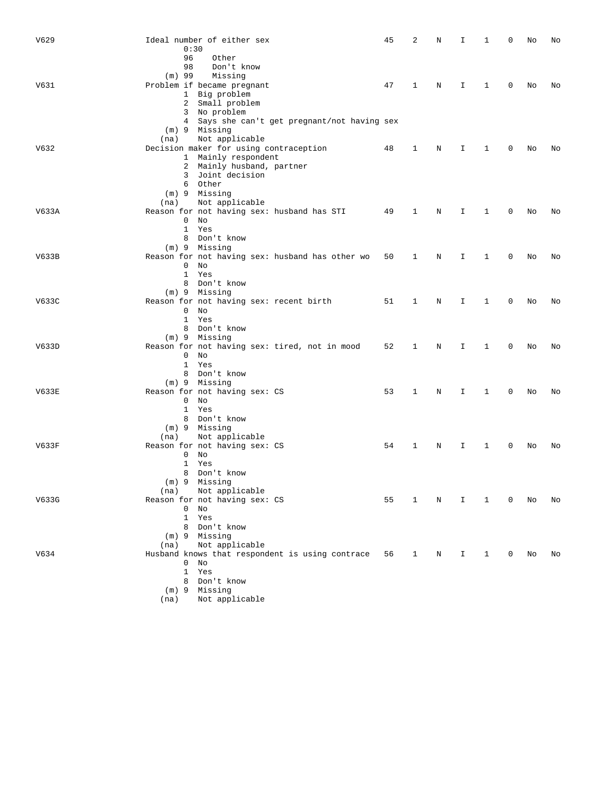| V629  | Ideal number of either sex<br>0:30                                                                                                                                    | 45 | 2                  | Ν | I  | 1 | 0        | No | No |
|-------|-----------------------------------------------------------------------------------------------------------------------------------------------------------------------|----|--------------------|---|----|---|----------|----|----|
|       | 96<br>Other<br>98<br>Don't know<br>$(m)$ 99<br>Missing                                                                                                                |    |                    |   |    |   |          |    |    |
| V631  | Problem if became pregnant<br>1 Big problem<br>2 Small problem<br>3 No problem                                                                                        | 47 | 1                  | Ν | I. | 1 | 0        | No | No |
|       | 4 Says she can't get pregnant/not having sex<br>(m) 9 Missing<br>Not applicable<br>(na)                                                                               |    |                    |   |    |   |          |    |    |
| V632  | Decision maker for using contraception<br>1 Mainly respondent<br>2 Mainly husband, partner<br>3 Joint decision<br>6 Other                                             | 48 | 1                  | N | I  | 1 | 0        | No | No |
|       | (m) 9 Missing<br>Not applicable<br>(na)                                                                                                                               |    |                    |   |    |   |          |    |    |
| V633A | Reason for not having sex: husband has STI<br>$\overline{0}$<br>No<br>1 Yes<br>8 Don't know                                                                           | 49 | 1                  | Ν | I  | 1 | $\Omega$ | No | No |
| V633B | $(m)$ 9 Missing<br>Reason for not having sex: husband has other wo<br>$\overline{0}$<br>No<br>$\mathbf{1}$<br>Yes<br>8 Don't know                                     | 50 | 1                  | N | I  | 1 | 0        | No | No |
| V633C | (m) 9 Missing<br>Reason for not having sex: recent birth<br>$\overline{0}$<br>No<br>1 Yes<br>8 Don't know                                                             |    | 51<br>1            | Ν | I. | 1 | 0        | No | No |
| V633D | (m) 9 Missing<br>Reason for not having sex: tired, not in mood<br>$\overline{0}$<br>No<br>$\mathbf{1}$<br>Yes                                                         | 52 | 1                  | Ν | I. | 1 | 0        | No | No |
| V633E | 8 Don't know<br>(m) 9 Missing<br>Reason for not having sex: CS<br>$0$ No                                                                                              | 53 | 1                  | Ν | I  | 1 | 0        | No | No |
|       | $\mathbf{1}$<br>Yes<br>8 Don't know<br>(m) 9 Missing<br>Not applicable<br>(na)                                                                                        |    |                    |   |    |   |          |    |    |
| V633F | Reason for not having sex: CS<br>$0$ No<br>$\mathbf{1}$<br>Yes<br>8 Don't know<br>(m) 9 Missing                                                                       | 54 | 1                  | N | I  | 1 | 0        | No | No |
| V633G | Not applicable<br>(na)<br>Reason for not having sex: CS<br>$\overline{0}$<br>No<br>$\mathbf{1}$<br>Yes<br>8 Don't know<br>$(m)$ 9 Missing                             | 55 | 1                  | N | I. | 1 | 0        | No | No |
| V634  | Not applicable<br>(na)<br>Husband knows that respondent is using contrace<br>$0$ No<br>$\mathbf{1}$<br>Yes<br>8 Don't know<br>(m) 9 Missing<br>Not applicable<br>(na) |    | 56<br>$\mathbf{1}$ | N | Ι. | 1 | 0        | No | No |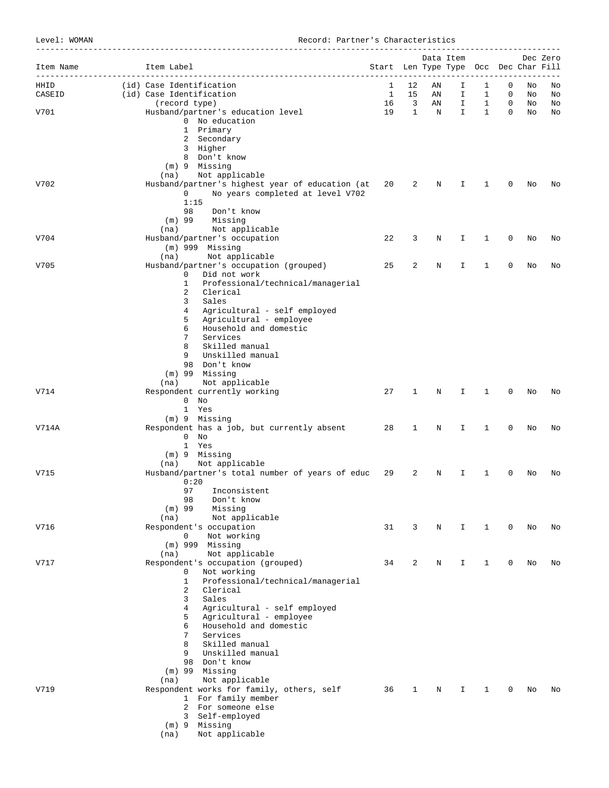Level: WOMAN Record: Partner's Characteristics

| Item Name | Item Label                                                                                                                                                                                                                                                                                                                                                                                                                                                                                                                                                                                                                                                                                                                                                                                                                                                                                                                                                                                                                                                                                                                                                                                                                                                                                                                                                                                                                                                                                                                                                                                                                                                                                                                                                                                                                                                                                                                                                                                                                                                                                                      |    |   |   |    |              |   |    | Dec Zero |
|-----------|-----------------------------------------------------------------------------------------------------------------------------------------------------------------------------------------------------------------------------------------------------------------------------------------------------------------------------------------------------------------------------------------------------------------------------------------------------------------------------------------------------------------------------------------------------------------------------------------------------------------------------------------------------------------------------------------------------------------------------------------------------------------------------------------------------------------------------------------------------------------------------------------------------------------------------------------------------------------------------------------------------------------------------------------------------------------------------------------------------------------------------------------------------------------------------------------------------------------------------------------------------------------------------------------------------------------------------------------------------------------------------------------------------------------------------------------------------------------------------------------------------------------------------------------------------------------------------------------------------------------------------------------------------------------------------------------------------------------------------------------------------------------------------------------------------------------------------------------------------------------------------------------------------------------------------------------------------------------------------------------------------------------------------------------------------------------------------------------------------------------|----|---|---|----|--------------|---|----|----------|
| HHID      |                                                                                                                                                                                                                                                                                                                                                                                                                                                                                                                                                                                                                                                                                                                                                                                                                                                                                                                                                                                                                                                                                                                                                                                                                                                                                                                                                                                                                                                                                                                                                                                                                                                                                                                                                                                                                                                                                                                                                                                                                                                                                                                 | 1  |   |   | Ι. | 1            | 0 | No | No       |
| CASEID    |                                                                                                                                                                                                                                                                                                                                                                                                                                                                                                                                                                                                                                                                                                                                                                                                                                                                                                                                                                                                                                                                                                                                                                                                                                                                                                                                                                                                                                                                                                                                                                                                                                                                                                                                                                                                                                                                                                                                                                                                                                                                                                                 | 1  |   |   | I. | $\mathbf{1}$ | 0 | No | No       |
| V701      |                                                                                                                                                                                                                                                                                                                                                                                                                                                                                                                                                                                                                                                                                                                                                                                                                                                                                                                                                                                                                                                                                                                                                                                                                                                                                                                                                                                                                                                                                                                                                                                                                                                                                                                                                                                                                                                                                                                                                                                                                                                                                                                 |    |   |   |    |              |   | No | No<br>No |
|           |                                                                                                                                                                                                                                                                                                                                                                                                                                                                                                                                                                                                                                                                                                                                                                                                                                                                                                                                                                                                                                                                                                                                                                                                                                                                                                                                                                                                                                                                                                                                                                                                                                                                                                                                                                                                                                                                                                                                                                                                                                                                                                                 |    |   |   |    |              |   |    |          |
|           | 1 Primary                                                                                                                                                                                                                                                                                                                                                                                                                                                                                                                                                                                                                                                                                                                                                                                                                                                                                                                                                                                                                                                                                                                                                                                                                                                                                                                                                                                                                                                                                                                                                                                                                                                                                                                                                                                                                                                                                                                                                                                                                                                                                                       |    |   |   |    |              |   |    |          |
|           | Data Item<br>Start Len Type Type Occ Dec Char Fill<br>----------------------------------<br>(id) Case Identification<br>12<br>ΑN<br>(id) Case Identification<br>15<br>AN<br>16<br>$\overline{\mathbf{3}}$<br>I.<br>$\mathbf{1}$<br>0<br>(record type)<br>AN<br>19<br>$\mathbf 0$<br>Husband/partner's education level<br>$\mathbf{1}$<br>N<br>$\mathbf{I}$<br>$\mathbf{1}$<br>No<br>0 No education<br>2 Secondary<br>3 Higher<br>8 Don't know<br>$(m)$ 9 Missing<br>Not applicable<br>(na)<br>Husband/partner's highest year of education (at<br>20<br>2<br>0<br>Ν<br>I.<br>1<br>No years completed at level V702<br>0<br>1:15<br>98<br>Don't know<br>Missing<br>$(m)$ 99<br>Not applicable<br>(na)<br>Husband/partner's occupation<br>22<br>3<br>Ν<br>I<br>1<br>0<br>$(m)$ 999 Missing<br>Not applicable<br>(na)<br>Husband/partner's occupation (grouped)<br>25<br>2<br>N<br>I.<br>1<br>0<br>Did not work<br>0<br>$\mathbf{1}$<br>Professional/technical/managerial<br>2<br>Clerical<br>3<br>Sales<br>Agricultural - self employed<br>4<br>5<br>Agricultural - employee<br>Household and domestic<br>6<br>7<br>Services<br>8<br>Skilled manual<br>9<br>Unskilled manual<br>98 Don't know<br>$(m)$ 99 Missing<br>Not applicable<br>(na)<br>27<br>Respondent currently working<br>1<br>I<br>1<br>0<br>N<br>$0$ No<br>1 Yes<br>(m) 9 Missing<br>Respondent has a job, but currently absent<br>28<br>1<br>I<br>1<br>0<br>N<br>$0$ No<br>1 Yes<br>$(m)$ 9 Missing<br>Not applicable<br>(na)<br>Husband/partner's total number of years of educ<br>29<br>2<br>0<br>Ν<br>I<br>1<br>0:20<br>97<br>Inconsistent<br>98<br>Don't know<br>$(m)$ 99<br>Missing<br>Not applicable<br>(na)<br>Respondent's occupation<br>31<br>3<br>0<br>N<br>I<br>1<br>$\mathbf 0$<br>Not working<br>$(m)$ 999 Missing<br>Not applicable<br>(na)<br>Respondent's occupation (grouped)<br>34<br>2<br>I<br>$\mathbf{1}$<br>0<br>Ν<br>Not working<br>0<br>$\mathbf{1}$<br>Professional/technical/managerial<br>Clerical<br>2<br>Sales<br>3<br>Agricultural - self employed<br>4<br>Agricultural - employee<br>5<br>Household and domestic<br>6 |    |   |   |    |              |   |    |          |
|           |                                                                                                                                                                                                                                                                                                                                                                                                                                                                                                                                                                                                                                                                                                                                                                                                                                                                                                                                                                                                                                                                                                                                                                                                                                                                                                                                                                                                                                                                                                                                                                                                                                                                                                                                                                                                                                                                                                                                                                                                                                                                                                                 |    |   |   |    |              |   |    |          |
|           |                                                                                                                                                                                                                                                                                                                                                                                                                                                                                                                                                                                                                                                                                                                                                                                                                                                                                                                                                                                                                                                                                                                                                                                                                                                                                                                                                                                                                                                                                                                                                                                                                                                                                                                                                                                                                                                                                                                                                                                                                                                                                                                 |    |   |   |    |              |   |    |          |
|           |                                                                                                                                                                                                                                                                                                                                                                                                                                                                                                                                                                                                                                                                                                                                                                                                                                                                                                                                                                                                                                                                                                                                                                                                                                                                                                                                                                                                                                                                                                                                                                                                                                                                                                                                                                                                                                                                                                                                                                                                                                                                                                                 |    |   |   |    |              |   |    |          |
| V702      |                                                                                                                                                                                                                                                                                                                                                                                                                                                                                                                                                                                                                                                                                                                                                                                                                                                                                                                                                                                                                                                                                                                                                                                                                                                                                                                                                                                                                                                                                                                                                                                                                                                                                                                                                                                                                                                                                                                                                                                                                                                                                                                 |    |   |   |    |              |   | No | No       |
|           |                                                                                                                                                                                                                                                                                                                                                                                                                                                                                                                                                                                                                                                                                                                                                                                                                                                                                                                                                                                                                                                                                                                                                                                                                                                                                                                                                                                                                                                                                                                                                                                                                                                                                                                                                                                                                                                                                                                                                                                                                                                                                                                 |    |   |   |    |              |   |    |          |
|           |                                                                                                                                                                                                                                                                                                                                                                                                                                                                                                                                                                                                                                                                                                                                                                                                                                                                                                                                                                                                                                                                                                                                                                                                                                                                                                                                                                                                                                                                                                                                                                                                                                                                                                                                                                                                                                                                                                                                                                                                                                                                                                                 |    |   |   |    |              |   |    |          |
|           |                                                                                                                                                                                                                                                                                                                                                                                                                                                                                                                                                                                                                                                                                                                                                                                                                                                                                                                                                                                                                                                                                                                                                                                                                                                                                                                                                                                                                                                                                                                                                                                                                                                                                                                                                                                                                                                                                                                                                                                                                                                                                                                 |    |   |   |    |              |   |    |          |
|           |                                                                                                                                                                                                                                                                                                                                                                                                                                                                                                                                                                                                                                                                                                                                                                                                                                                                                                                                                                                                                                                                                                                                                                                                                                                                                                                                                                                                                                                                                                                                                                                                                                                                                                                                                                                                                                                                                                                                                                                                                                                                                                                 |    |   |   |    |              |   |    |          |
| V704      |                                                                                                                                                                                                                                                                                                                                                                                                                                                                                                                                                                                                                                                                                                                                                                                                                                                                                                                                                                                                                                                                                                                                                                                                                                                                                                                                                                                                                                                                                                                                                                                                                                                                                                                                                                                                                                                                                                                                                                                                                                                                                                                 |    |   |   |    |              |   | No | No       |
|           |                                                                                                                                                                                                                                                                                                                                                                                                                                                                                                                                                                                                                                                                                                                                                                                                                                                                                                                                                                                                                                                                                                                                                                                                                                                                                                                                                                                                                                                                                                                                                                                                                                                                                                                                                                                                                                                                                                                                                                                                                                                                                                                 |    |   |   |    |              |   |    |          |
| V705      |                                                                                                                                                                                                                                                                                                                                                                                                                                                                                                                                                                                                                                                                                                                                                                                                                                                                                                                                                                                                                                                                                                                                                                                                                                                                                                                                                                                                                                                                                                                                                                                                                                                                                                                                                                                                                                                                                                                                                                                                                                                                                                                 |    |   |   |    |              |   | No | No       |
|           |                                                                                                                                                                                                                                                                                                                                                                                                                                                                                                                                                                                                                                                                                                                                                                                                                                                                                                                                                                                                                                                                                                                                                                                                                                                                                                                                                                                                                                                                                                                                                                                                                                                                                                                                                                                                                                                                                                                                                                                                                                                                                                                 |    |   |   |    |              |   |    |          |
|           |                                                                                                                                                                                                                                                                                                                                                                                                                                                                                                                                                                                                                                                                                                                                                                                                                                                                                                                                                                                                                                                                                                                                                                                                                                                                                                                                                                                                                                                                                                                                                                                                                                                                                                                                                                                                                                                                                                                                                                                                                                                                                                                 |    |   |   |    |              |   |    |          |
|           |                                                                                                                                                                                                                                                                                                                                                                                                                                                                                                                                                                                                                                                                                                                                                                                                                                                                                                                                                                                                                                                                                                                                                                                                                                                                                                                                                                                                                                                                                                                                                                                                                                                                                                                                                                                                                                                                                                                                                                                                                                                                                                                 |    |   |   |    |              |   |    |          |
|           |                                                                                                                                                                                                                                                                                                                                                                                                                                                                                                                                                                                                                                                                                                                                                                                                                                                                                                                                                                                                                                                                                                                                                                                                                                                                                                                                                                                                                                                                                                                                                                                                                                                                                                                                                                                                                                                                                                                                                                                                                                                                                                                 |    |   |   |    |              |   |    |          |
|           |                                                                                                                                                                                                                                                                                                                                                                                                                                                                                                                                                                                                                                                                                                                                                                                                                                                                                                                                                                                                                                                                                                                                                                                                                                                                                                                                                                                                                                                                                                                                                                                                                                                                                                                                                                                                                                                                                                                                                                                                                                                                                                                 |    |   |   |    |              |   |    |          |
|           |                                                                                                                                                                                                                                                                                                                                                                                                                                                                                                                                                                                                                                                                                                                                                                                                                                                                                                                                                                                                                                                                                                                                                                                                                                                                                                                                                                                                                                                                                                                                                                                                                                                                                                                                                                                                                                                                                                                                                                                                                                                                                                                 |    |   |   |    |              |   |    |          |
|           |                                                                                                                                                                                                                                                                                                                                                                                                                                                                                                                                                                                                                                                                                                                                                                                                                                                                                                                                                                                                                                                                                                                                                                                                                                                                                                                                                                                                                                                                                                                                                                                                                                                                                                                                                                                                                                                                                                                                                                                                                                                                                                                 |    |   |   |    |              |   |    |          |
|           |                                                                                                                                                                                                                                                                                                                                                                                                                                                                                                                                                                                                                                                                                                                                                                                                                                                                                                                                                                                                                                                                                                                                                                                                                                                                                                                                                                                                                                                                                                                                                                                                                                                                                                                                                                                                                                                                                                                                                                                                                                                                                                                 |    |   |   |    |              |   |    |          |
|           |                                                                                                                                                                                                                                                                                                                                                                                                                                                                                                                                                                                                                                                                                                                                                                                                                                                                                                                                                                                                                                                                                                                                                                                                                                                                                                                                                                                                                                                                                                                                                                                                                                                                                                                                                                                                                                                                                                                                                                                                                                                                                                                 |    |   |   |    |              |   |    |          |
|           |                                                                                                                                                                                                                                                                                                                                                                                                                                                                                                                                                                                                                                                                                                                                                                                                                                                                                                                                                                                                                                                                                                                                                                                                                                                                                                                                                                                                                                                                                                                                                                                                                                                                                                                                                                                                                                                                                                                                                                                                                                                                                                                 |    |   |   |    |              |   |    |          |
|           |                                                                                                                                                                                                                                                                                                                                                                                                                                                                                                                                                                                                                                                                                                                                                                                                                                                                                                                                                                                                                                                                                                                                                                                                                                                                                                                                                                                                                                                                                                                                                                                                                                                                                                                                                                                                                                                                                                                                                                                                                                                                                                                 |    |   |   |    |              |   |    |          |
| V714      |                                                                                                                                                                                                                                                                                                                                                                                                                                                                                                                                                                                                                                                                                                                                                                                                                                                                                                                                                                                                                                                                                                                                                                                                                                                                                                                                                                                                                                                                                                                                                                                                                                                                                                                                                                                                                                                                                                                                                                                                                                                                                                                 |    |   |   |    |              |   | No | No       |
|           |                                                                                                                                                                                                                                                                                                                                                                                                                                                                                                                                                                                                                                                                                                                                                                                                                                                                                                                                                                                                                                                                                                                                                                                                                                                                                                                                                                                                                                                                                                                                                                                                                                                                                                                                                                                                                                                                                                                                                                                                                                                                                                                 |    |   |   |    |              |   |    |          |
|           |                                                                                                                                                                                                                                                                                                                                                                                                                                                                                                                                                                                                                                                                                                                                                                                                                                                                                                                                                                                                                                                                                                                                                                                                                                                                                                                                                                                                                                                                                                                                                                                                                                                                                                                                                                                                                                                                                                                                                                                                                                                                                                                 |    |   |   |    |              |   |    |          |
| V714A     |                                                                                                                                                                                                                                                                                                                                                                                                                                                                                                                                                                                                                                                                                                                                                                                                                                                                                                                                                                                                                                                                                                                                                                                                                                                                                                                                                                                                                                                                                                                                                                                                                                                                                                                                                                                                                                                                                                                                                                                                                                                                                                                 |    |   |   |    |              |   | No | No       |
|           |                                                                                                                                                                                                                                                                                                                                                                                                                                                                                                                                                                                                                                                                                                                                                                                                                                                                                                                                                                                                                                                                                                                                                                                                                                                                                                                                                                                                                                                                                                                                                                                                                                                                                                                                                                                                                                                                                                                                                                                                                                                                                                                 |    |   |   |    |              |   |    |          |
|           |                                                                                                                                                                                                                                                                                                                                                                                                                                                                                                                                                                                                                                                                                                                                                                                                                                                                                                                                                                                                                                                                                                                                                                                                                                                                                                                                                                                                                                                                                                                                                                                                                                                                                                                                                                                                                                                                                                                                                                                                                                                                                                                 |    |   |   |    |              |   |    |          |
|           |                                                                                                                                                                                                                                                                                                                                                                                                                                                                                                                                                                                                                                                                                                                                                                                                                                                                                                                                                                                                                                                                                                                                                                                                                                                                                                                                                                                                                                                                                                                                                                                                                                                                                                                                                                                                                                                                                                                                                                                                                                                                                                                 |    |   |   |    |              |   |    |          |
| V715      |                                                                                                                                                                                                                                                                                                                                                                                                                                                                                                                                                                                                                                                                                                                                                                                                                                                                                                                                                                                                                                                                                                                                                                                                                                                                                                                                                                                                                                                                                                                                                                                                                                                                                                                                                                                                                                                                                                                                                                                                                                                                                                                 |    |   |   |    |              |   | No | No       |
|           |                                                                                                                                                                                                                                                                                                                                                                                                                                                                                                                                                                                                                                                                                                                                                                                                                                                                                                                                                                                                                                                                                                                                                                                                                                                                                                                                                                                                                                                                                                                                                                                                                                                                                                                                                                                                                                                                                                                                                                                                                                                                                                                 |    |   |   |    |              |   |    |          |
|           |                                                                                                                                                                                                                                                                                                                                                                                                                                                                                                                                                                                                                                                                                                                                                                                                                                                                                                                                                                                                                                                                                                                                                                                                                                                                                                                                                                                                                                                                                                                                                                                                                                                                                                                                                                                                                                                                                                                                                                                                                                                                                                                 |    |   |   |    |              |   |    |          |
|           |                                                                                                                                                                                                                                                                                                                                                                                                                                                                                                                                                                                                                                                                                                                                                                                                                                                                                                                                                                                                                                                                                                                                                                                                                                                                                                                                                                                                                                                                                                                                                                                                                                                                                                                                                                                                                                                                                                                                                                                                                                                                                                                 |    |   |   |    |              |   |    |          |
|           |                                                                                                                                                                                                                                                                                                                                                                                                                                                                                                                                                                                                                                                                                                                                                                                                                                                                                                                                                                                                                                                                                                                                                                                                                                                                                                                                                                                                                                                                                                                                                                                                                                                                                                                                                                                                                                                                                                                                                                                                                                                                                                                 |    |   |   |    |              |   |    |          |
| V716      |                                                                                                                                                                                                                                                                                                                                                                                                                                                                                                                                                                                                                                                                                                                                                                                                                                                                                                                                                                                                                                                                                                                                                                                                                                                                                                                                                                                                                                                                                                                                                                                                                                                                                                                                                                                                                                                                                                                                                                                                                                                                                                                 |    |   |   |    |              |   | No | No       |
|           |                                                                                                                                                                                                                                                                                                                                                                                                                                                                                                                                                                                                                                                                                                                                                                                                                                                                                                                                                                                                                                                                                                                                                                                                                                                                                                                                                                                                                                                                                                                                                                                                                                                                                                                                                                                                                                                                                                                                                                                                                                                                                                                 |    |   |   |    |              |   |    |          |
|           |                                                                                                                                                                                                                                                                                                                                                                                                                                                                                                                                                                                                                                                                                                                                                                                                                                                                                                                                                                                                                                                                                                                                                                                                                                                                                                                                                                                                                                                                                                                                                                                                                                                                                                                                                                                                                                                                                                                                                                                                                                                                                                                 |    |   |   |    |              |   |    |          |
| V717      |                                                                                                                                                                                                                                                                                                                                                                                                                                                                                                                                                                                                                                                                                                                                                                                                                                                                                                                                                                                                                                                                                                                                                                                                                                                                                                                                                                                                                                                                                                                                                                                                                                                                                                                                                                                                                                                                                                                                                                                                                                                                                                                 |    |   |   |    |              |   | No | No       |
|           |                                                                                                                                                                                                                                                                                                                                                                                                                                                                                                                                                                                                                                                                                                                                                                                                                                                                                                                                                                                                                                                                                                                                                                                                                                                                                                                                                                                                                                                                                                                                                                                                                                                                                                                                                                                                                                                                                                                                                                                                                                                                                                                 |    |   |   |    |              |   |    |          |
|           |                                                                                                                                                                                                                                                                                                                                                                                                                                                                                                                                                                                                                                                                                                                                                                                                                                                                                                                                                                                                                                                                                                                                                                                                                                                                                                                                                                                                                                                                                                                                                                                                                                                                                                                                                                                                                                                                                                                                                                                                                                                                                                                 |    |   |   |    |              |   |    |          |
|           |                                                                                                                                                                                                                                                                                                                                                                                                                                                                                                                                                                                                                                                                                                                                                                                                                                                                                                                                                                                                                                                                                                                                                                                                                                                                                                                                                                                                                                                                                                                                                                                                                                                                                                                                                                                                                                                                                                                                                                                                                                                                                                                 |    |   |   |    |              |   |    |          |
|           |                                                                                                                                                                                                                                                                                                                                                                                                                                                                                                                                                                                                                                                                                                                                                                                                                                                                                                                                                                                                                                                                                                                                                                                                                                                                                                                                                                                                                                                                                                                                                                                                                                                                                                                                                                                                                                                                                                                                                                                                                                                                                                                 |    |   |   |    |              |   |    |          |
|           |                                                                                                                                                                                                                                                                                                                                                                                                                                                                                                                                                                                                                                                                                                                                                                                                                                                                                                                                                                                                                                                                                                                                                                                                                                                                                                                                                                                                                                                                                                                                                                                                                                                                                                                                                                                                                                                                                                                                                                                                                                                                                                                 |    |   |   |    |              |   |    |          |
|           | $7\overline{ }$<br>Services                                                                                                                                                                                                                                                                                                                                                                                                                                                                                                                                                                                                                                                                                                                                                                                                                                                                                                                                                                                                                                                                                                                                                                                                                                                                                                                                                                                                                                                                                                                                                                                                                                                                                                                                                                                                                                                                                                                                                                                                                                                                                     |    |   |   |    |              |   |    |          |
|           | 8<br>Skilled manual                                                                                                                                                                                                                                                                                                                                                                                                                                                                                                                                                                                                                                                                                                                                                                                                                                                                                                                                                                                                                                                                                                                                                                                                                                                                                                                                                                                                                                                                                                                                                                                                                                                                                                                                                                                                                                                                                                                                                                                                                                                                                             |    |   |   |    |              |   |    |          |
|           | 9<br>Unskilled manual                                                                                                                                                                                                                                                                                                                                                                                                                                                                                                                                                                                                                                                                                                                                                                                                                                                                                                                                                                                                                                                                                                                                                                                                                                                                                                                                                                                                                                                                                                                                                                                                                                                                                                                                                                                                                                                                                                                                                                                                                                                                                           |    |   |   |    |              |   |    |          |
|           | 98 Don't know                                                                                                                                                                                                                                                                                                                                                                                                                                                                                                                                                                                                                                                                                                                                                                                                                                                                                                                                                                                                                                                                                                                                                                                                                                                                                                                                                                                                                                                                                                                                                                                                                                                                                                                                                                                                                                                                                                                                                                                                                                                                                                   |    |   |   |    |              |   |    |          |
|           | $(m)$ 99 Missing<br>Not applicable<br>(na)                                                                                                                                                                                                                                                                                                                                                                                                                                                                                                                                                                                                                                                                                                                                                                                                                                                                                                                                                                                                                                                                                                                                                                                                                                                                                                                                                                                                                                                                                                                                                                                                                                                                                                                                                                                                                                                                                                                                                                                                                                                                      |    |   |   |    |              |   |    |          |
| V719      | Respondent works for family, others, self                                                                                                                                                                                                                                                                                                                                                                                                                                                                                                                                                                                                                                                                                                                                                                                                                                                                                                                                                                                                                                                                                                                                                                                                                                                                                                                                                                                                                                                                                                                                                                                                                                                                                                                                                                                                                                                                                                                                                                                                                                                                       | 36 | 1 | N | Ι. | 1            | 0 | No | No       |
|           | 1 For family member                                                                                                                                                                                                                                                                                                                                                                                                                                                                                                                                                                                                                                                                                                                                                                                                                                                                                                                                                                                                                                                                                                                                                                                                                                                                                                                                                                                                                                                                                                                                                                                                                                                                                                                                                                                                                                                                                                                                                                                                                                                                                             |    |   |   |    |              |   |    |          |
|           | 2 For someone else                                                                                                                                                                                                                                                                                                                                                                                                                                                                                                                                                                                                                                                                                                                                                                                                                                                                                                                                                                                                                                                                                                                                                                                                                                                                                                                                                                                                                                                                                                                                                                                                                                                                                                                                                                                                                                                                                                                                                                                                                                                                                              |    |   |   |    |              |   |    |          |
|           | 3 Self-employed<br>$(m)$ 9 Missing                                                                                                                                                                                                                                                                                                                                                                                                                                                                                                                                                                                                                                                                                                                                                                                                                                                                                                                                                                                                                                                                                                                                                                                                                                                                                                                                                                                                                                                                                                                                                                                                                                                                                                                                                                                                                                                                                                                                                                                                                                                                              |    |   |   |    |              |   |    |          |
|           | Not applicable<br>(na)                                                                                                                                                                                                                                                                                                                                                                                                                                                                                                                                                                                                                                                                                                                                                                                                                                                                                                                                                                                                                                                                                                                                                                                                                                                                                                                                                                                                                                                                                                                                                                                                                                                                                                                                                                                                                                                                                                                                                                                                                                                                                          |    |   |   |    |              |   |    |          |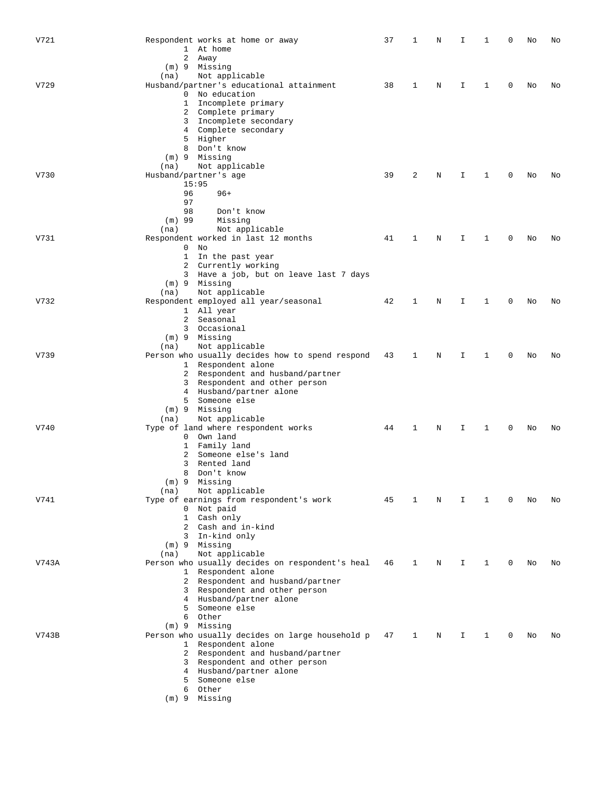| V721  | Respondent works at home or away                                          | 37 | 1 | N | I | 1 | 0 | No | No |
|-------|---------------------------------------------------------------------------|----|---|---|---|---|---|----|----|
|       | 1 At home<br>2<br>Away                                                    |    |   |   |   |   |   |    |    |
|       | (m) 9 Missing                                                             |    |   |   |   |   |   |    |    |
|       | Not applicable<br>(na)                                                    | 38 |   |   |   |   | 0 |    |    |
| V729  | Husband/partner's educational attainment<br>0 No education                |    | 1 | Ν | I | 1 |   | No | No |
|       | 1 Incomplete primary                                                      |    |   |   |   |   |   |    |    |
|       | 2 Complete primary                                                        |    |   |   |   |   |   |    |    |
|       | 3 Incomplete secondary<br>4 Complete secondary                            |    |   |   |   |   |   |    |    |
|       | 5 Higher                                                                  |    |   |   |   |   |   |    |    |
|       | 8 Don't know                                                              |    |   |   |   |   |   |    |    |
|       | (m) 9 Missing                                                             |    |   |   |   |   |   |    |    |
| V730  | Not applicable<br>(na)<br>Husband/partner's age                           | 39 | 2 | Ν | I | 1 | 0 | No | No |
|       | 15:95                                                                     |    |   |   |   |   |   |    |    |
|       | 96<br>$96+$                                                               |    |   |   |   |   |   |    |    |
|       | 97                                                                        |    |   |   |   |   |   |    |    |
|       | 98<br>Don't know<br>$(m)$ 99<br>Missing                                   |    |   |   |   |   |   |    |    |
|       | Not applicable<br>(na)                                                    |    |   |   |   |   |   |    |    |
| V731  | Respondent worked in last 12 months                                       | 41 | 1 | N | I | 1 | 0 | No | No |
|       | $0$ No                                                                    |    |   |   |   |   |   |    |    |
|       | 1 In the past year<br>2 Currently working                                 |    |   |   |   |   |   |    |    |
|       | 3 Have a job, but on leave last 7 days                                    |    |   |   |   |   |   |    |    |
|       | (m) 9 Missing                                                             |    |   |   |   |   |   |    |    |
|       | Not applicable<br>(na)                                                    |    |   |   |   |   |   |    |    |
| V732  | Respondent employed all year/seasonal<br>1 All year                       | 42 | 1 | Ν | I | 1 | 0 | No | No |
|       | 2 Seasonal                                                                |    |   |   |   |   |   |    |    |
|       | 3 Occasional                                                              |    |   |   |   |   |   |    |    |
|       | $(m)$ 9 Missing<br>Not applicable<br>(na)                                 |    |   |   |   |   |   |    |    |
| V739  | Person who usually decides how to spend respond                           | 43 | 1 | N | I | 1 | 0 | No | No |
|       | 1 Respondent alone                                                        |    |   |   |   |   |   |    |    |
|       | 2 Respondent and husband/partner                                          |    |   |   |   |   |   |    |    |
|       | 3 Respondent and other person<br>4 Husband/partner alone                  |    |   |   |   |   |   |    |    |
|       | 5 Someone else                                                            |    |   |   |   |   |   |    |    |
|       | (m) 9 Missing                                                             |    |   |   |   |   |   |    |    |
|       | Not applicable<br>(na)                                                    |    |   |   |   |   |   |    |    |
| V740  | Type of land where respondent works<br>0 Own land                         | 44 | 1 | N | I | 1 | 0 | No | No |
|       | 1 Family land                                                             |    |   |   |   |   |   |    |    |
|       | Someone else's land<br>2                                                  |    |   |   |   |   |   |    |    |
|       | Rented land<br>3                                                          |    |   |   |   |   |   |    |    |
|       | 8<br>Don't know<br>$(m)$ 9 Missing                                        |    |   |   |   |   |   |    |    |
|       | Not applicable<br>(na)                                                    |    |   |   |   |   |   |    |    |
| V741  | Type of earnings from respondent's work                                   | 45 | 1 | N | I | 1 | 0 | No | No |
|       | 0 Not paid                                                                |    |   |   |   |   |   |    |    |
|       | 1 Cash only<br>2 Cash and in-kind                                         |    |   |   |   |   |   |    |    |
|       | 3 In-kind only                                                            |    |   |   |   |   |   |    |    |
|       | (m) 9 Missing                                                             |    |   |   |   |   |   |    |    |
| V743A | Not applicable<br>(na)<br>Person who usually decides on respondent's heal | 46 | 1 | N | I | 1 | 0 | No | No |
|       | 1 Respondent alone                                                        |    |   |   |   |   |   |    |    |
|       | 2 Respondent and husband/partner                                          |    |   |   |   |   |   |    |    |
|       | 3 Respondent and other person                                             |    |   |   |   |   |   |    |    |
|       | 4 Husband/partner alone<br>5 Someone else                                 |    |   |   |   |   |   |    |    |
|       | 6 Other                                                                   |    |   |   |   |   |   |    |    |
|       | $(m)$ 9 Missing                                                           |    |   |   |   |   |   |    |    |
| V743B | Person who usually decides on large household p                           | 47 | 1 | N | I | 1 | 0 | No | No |
|       | 1 Respondent alone<br>2 Respondent and husband/partner                    |    |   |   |   |   |   |    |    |
|       | 3 Respondent and other person                                             |    |   |   |   |   |   |    |    |
|       | 4 Husband/partner alone                                                   |    |   |   |   |   |   |    |    |
|       | 5 Someone else<br>6 Other                                                 |    |   |   |   |   |   |    |    |
|       | (m) 9 Missing                                                             |    |   |   |   |   |   |    |    |
|       |                                                                           |    |   |   |   |   |   |    |    |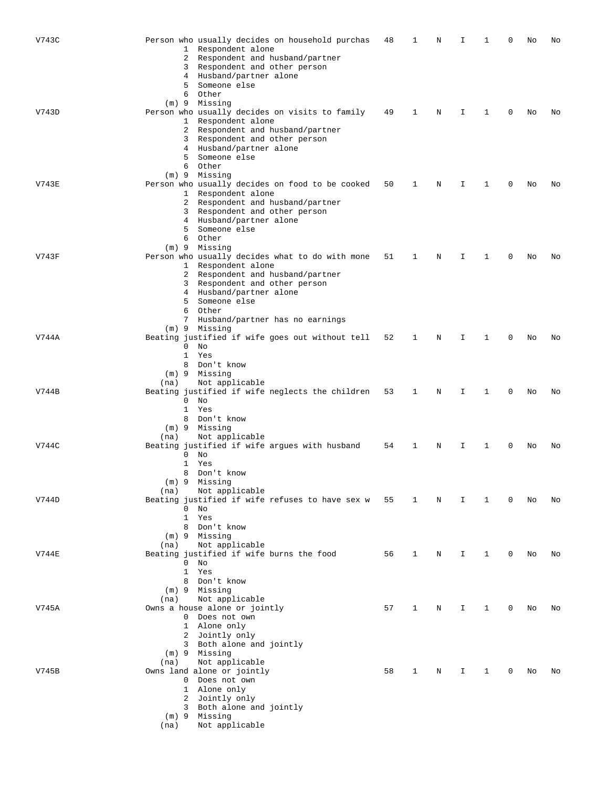| V743C | Person who usually decides on household purchas<br>1 Respondent alone<br>2 Respondent and husband/partner<br>3 Respondent and other person<br>4 Husband/partner alone<br>5 Someone else<br>6 Other                                      | 48 | 1           | N | I  | 1            | 0 | No | No |
|-------|-----------------------------------------------------------------------------------------------------------------------------------------------------------------------------------------------------------------------------------------|----|-------------|---|----|--------------|---|----|----|
| V743D | $(m)$ 9 Missing<br>Person who usually decides on visits to family<br>1 Respondent alone<br>2 Respondent and husband/partner<br>3 Respondent and other person<br>4 Husband/partner alone<br>5 Someone else<br>6 Other                    | 49 | 1           | N | I  | 1            | 0 | No | No |
| V743E | $(m)$ 9 Missing<br>Person who usually decides on food to be cooked<br>1 Respondent alone<br>2 Respondent and husband/partner<br>3 Respondent and other person<br>4 Husband/partner alone<br>5 Someone else<br>6 Other<br>(m) 9 Missing  | 50 | 1           | Ν | I  | 1            | 0 | No | No |
| V743F | Person who usually decides what to do with mone<br>1 Respondent alone<br>2 Respondent and husband/partner<br>3 Respondent and other person<br>4 Husband/partner alone<br>5 Someone else<br>6 Other<br>7 Husband/partner has no earnings | 51 | 1           | N | I  | 1            | 0 | No | No |
| V744A | (m) 9 Missing<br>Beating justified if wife goes out without tell<br>$\mathbf{0}$<br>No<br>1 Yes<br>8 Don't know<br>(m) 9 Missing                                                                                                        | 52 | 1           | N | I. | 1            | 0 | No | No |
| V744B | Not applicable<br>(na)<br>Beating justified if wife neglects the children<br>$0$ No<br>1 Yes<br>8 Don't know<br>(m) 9 Missing                                                                                                           | 53 | 1           | N | I  | 1            | 0 | No | No |
| V744C | Not applicable<br>(na)<br>Beating justified if wife argues with husband<br>$0$ No<br>1 Yes<br>8 Don't know<br>(m) 9 Missing                                                                                                             | 54 | 1           | Ν | I  | 1            | 0 | No | No |
| V744D | Not applicable<br>(na)<br>Beating justified if wife refuses to have sex w<br>$0$ No<br>1 Yes<br>8 Don't know<br>$(m)$ 9 Missing<br>Not applicable<br>(na)                                                                               | 55 | 1           | N | I. | 1            | 0 | No | No |
| V744E | Beating justified if wife burns the food<br>$0$ No<br>1 Yes<br>8 Don't know<br>$(m)$ 9 Missing<br>Not applicable<br>(na)                                                                                                                | 56 | $\mathbf 1$ | N | I  | 1            | 0 | No | No |
| V745A | Owns a house alone or jointly<br>0 Does not own<br>1 Alone only<br>2 Jointly only<br>3 Both alone and jointly<br>(m) 9 Missing                                                                                                          | 57 | 1           | N | Ι. | $\mathbf{1}$ | 0 | No | No |
| V745B | Not applicable<br>(na)<br>Owns land alone or jointly<br>0 Does not own<br>1 Alone only<br>2 Jointly only<br>3 Both alone and jointly<br>(m) 9 Missing<br>Not applicable<br>(na)                                                         | 58 | 1           | N | I  | 1            | 0 | No | No |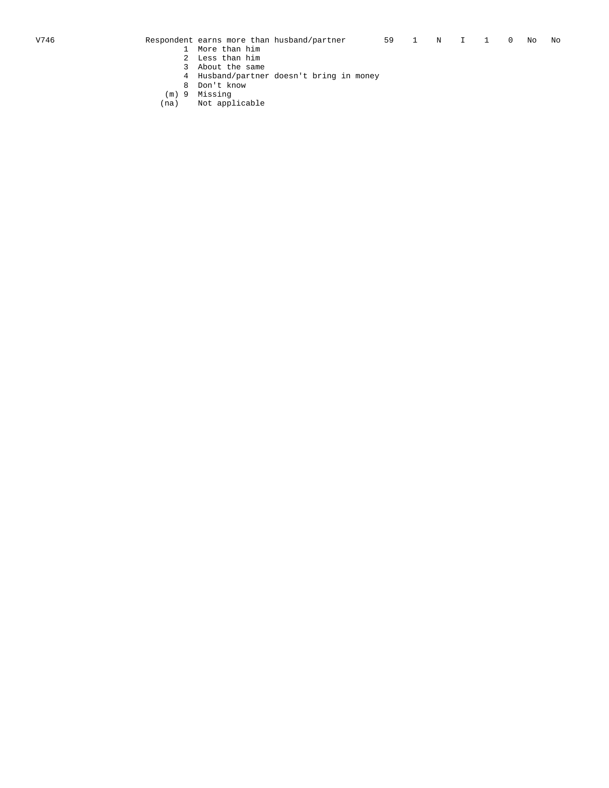- 1 More than him
- 2 Less than him
- 3 About the same
- 4 Husband/partner doesn't bring in money
- 8 Don't know
- (m) 9 Missing
- (na) Not applicable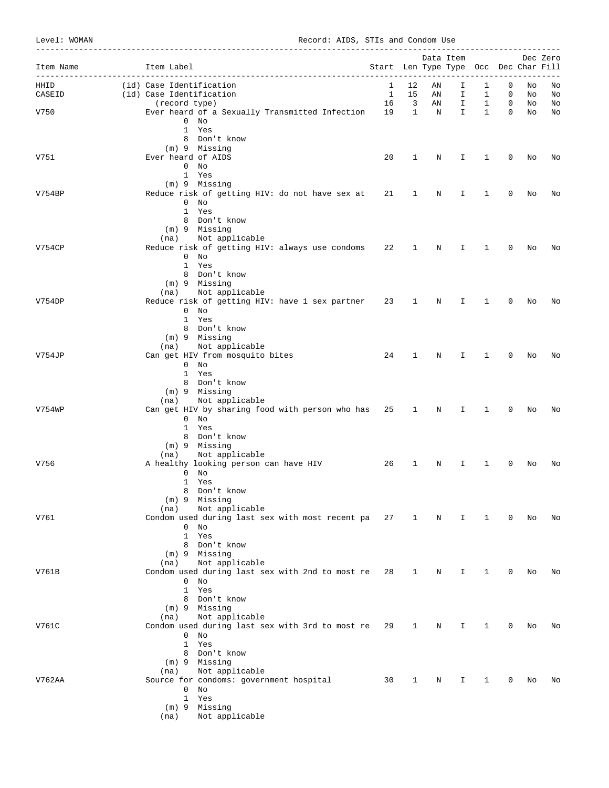| Level: WOMAN                 |              | Record: AIDS, STIs and Condom Use                        |                                       |                         |           |                     |              |             |    |          |  |
|------------------------------|--------------|----------------------------------------------------------|---------------------------------------|-------------------------|-----------|---------------------|--------------|-------------|----|----------|--|
| Item Name<br>_______________ |              | Item Label                                               | Start Len Type Type Occ Dec Char Fill |                         | Data Item |                     |              |             |    | Dec Zero |  |
| HHID                         |              | (id) Case Identification                                 | 1                                     | 12                      | ΑN        | --------------<br>I | 1            | 0           | No | No       |  |
| CASEID                       |              | (id) Case Identification                                 | 1                                     | 15                      | ΑN        | I                   | 1            | 0           | No | No       |  |
|                              |              | (record type)                                            | 16                                    | $\overline{\mathbf{3}}$ | AN        | I.                  | 1            | $\mathbf 0$ | No | No       |  |
| V750                         |              | Ever heard of a Sexually Transmitted Infection           | 19                                    | $\mathbf{1}$            | N         | I.                  | 1            | $\mathbf 0$ | No | No       |  |
|                              |              | $\mathbf{0}$<br>No                                       |                                       |                         |           |                     |              |             |    |          |  |
|                              |              | 1 Yes                                                    |                                       |                         |           |                     |              |             |    |          |  |
|                              |              | 8 Don't know                                             |                                       |                         |           |                     |              |             |    |          |  |
|                              |              | (m) 9 Missing                                            |                                       |                         |           |                     |              |             |    |          |  |
| V751                         |              | Ever heard of AIDS                                       | 20                                    | 1                       | N         | I                   | 1            | 0           | No | No       |  |
|                              |              | $0$ No                                                   |                                       |                         |           |                     |              |             |    |          |  |
|                              |              | 1 Yes                                                    |                                       |                         |           |                     |              |             |    |          |  |
|                              |              | $(m)$ 9 Missing                                          |                                       |                         |           |                     |              |             |    |          |  |
| V754BP                       |              | Reduce risk of getting HIV: do not have sex at           | 21                                    | 1                       | N         | I.                  | 1            | 0           | No | No       |  |
|                              |              | $0$ No                                                   |                                       |                         |           |                     |              |             |    |          |  |
|                              |              | 1 Yes                                                    |                                       |                         |           |                     |              |             |    |          |  |
|                              |              | 8 Don't know                                             |                                       |                         |           |                     |              |             |    |          |  |
|                              |              | $(m)$ 9 Missing                                          |                                       |                         |           |                     |              |             |    |          |  |
|                              |              | Not applicable<br>(na)                                   |                                       |                         |           |                     |              |             |    |          |  |
| V754CP                       |              | Reduce risk of getting HIV: always use condoms<br>$0$ No | 22                                    | 1                       | N         | I                   | 1            | 0           | No | No       |  |
|                              |              | 1 Yes                                                    |                                       |                         |           |                     |              |             |    |          |  |
|                              |              | 8 Don't know                                             |                                       |                         |           |                     |              |             |    |          |  |
|                              |              | $(m)$ 9 Missing                                          |                                       |                         |           |                     |              |             |    |          |  |
|                              |              | Not applicable<br>(na)                                   |                                       |                         |           |                     |              |             |    |          |  |
| V754DP                       |              | Reduce risk of getting HIV: have 1 sex partner           | 23                                    | 1                       | N         | I                   | 1            | 0           | No | No       |  |
|                              |              | $0$ No                                                   |                                       |                         |           |                     |              |             |    |          |  |
|                              |              | 1 Yes                                                    |                                       |                         |           |                     |              |             |    |          |  |
|                              |              | 8 Don't know                                             |                                       |                         |           |                     |              |             |    |          |  |
|                              |              | (m) 9 Missing                                            |                                       |                         |           |                     |              |             |    |          |  |
|                              |              | Not applicable<br>(na)                                   |                                       |                         |           |                     |              |             |    |          |  |
| V754JP                       |              | Can get HIV from mosquito bites                          | 24                                    | 1                       | N         | I.                  | 1            | $\Omega$    | No | Νo       |  |
|                              |              | $0$ No                                                   |                                       |                         |           |                     |              |             |    |          |  |
|                              | 1 Yes        |                                                          |                                       |                         |           |                     |              |             |    |          |  |
|                              | 8 Don't know |                                                          |                                       |                         |           |                     |              |             |    |          |  |
|                              |              | (m) 9 Missing                                            |                                       |                         |           |                     |              |             |    |          |  |
|                              |              | Not applicable<br>(na)                                   |                                       |                         |           |                     |              |             |    |          |  |
| V754WP                       |              | Can get HIV by sharing food with person who has          | 25                                    | 1                       | N         | I.                  | 1            | 0           | No | Νo       |  |
|                              |              | $0$ No                                                   |                                       |                         |           |                     |              |             |    |          |  |
|                              |              | 1 Yes                                                    |                                       |                         |           |                     |              |             |    |          |  |
|                              |              | 8 Don't know                                             |                                       |                         |           |                     |              |             |    |          |  |
|                              |              | (m) 9 Missing                                            |                                       |                         |           |                     |              |             |    |          |  |
|                              |              | Not applicable<br>(na)                                   |                                       |                         |           |                     |              |             |    |          |  |
| V756                         |              | A healthy looking person can have HIV                    | 26                                    | 1                       | N         | I.                  | 1            | 0           | No | No       |  |
|                              |              | $0$ No                                                   |                                       |                         |           |                     |              |             |    |          |  |
|                              |              | 1 Yes                                                    |                                       |                         |           |                     |              |             |    |          |  |
|                              |              | 8 Don't know                                             |                                       |                         |           |                     |              |             |    |          |  |
|                              |              | $(m)$ 9 Missing                                          |                                       |                         |           |                     |              |             |    |          |  |
|                              |              | Not applicable<br>(na)                                   |                                       |                         |           |                     |              |             |    |          |  |
| V761                         |              | Condom used during last sex with most recent pa $27$ 1 N |                                       |                         |           | $\mathbf{I}$        | $\mathbf{1}$ | $\mathbf 0$ | No | No       |  |
|                              |              | $0$ No                                                   |                                       |                         |           |                     |              |             |    |          |  |
|                              |              | 1 Yes                                                    |                                       |                         |           |                     |              |             |    |          |  |
|                              |              | 8 Don't know                                             |                                       |                         |           |                     |              |             |    |          |  |
|                              |              | (m) 9 Missing                                            |                                       |                         |           |                     |              |             |    |          |  |
|                              |              | (na) Not applicable                                      |                                       |                         |           |                     |              |             |    |          |  |
| V761B                        |              | Condom used during last sex with 2nd to most re 28       |                                       | 1                       | N         | Ι.                  | 1            | 0           | No | No       |  |
|                              |              | $0$ No<br>1 Yes                                          |                                       |                         |           |                     |              |             |    |          |  |
|                              |              | 8 Don't know                                             |                                       |                         |           |                     |              |             |    |          |  |
|                              |              | (m) 9 Missing                                            |                                       |                         |           |                     |              |             |    |          |  |
|                              |              | Not applicable<br>(na)                                   |                                       |                         |           |                     |              |             |    |          |  |
| V761C                        |              | Condom used during last sex with 3rd to most re 29       |                                       | $\mathbf{1}$            | N         | $\mathbf{I}$        | $\mathbf{1}$ | 0           | No | No       |  |
|                              |              | $0$ No                                                   |                                       |                         |           |                     |              |             |    |          |  |
|                              |              | 1 Yes                                                    |                                       |                         |           |                     |              |             |    |          |  |
|                              |              | 8 Don't know                                             |                                       |                         |           |                     |              |             |    |          |  |
|                              |              | (m) 9 Missing                                            |                                       |                         |           |                     |              |             |    |          |  |
|                              |              | (na) Not applicable                                      |                                       |                         |           |                     |              |             |    |          |  |
| V762AA                       |              | Source for condoms: government hospital                  | 30                                    | $\mathbf{1}$            | N         | I.                  | $\mathbf{1}$ | 0           | No | No       |  |
|                              |              | $0$ No                                                   |                                       |                         |           |                     |              |             |    |          |  |
|                              |              | 1 Yes                                                    |                                       |                         |           |                     |              |             |    |          |  |
|                              |              | (m) 9 Missing                                            |                                       |                         |           |                     |              |             |    |          |  |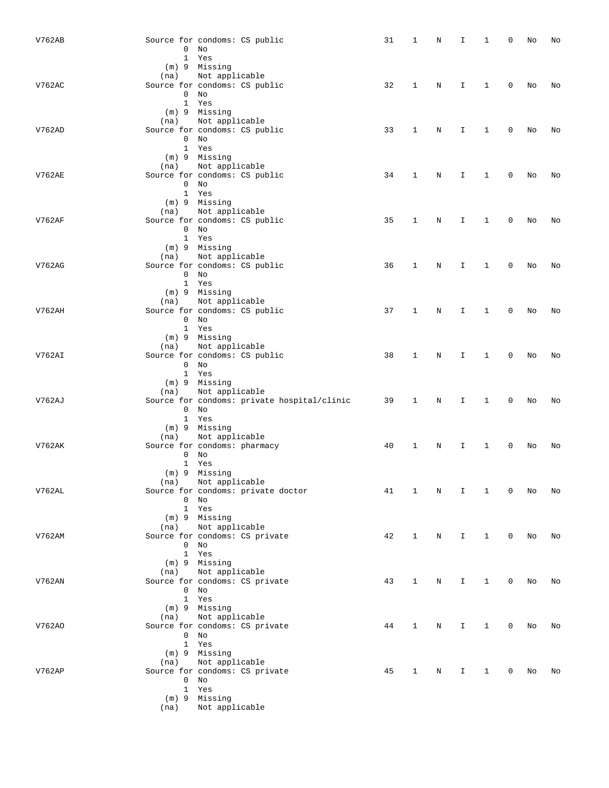| V762AB |      | Source for condoms: CS public<br>$0$ No<br>1 Yes                                                  | 31 | 1            | N | I  | 1            | 0           | No | No |
|--------|------|---------------------------------------------------------------------------------------------------|----|--------------|---|----|--------------|-------------|----|----|
| V762AC | (na) | $(m)$ 9 Missing<br>Not applicable<br>Source for condoms: CS public                                | 32 | 1            | N | I. | 1            | 0           | No | No |
|        | (na) | $0$ No<br>1 Yes<br>$(m)$ 9 Missing<br>Not applicable                                              |    |              |   |    |              |             |    |    |
| V762AD |      | Source for condoms: CS public<br>$0$ No<br>1 Yes<br>(m) 9 Missing                                 | 33 | 1            | Ν | Ι  | 1            | 0           | No | No |
| V762AE | (na) | Not applicable<br>Source for condoms: CS public<br>$0$ No<br>1 Yes                                | 34 | 1            | N | I  | $\mathbf{1}$ | $\mathbf 0$ | No | No |
| V762AF | (na) | (m) 9 Missing<br>Not applicable<br>Source for condoms: CS public<br>$0$ No                        | 35 | 1            | Ν | I  | 1            | 0           | No | No |
| V762AG |      | 1 Yes<br>$(m)$ 9 Missing<br>(na) Not applicable<br>Source for condoms: CS public                  | 36 | 1            | N | I  | 1            | 0           | No | No |
|        | (na) | $0$ No<br>1 Yes<br>(m) 9 Missing<br>Not applicable                                                |    |              |   |    |              |             |    |    |
| V762AH |      | Source for condoms: CS public<br>$0$ No<br>1 Yes<br>(m) 9 Missing                                 | 37 | 1            | N | I  | 1            | 0           | No | No |
| V762AI | (na) | Not applicable<br>Source for condoms: CS public<br>$0$ No<br>1 Yes                                | 38 | 1            | N | I  | $\mathbf{1}$ | 0           | No | No |
| V762AJ | (na) | (m) 9 Missing<br>Not applicable<br>Source for condoms: private hospital/clinic<br>$0$ No<br>1 Yes | 39 | 1            | N | I  | $\mathbf{1}$ | 0           | No | No |
| V762AK |      | (m) 9 Missing<br>(na) Not applicable<br>Source for condoms: pharmacy<br>$0$ No<br>1 Yes           | 40 | 1            | N | I  | 1            | 0           | No | No |
| V762AL | (na) | (m) 9 Missing<br>Not applicable<br>Source for condoms: private doctor<br>$0$ No                   | 41 | 1            | Ν | I. | 1            | 0           | No | No |
| V762AM | (na) | 1 Yes<br>(m) 9 Missing<br>Not applicable<br>Source for condoms: CS private<br>$0$ No<br>1 Yes     | 42 | $\mathbf{1}$ | N | I  | 1            | 0           | No | No |
| V762AN | (na) | (m) 9 Missing<br>Not applicable<br>Source for condoms: CS private<br>$0$ No<br>1 Yes              | 43 | $\mathbf{1}$ | N | I. | $\mathbf{1}$ | 0           | No | No |
| V762A0 | (na) | (m) 9 Missing<br>Not applicable<br>Source for condoms: CS private<br>$0$ No                       | 44 | $\mathbf{1}$ | N | I  | $\mathbf{1}$ | 0           | No | No |
| V762AP | (na) | 1 Yes<br>(m) 9 Missing<br>Not applicable<br>Source for condoms: CS private<br>$0$ No              | 45 | $\mathbf 1$  | N | I  | $\mathbf{1}$ | 0           | No | No |
|        | (na) | 1 Yes<br>(m) 9 Missing<br>Not applicable                                                          |    |              |   |    |              |             |    |    |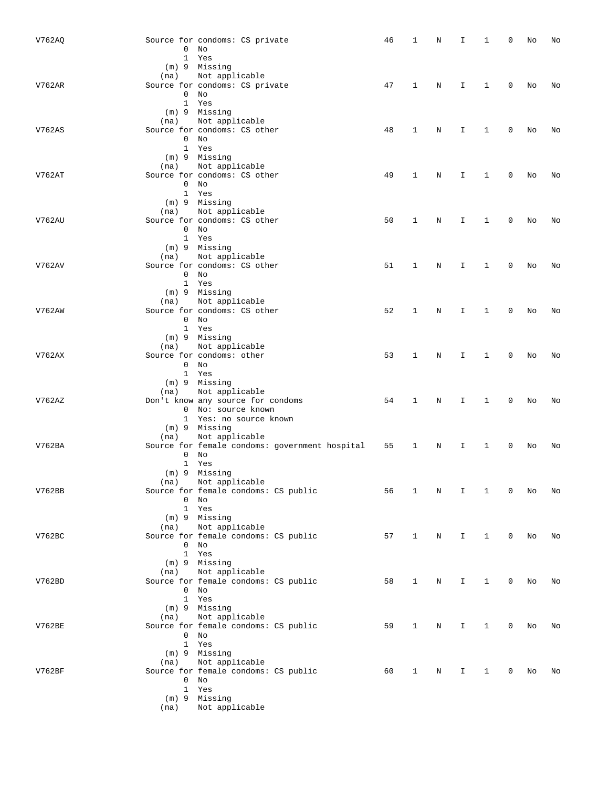| V762AQ |      | Source for condoms: CS private<br>$0$ No<br>1 Yes                                                                     | 46 | 1            | N | I.           | 1            | 0           | No | No |
|--------|------|-----------------------------------------------------------------------------------------------------------------------|----|--------------|---|--------------|--------------|-------------|----|----|
| V762AR | (na) | $(m)$ 9 Missing<br>Not applicable<br>Source for condoms: CS private<br>$0$ No<br>1 Yes                                | 47 | 1            | N | I.           | 1            | $\mathbf 0$ | No | No |
| V762AS | (na) | (m) 9 Missing<br>Not applicable<br>Source for condoms: CS other<br>$0$ No                                             | 48 | 1            | N | I            | 1            | 0           | No | No |
| V762AT | (na) | 1 Yes<br>(m) 9 Missing<br>Not applicable<br>Source for condoms: CS other<br>$0$ No                                    | 49 | 1            | N | I.           | $\mathbf{1}$ | $\mathbf 0$ | No | No |
| V762AU | (na) | 1 Yes<br>(m) 9 Missing<br>Not applicable<br>Source for condoms: CS other<br>$0$ No                                    | 50 | 1            | Ν | I            | 1            | 0           | No | No |
| V762AV | (na) | 1 Yes<br>$(m)$ 9 Missing<br>Not applicable<br>Source for condoms: CS other<br>$0$ No                                  | 51 | 1            | Ν | I.           | 1            | 0           | No | No |
| V762AW | (na) | 1 Yes<br>(m) 9 Missing<br>Not applicable<br>Source for condoms: CS other<br>$0$ No                                    | 52 | $\mathbf{1}$ | N | I            | 1            | 0           | No | No |
| V762AX | (na) | 1 Yes<br>(m) 9 Missing<br>Not applicable<br>Source for condoms: other<br>$0$ No                                       | 53 | 1            | N | I            | $\mathbf{1}$ | 0           | No | No |
| V762AZ | (na) | 1 Yes<br>(m) 9 Missing<br>Not applicable<br>Don't know any source for condoms<br>0 No: source known                   | 54 | 1            | Ν | I            | $\mathbf{1}$ | 0           | No | No |
| V762BA | (na) | 1 Yes: no source known<br>(m) 9 Missing<br>Not applicable<br>Source for female condoms: government hospital<br>$0$ No | 55 | 1            | Ν | I            | 1            | 0           | No | No |
| V762BB | (na) | 1 Yes<br>(m) 9 Missing<br>Not applicable<br>Source for female condoms: CS public<br>$0$ No                            | 56 | 1            | N | Ι.           | 1            | 0           | No | No |
| V762BC | (na) | 1 Yes<br>(m) 9 Missing<br>Not applicable<br>Source for female condoms: CS public<br>$0$ No<br>1 Yes                   | 57 | $\mathbf{1}$ | N | I.           | $\mathbf{1}$ | 0           | No | No |
| V762BD | (na) | $(m)$ 9 Missing<br>Not applicable<br>Source for female condoms: CS public<br>$0$ No<br>1 Yes                          | 58 | $\mathbf{1}$ | N | I.           | $\mathbf{1}$ | 0           | No | No |
| V762BE | (na) | (m) 9 Missing<br>Not applicable<br>Source for female condoms: CS public<br>$0$ No<br>1 Yes                            | 59 | $\mathbf{1}$ | N | $\mathbf{I}$ | $\mathbf{1}$ | 0           | No | No |
| V762BF | (na) | (m) 9 Missing<br>Not applicable<br>Source for female condoms: CS public<br>$0$ No<br>1 Yes                            | 60 | 1            | N | Ι.           | $\mathbf{1}$ | 0           | No | No |
|        | (na) | (m) 9 Missing<br>Not applicable                                                                                       |    |              |   |              |              |             |    |    |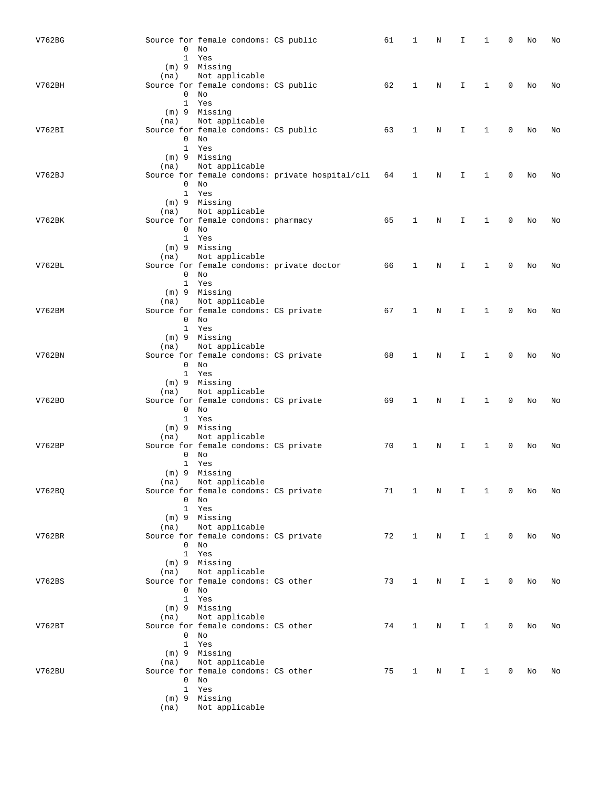| V762BG | 0            | Source for female condoms: CS public<br>No<br>1 Yes                                                                          |                                                    | 61 | 1            | Ν | Ι  | 1            | 0            | No | No |
|--------|--------------|------------------------------------------------------------------------------------------------------------------------------|----------------------------------------------------|----|--------------|---|----|--------------|--------------|----|----|
| V762BH | (na)         | (m) 9 Missing<br>Not applicable<br>Source for female condoms: CS public<br>$0$ No<br>1 Yes                                   |                                                    | 62 | 1            | N | I. | $\mathbf{1}$ | $\mathbf 0$  | No | No |
| V762BI | (na)         | (m) 9 Missing<br>Not applicable<br>Source for female condoms: CS public<br>$0$ No<br>1 Yes                                   |                                                    | 63 | 1            | N | I  | 1            | 0            | No | No |
| V762BJ | (na)         | (m) 9 Missing<br>Not applicable<br>$0$ No<br>1 Yes                                                                           | Source for female condoms: private hospital/cli 64 |    | 1            | N | I  | 1            | 0            | No | No |
| V762BK | (na)         | (m) 9 Missing<br>Not applicable<br>Source for female condoms: pharmacy<br>$0$ No<br>1 Yes                                    |                                                    | 65 | $\mathbf 1$  | N | I  | $\mathbf{1}$ | 0            | No | No |
| V762BL | (na)         | $(m)$ 9 Missing<br>Not applicable<br>Source for female condoms: private doctor<br>$0$ No<br>1 Yes                            |                                                    | 66 | 1            | N | I. | 1            | 0            | No | No |
| V762BM | (na)         | (m) 9 Missing<br>Not applicable<br>Source for female condoms: CS private<br>$0$ No<br>1 Yes                                  |                                                    | 67 | 1            | N | I  | $\mathbf{1}$ | 0            | No | No |
| V762BN | (na)         | (m) 9 Missing<br>Not applicable<br>Source for female condoms: CS private<br>$0$ No<br>1 Yes                                  |                                                    | 68 | 1            | N | I. | 1            | 0            | No | No |
| V762BO | (na)         | (m) 9 Missing<br>Not applicable<br>Source for female condoms: CS private<br>$0$ No<br>1 Yes                                  |                                                    | 69 | 1            | N | I  | 1            | 0            | No | No |
| V762BP |              | (m) 9 Missing<br>(na) Not applicable<br>Source for female condoms: CS private<br>$0$ No<br>1 Yes                             |                                                    | 70 | 1            | N | I  | 1            | 0            | No | No |
| V762BQ | (na)         | (m) 9 Missing<br>Not applicable<br>$0$ No<br>1 Yes                                                                           | Source for female condoms: CS private              | 71 | 1            | Ν | I. | 1            | 0            | No | No |
| V762BR | (na)         | (m) 9 Missing<br>Not applicable<br>Source for female condoms: CS private<br>$0$ No<br>1 Yes                                  |                                                    | 72 | $\mathbf{1}$ | N | I. | $\mathbf{1}$ | 0            | No | No |
| V762BS | (na)         | (m) 9 Missing<br>Not applicable<br>Source for female condoms: CS other<br>$0$ No<br>1 Yes                                    |                                                    | 73 | 1            | N | I. | $\mathbf{1}$ | $\mathbf{0}$ | No | No |
| V762BT | (na)         | (m) 9 Missing<br>Not applicable<br>Source for female condoms: CS other<br>$0$ No<br>1 Yes                                    |                                                    | 74 | $\mathbf{1}$ | N | I. | $\mathbf{1}$ | 0            | No | No |
| V762BU | (na)<br>(na) | (m) 9 Missing<br>Not applicable<br>Source for female condoms: CS other<br>$0$ No<br>1 Yes<br>(m) 9 Missing<br>Not applicable |                                                    | 75 | $\mathbf{1}$ | N | I. | $\mathbf{1}$ | 0            | No | No |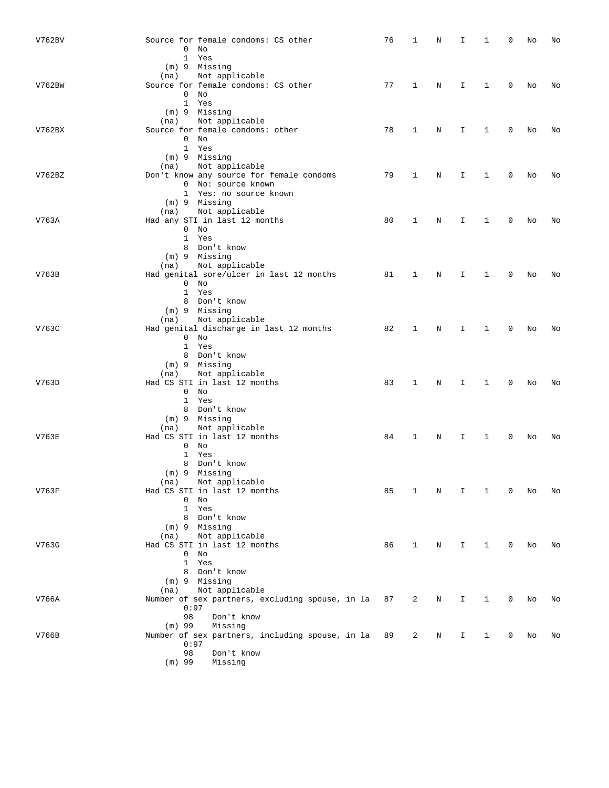| V762BV | Source for female condoms: CS other<br>0<br>No<br>$\mathbf{1}$<br>Yes                                                                            | 76 | 1            | Ν | I  | 1            | 0 | No | No |
|--------|--------------------------------------------------------------------------------------------------------------------------------------------------|----|--------------|---|----|--------------|---|----|----|
| V762BW | (m) 9 Missing<br>Not applicable<br>(na)<br>Source for female condoms: CS other<br>$0$ No<br>1 Yes                                                | 77 | $\mathbf{1}$ | N | I. | 1            | 0 | No | No |
| V762BX | (m) 9 Missing<br>Not applicable<br>(na)<br>Source for female condoms: other<br>$0$ No                                                            | 78 | 1            | N | I  | 1            | 0 | No | No |
| V762BZ | 1 Yes<br>(m) 9 Missing<br>Not applicable<br>(na)<br>Don't know any source for female condoms<br>0 No: source known                               | 79 | $\mathbf{1}$ | N | I  | 1            | 0 | No | No |
| V763A  | 1 Yes: no source known<br>(m) 9 Missing<br>Not applicable<br>(na)<br>Had any STI in last 12 months<br>$0$ No                                     | 80 | 1            | Ν | I  | 1            | 0 | No | No |
|        | 1 Yes<br>8 Don't know<br>(m) 9 Missing<br>Not applicable<br>(na)                                                                                 |    |              |   |    |              |   |    |    |
| V763B  | Had genital sore/ulcer in last 12 months<br>$0$ No<br>1 Yes<br>8 Don't know<br>(m) 9 Missing                                                     | 81 | $\mathbf{1}$ | N | I  | 1            | 0 | No | No |
| V763C  | Not applicable<br>(na)<br>Had genital discharge in last 12 months<br>$0$ No<br>1 Yes                                                             | 82 | 1            | N | I  | 1            | 0 | No | No |
| V763D  | 8 Don't know<br>(m) 9 Missing<br>Not applicable<br>(na)<br>Had CS STI in last 12 months<br>$0$ No<br>1 Yes                                       | 83 | $\mathbf{1}$ | N | I  | 1            | 0 | No | No |
| V763E  | 8 Don't know<br>(m) 9 Missing<br>Not applicable<br>(na)<br>Had CS STI in last 12 months<br>$0$ No<br>1 Yes                                       | 84 | 1            | N | I  | 1            | 0 | No | No |
| V763F  | 8 Don't know<br>$(m)$ 9 Missing<br>Not applicable<br>(na)<br>Had CS STI in last 12 months<br>$\Omega$<br>No<br>1 Yes                             | 85 | 1            | Ν | I  | 1            | 0 | No | No |
| V763G  | 8 Don't know<br>$(m)$ 9 Missing<br>Not applicable<br>(na)<br>Had CS STI in last 12 months<br>$0$ No                                              | 86 | $\mathbf{1}$ | N | I. | $\mathbf{1}$ | 0 | No | No |
| V766A  | 1 Yes<br>8 Don't know<br>$(m)$ 9 Missing<br>Not applicable<br>(na)<br>Number of sex partners, excluding spouse, in la<br>0:97                    | 87 | 2            | N | I. | 1            | 0 | No | No |
| V766B  | 98<br>Don't know<br>$(m)$ 99<br>Missing<br>Number of sex partners, including spouse, in la 89<br>0:97<br>98<br>Don't know<br>$(m)$ 99<br>Missing |    | 2            | N | I  | $\mathbf{1}$ | 0 | No | No |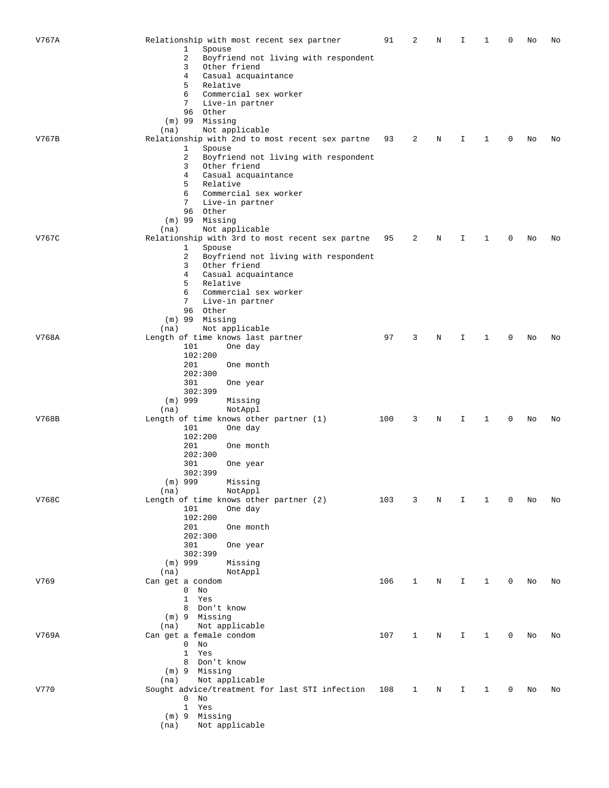| V767A | Relationship with most recent sex partner                      | 91  | 2           | N | I  | 1            | 0 | No | No |
|-------|----------------------------------------------------------------|-----|-------------|---|----|--------------|---|----|----|
|       | $\mathbf{1}$<br>Spouse                                         |     |             |   |    |              |   |    |    |
|       | 2<br>Boyfriend not living with respondent                      |     |             |   |    |              |   |    |    |
|       | 3<br>Other friend                                              |     |             |   |    |              |   |    |    |
|       | 4<br>Casual acquaintance                                       |     |             |   |    |              |   |    |    |
|       | 5<br>Relative                                                  |     |             |   |    |              |   |    |    |
|       | 6<br>Commercial sex worker                                     |     |             |   |    |              |   |    |    |
|       | 7<br>Live-in partner                                           |     |             |   |    |              |   |    |    |
|       | 96 Other                                                       |     |             |   |    |              |   |    |    |
|       | (m) 99 Missing                                                 |     |             |   |    |              |   |    |    |
|       | Not applicable<br>(na)                                         |     |             |   |    |              |   |    |    |
| V767B | Relationship with 2nd to most recent sex partne<br>1<br>Spouse | 93  | 2           | Ν | I  | 1            | 0 | No | No |
|       | 2<br>Boyfriend not living with respondent                      |     |             |   |    |              |   |    |    |
|       | 3<br>Other friend                                              |     |             |   |    |              |   |    |    |
|       | $\overline{4}$<br>Casual acquaintance                          |     |             |   |    |              |   |    |    |
|       | 5<br>Relative                                                  |     |             |   |    |              |   |    |    |
|       | 6<br>Commercial sex worker                                     |     |             |   |    |              |   |    |    |
|       | 7<br>Live-in partner                                           |     |             |   |    |              |   |    |    |
|       | 96 Other                                                       |     |             |   |    |              |   |    |    |
|       | $(m)$ 99<br>Missing                                            |     |             |   |    |              |   |    |    |
|       | Not applicable<br>(na)                                         |     |             |   |    |              |   |    |    |
| V767C | Relationship with 3rd to most recent sex partne 95             |     | 2           | Ν | I  | 1            | 0 | No | No |
|       | $\mathbf{1}$<br>Spouse                                         |     |             |   |    |              |   |    |    |
|       | 2<br>Boyfriend not living with respondent                      |     |             |   |    |              |   |    |    |
|       | 3<br>Other friend                                              |     |             |   |    |              |   |    |    |
|       | 4<br>Casual acquaintance                                       |     |             |   |    |              |   |    |    |
|       | 5<br>Relative                                                  |     |             |   |    |              |   |    |    |
|       | 6<br>Commercial sex worker<br>7<br>Live-in partner             |     |             |   |    |              |   |    |    |
|       | 96 Other                                                       |     |             |   |    |              |   |    |    |
|       | $(m)$ 99<br>Missing                                            |     |             |   |    |              |   |    |    |
|       | Not applicable<br>(na)                                         |     |             |   |    |              |   |    |    |
| V768A | Length of time knows last partner                              | 97  | 3           | Ν | I. | 1            | 0 | No | No |
|       | 101<br>One day                                                 |     |             |   |    |              |   |    |    |
|       | 102:200                                                        |     |             |   |    |              |   |    |    |
|       | 201<br>One month                                               |     |             |   |    |              |   |    |    |
|       | 202:300                                                        |     |             |   |    |              |   |    |    |
|       | 301<br>One year                                                |     |             |   |    |              |   |    |    |
|       | 302:399                                                        |     |             |   |    |              |   |    |    |
|       | $(m)$ 999<br>Missing                                           |     |             |   |    |              |   |    |    |
|       | NotAppl<br>(na)                                                |     |             |   |    |              |   |    |    |
| V768B | Length of time knows other partner (1)                         | 100 | 3           | N | I  | 1            | 0 | No | No |
|       | 101<br>One day<br>102:200                                      |     |             |   |    |              |   |    |    |
|       | 201<br>One month                                               |     |             |   |    |              |   |    |    |
|       | 202:300                                                        |     |             |   |    |              |   |    |    |
|       | 301<br>One year                                                |     |             |   |    |              |   |    |    |
|       | 302:399                                                        |     |             |   |    |              |   |    |    |
|       | Missing<br>(m) 999                                             |     |             |   |    |              |   |    |    |
|       | NotAppl<br>(na)                                                |     |             |   |    |              |   |    |    |
| V768C | Length of time knows other partner (2)                         | 103 | 3           | N | I. | 1            | 0 | No | No |
|       | 101<br>One day                                                 |     |             |   |    |              |   |    |    |
|       | 102:200                                                        |     |             |   |    |              |   |    |    |
|       | 201<br>One month                                               |     |             |   |    |              |   |    |    |
|       | 202:300                                                        |     |             |   |    |              |   |    |    |
|       | 301<br>One year                                                |     |             |   |    |              |   |    |    |
|       | 302:399                                                        |     |             |   |    |              |   |    |    |
|       | $(m)$ 999<br>Missing                                           |     |             |   |    |              |   |    |    |
|       | NotAppl<br>(na)                                                |     |             |   |    |              |   |    |    |
| V769  | Can get a condom<br>$0$ No                                     | 106 | $\mathbf 1$ | N | I. | 1            | 0 | No | No |
|       | 1 Yes                                                          |     |             |   |    |              |   |    |    |
|       | 8 Don't know                                                   |     |             |   |    |              |   |    |    |
|       | $(m)$ 9 Missing                                                |     |             |   |    |              |   |    |    |
|       | Not applicable<br>(na)                                         |     |             |   |    |              |   |    |    |
| V769A | Can get a female condom                                        | 107 | 1           | N | I. | 1            | 0 | No | No |
|       | $0$ No                                                         |     |             |   |    |              |   |    |    |
|       | 1 Yes                                                          |     |             |   |    |              |   |    |    |
|       | 8 Don't know                                                   |     |             |   |    |              |   |    |    |
|       | (m) 9 Missing                                                  |     |             |   |    |              |   |    |    |
|       | Not applicable<br>(na)                                         |     |             |   |    |              |   |    |    |
| V770  | Sought advice/treatment for last STI infection                 | 108 | 1           | N | I  | $\mathbf{1}$ | 0 | No | No |
|       | $0$ No                                                         |     |             |   |    |              |   |    |    |
|       | 1 Yes                                                          |     |             |   |    |              |   |    |    |
|       | (m) 9 Missing                                                  |     |             |   |    |              |   |    |    |
|       | Not applicable<br>(na)                                         |     |             |   |    |              |   |    |    |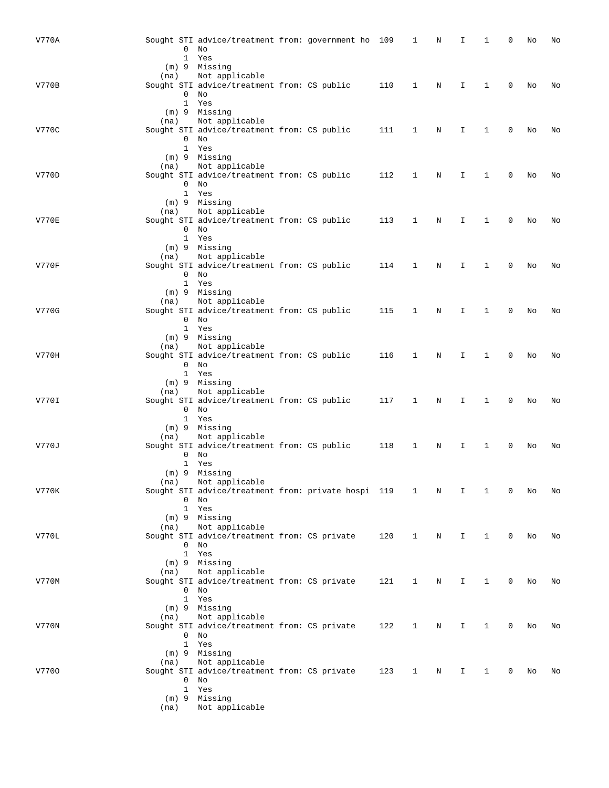| V770A        |      | Sought STI advice/treatment from: government ho 109<br>$0$ No<br>1 Yes                                                |  |     | 1 | Ν          | I  | 1            | 0           | No | No |
|--------------|------|-----------------------------------------------------------------------------------------------------------------------|--|-----|---|------------|----|--------------|-------------|----|----|
| V770B        | (na) | (m) 9 Missing<br>Not applicable<br>Sought STI advice/treatment from: CS public<br>$0$ No<br>1 Yes                     |  | 110 | 1 | N          | I. | 1            | $\mathbf 0$ | No | No |
| V770C        | (na) | (m) 9 Missing<br>Not applicable<br>Sought STI advice/treatment from: CS public<br>$0$ No<br>1 Yes                     |  | 111 | 1 | N          | I  | $\mathbf{1}$ | $\mathbf 0$ | No | No |
| V770D        | (na) | $(m)$ 9 Missing<br>Not applicable<br>Sought STI advice/treatment from: CS public<br>$0$ No<br>1 Yes                   |  | 112 | 1 | N          | I  | 1            | $\mathbf 0$ | No | No |
| <b>V770E</b> | (na) | (m) 9 Missing<br>Not applicable<br>Sought STI advice/treatment from: CS public<br>$0$ No<br>1 Yes                     |  | 113 | 1 | Ν          | I  | 1            | $\mathbf 0$ | No | No |
| V770F        |      | (m) 9 Missing<br>(na) Not applicable<br>Sought STI advice/treatment from: CS public<br>$0$ No<br>1 Yes                |  | 114 | 1 | N          | I  | 1            | 0           | No | No |
| V770G        | (na) | (m) 9 Missing<br>Not applicable<br>Sought STI advice/treatment from: CS public<br>$0$ No<br>1 Yes                     |  | 115 | 1 | N          | I  | $\mathbf{1}$ | $\mathbf 0$ | No | No |
| V770H        | (na) | (m) 9 Missing<br>Not applicable<br>Sought STI advice/treatment from: CS public<br>$0$ No<br>1 Yes                     |  | 116 | 1 | N          | I  | $\mathbf{1}$ | $\mathbf 0$ | No | No |
| V770I        | (na) | (m) 9 Missing<br>Not applicable<br>Sought STI advice/treatment from: CS public<br>$0$ No<br>1 Yes                     |  | 117 | 1 | N          | I. | 1            | $\Omega$    | No | No |
| V770J        | (na) | (m) 9 Missing<br>Not applicable<br>Sought STI advice/treatment from: CS public<br>$0$ No<br>1 Yes                     |  | 118 | 1 | Ν          | I  | 1            | 0           | No | No |
| V770K        | (na) | (m) 9 Missing<br>Not applicable<br>Sought STI advice/treatment from: private hospi 119 1<br>$0$ No<br>1 Yes           |  |     |   | $_{\rm N}$ | I  | 1            | 0           | No | No |
| V770L        | (na) | (m) 9 Missing<br>Not applicable<br>Sought STI advice/treatment from: CS private<br>$0$ No<br>1 Yes                    |  | 120 | 1 | N          | I  | $\mathbf{1}$ | 0           | No | No |
| V770M        | (na) | (m) 9 Missing<br>Not applicable<br>Sought STI advice/treatment from: CS private<br>$0$ No<br>1 Yes                    |  | 121 | 1 | Ν          | Ι. | 1            | 0           | No | No |
| V770N        | (na) | (m) 9 Missing<br>Not applicable<br>Sought STI advice/treatment from: CS private<br>$0$ No<br>1 Yes                    |  | 122 | 1 | N          | Ι. | $\mathbf{1}$ | 0           | No | No |
| V7700        | (na) | (m) 9 Missing<br>Not applicable<br>Sought STI advice/treatment from: CS private<br>$0$ No<br>1 Yes<br>$(m)$ 9 Missing |  | 123 | 1 | N          | I  | 1            | 0           | No | No |
|              | (na) | Not applicable                                                                                                        |  |     |   |            |    |              |             |    |    |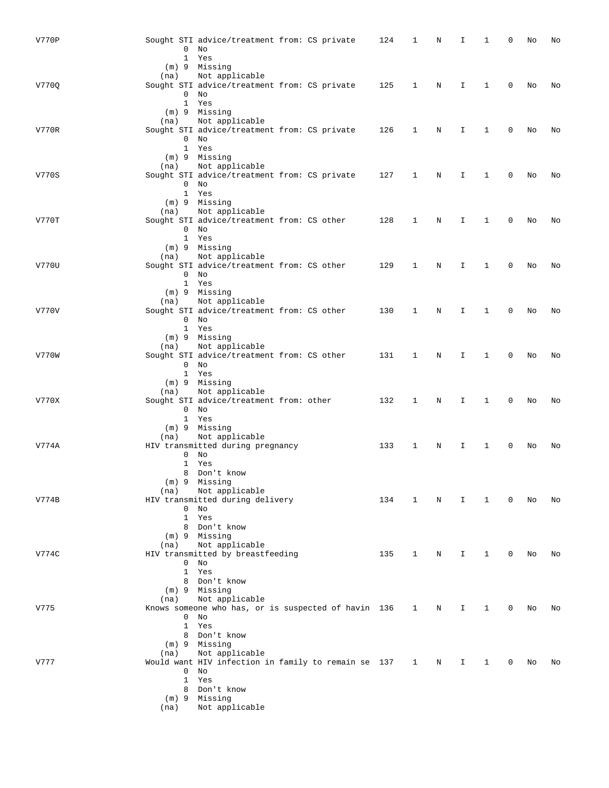| V770P |                              | Sought STI advice/treatment from: CS private<br>$0$ No<br>1 Yes<br>(m) 9 Missing                                                                               |  | 124 | 1            | N | I. | 1            | 0           | No | No |
|-------|------------------------------|----------------------------------------------------------------------------------------------------------------------------------------------------------------|--|-----|--------------|---|----|--------------|-------------|----|----|
| V7700 | (na)                         | Not applicable<br>Sought STI advice/treatment from: CS private<br>$0$ No<br>1 Yes                                                                              |  | 125 | 1            | N | I  | 1            | 0           | No | No |
| V770R | (na)                         | (m) 9 Missing<br>Not applicable<br>Sought STI advice/treatment from: CS private<br>$0$ No<br>1 Yes<br>(m) 9 Missing                                            |  | 126 | $\mathbf 1$  | N | I  | $\mathbf{1}$ | 0           | No | No |
| V770S | (na)                         | Not applicable<br>Sought STI advice/treatment from: CS private<br>$0$ No<br>1 Yes                                                                              |  | 127 | 1            | N | I. | 1            | $\mathbf 0$ | No | No |
| V770T | (na)                         | (m) 9 Missing<br>Not applicable<br>Sought STI advice/treatment from: CS other<br>$0$ No<br>1 Yes                                                               |  | 128 | 1            | Ν | I  | 1            | 0           | No | No |
| V770U | (na)                         | (m) 9 Missing<br>Not applicable<br>Sought STI advice/treatment from: CS other<br>$0$ No<br>1 Yes                                                               |  | 129 | 1            | N | I. | 1            | 0           | No | No |
| V770V | (na)                         | (m) 9 Missing<br>Not applicable<br>Sought STI advice/treatment from: CS other<br>$0$ No<br>1 Yes                                                               |  | 130 | 1            | N | I. | $\mathbf{1}$ | 0           | No | No |
| V770W | (na)                         | (m) 9 Missing<br>Not applicable<br>Sought STI advice/treatment from: CS other<br>$0$ No<br>1 Yes                                                               |  | 131 | 1            | N | I  | $\mathbf{1}$ | 0           | No | No |
| V770X | (na)                         | (m) 9 Missing<br>Not applicable<br>Sought STI advice/treatment from: other<br>$0$ No<br>1 Yes                                                                  |  | 132 | 1            | N | I. | $\mathbf{1}$ | 0           | No | No |
| V774A | (na)<br>1                    | (m) 9 Missing<br>Not applicable<br>HIV transmitted during pregnancy<br>$0$ No<br>Yes                                                                           |  | 133 | 1            | N | I. | 1            | 0           | No | No |
| V774B | (na)<br>$\mathbf{1}$         | 8 Don't know<br>(m) 9 Missing<br>Not applicable<br>HIV transmitted during delivery<br>$0$ No<br>Yes<br>8 Don't know                                            |  | 134 | $\mathbf{1}$ | N | I. | 1            | 0           | No | No |
| V774C | (na)                         | $(m)$ 9 Missing<br>Not applicable<br>HIV transmitted by breastfeeding<br>$0$ No<br>1 Yes<br>8 Don't know                                                       |  | 135 | 1            | N | Ι. | 1            | 0           | No | No |
| V775  | (na)<br>0<br>$\mathbf{1}$    | (m) 9 Missing<br>Not applicable<br>Knows someone who has, or is suspected of havin 136<br>No<br>Yes<br>8 Don't know                                            |  |     | $\mathbf{1}$ | N | I. | 1            | 0           | No | No |
| V777  | (na)<br>$\mathbf{1}$<br>(na) | $(m)$ 9 Missing<br>Not applicable<br>Would want HIV infection in family to remain se 137<br>$0$ No<br>Yes<br>8 Don't know<br>$(m)$ 9 Missing<br>Not applicable |  |     | $\mathbf{1}$ | N | I. | 1            | 0           | No | No |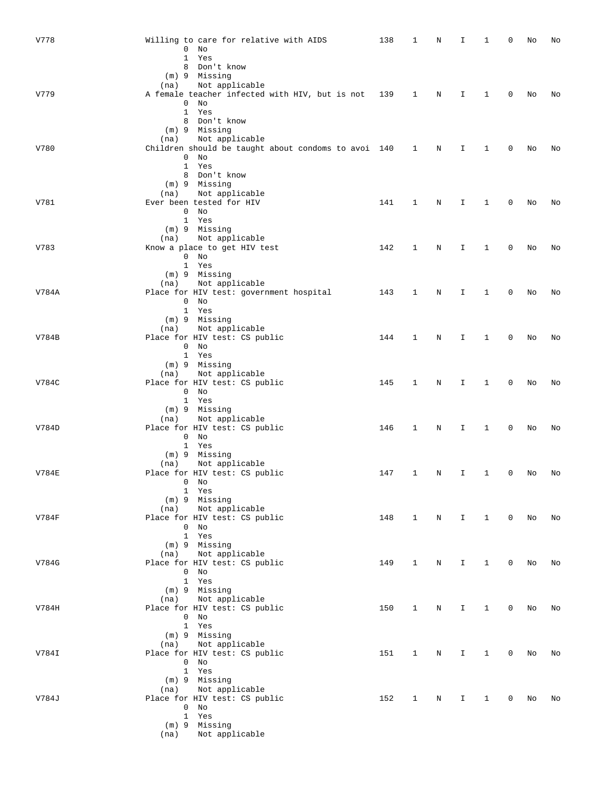| V778  | Willing to care for relative with AIDS                                   | 138 | 1            | Ν           | I            | 1                      | 0              | No | No |
|-------|--------------------------------------------------------------------------|-----|--------------|-------------|--------------|------------------------|----------------|----|----|
|       | $0$ No                                                                   |     |              |             |              |                        |                |    |    |
|       | $\mathbf{1}$<br>Yes                                                      |     |              |             |              |                        |                |    |    |
|       | 8 Don't know                                                             |     |              |             |              |                        |                |    |    |
|       | $(m)$ 9 Missing                                                          |     |              |             |              |                        |                |    |    |
| V779  | Not applicable<br>(na)<br>A female teacher infected with HIV, but is not | 139 | 1            | N           | I            | 1                      | 0              | No | No |
|       | $0$ No                                                                   |     |              |             |              |                        |                |    |    |
|       | 1 Yes                                                                    |     |              |             |              |                        |                |    |    |
|       | 8 Don't know                                                             |     |              |             |              |                        |                |    |    |
|       | (m) 9 Missing                                                            |     |              |             |              |                        |                |    |    |
|       | Not applicable<br>(na)                                                   |     |              |             |              |                        |                |    |    |
| V780  | Children should be taught about condoms to avoi 140                      |     | $\mathbf{1}$ | N           | I            | 1                      | 0              | No | No |
|       | $0$ No<br>1 Yes                                                          |     |              |             |              |                        |                |    |    |
|       | 8 Don't know                                                             |     |              |             |              |                        |                |    |    |
|       | (m) 9 Missing                                                            |     |              |             |              |                        |                |    |    |
|       | Not applicable<br>(na)                                                   |     |              |             |              |                        |                |    |    |
| V781  | Ever been tested for HIV                                                 | 141 | 1            | N           | I            | 1                      | 0              | No | No |
|       | $0$ No                                                                   |     |              |             |              |                        |                |    |    |
|       | 1 Yes                                                                    |     |              |             |              |                        |                |    |    |
|       | $(m)$ 9 Missing                                                          |     |              |             |              |                        |                |    |    |
| V783  | Not applicable<br>(na)                                                   | 142 | 1            | N           | I            | 1                      | 0              | No | No |
|       | Know a place to get HIV test<br>$0$ No                                   |     |              |             |              |                        |                |    |    |
|       | 1 Yes                                                                    |     |              |             |              |                        |                |    |    |
|       | (m) 9 Missing                                                            |     |              |             |              |                        |                |    |    |
|       | Not applicable<br>(na)                                                   |     |              |             |              |                        |                |    |    |
| V784A | Place for HIV test: government hospital                                  | 143 | $\mathbf{1}$ | N           | I            | 1                      | 0              | No | No |
|       | $0$ No                                                                   |     |              |             |              |                        |                |    |    |
|       | 1 Yes                                                                    |     |              |             |              |                        |                |    |    |
|       | (m) 9 Missing                                                            |     |              |             |              |                        |                |    |    |
|       | Not applicable<br>(na)                                                   |     |              |             |              |                        |                |    |    |
| V784B | Place for HIV test: CS public<br>$0$ No                                  | 144 | 1            | Ν           | I            | 1                      | 0              | No | No |
|       | 1 Yes                                                                    |     |              |             |              |                        |                |    |    |
|       | (m) 9 Missing                                                            |     |              |             |              |                        |                |    |    |
|       | Not applicable<br>(na)                                                   |     |              |             |              |                        |                |    |    |
| V784C | Place for HIV test: CS public                                            | 145 | 1            | N           | Ι            | 1                      | 0              | No | No |
|       | $0$ No                                                                   |     |              |             |              |                        |                |    |    |
|       | 1 Yes                                                                    |     |              |             |              |                        |                |    |    |
|       | (m) 9 Missing                                                            |     |              |             |              |                        |                |    |    |
|       | Not applicable<br>(na)                                                   |     |              |             |              |                        | $\mathbf 0$    |    |    |
| V784D | Place for HIV test: CS public<br>$0$ No                                  | 146 | 1            | Ν           | I            | 1                      |                | No | No |
|       | 1 Yes                                                                    |     |              |             |              |                        |                |    |    |
|       | (m) 9 Missing                                                            |     |              |             |              |                        |                |    |    |
|       | Not applicable<br>(na)                                                   |     |              |             |              |                        |                |    |    |
| V784E | Place for HIV test: CS public                                            | 147 | 1            | Ν           | I            | 1                      | 0              | No | No |
|       | $0$ No                                                                   |     |              |             |              |                        |                |    |    |
|       | 1 Yes                                                                    |     |              |             |              |                        |                |    |    |
|       | (m) 9 Missing                                                            |     |              |             |              |                        |                |    |    |
| V784F | (na) Not applicable<br>Place for HIV test: CS public                     | 148 |              | 1 N         |              | $1 \quad 1$            | $\overline{0}$ | No | No |
|       | $0$ No                                                                   |     |              |             |              |                        |                |    |    |
|       | 1 Yes                                                                    |     |              |             |              |                        |                |    |    |
|       | (m) 9 Missing                                                            |     |              |             |              |                        |                |    |    |
|       | (na) Not applicable                                                      |     |              |             |              |                        |                |    |    |
| V784G | Place for HIV test: CS public                                            | 149 | $\mathbf{1}$ | N           | $\mathbf{I}$ | $1 \quad \blacksquare$ | $\overline{0}$ | No | No |
|       | $0$ No                                                                   |     |              |             |              |                        |                |    |    |
|       | 1 Yes                                                                    |     |              |             |              |                        |                |    |    |
|       | (m) 9 Missing<br>(na) Not applicable                                     |     |              |             |              |                        |                |    |    |
| V784H | Place for HIV test: CS public                                            | 150 | $\mathbf{1}$ | $\mathbf N$ | I.           | $\mathbf{1}$           | 0              | No | No |
|       | $0$ No                                                                   |     |              |             |              |                        |                |    |    |
|       | 1 Yes                                                                    |     |              |             |              |                        |                |    |    |
|       | (m) 9 Missing                                                            |     |              |             |              |                        |                |    |    |
|       | (na) Not applicable                                                      |     |              |             |              |                        |                |    |    |
| V784I | Place for HIV test: CS public                                            | 151 | 1            | N           | $\mathbf{I}$ | $\mathbf{1}$           | $\overline{0}$ | No | No |
|       | $0$ No                                                                   |     |              |             |              |                        |                |    |    |
|       | 1 Yes<br>(m) 9 Missing                                                   |     |              |             |              |                        |                |    |    |
|       | (na) Not applicable                                                      |     |              |             |              |                        |                |    |    |
| V784J | Place for HIV test: CS public                                            | 152 | $\mathbf{1}$ | $\mathbf N$ | $\mathbf{I}$ | $\mathbf{1}$           | 0              | No | No |
|       | $0$ No                                                                   |     |              |             |              |                        |                |    |    |
|       | 1 Yes                                                                    |     |              |             |              |                        |                |    |    |
|       | $(m)$ 9 Missing                                                          |     |              |             |              |                        |                |    |    |
|       | (na) Not applicable                                                      |     |              |             |              |                        |                |    |    |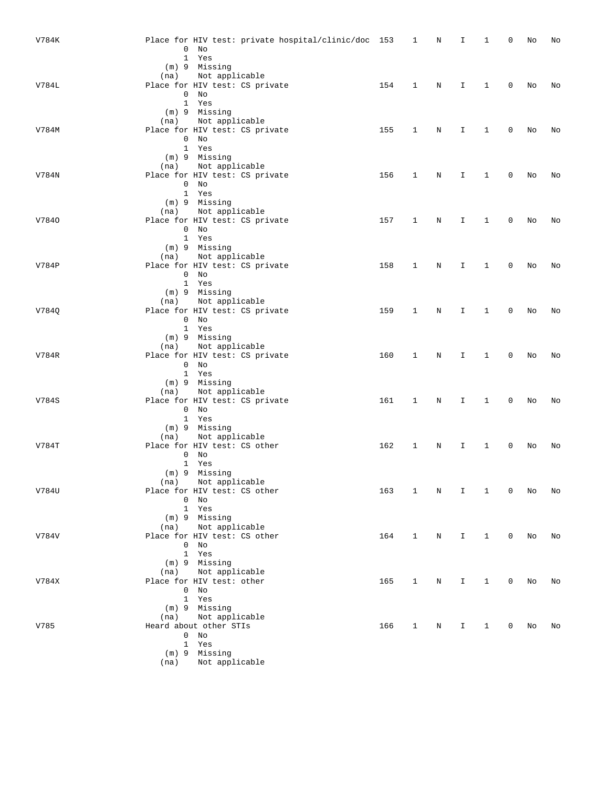| V784K | Place for HIV test: private hospital/clinic/doc 153<br>$0$ No<br>1 Yes                             |     | 1            | N           | I            | 1            | 0            | No | No |
|-------|----------------------------------------------------------------------------------------------------|-----|--------------|-------------|--------------|--------------|--------------|----|----|
| V784L | (m) 9 Missing<br>Not applicable<br>(na)<br>Place for HIV test: CS private<br>$0$ No<br>1 Yes       | 154 | 1            | N           | I.           | $\mathbf{1}$ | 0            | No | No |
| V784M | (m) 9 Missing<br>(na) Not applicable<br>Place for HIV test: CS private<br>$0$ No                   | 155 | 1            | N           | I            | 1            | 0            | No | No |
| V784N | 1 Yes<br>(m) 9 Missing<br>(na) Not applicable<br>Place for HIV test: CS private<br>$0$ No          | 156 | 1            | N           | I.           | $\mathbf{1}$ | $\mathbf{0}$ | No | No |
| V7840 | 1 Yes<br>(m) 9 Missing<br>(na) Not applicable<br>Place for HIV test: CS private<br>$0$ No<br>1 Yes | 157 | $\mathbf{1}$ | N           | I.           | $\mathbf{1}$ | 0            | No | No |
| V784P | (m) 9 Missing<br>(na) Not applicable<br>Place for HIV test: CS private<br>$0$ No<br>1 Yes          | 158 | $\mathbf{1}$ | N           | I.           | $\mathbf{1}$ | 0            | No | No |
| V784Q | (m) 9 Missing<br>(na) Not applicable<br>Place for HIV test: CS private<br>$0$ No<br>1 Yes          | 159 | $\mathbf{1}$ | N           | I.           | $\mathbf{1}$ | 0            | No | No |
| V784R | (m) 9 Missing<br>(na) Not applicable<br>Place for HIV test: CS private<br>$0$ No<br>1 Yes          | 160 | 1            | N           | I            | $\mathbf{1}$ | $\mathbf{0}$ | No | No |
| V784S | (m) 9 Missing<br>(na) Not applicable<br>Place for HIV test: CS private<br>$0$ No<br>1 Yes          | 161 | 1            | N           | I.           | $\mathbf{1}$ | 0            | No | No |
| V784T | $(m)$ 9 Missing<br>(na) Not applicable<br>Place for HIV test: CS other<br>$0$ No<br>1 Yes          | 162 | 1            | N           | I            | $\mathbf{1}$ | 0            | No | No |
| V784U | $(m)$ 9 Missing<br>(na)<br>Not applicable<br>Place for HIV test: CS other<br>$0$ No<br>1 Yes       | 163 | $\mathbf{1}$ | N           | I.           | 1            | 0            | No | No |
| V784V | (m) 9 Missing<br>(na) Not applicable<br>Place for HIV test: CS other<br>$0$ No<br>1 Yes            | 164 | $\mathbf{1}$ | $_{\rm N}$  | Ι.           | $\mathbf{1}$ | 0            | No | No |
| V784X | (m) 9 Missing<br>(na) Not applicable<br>Place for HIV test: other<br>$0$ No<br>1 Yes               | 165 | $\mathbf{1}$ | $\mathbf N$ | I.           | $\mathbf{1}$ | 0            | No | No |
| V785  | (m) 9 Missing<br>(na) Not applicable<br>Heard about other STIs<br>$0$ No                           | 166 | $\mathbf{1}$ | $\mathbf N$ | $\mathbf{I}$ | $\mathbf{1}$ | 0            | No | No |
|       | 1 Yes<br>$(m)$ 9 Missing<br>Not applicable<br>(na)                                                 |     |              |             |              |              |              |    |    |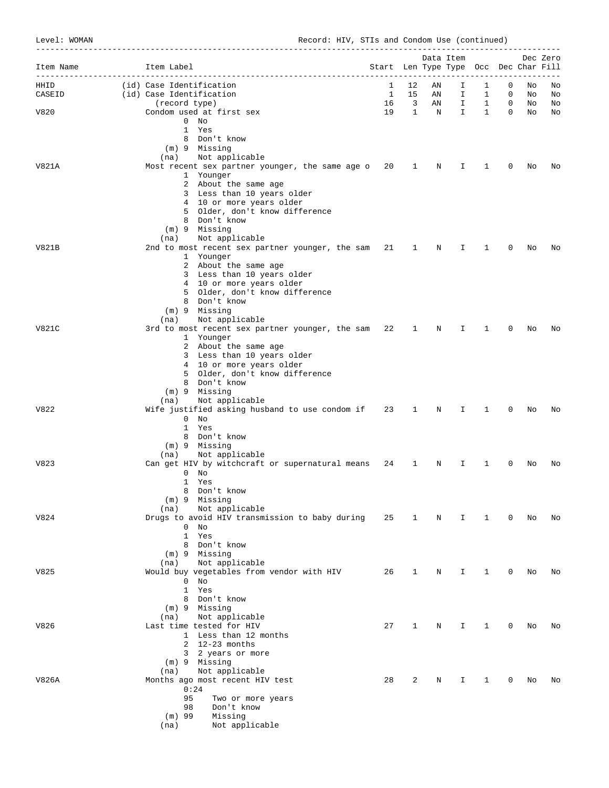Level: WOMAN Record: HIV, STIs and Condom Use (continued)

| Item Name | Item Label                                                                   | Start Len Type Type Occ Dec Char Fill |                         |           | Data Item       |              |                |    | Dec Zero |
|-----------|------------------------------------------------------------------------------|---------------------------------------|-------------------------|-----------|-----------------|--------------|----------------|----|----------|
| HHID      | (id) Case Identification                                                     | 1                                     | -----<br>12             | AN        | ---------<br>Ι. | 1            | 0              | No | No       |
| CASEID    | (id) Case Identification                                                     | $\mathbf{1}$                          | 15                      | AN        | I.              | $\mathbf{1}$ | $\mathbf{0}$   | No | No       |
|           | (record type)                                                                | 16                                    | $\overline{\mathbf{3}}$ | AN        | $\mathbf{I}$    | $\mathbf{1}$ | 0              | No | No       |
| V820      | Condom used at first sex<br>$0$ No                                           | 19                                    |                         | $1 \quad$ | N               | $1 \quad 1$  | $\overline{0}$ | No | No       |
|           | 1 Yes                                                                        |                                       |                         |           |                 |              |                |    |          |
|           | 8 Don't know                                                                 |                                       |                         |           |                 |              |                |    |          |
|           | (m) 9 Missing                                                                |                                       |                         |           |                 |              |                |    |          |
|           | Not applicable<br>(na)                                                       |                                       |                         |           |                 |              |                |    |          |
| V821A     | Most recent sex partner younger, the same age $o$ 20 1<br>1 Younger          |                                       |                         | N         | Ι.              | 1            | 0              | No | No       |
|           | 2 About the same age                                                         |                                       |                         |           |                 |              |                |    |          |
|           | 3 Less than 10 years older                                                   |                                       |                         |           |                 |              |                |    |          |
|           | 4 10 or more years older                                                     |                                       |                         |           |                 |              |                |    |          |
|           | 5 Older, don't know difference                                               |                                       |                         |           |                 |              |                |    |          |
|           | 8 Don't know<br>$(m)$ 9 Missing                                              |                                       |                         |           |                 |              |                |    |          |
|           | Not applicable<br>(na)                                                       |                                       |                         |           |                 |              |                |    |          |
| V821B     | 2nd to most recent sex partner younger, the sam 21                           |                                       | $\mathbf{1}$            | N         | Ι.              | 1            | 0              | No | No       |
|           | 1 Younger                                                                    |                                       |                         |           |                 |              |                |    |          |
|           | 2 About the same age                                                         |                                       |                         |           |                 |              |                |    |          |
|           | 3 Less than 10 years older                                                   |                                       |                         |           |                 |              |                |    |          |
|           | 4 10 or more years older<br>5 Older, don't know difference                   |                                       |                         |           |                 |              |                |    |          |
|           | 8 Don't know                                                                 |                                       |                         |           |                 |              |                |    |          |
|           | $(m)$ 9 Missing                                                              |                                       |                         |           |                 |              |                |    |          |
|           | Not applicable<br>(na)                                                       |                                       |                         |           |                 |              |                |    |          |
| V821C     | 3rd to most recent sex partner younger, the sam 22                           |                                       | $\mathbf{1}$            | N         | Ι.              | 1            | 0              | No | No       |
|           | 1 Younger<br>2 About the same age                                            |                                       |                         |           |                 |              |                |    |          |
|           | 3 Less than 10 years older                                                   |                                       |                         |           |                 |              |                |    |          |
|           | 4 10 or more years older                                                     |                                       |                         |           |                 |              |                |    |          |
|           | 5 Older, don't know difference                                               |                                       |                         |           |                 |              |                |    |          |
|           | 8 Don't know                                                                 |                                       |                         |           |                 |              |                |    |          |
|           | (m) 9 Missing                                                                |                                       |                         |           |                 |              |                |    |          |
| V822      | Not applicable<br>(na)<br>Wife justified asking husband to use condom if 23  |                                       | 1                       | N         | I.              | 1            | 0              | No | No       |
|           | $0$ No                                                                       |                                       |                         |           |                 |              |                |    |          |
|           | 1 Yes                                                                        |                                       |                         |           |                 |              |                |    |          |
|           | 8 Don't know                                                                 |                                       |                         |           |                 |              |                |    |          |
|           | $(m)$ 9 Missing                                                              |                                       |                         |           |                 |              |                |    |          |
| V823      | Not applicable<br>(na)<br>Can get HIV by witchcraft or supernatural means 24 |                                       | $\mathbf{1}$            | N         | Ι.              | 1            | 0              | No | No       |
|           | $0$ No                                                                       |                                       |                         |           |                 |              |                |    |          |
|           | 1 Yes                                                                        |                                       |                         |           |                 |              |                |    |          |
|           | 8 Don't know                                                                 |                                       |                         |           |                 |              |                |    |          |
|           | $(m)$ 9 Missing                                                              |                                       |                         |           |                 |              |                |    |          |
| V824      | Not applicable<br>(na)<br>Drugs to avoid HIV transmission to baby during 25  |                                       | $\mathbf{1}$            | N         | I.              | 1            | 0              | No | No       |
|           | $0$ No                                                                       |                                       |                         |           |                 |              |                |    |          |
|           | 1 Yes                                                                        |                                       |                         |           |                 |              |                |    |          |
|           | 8 Don't know                                                                 |                                       |                         |           |                 |              |                |    |          |
|           | (m) 9 Missing                                                                |                                       |                         |           |                 |              |                |    |          |
| V825      | Not applicable<br>(na)<br>Would buy vegetables from vendor with HIV          | 26                                    | 1                       | N         | Ι.              | $\mathbf{1}$ | 0              | No | No       |
|           | $0$ No                                                                       |                                       |                         |           |                 |              |                |    |          |
|           | 1 Yes                                                                        |                                       |                         |           |                 |              |                |    |          |
|           | 8 Don't know                                                                 |                                       |                         |           |                 |              |                |    |          |
|           | $(m)$ 9 Missing                                                              |                                       |                         |           |                 |              |                |    |          |
| V826      | Not applicable<br>(na)<br>Last time tested for HIV                           | 27                                    | 1                       | N         |                 | $\mathbf{1}$ | 0              |    | No       |
|           | 1 Less than 12 months                                                        |                                       |                         |           | Ι.              |              |                | No |          |
|           | $2 \quad 12-23$ months                                                       |                                       |                         |           |                 |              |                |    |          |
|           | 3 2 years or more                                                            |                                       |                         |           |                 |              |                |    |          |
|           | $(m)$ 9 Missing                                                              |                                       |                         |           |                 |              |                |    |          |
|           | Not applicable<br>(na)                                                       |                                       |                         |           |                 |              |                |    |          |
| V826A     | Months ago most recent HIV test<br>0:24                                      | 28                                    | 2                       | N         | I               | $\mathbf{1}$ | 0              | No | No       |
|           | 95<br>Two or more years                                                      |                                       |                         |           |                 |              |                |    |          |
|           | 98<br>Don't know                                                             |                                       |                         |           |                 |              |                |    |          |
|           | $(m)$ 99<br>Missing                                                          |                                       |                         |           |                 |              |                |    |          |
|           | Not applicable<br>(na)                                                       |                                       |                         |           |                 |              |                |    |          |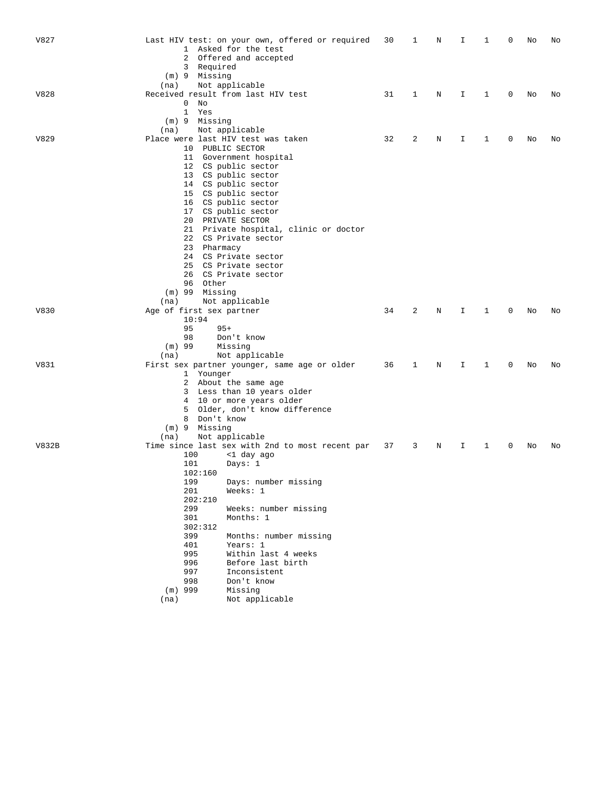| V827  |                          |              | Last HIV test: on your own, offered or required 30<br>1 Asked for the test<br>2 Offered and accepted |    | 1 | N | I. | 1            | 0 | No | No |
|-------|--------------------------|--------------|------------------------------------------------------------------------------------------------------|----|---|---|----|--------------|---|----|----|
|       | (m) 9 Missing<br>(na)    | 3 Required   | Not applicable                                                                                       |    |   |   |    |              |   |    |    |
| V828  |                          | $0$ No       | Received result from last HIV test                                                                   | 31 | 1 | N | I. | $\mathbf{1}$ | 0 | No | No |
|       |                          | 1 Yes        |                                                                                                      |    |   |   |    |              |   |    |    |
|       | (m) 9 Missing            |              |                                                                                                      |    |   |   |    |              |   |    |    |
|       | (na)                     |              | Not applicable                                                                                       |    |   |   |    |              |   |    |    |
| V829  |                          |              | Place were last HIV test was taken                                                                   | 32 | 2 | N | I  | 1            | 0 | No | No |
|       |                          |              | 10 PUBLIC SECTOR                                                                                     |    |   |   |    |              |   |    |    |
|       |                          |              | 11 Government hospital<br>12 CS public sector                                                        |    |   |   |    |              |   |    |    |
|       |                          |              | 13 CS public sector                                                                                  |    |   |   |    |              |   |    |    |
|       |                          |              | 14 CS public sector                                                                                  |    |   |   |    |              |   |    |    |
|       |                          |              | 15 CS public sector                                                                                  |    |   |   |    |              |   |    |    |
|       |                          |              | 16 CS public sector                                                                                  |    |   |   |    |              |   |    |    |
|       |                          |              | 17 CS public sector                                                                                  |    |   |   |    |              |   |    |    |
|       |                          |              | 20 PRIVATE SECTOR                                                                                    |    |   |   |    |              |   |    |    |
|       |                          |              | 21 Private hospital, clinic or doctor                                                                |    |   |   |    |              |   |    |    |
|       |                          |              | 22 CS Private sector                                                                                 |    |   |   |    |              |   |    |    |
|       |                          | 23 Pharmacy  | 24 CS Private sector                                                                                 |    |   |   |    |              |   |    |    |
|       |                          |              | 25 CS Private sector                                                                                 |    |   |   |    |              |   |    |    |
|       |                          |              | 26 CS Private sector                                                                                 |    |   |   |    |              |   |    |    |
|       |                          | 96 Other     |                                                                                                      |    |   |   |    |              |   |    |    |
|       | (m) 99 Missing           |              |                                                                                                      |    |   |   |    |              |   |    |    |
|       | (na)                     |              | Not applicable                                                                                       |    |   |   |    |              |   |    |    |
| V830  | Age of first sex partner |              |                                                                                                      | 34 | 2 | N | I  | $\mathbf{1}$ | 0 | No | No |
|       | 95                       | 10:94        | $95+$                                                                                                |    |   |   |    |              |   |    |    |
|       | 98                       |              | Don't know                                                                                           |    |   |   |    |              |   |    |    |
|       | $(m)$ 99                 |              | Missing                                                                                              |    |   |   |    |              |   |    |    |
|       | (na)                     |              | Not applicable                                                                                       |    |   |   |    |              |   |    |    |
| V831  |                          |              | First sex partner younger, same age or older                                                         | 36 | 1 | N | I  | 1            | 0 | No | No |
|       |                          | 1 Younger    |                                                                                                      |    |   |   |    |              |   |    |    |
|       |                          |              | 2 About the same age                                                                                 |    |   |   |    |              |   |    |    |
|       |                          |              | 3 Less than 10 years older                                                                           |    |   |   |    |              |   |    |    |
|       |                          |              | 4 10 or more years older<br>5 Older, don't know difference                                           |    |   |   |    |              |   |    |    |
|       |                          | 8 Don't know |                                                                                                      |    |   |   |    |              |   |    |    |
|       | (m) 9 Missing            |              |                                                                                                      |    |   |   |    |              |   |    |    |
|       | (na)                     |              | Not applicable                                                                                       |    |   |   |    |              |   |    |    |
| V832B |                          |              | Time since last sex with 2nd to most recent par 37                                                   |    | 3 | N | I  | 1            | 0 | No | No |
|       | 100                      |              | <1 day ago                                                                                           |    |   |   |    |              |   |    |    |
|       | 101                      |              | Days: 1                                                                                              |    |   |   |    |              |   |    |    |
|       | 199                      | 102:160      | Days: number missing                                                                                 |    |   |   |    |              |   |    |    |
|       | 201                      |              | Weeks: 1                                                                                             |    |   |   |    |              |   |    |    |
|       |                          | 202:210      |                                                                                                      |    |   |   |    |              |   |    |    |
|       | 299                      |              | Weeks: number missing                                                                                |    |   |   |    |              |   |    |    |
|       | 301                      |              | Months: 1                                                                                            |    |   |   |    |              |   |    |    |
|       |                          | 302:312      |                                                                                                      |    |   |   |    |              |   |    |    |
|       | 399                      |              | Months: number missing                                                                               |    |   |   |    |              |   |    |    |
|       | 401                      |              | Years: 1                                                                                             |    |   |   |    |              |   |    |    |
|       | 995<br>996               |              | Within last 4 weeks<br>Before last birth                                                             |    |   |   |    |              |   |    |    |
|       | 997                      |              | Inconsistent                                                                                         |    |   |   |    |              |   |    |    |
|       | 998                      |              | Don't know                                                                                           |    |   |   |    |              |   |    |    |
|       | $(m)$ 999                |              | Missing                                                                                              |    |   |   |    |              |   |    |    |
|       | (na)                     |              | Not applicable                                                                                       |    |   |   |    |              |   |    |    |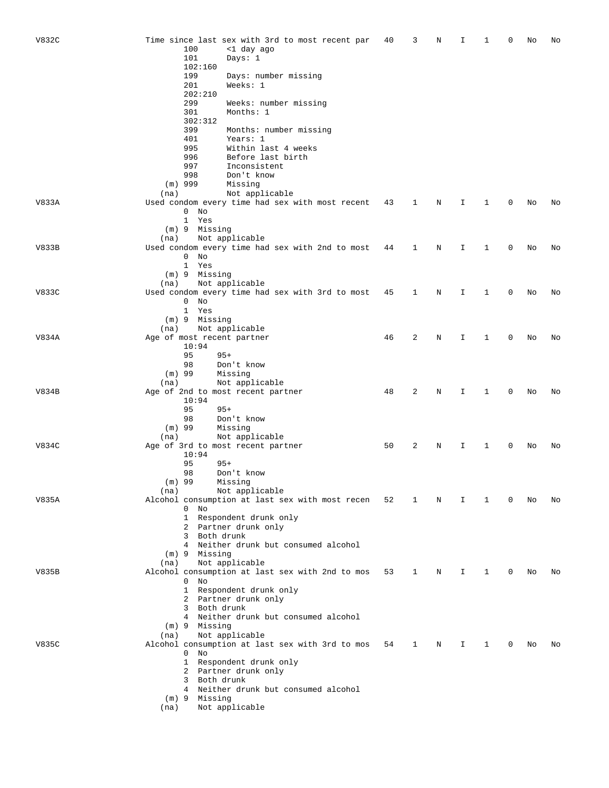| V832C | Time since last sex with 3rd to most recent par    | 40 | 3 | Ν | I  | 1            | 0 | No | No |
|-------|----------------------------------------------------|----|---|---|----|--------------|---|----|----|
|       | 100<br><1 day ago                                  |    |   |   |    |              |   |    |    |
|       | 101<br>Days: $1$                                   |    |   |   |    |              |   |    |    |
|       | 102:160                                            |    |   |   |    |              |   |    |    |
|       | 199<br>Days: number missing                        |    |   |   |    |              |   |    |    |
|       | 201<br>Weeks: 1                                    |    |   |   |    |              |   |    |    |
|       | 202:210                                            |    |   |   |    |              |   |    |    |
|       | 299<br>Weeks: number missing                       |    |   |   |    |              |   |    |    |
|       | 301<br>Months: 1                                   |    |   |   |    |              |   |    |    |
|       | 302:312                                            |    |   |   |    |              |   |    |    |
|       | 399<br>Months: number missing                      |    |   |   |    |              |   |    |    |
|       | 401<br>Years: 1                                    |    |   |   |    |              |   |    |    |
|       | 995<br>Within last 4 weeks                         |    |   |   |    |              |   |    |    |
|       | 996<br>Before last birth                           |    |   |   |    |              |   |    |    |
|       | 997<br>Inconsistent                                |    |   |   |    |              |   |    |    |
|       | 998<br>Don't know                                  |    |   |   |    |              |   |    |    |
|       | $(m)$ 999<br>Missing                               |    |   |   |    |              |   |    |    |
|       | Not applicable<br>(na)                             |    |   |   |    |              |   |    |    |
| V833A | Used condom every time had sex with most recent 43 |    | 1 | Ν | I. | 1            | 0 | No | No |
|       | $0$ No                                             |    |   |   |    |              |   |    |    |
|       | 1 Yes                                              |    |   |   |    |              |   |    |    |
|       | (m) 9 Missing                                      |    |   |   |    |              |   |    |    |
|       | Not applicable<br>(na)                             |    |   |   |    |              |   |    |    |
| V833B | Used condom every time had sex with 2nd to most    | 44 | 1 | Ν | I  | 1            | 0 | No | No |
|       | $0$ No                                             |    |   |   |    |              |   |    |    |
|       | 1 Yes                                              |    |   |   |    |              |   |    |    |
|       | (m) 9 Missing                                      |    |   |   |    |              |   |    |    |
|       | Not applicable<br>(na)                             |    |   |   |    |              |   |    |    |
| V833C | Used condom every time had sex with 3rd to most    | 45 | 1 | Ν | I  | 1            | 0 | No | No |
|       | $0$ No                                             |    |   |   |    |              |   |    |    |
|       | 1 Yes<br>$(m)$ 9 Missing                           |    |   |   |    |              |   |    |    |
|       | Not applicable                                     |    |   |   |    |              |   |    |    |
| V834A | (na)<br>Age of most recent partner                 | 46 | 2 | Ν | I  | 1            | 0 | No | No |
|       | 10:94                                              |    |   |   |    |              |   |    |    |
|       | 95<br>$95+$                                        |    |   |   |    |              |   |    |    |
|       | 98<br>Don't know                                   |    |   |   |    |              |   |    |    |
|       | Missing<br>$(m)$ 99                                |    |   |   |    |              |   |    |    |
|       | Not applicable<br>(na)                             |    |   |   |    |              |   |    |    |
| V834B | Age of 2nd to most recent partner                  | 48 | 2 | Ν | I  | 1            | 0 | No | No |
|       | 10:94                                              |    |   |   |    |              |   |    |    |
|       | 95<br>$95+$                                        |    |   |   |    |              |   |    |    |
|       | Don't know<br>98                                   |    |   |   |    |              |   |    |    |
|       | Missing<br>$(m)$ 99                                |    |   |   |    |              |   |    |    |
|       | Not applicable<br>(na)                             |    |   |   |    |              |   |    |    |
| V834C | Age of 3rd to most recent partner                  | 50 | 2 | Ν | I  | 1            | 0 | No | No |
|       | 10:94                                              |    |   |   |    |              |   |    |    |
|       | 95<br>$95+$                                        |    |   |   |    |              |   |    |    |
|       | 98<br>Don't know                                   |    |   |   |    |              |   |    |    |
|       | (m) 99<br>Missing                                  |    |   |   |    |              |   |    |    |
|       | Not applicable<br>(na)                             |    |   |   |    |              |   |    |    |
| V835A | Alcohol consumption at last sex with most recen    | 52 | 1 | Ν | Ι. | 1            | 0 | No | No |
|       | $0$ No                                             |    |   |   |    |              |   |    |    |
|       | 1 Respondent drunk only                            |    |   |   |    |              |   |    |    |
|       | 2 Partner drunk only                               |    |   |   |    |              |   |    |    |
|       | 3 Both drunk                                       |    |   |   |    |              |   |    |    |
|       | 4 Neither drunk but consumed alcohol               |    |   |   |    |              |   |    |    |
|       | (m) 9 Missing                                      |    |   |   |    |              |   |    |    |
|       | Not applicable<br>(na)                             |    |   |   |    |              |   |    |    |
| V835B | Alcohol consumption at last sex with 2nd to mos    | 53 | 1 | Ν | I. | $\mathbf{1}$ | 0 | No | No |
|       | $0$ No                                             |    |   |   |    |              |   |    |    |
|       | 1 Respondent drunk only<br>2 Partner drunk only    |    |   |   |    |              |   |    |    |
|       | 3 Both drunk                                       |    |   |   |    |              |   |    |    |
|       | 4 Neither drunk but consumed alcohol               |    |   |   |    |              |   |    |    |
|       | (m) 9 Missing                                      |    |   |   |    |              |   |    |    |
|       | Not applicable<br>(na)                             |    |   |   |    |              |   |    |    |
| V835C | Alcohol consumption at last sex with 3rd to mos    | 54 | 1 | Ν | I. | 1            | 0 | No | No |
|       | $0$ No                                             |    |   |   |    |              |   |    |    |
|       | 1 Respondent drunk only                            |    |   |   |    |              |   |    |    |
|       | 2 Partner drunk only                               |    |   |   |    |              |   |    |    |
|       | 3 Both drunk                                       |    |   |   |    |              |   |    |    |
|       | 4 Neither drunk but consumed alcohol               |    |   |   |    |              |   |    |    |
|       | (m) 9 Missing                                      |    |   |   |    |              |   |    |    |
|       | Not applicable<br>(na)                             |    |   |   |    |              |   |    |    |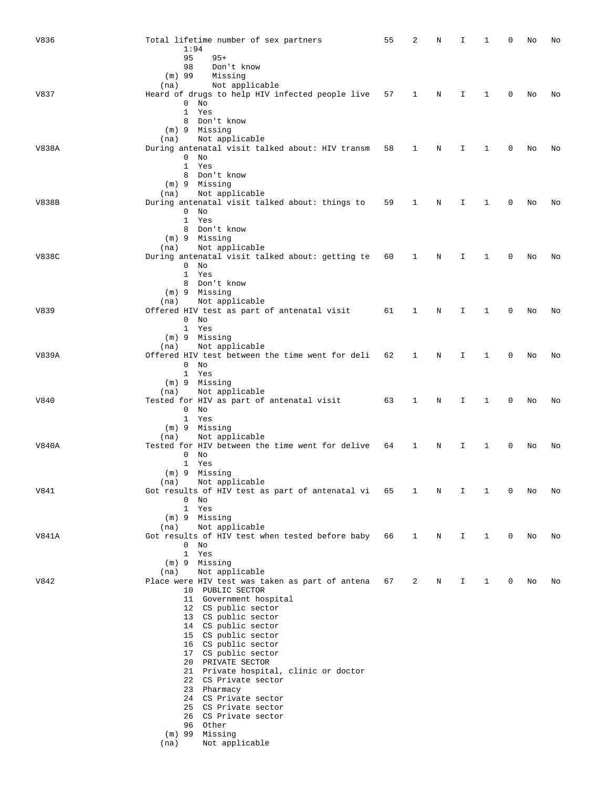| V836  | Total lifetime number of sex partners                                     | 55 | 2            | Ν | I. | 1            | 0 | No | No |
|-------|---------------------------------------------------------------------------|----|--------------|---|----|--------------|---|----|----|
|       | 1:94                                                                      |    |              |   |    |              |   |    |    |
|       | 95<br>$95+$                                                               |    |              |   |    |              |   |    |    |
|       | 98<br>Don't know                                                          |    |              |   |    |              |   |    |    |
|       | (m) 99<br>Missing                                                         |    |              |   |    |              |   |    |    |
|       | Not applicable<br>(na)                                                    |    |              |   |    |              |   |    |    |
| V837  | Heard of drugs to help HIV infected people live 57                        |    | $\mathbf{1}$ | N | I. | 1            | 0 | No | No |
|       | $0$ No<br>1 Yes                                                           |    |              |   |    |              |   |    |    |
|       | 8 Don't know                                                              |    |              |   |    |              |   |    |    |
|       | (m) 9 Missing                                                             |    |              |   |    |              |   |    |    |
|       | Not applicable<br>(na)                                                    |    |              |   |    |              |   |    |    |
| V838A | During antenatal visit talked about: HIV transm                           | 58 | 1            | N | I  | 1            | 0 | No | No |
|       | $0$ No                                                                    |    |              |   |    |              |   |    |    |
|       | 1 Yes                                                                     |    |              |   |    |              |   |    |    |
|       | 8 Don't know                                                              |    |              |   |    |              |   |    |    |
|       | (m) 9 Missing                                                             |    |              |   |    |              |   |    |    |
|       | Not applicable<br>(na)                                                    |    |              |   |    |              |   |    |    |
| V838B | During antenatal visit talked about: things to                            | 59 | 1            | N | I  | 1            | 0 | No | No |
|       | $0$ No                                                                    |    |              |   |    |              |   |    |    |
|       | 1 Yes                                                                     |    |              |   |    |              |   |    |    |
|       | 8 Don't know<br>(m) 9 Missing                                             |    |              |   |    |              |   |    |    |
|       | Not applicable<br>(na)                                                    |    |              |   |    |              |   |    |    |
| V838C | During antenatal visit talked about: getting te 60                        |    | $\mathbf{1}$ | N | I  | 1            | 0 | No | No |
|       | $0$ No                                                                    |    |              |   |    |              |   |    |    |
|       | 1 Yes                                                                     |    |              |   |    |              |   |    |    |
|       | 8 Don't know                                                              |    |              |   |    |              |   |    |    |
|       | (m) 9 Missing                                                             |    |              |   |    |              |   |    |    |
|       | Not applicable<br>(na)                                                    |    |              |   |    |              |   |    |    |
| V839  | Offered HIV test as part of antenatal visit                               | 61 | 1            | N | I  | $\mathbf{1}$ | 0 | No | No |
|       | $0$ No                                                                    |    |              |   |    |              |   |    |    |
|       | 1 Yes                                                                     |    |              |   |    |              |   |    |    |
|       | (m) 9 Missing                                                             |    |              |   |    |              |   |    |    |
|       | Not applicable<br>(na)                                                    |    |              |   |    |              |   |    |    |
| V839A | Offered HIV test between the time went for deli 62                        |    | 1            | N | I  | 1            | 0 | No | No |
|       | $0$ No<br>1 Yes                                                           |    |              |   |    |              |   |    |    |
|       | (m) 9 Missing                                                             |    |              |   |    |              |   |    |    |
|       | Not applicable<br>(na)                                                    |    |              |   |    |              |   |    |    |
| V840  | Tested for HIV as part of antenatal visit                                 | 63 | $\mathbf{1}$ | N | I  | 1            | 0 | No | No |
|       | $0$ No                                                                    |    |              |   |    |              |   |    |    |
|       | 1 Yes                                                                     |    |              |   |    |              |   |    |    |
|       | (m) 9 Missing                                                             |    |              |   |    |              |   |    |    |
|       | Not applicable<br>(na)                                                    |    |              |   |    |              |   |    |    |
| V840A | Tested for HIV between the time went for delive                           | 64 | 1            | N | I. | 1            | 0 | No | No |
|       | $0$ No                                                                    |    |              |   |    |              |   |    |    |
|       | 1 Yes                                                                     |    |              |   |    |              |   |    |    |
|       | (m) 9 Missing                                                             |    |              |   |    |              |   |    |    |
| V841  | (na) Not applicable<br>Got results of HIV test as part of antenatal vi 65 |    | 1            | Ν | Ι. | 1            | 0 | No | No |
|       | 0<br>No                                                                   |    |              |   |    |              |   |    |    |
|       | 1 Yes                                                                     |    |              |   |    |              |   |    |    |
|       | $(m)$ 9 Missing                                                           |    |              |   |    |              |   |    |    |
|       | Not applicable<br>(na)                                                    |    |              |   |    |              |   |    |    |
| V841A | Got results of HIV test when tested before baby 66                        |    | 1            | N | Ι. | $\mathbf{1}$ | 0 | No | No |
|       | $0$ No                                                                    |    |              |   |    |              |   |    |    |
|       | 1 Yes                                                                     |    |              |   |    |              |   |    |    |
|       | $(m)$ 9 Missing                                                           |    |              |   |    |              |   |    |    |
|       | Not applicable<br>(na)                                                    |    |              |   |    |              |   |    |    |
| V842  | Place were HIV test was taken as part of antena 67                        |    | 2            | N | Ι. | $\mathbf{1}$ | 0 | No | No |
|       | 10 PUBLIC SECTOR                                                          |    |              |   |    |              |   |    |    |
|       | 11 Government hospital                                                    |    |              |   |    |              |   |    |    |
|       | 12 CS public sector<br>13 CS public sector                                |    |              |   |    |              |   |    |    |
|       | 14 CS public sector                                                       |    |              |   |    |              |   |    |    |
|       | 15 CS public sector                                                       |    |              |   |    |              |   |    |    |
|       | 16 CS public sector                                                       |    |              |   |    |              |   |    |    |
|       | 17 CS public sector                                                       |    |              |   |    |              |   |    |    |
|       | 20 PRIVATE SECTOR                                                         |    |              |   |    |              |   |    |    |
|       | 21 Private hospital, clinic or doctor                                     |    |              |   |    |              |   |    |    |
|       | 22 CS Private sector                                                      |    |              |   |    |              |   |    |    |
|       | 23 Pharmacy                                                               |    |              |   |    |              |   |    |    |
|       | 24 CS Private sector                                                      |    |              |   |    |              |   |    |    |
|       | 25 CS Private sector                                                      |    |              |   |    |              |   |    |    |
|       | 26 CS Private sector<br>96 Other                                          |    |              |   |    |              |   |    |    |
|       | (m) 99 Missing                                                            |    |              |   |    |              |   |    |    |
|       | (na)<br>Not applicable                                                    |    |              |   |    |              |   |    |    |
|       |                                                                           |    |              |   |    |              |   |    |    |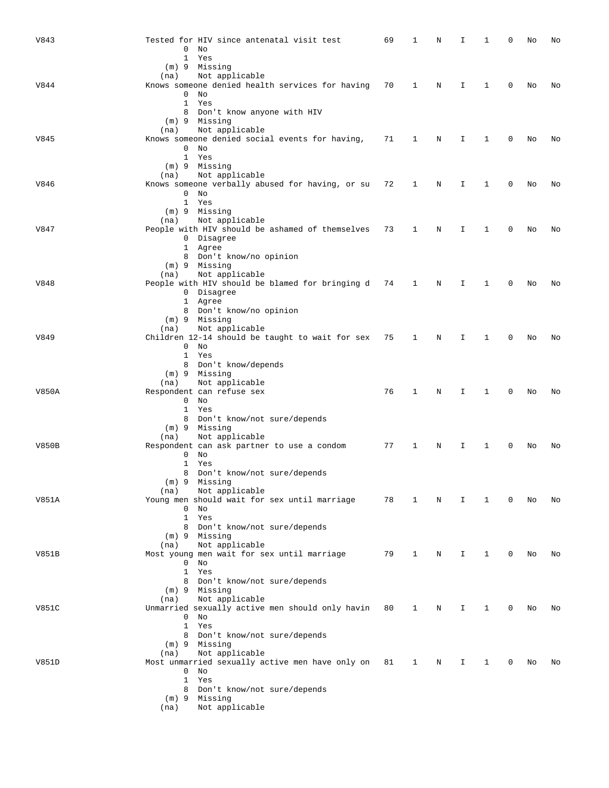| V843         | Tested for HIV since antenatal visit test            | 69 | 1 | N | Ι  | 1 | 0 | No | No |
|--------------|------------------------------------------------------|----|---|---|----|---|---|----|----|
|              | 0<br>No                                              |    |   |   |    |   |   |    |    |
|              | $\mathbf 1$<br>Yes                                   |    |   |   |    |   |   |    |    |
|              | (m) 9 Missing                                        |    |   |   |    |   |   |    |    |
|              | Not applicable<br>(na)                               |    |   |   |    |   |   |    |    |
| V844         | Knows someone denied health services for having 70   |    | 1 | N | I. | 1 | 0 | No | No |
|              | $0$ No                                               |    |   |   |    |   |   |    |    |
|              | 1 Yes                                                |    |   |   |    |   |   |    |    |
|              | 8 Don't know anyone with HIV                         |    |   |   |    |   |   |    |    |
|              | (m) 9 Missing<br>Not applicable<br>(na)              |    |   |   |    |   |   |    |    |
| V845         | Knows someone denied social events for having,       | 71 | 1 | N | I. | 1 | 0 | No | No |
|              | $0$ No                                               |    |   |   |    |   |   |    |    |
|              | 1 Yes                                                |    |   |   |    |   |   |    |    |
|              | (m) 9 Missing                                        |    |   |   |    |   |   |    |    |
|              | Not applicable<br>(na)                               |    |   |   |    |   |   |    |    |
| V846         | Knows someone verbally abused for having, or su      | 72 | 1 | N | I  | 1 | 0 | No | No |
|              | $0$ No                                               |    |   |   |    |   |   |    |    |
|              | 1 Yes                                                |    |   |   |    |   |   |    |    |
|              | (m) 9 Missing                                        |    |   |   |    |   |   |    |    |
|              | Not applicable<br>(na)                               |    |   |   |    |   |   |    |    |
| V847         | People with HIV should be ashamed of themselves      | 73 | 1 | N | I. | 1 | 0 | No | No |
|              | 0 Disagree<br>1 Agree                                |    |   |   |    |   |   |    |    |
|              | 8 Don't know/no opinion                              |    |   |   |    |   |   |    |    |
|              | (m) 9 Missing                                        |    |   |   |    |   |   |    |    |
|              | Not applicable<br>(na)                               |    |   |   |    |   |   |    |    |
| V848         | People with HIV should be blamed for bringing d 74   |    | 1 | N | I  | 1 | 0 | No | No |
|              | 0 Disagree                                           |    |   |   |    |   |   |    |    |
|              | 1 Agree                                              |    |   |   |    |   |   |    |    |
|              | 8 Don't know/no opinion                              |    |   |   |    |   |   |    |    |
|              | $(m)$ 9 Missing                                      |    |   |   |    |   |   |    |    |
|              | Not applicable<br>(na)                               |    |   |   |    |   |   |    |    |
| V849         | Children 12-14 should be taught to wait for sex      | 75 | 1 | Ν | I  | 1 | 0 | No | No |
|              | $0$ No                                               |    |   |   |    |   |   |    |    |
|              | 1 Yes                                                |    |   |   |    |   |   |    |    |
|              | 8 Don't know/depends<br>(m) 9 Missing                |    |   |   |    |   |   |    |    |
|              | Not applicable<br>(na)                               |    |   |   |    |   |   |    |    |
| V850A        | Respondent can refuse sex                            | 76 | 1 | N | I  | 1 | 0 | No | No |
|              | $0$ No                                               |    |   |   |    |   |   |    |    |
|              | 1 Yes                                                |    |   |   |    |   |   |    |    |
|              | 8 Don't know/not sure/depends                        |    |   |   |    |   |   |    |    |
|              | (m) 9 Missing                                        |    |   |   |    |   |   |    |    |
|              | Not applicable<br>(na)                               |    |   |   |    |   |   |    |    |
| <b>V850B</b> | Respondent can ask partner to use a condom           | 77 | 1 | Ν | I  | 1 | 0 | No | No |
|              | $0$ No                                               |    |   |   |    |   |   |    |    |
|              | 1 Yes                                                |    |   |   |    |   |   |    |    |
|              | 8 Don't know/not sure/depends<br>$(m)$ 9             |    |   |   |    |   |   |    |    |
|              | Missing<br>Not applicable<br>(na)                    |    |   |   |    |   |   |    |    |
| V851A        | Young men should wait for sex until marriage         | 78 | 1 | N | I. | 1 | 0 | No | No |
|              | 0<br>No                                              |    |   |   |    |   |   |    |    |
|              | $\mathbf{1}$<br>Yes                                  |    |   |   |    |   |   |    |    |
|              | 8 Don't know/not sure/depends                        |    |   |   |    |   |   |    |    |
|              | $(m)$ 9 Missing                                      |    |   |   |    |   |   |    |    |
|              | Not applicable<br>(na)                               |    |   |   |    |   |   |    |    |
| V851B        | Most young men wait for sex until marriage           | 79 | 1 | N | I  | 1 | 0 | No | No |
|              | $0$ No                                               |    |   |   |    |   |   |    |    |
|              | 1 Yes                                                |    |   |   |    |   |   |    |    |
|              | 8 Don't know/not sure/depends<br>(m) 9 Missing       |    |   |   |    |   |   |    |    |
|              | Not applicable<br>(na)                               |    |   |   |    |   |   |    |    |
| V851C        | Unmarried sexually active men should only havin      | 80 | 1 | N | I  | 1 | 0 | No | No |
|              | 0<br>No                                              |    |   |   |    |   |   |    |    |
|              | 1<br>Yes                                             |    |   |   |    |   |   |    |    |
|              | 8 Don't know/not sure/depends                        |    |   |   |    |   |   |    |    |
|              | $(m)$ 9 Missing                                      |    |   |   |    |   |   |    |    |
|              | Not applicable<br>(na)                               |    |   |   |    |   |   |    |    |
| V851D        | Most unmarried sexually active men have only on      | 81 | 1 | N | I  | 1 | 0 | No | No |
|              | $0$ No                                               |    |   |   |    |   |   |    |    |
|              | $\mathbf{1}$<br>Yes<br>8 Don't know/not sure/depends |    |   |   |    |   |   |    |    |
|              | $(m)$ 9 Missing                                      |    |   |   |    |   |   |    |    |
|              | Not applicable<br>(na)                               |    |   |   |    |   |   |    |    |
|              |                                                      |    |   |   |    |   |   |    |    |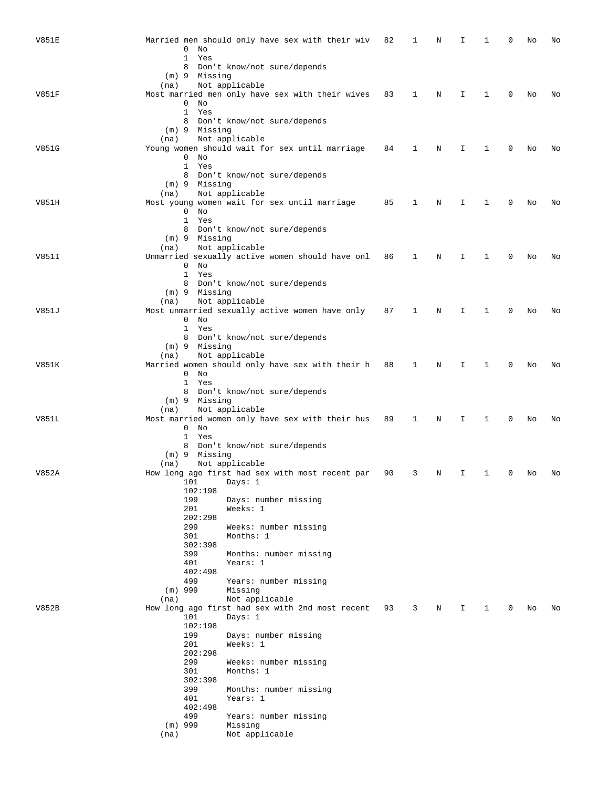| <b>V851E</b> |                                | Married men should only have sex with their wiv                   | 82 | 1 | N | I  | 1            | 0 | No | No |
|--------------|--------------------------------|-------------------------------------------------------------------|----|---|---|----|--------------|---|----|----|
|              | No<br>0                        |                                                                   |    |   |   |    |              |   |    |    |
|              | $\mathbf{1}$<br>Yes            | 8 Don't know/not sure/depends                                     |    |   |   |    |              |   |    |    |
|              | (m) 9 Missing                  |                                                                   |    |   |   |    |              |   |    |    |
|              | (na)                           | Not applicable                                                    |    |   |   |    |              |   |    |    |
| V851F        |                                | Most married men only have sex with their wives                   | 83 | 1 | Ν | I  | 1            | 0 | No | No |
|              | 0<br>No<br>$\mathbf{1}$<br>Yes |                                                                   |    |   |   |    |              |   |    |    |
|              |                                | 8 Don't know/not sure/depends                                     |    |   |   |    |              |   |    |    |
|              | (m) 9 Missing                  |                                                                   |    |   |   |    |              |   |    |    |
| V851G        | (na)                           | Not applicable<br>Young women should wait for sex until marriage  | 84 | 1 | Ν | I  | 1            | 0 | No | No |
|              | $0$ No                         |                                                                   |    |   |   |    |              |   |    |    |
|              | $\mathbf{1}$<br>Yes            |                                                                   |    |   |   |    |              |   |    |    |
|              |                                | 8 Don't know/not sure/depends                                     |    |   |   |    |              |   |    |    |
|              | (m) 9 Missing<br>(na)          | Not applicable                                                    |    |   |   |    |              |   |    |    |
| V851H        |                                | Most young women wait for sex until marriage                      | 85 | 1 | Ν | I  | 1            | 0 | No | No |
|              | $0$ No                         |                                                                   |    |   |   |    |              |   |    |    |
|              | $\mathbf{1}$<br>Yes            |                                                                   |    |   |   |    |              |   |    |    |
|              | $(m)$ 9 Missing                | 8 Don't know/not sure/depends                                     |    |   |   |    |              |   |    |    |
|              | (na)                           | Not applicable                                                    |    |   |   |    |              |   |    |    |
| V851I        |                                | Unmarried sexually active women should have onl                   | 86 | 1 | Ν | I. | 1            | 0 | No | No |
|              | $0$ No                         |                                                                   |    |   |   |    |              |   |    |    |
|              | $\mathbf{1}$<br>Yes            |                                                                   |    |   |   |    |              |   |    |    |
|              | (m) 9 Missing                  | 8 Don't know/not sure/depends                                     |    |   |   |    |              |   |    |    |
|              | (na)                           | Not applicable                                                    |    |   |   |    |              |   |    |    |
| V851J        |                                | Most unmarried sexually active women have only                    | 87 | 1 | Ν | I  | 1            | 0 | No | No |
|              | $0$ No<br>$\mathbf{1}$<br>Yes  |                                                                   |    |   |   |    |              |   |    |    |
|              |                                | 8 Don't know/not sure/depends                                     |    |   |   |    |              |   |    |    |
|              | (m) 9 Missing                  |                                                                   |    |   |   |    |              |   |    |    |
|              | (na)                           | Not applicable                                                    |    |   |   |    |              |   |    |    |
| V851K        | $0$ No                         | Married women should only have sex with their h                   | 88 | 1 | Ν | I  | 1            | 0 | No | No |
|              | $\mathbf{1}$<br>Yes            |                                                                   |    |   |   |    |              |   |    |    |
|              |                                | 8 Don't know/not sure/depends                                     |    |   |   |    |              |   |    |    |
|              | (m) 9 Missing                  |                                                                   |    |   |   |    |              |   |    |    |
| <b>V851L</b> | (na)                           | Not applicable<br>Most married women only have sex with their hus | 89 | 1 | Ν | I  | 1            | 0 | No | No |
|              | $0$ No                         |                                                                   |    |   |   |    |              |   |    |    |
|              | 1<br>Yes                       |                                                                   |    |   |   |    |              |   |    |    |
|              |                                | 8 Don't know/not sure/depends                                     |    |   |   |    |              |   |    |    |
|              | (m) 9 Missing<br>(na)          | Not applicable                                                    |    |   |   |    |              |   |    |    |
| V852A        |                                | How long ago first had sex with most recent par                   | 90 | 3 | Ν | I  | 1            | 0 | No | No |
|              | 101                            | Days: 1                                                           |    |   |   |    |              |   |    |    |
|              | 102:198                        |                                                                   |    |   |   |    |              |   |    |    |
|              | 199<br>201                     | Days: number missing<br>Weeks: 1                                  |    |   |   |    |              |   |    |    |
|              | 202:298                        |                                                                   |    |   |   |    |              |   |    |    |
|              | 299                            | Weeks: number missing                                             |    |   |   |    |              |   |    |    |
|              | 301                            | Months: 1                                                         |    |   |   |    |              |   |    |    |
|              | 302:398<br>399                 | Months: number missing                                            |    |   |   |    |              |   |    |    |
|              | 401                            | Years: 1                                                          |    |   |   |    |              |   |    |    |
|              | 402:498                        |                                                                   |    |   |   |    |              |   |    |    |
|              | 499                            | Years: number missing                                             |    |   |   |    |              |   |    |    |
|              | $(m)$ 999<br>(na)              | Missing<br>Not applicable                                         |    |   |   |    |              |   |    |    |
| V852B        |                                | How long ago first had sex with 2nd most recent                   | 93 | 3 | N | I. | $\mathbf{1}$ | 0 | No | No |
|              | 101                            | Days: $1$                                                         |    |   |   |    |              |   |    |    |
|              | 102:198<br>199                 |                                                                   |    |   |   |    |              |   |    |    |
|              | 201                            | Days: number missing<br>Weeks: 1                                  |    |   |   |    |              |   |    |    |
|              | 202:298                        |                                                                   |    |   |   |    |              |   |    |    |
|              | 299                            | Weeks: number missing                                             |    |   |   |    |              |   |    |    |
|              | 301<br>302:398                 | Months: 1                                                         |    |   |   |    |              |   |    |    |
|              | 399                            | Months: number missing                                            |    |   |   |    |              |   |    |    |
|              | 401                            | Years: 1                                                          |    |   |   |    |              |   |    |    |
|              | 402:498                        |                                                                   |    |   |   |    |              |   |    |    |
|              | 499<br>$(m)$ 999               | Years: number missing<br>Missing                                  |    |   |   |    |              |   |    |    |
|              | (na)                           | Not applicable                                                    |    |   |   |    |              |   |    |    |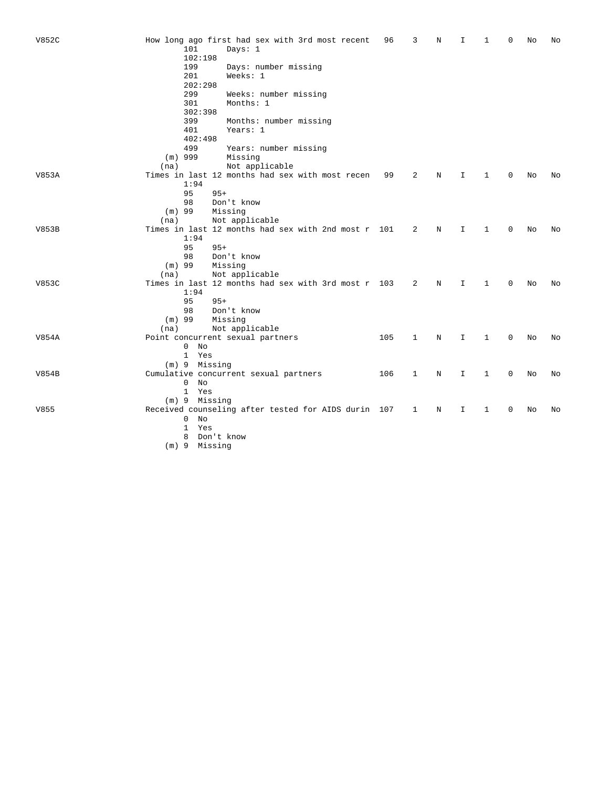| V852C | How long ago first had sex with 3rd most recent<br>101<br>Days: $1$<br>102:198 | 96  | 3 | N | I           | 1            | 0           | No | No |
|-------|--------------------------------------------------------------------------------|-----|---|---|-------------|--------------|-------------|----|----|
|       | 199<br>Days: number missing                                                    |     |   |   |             |              |             |    |    |
|       | Weeks: 1<br>201                                                                |     |   |   |             |              |             |    |    |
|       | 202:298                                                                        |     |   |   |             |              |             |    |    |
|       | 299<br>Weeks: number missing                                                   |     |   |   |             |              |             |    |    |
|       | 301<br>Months: 1                                                               |     |   |   |             |              |             |    |    |
|       | 302:398                                                                        |     |   |   |             |              |             |    |    |
|       | 399<br>Months: number missing                                                  |     |   |   |             |              |             |    |    |
|       | Years: 1<br>401                                                                |     |   |   |             |              |             |    |    |
|       | 402:498                                                                        |     |   |   |             |              |             |    |    |
|       | 499<br>Years: number missing                                                   |     |   |   |             |              |             |    |    |
|       | $(m)$ 999<br>Missing                                                           |     |   |   |             |              |             |    |    |
|       | Not applicable<br>(na)                                                         |     |   |   |             |              |             |    |    |
| V853A | Times in last 12 months had sex with most recen                                | 99  | 2 | N | I           | 1            | 0           | No | No |
|       | 1:94                                                                           |     |   |   |             |              |             |    |    |
|       | 95<br>$95+$                                                                    |     |   |   |             |              |             |    |    |
|       | 98<br>Don't know                                                               |     |   |   |             |              |             |    |    |
|       | $(m)$ 99<br>Missing                                                            |     |   |   |             |              |             |    |    |
|       | Not applicable<br>(na)                                                         |     |   |   |             |              |             |    |    |
| V853B | Times in last 12 months had sex with 2nd most r 101                            |     | 2 | N | I.          | 1            | $\Omega$    | No | No |
|       | 1:94                                                                           |     |   |   |             |              |             |    |    |
|       | 95<br>$95+$                                                                    |     |   |   |             |              |             |    |    |
|       | 98<br>Don't know                                                               |     |   |   |             |              |             |    |    |
|       | $(m)$ 99<br>Missing                                                            |     |   |   |             |              |             |    |    |
|       | (na)<br>Not applicable                                                         |     |   |   |             |              |             |    |    |
| V853C | Times in last 12 months had sex with 3rd most r 103                            |     | 2 | N | $\mathbf I$ | $\mathbf 1$  | $\Omega$    | No | No |
|       | 1:94                                                                           |     |   |   |             |              |             |    |    |
|       | 95<br>$95+$                                                                    |     |   |   |             |              |             |    |    |
|       | 98<br>Don't know                                                               |     |   |   |             |              |             |    |    |
|       | $(m)$ 99<br>Missing                                                            |     |   |   |             |              |             |    |    |
|       | Not applicable<br>(na)                                                         |     |   |   |             |              |             |    |    |
| V854A | Point concurrent sexual partners                                               | 105 | 1 | N | I           | 1            | $\mathbf 0$ | No | No |
|       | $0$ No                                                                         |     |   |   |             |              |             |    |    |
|       | 1 Yes                                                                          |     |   |   |             |              |             |    |    |
|       | (m) 9 Missing                                                                  |     |   |   |             |              |             |    |    |
| V854B | Cumulative concurrent sexual partners                                          | 106 | 1 | N | I           | $\mathbf{1}$ | $\mathbf 0$ | No | No |
|       | $\overline{0}$<br>No                                                           |     |   |   |             |              |             |    |    |
|       | 1 Yes                                                                          |     |   |   |             |              |             |    |    |
|       | (m) 9 Missing                                                                  |     |   |   |             |              |             |    |    |
| V855  | Received counseling after tested for AIDS durin 107                            |     | 1 | N | I           | 1            | 0           | No | No |
|       | $0$ No                                                                         |     |   |   |             |              |             |    |    |
|       | $\mathbf{1}$<br>Yes                                                            |     |   |   |             |              |             |    |    |
|       | 8 Don't know                                                                   |     |   |   |             |              |             |    |    |
|       | $(m)$ 9 Missing                                                                |     |   |   |             |              |             |    |    |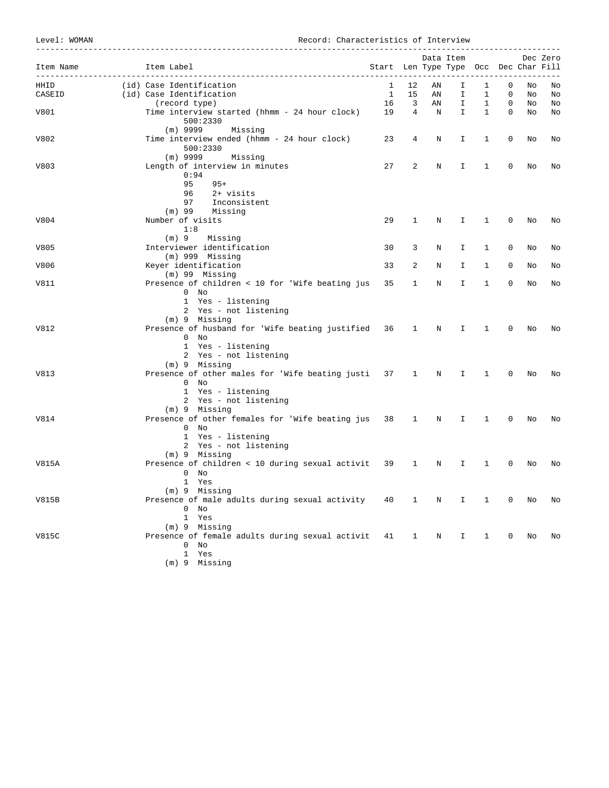Level: WOMAN Record: Characteristics of Interview

| Item Name | Item Label                                                                                                                                                                  | Start Len Type Type Occ Dec Char Fill |                          | Data Item  |              |              |              |    | Dec Zero |
|-----------|-----------------------------------------------------------------------------------------------------------------------------------------------------------------------------|---------------------------------------|--------------------------|------------|--------------|--------------|--------------|----|----------|
| HHID      | (id) Case Identification                                                                                                                                                    | 1                                     | 12                       | ΑN         | Ι.           | 1            | 0            | No | No       |
| CASEID    | (id) Case Identification                                                                                                                                                    | 1                                     | 15                       | AN         | I.           | $\mathbf{1}$ | 0            | No | No       |
|           | (record type)                                                                                                                                                               | 16                                    | $\overline{\phantom{a}}$ | AN         | Ι.           | $\mathbf{1}$ | 0            | No | No       |
| V801      | Time interview started (hhmm - 24 hour clock)<br>500:2330<br>$(m)$ 9999<br>Missing                                                                                          | 19                                    | $\overline{4}$           | $_{\rm N}$ | I.           | $\mathbf{1}$ | $\mathbf{0}$ | No | No       |
| V802      | Time interview ended (hhmm - 24 hour clock)<br>500:2330<br>$(m)$ 9999                                                                                                       | 23                                    | 4                        | N          | I.           | $\mathbf{1}$ | 0            | No | No       |
| V803      | Missing<br>Length of interview in minutes<br>0:94<br>95<br>$95+$<br>96<br>2+ visits<br>97 Inconsistent                                                                      | 27                                    | 2                        | N          | Ι.           | $\mathbf{1}$ | 0            | No | No       |
|           | (m) 99<br>Missing                                                                                                                                                           |                                       |                          |            |              |              |              |    |          |
| V804      | Number of visits<br>1:8                                                                                                                                                     | 29                                    | $\mathbf{1}$             | N          | Ι.           | $\mathbf{1}$ | 0            | No | No       |
| V805      | (m) 9<br>Missing<br>Interviewer identification<br>$(m)$ 999 Missing                                                                                                         | 30                                    | 3                        | N          | I.           | $\mathbf{1}$ | 0            | No | No       |
| V806      | Keyer identification<br>$(m)$ 99 Missing                                                                                                                                    | 33                                    | 2                        | N          | I.           | $\mathbf{1}$ | $\mathbf 0$  | No | No       |
| V811      | Presence of children < 10 for 'Wife beating jus<br>$0$ No                                                                                                                   | 35                                    | $\mathbf{1}$             | N          | Ι.           | $\mathbf{1}$ | 0            | No | No       |
| V812      | 1 Yes - listening<br>2 Yes - not listening<br>(m) 9 Missing<br>Presence of husband for 'Wife beating justified 36<br>$0$ No<br>1 Yes - listening<br>2 Yes - not listening   |                                       | $\mathbf{1}$             | N          | $\mathbf{I}$ | $\mathbf{1}$ | 0            | No | No       |
| V813      | $(m)$ 9 Missing<br>Presence of other males for 'Wife beating justi 37 1<br>$0$ No                                                                                           |                                       |                          | N          | Ι.           | 1            | 0            | No | No       |
| V814      | 1 Yes - listening<br>2 Yes - not listening<br>$(m)$ 9 Missing<br>Presence of other females for 'Wife beating jus 38<br>$0$ No<br>1 Yes - listening<br>2 Yes - not listening |                                       | $\mathbf{1}$             | N          | I.           | $\mathbf{1}$ | 0            | No | No       |
| V815A     | (m) 9 Missing<br>Presence of children < 10 during sexual activit 39<br>$0$ No<br>1 Yes                                                                                      |                                       | 1                        | N          | Ι.           | 1            | 0            | No | No       |
| V815B     | (m) 9 Missing<br>Presence of male adults during sexual activity<br>$0$ No<br>1 Yes                                                                                          | 40                                    | 1                        | Ν          | Ι            | 1            | 0            | No | No       |
| V815C     | (m) 9 Missing<br>Presence of female adults during sexual activit<br>$0$ No<br>1 Yes<br>$(m)$ 9 Missing                                                                      | 41                                    | 1                        | N          | Ι.           | 1            | 0            | No | No       |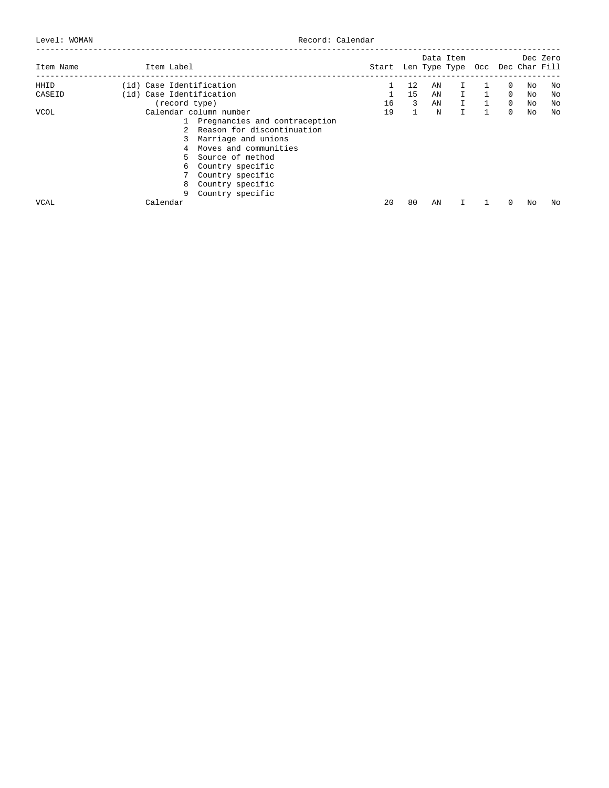Level: WOMAN Record: Calendar

|             |                          |                                 |                                       |     |    | Data Item    |                |                |    | Dec Zero |
|-------------|--------------------------|---------------------------------|---------------------------------------|-----|----|--------------|----------------|----------------|----|----------|
| Item Name   | Item Label               |                                 | Start Len Type Type Occ Dec Char Fill |     |    |              |                |                |    |          |
| HHID        | (id) Case Identification |                                 |                                       | 12. | AN | I.           |                | 0              | No | No       |
| CASEID      | (id) Case Identification |                                 |                                       | 15  | AN | $\mathbf{I}$ | $\overline{1}$ | $\Omega$       | No | No       |
|             | (record type)            |                                 | 16                                    | 3   | AN | $\mathbf{I}$ | $\overline{1}$ | $\overline{0}$ | No | No       |
| <b>VCOL</b> |                          | Calendar column number          | 19                                    |     | N  | $\mathbf{I}$ | $\mathbf{1}$   | $\Omega$       | No | No       |
|             |                          | 1 Pregnancies and contraception |                                       |     |    |              |                |                |    |          |
|             |                          | 2 Reason for discontinuation    |                                       |     |    |              |                |                |    |          |
|             |                          | 3 Marriage and unions           |                                       |     |    |              |                |                |    |          |
|             | 4                        | Moves and communities           |                                       |     |    |              |                |                |    |          |
|             | 5.                       | Source of method                |                                       |     |    |              |                |                |    |          |
|             | 6.                       | Country specific                |                                       |     |    |              |                |                |    |          |
|             |                          | Country specific                |                                       |     |    |              |                |                |    |          |
|             | 8                        | Country specific                |                                       |     |    |              |                |                |    |          |
|             | 9.                       | Country specific                |                                       |     |    |              |                |                |    |          |
| VCAL        | Calendar                 |                                 | 20                                    | 80  | AN |              |                | <sup>0</sup>   | No | Νo       |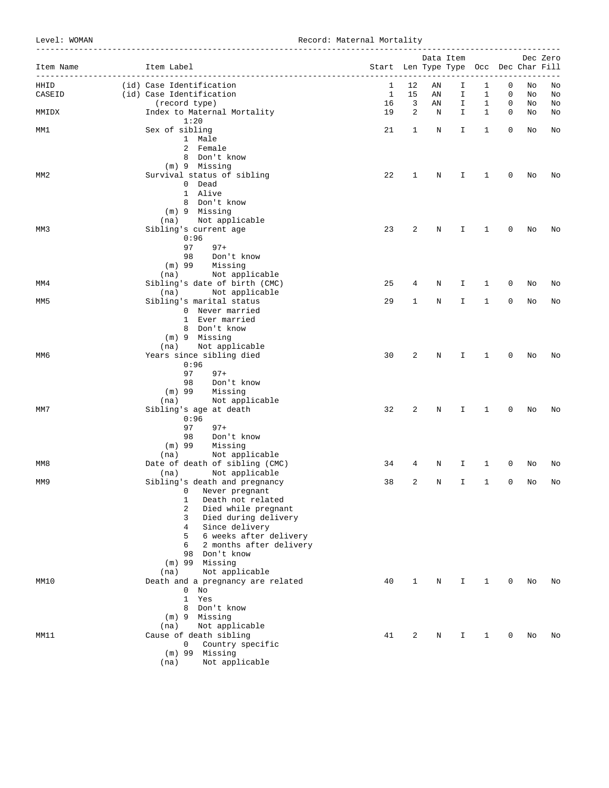Level: WOMAN Record: Maternal Mortality

| Item Name       | Item Label<br>_____________________________                 | Start Len Type Type Occ Dec Char Fill |        |         | Data Item |                   |                  |          | Dec Zero |
|-----------------|-------------------------------------------------------------|---------------------------------------|--------|---------|-----------|-------------------|------------------|----------|----------|
| HHID            | (id) Case Identification                                    | 1                                     | 12     | ΑN      | I         | 1                 | 0                | No       | No       |
| CASEID          | (id) Case Identification                                    | $\mathbf{1}$                          | 15     | ΑN      | I         | 1                 | 0                | No       | No       |
| MMIDX           | (record type)<br>Index to Maternal Mortality                | 16<br>19                              | 3<br>2 | AN<br>N | Ι<br>I.   | 1<br>$\mathbf{1}$ | 0<br>$\mathbf 0$ | No<br>No | No<br>No |
|                 | 1:20                                                        |                                       |        |         |           |                   |                  |          |          |
| MM1             | Sex of sibling                                              | 21                                    | 1      | N       | I         | 1                 | 0                | No       | No       |
|                 | 1 Male<br>2 Female                                          |                                       |        |         |           |                   |                  |          |          |
|                 | 8 Don't know                                                |                                       |        |         |           |                   |                  |          |          |
|                 | (m) 9 Missing                                               |                                       |        |         |           |                   |                  |          |          |
| MM <sub>2</sub> | Survival status of sibling                                  | 22                                    | 1      | Ν       | I         | 1                 | 0                | No       | No       |
|                 | 0 Dead<br>1 Alive                                           |                                       |        |         |           |                   |                  |          |          |
|                 | 8 Don't know                                                |                                       |        |         |           |                   |                  |          |          |
|                 | (m) 9 Missing                                               |                                       |        |         |           |                   |                  |          |          |
| MM3             | Not applicable<br>(na)<br>Sibling's current age             | 23                                    | 2      | Ν       | I         | 1                 | 0                | No       | No       |
|                 | 0:96                                                        |                                       |        |         |           |                   |                  |          |          |
|                 | 97<br>$97+$                                                 |                                       |        |         |           |                   |                  |          |          |
|                 | 98<br>Don't know                                            |                                       |        |         |           |                   |                  |          |          |
|                 | Missing<br>$(m)$ 99<br>Not applicable<br>(na)               |                                       |        |         |           |                   |                  |          |          |
| MM4             | Sibling's date of birth (CMC)                               | 25                                    | 4      | Ν       | I         | 1                 | 0                | No       | No       |
|                 | Not applicable<br>(na)                                      |                                       |        |         |           |                   |                  |          |          |
| MM <sub>5</sub> | Sibling's marital status<br>0 Never married                 | 29                                    | 1      | Ν       | I         | 1                 | 0                | No       | No       |
|                 | 1 Ever married                                              |                                       |        |         |           |                   |                  |          |          |
|                 | 8 Don't know                                                |                                       |        |         |           |                   |                  |          |          |
|                 | $(m)$ 9 Missing                                             |                                       |        |         |           |                   |                  |          |          |
| MM6             | Not applicable<br>(na)                                      | 30                                    | 2      | Ν       | I         | 1                 | 0                | No       | No       |
|                 | Years since sibling died<br>0:96                            |                                       |        |         |           |                   |                  |          |          |
|                 | 97<br>$97+$                                                 |                                       |        |         |           |                   |                  |          |          |
|                 | Don't know<br>98                                            |                                       |        |         |           |                   |                  |          |          |
|                 | Missing<br>$(m)$ 99<br>Not applicable<br>(na)               |                                       |        |         |           |                   |                  |          |          |
| MM7             | Sibling's age at death                                      | 32                                    | 2      | N       | I         | 1                 | 0                | No       | No       |
|                 | 0:96                                                        |                                       |        |         |           |                   |                  |          |          |
|                 | 97<br>$97+$                                                 |                                       |        |         |           |                   |                  |          |          |
|                 | 98<br>Don't know<br>$(m)$ 99<br>Missing                     |                                       |        |         |           |                   |                  |          |          |
|                 | Not applicable<br>(na)                                      |                                       |        |         |           |                   |                  |          |          |
| MM8             | Date of death of sibling (CMC)                              | 34                                    | 4      | Ν       | I         | 1                 | 0                | No       | No       |
|                 | Not applicable<br>(na)                                      |                                       |        |         |           |                   |                  |          |          |
| MM9             | Sibling's death and pregnancy<br>0 Never pregnant           | 38                                    | 2      | Ν       | I         | 1                 | 0                | No       | No       |
|                 | Death not related<br>1                                      |                                       |        |         |           |                   |                  |          |          |
|                 | 2<br>Died while pregnant                                    |                                       |        |         |           |                   |                  |          |          |
|                 | 3<br>Died during delivery                                   |                                       |        |         |           |                   |                  |          |          |
|                 | 4<br>Since delivery<br>6 weeks after delivery<br>5          |                                       |        |         |           |                   |                  |          |          |
|                 | б.<br>2 months after delivery                               |                                       |        |         |           |                   |                  |          |          |
|                 | 98 Don't know                                               |                                       |        |         |           |                   |                  |          |          |
|                 | $(m)$ 99 Missing                                            |                                       |        |         |           |                   |                  |          |          |
| MM10            | Not applicable<br>(na)<br>Death and a pregnancy are related | 40                                    | 1      | N       | I.        | 1                 | 0                | No       | No       |
|                 | $0$ No                                                      |                                       |        |         |           |                   |                  |          |          |
|                 | 1 Yes                                                       |                                       |        |         |           |                   |                  |          |          |
|                 | 8<br>Don't know                                             |                                       |        |         |           |                   |                  |          |          |
|                 | $(m)$ 9 Missing<br>Not applicable<br>(na)                   |                                       |        |         |           |                   |                  |          |          |
| MM11            | Cause of death sibling                                      | 41                                    | 2      | N       | I         | 1                 | 0                | No       | No       |
|                 | $\mathbf{0}$<br>Country specific                            |                                       |        |         |           |                   |                  |          |          |
|                 | $(m)$ 99 Missing                                            |                                       |        |         |           |                   |                  |          |          |
|                 | Not applicable<br>(na)                                      |                                       |        |         |           |                   |                  |          |          |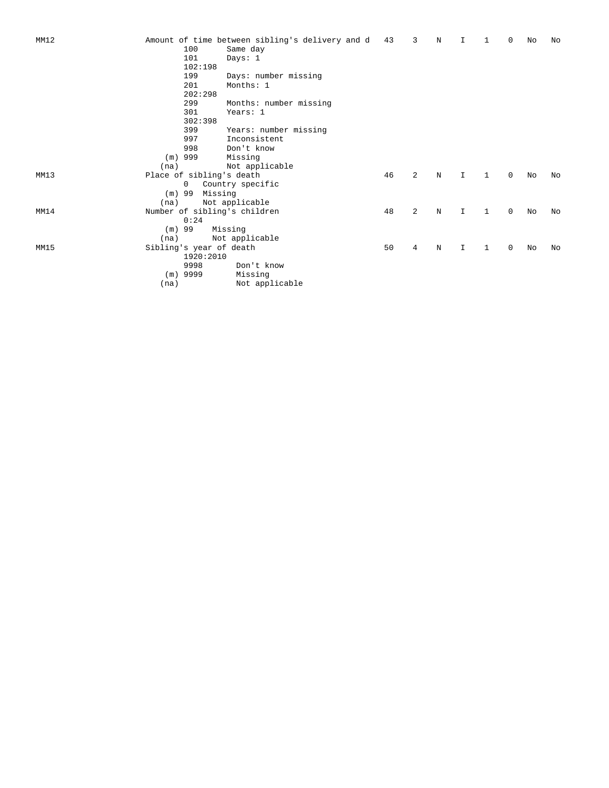| MM12 |                          | Amount of time between sibling's delivery and d | 43 | 3              | N | I           |              | $\Omega$    | No | No |
|------|--------------------------|-------------------------------------------------|----|----------------|---|-------------|--------------|-------------|----|----|
|      | 100                      | Same day                                        |    |                |   |             |              |             |    |    |
|      | 101                      | Days: $1$                                       |    |                |   |             |              |             |    |    |
|      | 102:198                  |                                                 |    |                |   |             |              |             |    |    |
|      | 199                      | Days: number missing                            |    |                |   |             |              |             |    |    |
|      | 201                      | Months: 1                                       |    |                |   |             |              |             |    |    |
|      | 202:298                  |                                                 |    |                |   |             |              |             |    |    |
|      | 299                      | Months: number missing                          |    |                |   |             |              |             |    |    |
|      | 301                      | Years: 1                                        |    |                |   |             |              |             |    |    |
|      | 302:398                  |                                                 |    |                |   |             |              |             |    |    |
|      | 399                      | Years: number missing                           |    |                |   |             |              |             |    |    |
|      | 997                      | Inconsistent                                    |    |                |   |             |              |             |    |    |
|      | 998                      | Don't know                                      |    |                |   |             |              |             |    |    |
|      | $(m)$ 999                | Missing                                         |    |                |   |             |              |             |    |    |
|      | (na)                     | Not applicable                                  |    |                |   |             |              |             |    |    |
| MM13 | Place of sibling's death |                                                 | 46 | $\overline{2}$ | N | I           | 1            | 0           | No | No |
|      | 0                        | Country specific                                |    |                |   |             |              |             |    |    |
|      | $(m)$ 99                 | Missing                                         |    |                |   |             |              |             |    |    |
|      | (na)                     | Not applicable                                  |    |                |   |             |              |             |    |    |
| MM14 |                          | Number of sibling's children                    | 48 | $\overline{2}$ | N | $\mathbf I$ | 1            | $\mathbf 0$ | No | No |
|      | 0:24                     |                                                 |    |                |   |             |              |             |    |    |
|      | $(m)$ 99                 | Missing                                         |    |                |   |             |              |             |    |    |
|      | (na)                     | Not applicable                                  |    |                |   |             |              |             |    |    |
| MM15 | Sibling's year of death  |                                                 | 50 | 4              | N | I           | $\mathbf{1}$ | 0           | No | No |
|      | 1920:2010                |                                                 |    |                |   |             |              |             |    |    |
|      | 9998                     | Don't know                                      |    |                |   |             |              |             |    |    |
|      | 9999<br>(m)              | Missing                                         |    |                |   |             |              |             |    |    |
|      | (na)                     | Not applicable                                  |    |                |   |             |              |             |    |    |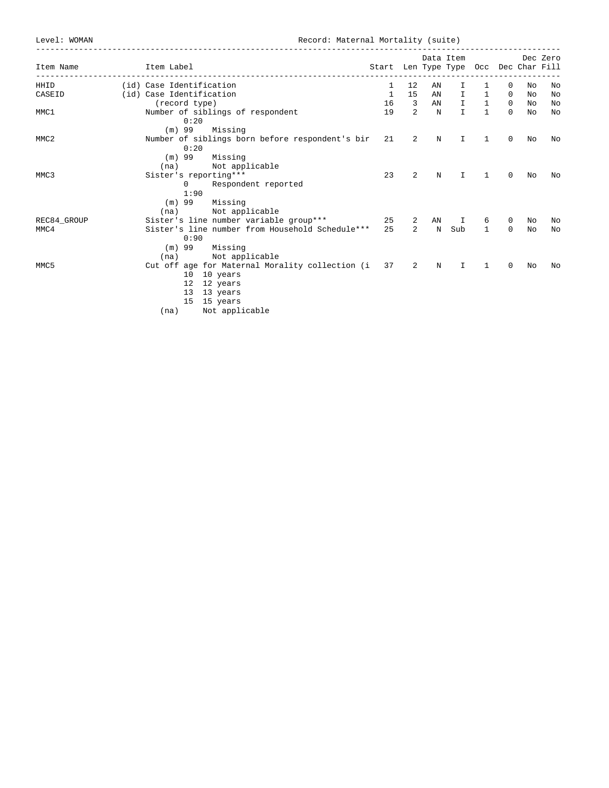Level: WOMAN Record: Maternal Mortality (suite)

| Item Name        | Item Label               |                                                                                                                                  |              |                          | Data Item | Start Len Type Type Occ Dec Char Fill |                                                                       |             |    | Dec Zero |
|------------------|--------------------------|----------------------------------------------------------------------------------------------------------------------------------|--------------|--------------------------|-----------|---------------------------------------|-----------------------------------------------------------------------|-------------|----|----------|
| HHID             | (id) Case Identification |                                                                                                                                  | 1            | 12                       | AN        | I.                                    | 1                                                                     | $\mathbf 0$ | No | No       |
| CASEID           | (id) Case Identification |                                                                                                                                  | $\mathbf{1}$ | 15                       | AN        |                                       | $I \qquad 1 \qquad 0$                                                 |             | No | No       |
|                  | (record type)            |                                                                                                                                  | 16           | $\overline{\phantom{a}}$ | AN        |                                       | $\begin{matrix} 1 & \hspace{1.5cm} 1 & \hspace{1.5cm} 0 \end{matrix}$ |             | No | No       |
| MMC1             | 0:20                     | Number of siblings of respondent                                                                                                 | 19           | 2                        | N         | $\mathbf{I}$                          | $\mathbf{1}$                                                          | $\Omega$    | No | No       |
|                  | $(m)$ 99                 | Missing                                                                                                                          |              |                          |           |                                       |                                                                       |             |    |          |
| MMC <sub>2</sub> | 0:20                     | Number of siblings born before respondent's bir 21                                                                               |              | 2                        | N         | $\mathbf I$                           | 1                                                                     | $\Omega$    | No | No       |
|                  | (m) 99                   | Missing                                                                                                                          |              |                          |           |                                       |                                                                       |             |    |          |
|                  |                          | (na) Not applicable                                                                                                              |              |                          |           |                                       |                                                                       |             |    |          |
| MMC3             | Sister's reporting***    |                                                                                                                                  | 23           | $\overline{2}$           | N         | $\mathbf I$                           | 1                                                                     | $\Omega$    | No | No       |
|                  | $\mathbf{0}$<br>1:90     | Respondent reported                                                                                                              |              |                          |           |                                       |                                                                       |             |    |          |
|                  | $(m)$ 99                 | Missing                                                                                                                          |              |                          |           |                                       |                                                                       |             |    |          |
|                  |                          | (na) Not applicable                                                                                                              |              |                          |           |                                       |                                                                       |             |    |          |
| REC84_GROUP      |                          | Sister's line number variable group*** 25                                                                                        |              | 2                        | AN        | I                                     | 6                                                                     | $\Omega$    | No | No       |
| MMC4             | 0:90                     | Sister's line number from Household Schedule***                                                                                  | 25           | $\overline{2}$           | N         | Sub                                   | $\mathbf{1}$                                                          | $\Omega$    | No | No       |
|                  |                          | (m) 99 Missing<br>(na) Not applicable                                                                                            |              |                          |           |                                       |                                                                       |             |    |          |
| MMC <sub>5</sub> | (na)                     | Cut off age for Maternal Morality collection (i 37<br>10 10 years<br>12 12 years<br>13 13 years<br>15 15 years<br>Not applicable |              | -2                       | N         | I                                     | 1                                                                     | $\Omega$    | No | NΩ       |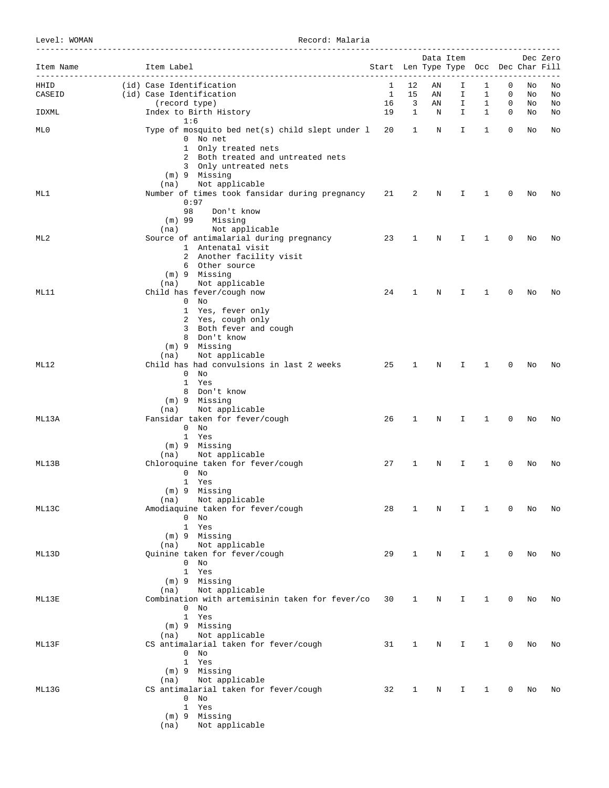Level: WOMAN Record: Malaria

| Item Name | Item Label<br>_______________________________                                                                                | Start Len Type Type Occ Dec Char Fill |                | Data Item |    |              |                |    | Dec Zero |
|-----------|------------------------------------------------------------------------------------------------------------------------------|---------------------------------------|----------------|-----------|----|--------------|----------------|----|----------|
| HHID      | (id) Case Identification                                                                                                     | 1                                     | 12             | ΑN        | I  | 1            | 0              | No | No       |
| CASEID    | (id) Case Identification                                                                                                     | $\mathbf{1}$                          | 15             | ΑN        | I  | 1            | 0              | No | No       |
|           | (record type)                                                                                                                | 16                                    | $\overline{3}$ | AN        | Ι. | $\mathbf{1}$ | 0              | No | No       |
| IDXML     | Index to Birth History<br>1:6                                                                                                | 19                                    | $\mathbf{1}$   | N         | Ι. | $\mathbf{1}$ | $\overline{0}$ | No | No       |
| ML0       | Type of mosquito bed net(s) child slept under 1 20<br>0 No net                                                               |                                       | 1              | N         | I. | 1            | 0              | No | No       |
|           | 1 Only treated nets<br>2 Both treated and untreated nets<br>3 Only untreated nets<br>(m) 9 Missing<br>Not applicable<br>(na) |                                       |                |           |    |              |                |    |          |
| ML1       | Number of times took fansidar during pregnancy 21<br>0:97<br>98<br>Don't know                                                |                                       | 2              | N         | I. | 1            | 0              | No | No       |
|           | Missing<br>(m) 99<br>Not applicable<br>(na)                                                                                  |                                       |                |           |    |              |                |    |          |
| ML 2      | Source of antimalarial during pregnancy 33                                                                                   |                                       | 1              | N         | I  | 1            | 0              | No | No       |
|           | 1 Antenatal visit<br>2 Another facility visit                                                                                |                                       |                |           |    |              |                |    |          |
|           | 6 Other source<br>$(m)$ 9 Missing<br>Not applicable<br>(na)                                                                  |                                       |                |           |    |              |                |    |          |
| ML11      | Child has fever/cough now                                                                                                    | 24                                    | $\mathbf{1}$   | N         | Ι. | 1            | 0              | No | No       |
|           | $0$ No<br>1 Yes, fever only                                                                                                  |                                       |                |           |    |              |                |    |          |
|           | 2 Yes, cough only                                                                                                            |                                       |                |           |    |              |                |    |          |
|           | 3 Both fever and cough                                                                                                       |                                       |                |           |    |              |                |    |          |
|           | 8 Don't know<br>(m) 9 Missing                                                                                                |                                       |                |           |    |              |                |    |          |
|           | Not applicable<br>(na)                                                                                                       |                                       |                |           |    |              |                |    |          |
| ML12      | Child has had convulsions in last 2 weeks<br>$0$ No                                                                          | 25                                    | $\mathbf{1}$   | N         | I  | 1            | 0              | No | No       |
|           | 1 Yes                                                                                                                        |                                       |                |           |    |              |                |    |          |
|           | 8 Don't know                                                                                                                 |                                       |                |           |    |              |                |    |          |
|           | (m) 9 Missing<br>Not applicable<br>(na)                                                                                      |                                       |                |           |    |              |                |    |          |
| ML13A     | Fansidar taken for fever/cough                                                                                               | 26                                    | 1              | N         | I  | 1            | $\mathbf 0$    | No | Νo       |
|           | $0$ No<br>1 Yes                                                                                                              |                                       |                |           |    |              |                |    |          |
|           | (m) 9 Missing                                                                                                                |                                       |                |           |    |              |                |    |          |
|           | Not applicable<br>(na)                                                                                                       |                                       |                |           |    |              |                |    |          |
| ML13B     | Chloroquine taken for fever/cough<br>$0$ No                                                                                  | 27                                    | 1              | Ν         | I  | 1            | 0              | No | Νo       |
|           | 1 Yes                                                                                                                        |                                       |                |           |    |              |                |    |          |
|           | (m) 9 Missing<br>(na) Not applicable                                                                                         |                                       |                |           |    |              |                |    |          |
| ML13C     | Amodiaquine taken for fever/cough                                                                                            | 28                                    | 1              | N         | I  | 1            | 0              | No | No       |
|           | $0$ No                                                                                                                       |                                       |                |           |    |              |                |    |          |
|           | 1 Yes<br>(m) 9 Missing                                                                                                       |                                       |                |           |    |              |                |    |          |
|           | Not applicable<br>(na)                                                                                                       |                                       |                |           |    |              |                |    |          |
| ML13D     | Quinine taken for fever/cough<br>$0$ No                                                                                      | 29                                    | 1              | N         | Ι. | 1            | 0              | No | No       |
|           | 1 Yes                                                                                                                        |                                       |                |           |    |              |                |    |          |
|           | (m) 9 Missing                                                                                                                |                                       |                |           |    |              |                |    |          |
| ML13E     | Not applicable<br>(na)<br>Combination with artemisinin taken for fever/co                                                    | 30                                    | 1              | Ν         | Ι  | 1            | 0              | No | No       |
|           | $\mathbf{0}$<br>No                                                                                                           |                                       |                |           |    |              |                |    |          |
|           | 1 Yes                                                                                                                        |                                       |                |           |    |              |                |    |          |
|           | (m) 9 Missing<br>Not applicable<br>(na)                                                                                      |                                       |                |           |    |              |                |    |          |
| ML13F     | CS antimalarial taken for fever/cough                                                                                        | 31                                    | 1              | N         | I  | 1            | 0              | No | No       |
|           | $0$ No                                                                                                                       |                                       |                |           |    |              |                |    |          |
|           | 1 Yes<br>(m) 9 Missing                                                                                                       |                                       |                |           |    |              |                |    |          |
|           | Not applicable<br>(na)                                                                                                       |                                       |                |           |    |              |                |    |          |
| ML13G     | CS antimalarial taken for fever/cough                                                                                        | 32                                    | 1              | N         | I  | 1            | 0              | No | No       |
|           | $0$ No<br>1 Yes                                                                                                              |                                       |                |           |    |              |                |    |          |
|           | (m) 9 Missing                                                                                                                |                                       |                |           |    |              |                |    |          |
|           | Not applicable<br>(na)                                                                                                       |                                       |                |           |    |              |                |    |          |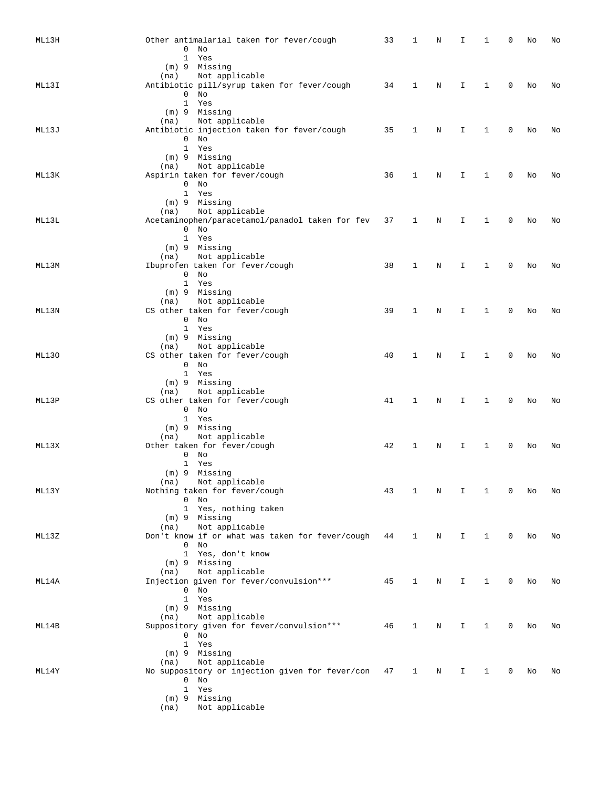|              |                                                    |    |              |   |    |              | 0           |    |    |
|--------------|----------------------------------------------------|----|--------------|---|----|--------------|-------------|----|----|
| ML13H        | Other antimalarial taken for fever/cough           | 33 | 1            | Ν | Ι  | 1            |             | No | No |
|              | 0<br>No                                            |    |              |   |    |              |             |    |    |
|              | 1 Yes                                              |    |              |   |    |              |             |    |    |
|              | (m) 9 Missing                                      |    |              |   |    |              |             |    |    |
|              | Not applicable<br>(na)                             |    |              |   |    |              |             |    |    |
| ML13I        | Antibiotic pill/syrup taken for fever/cough        | 34 | 1            | N | I. | 1            | $\mathbf 0$ | No | No |
|              | $0$ No                                             |    |              |   |    |              |             |    |    |
|              | 1 Yes                                              |    |              |   |    |              |             |    |    |
|              |                                                    |    |              |   |    |              |             |    |    |
|              | (m) 9 Missing                                      |    |              |   |    |              |             |    |    |
|              | Not applicable<br>(na)                             |    |              |   |    |              |             |    |    |
| ML13J        | Antibiotic injection taken for fever/cough         | 35 | 1            | Ν | I  | 1            | 0           | No | No |
|              | $0$ No                                             |    |              |   |    |              |             |    |    |
|              | 1 Yes                                              |    |              |   |    |              |             |    |    |
|              | (m) 9 Missing                                      |    |              |   |    |              |             |    |    |
|              | Not applicable<br>(na)                             |    |              |   |    |              |             |    |    |
|              |                                                    |    | 1            |   |    |              | 0           |    |    |
| ML13K        | Aspirin taken for fever/cough                      | 36 |              | N | I  | 1            |             | No | No |
|              | $0$ No                                             |    |              |   |    |              |             |    |    |
|              | 1 Yes                                              |    |              |   |    |              |             |    |    |
|              | (m) 9 Missing                                      |    |              |   |    |              |             |    |    |
|              | Not applicable<br>(na)                             |    |              |   |    |              |             |    |    |
| ML13L        | Acetaminophen/paracetamol/panadol taken for fev    | 37 | 1            | N | I  | 1            | 0           | No | No |
|              | $0$ No                                             |    |              |   |    |              |             |    |    |
|              |                                                    |    |              |   |    |              |             |    |    |
|              | 1 Yes                                              |    |              |   |    |              |             |    |    |
|              | (m) 9 Missing                                      |    |              |   |    |              |             |    |    |
|              | Not applicable<br>(na)                             |    |              |   |    |              |             |    |    |
| ML13M        | Ibuprofen taken for fever/cough                    | 38 | 1            | Ν | I  | 1            | 0           | No | No |
|              | $0$ No                                             |    |              |   |    |              |             |    |    |
|              | 1 Yes                                              |    |              |   |    |              |             |    |    |
|              |                                                    |    |              |   |    |              |             |    |    |
|              | (m) 9 Missing                                      |    |              |   |    |              |             |    |    |
|              | Not applicable<br>(na)                             |    |              |   |    |              |             |    |    |
| ML13N        | CS other taken for fever/cough                     | 39 | 1            | Ν | I  | 1            | 0           | No | No |
|              | $0$ No                                             |    |              |   |    |              |             |    |    |
|              | 1 Yes                                              |    |              |   |    |              |             |    |    |
|              | (m) 9 Missing                                      |    |              |   |    |              |             |    |    |
|              | Not applicable<br>(na)                             |    |              |   |    |              |             |    |    |
|              |                                                    | 40 |              |   |    |              | 0           |    |    |
| <b>ML130</b> | CS other taken for fever/cough                     |    | 1            | N | I  | 1            |             | No | No |
|              | $0$ No                                             |    |              |   |    |              |             |    |    |
|              | 1 Yes                                              |    |              |   |    |              |             |    |    |
|              | (m) 9 Missing                                      |    |              |   |    |              |             |    |    |
|              | Not applicable<br>(na)                             |    |              |   |    |              |             |    |    |
| ML13P        | CS other taken for fever/cough                     | 41 | 1            | N | I  | 1            | 0           | No | No |
|              | $0$ No                                             |    |              |   |    |              |             |    |    |
|              | 1 Yes                                              |    |              |   |    |              |             |    |    |
|              |                                                    |    |              |   |    |              |             |    |    |
|              | (m) 9 Missing                                      |    |              |   |    |              |             |    |    |
|              | Not applicable<br>(na)                             |    |              |   |    |              |             |    |    |
| ML13X        | Other taken for fever/cough                        | 42 | 1            | N | I  | 1            | 0           | No | No |
|              | $0$ No                                             |    |              |   |    |              |             |    |    |
|              | 1 Yes                                              |    |              |   |    |              |             |    |    |
|              | (m) 9 Missing                                      |    |              |   |    |              |             |    |    |
|              | Not applicable                                     |    |              |   |    |              |             |    |    |
|              | (na)                                               |    |              |   |    |              |             |    |    |
| ML13Y        | Nothing taken for fever/cough                      | 43 | 1            | Ν | I. | 1            | 0           | No | No |
|              | $0$ No                                             |    |              |   |    |              |             |    |    |
|              | 1 Yes, nothing taken                               |    |              |   |    |              |             |    |    |
|              | (m) 9 Missing                                      |    |              |   |    |              |             |    |    |
|              | Not applicable<br>(na)                             |    |              |   |    |              |             |    |    |
| ML13Z        | Don't know if or what was taken for fever/cough 44 |    | 1            | N | I  | 1            | 0           | No | No |
|              | $0$ No                                             |    |              |   |    |              |             |    |    |
|              |                                                    |    |              |   |    |              |             |    |    |
|              | 1 Yes, don't know                                  |    |              |   |    |              |             |    |    |
|              | $(m)$ 9 Missing                                    |    |              |   |    |              |             |    |    |
|              | Not applicable<br>(na)                             |    |              |   |    |              |             |    |    |
| ML14A        | Injection given for fever/convulsion ***           | 45 | 1            | N | I. | 1            | 0           | No | No |
|              | $0$ No                                             |    |              |   |    |              |             |    |    |
|              | 1 Yes                                              |    |              |   |    |              |             |    |    |
|              | $(m)$ 9 Missing                                    |    |              |   |    |              |             |    |    |
|              |                                                    |    |              |   |    |              |             |    |    |
|              | Not applicable<br>(na)                             |    |              |   |    |              |             |    |    |
| ML14B        | Suppository given for fever/convulsion ***         | 46 | $\mathbf{1}$ | N | I  | $\mathbf{1}$ | 0           | No | No |
|              | $0$ No                                             |    |              |   |    |              |             |    |    |
|              | 1 Yes                                              |    |              |   |    |              |             |    |    |
|              | (m) 9 Missing                                      |    |              |   |    |              |             |    |    |
|              | Not applicable<br>(na)                             |    |              |   |    |              |             |    |    |
| ML14Y        | No suppository or injection given for fever/con 47 |    | $\mathbf{1}$ | N | I. | $\mathbf{1}$ | 0           | No | No |
|              | $0$ No                                             |    |              |   |    |              |             |    |    |
|              |                                                    |    |              |   |    |              |             |    |    |
|              | 1 Yes                                              |    |              |   |    |              |             |    |    |
|              | $(m)$ 9 Missing                                    |    |              |   |    |              |             |    |    |
|              | Not applicable<br>(na)                             |    |              |   |    |              |             |    |    |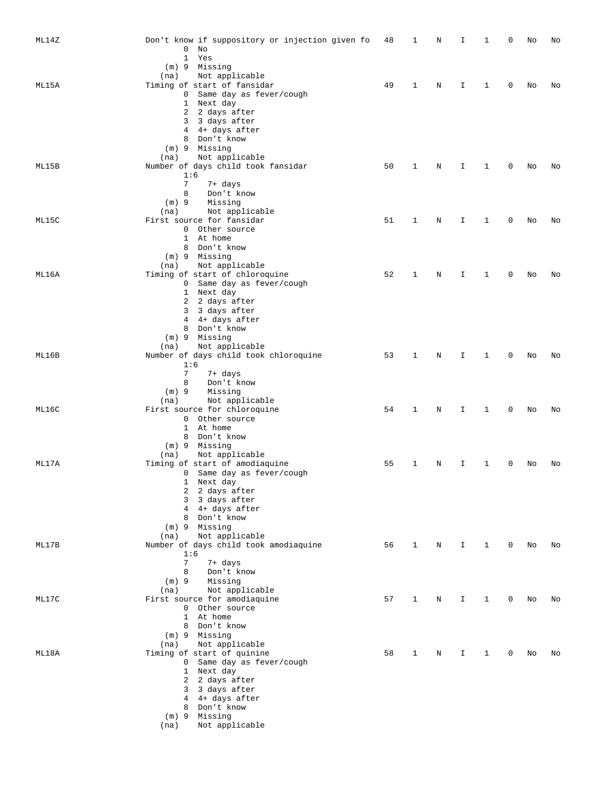| ML14Z | Don't know if suppository or injection given fo             | 48 | 1 | Ν | I  | 1 | 0 | No | No |
|-------|-------------------------------------------------------------|----|---|---|----|---|---|----|----|
|       | 0<br>No                                                     |    |   |   |    |   |   |    |    |
|       | $\mathbf{1}$<br>Yes                                         |    |   |   |    |   |   |    |    |
|       | $(m)$ 9 Missing                                             |    |   |   |    |   |   |    |    |
| ML15A | Not applicable<br>(na)<br>Timing of start of fansidar       | 49 | 1 | N | I  | 1 | 0 | No | No |
|       | 0 Same day as fever/cough                                   |    |   |   |    |   |   |    |    |
|       | Next day<br>$\mathbf{1}$                                    |    |   |   |    |   |   |    |    |
|       | 2 days after<br>2                                           |    |   |   |    |   |   |    |    |
|       | 3<br>3 days after                                           |    |   |   |    |   |   |    |    |
|       | 4 4+ days after                                             |    |   |   |    |   |   |    |    |
|       | 8 Don't know<br>$(m)$ 9<br>Missing                          |    |   |   |    |   |   |    |    |
|       | Not applicable<br>(na)                                      |    |   |   |    |   |   |    |    |
| ML15B | Number of days child took fansidar                          | 50 | 1 | N | I  | 1 | 0 | No | No |
|       | 1:6                                                         |    |   |   |    |   |   |    |    |
|       | 7<br>7+ days                                                |    |   |   |    |   |   |    |    |
|       | Don't know<br>8                                             |    |   |   |    |   |   |    |    |
|       | Missing<br>$(m)$ 9<br>Not applicable<br>(na)                |    |   |   |    |   |   |    |    |
| ML15C | First source for fansidar                                   | 51 | 1 | N | I  | 1 | 0 | No | No |
|       | 0 Other source                                              |    |   |   |    |   |   |    |    |
|       | $\mathbf{1}$<br>At home                                     |    |   |   |    |   |   |    |    |
|       | 8 Don't know                                                |    |   |   |    |   |   |    |    |
|       | (m) 9 Missing                                               |    |   |   |    |   |   |    |    |
|       | Not applicable<br>(na)                                      |    |   |   |    |   |   |    |    |
| ML16A | Timing of start of chloroquine<br>0 Same day as fever/cough | 52 | 1 | N | I  | 1 | 0 | No | No |
|       | Next day<br>$\mathbf{1}$                                    |    |   |   |    |   |   |    |    |
|       | 2 days after<br>2                                           |    |   |   |    |   |   |    |    |
|       | 3 days after<br>3                                           |    |   |   |    |   |   |    |    |
|       | 4 4+ days after                                             |    |   |   |    |   |   |    |    |
|       | 8 Don't know                                                |    |   |   |    |   |   |    |    |
|       | $(m)$ 9 Missing<br>Not applicable<br>(na)                   |    |   |   |    |   |   |    |    |
| ML16B | Number of days child took chloroquine                       | 53 | 1 | N | I  | 1 | 0 | No | No |
|       | 1:6                                                         |    |   |   |    |   |   |    |    |
|       | 7<br>7+ days                                                |    |   |   |    |   |   |    |    |
|       | 8<br>Don't know                                             |    |   |   |    |   |   |    |    |
|       | Missing<br>$(m)$ 9                                          |    |   |   |    |   |   |    |    |
| ML16C | Not applicable<br>(na)<br>First source for chloroquine      | 54 | 1 | Ν | I. | 1 | 0 | No | No |
|       | 0 Other source                                              |    |   |   |    |   |   |    |    |
|       | 1 At home                                                   |    |   |   |    |   |   |    |    |
|       | 8 Don't know                                                |    |   |   |    |   |   |    |    |
|       | Missing<br>$(m)$ 9                                          |    |   |   |    |   |   |    |    |
| ML17A | Not applicable<br>(na)<br>Timing of start of amodiaquine    | 55 | 1 | N | I  | 1 | 0 | No | No |
|       | 0 Same day as fever/cough                                   |    |   |   |    |   |   |    |    |
|       | 1<br>Next day                                               |    |   |   |    |   |   |    |    |
|       | 2<br>2 days after                                           |    |   |   |    |   |   |    |    |
|       | 3 days after<br>3                                           |    |   |   |    |   |   |    |    |
|       | 4 4+ days after                                             |    |   |   |    |   |   |    |    |
|       | 8 Don't know<br>$(m)$ 9 Missing                             |    |   |   |    |   |   |    |    |
|       | Not applicable<br>(na)                                      |    |   |   |    |   |   |    |    |
| ML17B | Number of days child took amodiaquine                       | 56 | 1 | N | I. | 1 | 0 | No | No |
|       | 1:6                                                         |    |   |   |    |   |   |    |    |
|       | 7<br>7+ days                                                |    |   |   |    |   |   |    |    |
|       | Don't know<br>8                                             |    |   |   |    |   |   |    |    |
|       | $(m)$ 9<br>Missing<br>Not applicable<br>(na)                |    |   |   |    |   |   |    |    |
| ML17C | First source for amodiaquine                                | 57 | 1 | N | I  | 1 | 0 | No | No |
|       | 0 Other source                                              |    |   |   |    |   |   |    |    |
|       | 1 At home                                                   |    |   |   |    |   |   |    |    |
|       | 8 Don't know                                                |    |   |   |    |   |   |    |    |
|       | (m) 9 Missing                                               |    |   |   |    |   |   |    |    |
| ML18A | Not applicable<br>(na)<br>Timing of start of quinine        | 58 | 1 | N | I  | 1 | 0 | No | No |
|       | Same day as fever/cough<br>$\mathbf{0}$                     |    |   |   |    |   |   |    |    |
|       | 1 Next day                                                  |    |   |   |    |   |   |    |    |
|       | 2 days after<br>2                                           |    |   |   |    |   |   |    |    |
|       | 3 days after<br>3                                           |    |   |   |    |   |   |    |    |
|       | 4+ days after<br>4<br>8 Don't know                          |    |   |   |    |   |   |    |    |
|       | Missing<br>$(m)$ 9                                          |    |   |   |    |   |   |    |    |
|       | Not applicable<br>(na)                                      |    |   |   |    |   |   |    |    |
|       |                                                             |    |   |   |    |   |   |    |    |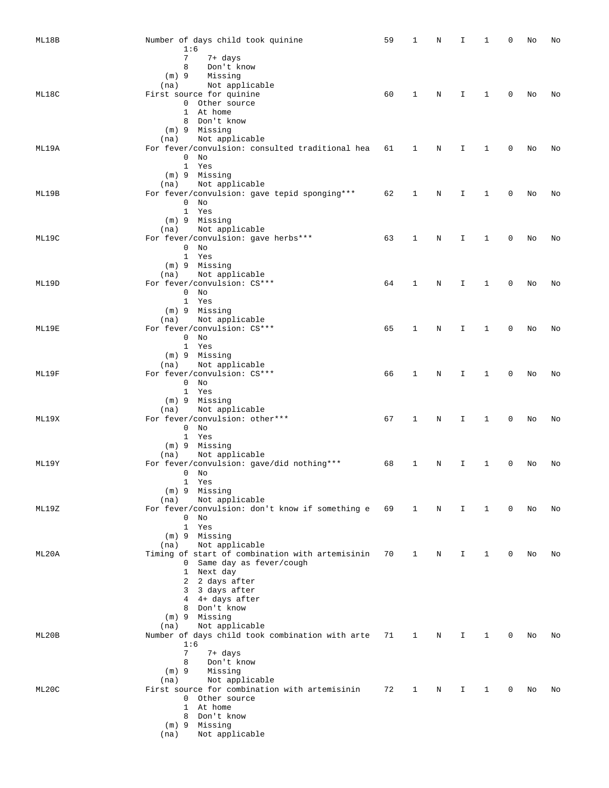| ML18B | Number of days child took quinine                         | 59 | 1            | N | I  | 1            | 0 | No | No |
|-------|-----------------------------------------------------------|----|--------------|---|----|--------------|---|----|----|
|       | 1:6                                                       |    |              |   |    |              |   |    |    |
|       | 7<br>7+ days                                              |    |              |   |    |              |   |    |    |
|       | 8<br>Don't know                                           |    |              |   |    |              |   |    |    |
|       | $(m)$ 9<br>Missing                                        |    |              |   |    |              |   |    |    |
|       | Not applicable<br>(na)                                    |    |              |   |    |              |   |    |    |
| ML18C | First source for quinine                                  | 60 | 1            | Ν | I  | 1            | 0 | No | No |
|       | 0 Other source<br>1 At home                               |    |              |   |    |              |   |    |    |
|       | 8 Don't know                                              |    |              |   |    |              |   |    |    |
|       | (m) 9 Missing                                             |    |              |   |    |              |   |    |    |
|       | Not applicable<br>(na)                                    |    |              |   |    |              |   |    |    |
| ML19A | For fever/convulsion: consulted traditional hea           | 61 | 1            | Ν | I  | 1            | 0 | No | No |
|       | $0$ No                                                    |    |              |   |    |              |   |    |    |
|       | 1 Yes                                                     |    |              |   |    |              |   |    |    |
|       | $(m)$ 9 Missing                                           |    |              |   |    |              |   |    |    |
|       | Not applicable<br>(na)                                    |    |              |   |    |              |   |    |    |
| ML19B | For fever/convulsion: gave tepid sponging***              | 62 | 1            | Ν | I. | 1            | 0 | No | No |
|       | $0$ No<br>1 Yes                                           |    |              |   |    |              |   |    |    |
|       | (m) 9 Missing                                             |    |              |   |    |              |   |    |    |
|       | Not applicable<br>(na)                                    |    |              |   |    |              |   |    |    |
| ML19C | For fever/convulsion: gave herbs***                       | 63 | 1            | Ν | I  | 1            | 0 | No | No |
|       | $0$ No                                                    |    |              |   |    |              |   |    |    |
|       | 1 Yes                                                     |    |              |   |    |              |   |    |    |
|       | (m) 9 Missing                                             |    |              |   |    |              |   |    |    |
|       | Not applicable<br>(na)                                    |    |              |   |    |              |   |    |    |
| ML19D | For fever/convulsion: CS***                               | 64 | 1            | N | I  | 1            | 0 | No | No |
|       | $0$ No                                                    |    |              |   |    |              |   |    |    |
|       | 1 Yes                                                     |    |              |   |    |              |   |    |    |
|       | (m) 9 Missing                                             |    |              |   |    |              |   |    |    |
| ML19E | Not applicable<br>(na)<br>For fever/convulsion: CS***     | 65 | 1            | Ν | I  | 1            | 0 | No | No |
|       | $0$ No                                                    |    |              |   |    |              |   |    |    |
|       | 1 Yes                                                     |    |              |   |    |              |   |    |    |
|       | (m) 9 Missing                                             |    |              |   |    |              |   |    |    |
|       | Not applicable<br>(na)                                    |    |              |   |    |              |   |    |    |
| ML19F | For fever/convulsion: CS***                               | 66 | 1            | Ν | I  | 1            | 0 | No | No |
|       | $0$ No                                                    |    |              |   |    |              |   |    |    |
|       | 1 Yes                                                     |    |              |   |    |              |   |    |    |
|       | (m) 9 Missing                                             |    |              |   |    |              |   |    |    |
|       | Not applicable<br>(na)                                    |    |              |   |    |              |   |    |    |
| ML19X | For fever/convulsion: other***<br>$0$ No                  | 67 | 1            | Ν | I. | 1            | 0 | No | No |
|       | 1 Yes                                                     |    |              |   |    |              |   |    |    |
|       | (m) 9 Missing                                             |    |              |   |    |              |   |    |    |
|       | Not applicable<br>(na)                                    |    |              |   |    |              |   |    |    |
| ML19Y | For fever/convulsion: gave/did nothing ***                | 68 | 1            | N | I  | 1            | 0 | No | No |
|       | $0$ No                                                    |    |              |   |    |              |   |    |    |
|       | 1 Yes                                                     |    |              |   |    |              |   |    |    |
|       | (m) 9 Missing                                             |    |              |   |    |              |   |    |    |
|       | Not applicable<br>(na)                                    |    |              |   |    |              |   |    |    |
| ML19Z | For fever/convulsion: don't know if something e 69        |    | 1            | N | Ι. | 1            | 0 | No | No |
|       | $0$ No<br>1 Yes                                           |    |              |   |    |              |   |    |    |
|       | (m) 9 Missing                                             |    |              |   |    |              |   |    |    |
|       | Not applicable<br>(na)                                    |    |              |   |    |              |   |    |    |
| ML20A | Timing of start of combination with artemisinin           | 70 | 1            | N | I  | 1            | 0 | No | No |
|       | 0 Same day as fever/cough                                 |    |              |   |    |              |   |    |    |
|       | 1 Next day                                                |    |              |   |    |              |   |    |    |
|       | 2 2 days after                                            |    |              |   |    |              |   |    |    |
|       | 3 3 days after                                            |    |              |   |    |              |   |    |    |
|       | 4 4+ days after                                           |    |              |   |    |              |   |    |    |
|       | 8 Don't know                                              |    |              |   |    |              |   |    |    |
|       | (m) 9 Missing                                             |    |              |   |    |              |   |    |    |
|       | Not applicable<br>(na)                                    |    |              |   |    |              | 0 |    |    |
| ML20B | Number of days child took combination with arte 71<br>1:6 |    | $\mathbf{1}$ | N | Ι. | $\mathbf{1}$ |   | No | No |
|       | 7<br>7+ days                                              |    |              |   |    |              |   |    |    |
|       | 8<br>Don't know                                           |    |              |   |    |              |   |    |    |
|       | $(m)$ 9<br>Missing                                        |    |              |   |    |              |   |    |    |
|       | Not applicable<br>(na)                                    |    |              |   |    |              |   |    |    |
| ML20C | First source for combination with artemisinin             | 72 | 1            | N | I. | $\mathbf{1}$ | 0 | No | No |
|       | 0 Other source                                            |    |              |   |    |              |   |    |    |
|       | 1 At home                                                 |    |              |   |    |              |   |    |    |
|       | 8 Don't know                                              |    |              |   |    |              |   |    |    |
|       | $(m)$ 9 Missing                                           |    |              |   |    |              |   |    |    |
|       | Not applicable<br>(na)                                    |    |              |   |    |              |   |    |    |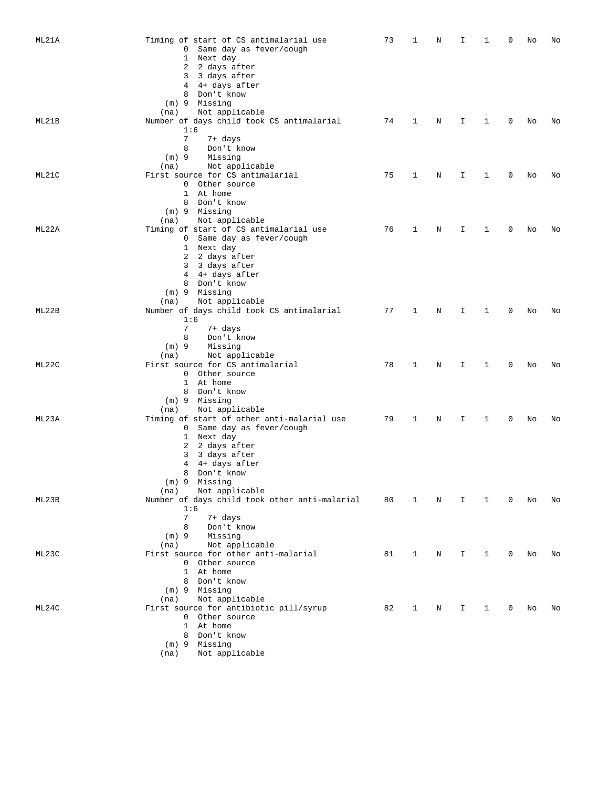| ML21A | Timing of start of CS antimalarial use<br>0 Same day as fever/cough<br>$\mathbf{1}$<br>Next day<br>2<br>2 days after<br>3<br>3 days after<br>4 4+ days after<br>8<br>Don't know | 73 | 1 | Ν | I  | 1            | 0 | No | No |
|-------|---------------------------------------------------------------------------------------------------------------------------------------------------------------------------------|----|---|---|----|--------------|---|----|----|
|       | (m) 9 Missing<br>Not applicable<br>(na)                                                                                                                                         |    |   |   |    |              |   |    |    |
| ML21B | Number of days child took CS antimalarial<br>1:6                                                                                                                                | 74 | 1 | Ν | I. | 1            | 0 | No | No |
|       | 7<br>7+ days                                                                                                                                                                    |    |   |   |    |              |   |    |    |
|       | Don't know<br>8<br>$(m)$ 9<br>Missing                                                                                                                                           |    |   |   |    |              |   |    |    |
|       | Not applicable<br>(na)                                                                                                                                                          |    |   |   |    |              |   |    |    |
| ML21C | First source for CS antimalarial<br>0 Other source                                                                                                                              | 75 | 1 | N | I. | 1            | 0 | No | No |
|       | 1 At home                                                                                                                                                                       |    |   |   |    |              |   |    |    |
|       | 8 Don't know<br>(m) 9 Missing                                                                                                                                                   |    |   |   |    |              |   |    |    |
|       | Not applicable<br>(na)                                                                                                                                                          |    |   |   |    |              |   |    |    |
| ML22A | Timing of start of CS antimalarial use                                                                                                                                          | 76 | 1 | Ν | I  | 1            | 0 | No | No |
|       | 0 Same day as fever/cough<br>1 Next day                                                                                                                                         |    |   |   |    |              |   |    |    |
|       | 2<br>2 days after                                                                                                                                                               |    |   |   |    |              |   |    |    |
|       | 3 3 days after                                                                                                                                                                  |    |   |   |    |              |   |    |    |
|       | 4 4+ days after<br>8 Don't know                                                                                                                                                 |    |   |   |    |              |   |    |    |
|       | (m) 9 Missing                                                                                                                                                                   |    |   |   |    |              |   |    |    |
| ML22B | Not applicable<br>(na)<br>Number of days child took CS antimalarial                                                                                                             | 77 | 1 | N | I  | 1            | 0 | No | No |
|       | 1:6                                                                                                                                                                             |    |   |   |    |              |   |    |    |
|       | 7<br>7+ days                                                                                                                                                                    |    |   |   |    |              |   |    |    |
|       | 8<br>Don't know<br>Missing<br>$(m)$ 9                                                                                                                                           |    |   |   |    |              |   |    |    |
|       | Not applicable<br>(na)                                                                                                                                                          |    |   |   |    |              |   |    |    |
| ML22C | First source for CS antimalarial<br>0 Other source                                                                                                                              | 78 | 1 | Ν | Ι  | 1            | 0 | No | No |
|       | At home<br>1                                                                                                                                                                    |    |   |   |    |              |   |    |    |
|       | Don't know<br>8                                                                                                                                                                 |    |   |   |    |              |   |    |    |
|       | (m) 9 Missing<br>Not applicable<br>(na)                                                                                                                                         |    |   |   |    |              |   |    |    |
| ML23A | Timing of start of other anti-malarial use                                                                                                                                      | 79 | 1 | Ν | Ι  | 1            | 0 | No | No |
|       | 0 Same day as fever/cough                                                                                                                                                       |    |   |   |    |              |   |    |    |
|       | Next day<br>$\mathbf{1}$<br>2 days after<br>2                                                                                                                                   |    |   |   |    |              |   |    |    |
|       | 3 days after<br>3                                                                                                                                                               |    |   |   |    |              |   |    |    |
|       | 4+ days after<br>4<br>8<br>Don't know                                                                                                                                           |    |   |   |    |              |   |    |    |
|       | (m) 9 Missing                                                                                                                                                                   |    |   |   |    |              |   |    |    |
|       | Not applicable<br>(na)                                                                                                                                                          |    |   |   |    |              |   |    |    |
| ML23B | Number of days child took other anti-malarial<br>1:6                                                                                                                            | 80 | 1 | Ν | Ι. | 1            | 0 | No | No |
|       | 7<br>7+ days                                                                                                                                                                    |    |   |   |    |              |   |    |    |
|       | 8<br>Don't know<br>Missing<br>$(m)$ 9                                                                                                                                           |    |   |   |    |              |   |    |    |
|       | Not applicable<br>(na)                                                                                                                                                          |    |   |   |    |              |   |    |    |
| ML23C | First source for other anti-malarial                                                                                                                                            | 81 | 1 | Ν | Ι. | $\mathbf{1}$ | 0 | No | No |
|       | 0 Other source<br>1 At home                                                                                                                                                     |    |   |   |    |              |   |    |    |
|       | 8 Don't know                                                                                                                                                                    |    |   |   |    |              |   |    |    |
|       | (m) 9 Missing                                                                                                                                                                   |    |   |   |    |              |   |    |    |
| ML24C | Not applicable<br>(na)<br>First source for antibiotic pill/syrup                                                                                                                | 82 | 1 | Ν | I. | 1            | 0 | No | No |
|       | 0 Other source                                                                                                                                                                  |    |   |   |    |              |   |    |    |
|       | 1 At home<br>8 Don't know                                                                                                                                                       |    |   |   |    |              |   |    |    |
|       | (m) 9 Missing                                                                                                                                                                   |    |   |   |    |              |   |    |    |
|       | Not applicable<br>(na)                                                                                                                                                          |    |   |   |    |              |   |    |    |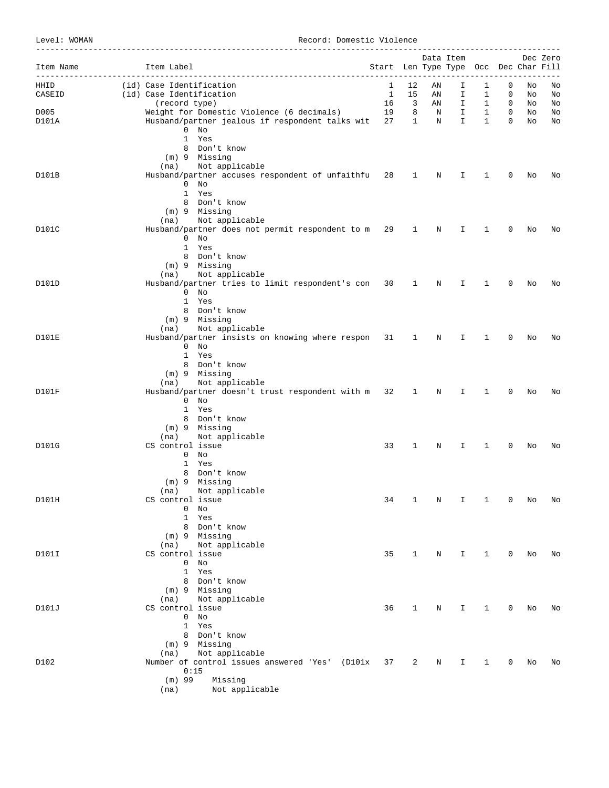Level: WOMAN Record: Domestic Violence

| Item Name<br>-------------- | Item Label                                                   | Start Len Type Type Occ Dec Char Fill |              | --------------- | Data Item    |              |             |    | Dec Zero |
|-----------------------------|--------------------------------------------------------------|---------------------------------------|--------------|-----------------|--------------|--------------|-------------|----|----------|
| HHID                        | (id) Case Identification                                     | 1                                     | 12           | ΑN              | I.           | 1            | 0           | No | No       |
| CASEID                      | (id) Case Identification                                     | 1                                     | 15           | AN              | I.           | 1            | 0           | No | No       |
|                             | (record type)                                                | 16                                    | 3            | AN              | Ι.           | $\mathbf{1}$ | 0           | No | No       |
| D005                        | Weight for Domestic Violence (6 decimals) 19                 |                                       | 8            | $\mathbf N$     | $\mathbf{I}$ | $\mathbf{1}$ | $\mathbf 0$ | No | No       |
| D101A                       | Husband/partner jealous if respondent talks wit 27<br>$0$ No |                                       | $\mathbf{1}$ | N               | I.           | $\mathbf{1}$ | $\mathbf 0$ | No | No       |
|                             | 1 Yes                                                        |                                       |              |                 |              |              |             |    |          |
|                             | 8 Don't know                                                 |                                       |              |                 |              |              |             |    |          |
|                             | (m) 9 Missing                                                |                                       |              |                 |              |              |             |    |          |
|                             | Not applicable<br>(na)                                       |                                       |              |                 |              |              |             |    |          |
| D101B                       | Husband/partner accuses respondent of unfaithfu 28           |                                       | 1            | N               | Ι.           | 1            | 0           | No | No       |
|                             | $0$ No                                                       |                                       |              |                 |              |              |             |    |          |
|                             | 1 Yes                                                        |                                       |              |                 |              |              |             |    |          |
|                             | 8 Don't know<br>(m) 9 Missing                                |                                       |              |                 |              |              |             |    |          |
|                             | Not applicable<br>(na)                                       |                                       |              |                 |              |              |             |    |          |
| D101C                       | Husband/partner does not permit respondent to m 29           |                                       | 1            | N               | Ι.           | 1            | 0           | No | No       |
|                             | $0$ No                                                       |                                       |              |                 |              |              |             |    |          |
|                             | 1 Yes                                                        |                                       |              |                 |              |              |             |    |          |
|                             | 8 Don't know                                                 |                                       |              |                 |              |              |             |    |          |
|                             | (m) 9 Missing                                                |                                       |              |                 |              |              |             |    |          |
|                             | Not applicable<br>(na)                                       |                                       |              |                 |              |              |             |    |          |
| D101D                       | Husband/partner tries to limit respondent's con 30<br>$0$ No |                                       | 1            | N               | I            | 1            | 0           | No | No       |
|                             | 1 Yes                                                        |                                       |              |                 |              |              |             |    |          |
|                             | 8 Don't know                                                 |                                       |              |                 |              |              |             |    |          |
|                             | (m) 9 Missing                                                |                                       |              |                 |              |              |             |    |          |
|                             | Not applicable<br>(na)                                       |                                       |              |                 |              |              |             |    |          |
| D101E                       | Husband/partner insists on knowing where respon 31           |                                       | $\mathbf{1}$ | N               | Ι.           | 1            | 0           | No | No       |
|                             | $0$ No                                                       |                                       |              |                 |              |              |             |    |          |
|                             | 1 Yes                                                        |                                       |              |                 |              |              |             |    |          |
|                             | 8 Don't know<br>(m) 9 Missing                                |                                       |              |                 |              |              |             |    |          |
|                             | Not applicable<br>(na)                                       |                                       |              |                 |              |              |             |    |          |
| D101F                       | Husband/partner doesn't trust respondent with m 32           |                                       | $\mathbf{1}$ | N               | I            | 1            | 0           | No | No       |
|                             | $0$ No                                                       |                                       |              |                 |              |              |             |    |          |
|                             | 1 Yes                                                        |                                       |              |                 |              |              |             |    |          |
|                             | 8 Don't know                                                 |                                       |              |                 |              |              |             |    |          |
|                             | (m) 9 Missing                                                |                                       |              |                 |              |              |             |    |          |
| D101G                       | Not applicable<br>(na)<br>CS control issue                   | 33                                    | 1            |                 |              | 1            | 0           |    | No       |
|                             | $0$ No                                                       |                                       |              | Ν               | I.           |              |             | No |          |
|                             | 1 Yes                                                        |                                       |              |                 |              |              |             |    |          |
|                             | 8 Don't know                                                 |                                       |              |                 |              |              |             |    |          |
|                             | (m) 9 Missing                                                |                                       |              |                 |              |              |             |    |          |
|                             | (na) Not applicable                                          |                                       |              |                 |              |              |             |    |          |
| D101H                       | CS control issue                                             | 34                                    | 1            | Ν               | Ι            | 1            | 0           | No | No       |
|                             | $0$ No<br>1 Yes                                              |                                       |              |                 |              |              |             |    |          |
|                             | 8 Don't know                                                 |                                       |              |                 |              |              |             |    |          |
|                             | (m) 9 Missing                                                |                                       |              |                 |              |              |             |    |          |
|                             | Not applicable<br>(na)                                       |                                       |              |                 |              |              |             |    |          |
| D101I                       | CS control issue                                             | 35                                    | $\mathbf 1$  | N               | I            | $\mathbf{1}$ | 0           | No | No       |
|                             | $0$ No                                                       |                                       |              |                 |              |              |             |    |          |
|                             | 1 Yes                                                        |                                       |              |                 |              |              |             |    |          |
|                             | 8 Don't know                                                 |                                       |              |                 |              |              |             |    |          |
|                             | (m) 9 Missing<br>Not applicable<br>(na)                      |                                       |              |                 |              |              |             |    |          |
| D101J                       | CS control issue                                             | 36                                    | 1            | N               | I.           | 1            | 0           | No | No       |
|                             | $0$ No                                                       |                                       |              |                 |              |              |             |    |          |
|                             | 1 Yes                                                        |                                       |              |                 |              |              |             |    |          |
|                             | 8 Don't know                                                 |                                       |              |                 |              |              |             |    |          |
|                             | (m) 9 Missing                                                |                                       |              |                 |              |              |             |    |          |
|                             | Not applicable<br>(na)                                       |                                       |              |                 |              |              |             |    |          |
| D102                        | Number of control issues answered 'Yes' (D101x               | 37                                    | 2            | N               | I            | 1            | 0           | No | No       |
|                             | 0:15<br>$(m)$ 99<br>Missing                                  |                                       |              |                 |              |              |             |    |          |
|                             | Not applicable<br>(na)                                       |                                       |              |                 |              |              |             |    |          |
|                             |                                                              |                                       |              |                 |              |              |             |    |          |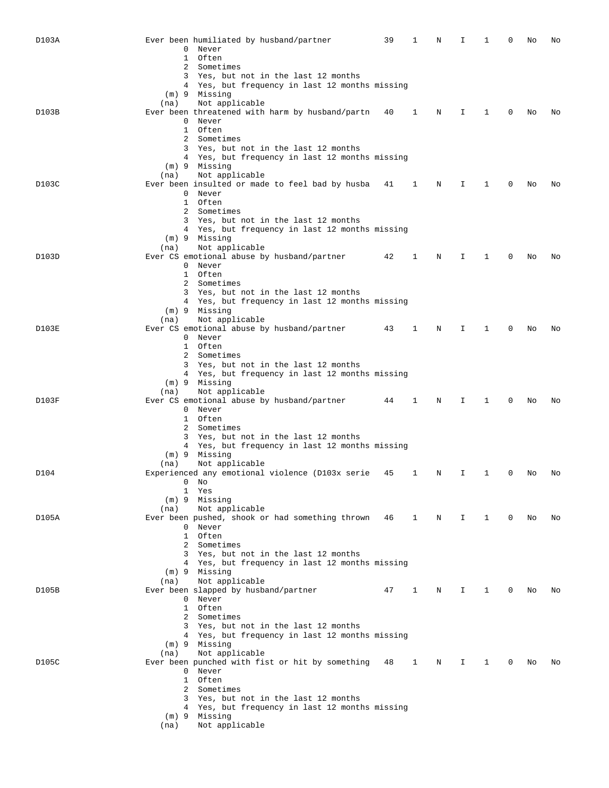| D103A | Ever been humiliated by husband/partner<br>0<br>Never<br>$\mathbf{1}$<br>Often                                                                                                                                                                         | 39 | 1 | N | I  | 1 | 0 | No | No |
|-------|--------------------------------------------------------------------------------------------------------------------------------------------------------------------------------------------------------------------------------------------------------|----|---|---|----|---|---|----|----|
|       | 2<br>Sometimes<br>3 Yes, but not in the last 12 months<br>4 Yes, but frequency in last 12 months missing<br>(m) 9 Missing                                                                                                                              |    |   |   |    |   |   |    |    |
| D103B | Not applicable<br>(na)<br>Ever been threatened with harm by husband/partn<br>0<br>Never<br>1 Often<br>2 Sometimes<br>3 Yes, but not in the last 12 months                                                                                              | 40 | 1 | Ν | I  | 1 | 0 | No | No |
|       | 4 Yes, but frequency in last 12 months missing<br>(m) 9 Missing<br>Not applicable<br>(na)                                                                                                                                                              |    |   |   |    |   |   |    |    |
| D103C | Ever been insulted or made to feel bad by husba<br>0 Never<br>1 Often<br>2 Sometimes<br>3 Yes, but not in the last 12 months<br>4 Yes, but frequency in last 12 months missing<br>(m) 9 Missing                                                        | 41 | 1 | N | I  | 1 | 0 | No | No |
| D103D | Not applicable<br>(na)<br>Ever CS emotional abuse by husband/partner                                                                                                                                                                                   | 42 | 1 | N | I  | 1 | 0 | No | No |
|       | 0 Never<br>1 Often<br>2 Sometimes<br>3 Yes, but not in the last 12 months<br>4 Yes, but frequency in last 12 months missing<br>(m) 9 Missing<br>Not applicable<br>(na)                                                                                 |    |   |   |    |   |   |    |    |
| D103E | Ever CS emotional abuse by husband/partner<br>0 Never                                                                                                                                                                                                  | 43 | 1 | Ν | I  | 1 | 0 | No | No |
|       | 1 Often<br>2 Sometimes<br>3 Yes, but not in the last 12 months<br>4 Yes, but frequency in last 12 months missing<br>(m) 9 Missing<br>Not applicable<br>(na)                                                                                            |    |   |   |    |   |   |    |    |
| D103F | Ever CS emotional abuse by husband/partner<br>0 Never<br>1 Often<br>2 Sometimes<br>3 Yes, but not in the last 12 months<br>4 Yes, but frequency in last 12 months missing<br>(m) 9 Missing                                                             | 44 | 1 | Ν | I  | 1 | 0 | No | No |
|       | Not applicable<br>(na)                                                                                                                                                                                                                                 |    |   |   |    |   |   |    |    |
| D104  | Experienced any emotional violence (D103x serie<br>0<br>No<br>1 Yes<br>$(m)$ 9 Missing                                                                                                                                                                 | 45 | 1 | Ν | I  | 1 | 0 | No | No |
| D105A | Not applicable<br>(na)<br>Ever been pushed, shook or had something thrown 46<br>0 Never<br>1 Often<br>2 Sometimes<br>3 Yes, but not in the last 12 months<br>4 Yes, but frequency in last 12 months missing<br>$(m)$ 9 Missing                         |    | 1 | N | I. | 1 | 0 | No | No |
| D105B | Not applicable<br>(na)<br>Ever been slapped by husband/partner<br>0 Never<br>1 Often<br>2 Sometimes<br>3 Yes, but not in the last 12 months<br>4 Yes, but frequency in last 12 months missing<br>$(m)$ 9 Missing                                       | 47 | 1 | N | I  | 1 | 0 | No | No |
| D105C | Not applicable<br>(na)<br>Ever been punched with fist or hit by something 48<br>0 Never<br>1 Often<br>2 Sometimes<br>3 Yes, but not in the last 12 months<br>4 Yes, but frequency in last 12 months missing<br>(m) 9 Missing<br>Not applicable<br>(na) |    | 1 | N | I  | 1 | 0 | No | No |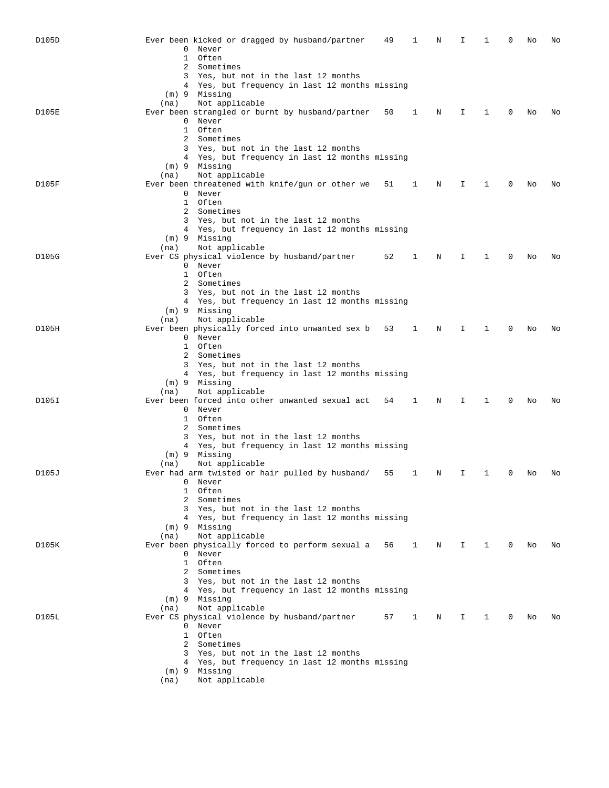| D105D | Ever been kicked or dragged by husband/partner<br>0<br>Never<br>1 Often                                                           | 49 | 1            | N | I  | 1            | 0            | No | No |
|-------|-----------------------------------------------------------------------------------------------------------------------------------|----|--------------|---|----|--------------|--------------|----|----|
|       | 2<br>Sometimes<br>3 Yes, but not in the last 12 months<br>4 Yes, but frequency in last 12 months missing<br>(m) 9 Missing         |    |              |   |    |              |              |    |    |
| D105E | Not applicable<br>(na)<br>Ever been strangled or burnt by husband/partner<br>$\mathbf{0}$<br>Never<br>1 Often                     | 50 | 1            | Ν | I  | 1            | 0            | No | No |
|       | 2 Sometimes<br>3 Yes, but not in the last 12 months<br>4 Yes, but frequency in last 12 months missing<br>(m) 9 Missing            |    |              |   |    |              |              |    |    |
| D105F | Not applicable<br>(na)<br>Ever been threatened with knife/gun or other we<br>0 Never<br>1 Often                                   | 51 | 1            | N | I  | 1            | 0            | No | No |
|       | 2 Sometimes<br>3 Yes, but not in the last 12 months<br>4 Yes, but frequency in last 12 months missing<br>(m) 9 Missing            |    |              |   |    |              |              |    |    |
| D105G | Not applicable<br>(na)<br>Ever CS physical violence by husband/partner                                                            | 52 | 1            | N | I  | 1            | 0            | No | No |
|       | 0 Never<br>1 Often<br>2 Sometimes                                                                                                 |    |              |   |    |              |              |    |    |
|       | 3 Yes, but not in the last 12 months<br>4 Yes, but frequency in last 12 months missing<br>(m) 9 Missing                           |    |              |   |    |              |              |    |    |
| D105H | Not applicable<br>(na)<br>Ever been physically forced into unwanted sex b                                                         | 53 | 1            | Ν | I  | 1            | 0            | No | No |
|       | 0 Never<br>1 Often<br>2 Sometimes                                                                                                 |    |              |   |    |              |              |    |    |
|       | 3 Yes, but not in the last 12 months<br>4 Yes, but frequency in last 12 months missing<br>(m) 9 Missing<br>Not applicable<br>(na) |    |              |   |    |              |              |    |    |
| D105I | Ever been forced into other unwanted sexual act<br>0 Never<br>1 Often<br>2 Sometimes                                              | 54 | 1            | N | I  | 1            | 0            | No | No |
|       | 3 Yes, but not in the last 12 months<br>4 Yes, but frequency in last 12 months missing<br>(m) 9 Missing                           |    |              |   |    |              |              |    |    |
| D105J | Not applicable<br>(na)<br>Ever had arm twisted or hair pulled by husband/                                                         | 55 | 1            | N | I  | 1            | 0            | No | No |
|       | 0<br>Never<br>1 Often<br>2 Sometimes<br>3 Yes, but not in the last 12 months                                                      |    |              |   |    |              |              |    |    |
|       | 4 Yes, but frequency in last 12 months missing<br>$(m)$ 9 Missing<br>Not applicable<br>(na)                                       |    |              |   |    |              |              |    |    |
| D105K | Ever been physically forced to perform sexual a<br>0 Never<br>1 Often                                                             | 56 | $\mathbf{1}$ | N | I. | $\mathbf{1}$ | $\mathbf{0}$ | No | No |
|       | 2 Sometimes<br>3 Yes, but not in the last 12 months<br>4 Yes, but frequency in last 12 months missing<br>(m) 9 Missing            |    |              |   |    |              |              |    |    |
| D105L | Not applicable<br>(na)<br>Ever CS physical violence by husband/partner                                                            | 57 | 1            | N | I. | $\mathbf{1}$ | $\mathbf{0}$ | No | No |
|       | 0 Never<br>1 Often<br>2 Sometimes                                                                                                 |    |              |   |    |              |              |    |    |
|       | 3 Yes, but not in the last 12 months<br>4 Yes, but frequency in last 12 months missing<br>$(m)$ 9 Missing                         |    |              |   |    |              |              |    |    |
|       | Not applicable<br>(na)                                                                                                            |    |              |   |    |              |              |    |    |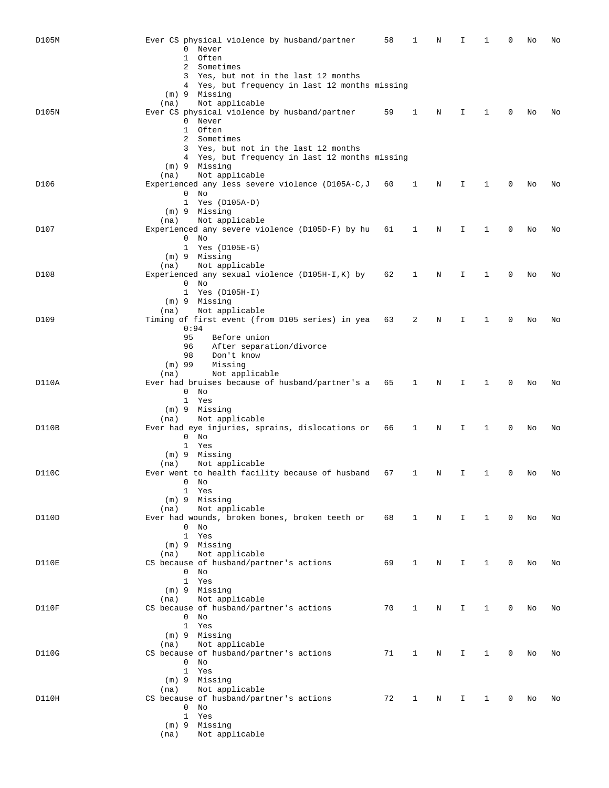| D105M | Ever CS physical violence by husband/partner                              | 58 | 1            | N | Ι  | 1            | 0           | No | No |
|-------|---------------------------------------------------------------------------|----|--------------|---|----|--------------|-------------|----|----|
|       | 0 Never                                                                   |    |              |   |    |              |             |    |    |
|       | $\mathbf{1}$<br>Often<br>2 Sometimes                                      |    |              |   |    |              |             |    |    |
|       | 3 Yes, but not in the last 12 months                                      |    |              |   |    |              |             |    |    |
|       | 4 Yes, but frequency in last 12 months missing<br>$(m)$ 9 Missing         |    |              |   |    |              |             |    |    |
|       | Not applicable<br>(na)                                                    |    |              |   |    |              |             |    |    |
| D105N | Ever CS physical violence by husband/partner                              | 59 | 1            | Ν | I  | 1            | 0           | No | No |
|       | 0 Never<br>1 Often                                                        |    |              |   |    |              |             |    |    |
|       | 2 Sometimes                                                               |    |              |   |    |              |             |    |    |
|       | 3 Yes, but not in the last 12 months                                      |    |              |   |    |              |             |    |    |
|       | 4 Yes, but frequency in last 12 months missing<br>(m) 9 Missing           |    |              |   |    |              |             |    |    |
|       | Not applicable<br>(na)                                                    |    |              |   |    |              |             |    |    |
| D106  | Experienced any less severe violence (D105A-C, J                          | 60 | 1            | Ν | I  | 1            | 0           | No | No |
|       | $0$ No                                                                    |    |              |   |    |              |             |    |    |
|       | 1 Yes (D105A-D)<br>(m) 9 Missing                                          |    |              |   |    |              |             |    |    |
|       | Not applicable<br>(na)                                                    |    |              |   |    |              |             |    |    |
| D107  | Experienced any severe violence (D105D-F) by hu                           | 61 | 1            | N | I  | 1            | 0           | No | No |
|       | $0$ No<br>$1$ Yes ( $D105E-G$ )                                           |    |              |   |    |              |             |    |    |
|       | $(m)$ 9 Missing                                                           |    |              |   |    |              |             |    |    |
|       | Not applicable<br>(na)                                                    |    |              |   |    |              |             |    |    |
| D108  | Experienced any sexual violence (D105H-I, K) by<br>$0$ No                 | 62 | 1            | Ν | I  | 1            | 0           | No | No |
|       | $1$ Yes (D105H-I)                                                         |    |              |   |    |              |             |    |    |
|       | (m) 9 Missing                                                             |    |              |   |    |              |             |    |    |
| D109  | Not applicable<br>(na)<br>Timing of first event (from D105 series) in yea | 63 | 2            | Ν | I  | 1            | 0           | No | No |
|       | 0:94                                                                      |    |              |   |    |              |             |    |    |
|       | 95<br>Before union                                                        |    |              |   |    |              |             |    |    |
|       | After separation/divorce<br>96<br>98<br>Don't know                        |    |              |   |    |              |             |    |    |
|       | Missing<br>$(m)$ 99                                                       |    |              |   |    |              |             |    |    |
|       | Not applicable<br>(na)                                                    |    |              |   |    |              |             |    |    |
| D110A | Ever had bruises because of husband/partner's a<br>$0$ No                 | 65 | 1            | N | I  | 1            | 0           | No | No |
|       | 1 Yes                                                                     |    |              |   |    |              |             |    |    |
|       | $(m)$ 9 Missing                                                           |    |              |   |    |              |             |    |    |
| D110B | Not applicable<br>(na)<br>Ever had eye injuries, sprains, dislocations or | 66 | 1            | N | I  | 1            | 0           | No | No |
|       | $0$ No                                                                    |    |              |   |    |              |             |    |    |
|       | 1 Yes                                                                     |    |              |   |    |              |             |    |    |
|       | (m) 9 Missing<br>Not applicable<br>(na)                                   |    |              |   |    |              |             |    |    |
| D110C | Ever went to health facility because of husband                           | 67 | 1            | Ν | I  | 1            | 0           | No | No |
|       | $0$ No                                                                    |    |              |   |    |              |             |    |    |
|       | 1 Yes<br>(m) 9 Missing                                                    |    |              |   |    |              |             |    |    |
|       | Not applicable<br>(na)                                                    |    |              |   |    |              |             |    |    |
| D110D | Ever had wounds, broken bones, broken teeth or 68                         |    | $\mathbf{1}$ | N | Ι. | $\mathbf{1}$ | $\mathbf 0$ | No | No |
|       | $0$ No<br>1 Yes                                                           |    |              |   |    |              |             |    |    |
|       | $(m)$ 9 Missing                                                           |    |              |   |    |              |             |    |    |
|       | Not applicable<br>(na)<br>CS because of husband/partner's actions         |    |              |   |    |              |             |    |    |
| D110E | $0$ No                                                                    | 69 | 1            | N | I  | $\mathbf{1}$ | 0           | No | No |
|       | 1 Yes                                                                     |    |              |   |    |              |             |    |    |
|       | $(m)$ 9 Missing<br>Not applicable<br>(na)                                 |    |              |   |    |              |             |    |    |
| D110F | CS because of husband/partner's actions                                   | 70 | 1            | N | I  | 1            | 0           | No | No |
|       | $0$ No                                                                    |    |              |   |    |              |             |    |    |
|       | 1 Yes                                                                     |    |              |   |    |              |             |    |    |
|       | (m) 9 Missing<br>Not applicable<br>(na)                                   |    |              |   |    |              |             |    |    |
| D110G | CS because of husband/partner's actions                                   | 71 | 1            | N | I. | 1            | 0           | No | No |
|       | $0$ No<br>1 Yes                                                           |    |              |   |    |              |             |    |    |
|       | $(m)$ 9 Missing                                                           |    |              |   |    |              |             |    |    |
|       | Not applicable<br>(na)                                                    |    |              |   |    |              |             |    |    |
| D110H | CS because of husband/partner's actions<br>$0$ No                         | 72 | $\mathbf{1}$ | N | I  | $\mathbf{1}$ | 0           | No | No |
|       | 1 Yes                                                                     |    |              |   |    |              |             |    |    |
|       | $(m)$ 9 Missing                                                           |    |              |   |    |              |             |    |    |
|       | Not applicable<br>(na)                                                    |    |              |   |    |              |             |    |    |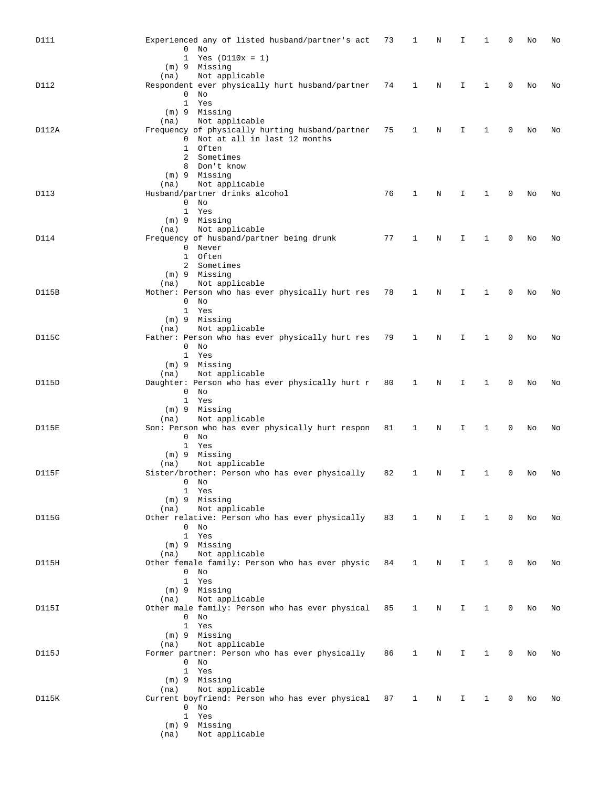| D111  | Experienced any of listed husband/partner's act     | 73 | 1            | Ν          | I            | 1            | 0           | No | No |
|-------|-----------------------------------------------------|----|--------------|------------|--------------|--------------|-------------|----|----|
|       | No<br>0                                             |    |              |            |              |              |             |    |    |
|       |                                                     |    |              |            |              |              |             |    |    |
|       | $\mathbf{1}$<br>Yes $(D110x = 1)$                   |    |              |            |              |              |             |    |    |
|       | $(m)$ 9 Missing                                     |    |              |            |              |              |             |    |    |
|       | Not applicable<br>(na)                              |    |              |            |              |              |             |    |    |
| D112  | Respondent ever physically hurt husband/partner     | 74 | 1            | Ν          | I            | 1            | 0           | No | No |
|       | $0$ No                                              |    |              |            |              |              |             |    |    |
|       | 1 Yes                                               |    |              |            |              |              |             |    |    |
|       | $(m)$ 9 Missing                                     |    |              |            |              |              |             |    |    |
|       | Not applicable<br>(na)                              |    |              |            |              |              |             |    |    |
| D112A | Frequency of physically hurting husband/partner     | 75 | 1            | Ν          | I            | 1            | 0           | No | No |
|       | 0 Not at all in last 12 months                      |    |              |            |              |              |             |    |    |
|       | 1 Often                                             |    |              |            |              |              |             |    |    |
|       | 2 Sometimes                                         |    |              |            |              |              |             |    |    |
|       |                                                     |    |              |            |              |              |             |    |    |
|       | 8 Don't know                                        |    |              |            |              |              |             |    |    |
|       | (m) 9 Missing                                       |    |              |            |              |              |             |    |    |
|       | Not applicable<br>(na)                              |    |              |            |              |              |             |    |    |
| D113  | Husband/partner drinks alcohol                      | 76 | 1            | Ν          | I            | 1            | 0           | No | No |
|       | $0$ No                                              |    |              |            |              |              |             |    |    |
|       | 1 Yes                                               |    |              |            |              |              |             |    |    |
|       | $(m)$ 9 Missing                                     |    |              |            |              |              |             |    |    |
|       | Not applicable<br>(na)                              |    |              |            |              |              |             |    |    |
|       |                                                     |    |              |            |              |              |             |    |    |
| D114  | Frequency of husband/partner being drunk            | 77 | 1            | Ν          | I            | 1            | 0           | No | No |
|       | 0 Never                                             |    |              |            |              |              |             |    |    |
|       | 1 Often                                             |    |              |            |              |              |             |    |    |
|       | 2 Sometimes                                         |    |              |            |              |              |             |    |    |
|       | (m) 9 Missing                                       |    |              |            |              |              |             |    |    |
|       | Not applicable<br>(na)                              |    |              |            |              |              |             |    |    |
| D115B | Mother: Person who has ever physically hurt res     | 78 | 1            | Ν          | I            | 1            | 0           | No | No |
|       | $0$ No                                              |    |              |            |              |              |             |    |    |
|       | 1<br>Yes                                            |    |              |            |              |              |             |    |    |
|       |                                                     |    |              |            |              |              |             |    |    |
|       | $(m)$ 9 Missing                                     |    |              |            |              |              |             |    |    |
|       | Not applicable<br>(na)                              |    |              |            |              |              |             |    |    |
| D115C | Father: Person who has ever physically hurt res     | 79 | 1            | N          | I            | 1            | 0           | No | No |
|       | 0<br>No                                             |    |              |            |              |              |             |    |    |
|       | 1 Yes                                               |    |              |            |              |              |             |    |    |
|       | (m) 9 Missing                                       |    |              |            |              |              |             |    |    |
|       | Not applicable<br>(na)                              |    |              |            |              |              |             |    |    |
| D115D | Daughter: Person who has ever physically hurt r     | 80 | 1            | Ν          | I            | 1            | 0           | No | No |
|       | $0$ No                                              |    |              |            |              |              |             |    |    |
|       | 1 Yes                                               |    |              |            |              |              |             |    |    |
|       |                                                     |    |              |            |              |              |             |    |    |
|       | (m) 9 Missing                                       |    |              |            |              |              |             |    |    |
|       | Not applicable<br>(na)                              |    |              |            |              |              |             |    |    |
| D115E | Son: Person who has ever physically hurt respon     | 81 | 1            | Ν          | I            | 1            | 0           | No | No |
|       | 0<br>No                                             |    |              |            |              |              |             |    |    |
|       | 1 Yes                                               |    |              |            |              |              |             |    |    |
|       | (m) 9 Missing                                       |    |              |            |              |              |             |    |    |
|       | Not applicable<br>(na)                              |    |              |            |              |              |             |    |    |
| D115F | Sister/brother: Person who has ever physically      | 82 | 1            | Ν          | Ι            | 1            | 0           | No | No |
|       | $0$ No                                              |    |              |            |              |              |             |    |    |
|       | 1 Yes                                               |    |              |            |              |              |             |    |    |
|       | $(m)$ 9 Missing                                     |    |              |            |              |              |             |    |    |
|       |                                                     |    |              |            |              |              |             |    |    |
|       | (na) Not applicable                                 |    |              |            |              |              |             |    |    |
| D115G | Other relative: Person who has ever physically 83 1 |    |              | $_{\rm N}$ | $\mathbf{I}$ | 1            | $\mathbf 0$ | No | No |
|       | $0$ No                                              |    |              |            |              |              |             |    |    |
|       | 1 Yes                                               |    |              |            |              |              |             |    |    |
|       | (m) 9 Missing                                       |    |              |            |              |              |             |    |    |
|       | (na) Not applicable                                 |    |              |            |              |              |             |    |    |
| D115H | Other female family: Person who has ever physic 84  |    | $\mathbf{1}$ | N          | I.           | 1            | 0           | No | No |
|       | $0$ No                                              |    |              |            |              |              |             |    |    |
|       | 1 Yes                                               |    |              |            |              |              |             |    |    |
|       | (m) 9 Missing                                       |    |              |            |              |              |             |    |    |
|       | (na) Not applicable                                 |    |              |            |              |              |             |    |    |
|       |                                                     |    |              |            |              |              |             |    |    |
| D115I | Other male family: Person who has ever physical 85  |    | $\mathbf{1}$ | N          | I.           | $\mathbf{1}$ | 0           | No | No |
|       | $0$ No                                              |    |              |            |              |              |             |    |    |
|       | 1 Yes                                               |    |              |            |              |              |             |    |    |
|       | (m) 9 Missing                                       |    |              |            |              |              |             |    |    |
|       | (na) Not applicable                                 |    |              |            |              |              |             |    |    |
| D115J | Former partner: Person who has ever physically 86   |    | $\mathbf{1}$ | N          | I.           | $\mathbf{1}$ | 0           | No | No |
|       | $0$ No                                              |    |              |            |              |              |             |    |    |
|       | 1 Yes                                               |    |              |            |              |              |             |    |    |
|       | (m) 9 Missing                                       |    |              |            |              |              |             |    |    |
|       | (na) Not applicable                                 |    |              |            |              |              |             |    |    |
| D115K | Current boyfriend: Person who has ever physical 87  |    | $\mathbf{1}$ | N          | Ι.           | 1            | 0           | No | No |
|       | $0$ No                                              |    |              |            |              |              |             |    |    |
|       |                                                     |    |              |            |              |              |             |    |    |
|       | 1 Yes                                               |    |              |            |              |              |             |    |    |
|       | (m) 9 Missing                                       |    |              |            |              |              |             |    |    |
|       | (na) Not applicable                                 |    |              |            |              |              |             |    |    |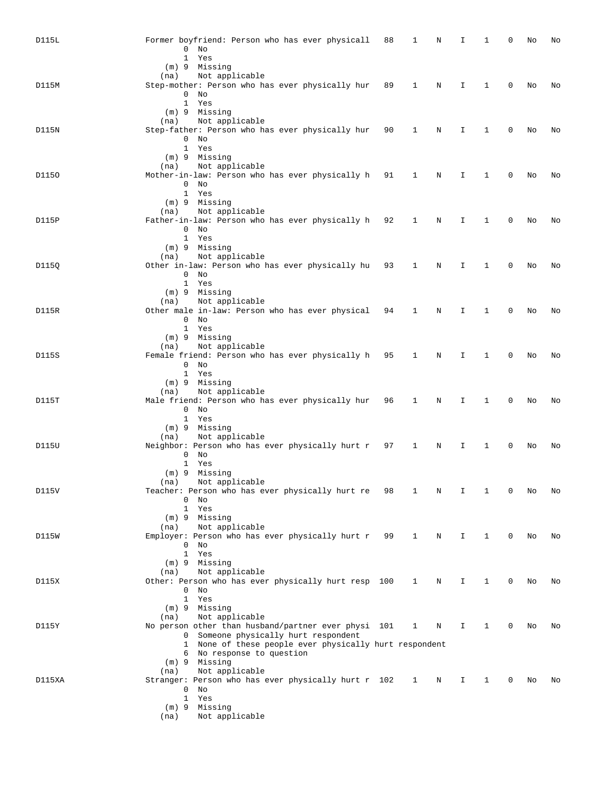| D115L  | Former boyfriend: Person who has ever physicall 88<br>$0$ No<br>1 Yes<br>(m) 9 Missing                                                                                                             |    | 1            | N | I  | 1            | 0 | No | No |
|--------|----------------------------------------------------------------------------------------------------------------------------------------------------------------------------------------------------|----|--------------|---|----|--------------|---|----|----|
| D115M  | Not applicable<br>(na)<br>Step-mother: Person who has ever physically hur 89<br>$0$ No<br>1 Yes                                                                                                    |    | 1            | N | I. | 1            | 0 | No | No |
| D115N  | (m) 9 Missing<br>Not applicable<br>(na)<br>Step-father: Person who has ever physically hur<br>$0$ No<br>1 Yes                                                                                      | 90 | 1            | N | I  | 1            | 0 | No | No |
| D1150  | (m) 9 Missing<br>Not applicable<br>(na)<br>Mother-in-law: Person who has ever physically h 91<br>$0$ No                                                                                            |    | 1            | N | I  | $\mathbf{1}$ | 0 | No | No |
| D115P  | 1 Yes<br>(m) 9 Missing<br>Not applicable<br>(na)<br>Father-in-law: Person who has ever physically h 92<br>$0$ No                                                                                   |    | 1            | N | Ι. | 1            | 0 | No | No |
| D115Q  | 1 Yes<br>(m) 9 Missing<br>Not applicable<br>(na)<br>Other in-law: Person who has ever physically hu<br>$0$ No                                                                                      | 93 | 1            | Ν | I. | 1            | 0 | No | No |
| D115R  | 1 Yes<br>(m) 9 Missing<br>Not applicable<br>(na)<br>Other male in-law: Person who has ever physical 94<br>$0$ No                                                                                   |    | 1            | N | I. | 1            | 0 | No | No |
| D115S  | 1 Yes<br>(m) 9 Missing<br>Not applicable<br>(na)<br>Female friend: Person who has ever physically h 95<br>$0$ No                                                                                   |    | 1            | N | I  | 1            | 0 | No | No |
| D115T  | 1 Yes<br>(m) 9 Missing<br>Not applicable<br>(na)<br>Male friend: Person who has ever physically hur 96<br>$0$ No                                                                                   |    | 1            | Ν | I  | 1            | 0 | No | No |
| D115U  | 1 Yes<br>(m) 9 Missing<br>(na) Not applicable<br>Neighbor: Person who has ever physically hurt r 97<br>$0$ No<br>1 Yes                                                                             |    | 1            | Ν | I. | 1            | 0 | No | No |
| D115V  | (m) 9 Missing<br>Not applicable<br>(na)<br>Teacher: Person who has ever physically hurt re 98<br>0<br>No                                                                                           |    | $\mathbf{1}$ | N | Ι. | 1            | 0 | No | No |
| D115W  | 1 Yes<br>(m) 9 Missing<br>Not applicable<br>(na)<br>Employer: Person who has ever physically hurt r<br>$0$ No<br>1 Yes                                                                             | 99 | 1            | N | I  | 1            | 0 | No | No |
| D115X  | (m) 9 Missing<br>Not applicable<br>(na)<br>Other: Person who has ever physically hurt resp 100<br>$0$ No<br>1 Yes                                                                                  |    | 1            | N | I. | $\mathbf{1}$ | 0 | No | No |
| D115Y  | $(m)$ 9 Missing<br>Not applicable<br>(na)<br>No person other than husband/partner ever physi 101<br>0 Someone physically hurt respondent<br>1 None of these people ever physically hurt respondent |    | $\mathbf{1}$ | N | I. | $\mathbf{1}$ | 0 | No | No |
| D115XA | 6 No response to question<br>$(m)$ 9 Missing<br>Not applicable<br>(na)<br>Stranger: Person who has ever physically hurt r 102<br>$0$ No<br>1 Yes<br>(m) 9 Missing<br>Not applicable<br>(na)        |    | $\mathbf{1}$ | N | Ι. | 1            | 0 | No | No |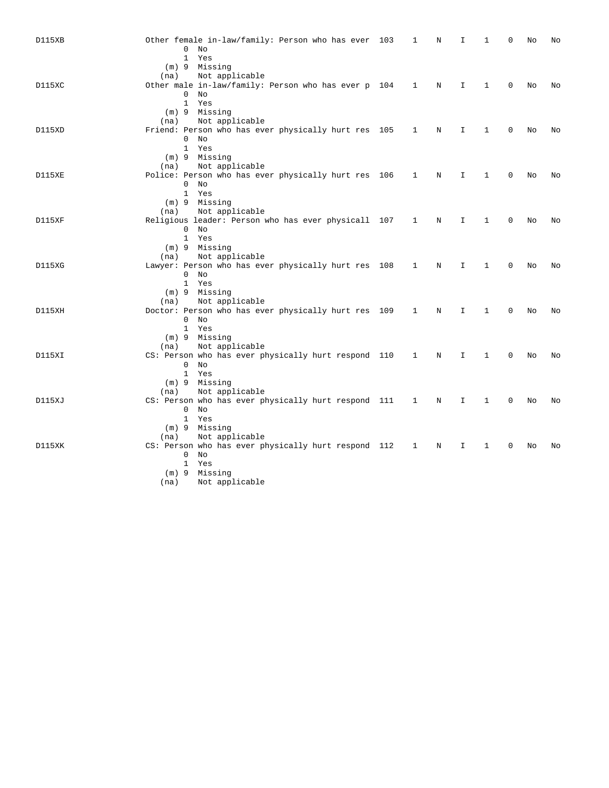| D115XB        | 0    | Other female in-law/family: Person who has ever 103<br>No | 1              | N | I           | 1            | 0           | No | No |
|---------------|------|-----------------------------------------------------------|----------------|---|-------------|--------------|-------------|----|----|
|               |      | 1 Yes<br>(m) 9 Missing                                    |                |   |             |              |             |    |    |
|               | (na) | Not applicable                                            |                |   |             |              |             |    |    |
| <b>D115XC</b> |      | Other male in-law/family: Person who has ever p 104       | $\mathbf{1}$   | N | $\mathbf I$ | $\mathbf{1}$ | 0           | No | No |
|               |      | $0$ No                                                    |                |   |             |              |             |    |    |
|               |      | 1 Yes                                                     |                |   |             |              |             |    |    |
|               |      | (m) 9 Missing                                             |                |   |             |              |             |    |    |
|               | (na) | Not applicable                                            |                |   |             |              |             |    |    |
| D115XD        |      | Friend: Person who has ever physically hurt res 105       | $\overline{1}$ | N | I.          | $\mathbf{1}$ | $\mathbf 0$ | No | No |
|               |      | $0$ No<br>1 Yes                                           |                |   |             |              |             |    |    |
|               |      | (m) 9 Missing                                             |                |   |             |              |             |    |    |
|               | (na) | Not applicable                                            |                |   |             |              |             |    |    |
| <b>D115XE</b> |      | Police: Person who has ever physically hurt res 106       | 1              | N | I           | 1            | 0           | No | No |
|               |      | $0$ No                                                    |                |   |             |              |             |    |    |
|               |      | 1 Yes                                                     |                |   |             |              |             |    |    |
|               |      | (m) 9 Missing                                             |                |   |             |              |             |    |    |
|               | (na) | Not applicable                                            |                |   |             |              |             |    |    |
| D115XF        |      | Religious leader: Person who has ever physicall 107 1     |                | N | I           | 1            | 0           | No | No |
|               |      | $0$ No                                                    |                |   |             |              |             |    |    |
|               |      | 1 Yes                                                     |                |   |             |              |             |    |    |
|               |      | (m) 9 Missing                                             |                |   |             |              |             |    |    |
|               | (na) | Not applicable                                            |                |   |             |              |             |    |    |
| <b>D115XG</b> |      | Lawyer: Person who has ever physically hurt res 108       | 1              | N | I.          | $\mathbf{1}$ | $\Omega$    | No | No |
|               |      | $0$ No<br>1 Yes                                           |                |   |             |              |             |    |    |
|               |      | (m) 9 Missing                                             |                |   |             |              |             |    |    |
|               | (na) | Not applicable                                            |                |   |             |              |             |    |    |
| D115XH        |      | Doctor: Person who has ever physically hurt res 109       | 1              | N | I.          | $\mathbf{1}$ | 0           | No | No |
|               |      | $0$ No                                                    |                |   |             |              |             |    |    |
|               |      | 1 Yes                                                     |                |   |             |              |             |    |    |
|               |      | (m) 9 Missing                                             |                |   |             |              |             |    |    |
|               | (na) | Not applicable                                            |                |   |             |              |             |    |    |
| D115XI        |      | CS: Person who has ever physically hurt respond 110       | 1              | Ν | I           | 1            | 0           | No | No |
|               |      | $0$ No                                                    |                |   |             |              |             |    |    |
|               |      | 1 Yes                                                     |                |   |             |              |             |    |    |
|               |      | (m) 9 Missing                                             |                |   |             |              |             |    |    |
|               | (na) | Not applicable                                            |                |   |             |              |             |    |    |
| <b>D115XJ</b> |      | CS: Person who has ever physically hurt respond 111       | 1              | N | I           | 1            | 0           | No | No |
|               |      | $0$ No<br>1 Yes                                           |                |   |             |              |             |    |    |
|               |      | (m) 9 Missing                                             |                |   |             |              |             |    |    |
|               | (na) | Not applicable                                            |                |   |             |              |             |    |    |
| D115XK        |      | CS: Person who has ever physically hurt respond 112       | 1              | N | I           | 1            | 0           | No | No |
|               |      | $0$ No                                                    |                |   |             |              |             |    |    |
|               |      | 1 Yes                                                     |                |   |             |              |             |    |    |
|               |      | (m) 9 Missing                                             |                |   |             |              |             |    |    |
|               | (na) | Not applicable                                            |                |   |             |              |             |    |    |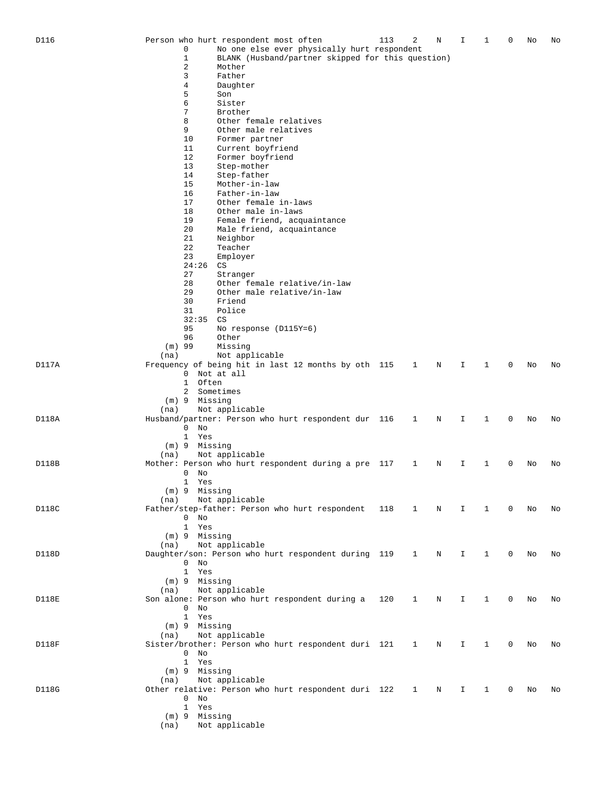|       | 6                   | Sister                                                                  |     |              |            |              |              |   |    |    |
|-------|---------------------|-------------------------------------------------------------------------|-----|--------------|------------|--------------|--------------|---|----|----|
|       | 7                   | Brother                                                                 |     |              |            |              |              |   |    |    |
|       | 8                   | Other female relatives                                                  |     |              |            |              |              |   |    |    |
|       | 9                   | Other male relatives                                                    |     |              |            |              |              |   |    |    |
|       | 10                  | Former partner                                                          |     |              |            |              |              |   |    |    |
|       | 11                  | Current boyfriend                                                       |     |              |            |              |              |   |    |    |
|       | 12                  | Former boyfriend                                                        |     |              |            |              |              |   |    |    |
|       | 13<br>14            | Step-mother<br>Step-father                                              |     |              |            |              |              |   |    |    |
|       | 15                  | Mother-in-law                                                           |     |              |            |              |              |   |    |    |
|       | 16                  | Father-in-law                                                           |     |              |            |              |              |   |    |    |
|       | 17                  | Other female in-laws                                                    |     |              |            |              |              |   |    |    |
|       | 18                  | Other male in-laws                                                      |     |              |            |              |              |   |    |    |
|       | 19                  | Female friend, acquaintance                                             |     |              |            |              |              |   |    |    |
|       | 20                  | Male friend, acquaintance                                               |     |              |            |              |              |   |    |    |
|       | 21                  | Neighbor                                                                |     |              |            |              |              |   |    |    |
|       | 22                  | Teacher                                                                 |     |              |            |              |              |   |    |    |
|       | 23                  | Employer                                                                |     |              |            |              |              |   |    |    |
|       | 24:26               | CS                                                                      |     |              |            |              |              |   |    |    |
|       | 27<br>28            | Stranger<br>Other female relative/in-law                                |     |              |            |              |              |   |    |    |
|       | 29                  | Other male relative/in-law                                              |     |              |            |              |              |   |    |    |
|       | 30                  | Friend                                                                  |     |              |            |              |              |   |    |    |
|       | 31                  | Police                                                                  |     |              |            |              |              |   |    |    |
|       | 32:35               | CS                                                                      |     |              |            |              |              |   |    |    |
|       | 95                  | No response $(D115Y=6)$                                                 |     |              |            |              |              |   |    |    |
|       | 96                  | Other                                                                   |     |              |            |              |              |   |    |    |
|       | $(m)$ 99            | Missing                                                                 |     |              |            |              |              |   |    |    |
|       | (na)                | Not applicable                                                          |     |              |            |              |              |   |    |    |
| D117A |                     | Frequency of being hit in last 12 months by oth 115 1<br>0 Not at all   |     |              | N          | I            | $\mathbf{1}$ | 0 | No | No |
|       | 1 Often             |                                                                         |     |              |            |              |              |   |    |    |
|       | 2 Sometimes         |                                                                         |     |              |            |              |              |   |    |    |
|       | $(m)$ 9 Missing     |                                                                         |     |              |            |              |              |   |    |    |
|       | (na)                | Not applicable                                                          |     |              |            |              |              |   |    |    |
| D118A |                     | Husband/partner: Person who hurt respondent dur 116 1                   |     |              | N          | I            | $\mathbf{1}$ | 0 | No | No |
|       | $0$ No              |                                                                         |     |              |            |              |              |   |    |    |
|       | 1 Yes               |                                                                         |     |              |            |              |              |   |    |    |
|       | (m) 9 Missing       |                                                                         |     |              |            |              |              |   |    |    |
| D118B | (na)                | Not applicable<br>Mother: Person who hurt respondent during a pre 117 1 |     |              | N          | I            | 1            | 0 | No | No |
|       | $0$ No              |                                                                         |     |              |            |              |              |   |    |    |
|       | 1 Yes               |                                                                         |     |              |            |              |              |   |    |    |
|       | (m) 9 Missing       |                                                                         |     |              |            |              |              |   |    |    |
|       | (na)                | Not applicable                                                          |     |              |            |              |              |   |    |    |
| D118C |                     | Father/step-father: Person who hurt respondent                          | 118 | $\mathbf{1}$ | N          | I            | 1            | 0 | No | No |
|       | $0$ No              |                                                                         |     |              |            |              |              |   |    |    |
|       | 1 Yes               |                                                                         |     |              |            |              |              |   |    |    |
|       | (m) 9 Missing       |                                                                         |     |              |            |              |              |   |    |    |
|       | (na) Not applicable | Daughter/son: Person who hurt respondent during 119                     |     |              |            |              |              |   |    |    |
| D118D | $0$ No              |                                                                         |     | $\mathbf{1}$ | Ν          | I            | 1            | 0 | No | No |
|       | 1 Yes               |                                                                         |     |              |            |              |              |   |    |    |
|       | $(m)$ 9 Missing     |                                                                         |     |              |            |              |              |   |    |    |
|       | (na) Not applicable |                                                                         |     |              |            |              |              |   |    |    |
| D118E |                     | Son alone: Person who hurt respondent during a 120                      |     | $\mathbf{1}$ | N          | Ι.           | $\mathbf{1}$ | 0 | No | No |
|       | $0$ No              |                                                                         |     |              |            |              |              |   |    |    |
|       | 1 Yes               |                                                                         |     |              |            |              |              |   |    |    |
|       | (m) 9 Missing       |                                                                         |     |              |            |              |              |   |    |    |
|       | (na)                | Not applicable                                                          |     |              |            |              |              |   |    |    |
| D118F | $0$ No              | Sister/brother: Person who hurt respondent duri 121                     |     | $\mathbf{1}$ | $_{\rm N}$ | I.           | $\mathbf{1}$ | 0 | No | No |
|       | 1 Yes               |                                                                         |     |              |            |              |              |   |    |    |
|       | $(m)$ 9 Missing     |                                                                         |     |              |            |              |              |   |    |    |
|       | (na)                | Not applicable                                                          |     |              |            |              |              |   |    |    |
| D118G |                     | Other relative: Person who hurt respondent duri 122 1 N                 |     |              |            | $\mathbf{I}$ | $\mathbf{1}$ | 0 | No | No |
|       | $0$ No              |                                                                         |     |              |            |              |              |   |    |    |
|       | 1 Yes               |                                                                         |     |              |            |              |              |   |    |    |
|       | (m) 9 Missing       |                                                                         |     |              |            |              |              |   |    |    |
|       | (na) Not applicable |                                                                         |     |              |            |              |              |   |    |    |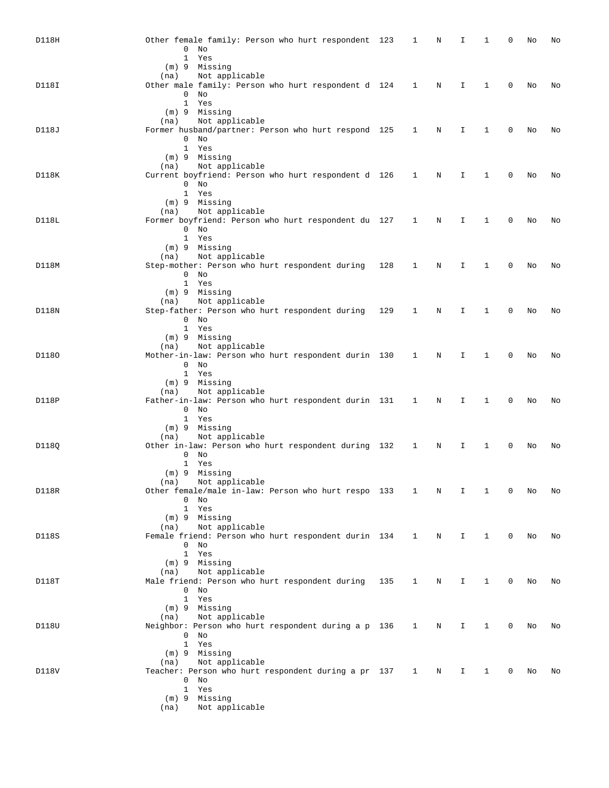| D118H | Other female family: Person who hurt respondent 123     | $\mathbf{1}$ | Ν           | I            | 1            | 0            | No | No |
|-------|---------------------------------------------------------|--------------|-------------|--------------|--------------|--------------|----|----|
|       | $\mathsf{O}$<br>No                                      |              |             |              |              |              |    |    |
|       | 1 Yes                                                   |              |             |              |              |              |    |    |
|       | (m) 9 Missing                                           |              |             |              |              |              |    |    |
|       | Not applicable<br>(na)                                  |              |             |              |              |              |    |    |
| D118I | Other male family: Person who hurt respondent d 124 1   |              | N           | I.           | 1            | $\mathbf{0}$ | No | No |
|       | $0$ No                                                  |              |             |              |              |              |    |    |
|       | 1 Yes                                                   |              |             |              |              |              |    |    |
|       |                                                         |              |             |              |              |              |    |    |
|       | (m) 9 Missing                                           |              |             |              |              |              |    |    |
|       | Not applicable<br>(na)                                  |              |             |              |              |              |    |    |
| D118J | Former husband/partner: Person who hurt respond 125 1   |              | N           | I.           | $\mathbf{1}$ | 0            | No | No |
|       | $0$ No                                                  |              |             |              |              |              |    |    |
|       | 1 Yes                                                   |              |             |              |              |              |    |    |
|       | (m) 9 Missing                                           |              |             |              |              |              |    |    |
|       | Not applicable<br>(na)                                  |              |             |              |              |              |    |    |
| D118K | Current boyfriend: Person who hurt respondent d 126 1   |              | N           | I            | 1            | 0            |    |    |
|       |                                                         |              |             |              |              |              | No | No |
|       | $0$ No                                                  |              |             |              |              |              |    |    |
|       | 1 Yes                                                   |              |             |              |              |              |    |    |
|       | (m) 9 Missing                                           |              |             |              |              |              |    |    |
|       | Not applicable<br>(na)                                  |              |             |              |              |              |    |    |
| D118L | Former boyfriend: Person who hurt respondent du 127 1   |              | N           | I            | 1            | 0            | No | No |
|       | $0$ No                                                  |              |             |              |              |              |    |    |
|       | 1 Yes                                                   |              |             |              |              |              |    |    |
|       |                                                         |              |             |              |              |              |    |    |
|       | (m) 9 Missing                                           |              |             |              |              |              |    |    |
|       | (na) Not applicable                                     |              |             |              |              |              |    |    |
| D118M | Step-mother: Person who hurt respondent during 128      | 1            | N           | I            | 1            | 0            | No | No |
|       | $0$ No                                                  |              |             |              |              |              |    |    |
|       | 1 Yes                                                   |              |             |              |              |              |    |    |
|       | (m) 9 Missing                                           |              |             |              |              |              |    |    |
|       | Not applicable<br>(na)                                  |              |             |              |              |              |    |    |
| D118N | Step-father: Person who hurt respondent during 129      | 1            | N           | I            | 1            | 0            | No | No |
|       |                                                         |              |             |              |              |              |    |    |
|       | $0$ No                                                  |              |             |              |              |              |    |    |
|       | 1 Yes                                                   |              |             |              |              |              |    |    |
|       | (m) 9 Missing                                           |              |             |              |              |              |    |    |
|       | Not applicable<br>(na)                                  |              |             |              |              |              |    |    |
| D1180 | Mother-in-law: Person who hurt respondent durin 130 1   |              | N           | I.           | $\mathbf{1}$ | $\mathbf 0$  | No | No |
|       | $0$ No                                                  |              |             |              |              |              |    |    |
|       | 1 Yes                                                   |              |             |              |              |              |    |    |
|       | (m) 9 Missing                                           |              |             |              |              |              |    |    |
|       |                                                         |              |             |              |              |              |    |    |
|       | Not applicable<br>(na)                                  |              |             |              |              |              |    |    |
| D118P | Father-in-law: Person who hurt respondent durin 131 1   |              | N           | I.           | 1            | 0            | No | No |
|       | $0$ No                                                  |              |             |              |              |              |    |    |
|       | 1 Yes                                                   |              |             |              |              |              |    |    |
|       | (m) 9 Missing                                           |              |             |              |              |              |    |    |
|       | Not applicable<br>(na)                                  |              |             |              |              |              |    |    |
| D118Q | Other in-law: Person who hurt respondent during 132     | $\mathbf{1}$ | N           | I            | 1            | 0            | No | No |
|       | $0$ No                                                  |              |             |              |              |              |    |    |
|       |                                                         |              |             |              |              |              |    |    |
|       | 1 Yes                                                   |              |             |              |              |              |    |    |
|       | (m) 9 Missing                                           |              |             |              |              |              |    |    |
|       | Not applicable<br>(na)                                  |              |             |              |              |              |    |    |
| D118R | Other female/male in-law: Person who hurt respo 133 1 N |              |             | Ι.           | 1            | 0            | No | No |
|       | $\overline{0}$<br>No                                    |              |             |              |              |              |    |    |
|       | 1 Yes                                                   |              |             |              |              |              |    |    |
|       | (m) 9 Missing                                           |              |             |              |              |              |    |    |
|       | Not applicable<br>(na)                                  |              |             |              |              |              |    |    |
| D118S | Female friend: Person who hurt respondent durin 134 1   |              | $_{\rm N}$  | I.           | $\mathbf{1}$ | 0            | No | No |
|       |                                                         |              |             |              |              |              |    |    |
|       | $0$ No                                                  |              |             |              |              |              |    |    |
|       | 1 Yes                                                   |              |             |              |              |              |    |    |
|       | $(m)$ 9 Missing                                         |              |             |              |              |              |    |    |
|       | (na) Not applicable                                     |              |             |              |              |              |    |    |
| D118T | Male friend: Person who hurt respondent during 135      | $\mathbf{1}$ | N           | Ι.           | $\mathbf{1}$ | 0            | No | No |
|       | $0$ No                                                  |              |             |              |              |              |    |    |
|       | 1 Yes                                                   |              |             |              |              |              |    |    |
|       | (m) 9 Missing                                           |              |             |              |              |              |    |    |
|       |                                                         |              |             |              |              |              |    |    |
|       | Not applicable<br>(na)                                  |              |             |              |              |              |    |    |
| D118U | Neighbor: Person who hurt respondent during a p 136 1   |              | $\mathbf N$ | $\mathbf{I}$ | $\mathbf{1}$ | 0            | No | No |
|       | $0$ No                                                  |              |             |              |              |              |    |    |
|       | 1 Yes                                                   |              |             |              |              |              |    |    |
|       | $(m)$ 9 Missing                                         |              |             |              |              |              |    |    |
|       | Not applicable<br>(na)                                  |              |             |              |              |              |    |    |
| D118V | Teacher: Person who hurt respondent during a pr 137 1   |              | $_{\rm N}$  | I.           | $\mathbf{1}$ | 0            | No | No |
|       | $0$ No                                                  |              |             |              |              |              |    |    |
|       |                                                         |              |             |              |              |              |    |    |
|       | 1 Yes                                                   |              |             |              |              |              |    |    |
|       | $(m)$ 9 Missing                                         |              |             |              |              |              |    |    |
|       | Not applicable<br>(na)                                  |              |             |              |              |              |    |    |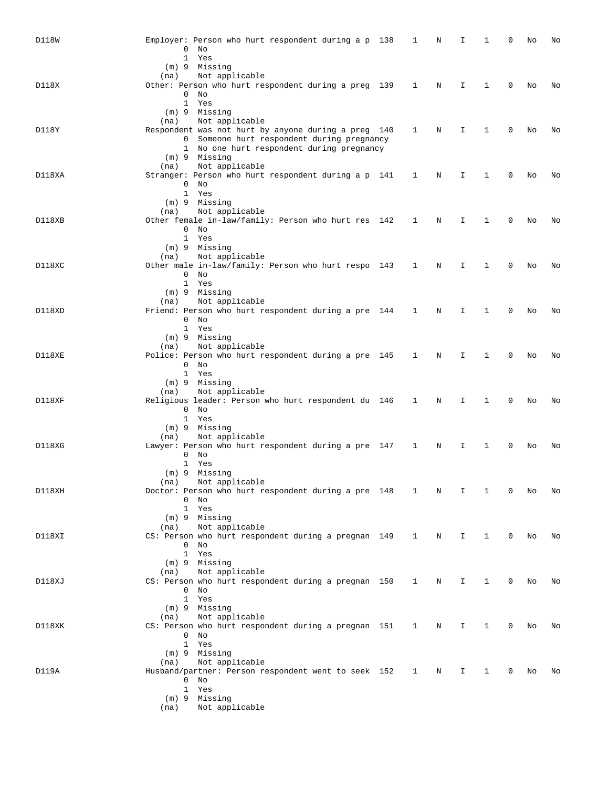| D118W  | Employer: Person who hurt respondent during a p 138<br>$0$ No<br>$\mathbf{1}$<br>Yes                                                                            | 1              | N          | I            | 1            | 0 | No | No |
|--------|-----------------------------------------------------------------------------------------------------------------------------------------------------------------|----------------|------------|--------------|--------------|---|----|----|
| D118X  | (m) 9 Missing<br>Not applicable<br>(na)<br>Other: Person who hurt respondent during a preg 139<br>$0$ No                                                        | 1              | N          | I.           | 1            | 0 | No | No |
|        | 1 Yes<br>(m) 9 Missing<br>Not applicable<br>(na)                                                                                                                |                |            |              |              |   |    |    |
| D118Y  | Respondent was not hurt by anyone during a preg 140<br>0 Someone hurt respondent during pregnancy<br>1 No one hurt respondent during pregnancy<br>(m) 9 Missing | 1              | N          | I.           | 1            | 0 | No | No |
| D118XA | Not applicable<br>(na)<br>Stranger: Person who hurt respondent during a p 141<br>$0$ No<br>1 Yes                                                                | $\overline{1}$ | N          | I.           | 1            | 0 | No | No |
| D118XB | (m) 9 Missing<br>Not applicable<br>(na)<br>Other female in-law/family: Person who hurt res 142                                                                  | 1              | Ν          | Ι.           | 1            | 0 | No | No |
|        | $0$ No<br>1 Yes<br>(m) 9 Missing<br>Not applicable<br>(na)                                                                                                      |                |            |              |              |   |    |    |
| D118XC | Other male in-law/family: Person who hurt respo 143<br>$0$ No<br>1 Yes                                                                                          | 1              | Ν          | I.           | 1            | 0 | No | No |
| D118XD | (m) 9 Missing<br>Not applicable<br>(na)<br>Friend: Person who hurt respondent during a pre 144<br>$0$ No<br>1 Yes                                               | 1              | N          | I.           | 1            | 0 | No | No |
| D118XE | (m) 9 Missing<br>Not applicable<br>(na)<br>Police: Person who hurt respondent during a pre 145<br>$0$ No<br>1 Yes                                               | 1              | N          | I            | 1            | 0 | No | No |
| D118XF | (m) 9 Missing<br>Not applicable<br>(na)<br>Religious leader: Person who hurt respondent du 146<br>$0$ No<br>1 Yes                                               | 1              | Ν          | I            | 1            | 0 | No | No |
| D118XG | (m) 9 Missing<br>Not applicable<br>(na)<br>Lawyer: Person who hurt respondent during a pre 147<br>$0$ No<br>1 Yes                                               | 1              | Ν          | I.           | 1            | 0 | No | No |
| D118XH | (m) 9 Missing<br>Not applicable<br>(na)<br>Doctor: Person who hurt respondent during a pre 148 1 N                                                              |                |            | I.           | 1            | 0 | No | No |
|        | $0$ No<br>1 Yes<br>(m) 9 Missing<br>Not applicable<br>(na)                                                                                                      |                |            |              |              |   |    |    |
| D118XI | CS: Person who hurt respondent during a pregnan 149<br>$0$ No<br>1 Yes                                                                                          | $\mathbf{1}$   | N          | I.           | $\mathbf{1}$ | 0 | No | No |
| D118XJ | (m) 9 Missing<br>Not applicable<br>(na)<br>CS: Person who hurt respondent during a pregnan 150 1<br>$0$ No<br>1 Yes                                             |                | $_{\rm N}$ | I.           | $\mathbf{1}$ | 0 | No | No |
| D118XK | $(m)$ 9 Missing<br>Not applicable<br>(na)<br>CS: Person who hurt respondent during a pregnan 151 1<br>$0$ No<br>1 Yes                                           |                | $_{\rm N}$ | $\mathbf{I}$ | $\mathbf{1}$ | 0 | No | No |
| D119A  | $(m)$ 9 Missing<br>Not applicable<br>(na)<br>Husband/partner: Person respondent went to seek 152 1<br>$0$ No<br>1 Yes                                           |                | $_{\rm N}$ | I.           | $\mathbf{1}$ | 0 | No | No |
|        | (m) 9 Missing<br>Not applicable<br>(na)                                                                                                                         |                |            |              |              |   |    |    |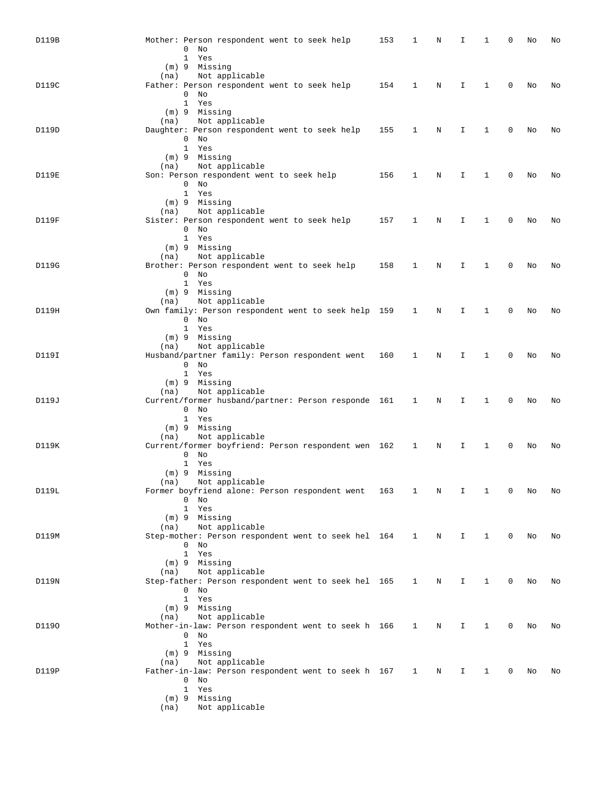| D119B | Mother: Person respondent went to seek help                                    | 153 | 1            | Ν | I            | 1            | 0           | No | No |
|-------|--------------------------------------------------------------------------------|-----|--------------|---|--------------|--------------|-------------|----|----|
|       | $0$ No                                                                         |     |              |   |              |              |             |    |    |
|       | 1 Yes<br>(m) 9 Missing                                                         |     |              |   |              |              |             |    |    |
|       | Not applicable<br>(na)                                                         |     |              |   |              |              |             |    |    |
| D119C | Father: Person respondent went to seek help 154                                |     | 1            | N | I.           | 1            | $\mathbf 0$ | No | No |
|       | $0$ No<br>1 Yes                                                                |     |              |   |              |              |             |    |    |
|       | (m) 9 Missing                                                                  |     |              |   |              |              |             |    |    |
|       | Not applicable<br>(na)                                                         |     |              |   |              |              |             |    |    |
| D119D | Daughter: Person respondent went to seek help                                  | 155 | 1            | N | I            | 1            | 0           | No | No |
|       | $0$ No<br>1 Yes                                                                |     |              |   |              |              |             |    |    |
|       | (m) 9 Missing                                                                  |     |              |   |              |              |             |    |    |
|       | Not applicable<br>(na)                                                         |     |              |   |              |              |             |    |    |
| D119E | Son: Person respondent went to seek help                                       | 156 | 1            | N | I.           | 1            | $\mathbf 0$ | No | No |
|       | $0$ No<br>1 Yes                                                                |     |              |   |              |              |             |    |    |
|       | (m) 9 Missing                                                                  |     |              |   |              |              |             |    |    |
|       | (na) Not applicable                                                            |     |              |   |              |              |             |    |    |
| D119F | Sister: Person respondent went to seek help<br>$0$ No                          | 157 | 1            | N | I            | 1            | $\mathbf 0$ | No | No |
|       | 1 Yes                                                                          |     |              |   |              |              |             |    |    |
|       | (m) 9 Missing                                                                  |     |              |   |              |              |             |    |    |
|       | (na) Not applicable                                                            |     |              |   |              |              |             |    |    |
| D119G | Brother: Person respondent went to seek help<br>$0$ No                         | 158 | 1            | Ν | I.           | 1            | 0           | No | No |
|       | 1 Yes                                                                          |     |              |   |              |              |             |    |    |
|       | (m) 9 Missing                                                                  |     |              |   |              |              |             |    |    |
|       | Not applicable<br>(na)                                                         |     |              |   |              |              |             |    |    |
| D119H | Own family: Person respondent went to seek help 159<br>$0$ No                  |     | 1            | N | I            | $\mathbf{1}$ | $\mathbf 0$ | No | No |
|       | 1 Yes                                                                          |     |              |   |              |              |             |    |    |
|       | (m) 9 Missing                                                                  |     |              |   |              |              |             |    |    |
|       | Not applicable<br>(na)                                                         |     |              |   |              |              |             |    |    |
| D119I | Husband/partner family: Person respondent went 160<br>$0$ No                   |     | 1            | N | I.           | 1            | $\mathbf 0$ | No | No |
|       | 1 Yes                                                                          |     |              |   |              |              |             |    |    |
|       | (m) 9 Missing                                                                  |     |              |   |              |              |             |    |    |
|       | Not applicable<br>(na)                                                         |     |              |   |              |              |             |    |    |
| D119J | Current/former husband/partner: Person responde 161<br>$0$ No                  |     | $\mathbf{1}$ | N | I            | 1            | 0           | No | No |
|       | 1 Yes                                                                          |     |              |   |              |              |             |    |    |
|       | (m) 9 Missing                                                                  |     |              |   |              |              |             |    |    |
| D119K | (na) Not applicable                                                            |     |              |   | I            | 1            | 0           |    | No |
|       | Current/former boyfriend: Person respondent wen 162<br>$0$ No                  |     | $\mathbf{1}$ | Ν |              |              |             | No |    |
|       | 1 Yes                                                                          |     |              |   |              |              |             |    |    |
|       | (m) 9 Missing                                                                  |     |              |   |              |              |             |    |    |
| D119L | Not applicable<br>(na)<br>Former boyfriend alone: Person respondent went 163 1 |     |              | N | Ι.           | 1            | 0           | No | No |
|       | $0$ No                                                                         |     |              |   |              |              |             |    |    |
|       | 1 Yes                                                                          |     |              |   |              |              |             |    |    |
|       | (m) 9 Missing                                                                  |     |              |   |              |              |             |    |    |
| D119M | (na) Not applicable<br>Step-mother: Person respondent went to seek hel 164     |     | $\mathbf{1}$ | N | I.           | $\mathbf{1}$ | 0           | No | No |
|       | $0$ No                                                                         |     |              |   |              |              |             |    |    |
|       | 1 Yes                                                                          |     |              |   |              |              |             |    |    |
|       | $(m)$ 9 Missing<br>(na) Not applicable                                         |     |              |   |              |              |             |    |    |
| D119N | Step-father: Person respondent went to seek hel 165 1                          |     |              | N | $\mathbf{I}$ | $\mathbf{1}$ | $\mathbf 0$ | No | No |
|       | $0$ No                                                                         |     |              |   |              |              |             |    |    |
|       | 1 Yes                                                                          |     |              |   |              |              |             |    |    |
|       | $(m)$ 9 Missing<br>Not applicable<br>(na)                                      |     |              |   |              |              |             |    |    |
| D1190 | Mother-in-law: Person respondent went to seek h 166 1 N                        |     |              |   | $\mathbf{I}$ | $\mathbf{1}$ | 0           | No | No |
|       | $0$ No                                                                         |     |              |   |              |              |             |    |    |
|       | 1 Yes                                                                          |     |              |   |              |              |             |    |    |
|       | $(m)$ 9 Missing<br>Not applicable<br>(na)                                      |     |              |   |              |              |             |    |    |
| D119P | Father-in-law: Person respondent went to seek h 167 1                          |     |              | N | Ι.           | $\mathbf{1}$ | 0           | No | No |
|       | $0$ No                                                                         |     |              |   |              |              |             |    |    |
|       | 1 Yes                                                                          |     |              |   |              |              |             |    |    |
|       | (m) 9 Missing<br>Not applicable<br>(na)                                        |     |              |   |              |              |             |    |    |
|       |                                                                                |     |              |   |              |              |             |    |    |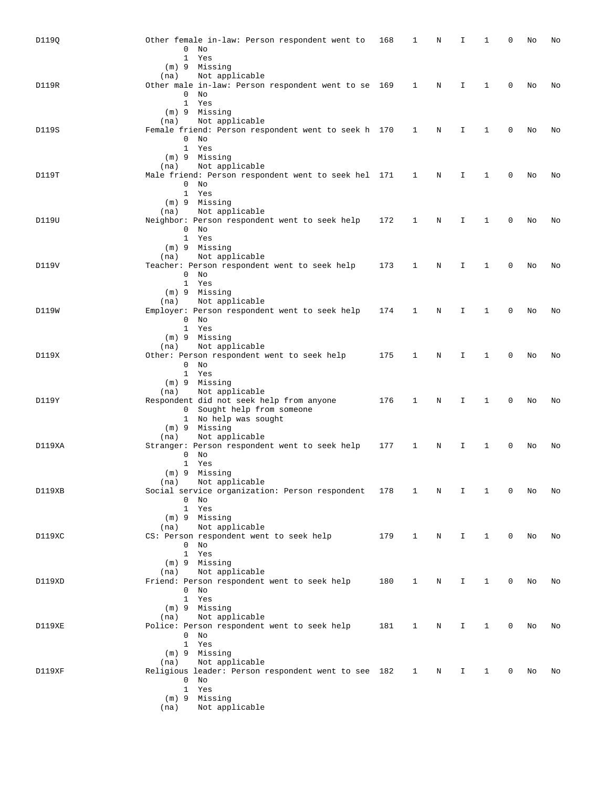| D1190  | Other female in-law: Person respondent went to<br>0<br>No                                                 | 168 | 1            | N          | I.           | 1            | 0 | No | No |
|--------|-----------------------------------------------------------------------------------------------------------|-----|--------------|------------|--------------|--------------|---|----|----|
|        | 1 Yes<br>(m) 9 Missing<br>Not applicable<br>(na)                                                          |     |              |            |              |              |   |    |    |
| D119R  | Other male in-law: Person respondent went to se 169<br>$0$ No<br>1 Yes                                    |     | 1            | N          | I.           | 1            | 0 | No | No |
| D119S  | (m) 9 Missing<br>Not applicable<br>(na)<br>Female friend: Person respondent went to seek h 170            |     | $\mathbf{1}$ | N          | I            | 1            | 0 | No | No |
|        | $0$ No<br>1 Yes<br>(m) 9 Missing<br>Not applicable<br>(na)                                                |     |              |            |              |              |   |    |    |
| D119T  | Male friend: Person respondent went to seek hel 171 1<br>$0$ No<br>1 Yes                                  |     |              | N          | I.           | $\mathbf{1}$ | 0 | No | No |
| D119U  | (m) 9 Missing<br>(na) Not applicable<br>Neighbor: Person respondent went to seek help                     | 172 | 1            | N          | I            | 1            | 0 | No | No |
|        | $0$ No<br>1 Yes<br>(m) 9 Missing<br>(na) Not applicable                                                   |     |              |            |              |              |   |    |    |
| D119V  | Teacher: Person respondent went to seek help<br>$0$ No<br>1 Yes                                           | 173 | 1            | Ν          | I.           | 1            | 0 | No | No |
| D119W  | (m) 9 Missing<br>(na) Not applicable<br>Employer: Person respondent went to seek help<br>$0$ No<br>1 Yes  | 174 | 1            | N          | I.           | 1            | 0 | No | No |
| D119X  | (m) 9 Missing<br>Not applicable<br>(na)<br>Other: Person respondent went to seek help<br>$0$ No           | 175 | 1            | N          | I.           | $\mathbf{1}$ | 0 | No | No |
| D119Y  | 1 Yes<br>(m) 9 Missing<br>Not applicable<br>(na)<br>Respondent did not seek help from anyone              | 176 | 1            | Ν          | I            | 1            | 0 | No | No |
|        | 0 Sought help from someone<br>1 No help was sought<br>(m) 9 Missing<br>Not applicable<br>(na)             |     |              |            |              |              |   |    |    |
| D119XA | Stranger: Person respondent went to seek help<br>$0$ No<br>1 Yes                                          | 177 | 1            | N          | I.           | 1            | 0 | No | No |
| D119XB | (m) 9 Missing<br>Not applicable<br>(na)<br>Social service organization: Person respondent 178             |     | $\mathbf{1}$ | N          | Ι.           | 1            | 0 | No | No |
|        | $0$ No<br>1 Yes<br>(m) 9 Missing<br>Not applicable<br>(na)                                                |     |              |            |              |              |   |    |    |
| D119XC | CS: Person respondent went to seek help<br>$0$ No<br>1 Yes                                                | 179 | $\mathbf{1}$ | N          | I.           | 1            | 0 | No | No |
| D119XD | (m) 9 Missing<br>Not applicable<br>(na)<br>Friend: Person respondent went to seek help<br>$0$ No<br>1 Yes | 180 | $\mathbf{1}$ | N          | I.           | $\mathbf{1}$ | 0 | No | No |
| D119XE | (m) 9 Missing<br>Not applicable<br>(na)<br>Police: Person respondent went to seek help<br>$0$ No          | 181 | $\mathbf{1}$ | $_{\rm N}$ | $\mathbf{I}$ | $\mathbf{1}$ | 0 | No | No |
| D119XF | 1 Yes<br>(m) 9 Missing<br>Not applicable<br>(na)<br>Religious leader: Person respondent went to see 182 1 |     |              | N          | I.           | $\mathbf{1}$ | 0 | No | No |
|        | $0$ No<br>1 Yes<br>(m) 9 Missing<br>Not applicable<br>(na)                                                |     |              |            |              |              |   |    |    |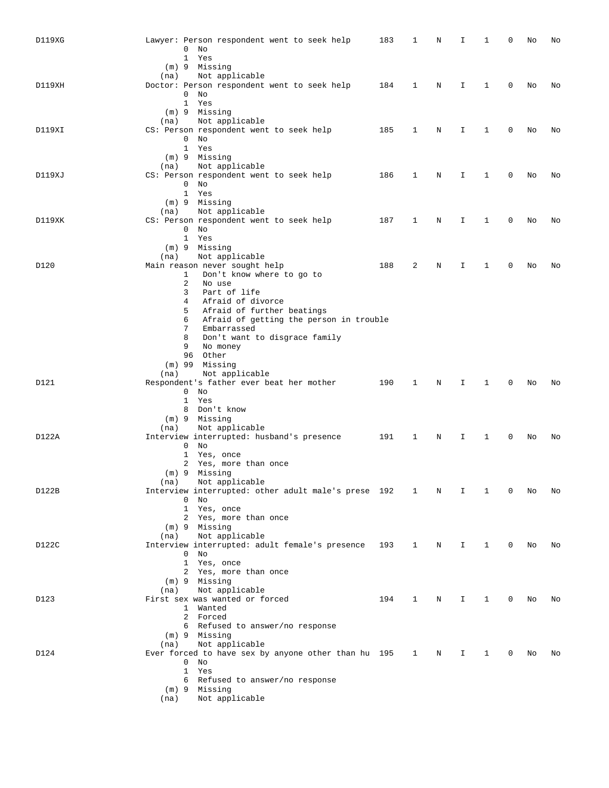| D119XG | Lawyer: Person respondent went to seek help<br>$0$ No<br>1 Yes<br>(m) 9 Missing                                                                                                               | 183 | 1            | Ν | I  | 1            | 0 | No | No |
|--------|-----------------------------------------------------------------------------------------------------------------------------------------------------------------------------------------------|-----|--------------|---|----|--------------|---|----|----|
| D119XH | Not applicable<br>(na)<br>Doctor: Person respondent went to seek help<br>$0$ No<br>1 Yes                                                                                                      | 184 | 1            | N | I. | 1            | 0 | No | No |
| D119XI | (m) 9 Missing<br>Not applicable<br>(na)<br>CS: Person respondent went to seek help<br>$0$ No<br>1 Yes                                                                                         | 185 | 1            | N | I  | 1            | 0 | No | No |
| D119XJ | (m) 9 Missing<br>Not applicable<br>(na)<br>CS: Person respondent went to seek help<br>$0$ No<br>1 Yes                                                                                         | 186 | 1            | Ν | I  | 1            | 0 | No | No |
| D119XK | (m) 9 Missing<br>Not applicable<br>(na)<br>CS: Person respondent went to seek help<br>$0$ No<br>1 Yes                                                                                         | 187 | 1            | N | I  | 1            | 0 | No | No |
| D120   | (m) 9 Missing<br>Not applicable<br>(na)<br>Main reason never sought help<br>Don't know where to go to<br>$\mathbf{1}$<br>2<br>No use<br>3<br>Part of life<br>4<br>Afraid of divorce           | 188 | 2            | N | I. | 1            | 0 | No | No |
|        | Afraid of further beatings<br>5<br>Afraid of getting the person in trouble<br>6<br>7<br>Embarrassed<br>8<br>Don't want to disgrace family<br>9<br>No money<br>96 Other<br>$(m)$ 99<br>Missing |     |              |   |    |              |   |    |    |
| D121   | Not applicable<br>(na)<br>Respondent's father ever beat her mother<br>$0$ No<br>1<br>Yes<br>8 Don't know<br>(m) 9 Missing                                                                     | 190 | 1            | N | I  | 1            | 0 | No | No |
| D122A  | Not applicable<br>(na)<br>Interview interrupted: husband's presence<br>$0$ No<br>1 Yes, once<br>2 Yes, more than once<br>(m) 9 Missing                                                        | 191 | 1            | N | I  | 1            | 0 | No | No |
| D122B  | Not applicable<br>(na)<br>Interview interrupted: other adult male's prese 192 1<br>0<br>No<br>1 Yes, once<br>2 Yes, more than once<br>$(m)$ 9 Missing                                         |     |              | N | I  | ı            | 0 | No | No |
| D122C  | Not applicable<br>(na)<br>Interview interrupted: adult female's presence 193<br>$0$ No<br>1 Yes, once<br>2 Yes, more than once<br>(m) 9 Missing                                               |     | 1            | N | I. | $\mathbf{1}$ | 0 | No | No |
| D123   | Not applicable<br>(na)<br>First sex was wanted or forced<br>1 Wanted<br>2 Forced<br>6 Refused to answer/no response<br>(m) 9 Missing                                                          | 194 | 1            | N | I. | $\mathbf{1}$ | 0 | No | No |
| D124   | Not applicable<br>(na)<br>Ever forced to have sex by anyone other than hu 195<br>$0$ No<br>1 Yes<br>6 Refused to answer/no response<br>$(m)$ 9 Missing<br>Not applicable<br>(na)              |     | $\mathbf{1}$ | N | I. | $\mathbf{1}$ | 0 | No | No |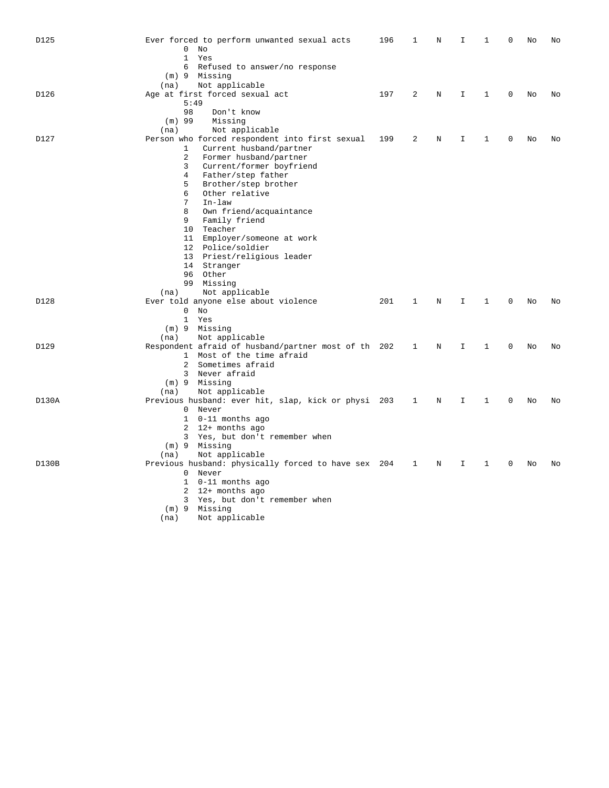| D125  | $\mathbf{1}$ | Ever forced to perform unwanted sexual acts<br>$0$ No<br>Yes | 196 | 1            | Ν | I  | 1 | 0        | No | No |
|-------|--------------|--------------------------------------------------------------|-----|--------------|---|----|---|----------|----|----|
|       |              | 6 Refused to answer/no response<br>(m) 9 Missing             |     |              |   |    |   |          |    |    |
|       | (na)         | Not applicable                                               |     |              |   |    |   |          |    |    |
| D126  | 5:49         | Age at first forced sexual act                               | 197 | 2            | Ν | I  | 1 | 0        | No | No |
|       | 98           | Don't know                                                   |     |              |   |    |   |          |    |    |
|       | $(m)$ 99     | Missing                                                      |     |              |   |    |   |          |    |    |
|       | (na)         | Not applicable                                               |     |              |   |    |   |          |    |    |
| D127  |              | Person who forced respondent into first sexual               | 199 | 2            | Ν | I  | 1 | $\Omega$ | No | No |
|       | $\mathbf{1}$ | Current husband/partner                                      |     |              |   |    |   |          |    |    |
|       | 2            | Former husband/partner                                       |     |              |   |    |   |          |    |    |
|       | 3            | Current/former boyfriend                                     |     |              |   |    |   |          |    |    |
|       | 4            | Father/step father                                           |     |              |   |    |   |          |    |    |
|       | 5            | Brother/step brother                                         |     |              |   |    |   |          |    |    |
|       | 6            | Other relative                                               |     |              |   |    |   |          |    |    |
|       | 7            | In-law                                                       |     |              |   |    |   |          |    |    |
|       | 8            | Own friend/acquaintance                                      |     |              |   |    |   |          |    |    |
|       | 9            | Family friend                                                |     |              |   |    |   |          |    |    |
|       |              | 10 Teacher                                                   |     |              |   |    |   |          |    |    |
|       |              | 11 Employer/someone at work                                  |     |              |   |    |   |          |    |    |
|       |              | 12 Police/soldier                                            |     |              |   |    |   |          |    |    |
|       |              | 13 Priest/religious leader                                   |     |              |   |    |   |          |    |    |
|       |              | 14 Stranger                                                  |     |              |   |    |   |          |    |    |
|       |              | 96 Other                                                     |     |              |   |    |   |          |    |    |
|       |              | 99 Missing                                                   |     |              |   |    |   |          |    |    |
|       | (na)         | Not applicable                                               |     |              |   |    |   |          |    |    |
| D128  |              | Ever told anyone else about violence                         | 201 | $\mathbf 1$  | N | I  | 1 | 0        | No | No |
|       |              | $0$ No                                                       |     |              |   |    |   |          |    |    |
|       |              | 1 Yes<br>(m) 9 Missing                                       |     |              |   |    |   |          |    |    |
|       | (na)         | Not applicable                                               |     |              |   |    |   |          |    |    |
| D129  |              | Respondent afraid of husband/partner most of th 202          |     | 1            | N | I  | 1 | 0        | No | No |
|       |              | 1 Most of the time afraid                                    |     |              |   |    |   |          |    |    |
|       |              | 2 Sometimes afraid                                           |     |              |   |    |   |          |    |    |
|       |              | 3 Never afraid                                               |     |              |   |    |   |          |    |    |
|       |              | (m) 9 Missing                                                |     |              |   |    |   |          |    |    |
|       | (na)         | Not applicable                                               |     |              |   |    |   |          |    |    |
| D130A |              | Previous husband: ever hit, slap, kick or physi 203          |     | $\mathbf{1}$ | N | I. | 1 | 0        | No | No |
|       |              | 0 Never                                                      |     |              |   |    |   |          |    |    |
|       |              | 1 0-11 months ago                                            |     |              |   |    |   |          |    |    |
|       |              | 2 12+ months ago                                             |     |              |   |    |   |          |    |    |
|       |              | 3 Yes, but don't remember when                               |     |              |   |    |   |          |    |    |
|       |              | (m) 9 Missing                                                |     |              |   |    |   |          |    |    |
|       | (na)         | Not applicable                                               |     |              |   |    |   |          |    |    |
| D130B |              | Previous husband: physically forced to have sex 204          |     | $\mathbf{1}$ | Ν | Ι  | 1 | 0        | No | No |
|       |              | 0 Never                                                      |     |              |   |    |   |          |    |    |
|       |              | 1 0-11 months ago                                            |     |              |   |    |   |          |    |    |
|       |              | 2 12+ months ago                                             |     |              |   |    |   |          |    |    |
|       |              | 3 Yes, but don't remember when                               |     |              |   |    |   |          |    |    |
|       |              | (m) 9 Missing                                                |     |              |   |    |   |          |    |    |
|       | (na)         | Not applicable                                               |     |              |   |    |   |          |    |    |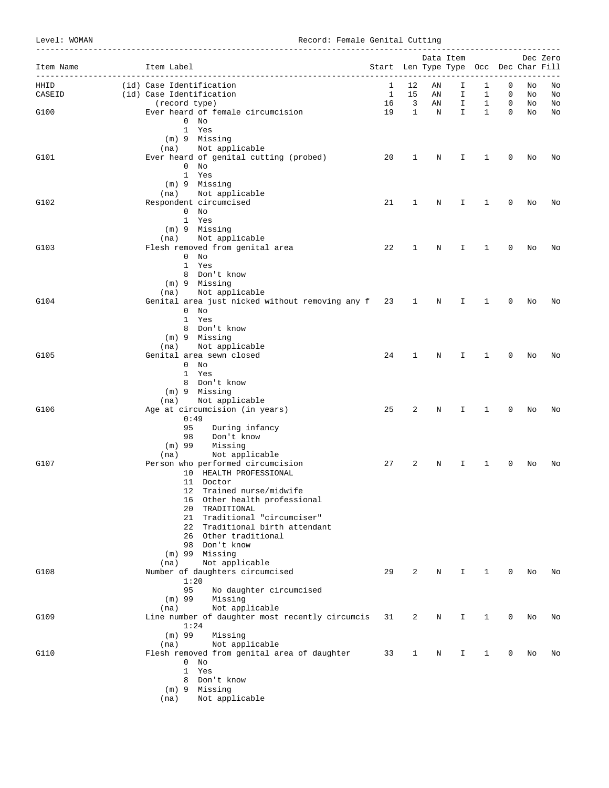IAN Record: Female Genital Cutting

| Item Name      | Item Label                                                | Start Len Type Type Occ Dec Char Fill |                          |            | Data Item |                   |             |          | Dec Zero |
|----------------|-----------------------------------------------------------|---------------------------------------|--------------------------|------------|-----------|-------------------|-------------|----------|----------|
|                | _________________________________                         |                                       |                          |            |           |                   |             |          |          |
| HHID<br>CASEID | (id) Case Identification<br>(id) Case Identification      | 1<br>$\mathbf{1}$                     | 12<br>15                 | ΑN<br>AN   | Ι.<br>I.  | 1<br>$\mathbf{1}$ | 0<br>0      | No<br>No | No<br>No |
|                | (record type)                                             | 16                                    | $\overline{\phantom{a}}$ | AN         | I.        | $\mathbf{1}$      | 0           | No       | No       |
| G100           | Ever heard of female circumcision                         | 19                                    | $\mathbf{1}$             | $_{\rm N}$ | I.        | $\mathbf{1}$      | $\mathbf 0$ | No       | No       |
|                | $0$ No                                                    |                                       |                          |            |           |                   |             |          |          |
|                | 1 Yes<br>(m) 9 Missing                                    |                                       |                          |            |           |                   |             |          |          |
|                | Not applicable<br>(na)                                    |                                       |                          |            |           |                   |             |          |          |
| G101           | Ever heard of genital cutting (probed)                    | 20                                    | 1                        | Ν          | Ι.        | 1                 | 0           | No       | No       |
|                | $0$ No                                                    |                                       |                          |            |           |                   |             |          |          |
|                | 1 Yes<br>(m) 9 Missing                                    |                                       |                          |            |           |                   |             |          |          |
|                | (na) Not applicable                                       |                                       |                          |            |           |                   |             |          |          |
| G102           | Respondent circumcised                                    | 21                                    | 1                        | N          | I         | 1                 | 0           | No       | Νo       |
|                | $0$ No                                                    |                                       |                          |            |           |                   |             |          |          |
|                | 1 Yes                                                     |                                       |                          |            |           |                   |             |          |          |
|                | (m) 9 Missing<br>Not applicable<br>(na)                   |                                       |                          |            |           |                   |             |          |          |
| G103           | Flesh removed from genital area                           | 22                                    | 1                        | Ν          | I.        | 1                 | 0           | No       | No       |
|                | $0$ No                                                    |                                       |                          |            |           |                   |             |          |          |
|                | 1 Yes                                                     |                                       |                          |            |           |                   |             |          |          |
|                | 8 Don't know<br>$(m)$ 9 Missing                           |                                       |                          |            |           |                   |             |          |          |
|                | Not applicable<br>(na)                                    |                                       |                          |            |           |                   |             |          |          |
| G104           | Genital area just nicked without removing any f 23        |                                       | $\mathbf{1}$             | N          | Ι.        | 1                 | 0           | No       | No       |
|                | $0$ No                                                    |                                       |                          |            |           |                   |             |          |          |
|                | 1 Yes                                                     |                                       |                          |            |           |                   |             |          |          |
|                | 8 Don't know<br>(m) 9 Missing                             |                                       |                          |            |           |                   |             |          |          |
|                | Not applicable<br>(na)                                    |                                       |                          |            |           |                   |             |          |          |
| G105           | Genital area sewn closed                                  | 24                                    | 1                        | N          | I.        | 1                 | 0           | No       | No       |
|                | $0$ No                                                    |                                       |                          |            |           |                   |             |          |          |
|                | 1 Yes                                                     |                                       |                          |            |           |                   |             |          |          |
|                | 8 Don't know<br>(m) 9 Missing                             |                                       |                          |            |           |                   |             |          |          |
|                | Not applicable<br>(na)                                    |                                       |                          |            |           |                   |             |          |          |
| G106           | Age at circumcision (in years)                            | 25                                    | 2                        | Ν          | Ι.        | 1                 | 0           | No       | No       |
|                | 0:49                                                      |                                       |                          |            |           |                   |             |          |          |
|                | 95<br>During infancy<br>98<br>Don't know                  |                                       |                          |            |           |                   |             |          |          |
|                | $(m)$ 99<br>Missing                                       |                                       |                          |            |           |                   |             |          |          |
|                | Not applicable<br>(na)                                    |                                       |                          |            |           |                   |             |          |          |
| G107           | Person who performed circumcision                         | 27                                    | 2                        | Ν          | I         | 1                 | 0           | No       | No       |
|                | 10 HEALTH PROFESSIONAL                                    |                                       |                          |            |           |                   |             |          |          |
|                | 11 Doctor<br>12 Trained nurse/midwife                     |                                       |                          |            |           |                   |             |          |          |
|                | Other health professional<br>16                           |                                       |                          |            |           |                   |             |          |          |
|                | 20<br>TRADITIONAL                                         |                                       |                          |            |           |                   |             |          |          |
|                | 21 Traditional "circumciser"                              |                                       |                          |            |           |                   |             |          |          |
|                | Traditional birth attendant<br>22<br>26 Other traditional |                                       |                          |            |           |                   |             |          |          |
|                | 98 Don't know                                             |                                       |                          |            |           |                   |             |          |          |
|                | (m) 99 Missing                                            |                                       |                          |            |           |                   |             |          |          |
|                | Not applicable<br>(na)                                    |                                       |                          |            |           |                   |             |          |          |
| G108           | Number of daughters circumcised                           | 29                                    | 2                        | N          | I.        | 1                 | 0           | No       | No       |
|                | 1:20<br>95<br>No daughter circumcised                     |                                       |                          |            |           |                   |             |          |          |
|                | $(m)$ 99<br>Missing                                       |                                       |                          |            |           |                   |             |          |          |
|                | Not applicable<br>(na)                                    |                                       |                          |            |           |                   |             |          |          |
| G109           | Line number of daughter most recently circumcis           | 31                                    | 2                        | Ν          | I.        | 1                 | 0           | No       | No       |
|                | 1:24<br>$(m)$ 99<br>Missing                               |                                       |                          |            |           |                   |             |          |          |
|                | Not applicable<br>(na)                                    |                                       |                          |            |           |                   |             |          |          |
| G110           | Flesh removed from genital area of daughter               | 33                                    | 1                        | Ν          | I.        | 1                 | 0           | No       | No       |
|                | $0$ No                                                    |                                       |                          |            |           |                   |             |          |          |
|                | 1<br>Yes                                                  |                                       |                          |            |           |                   |             |          |          |
|                | 8<br>Don't know<br>$(m)$ 9 Missing                        |                                       |                          |            |           |                   |             |          |          |
|                | Not applicable<br>(na)                                    |                                       |                          |            |           |                   |             |          |          |
|                |                                                           |                                       |                          |            |           |                   |             |          |          |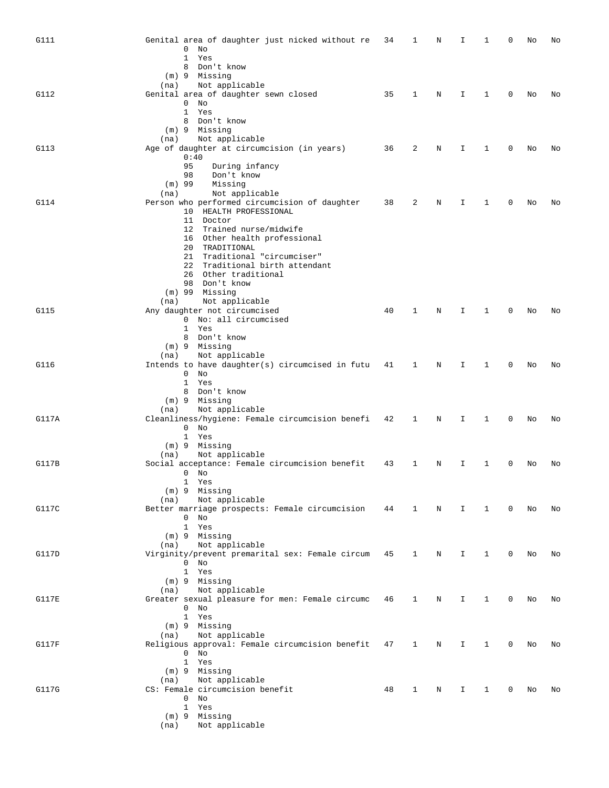| G111         | Genital area of daughter just nicked without re                              | 34 | 1            | Ν          | I            | 1            | 0 | No | No |
|--------------|------------------------------------------------------------------------------|----|--------------|------------|--------------|--------------|---|----|----|
|              | 0<br>No<br>$\mathbf 1$<br>Yes                                                |    |              |            |              |              |   |    |    |
|              | 8 Don't know                                                                 |    |              |            |              |              |   |    |    |
|              | (m) 9 Missing<br>Not applicable<br>(na)                                      |    |              |            |              |              |   |    |    |
| G112         | Genital area of daughter sewn closed                                         | 35 | 1            | Ν          | I            | 1            | 0 | No | No |
|              | $0$ No                                                                       |    |              |            |              |              |   |    |    |
|              | $\mathbf{1}$<br>Yes<br>8 Don't know                                          |    |              |            |              |              |   |    |    |
|              | (m) 9 Missing                                                                |    |              |            |              |              |   |    |    |
|              | Not applicable<br>(na)                                                       |    |              |            |              |              |   |    |    |
| G113         | Age of daughter at circumcision (in years)<br>0:40                           | 36 | 2            | Ν          | I            | 1            | 0 | No | No |
|              | 95<br>During infancy                                                         |    |              |            |              |              |   |    |    |
|              | 98<br>Don't know                                                             |    |              |            |              |              |   |    |    |
|              | $(m)$ 99<br>Missing<br>Not applicable<br>(na)                                |    |              |            |              |              |   |    |    |
| G114         | Person who performed circumcision of daughter                                | 38 | 2            | Ν          | I            | 1            | 0 | No | No |
|              | 10 HEALTH PROFESSIONAL                                                       |    |              |            |              |              |   |    |    |
|              | 11 Doctor                                                                    |    |              |            |              |              |   |    |    |
|              | Trained nurse/midwife<br>12<br>Other health professional<br>16               |    |              |            |              |              |   |    |    |
|              | 20 TRADITIONAL                                                               |    |              |            |              |              |   |    |    |
|              | 21 Traditional "circumciser"                                                 |    |              |            |              |              |   |    |    |
|              | 22 Traditional birth attendant<br>26 Other traditional                       |    |              |            |              |              |   |    |    |
|              | 98 Don't know                                                                |    |              |            |              |              |   |    |    |
|              | $(m)$ 99 Missing                                                             |    |              |            |              |              |   |    |    |
|              | Not applicable<br>(na)                                                       |    |              |            |              |              |   |    |    |
| G115         | Any daughter not circumcised<br>0 No: all circumcised                        | 40 | 1            | Ν          | I            | 1            | 0 | No | No |
|              | 1 Yes                                                                        |    |              |            |              |              |   |    |    |
|              | 8 Don't know                                                                 |    |              |            |              |              |   |    |    |
|              | (m) 9 Missing<br>Not applicable<br>(na)                                      |    |              |            |              |              |   |    |    |
| G116         | Intends to have daughter(s) circumcised in futu                              | 41 | 1            | Ν          | I            | 1            | 0 | No | No |
|              | $0$ No                                                                       |    |              |            |              |              |   |    |    |
|              | 1 Yes                                                                        |    |              |            |              |              |   |    |    |
|              | 8 Don't know<br>(m) 9 Missing                                                |    |              |            |              |              |   |    |    |
|              | Not applicable<br>(na)                                                       |    |              |            |              |              |   |    |    |
| G117A        | Cleanliness/hygiene: Female circumcision benefi                              | 42 | 1            | Ν          | I.           | 1            | 0 | No | No |
|              | $0$ No<br>1 Yes                                                              |    |              |            |              |              |   |    |    |
|              | (m) 9 Missing                                                                |    |              |            |              |              |   |    |    |
|              | Not applicable<br>(na)                                                       |    |              |            |              |              |   |    |    |
| G117B        | Social acceptance: Female circumcision benefit<br>$0$ No                     | 43 | 1            | Ν          | I            | 1            | 0 | No | No |
|              | 1 Yes                                                                        |    |              |            |              |              |   |    |    |
|              | $(m)$ 9 Missing                                                              |    |              |            |              |              |   |    |    |
|              | Not applicable<br>(na)                                                       |    |              |            |              |              |   |    |    |
| G117C        | Better marriage prospects: Female circumcision<br>$0$ No                     | 44 | $\mathbf{1}$ | $_{\rm N}$ | $\mathbf{I}$ | $\mathbf{1}$ | 0 | No | No |
|              | 1 Yes                                                                        |    |              |            |              |              |   |    |    |
|              | (m) 9 Missing                                                                |    |              |            |              |              |   |    |    |
| G117D        | Not applicable<br>(na)                                                       |    |              |            | $\mathbf I$  | $\mathbf{1}$ | 0 |    |    |
|              | Virginity/prevent premarital sex: Female circum 45<br>$0$ No                 |    | 1            | Ν          |              |              |   | No | No |
|              | 1 Yes                                                                        |    |              |            |              |              |   |    |    |
|              | (m) 9 Missing                                                                |    |              |            |              |              |   |    |    |
| <b>G117E</b> | Not applicable<br>(na)<br>Greater sexual pleasure for men: Female circumc 46 |    | 1            | N          | Ι.           | $\mathbf{1}$ | 0 | No | No |
|              | $0$ No                                                                       |    |              |            |              |              |   |    |    |
|              | 1 Yes                                                                        |    |              |            |              |              |   |    |    |
|              | (m) 9 Missing                                                                |    |              |            |              |              |   |    |    |
| G117F        | Not applicable<br>(na)<br>Religious approval: Female circumcision benefit    | 47 | 1            | N          | I.           | $\mathbf{1}$ | 0 | No | No |
|              | $0$ No                                                                       |    |              |            |              |              |   |    |    |
|              | 1 Yes                                                                        |    |              |            |              |              |   |    |    |
|              | (m) 9 Missing<br>Not applicable<br>(na)                                      |    |              |            |              |              |   |    |    |
| G117G        | CS: Female circumcision benefit                                              | 48 | 1            | N          | Ι.           | 1            | 0 | No | No |
|              | $0$ No                                                                       |    |              |            |              |              |   |    |    |
|              | 1 Yes                                                                        |    |              |            |              |              |   |    |    |
|              | (m) 9 Missing<br>Not applicable<br>(na)                                      |    |              |            |              |              |   |    |    |
|              |                                                                              |    |              |            |              |              |   |    |    |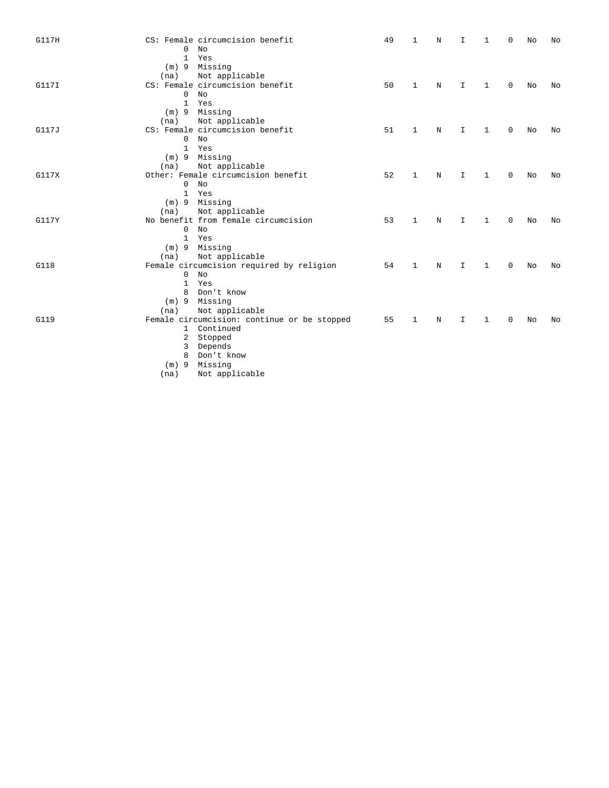| $\mathbf 0$<br>No                                                                                      | 49                                                                                                                                                                                                                                                                                                                                                                                            | 1                                           | N       | I           | $\mathbf{1}$ | 0           | No | No |
|--------------------------------------------------------------------------------------------------------|-----------------------------------------------------------------------------------------------------------------------------------------------------------------------------------------------------------------------------------------------------------------------------------------------------------------------------------------------------------------------------------------------|---------------------------------------------|---------|-------------|--------------|-------------|----|----|
| (m) 9 Missing<br>Not applicable<br>$\mathbf 0$<br>Nο<br>1 Yes                                          | 50                                                                                                                                                                                                                                                                                                                                                                                            | 1                                           | N       | $\mathbf I$ | 1            | $\mathbf 0$ | No | No |
| (m) 9 Missing<br>Not applicable<br>$\Omega$<br>N <sub>O</sub>                                          | 51                                                                                                                                                                                                                                                                                                                                                                                            | 1                                           | N       | I           | 1            | 0           | No | No |
| (m) 9 Missing<br>Not applicable<br>$0$ No                                                              | 52                                                                                                                                                                                                                                                                                                                                                                                            | 1                                           | N       | I.          | 1            | $\mathbf 0$ | No | No |
| $(m)$ 9 Missing<br>Not applicable<br>No<br>0                                                           | 53                                                                                                                                                                                                                                                                                                                                                                                            | $\mathbf{1}$                                | N       | I           | $\mathbf{1}$ | $\Omega$    | No | No |
| (m) 9 Missing<br>Not applicable                                                                        | 54                                                                                                                                                                                                                                                                                                                                                                                            | 1                                           | $\rm N$ | I           | 1            | $\mathbf 0$ | No | No |
| $\mathbf{1}$<br>Yes<br>Don't know<br>8<br>$(m)$ 9 Missing<br>Not applicable                            |                                                                                                                                                                                                                                                                                                                                                                                               |                                             |         |             |              |             |    |    |
| 1 Continued<br>Stopped<br>2<br>Depends<br>3<br>Don't know<br>8<br>Missing<br>$(m)$ 9<br>Not applicable | 55                                                                                                                                                                                                                                                                                                                                                                                            | 1                                           | N       | I.          | 1            | $\Omega$    | No | NΩ |
|                                                                                                        | CS: Female circumcision benefit<br>Yes<br>1<br>(na)<br>CS: Female circumcision benefit<br>(na)<br>CS: Female circumcision benefit<br>$\mathbf{1}$<br>Yes<br>(na)<br>Other: Female circumcision benefit<br>$\mathbf{1}$<br>Yes<br>(na)<br>No benefit from female circumcision<br>$\mathbf{1}$<br>Yes<br>(na)<br>Female circumcision required by religion<br>No<br>$\mathsf{O}$<br>(na)<br>(na) | Female circumcision: continue or be stopped |         |             |              |             |    |    |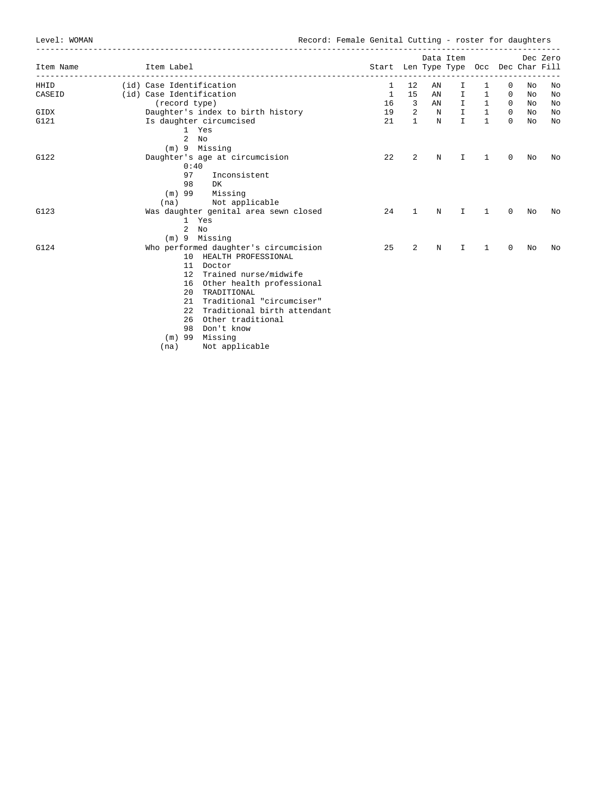Level: WOMAN **Record:** Female Genital Cutting - roster for daughters

| Item Label<br>(id) Case Identification<br>(id) Case Identification<br>(record type)                                                                                                                                                                                                                              | Start Len Type Type Occ Dec Char Fill<br>1<br>$\mathbf{1}$                                                                    | 12                      | AN          |              |                                         |                                |    |    |
|------------------------------------------------------------------------------------------------------------------------------------------------------------------------------------------------------------------------------------------------------------------------------------------------------------------|-------------------------------------------------------------------------------------------------------------------------------|-------------------------|-------------|--------------|-----------------------------------------|--------------------------------|----|----|
|                                                                                                                                                                                                                                                                                                                  |                                                                                                                               |                         |             |              |                                         |                                |    |    |
|                                                                                                                                                                                                                                                                                                                  |                                                                                                                               |                         |             | I.           | 1                                       | 0                              | No | No |
|                                                                                                                                                                                                                                                                                                                  |                                                                                                                               | 15                      | AN          | $\mathbf{I}$ | $\mathbf{1}$                            | $\mathbf 0$                    | No | No |
|                                                                                                                                                                                                                                                                                                                  | 16                                                                                                                            | $\overline{\mathbf{3}}$ | AN          |              | $\begin{matrix} 1 & 1 & 0 \end{matrix}$ |                                | No | No |
|                                                                                                                                                                                                                                                                                                                  | 19                                                                                                                            | 2                       | $\mathbf N$ | $\mathbf{I}$ |                                         | $\overline{0}$                 | No | No |
| 1 Yes<br>$\overline{a}$<br>No                                                                                                                                                                                                                                                                                    |                                                                                                                               | $\mathbf{1}$            |             |              |                                         | $\Omega$                       | No | No |
|                                                                                                                                                                                                                                                                                                                  |                                                                                                                               |                         |             |              |                                         |                                |    |    |
| Daughter's age at circumcision<br>0:40                                                                                                                                                                                                                                                                           | 22                                                                                                                            | $\overline{2}$          | N           | I.           | 1                                       | $\Omega$                       | No | No |
| 98<br>DK<br>$(m)$ 99<br>Missing                                                                                                                                                                                                                                                                                  |                                                                                                                               |                         |             |              |                                         |                                |    |    |
| Not applicable<br>(na)                                                                                                                                                                                                                                                                                           |                                                                                                                               |                         |             |              |                                         |                                |    |    |
| Was daughter genital area sewn closed<br>1 Yes<br>2<br>No<br>(m) 9 Missing                                                                                                                                                                                                                                       | 24                                                                                                                            | 1                       | N           | I.           | 1                                       | 0                              | No | No |
| Who performed daughter's circumcision<br>10 HEALTH PROFESSIONAL<br>11 Doctor<br>12 Trained nurse/midwife<br>16 Other health professional<br>TRADITIONAL<br>$20 -$<br>Traditional "circumciser"<br>21<br>Traditional birth attendant<br>2.2<br>Other traditional<br>26<br>Don't know<br>98<br>Missing<br>$(m)$ 99 | 25                                                                                                                            | 2                       | N           | $\mathbf{I}$ | 1                                       | $\Omega$                       | No | No |
|                                                                                                                                                                                                                                                                                                                  | Daughter's index to birth history<br>Is daughter circumcised<br>(m) 9 Missing<br>97<br>Inconsistent<br>Not applicable<br>(na) | 21                      |             | $_{\rm N}$   | $\mathbf{I}$                            | $\overline{1}$<br>$\mathbf{1}$ |    |    |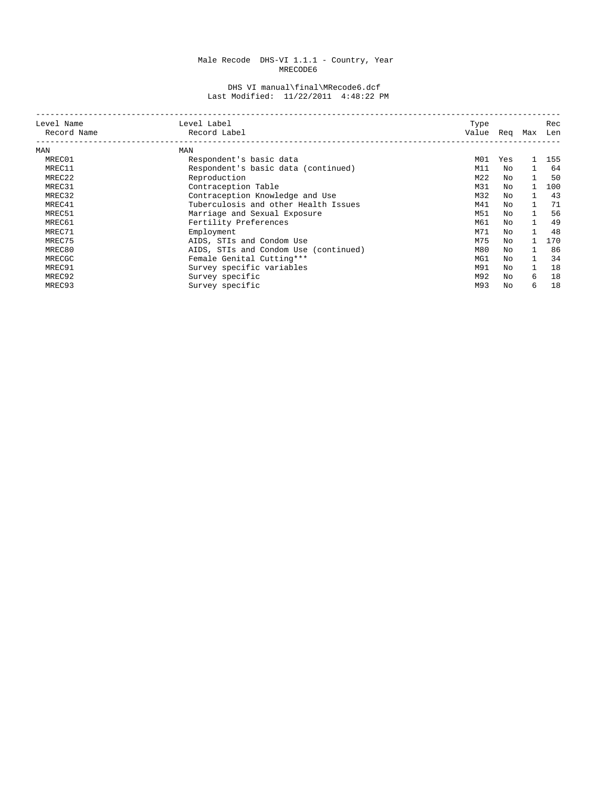## Male Recode DHS-VI 1.1.1 - Country, Year MRECODE6

## DHS VI manual\final\MRecode6.dcf Last Modified: 11/22/2011 4:48:22 PM

| Level Name  | Level Label                           | Type  |     |              | Rec |
|-------------|---------------------------------------|-------|-----|--------------|-----|
| Record Name | Record Label                          | Value | Rea | Max          | Len |
| MAN         | MAN                                   |       |     |              |     |
| MREC01      | Respondent's basic data               | M01   | Yes | $\mathbf{1}$ | 155 |
| MREC11      | Respondent's basic data (continued)   | M11   | No  | $\mathbf{1}$ | 64  |
| MREC22      | Reproduction                          | M22   | No  |              | 50  |
| MREC31      | Contraception Table                   | M31   | No  |              | 100 |
| MREC32      | Contraception Knowledge and Use       | M32   | No  | $\mathbf{1}$ | 43  |
| MREC41      | Tuberculosis and other Health Issues  | M41   | No  | 1            | 71  |
| MREC51      | Marriage and Sexual Exposure          | M51   | No  | 1            | 56  |
| MREC61      | Fertility Preferences                 | M61   | No. |              | 49  |
| MREC71      | Employment                            | M71   | No  |              | 48  |
| MREC75      | AIDS, STIs and Condom Use             | M75   | No  |              | 170 |
| MREC80      | AIDS, STIs and Condom Use (continued) | M80   | NΩ  | $\mathbf{1}$ | 86  |
| MRECGC      | Female Genital Cutting***             | MG1   | No  |              | 34  |
| MREC91      | Survey specific variables             | M91   | No. |              | 18  |
| MREC92      | Survey specific                       | M92   | No  | 6            | 18  |
| MREC93      | Survey specific                       | M93   | No  | 6            | 18  |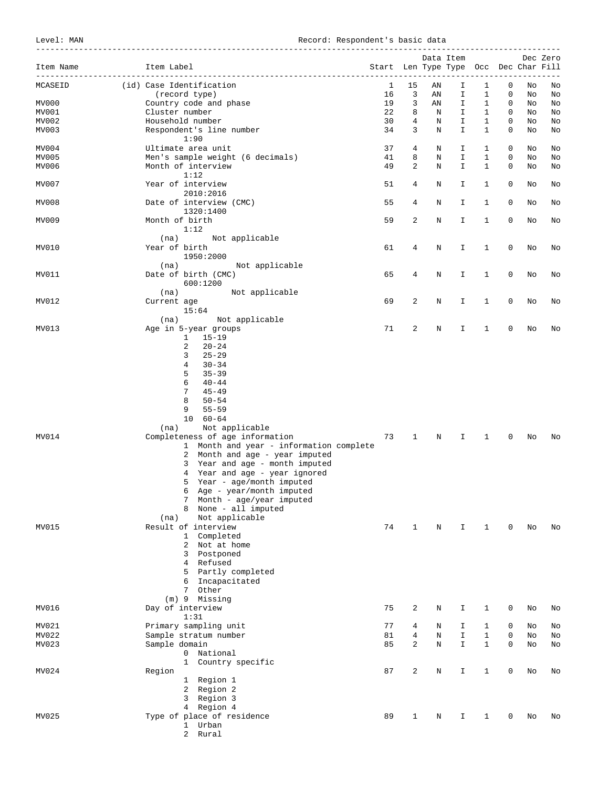Level: MAN Record: Respondent's basic data

|           |                                            |    |                |    | Data Item                             |              |             |    | Dec Zero |
|-----------|--------------------------------------------|----|----------------|----|---------------------------------------|--------------|-------------|----|----------|
| Item Name | Item Label<br>____________________________ |    |                |    | Start Len Type Type Occ Dec Char Fill |              |             |    |          |
| MCASEID   | (id) Case Identification                   | 1  | 15             | ΑN | I                                     | 1            | 0           | No | No       |
|           | (record type)                              | 16 | 3              | ΑN | I                                     | 1            | 0           | No | No       |
| MV000     | Country code and phase                     | 19 | 3              | AN | Ι                                     | 1            | 0           | No | No       |
| MV001     | Cluster number                             | 22 | 8              | N  | I                                     | 1            | $\mathbf 0$ | No | No       |
| MV002     | Household number                           | 30 | 4              | Ν  | I                                     | 1            | 0           | No | No       |
| MV003     |                                            | 34 | 3              | Ν  | I                                     | 1            | 0           |    | No       |
|           | Respondent's line number                   |    |                |    |                                       |              |             | No |          |
|           | 1:90                                       |    |                |    |                                       |              |             |    |          |
| MV004     | Ultimate area unit                         | 37 | 4              | Ν  | I.                                    | 1            | 0           | No | No       |
| MV005     | Men's sample weight (6 decimals)           | 41 | 8              | Ν  | I                                     | $\mathbf{1}$ | $\mathbf 0$ | No | No       |
| MV006     | Month of interview                         | 49 | 2              | Ν  | I                                     | $\mathbf{1}$ | 0           | No | No       |
|           | 1:12                                       |    |                |    |                                       |              |             |    |          |
| MV007     | Year of interview                          | 51 | 4              | Ν  | I                                     | 1            | 0           | No | No       |
|           | 2010:2016                                  |    |                |    |                                       |              |             |    |          |
| MV008     | Date of interview (CMC)                    | 55 | 4              | Ν  | I                                     | 1            | 0           | No | No       |
|           | 1320:1400                                  |    |                |    |                                       |              |             |    |          |
| MV009     | Month of birth                             | 59 | 2              | Ν  | I                                     | 1            | 0           | No | No       |
|           | 1:12                                       |    |                |    |                                       |              |             |    |          |
|           | Not applicable<br>(na)                     |    |                |    |                                       |              |             |    |          |
| MV010     | Year of birth                              | 61 | 4              | Ν  | I                                     | 1            | 0           | No | No       |
|           | 1950:2000                                  |    |                |    |                                       |              |             |    |          |
|           |                                            |    |                |    |                                       |              |             |    |          |
|           | Not applicable<br>(na)                     |    |                |    |                                       |              |             |    |          |
| MV011     | Date of birth (CMC)                        | 65 | 4              | Ν  | I                                     | 1            | 0           | No | No       |
|           | 600:1200                                   |    |                |    |                                       |              |             |    |          |
|           | Not applicable<br>(na)                     |    |                |    |                                       |              |             |    |          |
| MV012     | Current age                                | 69 | 2              | Ν  | I                                     | 1            | 0           | No | No       |
|           | 15:64                                      |    |                |    |                                       |              |             |    |          |
|           | Not applicable<br>(na)                     |    |                |    |                                       |              |             |    |          |
| MV013     | Age in 5-year groups                       | 71 | 2              | Ν  | I                                     | 1            | 0           | No | No       |
|           | $\mathbf{1}$<br>$15 - 19$                  |    |                |    |                                       |              |             |    |          |
|           | 2<br>$20 - 24$                             |    |                |    |                                       |              |             |    |          |
|           | $25 - 29$                                  |    |                |    |                                       |              |             |    |          |
|           | 3                                          |    |                |    |                                       |              |             |    |          |
|           | 4<br>$30 - 34$                             |    |                |    |                                       |              |             |    |          |
|           | 5<br>$35 - 39$                             |    |                |    |                                       |              |             |    |          |
|           | 6<br>$40 - 44$                             |    |                |    |                                       |              |             |    |          |
|           | 7<br>$45 - 49$                             |    |                |    |                                       |              |             |    |          |
|           | 8<br>$50 - 54$                             |    |                |    |                                       |              |             |    |          |
|           | 9<br>$55 - 59$                             |    |                |    |                                       |              |             |    |          |
|           | 10<br>$60 - 64$                            |    |                |    |                                       |              |             |    |          |
|           | Not applicable<br>(na)                     |    |                |    |                                       |              |             |    |          |
| MV014     | Completeness of age information            | 73 | 1              | N  | I                                     | 1            | 0           | No | No       |
|           | 1 Month and year - information complete    |    |                |    |                                       |              |             |    |          |
|           | 2 Month and age - year imputed             |    |                |    |                                       |              |             |    |          |
|           | 3 Year and age - month imputed             |    |                |    |                                       |              |             |    |          |
|           | 4 Year and age - year ignored              |    |                |    |                                       |              |             |    |          |
|           | 5 Year - age/month imputed                 |    |                |    |                                       |              |             |    |          |
|           |                                            |    |                |    |                                       |              |             |    |          |
|           | 6 Age - year/month imputed                 |    |                |    |                                       |              |             |    |          |
|           | 7 Month - age/year imputed                 |    |                |    |                                       |              |             |    |          |
|           | 8 None - all imputed                       |    |                |    |                                       |              |             |    |          |
|           | (na)<br>Not applicable                     |    |                |    |                                       |              |             |    |          |
| MV015     | Result of interview                        | 74 | $\mathbf{1}$   | N  | I                                     | 1            | 0           | No | No       |
|           | 1 Completed                                |    |                |    |                                       |              |             |    |          |
|           | 2 Not at home                              |    |                |    |                                       |              |             |    |          |
|           | 3 Postponed                                |    |                |    |                                       |              |             |    |          |
|           | 4 Refused                                  |    |                |    |                                       |              |             |    |          |
|           | 5 Partly completed                         |    |                |    |                                       |              |             |    |          |
|           | 6 Incapacitated                            |    |                |    |                                       |              |             |    |          |
|           | 7 Other                                    |    |                |    |                                       |              |             |    |          |
|           | (m) 9 Missing                              |    |                |    |                                       |              |             |    |          |
|           |                                            |    |                |    |                                       |              |             |    |          |
| MV016     | Day of interview                           | 75 | 2              | Ν  | I                                     | 1            | 0           | No | No       |
|           | 1:31                                       |    |                |    |                                       |              |             |    |          |
| MV021     | Primary sampling unit                      | 77 | 4              | Ν  | I                                     | 1            | 0           | No | No       |
| MV022     | Sample stratum number                      | 81 | $\overline{4}$ | Ν  | I                                     | $\mathbf{1}$ | 0           | No | No       |
| MV023     | Sample domain                              | 85 | 2              | N  | I.                                    | $\mathbf{1}$ | $\mathbf 0$ | No | No       |
|           | 0 National                                 |    |                |    |                                       |              |             |    |          |
|           | 1 Country specific                         |    |                |    |                                       |              |             |    |          |
| MV024     | Region                                     | 87 | 2              | Ν  | I                                     | 1            | 0           | No | No       |
|           | 1 Region 1                                 |    |                |    |                                       |              |             |    |          |
|           | 2 Region 2                                 |    |                |    |                                       |              |             |    |          |
|           | 3 Region 3                                 |    |                |    |                                       |              |             |    |          |
|           | 4 Region 4                                 |    |                |    |                                       |              |             |    |          |
| MV025     | Type of place of residence                 | 89 | 1              | Ν  | I                                     | 1            | 0           | No | No       |
|           |                                            |    |                |    |                                       |              |             |    |          |
|           | 1 Urban                                    |    |                |    |                                       |              |             |    |          |
|           | 2<br>Rural                                 |    |                |    |                                       |              |             |    |          |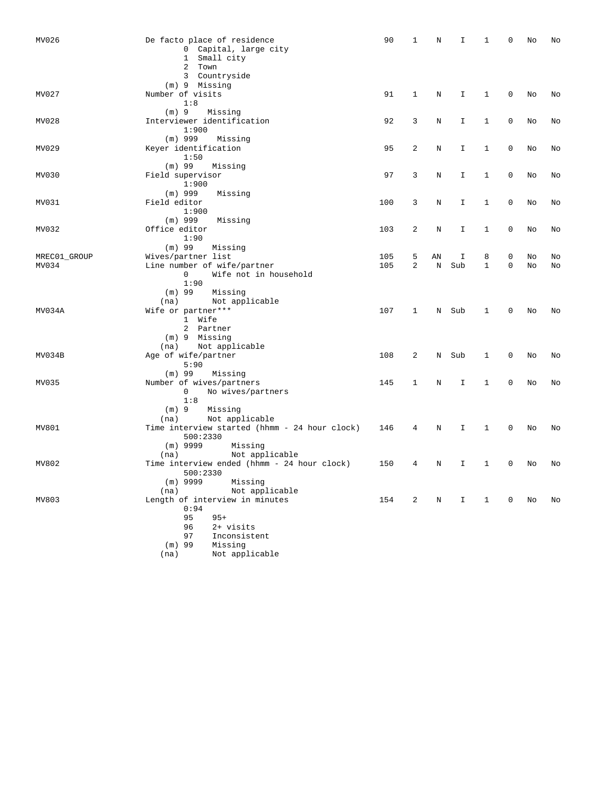| MV026                 | De facto place of residence<br>0 Capital, large city<br>1 Small city<br>2 Town<br>3 Countryside                                                                           | 90         | 1                   | Ν       | I        | 1                 | 0      | No       | No       |
|-----------------------|---------------------------------------------------------------------------------------------------------------------------------------------------------------------------|------------|---------------------|---------|----------|-------------------|--------|----------|----------|
| MV027                 | (m) 9 Missing<br>Number of visits<br>1:8                                                                                                                                  | 91         | 1                   | Ν       | I        | 1                 | 0      | No       | No       |
| MV028                 | $(m)$ 9<br>Missing<br>Interviewer identification<br>1:900                                                                                                                 | 92         | 3                   | Ν       | I.       | 1                 | 0      | No       | No       |
| MV029                 | $(m)$ 999<br>Missing<br>Keyer identification<br>1:50                                                                                                                      | 95         | 2                   | Ν       | I        | 1                 | 0      | No       | No       |
| MV030                 | $(m)$ 99<br>Missing<br>Field supervisor<br>1:900                                                                                                                          | 97         | 3                   | Ν       | I        | 1                 | 0      | No       | No       |
| MV031                 | $(m)$ 999<br>Missing<br>Field editor<br>1:900                                                                                                                             | 100        | 3                   | Ν       | I        | 1                 | 0      | No       | No       |
| MV032                 | $(m)$ 999<br>Missing<br>Office editor<br>1:90                                                                                                                             | 103        | 2                   | Ν       | I        | 1                 | 0      | No       | No       |
| MREC01_GROUP<br>MV034 | $(m)$ 99<br>Missing<br>Wives/partner list<br>Line number of wife/partner<br>Wife not in household<br>0                                                                    | 105<br>105 | 5<br>$\overline{a}$ | ΑN<br>N | I<br>Sub | 8<br>$\mathbf{1}$ | 0<br>0 | No<br>No | No<br>No |
| MV034A                | 1:90<br>$(m)$ 99<br>Missing<br>(na)<br>Not applicable<br>Wife or partner***<br>1 Wife<br>2 Partner<br>(m) 9 Missing                                                       | 107        | 1                   | Ν       | Sub      | 1                 | 0      | No       | No       |
| MV034B                | Not applicable<br>(na)<br>Age of wife/partner<br>5:90                                                                                                                     | 108        | 2                   | N       | Sub      | 1                 | 0      | No       | No       |
| MV035                 | $(m)$ 99<br>Missing<br>Number of wives/partners<br>No wives/partners<br>0<br>1:8<br>$(m)$ 9<br>Missing                                                                    | 145        | 1                   | Ν       | I        | 1                 | 0      | No       | No       |
| MV801                 | Not applicable<br>(na)<br>Time interview started (hhmm - 24 hour clock)<br>500:2330<br>$(m)$ 9999<br>Missing                                                              | 146        | 4                   | Ν       | I        | 1                 | 0      | No       | No       |
| MV802                 | Not applicable<br>(na)<br>Time interview ended (hhmm - 24 hour clock)<br>500:2330<br>Missing<br>(m) 9999                                                                  | 150        | 4                   | Ν       | I        | 1                 | 0      | No       | No       |
| MV803                 | Not applicable<br>(na)<br>Length of interview in minutes<br>0:94<br>95<br>$95+$<br>96<br>2+ visits<br>97<br>Inconsistent<br>$(m)$ 99<br>Missing<br>Not applicable<br>(na) | 154        | 2                   | N       | I        | 1                 | 0      | No       | No       |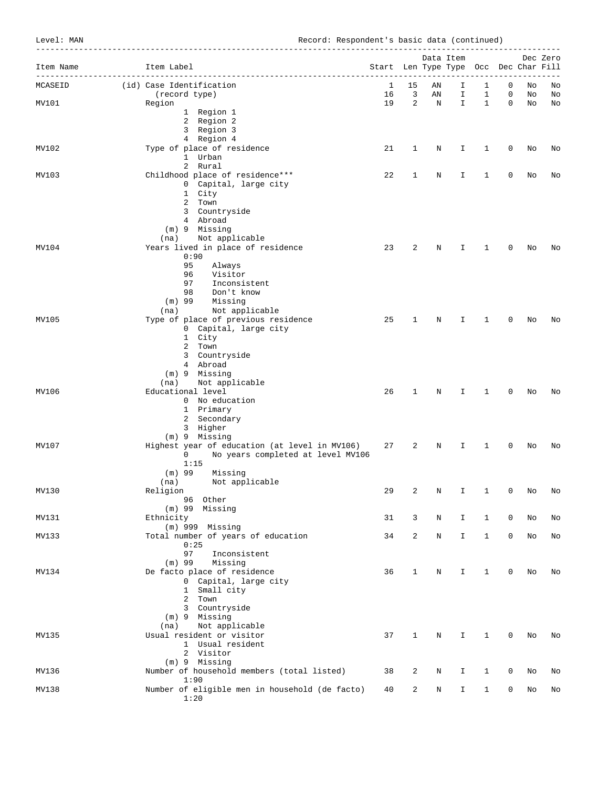Level: MAN Level: MAN Record: Respondent's basic data (continued)

| Item Name | Item Label<br>-------------------------                                                                                                                               | Start Len Type Type Occ Dec Char Fill |              |          | Data Item   |                   |                |          | Dec Zero |
|-----------|-----------------------------------------------------------------------------------------------------------------------------------------------------------------------|---------------------------------------|--------------|----------|-------------|-------------------|----------------|----------|----------|
| MCASEID   | (id) Case Identification<br>(record type)                                                                                                                             | 1<br>16                               | 15<br>3      | ΑN<br>AN | I<br>Ι      | 1<br>$\mathbf{1}$ | 0<br>0         | No<br>No | No<br>No |
| MV101     | Region<br>1 Region 1<br>2 Region 2<br>3 Region 3<br>4 Region 4                                                                                                        | 19                                    | 2            | N        | I.          | $\mathbf{1}$      | $\mathbf 0$    | No       | No       |
| MV102     | Type of place of residence<br>1 Urban<br>2 Rural                                                                                                                      | 21                                    | 1            | Ν        | I           | 1                 | 0              | No       | No       |
| MV103     | Childhood place of residence***<br>0 Capital, large city<br>1 City<br>2 Town<br>3 Countryside<br>4 Abroad<br>$(m)$ 9 Missing<br>Not applicable<br>(na)                | 22                                    | 1            | Ν        | I           | 1                 | 0              | No       | No       |
| MV104     | Years lived in place of residence<br>0:90<br>95<br>Always<br>96<br>Visitor<br>97<br>Inconsistent<br>98<br>Don't know<br>$(m)$ 99<br>Missing<br>Not applicable<br>(na) | 23                                    | 2            | Ν        | I           | 1                 | 0              | No       | No       |
| MV105     | Type of place of previous residence<br>0 Capital, large city<br>1 City<br>2 Town<br>3 Countryside<br>4 Abroad<br>(m) 9 Missing                                        | 25                                    | 1            | Ν        | I           | 1                 | 0              | No       | No       |
| MV106     | Not applicable<br>(na)<br>Educational level<br>0 No education<br>1 Primary<br>2 Secondary<br>3 Higher<br>(m) 9 Missing                                                | 26                                    | 1            | Ν        | I           | 1                 | 0              | No       | No       |
| MV107     | Highest year of education (at level in MV106)<br>$\mathbf{0}$<br>No years completed at level MV106<br>1:15<br>$(m)$ 99<br>Missing<br>(na)<br>Not applicable           | 27                                    | 2            | N        | I           | 1                 | 0              | No       | No       |
| MV130     | Religion<br>96 Other<br>$(m)$ 99 Missing                                                                                                                              | 29                                    | $\mathbf{2}$ | N        |             | $1 \quad 1$       | $\overline{0}$ | No       | No       |
| MV131     | Ethnicity<br>$(m)$ 999 Missing                                                                                                                                        | 31                                    | 3            | N        | I.          | $\mathbf{1}$      | 0              | No       | No       |
| MV133     | Total number of years of education<br>0:25<br>97<br>Inconsistent<br>$(m)$ 99<br>Missing                                                                               | 34                                    | 2            | N        | I           | $\mathbf{1}$      | 0              | No       | No       |
| MV134     | De facto place of residence<br>0 Capital, large city<br>1 Small city<br>2 Town<br>3 Countryside<br>(m) 9 Missing<br>Not applicable<br>(na)                            | 36                                    | $\mathbf 1$  | N        | $\mathbf I$ | $\mathbf{1}$      | 0              | No       | No       |
| MV135     | Usual resident or visitor<br>1 Usual resident<br>2 Visitor<br>(m) 9 Missing                                                                                           | 37                                    | $\mathbf{1}$ | N        | I           | $\mathbf{1}$      | 0              | No       | No       |
| MV136     | Number of household members (total listed)<br>1:90                                                                                                                    | 38                                    | 2            | Ν        | Ι           | 1                 | 0              | No       | No       |
| MV138     | Number of eligible men in household (de facto)<br>1:20                                                                                                                | 40                                    | 2            | N        | I           | 1                 | 0              | No       | No       |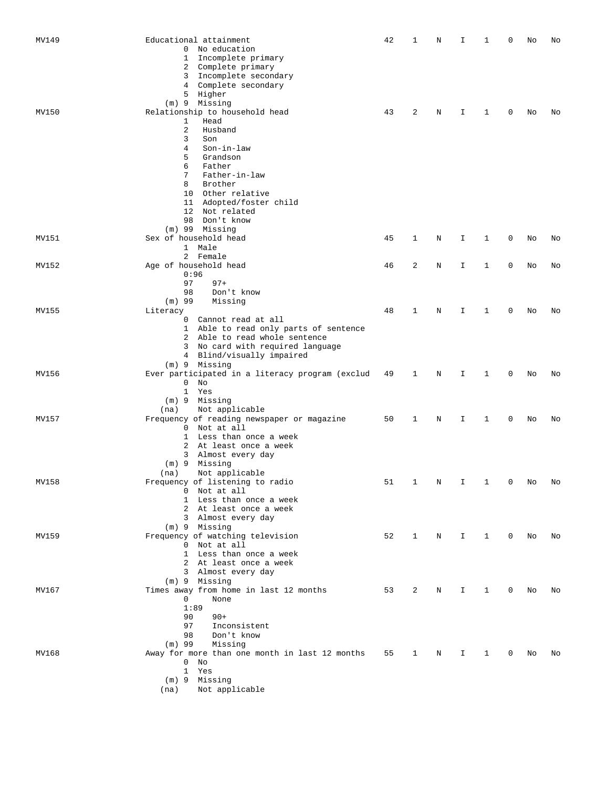| MV149 | Educational attainment                                                 | 42 | 1            | N | I            | 1            | 0           | No | No |
|-------|------------------------------------------------------------------------|----|--------------|---|--------------|--------------|-------------|----|----|
|       | 0 No education                                                         |    |              |   |              |              |             |    |    |
|       | Incomplete primary<br>1                                                |    |              |   |              |              |             |    |    |
|       | 2 Complete primary                                                     |    |              |   |              |              |             |    |    |
|       | 3 Incomplete secondary                                                 |    |              |   |              |              |             |    |    |
|       | 4 Complete secondary                                                   |    |              |   |              |              |             |    |    |
|       | 5 Higher<br>(m) 9 Missing                                              |    |              |   |              |              |             |    |    |
| MV150 | Relationship to household head                                         | 43 | 2            | Ν | I            | 1            | 0           | No | No |
|       | Head<br>1                                                              |    |              |   |              |              |             |    |    |
|       | 2<br>Husband                                                           |    |              |   |              |              |             |    |    |
|       | 3<br>Son                                                               |    |              |   |              |              |             |    |    |
|       | 4<br>Son-in-law                                                        |    |              |   |              |              |             |    |    |
|       | Grandson<br>5                                                          |    |              |   |              |              |             |    |    |
|       | Father<br>6<br>Father-in-law<br>7                                      |    |              |   |              |              |             |    |    |
|       | Brother<br>8                                                           |    |              |   |              |              |             |    |    |
|       | 10 Other relative                                                      |    |              |   |              |              |             |    |    |
|       | Adopted/foster child<br>11                                             |    |              |   |              |              |             |    |    |
|       | 12 Not related                                                         |    |              |   |              |              |             |    |    |
|       | 98<br>Don't know                                                       |    |              |   |              |              |             |    |    |
|       | (m) 99<br>Missing                                                      |    |              |   |              |              |             |    |    |
| MV151 | Sex of household head                                                  | 45 | 1            | Ν | I            | 1            | 0           | No | No |
|       | 1 Male<br>2 Female                                                     |    |              |   |              |              |             |    |    |
| MV152 | Age of household head                                                  | 46 | 2            | N | I            | 1            | $\mathbf 0$ | No | No |
|       | 0:96                                                                   |    |              |   |              |              |             |    |    |
|       | 97<br>$97+$                                                            |    |              |   |              |              |             |    |    |
|       | 98<br>Don't know                                                       |    |              |   |              |              |             |    |    |
|       | $(m)$ 99<br>Missing                                                    |    |              |   |              |              |             |    |    |
| MV155 | Literacy                                                               | 48 | 1            | Ν | I            | 1            | 0           | No | No |
|       | 0 Cannot read at all                                                   |    |              |   |              |              |             |    |    |
|       | 1 Able to read only parts of sentence<br>2 Able to read whole sentence |    |              |   |              |              |             |    |    |
|       | 3 No card with required language                                       |    |              |   |              |              |             |    |    |
|       | 4 Blind/visually impaired                                              |    |              |   |              |              |             |    |    |
|       | $(m)$ 9 Missing                                                        |    |              |   |              |              |             |    |    |
| MV156 | Ever participated in a literacy program (exclud                        | 49 | 1            | N | I            | 1            | 0           | No | No |
|       | $0$ No                                                                 |    |              |   |              |              |             |    |    |
|       | 1 Yes                                                                  |    |              |   |              |              |             |    |    |
|       | (m) 9 Missing                                                          |    |              |   |              |              |             |    |    |
| MV157 | Not applicable<br>(na)<br>Frequency of reading newspaper or magazine   | 50 | 1            | Ν | I            | 1            | 0           | No | No |
|       | 0 Not at all                                                           |    |              |   |              |              |             |    |    |
|       | 1 Less than once a week                                                |    |              |   |              |              |             |    |    |
|       | 2 At least once a week                                                 |    |              |   |              |              |             |    |    |
|       | 3 Almost every day                                                     |    |              |   |              |              |             |    |    |
|       | (m) 9 Missing                                                          |    |              |   |              |              |             |    |    |
| MV158 | Not applicable<br>(na)<br>Frequency of listening to radio              | 51 | $\mathbf{1}$ |   |              | $1\,$        | 0           |    | No |
|       | 0 Not at all                                                           |    |              | Ν | I.           |              |             | No |    |
|       | 1 Less than once a week                                                |    |              |   |              |              |             |    |    |
|       | 2 At least once a week                                                 |    |              |   |              |              |             |    |    |
|       | 3 Almost every day                                                     |    |              |   |              |              |             |    |    |
|       | $(m)$ 9 Missing                                                        |    |              |   |              |              |             |    |    |
| MV159 | Frequency of watching television                                       | 52 | $\mathbf{1}$ | N | I.           | $\mathbf{1}$ | 0           | No | No |
|       | 0 Not at all<br>1 Less than once a week                                |    |              |   |              |              |             |    |    |
|       | 2 At least once a week                                                 |    |              |   |              |              |             |    |    |
|       | 3 Almost every day                                                     |    |              |   |              |              |             |    |    |
|       | $(m)$ 9 Missing                                                        |    |              |   |              |              |             |    |    |
| MV167 | Times away from home in last 12 months                                 | 53 | 2            | N | I.           | $\mathbf{1}$ | 0           | No | No |
|       | 0<br>None                                                              |    |              |   |              |              |             |    |    |
|       | 1:89                                                                   |    |              |   |              |              |             |    |    |
|       | 90<br>$90+$                                                            |    |              |   |              |              |             |    |    |
|       | 97<br>Inconsistent<br>98<br>Don't know                                 |    |              |   |              |              |             |    |    |
|       | $(m)$ 99<br>Missing                                                    |    |              |   |              |              |             |    |    |
| MV168 | Away for more than one month in last 12 months                         | 55 | $\mathbf{1}$ | N | $\mathbf{I}$ | $\mathbf{1}$ | 0           | No | No |
|       | $0$ No                                                                 |    |              |   |              |              |             |    |    |
|       | 1 Yes                                                                  |    |              |   |              |              |             |    |    |
|       | $(m)$ 9 Missing                                                        |    |              |   |              |              |             |    |    |
|       | Not applicable<br>(na)                                                 |    |              |   |              |              |             |    |    |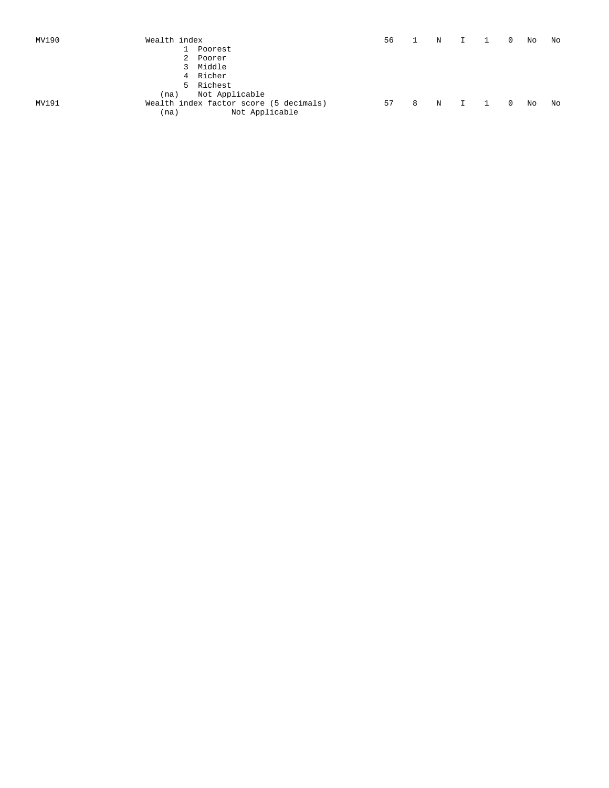| MV190 | Wealth index |                                        | 56 |   | N I 1 |              | $\overline{0}$ | No | No |
|-------|--------------|----------------------------------------|----|---|-------|--------------|----------------|----|----|
|       |              | Poorest                                |    |   |       |              |                |    |    |
|       |              | 2 Poorer                               |    |   |       |              |                |    |    |
|       |              | 3 Middle                               |    |   |       |              |                |    |    |
|       |              | 4 Richer                               |    |   |       |              |                |    |    |
|       |              | 5 Richest                              |    |   |       |              |                |    |    |
|       | (na)         | Not Applicable                         |    |   |       |              |                |    |    |
| MV191 |              | Wealth index factor score (5 decimals) | 57 | 8 | N     | $\mathbf{I}$ | $\Omega$       | No | No |
|       | (na)         | Not Applicable                         |    |   |       |              |                |    |    |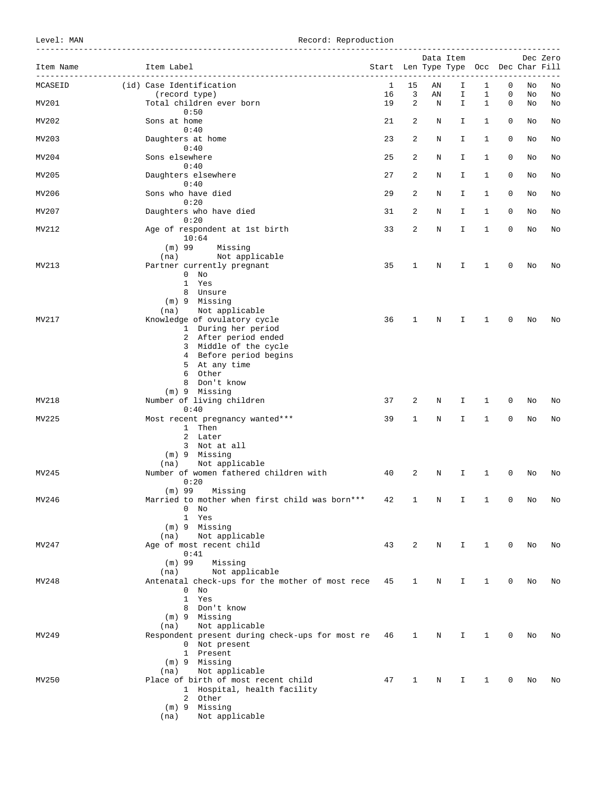```
Level: MAN Record: Reproduction
```

| Item Name | Item Label<br>____________________________                                                                                                                                    | Start Len Type Type Occ Dec Char Fill |              |         | Data Item |                              |             |          | Dec Zero |
|-----------|-------------------------------------------------------------------------------------------------------------------------------------------------------------------------------|---------------------------------------|--------------|---------|-----------|------------------------------|-------------|----------|----------|
| MCASEID   | (id) Case Identification                                                                                                                                                      | 1                                     | 15           | ΑN      | I         | 1                            | 0           | No       | No       |
| MV201     | (record type)<br>Total children ever born<br>0:50                                                                                                                             | 16<br>19                              | 3<br>2       | AN<br>N | Ι<br>I    | $\mathbf{1}$<br>$\mathbf{1}$ | 0<br>0      | No<br>No | No<br>No |
| MV202     | Sons at home<br>0:40                                                                                                                                                          | 21                                    | 2            | Ν       | I         | 1                            | 0           | No       | No       |
| MV203     | Daughters at home<br>0:40                                                                                                                                                     | 23                                    | 2            | Ν       | I         | 1                            | 0           | No       | No       |
| MV204     | Sons elsewhere<br>0:40                                                                                                                                                        | 25                                    | 2            | Ν       | I         | 1                            | 0           | No       | No       |
| MV205     | Daughters elsewhere<br>0:40                                                                                                                                                   | 27                                    | 2            | Ν       | I         | 1                            | 0           | No       | No       |
| MV206     | Sons who have died<br>0:20                                                                                                                                                    | 29                                    | 2            | Ν       | I         | 1                            | 0           | No       | No       |
| MV207     | Daughters who have died<br>0:20                                                                                                                                               | 31                                    | 2            | Ν       | I         | 1                            | 0           | No       | No       |
| MV212     | Age of respondent at 1st birth<br>10:64<br>$(m)$ 99<br>Missing                                                                                                                | 33                                    | 2            | Ν       | I.        | $\mathbf{1}$                 | 0           | No       | No       |
| MV213     | Not applicable<br>(na)<br>Partner currently pregnant                                                                                                                          | 35                                    | $\mathbf 1$  | N       | I         | 1                            | 0           | No       | No       |
|           | $0$ No<br>1 Yes<br>8 Unsure<br>(m) 9 Missing<br>Not applicable<br>(na)                                                                                                        |                                       |              |         |           |                              |             |          |          |
| MV217     | Knowledge of ovulatory cycle<br>1 During her period<br>2 After period ended<br>3 Middle of the cycle<br>4 Before period begins<br>5 At any time<br>6 Other<br>Don't know<br>8 | 36                                    | $\mathbf{1}$ | N       | I         | 1                            | 0           | No       | No       |
| MV218     | (m) 9 Missing<br>Number of living children<br>0:40                                                                                                                            | 37                                    | 2            | N       | I         | 1                            | 0           | No       | No       |
| MV225     | Most recent pregnancy wanted***<br>1 Then<br>2 Later<br>3 Not at all<br>(m) 9 Missing<br>Not applicable<br>(na)                                                               | 39                                    | $\mathbf{1}$ | Ν       | I         | $\mathbf{1}$                 | $\mathbf 0$ | No       | No       |
| MV245     | Number of women fathered children with<br>0:20<br>$(m)$ 99                                                                                                                    | 40                                    | 2            | Ν       | I         | 1                            | 0           | No       | No       |
| MV246     | Missing<br>Married to mother when first child was born***<br>$0$ No<br>1 Yes<br>$(m)$ 9 Missing<br>Not applicable<br>(na)                                                     | 42                                    | 1            | N       | I         | 1                            | 0           | No       | No       |
| MV247     | Age of most recent child<br>0:41<br>$(m)$ 99<br>Missing                                                                                                                       | 43                                    | 2            | N       | I         | 1                            | 0           | No       | No       |
| MV248     | Not applicable<br>(na)<br>Antenatal check-ups for the mother of most rece<br>$0$ No<br>1 Yes<br>8 Don't know<br>(m) 9 Missing                                                 | 45                                    | 1            | Ν       | I         | 1                            | 0           | No       | No       |
| MV249     | Not applicable<br>(na)<br>Respondent present during check-ups for most re 46<br>0 Not present<br>1 Present<br>(m) 9 Missing<br>Not applicable<br>(na)                         |                                       | 1            | N       | Ι.        | 1                            | 0           | No       | No       |
| MV250     | Place of birth of most recent child<br>1 Hospital, health facility<br>2 Other<br>(m) 9 Missing<br>Not applicable<br>(na)                                                      | 47                                    | 1            | N       | I         | 1                            | 0           | No       | No       |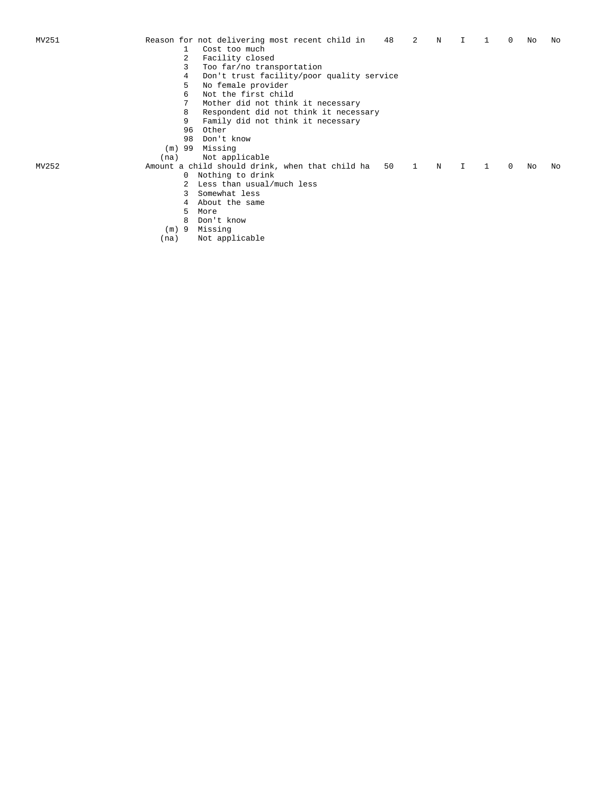| MV251 |           | Reason for not delivering most recent child in 48<br>2<br>N<br>-1<br>I.<br>$\Omega$<br>No<br>No                       |  |
|-------|-----------|-----------------------------------------------------------------------------------------------------------------------|--|
|       |           | Cost too much                                                                                                         |  |
|       |           | Facility closed                                                                                                       |  |
|       | 3         | Too far/no transportation                                                                                             |  |
|       | 4         | Don't trust facility/poor quality service                                                                             |  |
|       | 5         | No female provider                                                                                                    |  |
|       | 6         | Not the first child                                                                                                   |  |
|       |           | Mother did not think it necessary                                                                                     |  |
|       | 8         | Respondent did not think it necessary                                                                                 |  |
|       | 9         | Family did not think it necessary                                                                                     |  |
|       | 96        | Other                                                                                                                 |  |
|       | 98        | Don't know                                                                                                            |  |
|       | 99<br>(m) | Missing                                                                                                               |  |
|       | (na)      | Not applicable                                                                                                        |  |
| MV252 |           | Amount a child should drink, when that child ha 50<br>$\mathbf{1}$<br>N<br>-1<br>$\Omega$<br>$\mathbf{I}$<br>No<br>No |  |
|       | $\Omega$  | Nothing to drink                                                                                                      |  |
|       |           | Less than usual/much less                                                                                             |  |
|       | 3         | Somewhat less                                                                                                         |  |
|       | 4         | About the same                                                                                                        |  |
|       | 5         | More                                                                                                                  |  |
|       | 8         | Don't know                                                                                                            |  |
|       | 9<br>(m)  | Missing                                                                                                               |  |

(na) Not applicable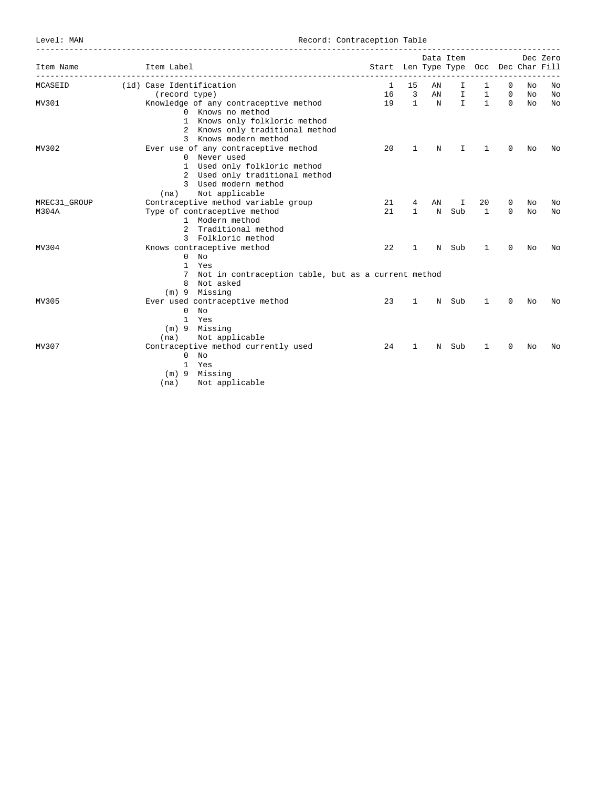Level: MAN Record: Contraception Table

| Item Name    | Item Label               |                                                          | Start Len Type Type Occ Dec Char Fill |              | Data Item            |     |                       |             |    | Dec Zero |
|--------------|--------------------------|----------------------------------------------------------|---------------------------------------|--------------|----------------------|-----|-----------------------|-------------|----|----------|
| MCASEID      | (id) Case Identification |                                                          | $\overline{1}$                        | 15           | --------------<br>AN | I.  | 1                     | 0           | No | No       |
|              | (record type)            |                                                          |                                       | 16 3         | AN                   |     | $I \qquad 1 \qquad 0$ |             | No | No       |
| MV301        |                          | Knowledge of any contraceptive method                    | 19                                    | $\mathbf{1}$ | N                    |     | $I \qquad 1$          | $\mathbf 0$ | No | No       |
|              |                          | 0 Knows no method                                        |                                       |              |                      |     |                       |             |    |          |
|              |                          | 1 Knows only folkloric method                            |                                       |              |                      |     |                       |             |    |          |
|              |                          | 2 Knows only traditional method<br>3 Knows modern method |                                       |              |                      |     |                       |             |    |          |
|              |                          |                                                          | 20                                    | 1            |                      |     | 1                     | 0           |    |          |
| MV302        |                          | Ever use of any contraceptive method<br>0 Never used     |                                       |              | N                    | I.  |                       |             | No | No       |
|              |                          | 1 Used only folkloric method                             |                                       |              |                      |     |                       |             |    |          |
|              |                          | 2 Used only traditional method                           |                                       |              |                      |     |                       |             |    |          |
|              |                          | 3 Used modern method                                     |                                       |              |                      |     |                       |             |    |          |
|              | (na)                     | Not applicable                                           |                                       |              |                      |     |                       |             |    |          |
| MREC31_GROUP |                          | Contraceptive method variable group                      | 21                                    | 4            | ΑN                   | I.  | 20                    | 0           | No | No       |
| M304A        |                          | Type of contraceptive method                             | 21                                    | $\mathbf{1}$ | $_{\rm N}$           | Sub | 1                     | $\Omega$    | No | No       |
|              |                          | 1 Modern method                                          |                                       |              |                      |     |                       |             |    |          |
|              |                          | 2 Traditional method                                     |                                       |              |                      |     |                       |             |    |          |
|              |                          | 3 Folkloric method                                       |                                       |              |                      |     |                       |             |    |          |
| MV304        |                          | Knows contraceptive method                               | 22                                    | 1            | N                    | Sub | $\mathbf{1}$          | 0           | No | No       |
|              |                          | $0$ No                                                   |                                       |              |                      |     |                       |             |    |          |
|              |                          | 1 Yes                                                    |                                       |              |                      |     |                       |             |    |          |
|              |                          | 7 Not in contraception table, but as a current method    |                                       |              |                      |     |                       |             |    |          |
|              |                          | 8 Not asked                                              |                                       |              |                      |     |                       |             |    |          |
|              |                          | (m) 9 Missing                                            |                                       |              |                      |     |                       |             |    |          |
| MV305        |                          | Ever used contraceptive method                           | 23                                    | 1            | $_{\rm N}$           | Sub | 1                     | 0           | No | No       |
|              |                          | $0$ No                                                   |                                       |              |                      |     |                       |             |    |          |
|              |                          | 1 Yes                                                    |                                       |              |                      |     |                       |             |    |          |
|              |                          | (m) 9 Missing                                            |                                       |              |                      |     |                       |             |    |          |
|              | (na)                     | Not applicable                                           |                                       |              |                      |     |                       |             |    |          |
| MV307        |                          | Contraceptive method currently used                      | 24                                    | 1            | N                    | Sub | 1                     | 0           | No | No       |
|              |                          | $0$ No                                                   |                                       |              |                      |     |                       |             |    |          |
|              |                          | 1 Yes                                                    |                                       |              |                      |     |                       |             |    |          |
|              |                          | (m) 9 Missing                                            |                                       |              |                      |     |                       |             |    |          |
|              | (na)                     | Not applicable                                           |                                       |              |                      |     |                       |             |    |          |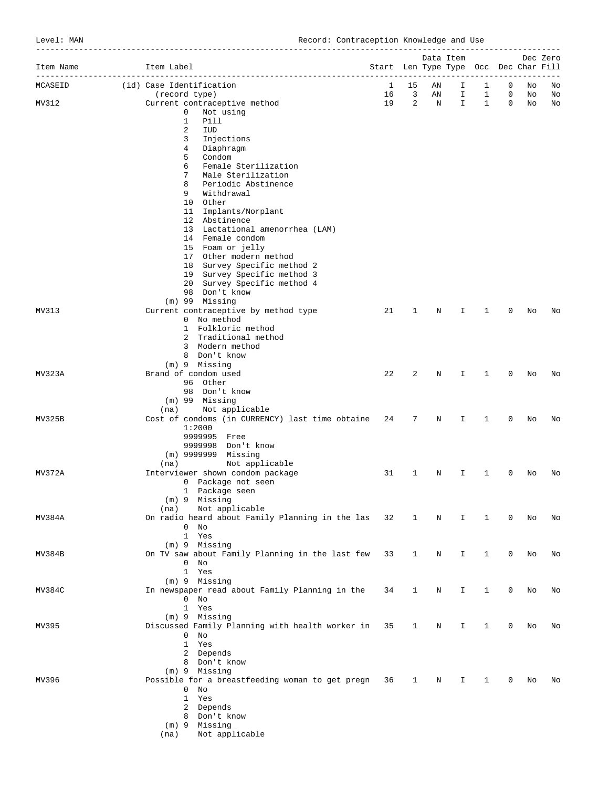Level: MAN Record: Contraception Knowledge and Use

| Item Name | Item Label                                                 | Start Len Type Type Occ Dec Char Fill |                     |             | Data Item      |              |             |    | Dec Zero |
|-----------|------------------------------------------------------------|---------------------------------------|---------------------|-------------|----------------|--------------|-------------|----|----------|
| MCASEID   | ---------------------------<br>(id) Case Identification    | $\mathbf{1}$                          | 15                  | AN          | --------<br>Ι. | 1            | $\Omega$    | No | No       |
|           | (record type)                                              | 16                                    | 3<br>$\overline{a}$ | AN          | I.             | 1            | 0           | No | No       |
| MV312     | Current contraceptive method<br>0<br>Not using             | 19                                    |                     | $\mathbf N$ | I.             | $\mathbf{1}$ | 0           | No | No       |
|           | $\mathbf{1}$<br>Pill                                       |                                       |                     |             |                |              |             |    |          |
|           | 2<br>IUD                                                   |                                       |                     |             |                |              |             |    |          |
|           | 3<br>Injections                                            |                                       |                     |             |                |              |             |    |          |
|           | 4<br>Diaphragm                                             |                                       |                     |             |                |              |             |    |          |
|           | 5<br>Condom                                                |                                       |                     |             |                |              |             |    |          |
|           | Female Sterilization<br>6                                  |                                       |                     |             |                |              |             |    |          |
|           | 7<br>Male Sterilization                                    |                                       |                     |             |                |              |             |    |          |
|           | 8<br>Periodic Abstinence<br>9<br>Withdrawal                |                                       |                     |             |                |              |             |    |          |
|           | 10 Other                                                   |                                       |                     |             |                |              |             |    |          |
|           | 11 Implants/Norplant                                       |                                       |                     |             |                |              |             |    |          |
|           | 12 Abstinence                                              |                                       |                     |             |                |              |             |    |          |
|           | 13 Lactational amenorrhea (LAM)                            |                                       |                     |             |                |              |             |    |          |
|           | 14 Female condom                                           |                                       |                     |             |                |              |             |    |          |
|           | 15 Foam or jelly                                           |                                       |                     |             |                |              |             |    |          |
|           | 17 Other modern method                                     |                                       |                     |             |                |              |             |    |          |
|           | 18 Survey Specific method 2<br>19 Survey Specific method 3 |                                       |                     |             |                |              |             |    |          |
|           | 20 Survey Specific method 4                                |                                       |                     |             |                |              |             |    |          |
|           | 98 Don't know                                              |                                       |                     |             |                |              |             |    |          |
|           | $(m)$ 99 Missing                                           |                                       |                     |             |                |              |             |    |          |
| MV313     | Current contraceptive by method type                       | 21                                    | 1                   | N           | I              | 1            | 0           | No | No       |
|           | 0 No method                                                |                                       |                     |             |                |              |             |    |          |
|           | 1 Folkloric method                                         |                                       |                     |             |                |              |             |    |          |
|           | 2 Traditional method                                       |                                       |                     |             |                |              |             |    |          |
|           | 3 Modern method                                            |                                       |                     |             |                |              |             |    |          |
|           | 8 Don't know                                               |                                       |                     |             |                |              |             |    |          |
| MV323A    | (m) 9 Missing<br>Brand of condom used                      | 22                                    | 2                   | N           | I              | 1            | 0           | No | No       |
|           | 96 Other                                                   |                                       |                     |             |                |              |             |    |          |
|           | 98 Don't know                                              |                                       |                     |             |                |              |             |    |          |
|           | (m) 99 Missing                                             |                                       |                     |             |                |              |             |    |          |
|           | Not applicable<br>(na)                                     |                                       |                     |             |                |              |             |    |          |
| MV325B    | Cost of condoms (in CURRENCY) last time obtaine 24         |                                       | 7                   | N           | I              | 1            | 0           | No | No       |
|           | 1:2000                                                     |                                       |                     |             |                |              |             |    |          |
|           | 9999995 Free                                               |                                       |                     |             |                |              |             |    |          |
|           | 9999998 Don't know<br>(m) 9999999 Missing                  |                                       |                     |             |                |              |             |    |          |
|           | Not applicable<br>(na)                                     |                                       |                     |             |                |              |             |    |          |
| MV372A    | Interviewer shown condom package                           | 31                                    | 1                   | Ν           | I              | 1            | 0           | No | No       |
|           | 0 Package not seen                                         |                                       |                     |             |                |              |             |    |          |
|           | 1 Package seen                                             |                                       |                     |             |                |              |             |    |          |
|           | (m) 9 Missing                                              |                                       |                     |             |                |              |             |    |          |
|           | Not applicable<br>(na)                                     |                                       |                     |             |                |              |             |    |          |
| MV384A    | On radio heard about Family Planning in the las 32         |                                       | $\mathbf{1}$        | $\mathbf N$ | I.             | $\mathbf{1}$ | $\mathbf 0$ | No | No       |
|           | $0$ No                                                     |                                       |                     |             |                |              |             |    |          |
|           | 1 Yes<br>$(m)$ 9 Missing                                   |                                       |                     |             |                |              |             |    |          |
| MY384B    | On TV saw about Family Planning in the last few            | 33                                    | $\mathbf{1}$        | N           | I.             | 1            | 0           | No | No       |
|           | $0$ No                                                     |                                       |                     |             |                |              |             |    |          |
|           | 1 Yes                                                      |                                       |                     |             |                |              |             |    |          |
|           | (m) 9 Missing                                              |                                       |                     |             |                |              |             |    |          |
| MV384C    | In newspaper read about Family Planning in the             | 34                                    | $\mathbf{1}$        | N           | I              | 1            | 0           | No | No       |
|           | $0$ No                                                     |                                       |                     |             |                |              |             |    |          |
|           | 1 Yes                                                      |                                       |                     |             |                |              |             |    |          |
|           | (m) 9 Missing                                              |                                       |                     |             |                |              |             |    |          |
| MV395     | Discussed Family Planning with health worker in 35         |                                       | $\mathbf{1}$        | N           | Ι.             | $\mathbf{1}$ | 0           | No | No       |
|           | $0$ No<br>1 Yes                                            |                                       |                     |             |                |              |             |    |          |
|           | 2 Depends                                                  |                                       |                     |             |                |              |             |    |          |
|           | 8 Don't know                                               |                                       |                     |             |                |              |             |    |          |
|           | (m) 9 Missing                                              |                                       |                     |             |                |              |             |    |          |
| MV396     | Possible for a breastfeeding woman to get pregn 36         |                                       | $\mathbf{1}$        | N           | Ι.             | 1            | 0           | No | No       |
|           | $0$ No                                                     |                                       |                     |             |                |              |             |    |          |
|           | 1 Yes                                                      |                                       |                     |             |                |              |             |    |          |
|           | 2 Depends                                                  |                                       |                     |             |                |              |             |    |          |
|           | 8 Don't know                                               |                                       |                     |             |                |              |             |    |          |
|           | $(m)$ 9 Missing                                            |                                       |                     |             |                |              |             |    |          |
|           | Not applicable<br>(na)                                     |                                       |                     |             |                |              |             |    |          |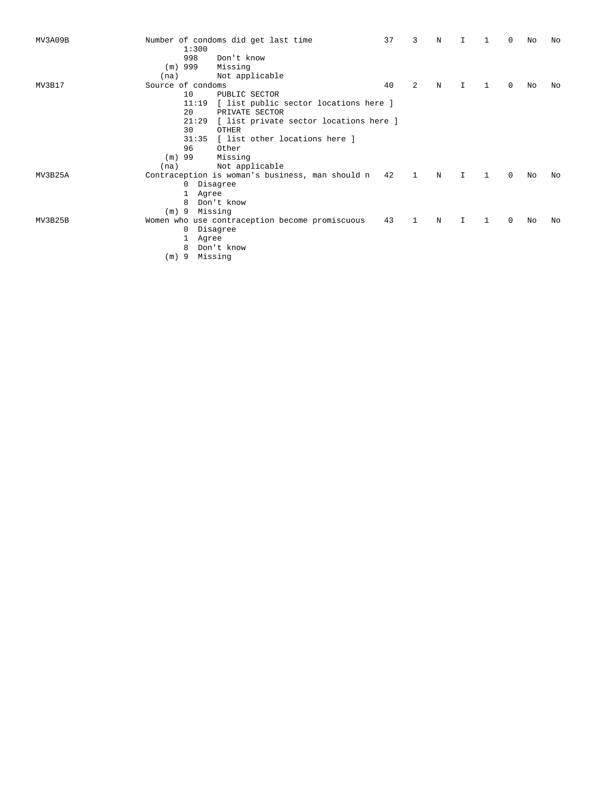| MV3A09B |                   | Number of condoms did get last time             | 37 | 3              | N |    |              | $\Omega$ | No | No |
|---------|-------------------|-------------------------------------------------|----|----------------|---|----|--------------|----------|----|----|
|         | 1:300             |                                                 |    |                |   |    |              |          |    |    |
|         | 998               | Don't know                                      |    |                |   |    |              |          |    |    |
|         | $(m)$ 999         | Missing                                         |    |                |   |    |              |          |    |    |
|         | (na)              | Not applicable                                  |    |                |   |    |              |          |    |    |
| MV3B17  | Source of condoms |                                                 | 40 | $\mathfrak{D}$ | N |    |              | 0        | No | No |
|         | 10                | PUBLIC SECTOR                                   |    |                |   |    |              |          |    |    |
|         | 11:19             | [ list public sector locations here ]           |    |                |   |    |              |          |    |    |
|         | 20                | PRIVATE SECTOR                                  |    |                |   |    |              |          |    |    |
|         | 21:29             | [ list private sector locations here ]          |    |                |   |    |              |          |    |    |
|         | 30                | OTHER                                           |    |                |   |    |              |          |    |    |
|         | 31:35             | [ list other locations here ]                   |    |                |   |    |              |          |    |    |
|         | 96                | Other                                           |    |                |   |    |              |          |    |    |
|         | $(m)$ 99          | Missing                                         |    |                |   |    |              |          |    |    |
|         | (na)              | Not applicable                                  |    |                |   |    |              |          |    |    |
|         |                   |                                                 |    | $\mathbf{1}$   |   |    | $\mathbf{1}$ |          |    |    |
| MV3B25A |                   | Contraception is woman's business, man should n | 42 |                | N | I. |              | $\Omega$ | No | NΩ |
|         | 0 Disagree        |                                                 |    |                |   |    |              |          |    |    |
|         | Agree<br>1        |                                                 |    |                |   |    |              |          |    |    |
|         | 8                 | Don't know                                      |    |                |   |    |              |          |    |    |
|         | $(m)$ 9           | Missing                                         |    |                |   |    |              |          |    |    |
| MV3B25B |                   | Women who use contraception become promiscuous  | 43 | 1              | N | I  | 1            | $\Omega$ | No | No |
|         | 0                 | Disagree                                        |    |                |   |    |              |          |    |    |
|         | Agree<br>1        |                                                 |    |                |   |    |              |          |    |    |
|         | 8                 | Don't know                                      |    |                |   |    |              |          |    |    |
|         | $(m)$ 9           | Missing                                         |    |                |   |    |              |          |    |    |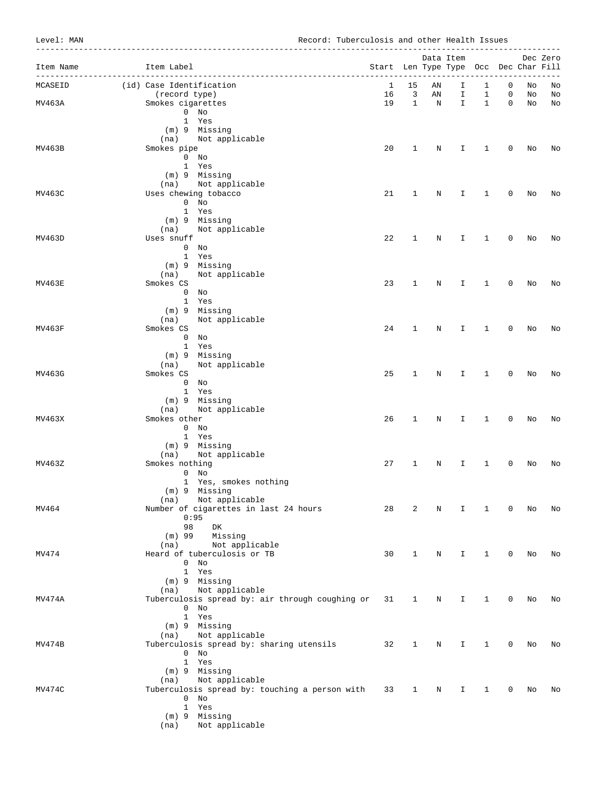Level: MAN Record: Tuberculosis and other Health Issues

| Item Name | Item Label                                                     | Start Len Type Type Occ Dec Char Fill |              |            | Data Item           | --------------------- |             |    | Dec Zero |
|-----------|----------------------------------------------------------------|---------------------------------------|--------------|------------|---------------------|-----------------------|-------------|----|----------|
| MCASEID   | __________________________________<br>(id) Case Identification | 1                                     | 15           | AN         | ______________<br>I | 1                     | 0           | No | No       |
|           | (record type)                                                  | 16                                    | 3            | AN         | I                   | $\mathbf{1}$          | 0           | No | No       |
| MV463A    | Smokes cigarettes                                              | 19                                    | $\mathbf{1}$ | $_{\rm N}$ | $\mathbf I$         | $\mathbf{1}$          | $\mathbf 0$ | No | No       |
|           | $0$ No<br>1 Yes                                                |                                       |              |            |                     |                       |             |    |          |
|           | $(m)$ 9 Missing                                                |                                       |              |            |                     |                       |             |    |          |
|           | (na) Not applicable                                            |                                       |              |            |                     |                       |             |    |          |
| MV463B    | Smokes pipe                                                    | 20                                    | $\mathbf{1}$ | N          | I.                  | $\mathbf{1}$          | 0           | No | No       |
|           | $0$ No                                                         |                                       |              |            |                     |                       |             |    |          |
|           | 1 Yes<br>(m) 9 Missing                                         |                                       |              |            |                     |                       |             |    |          |
|           | (na) Not applicable                                            |                                       |              |            |                     |                       |             |    |          |
| MV463C    | Uses chewing tobacco                                           | 21                                    | $\mathbf 1$  | N          | I                   | $\mathbf{1}$          | 0           | No | No       |
|           | $0$ No                                                         |                                       |              |            |                     |                       |             |    |          |
|           | 1 Yes                                                          |                                       |              |            |                     |                       |             |    |          |
|           | (m) 9 Missing<br>(na) Not applicable                           |                                       |              |            |                     |                       |             |    |          |
| MV463D    | Uses snuff                                                     | 22                                    | 1            | N          | I                   | $\mathbf{1}$          | $\mathbf 0$ | No | No       |
|           | $0$ No                                                         |                                       |              |            |                     |                       |             |    |          |
|           | 1 Yes                                                          |                                       |              |            |                     |                       |             |    |          |
|           | (m) 9 Missing                                                  |                                       |              |            |                     |                       |             |    |          |
| MV463E    | Not applicable<br>(na)<br>Smokes CS                            | 23                                    | $\mathbf 1$  | N          | I                   | $\mathbf{1}$          | 0           | No | No       |
|           | $0$ No                                                         |                                       |              |            |                     |                       |             |    |          |
|           | 1 Yes                                                          |                                       |              |            |                     |                       |             |    |          |
|           | (m) 9 Missing                                                  |                                       |              |            |                     |                       |             |    |          |
|           | (na)<br>Not applicable                                         |                                       |              |            |                     |                       |             |    |          |
| MV463F    | Smokes CS<br>$0$ No                                            | 24                                    | $\mathbf{1}$ | N          | I                   | 1                     | 0           | No | No       |
|           | 1 Yes                                                          |                                       |              |            |                     |                       |             |    |          |
|           | (m) 9 Missing                                                  |                                       |              |            |                     |                       |             |    |          |
|           | Not applicable<br>(na)                                         |                                       |              |            |                     |                       |             |    |          |
| MV463G    | Smokes CS                                                      | 25                                    | $\mathbf 1$  | N          | I                   | $\mathbf{1}$          | 0           | No | No       |
|           | $0$ No                                                         |                                       |              |            |                     |                       |             |    |          |
|           | 1 Yes<br>(m) 9 Missing                                         |                                       |              |            |                     |                       |             |    |          |
|           | (na)<br>Not applicable                                         |                                       |              |            |                     |                       |             |    |          |
| MV463X    | Smokes other                                                   | 26                                    | $\mathbf{1}$ | N          | I                   | $\mathbf{1}$          | $\mathbf 0$ | No | No       |
|           | $0$ No                                                         |                                       |              |            |                     |                       |             |    |          |
|           | 1 Yes                                                          |                                       |              |            |                     |                       |             |    |          |
|           | (m) 9 Missing<br>(na)<br>Not applicable                        |                                       |              |            |                     |                       |             |    |          |
| MV463Z    | Smokes nothing                                                 | 27                                    | $\mathbf 1$  | Ν          | I                   | 1                     | 0           | No | No       |
|           | $0$ No                                                         |                                       |              |            |                     |                       |             |    |          |
|           | 1 Yes, smokes nothing                                          |                                       |              |            |                     |                       |             |    |          |
|           | (m) 9 Missing                                                  |                                       |              |            |                     |                       |             |    |          |
| MV464     | (na) Not applicable<br>Number of cigarettes in last 24 hours   | 28                                    | 2            | Ν          | Ι                   | 1                     | 0           | No | No       |
|           | 0:95                                                           |                                       |              |            |                     |                       |             |    |          |
|           | 98<br>DK                                                       |                                       |              |            |                     |                       |             |    |          |
|           | Missing<br>$(m)$ 99                                            |                                       |              |            |                     |                       |             |    |          |
|           | Not applicable<br>(na)                                         |                                       |              |            |                     |                       |             |    |          |
| MV474     | Heard of tuberculosis or TB<br>$0$ No                          | 30                                    | $\mathbf{1}$ | N          | I.                  | $\mathbf{1}$          | 0           | No | No       |
|           | 1 Yes                                                          |                                       |              |            |                     |                       |             |    |          |
|           | (m) 9 Missing                                                  |                                       |              |            |                     |                       |             |    |          |
|           | Not applicable<br>(na)                                         |                                       |              |            |                     |                       |             |    |          |
| MV474A    | Tuberculosis spread by: air through coughing or                | 31                                    | 1            | N          | I                   | 1                     | 0           | No | No       |
|           | $0$ No<br>1 Yes                                                |                                       |              |            |                     |                       |             |    |          |
|           | $(m)$ 9 Missing                                                |                                       |              |            |                     |                       |             |    |          |
|           | (na) Not applicable                                            |                                       |              |            |                     |                       |             |    |          |
| MV474B    | Tuberculosis spread by: sharing utensils                       | 32                                    | 1            | N          | I                   | 1                     | 0           | No | No       |
|           | $0$ No                                                         |                                       |              |            |                     |                       |             |    |          |
|           | 1 Yes                                                          |                                       |              |            |                     |                       |             |    |          |
|           | (m) 9 Missing<br>Not applicable                                |                                       |              |            |                     |                       |             |    |          |
| MV474C    | (na)<br>Tuberculosis spread by: touching a person with         | 33                                    | 1            | N          | Ι.                  | 1                     | 0           | No | No       |
|           | $0$ No                                                         |                                       |              |            |                     |                       |             |    |          |
|           | 1 Yes                                                          |                                       |              |            |                     |                       |             |    |          |
|           | (m) 9 Missing                                                  |                                       |              |            |                     |                       |             |    |          |
|           | Not applicable<br>(na)                                         |                                       |              |            |                     |                       |             |    |          |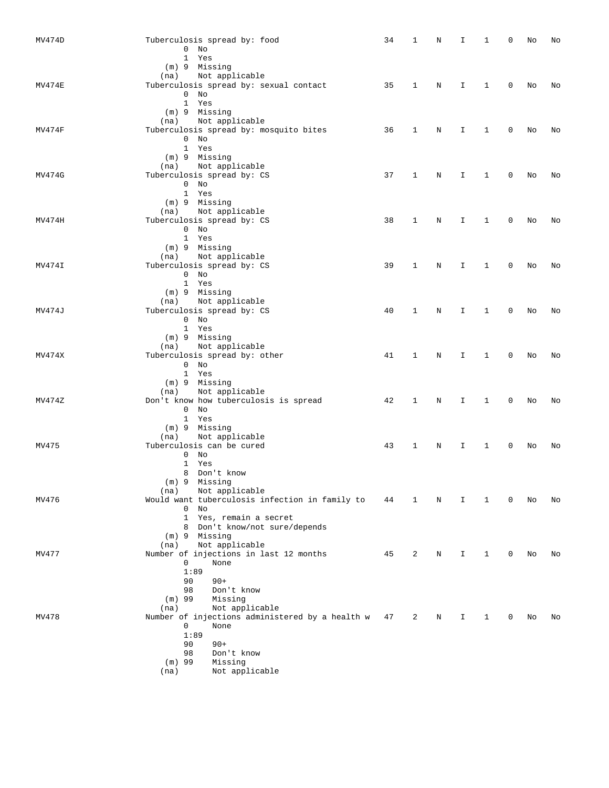| MV474D | Tuberculosis spread by: food                    | 34 | 1            | Ν | I           | 1            | 0           | No | No |
|--------|-------------------------------------------------|----|--------------|---|-------------|--------------|-------------|----|----|
|        | $0$ No                                          |    |              |   |             |              |             |    |    |
|        | 1 Yes                                           |    |              |   |             |              |             |    |    |
|        | (m) 9 Missing                                   |    |              |   |             |              |             |    |    |
|        | Not applicable<br>(na)                          |    |              |   |             |              |             |    |    |
| MV474E | Tuberculosis spread by: sexual contact          | 35 | $\mathbf{1}$ | N | $\mathbf I$ | $\mathbf{1}$ | 0           | No | No |
|        | $0$ No                                          |    |              |   |             |              |             |    |    |
|        | 1 Yes                                           |    |              |   |             |              |             |    |    |
|        | (m) 9 Missing                                   |    |              |   |             |              |             |    |    |
|        | Not applicable<br>(na)                          |    |              |   |             |              |             |    |    |
| MV474F | Tuberculosis spread by: mosquito bites          | 36 | $\mathbf{1}$ | Ν | I           | $\mathbf{1}$ | 0           | No | No |
|        | $0$ No                                          |    |              |   |             |              |             |    |    |
|        | 1 Yes                                           |    |              |   |             |              |             |    |    |
|        | (m) 9 Missing                                   |    |              |   |             |              |             |    |    |
|        | Not applicable<br>(na)                          |    |              |   |             |              |             |    |    |
| MV474G | Tuberculosis spread by: CS                      | 37 | 1            | N | I           | 1            | 0           | No | No |
|        | $0$ No                                          |    |              |   |             |              |             |    |    |
|        | 1 Yes                                           |    |              |   |             |              |             |    |    |
|        | (m) 9 Missing                                   |    |              |   |             |              |             |    |    |
|        | (na) Not applicable                             |    |              |   |             |              |             |    |    |
| MV474H | Tuberculosis spread by: CS                      | 38 | 1            | N | I           | 1            | 0           | No | No |
|        | $0$ No                                          |    |              |   |             |              |             |    |    |
|        | 1 Yes                                           |    |              |   |             |              |             |    |    |
|        | (m) 9 Missing                                   |    |              |   |             |              |             |    |    |
|        | (na) Not applicable                             |    |              |   |             |              |             |    |    |
| MV474I | Tuberculosis spread by: CS                      | 39 | 1            | N | I.          | 1            | 0           | No | No |
|        | $0$ No                                          |    |              |   |             |              |             |    |    |
|        | 1 Yes                                           |    |              |   |             |              |             |    |    |
|        | (m) 9 Missing                                   |    |              |   |             |              |             |    |    |
|        | Not applicable<br>(na)                          |    |              |   |             |              | 0           |    |    |
| MV474J | Tuberculosis spread by: CS<br>$0$ No            | 40 | 1            | Ν | I           | 1            |             | No | No |
|        | 1 Yes                                           |    |              |   |             |              |             |    |    |
|        | (m) 9 Missing                                   |    |              |   |             |              |             |    |    |
|        | Not applicable<br>(na)                          |    |              |   |             |              |             |    |    |
| MV474X | Tuberculosis spread by: other                   | 41 | 1            | N | I.          | $\mathbf{1}$ | $\mathbf 0$ | No | No |
|        | $0$ No                                          |    |              |   |             |              |             |    |    |
|        | 1 Yes                                           |    |              |   |             |              |             |    |    |
|        | (m) 9 Missing                                   |    |              |   |             |              |             |    |    |
|        | Not applicable<br>(na)                          |    |              |   |             |              |             |    |    |
| MV474Z | Don't know how tuberculosis is spread           | 42 | 1            | Ν | I           | 1            | 0           | No | No |
|        | $0$ No                                          |    |              |   |             |              |             |    |    |
|        | 1 Yes                                           |    |              |   |             |              |             |    |    |
|        | (m) 9 Missing                                   |    |              |   |             |              |             |    |    |
|        | (na) Not applicable                             |    |              |   |             |              |             |    |    |
| MV475  | Tuberculosis can be cured                       | 43 | 1            | Ν | I           | 1            | 0           | No | No |
|        | $0$ No                                          |    |              |   |             |              |             |    |    |
|        | 1 Yes                                           |    |              |   |             |              |             |    |    |
|        | 8 Don't know                                    |    |              |   |             |              |             |    |    |
|        | (m) 9 Missing                                   |    |              |   |             |              |             |    |    |
|        | Not applicable<br>(na)                          |    |              |   |             |              |             |    |    |
| MV476  | Would want tuberculosis infection in family to  | 44 | 1            | N | I           | 1            | 0           | No | No |
|        | $0$ No                                          |    |              |   |             |              |             |    |    |
|        | 1 Yes, remain a secret                          |    |              |   |             |              |             |    |    |
|        | 8 Don't know/not sure/depends                   |    |              |   |             |              |             |    |    |
|        | $(m)$ 9 Missing                                 |    |              |   |             |              |             |    |    |
|        | Not applicable<br>(na)                          |    |              |   |             |              |             |    |    |
| MV477  | Number of injections in last 12 months          | 45 | 2            | N | I           | $\mathbf{1}$ | 0           | No | No |
|        | 0<br>None                                       |    |              |   |             |              |             |    |    |
|        | 1:89                                            |    |              |   |             |              |             |    |    |
|        | 90<br>$90+$                                     |    |              |   |             |              |             |    |    |
|        | 98<br>Don't know                                |    |              |   |             |              |             |    |    |
|        | $(m)$ 99<br>Missing                             |    |              |   |             |              |             |    |    |
|        | Not applicable<br>(na)                          |    |              |   |             |              |             |    |    |
| MV478  | Number of injections administered by a health w | 47 | 2            | N | I           | 1            | 0           | No | No |
|        | 0<br>None                                       |    |              |   |             |              |             |    |    |
|        | 1:89                                            |    |              |   |             |              |             |    |    |
|        | $90+$<br>90                                     |    |              |   |             |              |             |    |    |
|        | 98<br>Don't know<br>Missing                     |    |              |   |             |              |             |    |    |
|        | $(m)$ 99<br>Not applicable                      |    |              |   |             |              |             |    |    |
|        | (na)                                            |    |              |   |             |              |             |    |    |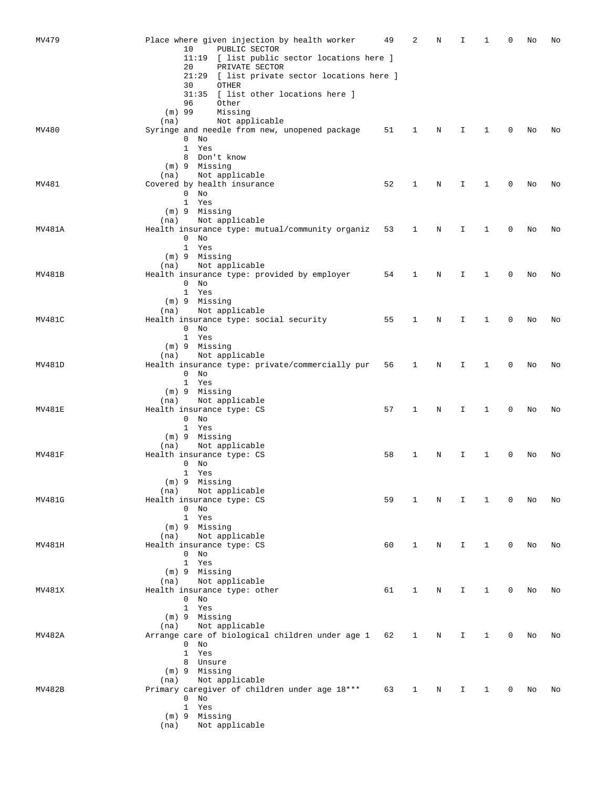| MV479  | Place where given injection by health worker       | 49 | 2            | N           | I  | -1           | 0        | No | No |
|--------|----------------------------------------------------|----|--------------|-------------|----|--------------|----------|----|----|
|        | 10<br>PUBLIC SECTOR                                |    |              |             |    |              |          |    |    |
|        | 11:19 [ list public sector locations here ]        |    |              |             |    |              |          |    |    |
|        | 20<br>PRIVATE SECTOR                               |    |              |             |    |              |          |    |    |
|        | 21:29 [ list private sector locations here ]       |    |              |             |    |              |          |    |    |
|        | 30<br>OTHER                                        |    |              |             |    |              |          |    |    |
|        | 31:35 [ list other locations here ]                |    |              |             |    |              |          |    |    |
|        | 96<br>Other                                        |    |              |             |    |              |          |    |    |
|        | $(m)$ 99<br>Missing                                |    |              |             |    |              |          |    |    |
|        | Not applicable<br>(na)                             |    |              |             |    |              |          |    |    |
| MV480  | Syringe and needle from new, unopened package      | 51 | 1            | N           | I  | 1            | 0        | No | No |
|        | $0$ No                                             |    |              |             |    |              |          |    |    |
|        | 1 Yes<br>8 Don't know                              |    |              |             |    |              |          |    |    |
|        |                                                    |    |              |             |    |              |          |    |    |
|        | (m) 9 Missing<br>Not applicable<br>(na)            |    |              |             |    |              |          |    |    |
| MV481  | Covered by health insurance                        | 52 | 1            | Ν           | I  | 1            | 0        | No | No |
|        | $0$ No                                             |    |              |             |    |              |          |    |    |
|        | 1 Yes                                              |    |              |             |    |              |          |    |    |
|        | (m) 9 Missing                                      |    |              |             |    |              |          |    |    |
|        | Not applicable<br>(na)                             |    |              |             |    |              |          |    |    |
| MV481A | Health insurance type: mutual/community organiz    | 53 | 1            | N           | I. | 1            | 0        | No | No |
|        | $0$ No                                             |    |              |             |    |              |          |    |    |
|        | 1 Yes                                              |    |              |             |    |              |          |    |    |
|        | $(m)$ 9 Missing                                    |    |              |             |    |              |          |    |    |
|        | Not applicable<br>(na)                             |    |              |             |    |              |          |    |    |
| MV481B | Health insurance type: provided by employer        | 54 | $\mathbf{1}$ | N           | I  | $\mathbf{1}$ | 0        | No | No |
|        | $0$ No                                             |    |              |             |    |              |          |    |    |
|        | 1 Yes                                              |    |              |             |    |              |          |    |    |
|        | $(m)$ 9 Missing                                    |    |              |             |    |              |          |    |    |
|        | Not applicable<br>(na)                             |    |              |             |    |              |          |    |    |
| MV481C | Health insurance type: social security             | 55 | 1            | Ν           | I  | $\mathbf{1}$ | $\Omega$ | No | No |
|        | $0$ No                                             |    |              |             |    |              |          |    |    |
|        | 1 Yes                                              |    |              |             |    |              |          |    |    |
|        | (m) 9 Missing                                      |    |              |             |    |              |          |    |    |
|        | Not applicable<br>(na)                             |    |              |             |    |              |          |    |    |
| MV481D | Health insurance type: private/commercially pur    | 56 | 1            | Ν           | I  | 1            | 0        | No | No |
|        | $0$ No                                             |    |              |             |    |              |          |    |    |
|        | 1 Yes                                              |    |              |             |    |              |          |    |    |
|        | (m) 9 Missing                                      |    |              |             |    |              |          |    |    |
|        | Not applicable<br>(na)                             |    |              |             |    |              |          |    |    |
| MV481E | Health insurance type: CS                          | 57 | 1            | N           | I  | 1            | 0        | No | No |
|        | $0$ No                                             |    |              |             |    |              |          |    |    |
|        | 1 Yes                                              |    |              |             |    |              |          |    |    |
|        | (m) 9 Missing                                      |    |              |             |    |              |          |    |    |
|        | Not applicable<br>(na)                             |    |              |             |    |              |          |    |    |
| MV481F | Health insurance type: CS                          | 58 | 1            | Ν           | I  | 1            | 0        | No | No |
|        | $0$ No                                             |    |              |             |    |              |          |    |    |
|        | 1 Yes                                              |    |              |             |    |              |          |    |    |
|        | (m) 9 Missing<br>Not applicable                    |    |              |             |    |              |          |    |    |
| MV481G | (na)<br>Health insurance type: CS                  | 59 | $\mathbf{1}$ | N           | I. | $\mathbf{1}$ | 0        | No | No |
|        | $0$ No                                             |    |              |             |    |              |          |    |    |
|        | 1 Yes                                              |    |              |             |    |              |          |    |    |
|        | $(m)$ 9 Missing                                    |    |              |             |    |              |          |    |    |
|        | Not applicable<br>(na)                             |    |              |             |    |              |          |    |    |
| MV481H | Health insurance type: CS                          | 60 | 1            | N           | I. | $\mathbf{1}$ | 0        | No | No |
|        | $0$ No                                             |    |              |             |    |              |          |    |    |
|        | 1 Yes                                              |    |              |             |    |              |          |    |    |
|        | $(m)$ 9 Missing                                    |    |              |             |    |              |          |    |    |
|        | (na) Not applicable                                |    |              |             |    |              |          |    |    |
| MV481X | Health insurance type: other                       | 61 | $\mathbf{1}$ | N           | I  | $\mathbf{1}$ | 0        | No | No |
|        | $0$ No                                             |    |              |             |    |              |          |    |    |
|        | 1 Yes                                              |    |              |             |    |              |          |    |    |
|        | (m) 9 Missing                                      |    |              |             |    |              |          |    |    |
|        | Not applicable<br>(na)                             |    |              |             |    |              |          |    |    |
| MV482A | Arrange care of biological children under age 1 62 |    | $\mathbf{1}$ | N           | Ι. | 1            | 0        | No | No |
|        | $0$ No                                             |    |              |             |    |              |          |    |    |
|        | 1 Yes                                              |    |              |             |    |              |          |    |    |
|        | 8 Unsure                                           |    |              |             |    |              |          |    |    |
|        | (m) 9 Missing                                      |    |              |             |    |              |          |    |    |
|        | Not applicable<br>(na)                             |    |              |             |    |              |          |    |    |
| MV482B | Primary caregiver of children under age 18***      | 63 | $\mathbf{1}$ | $\mathbf N$ | I. | $\mathbf{1}$ | 0        | No | No |
|        | $0$ No                                             |    |              |             |    |              |          |    |    |
|        | 1 Yes                                              |    |              |             |    |              |          |    |    |
|        | (m) 9 Missing                                      |    |              |             |    |              |          |    |    |
|        | Not applicable<br>(na)                             |    |              |             |    |              |          |    |    |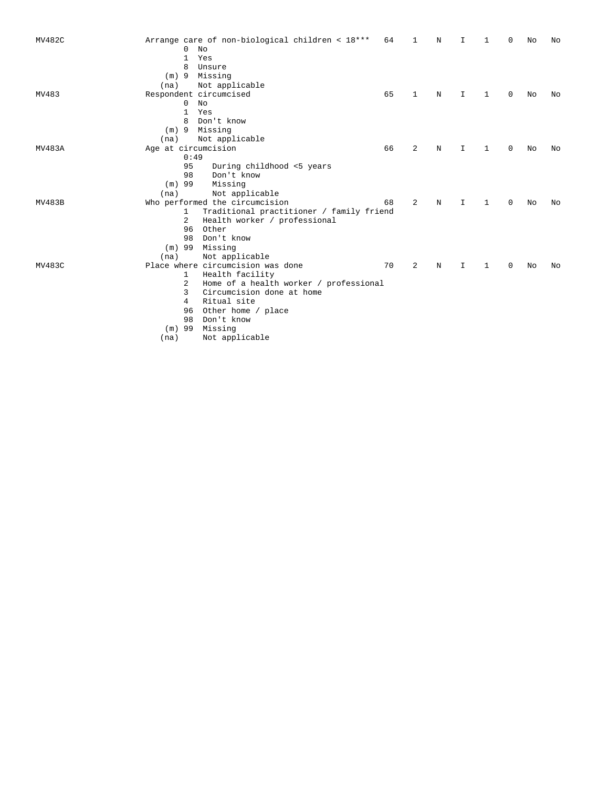| MV482C<br>0<br>No<br>$\mathbf{1}$<br>Yes<br>8<br>Unsure<br>Missing<br>$(m)$ 9<br>Not applicable<br>(na) | Arrange care of non-biological children < 18***<br>64 | 1            | N | I  |   | 0           | No | No |
|---------------------------------------------------------------------------------------------------------|-------------------------------------------------------|--------------|---|----|---|-------------|----|----|
| Respondent circumcised<br>MV483                                                                         | 65                                                    | $\mathbf{1}$ | N | I  | 1 | 0           | No | No |
| No<br>0                                                                                                 |                                                       |              |   |    |   |             |    |    |
| 1<br>Yes                                                                                                |                                                       |              |   |    |   |             |    |    |
| Don't know<br>8                                                                                         |                                                       |              |   |    |   |             |    |    |
| Missing<br>$(m)$ 9                                                                                      |                                                       |              |   |    |   |             |    |    |
| Not applicable<br>(na)                                                                                  |                                                       |              |   |    |   |             |    |    |
| Age at circumcision<br>MV483A                                                                           | 66                                                    | 2            | N | I  | 1 | 0           | No | No |
| 0:49                                                                                                    |                                                       |              |   |    |   |             |    |    |
| 95                                                                                                      | During childhood <5 years                             |              |   |    |   |             |    |    |
| 98<br>Don't know                                                                                        |                                                       |              |   |    |   |             |    |    |
| $(m)$ 99<br>Missing                                                                                     |                                                       |              |   |    |   |             |    |    |
| Not applicable<br>(na)                                                                                  |                                                       |              |   |    |   |             |    |    |
| Who performed the circumcision<br>MV483B                                                                | 68                                                    | 2            | N | I. | 1 | $\Omega$    | No | No |
| $\mathbf{1}$                                                                                            | Traditional practitioner / family friend              |              |   |    |   |             |    |    |
| 2                                                                                                       | Health worker / professional                          |              |   |    |   |             |    |    |
| Other<br>96                                                                                             |                                                       |              |   |    |   |             |    |    |
| Don't know<br>98                                                                                        |                                                       |              |   |    |   |             |    |    |
| Missing<br>$(m)$ 99                                                                                     |                                                       |              |   |    |   |             |    |    |
| (na)<br>Not applicable                                                                                  |                                                       |              |   |    |   |             |    |    |
| Place where circumcision was done<br>MV483C                                                             | 70                                                    | 2            | N | I. | 1 | $\mathbf 0$ | No | No |
| Health facility<br>1                                                                                    |                                                       |              |   |    |   |             |    |    |
| 2                                                                                                       | Home of a health worker / professional                |              |   |    |   |             |    |    |
| 3                                                                                                       | Circumcision done at home                             |              |   |    |   |             |    |    |
| Ritual site<br>4                                                                                        |                                                       |              |   |    |   |             |    |    |
| 96<br>Other home / place                                                                                |                                                       |              |   |    |   |             |    |    |
| Don't know<br>98                                                                                        |                                                       |              |   |    |   |             |    |    |
| Missing<br>$(m)$ 99                                                                                     |                                                       |              |   |    |   |             |    |    |
| Not applicable<br>(na)                                                                                  |                                                       |              |   |    |   |             |    |    |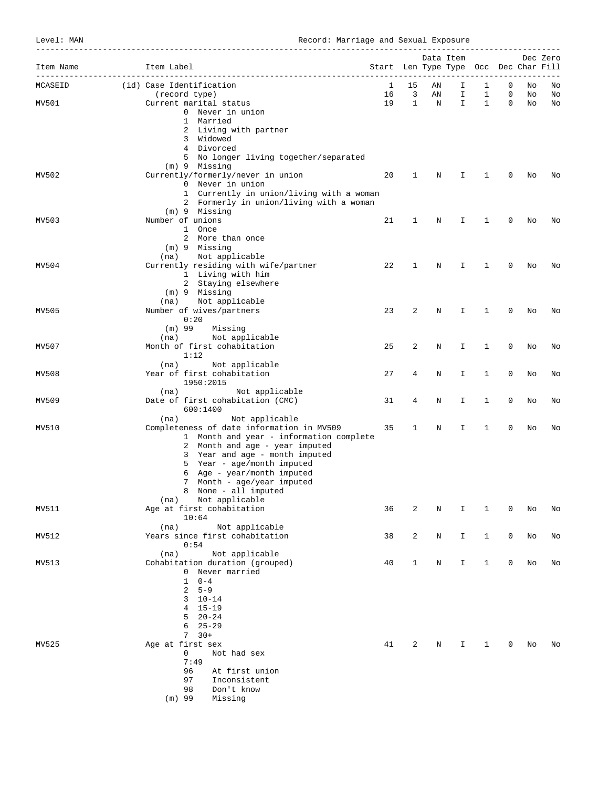Level: MAN **Record: Marriage and Sexual Exposure** 

|           |                                                              |                                       |              |            | Data Item   |                   |             |          | Dec Zero |
|-----------|--------------------------------------------------------------|---------------------------------------|--------------|------------|-------------|-------------------|-------------|----------|----------|
| Item Name | Item Label                                                   | Start Len Type Type Occ Dec Char Fill |              |            | --------    |                   |             |          |          |
| MCASEID   | (id) Case Identification<br>(record type)                    | 1<br>16                               | 15<br>3      | ΑN<br>AN   | I<br>I.     | 1<br>$\mathbf{1}$ | 0<br>0      | No<br>No | No<br>No |
| MV501     | Current marital status                                       | 19                                    | $\mathbf{1}$ | $_{\rm N}$ | $\mathbf I$ | $\mathbf{1}$      | $\mathbf 0$ | No       | No       |
|           | 0 Never in union                                             |                                       |              |            |             |                   |             |          |          |
|           | 1 Married                                                    |                                       |              |            |             |                   |             |          |          |
|           | 2 Living with partner<br>3 Widowed                           |                                       |              |            |             |                   |             |          |          |
|           | 4 Divorced                                                   |                                       |              |            |             |                   |             |          |          |
|           | 5 No longer living together/separated                        |                                       |              |            |             |                   |             |          |          |
|           | (m) 9 Missing                                                |                                       |              |            |             |                   |             |          |          |
| MV502     | Currently/formerly/never in union                            | 20                                    | 1            | N          | I           | 1                 | 0           | No       | No       |
|           | 0 Never in union<br>1 Currently in union/living with a woman |                                       |              |            |             |                   |             |          |          |
|           | 2 Formerly in union/living with a woman                      |                                       |              |            |             |                   |             |          |          |
|           | (m) 9 Missing                                                |                                       |              |            |             |                   |             |          |          |
| MV503     | Number of unions                                             | 21                                    | 1            | Ν          | I           | 1                 | 0           | No       | No       |
|           | 1 Once                                                       |                                       |              |            |             |                   |             |          |          |
|           | 2 More than once<br>(m) 9 Missing                            |                                       |              |            |             |                   |             |          |          |
|           | Not applicable<br>(na)                                       |                                       |              |            |             |                   |             |          |          |
| MV504     | Currently residing with wife/partner                         | 22                                    | 1            | N          | I           | 1                 | 0           | No       | No       |
|           | 1 Living with him                                            |                                       |              |            |             |                   |             |          |          |
|           | 2 Staying elsewhere                                          |                                       |              |            |             |                   |             |          |          |
|           | (m) 9 Missing<br>Not applicable<br>(na)                      |                                       |              |            |             |                   |             |          |          |
| MV505     | Number of wives/partners                                     | 23                                    | 2            | N          | I           | 1                 | 0           | No       | No       |
|           | 0:20                                                         |                                       |              |            |             |                   |             |          |          |
|           | $(m)$ 99<br>Missing                                          |                                       |              |            |             |                   |             |          |          |
|           | Not applicable<br>(na)                                       |                                       |              |            |             |                   |             |          |          |
| MV507     | Month of first cohabitation<br>1:12                          | 25                                    | 2            | N          | I           | 1                 | 0           | No       | No       |
|           | Not applicable<br>(na)                                       |                                       |              |            |             |                   |             |          |          |
| MV508     | Year of first cohabitation                                   | 27                                    | 4            | Ν          | I.          | 1                 | 0           | No       | No       |
|           | 1950:2015                                                    |                                       |              |            |             |                   |             |          |          |
|           | Not applicable<br>(na)                                       |                                       |              |            |             |                   |             |          |          |
| MV509     | Date of first cohabitation (CMC)<br>600:1400                 | 31                                    | 4            | N          | I           | $\mathbf{1}$      | 0           | No       | No       |
|           | Not applicable<br>(na)                                       |                                       |              |            |             |                   |             |          |          |
| MV510     | Completeness of date information in MV509                    | 35                                    | 1            | Ν          | I.          | 1                 | 0           | No       | No       |
|           | 1 Month and year - information complete                      |                                       |              |            |             |                   |             |          |          |
|           | 2 Month and age - year imputed                               |                                       |              |            |             |                   |             |          |          |
|           | 3 Year and age - month imputed                               |                                       |              |            |             |                   |             |          |          |
|           | 5 Year - age/month imputed<br>Age - year/month imputed<br>6  |                                       |              |            |             |                   |             |          |          |
|           | 7 Month - age/year imputed                                   |                                       |              |            |             |                   |             |          |          |
|           | 8 None - all imputed                                         |                                       |              |            |             |                   |             |          |          |
|           | Not applicable<br>(na)                                       |                                       |              |            |             |                   |             |          |          |
| MV511     | Age at first cohabitation<br>10:64                           | 36                                    | 2            | Ν          | Ι           | 1                 | 0           | No       | No       |
|           | Not applicable<br>(na)                                       |                                       |              |            |             |                   |             |          |          |
| MV512     | Years since first cohabitation                               | 38                                    | 2            | N          | I           | $\mathbf{1}$      | 0           | No       | No       |
|           | 0:54                                                         |                                       |              |            |             |                   |             |          |          |
|           | Not applicable<br>(na)                                       |                                       |              |            |             |                   |             |          |          |
| MV513     | Cohabitation duration (grouped)<br>0 Never married           | 40                                    | 1            | N          | I           | $\mathbf{1}$      | 0           | No       | No       |
|           | $0 - 4$<br>$\mathbf{1}$                                      |                                       |              |            |             |                   |             |          |          |
|           | $5 - 9$<br>$\mathbf{2}$                                      |                                       |              |            |             |                   |             |          |          |
|           | $3 \t10-14$                                                  |                                       |              |            |             |                   |             |          |          |
|           | $4 15 - 19$                                                  |                                       |              |            |             |                   |             |          |          |
|           | $5 \t20 - 24$                                                |                                       |              |            |             |                   |             |          |          |
|           | $25 - 29$<br>6<br>$7 \quad 30+$                              |                                       |              |            |             |                   |             |          |          |
| MV525     | Age at first sex                                             | 41                                    | 2            | N          | I.          | 1                 | 0           | No       | No       |
|           | 0<br>Not had sex                                             |                                       |              |            |             |                   |             |          |          |
|           | 7:49                                                         |                                       |              |            |             |                   |             |          |          |
|           | 96<br>At first union                                         |                                       |              |            |             |                   |             |          |          |
|           | Inconsistent<br>97<br>98<br>Don't know                       |                                       |              |            |             |                   |             |          |          |
|           | $(m)$ 99<br>Missing                                          |                                       |              |            |             |                   |             |          |          |
|           |                                                              |                                       |              |            |             |                   |             |          |          |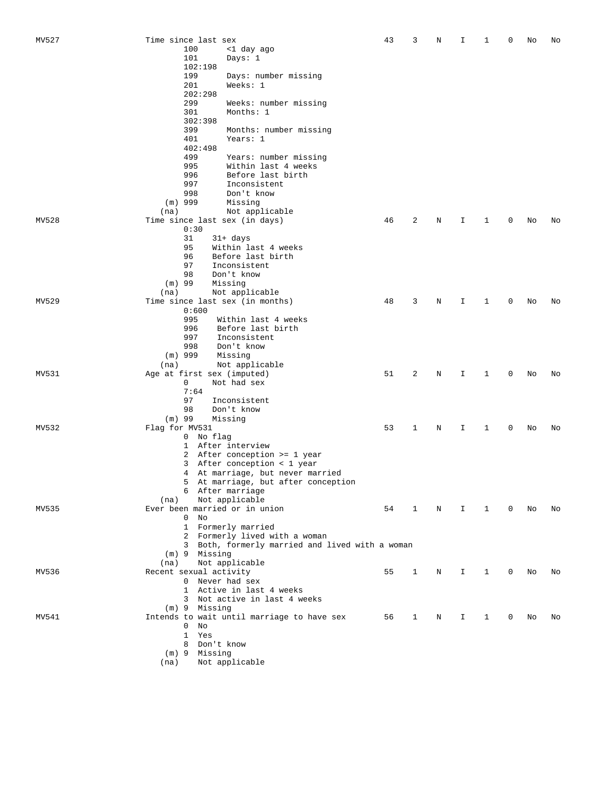| MV527 | Time since last sex                             | 43 | 3            | N           | I            | 1            | 0 | No | No |
|-------|-------------------------------------------------|----|--------------|-------------|--------------|--------------|---|----|----|
|       | 100<br><1 day ago                               |    |              |             |              |              |   |    |    |
|       | 101<br>Days: 1                                  |    |              |             |              |              |   |    |    |
|       | 102:198                                         |    |              |             |              |              |   |    |    |
|       | 199<br>Days: number missing                     |    |              |             |              |              |   |    |    |
|       | 201<br>Weeks: 1                                 |    |              |             |              |              |   |    |    |
|       | 202:298                                         |    |              |             |              |              |   |    |    |
|       | 299<br>Weeks: number missing                    |    |              |             |              |              |   |    |    |
|       | 301<br>Months: 1                                |    |              |             |              |              |   |    |    |
|       | 302:398                                         |    |              |             |              |              |   |    |    |
|       | 399<br>Months: number missing                   |    |              |             |              |              |   |    |    |
|       | 401<br>Years: 1                                 |    |              |             |              |              |   |    |    |
|       | 402:498                                         |    |              |             |              |              |   |    |    |
|       | 499<br>Years: number missing                    |    |              |             |              |              |   |    |    |
|       | 995<br>Within last 4 weeks                      |    |              |             |              |              |   |    |    |
|       | Before last birth<br>996                        |    |              |             |              |              |   |    |    |
|       | 997<br>Inconsistent                             |    |              |             |              |              |   |    |    |
|       | 998<br>Don't know                               |    |              |             |              |              |   |    |    |
|       | $(m)$ 999<br>Missing                            |    |              |             |              |              |   |    |    |
|       | Not applicable<br>(na)                          |    |              |             |              |              |   |    |    |
| MV528 | Time since last sex (in days)                   | 46 | 2            | Ν           | I            | 1            | 0 | No | No |
|       | 0:30                                            |    |              |             |              |              |   |    |    |
|       | 31<br>$31+ days$<br>95<br>Within last 4 weeks   |    |              |             |              |              |   |    |    |
|       | 96<br>Before last birth                         |    |              |             |              |              |   |    |    |
|       | 97<br>Inconsistent                              |    |              |             |              |              |   |    |    |
|       | 98<br>Don't know                                |    |              |             |              |              |   |    |    |
|       | $(m)$ 99<br>Missing                             |    |              |             |              |              |   |    |    |
|       | Not applicable<br>(na)                          |    |              |             |              |              |   |    |    |
| MV529 | Time since last sex (in months)                 | 48 | 3            | Ν           | I            | 1            | 0 | No | No |
|       | 0:600                                           |    |              |             |              |              |   |    |    |
|       | 995<br>Within last 4 weeks                      |    |              |             |              |              |   |    |    |
|       | Before last birth<br>996                        |    |              |             |              |              |   |    |    |
|       | 997<br>Inconsistent                             |    |              |             |              |              |   |    |    |
|       | 998<br>Don't know                               |    |              |             |              |              |   |    |    |
|       | $(m)$ 999<br>Missing                            |    |              |             |              |              |   |    |    |
|       | (na)<br>Not applicable                          |    |              |             |              |              |   |    |    |
| MV531 | Age at first sex (imputed)                      | 51 | 2            | Ν           | I            | 1            | 0 | No | No |
|       | 0<br>Not had sex                                |    |              |             |              |              |   |    |    |
|       | 7:64                                            |    |              |             |              |              |   |    |    |
|       | 97<br>Inconsistent                              |    |              |             |              |              |   |    |    |
|       | 98<br>Don't know                                |    |              |             |              |              |   |    |    |
|       | $(m)$ 99<br>Missing                             |    |              |             |              |              |   |    |    |
| MV532 | Flag for MV531                                  | 53 | 1            | Ν           | I            | 1            | 0 | No | No |
|       | 0 No flag                                       |    |              |             |              |              |   |    |    |
|       | After interview<br>1                            |    |              |             |              |              |   |    |    |
|       | After conception >= 1 year<br>2                 |    |              |             |              |              |   |    |    |
|       | 3 After conception < 1 year                     |    |              |             |              |              |   |    |    |
|       | 4 At marriage, but never married                |    |              |             |              |              |   |    |    |
|       | 5 At marriage, but after conception             |    |              |             |              |              |   |    |    |
|       | 6 After marriage                                |    |              |             |              |              |   |    |    |
|       | Not applicable<br>(na)                          |    |              |             |              |              |   |    |    |
| MV535 | Ever been married or in union<br>$0$ No         | 54 | $\mathbf{1}$ | $\mathbf N$ | $\mathbf{I}$ | $\mathbf{1}$ | 0 | No | No |
|       | 1 Formerly married                              |    |              |             |              |              |   |    |    |
|       | 2 Formerly lived with a woman                   |    |              |             |              |              |   |    |    |
|       | 3 Both, formerly married and lived with a woman |    |              |             |              |              |   |    |    |
|       | (m) 9 Missing                                   |    |              |             |              |              |   |    |    |
|       | Not applicable<br>(na)                          |    |              |             |              |              |   |    |    |
| MV536 | Recent sexual activity                          | 55 | 1            | Ν           | I.           | 1            | 0 | No | No |
|       | 0 Never had sex                                 |    |              |             |              |              |   |    |    |
|       | 1 Active in last 4 weeks                        |    |              |             |              |              |   |    |    |
|       | 3 Not active in last 4 weeks                    |    |              |             |              |              |   |    |    |
|       | $(m)$ 9 Missing                                 |    |              |             |              |              |   |    |    |
| MV541 | Intends to wait until marriage to have sex      | 56 | 1            | N           | I.           | 1            | 0 | No | No |
|       | $0$ No                                          |    |              |             |              |              |   |    |    |
|       | $\mathbf{1}$<br>Yes                             |    |              |             |              |              |   |    |    |
|       | 8 Don't know                                    |    |              |             |              |              |   |    |    |
|       | (m) 9 Missing                                   |    |              |             |              |              |   |    |    |
|       | Not applicable<br>(na)                          |    |              |             |              |              |   |    |    |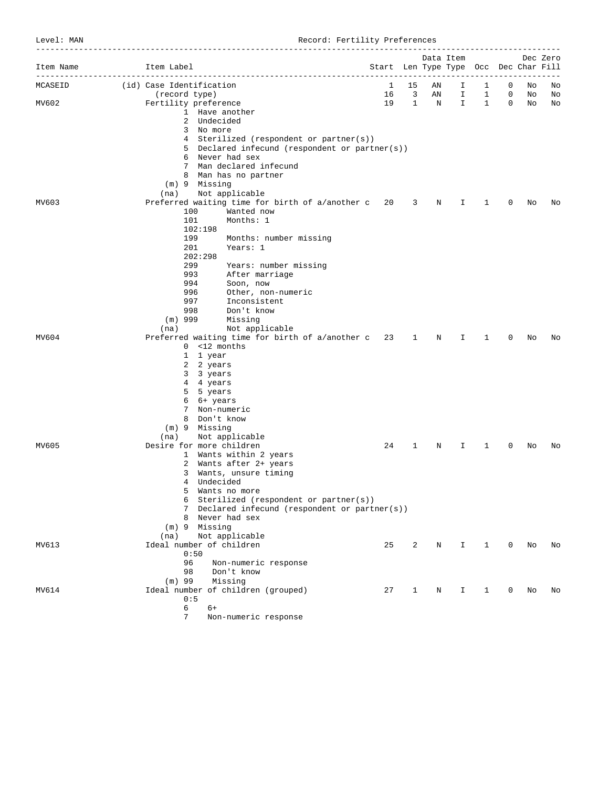Level: MAN Record: Fertility Preferences

| Item Name<br>---------------- | Item Label<br>_________________________________                      | Start Len Type Type Occ Dec Char Fill |                |    | Data Item<br>------------------------- |              |             |    | Dec Zero |
|-------------------------------|----------------------------------------------------------------------|---------------------------------------|----------------|----|----------------------------------------|--------------|-------------|----|----------|
| MCASEID                       | (id) Case Identification                                             | $\mathbf{1}$                          | 15             | ΑN | I.                                     | 1            | $\mathbf 0$ | No | No       |
|                               | (record type)                                                        | 16                                    | 3              | AN | I.                                     | 1            | 0           | No | No       |
| MV602                         | Fertility preference                                                 | 19                                    | $\mathbf{1}$   | N  | I.                                     | $\mathbf{1}$ | 0           | No | No       |
|                               | 1 Have another                                                       |                                       |                |    |                                        |              |             |    |          |
|                               | 2 Undecided                                                          |                                       |                |    |                                        |              |             |    |          |
|                               | 3 No more<br>4 Sterilized (respondent or partner(s))                 |                                       |                |    |                                        |              |             |    |          |
|                               | 5 Declared infecund (respondent or partner(s))                       |                                       |                |    |                                        |              |             |    |          |
|                               | 6 Never had sex                                                      |                                       |                |    |                                        |              |             |    |          |
|                               | Man declared infecund<br>7                                           |                                       |                |    |                                        |              |             |    |          |
|                               | 8 Man has no partner                                                 |                                       |                |    |                                        |              |             |    |          |
|                               | (m) 9 Missing                                                        |                                       |                |    |                                        |              |             |    |          |
|                               | Not applicable<br>(na)                                               |                                       |                |    |                                        |              |             |    |          |
| MV603                         | Preferred waiting time for birth of a/another c 20                   |                                       | 3              | N  | I                                      | 1            | 0           | No | No       |
|                               | 100<br>Wanted now                                                    |                                       |                |    |                                        |              |             |    |          |
|                               | 101<br>Months: 1                                                     |                                       |                |    |                                        |              |             |    |          |
|                               | 102:198                                                              |                                       |                |    |                                        |              |             |    |          |
|                               | 199<br>Months: number missing                                        |                                       |                |    |                                        |              |             |    |          |
|                               | 201<br>Years: 1                                                      |                                       |                |    |                                        |              |             |    |          |
|                               | 202:298                                                              |                                       |                |    |                                        |              |             |    |          |
|                               | 299<br>Years: number missing                                         |                                       |                |    |                                        |              |             |    |          |
|                               | 993<br>After marriage                                                |                                       |                |    |                                        |              |             |    |          |
|                               | 994<br>Soon, now                                                     |                                       |                |    |                                        |              |             |    |          |
|                               | 996<br>Other, non-numeric<br>997<br>Inconsistent                     |                                       |                |    |                                        |              |             |    |          |
|                               | 998<br>Don't know                                                    |                                       |                |    |                                        |              |             |    |          |
|                               | $(m)$ 999<br>Missing                                                 |                                       |                |    |                                        |              |             |    |          |
|                               | Not applicable<br>(na)                                               |                                       |                |    |                                        |              |             |    |          |
| MV604                         | Preferred waiting time for birth of a/another c 23<br>$0$ <12 months |                                       | $\overline{1}$ | N  | I.                                     | 1            | 0           | No | No       |
|                               | 1 1 year                                                             |                                       |                |    |                                        |              |             |    |          |
|                               | 2 2 years                                                            |                                       |                |    |                                        |              |             |    |          |
|                               | 3 3 years                                                            |                                       |                |    |                                        |              |             |    |          |
|                               | 4 4 years                                                            |                                       |                |    |                                        |              |             |    |          |
|                               | 5 5 years                                                            |                                       |                |    |                                        |              |             |    |          |
|                               | 6 6+ years                                                           |                                       |                |    |                                        |              |             |    |          |
|                               | 7 Non-numeric                                                        |                                       |                |    |                                        |              |             |    |          |
|                               | 8 Don't know                                                         |                                       |                |    |                                        |              |             |    |          |
|                               | (m) 9 Missing                                                        |                                       |                |    |                                        |              |             |    |          |
| MV605                         | Not applicable<br>(na)<br>Desire for more children                   | 24                                    | 1              | N  | I.                                     | 1            | 0           | No | No       |
|                               | 1 Wants within 2 years                                               |                                       |                |    |                                        |              |             |    |          |
|                               | 2 Wants after 2+ years                                               |                                       |                |    |                                        |              |             |    |          |
|                               | 3 Wants, unsure timing                                               |                                       |                |    |                                        |              |             |    |          |
|                               | 4<br>Undecided                                                       |                                       |                |    |                                        |              |             |    |          |
|                               | 5 Wants no more                                                      |                                       |                |    |                                        |              |             |    |          |
|                               | 6 Sterilized (respondent or partner(s))                              |                                       |                |    |                                        |              |             |    |          |
|                               | 7 Declared infecund (respondent or partner(s))                       |                                       |                |    |                                        |              |             |    |          |
|                               | 8 Never had sex                                                      |                                       |                |    |                                        |              |             |    |          |
|                               | (m) 9 Missing                                                        |                                       |                |    |                                        |              |             |    |          |
|                               | Not applicable<br>(na)                                               |                                       |                |    |                                        |              |             |    |          |
| MV613                         | Ideal number of children<br>0:50                                     | 25                                    | 2              | N  | I                                      | 1            | 0           | No | No       |
|                               | 96<br>Non-numeric response                                           |                                       |                |    |                                        |              |             |    |          |
|                               | 98<br>Don't know<br>$(m)$ 99<br>Missing                              |                                       |                |    |                                        |              |             |    |          |
| MV614                         | Ideal number of children (grouped)                                   | 27                                    | $\mathbf 1$    | N  | Ι                                      | 1            | 0           | No | No       |
|                               | 0:5                                                                  |                                       |                |    |                                        |              |             |    |          |
|                               | 6<br>$6+$                                                            |                                       |                |    |                                        |              |             |    |          |
|                               | 7<br>Non-numeric response                                            |                                       |                |    |                                        |              |             |    |          |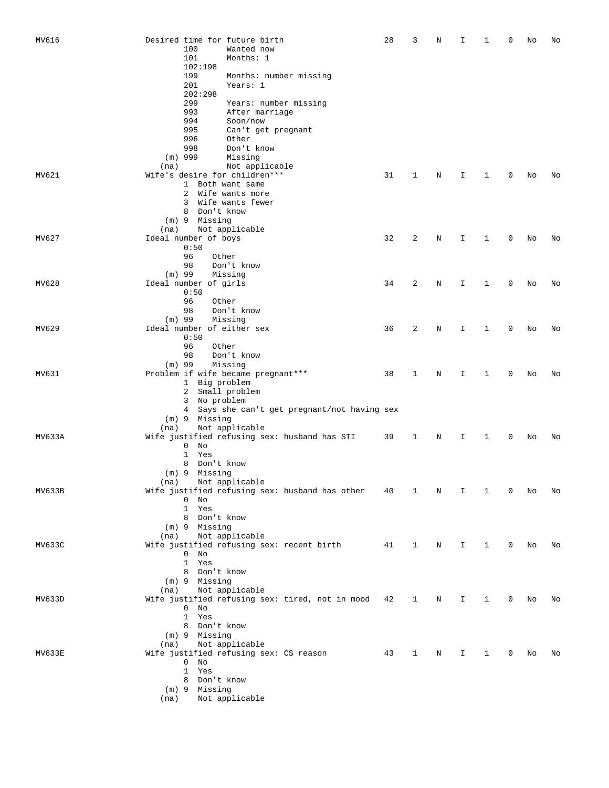| MV616  | Desired time for future birth<br>100<br>Wanted now<br>101<br>Months: 1<br>102:198                                 | 28 | 3            | N | I  | 1            | 0 | No | No |
|--------|-------------------------------------------------------------------------------------------------------------------|----|--------------|---|----|--------------|---|----|----|
|        | 199<br>Months: number missing<br>201<br>Years: 1<br>202:298                                                       |    |              |   |    |              |   |    |    |
|        | 299<br>Years: number missing<br>993<br>After marriage                                                             |    |              |   |    |              |   |    |    |
|        | 994<br>Soon/now<br>995<br>Can't get pregnant<br>996<br>Other                                                      |    |              |   |    |              |   |    |    |
|        | 998<br>Don't know<br>$(m)$ 999<br>Missing                                                                         |    |              |   |    |              |   |    |    |
| MV621  | Not applicable<br>(na)<br>Wife's desire for children***<br>1 Both want same                                       | 31 | 1            | N | I  | 1            | 0 | No | No |
|        | 2<br>Wife wants more<br>3<br>Wife wants fewer<br>8<br>Don't know                                                  |    |              |   |    |              |   |    |    |
|        | Missing<br>$(m)$ 9<br>Not applicable<br>(na)                                                                      |    |              |   |    |              |   |    |    |
| MV627  | Ideal number of boys<br>0:50<br>96<br>Other                                                                       | 32 | 2            | N | I  | 1            | 0 | No | No |
|        | Don't know<br>98<br>$(m)$ 99<br>Missing                                                                           |    |              |   |    |              |   |    |    |
| MV628  | Ideal number of girls<br>0:50<br>96<br>Other                                                                      | 34 | 2            | N | I  | 1            | 0 | No | No |
|        | 98<br>Don't know<br>$(m)$ 99<br>Missing                                                                           |    |              |   |    |              |   |    |    |
| MV629  | Ideal number of either sex<br>0:50                                                                                | 36 | 2            | N | I  | 1            | 0 | No | No |
|        | 96<br>Other<br>98<br>Don't know<br>$(m)$ 99<br>Missing                                                            |    |              |   |    |              |   |    |    |
| MV631  | Problem if wife became pregnant ***<br>1 Big problem                                                              | 38 | 1            | N | I  | 1            | 0 | No | No |
|        | Small problem<br>$\mathbf{2}$<br>No problem<br>3<br>Says she can't get pregnant/not having sex<br>$4\overline{ }$ |    |              |   |    |              |   |    |    |
|        | (m) 9 Missing<br>Not applicable<br>(na)                                                                           |    |              |   |    |              |   |    |    |
| MV633A | Wife justified refusing sex: husband has STI<br>0<br>No<br>$\mathbf{1}$<br>Yes                                    | 39 | 1            | N | Ι  | 1            | 0 | No | No |
|        | Don't know<br>8<br>(m) 9 Missing<br>(na)<br>Not applicable                                                        |    |              |   |    |              |   |    |    |
| MV633B | Wife justified refusing sex: husband has other<br>0<br>No                                                         | 40 | 1            | Ν | Ι. | 1            | 0 | No | No |
|        | 1 Yes<br>8 Don't know<br>$(m)$ 9 Missing                                                                          |    |              |   |    |              |   |    |    |
| MV633C | Not applicable<br>(na)<br>Wife justified refusing sex: recent birth 41<br>$0$ No                                  |    | $\mathbf{1}$ | N | I. | $\mathbf{1}$ | 0 | No | No |
|        | 1 Yes<br>8 Don't know                                                                                             |    |              |   |    |              |   |    |    |
|        | (m) 9 Missing<br>Not applicable<br>(na)                                                                           |    |              |   |    |              |   |    |    |
| MV633D | Wife justified refusing sex: tired, not in mood<br>$0$ No<br>1 Yes                                                | 42 | $\mathbf{1}$ | N | I. | $\mathbf{1}$ | 0 | No | No |
|        | 8 Don't know<br>(m) 9 Missing                                                                                     |    |              |   |    |              |   |    |    |
| MV633E | Not applicable<br>(na)<br>Wife justified refusing sex: CS reason<br>$0$ No                                        | 43 | 1            | N | I. | 1            | 0 | No | No |
|        | 1 Yes<br>8 Don't know                                                                                             |    |              |   |    |              |   |    |    |
|        | $(m)$ 9 Missing<br>Not applicable<br>(na)                                                                         |    |              |   |    |              |   |    |    |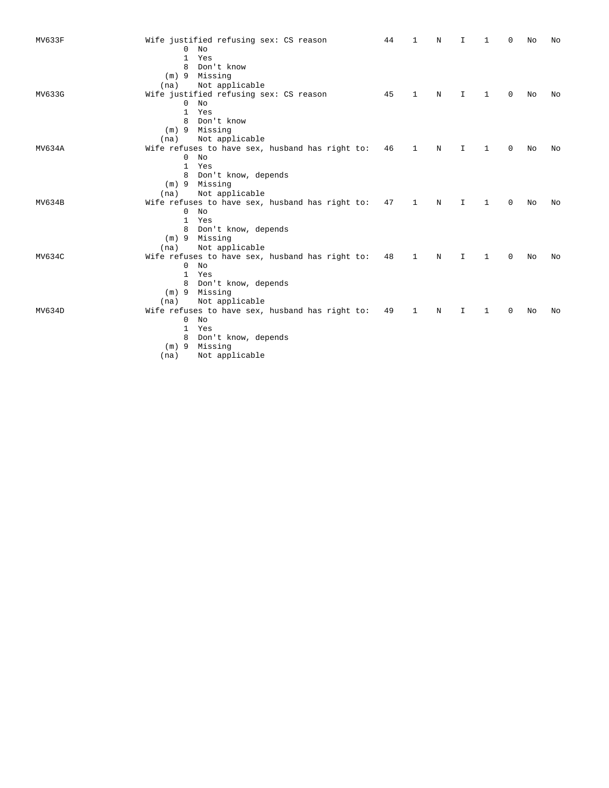| MV633F |              | Wife justified refusing sex: CS reason             | 44 | 1 | N | I           | $\mathbf{1}$ | 0 | No | No |
|--------|--------------|----------------------------------------------------|----|---|---|-------------|--------------|---|----|----|
|        | 0            | No                                                 |    |   |   |             |              |   |    |    |
|        | 1            | Yes                                                |    |   |   |             |              |   |    |    |
|        | 8            | Don't know                                         |    |   |   |             |              |   |    |    |
|        |              | $(m)$ 9 Missing                                    |    |   |   |             |              |   |    |    |
|        | (na)         | Not applicable                                     |    |   |   |             |              |   |    |    |
| MV633G |              | Wife justified refusing sex: CS reason             | 45 | 1 | N | I.          | 1            | 0 | No | No |
|        | 0            | No                                                 |    |   |   |             |              |   |    |    |
|        | 1            | Yes                                                |    |   |   |             |              |   |    |    |
|        | 8            | Don't know                                         |    |   |   |             |              |   |    |    |
|        |              | $(m)$ 9 Missing                                    |    |   |   |             |              |   |    |    |
|        | (na)         | Not applicable                                     |    |   |   |             |              |   |    |    |
| MV634A |              | Wife refuses to have sex, husband has right to:    | 46 | 1 | N | $\mathbf I$ | 1            | 0 | No | No |
|        | 0            | No                                                 |    |   |   |             |              |   |    |    |
|        | $\mathbf{1}$ | Yes                                                |    |   |   |             |              |   |    |    |
|        | 8            | Don't know, depends                                |    |   |   |             |              |   |    |    |
|        |              | (m) 9 Missing                                      |    |   |   |             |              |   |    |    |
|        | (na)         | Not applicable                                     |    |   |   |             |              |   |    |    |
| MV634B |              | Wife refuses to have sex, husband has right to: 47 |    | 1 | N | I.          | 1            | 0 | No | No |
|        | $\mathbf{0}$ | No                                                 |    |   |   |             |              |   |    |    |
|        | 1            | Yes                                                |    |   |   |             |              |   |    |    |
|        | 8            | Don't know, depends                                |    |   |   |             |              |   |    |    |
|        |              | $(m)$ 9 Missing                                    |    |   |   |             |              |   |    |    |
|        | (na)         | Not applicable                                     |    |   |   |             |              |   |    |    |
| MV634C |              | Wife refuses to have sex, husband has right to:    | 48 | 1 | N | I.          | 1            | 0 | No | No |
|        | $\mathbf{0}$ | No                                                 |    |   |   |             |              |   |    |    |
|        | 1            | Yes                                                |    |   |   |             |              |   |    |    |
|        | 8            | Don't know, depends                                |    |   |   |             |              |   |    |    |
|        | $(m)$ 9      | Missing                                            |    |   |   |             |              |   |    |    |
|        | (na)         | Not applicable                                     |    |   |   |             |              |   |    |    |
| MV634D |              | Wife refuses to have sex, husband has right to:    | 49 | 1 | N | I.          | 1            | 0 | No | No |
|        | 0            | No                                                 |    |   |   |             |              |   |    |    |
|        | 1            | Yes                                                |    |   |   |             |              |   |    |    |
|        | 8            | Don't know, depends                                |    |   |   |             |              |   |    |    |
|        |              | $(m)$ 9 Missing                                    |    |   |   |             |              |   |    |    |
|        | (na)         | Not applicable                                     |    |   |   |             |              |   |    |    |
|        |              |                                                    |    |   |   |             |              |   |    |    |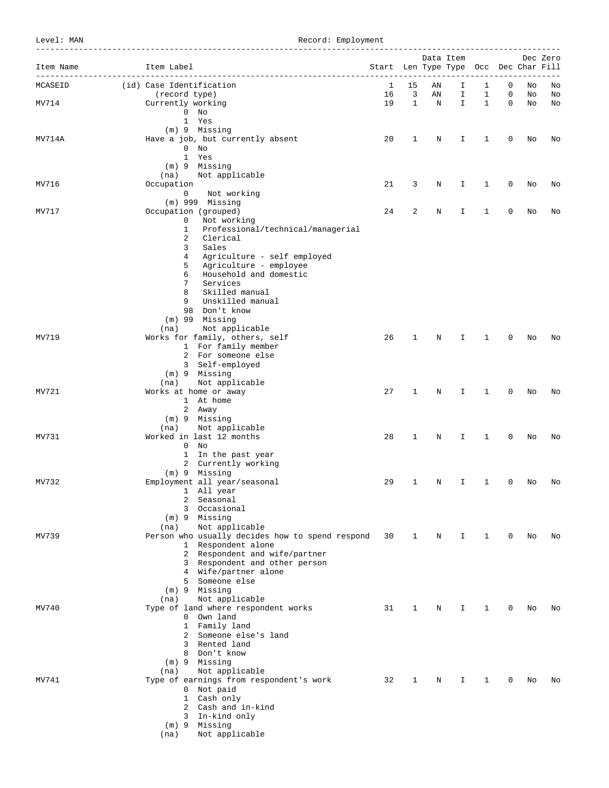Level: MAN Record: Employment

| Item Name | Item Label                                                     | Start Len Type Type Occ Dec Char Fill |             |    | Data Item |              |             |    | Dec Zero |
|-----------|----------------------------------------------------------------|---------------------------------------|-------------|----|-----------|--------------|-------------|----|----------|
| MCASEID   | ___________________<br>(id) Case Identification                | 1                                     | 15          | ΑN | I         | 1            | 0           | No | No       |
|           | (record type)                                                  | 16                                    | 3           | ΑN | I         | $\mathbf{1}$ | $\mathbf 0$ | No | No       |
| MV714     | Currently working                                              | 19                                    | $\mathbf 1$ | N  | I         | $\mathbf{1}$ | $\mathbf 0$ | No | No       |
|           | $0$ No<br>1 Yes                                                |                                       |             |    |           |              |             |    |          |
|           | (m) 9 Missing                                                  |                                       |             |    |           |              |             |    |          |
| MV714A    | Have a job, but currently absent                               | 20                                    | 1           | Ν  | Ι         | 1            | 0           | No | No       |
|           | $0$ No                                                         |                                       |             |    |           |              |             |    |          |
|           | 1 Yes                                                          |                                       |             |    |           |              |             |    |          |
|           | (m) 9 Missing<br>Not applicable<br>(na)                        |                                       |             |    |           |              |             |    |          |
| MV716     | Occupation                                                     | 21                                    | 3           | Ν  | I.        | 1            | $\mathbf 0$ | No | No       |
|           | Not working<br>0                                               |                                       |             |    |           |              |             |    |          |
|           | $(m)$ 999 Missing                                              |                                       |             |    |           |              |             |    |          |
| MV717     | Occupation (grouped)                                           | 24                                    | 2           | N  | I         | 1            | 0           | No | No       |
|           | Not working<br>0<br>Professional/technical/managerial<br>1     |                                       |             |    |           |              |             |    |          |
|           | 2<br>Clerical                                                  |                                       |             |    |           |              |             |    |          |
|           | 3<br>Sales                                                     |                                       |             |    |           |              |             |    |          |
|           | Agriculture - self employed<br>4                               |                                       |             |    |           |              |             |    |          |
|           | 5<br>Agriculture - employee                                    |                                       |             |    |           |              |             |    |          |
|           | 6<br>Household and domestic<br>7<br>Services                   |                                       |             |    |           |              |             |    |          |
|           | 8<br>Skilled manual                                            |                                       |             |    |           |              |             |    |          |
|           | 9<br>Unskilled manual                                          |                                       |             |    |           |              |             |    |          |
|           | 98<br>Don't know                                               |                                       |             |    |           |              |             |    |          |
|           | $(m)$ 99<br>Missing                                            |                                       |             |    |           |              |             |    |          |
|           | Not applicable<br>(na)                                         |                                       |             |    |           |              |             |    |          |
| MV719     | Works for family, others, self<br>1 For family member          | 26                                    | 1           | Ν  | I         | 1            | 0           | No | No       |
|           | 2 For someone else                                             |                                       |             |    |           |              |             |    |          |
|           | 3 Self-employed                                                |                                       |             |    |           |              |             |    |          |
|           | (m) 9 Missing                                                  |                                       |             |    |           |              |             |    |          |
|           | Not applicable<br>(na)                                         |                                       |             |    |           |              |             |    |          |
| MV721     | Works at home or away<br>1 At home                             | 27                                    | 1           | N  | I         | 1            | $\mathbf 0$ | Νo | No       |
|           | 2 Away                                                         |                                       |             |    |           |              |             |    |          |
|           | (m) 9 Missing                                                  |                                       |             |    |           |              |             |    |          |
|           | (na)<br>Not applicable                                         |                                       |             |    |           |              |             |    |          |
| MV731     | Worked in last 12 months<br>$0$ No                             | 28                                    | 1           | N  | I         | 1            | 0           | No | No       |
|           | 1 In the past year                                             |                                       |             |    |           |              |             |    |          |
|           | 2 Currently working                                            |                                       |             |    |           |              |             |    |          |
|           | (m) 9 Missing                                                  |                                       |             |    |           |              |             |    |          |
| MV732     | Employment all year/seasonal                                   | 29                                    | 1           | N  | I.        | 1            | 0           | No | No       |
|           | 1 All year                                                     |                                       |             |    |           |              |             |    |          |
|           | 2<br>Seasonal<br>3<br>Occasional                               |                                       |             |    |           |              |             |    |          |
|           | (m) 9 Missing                                                  |                                       |             |    |           |              |             |    |          |
|           | Not applicable<br>(na)                                         |                                       |             |    |           |              |             |    |          |
| MV739     | Person who usually decides how to spend respond 30             |                                       | 1           | N  | I.        | $\mathbf{1}$ | 0           | No | No       |
|           | 1 Respondent alone                                             |                                       |             |    |           |              |             |    |          |
|           | 2 Respondent and wife/partner<br>3 Respondent and other person |                                       |             |    |           |              |             |    |          |
|           | 4 Wife/partner alone                                           |                                       |             |    |           |              |             |    |          |
|           | 5 Someone else                                                 |                                       |             |    |           |              |             |    |          |
|           | $(m)$ 9 Missing                                                |                                       |             |    |           |              |             |    |          |
| MV740     | Not applicable<br>(na)                                         |                                       |             |    |           |              |             |    |          |
|           | Type of land where respondent works<br>0 Own land              | 31                                    | 1           | N  | I         | 1            | 0           | No | No       |
|           | 1 Family land                                                  |                                       |             |    |           |              |             |    |          |
|           | 2 Someone else's land                                          |                                       |             |    |           |              |             |    |          |
|           | 3 Rented land                                                  |                                       |             |    |           |              |             |    |          |
|           | 8 Don't know                                                   |                                       |             |    |           |              |             |    |          |
|           | (m) 9 Missing<br>Not applicable<br>(na)                        |                                       |             |    |           |              |             |    |          |
| MV741     | Type of earnings from respondent's work                        | 32                                    | 1           | N  | I         | 1            | 0           | No | No       |
|           | 0 Not paid                                                     |                                       |             |    |           |              |             |    |          |
|           | 1 Cash only                                                    |                                       |             |    |           |              |             |    |          |
|           | 2 Cash and in-kind                                             |                                       |             |    |           |              |             |    |          |
|           | 3 In-kind only                                                 |                                       |             |    |           |              |             |    |          |
|           | (m) 9 Missing<br>Not applicable<br>(na)                        |                                       |             |    |           |              |             |    |          |
|           |                                                                |                                       |             |    |           |              |             |    |          |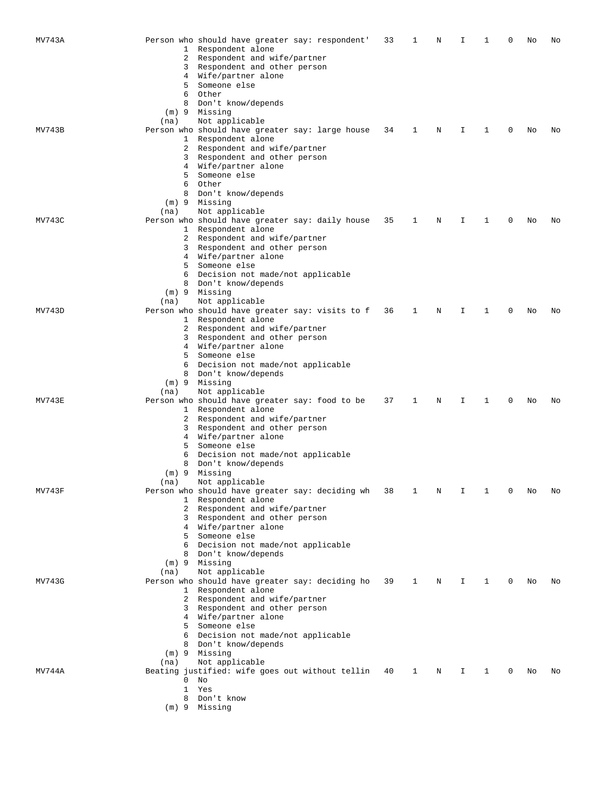| MV743A |                   | Person who should have greater say: respondent'<br>1 Respondent alone<br>2 Respondent and wife/partner<br>3 Respondent and other person | 33 | 1 | Ν | I  | 1 | 0 | No | No |
|--------|-------------------|-----------------------------------------------------------------------------------------------------------------------------------------|----|---|---|----|---|---|----|----|
|        | 6                 | 4 Wife/partner alone<br>5 Someone else<br>Other<br>8 Don't know/depends                                                                 |    |   |   |    |   |   |    |    |
| MV743B | (na)              | (m) 9 Missing<br>Not applicable<br>Person who should have greater say: large house<br>1 Respondent alone                                | 34 | 1 | N | I  | 1 | 0 | No | No |
|        | $4\phantom{0}$    | 2 Respondent and wife/partner<br>3 Respondent and other person<br>Wife/partner alone<br>5 Someone else<br>6 Other                       |    |   |   |    |   |   |    |    |
|        | (na)              | 8 Don't know/depends<br>(m) 9 Missing<br>Not applicable                                                                                 |    |   |   |    |   |   |    |    |
| MV743C | 2                 | Person who should have greater say: daily house<br>1 Respondent alone<br>Respondent and wife/partner                                    | 35 | 1 | Ν | I  | 1 | 0 | No | No |
|        | 5                 | 3 Respondent and other person<br>4 Wife/partner alone<br>Someone else                                                                   |    |   |   |    |   |   |    |    |
|        | 6<br>(na)         | Decision not made/not applicable<br>8 Don't know/depends<br>$(m)$ 9 Missing<br>Not applicable                                           |    |   |   |    |   |   |    |    |
| MV743D | 2                 | Person who should have greater say: visits to f<br>1 Respondent alone<br>Respondent and wife/partner<br>3 Respondent and other person   | 36 | 1 | N | I  | 1 | 0 | No | No |
|        |                   | 4 Wife/partner alone<br>5 Someone else<br>6 Decision not made/not applicable<br>8 Don't know/depends                                    |    |   |   |    |   |   |    |    |
| MV743E | (na)              | $(m)$ 9 Missing<br>Not applicable<br>Person who should have greater say: food to be                                                     | 37 | 1 | Ν | I  | 1 | 0 | No | No |
|        |                   | 1 Respondent alone<br>2 Respondent and wife/partner<br>3 Respondent and other person<br>4 Wife/partner alone                            |    |   |   |    |   |   |    |    |
|        |                   | 5 Someone else<br>6 Decision not made/not applicable<br>8 Don't know/depends<br>(m) 9 Missing                                           |    |   |   |    |   |   |    |    |
| MV743F | (na)              | Not applicable<br>Person who should have greater say: deciding wh<br>1 Respondent alone<br>2 Respondent and wife/partner                | 38 | ı | Ν | I  |   | 0 | No | No |
|        |                   | 3 Respondent and other person<br>4 Wife/partner alone<br>5 Someone else<br>6 Decision not made/not applicable                           |    |   |   |    |   |   |    |    |
| MV743G | (na)              | 8 Don't know/depends<br>$(m)$ 9 Missing<br>Not applicable<br>Person who should have greater say: deciding ho                            | 39 | 1 | Ν | I  | 1 | 0 | No | No |
|        |                   | 1 Respondent alone<br>2 Respondent and wife/partner<br>3 Respondent and other person<br>4 Wife/partner alone                            |    |   |   |    |   |   |    |    |
|        |                   | 5 Someone else<br>6 Decision not made/not applicable<br>8 Don't know/depends<br>$(m)$ 9 Missing                                         |    |   |   |    |   |   |    |    |
| MV744A | (na)<br>0         | Not applicable<br>Beating justified: wife goes out without tellin 40<br>No                                                              |    | 1 | Ν | Ι. | 1 | 0 | Νo | No |
|        | $\mathbf{1}$<br>8 | Yes<br>Don't know<br>(m) 9 Missing                                                                                                      |    |   |   |    |   |   |    |    |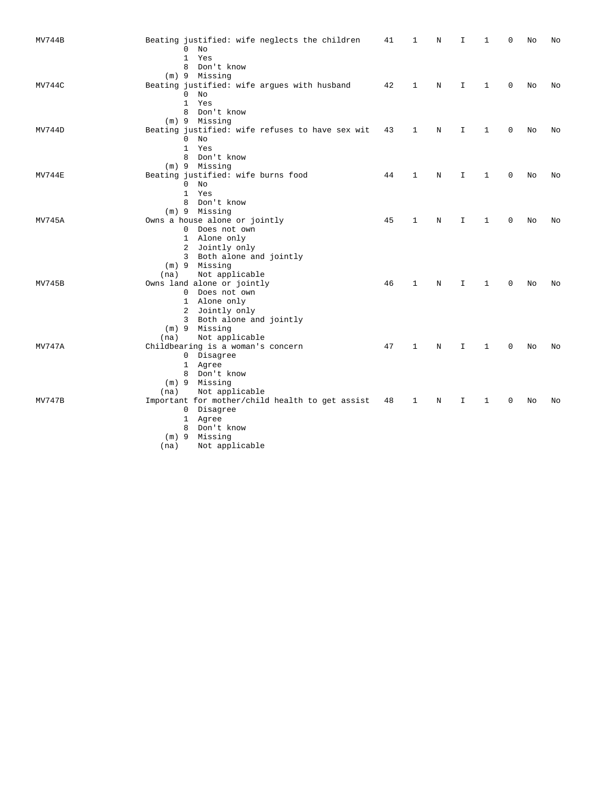| MV744B | Beating justified: wife neglects the children<br>$0$ No<br>1<br>Yes<br>8 Don't know                                        | 41 | 1 | Ν | I  | 1            | 0           | No | No |
|--------|----------------------------------------------------------------------------------------------------------------------------|----|---|---|----|--------------|-------------|----|----|
| MV744C | (m) 9 Missing<br>Beating justified: wife argues with husband<br>$0$ No<br>Yes<br>$\mathbf{1}$                              | 42 | 1 | N | I. | 1            | $\mathbf 0$ | No | No |
| MV744D | 8<br>Don't know<br>$(m)$ 9 Missing<br>Beating justified: wife refuses to have sex wit<br>$0$ No<br>$\mathbf{1}$<br>Yes     | 43 | 1 | N | I. | 1            | $\mathbf 0$ | No | No |
| MV744E | 8<br>Don't know<br>(m) 9 Missing<br>Beating justified: wife burns food<br>$0$ No                                           | 44 | 1 | Ν | I  | 1            | $\mathbf 0$ | No | No |
| MV745A | $\mathbf{1}$<br>Yes<br>Don't know<br>8<br>(m) 9 Missing<br>Owns a house alone or jointly                                   | 45 | 1 | N | I. | 1            | $\mathbf 0$ | No | No |
|        | 0 Does not own<br>1 Alone only<br>2 Jointly only<br>3 Both alone and jointly                                               |    |   |   |    |              |             |    |    |
| MV745B | (m) 9 Missing<br>Not applicable<br>(na)<br>Owns land alone or jointly<br>0 Does not own<br>1 Alone only<br>2 Jointly only  | 46 | 1 | N | I. | 1            | $\mathbf 0$ | No | No |
| MV747A | 3 Both alone and jointly<br>$(m)$ 9 Missing<br>Not applicable<br>(na)<br>Childbearing is a woman's concern<br>0 Disagree   | 47 | 1 | N | I  | 1            | $\mathbf 0$ | No | No |
| MV747B | 1 Agree<br>8 Don't know<br>$(m)$ 9 Missing<br>Not applicable<br>(na)<br>Important for mother/child health to get assist 48 |    | 1 | N | I. | $\mathbf{1}$ | $\Omega$    | No | No |
|        | 0 Disagree<br>1 Agree<br>8 Don't know<br>$(m)$ 9 Missing<br>Not applicable<br>(na)                                         |    |   |   |    |              |             |    |    |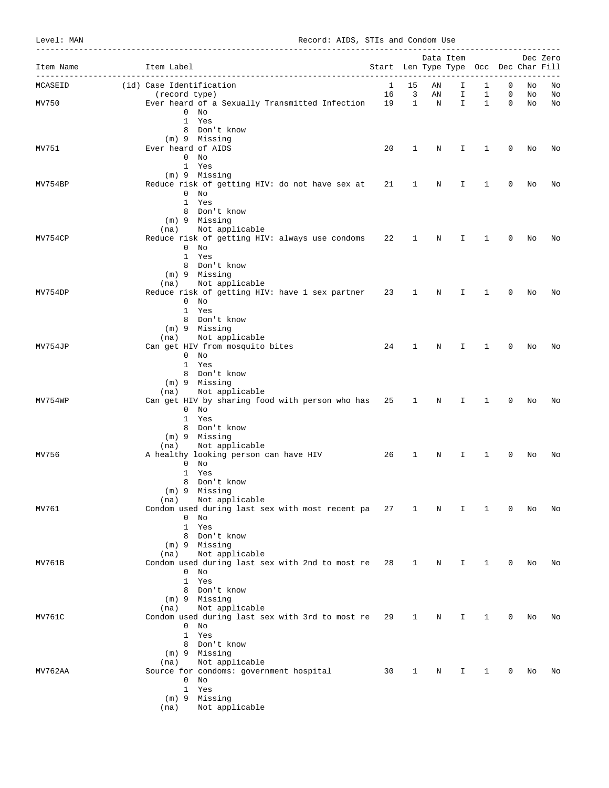Level: MAN Record: AIDS, STIs and Condom Use

| Item Name | Item Label                                                                                                                                     | Start Len Type Type Occ Dec Char Fill |                         |    | ____________________________<br>Data Item |              |             |    | Dec Zero |
|-----------|------------------------------------------------------------------------------------------------------------------------------------------------|---------------------------------------|-------------------------|----|-------------------------------------------|--------------|-------------|----|----------|
| MCASEID   | (id) Case Identification                                                                                                                       | $\mathbf{1}$                          | 15                      | AN | I.                                        | 1            | 0           | No | No       |
|           | (record type)                                                                                                                                  | 16                                    | $\overline{\mathbf{3}}$ | AN | I.                                        | 1            | 0           | No | No       |
| MV750     | Ever heard of a Sexually Transmitted Infection 19 1 N<br>$0$ No<br>1 Yes<br>8 Don't know                                                       |                                       |                         |    | I.                                        | $\mathbf{1}$ | $\mathbf 0$ | No | No       |
|           | (m) 9 Missing                                                                                                                                  |                                       |                         |    |                                           |              |             |    |          |
| MV751     | Ever heard of AIDS<br>$0$ No<br>1 Yes                                                                                                          | 20                                    | $\mathbf{1}$            | Ν  | Ι.                                        | 1            | 0           | No | No       |
|           | (m) 9 Missing                                                                                                                                  |                                       |                         |    |                                           |              |             |    |          |
| MV754BP   | Reduce risk of getting HIV: do not have sex at 21<br>$0$ No<br>1 Yes<br>8 Don't know<br>(m) 9 Missing                                          |                                       | 1                       | N  | Ι.                                        | 1            | 0           | No | No       |
|           | Not applicable<br>(na)                                                                                                                         |                                       |                         |    |                                           |              |             |    |          |
| MV754CP   | Reduce risk of getting HIV: always use condoms 22 1<br>$0$ No<br>1 Yes<br>8 Don't know<br>$(m)$ 9 Missing                                      |                                       |                         | N  | I                                         | 1            | 0           | No | No       |
|           | (na) Not applicable                                                                                                                            |                                       |                         |    |                                           |              |             |    |          |
| MV754DP   | Reduce risk of getting HIV: have 1 sex partner 23<br>$0$ No<br>1 Yes<br>8 Don't know<br>(m) 9 Missing                                          |                                       | 1                       | Ν  | I                                         | 1            | 0           | No | No       |
|           | Not applicable<br>(na)                                                                                                                         |                                       |                         |    |                                           |              |             |    |          |
| MV754JP   | Can get HIV from mosquito bites<br>$0$ No<br>1 Yes<br>8 Don't know<br>(m) 9 Missing<br>Not applicable<br>(na)                                  | 24                                    | 1                       | N  | I                                         | $\mathbf{1}$ | $\mathbf 0$ | No | No       |
| MV754WP   | Can get HIV by sharing food with person who has 25<br>$0$ No<br>1 Yes<br>8 Don't know<br>$(m)$ 9 Missing                                       |                                       | $\mathbf{1}$            | N  | Ι.                                        | 1            | 0           | No | No       |
| MV756     | Not applicable<br>(na)<br>A healthy looking person can have HIV<br>$0$ No<br>1 Yes<br>8 Don't know<br>$(m)$ 9 Missing                          | 26                                    | 1                       | Ν  | I                                         | 1            | 0           | No | No       |
| MV761     | Not applicable<br>(na)<br>Condom used during last sex with most recent pa<br>$0$ No<br>1<br>Yes<br>8 Don't know<br>(m) 9 Missing               | 27                                    | 1                       | N  | I                                         | 1            | 0           | No | No       |
| MV761B    | Not applicable<br>(na)<br>Condom used during last sex with 2nd to most re<br>No<br>0<br>$\mathbf{1}$<br>Yes<br>8 Don't know<br>(m) 9 Missing   | 28                                    | 1                       | Ν  | Ι                                         | 1            | 0           | No | No       |
| MV761C    | Not applicable<br>(na)<br>Condom used during last sex with 3rd to most re<br>$0$ No<br>$\mathbf{1}$<br>Yes<br>8 Don't know<br>(m) 9 Missing    | 29                                    | 1                       | Ν  | Ι                                         | 1            | 0           | No | No       |
| MV762AA   | Not applicable<br>(na)<br>Source for condoms: government hospital<br>No<br>0<br>$\mathbf{1}$<br>Yes<br>(m) 9 Missing<br>Not applicable<br>(na) | 30                                    | 1                       | Ν  | Ι                                         | 1            | 0           | No | No       |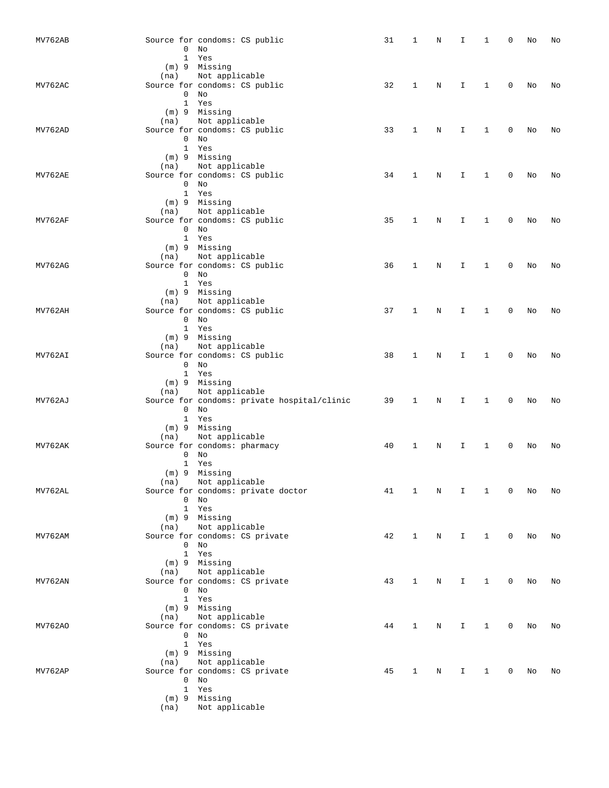| MV762AB | Source for condoms: CS public              | $0$ No                                                    |                                             | 31 | 1            | N | I  | 1            | 0           | No | No |
|---------|--------------------------------------------|-----------------------------------------------------------|---------------------------------------------|----|--------------|---|----|--------------|-------------|----|----|
|         | (na)<br>Source for condoms: CS public      | 1 Yes<br>(m) 9 Missing<br>Not applicable                  |                                             |    |              |   |    |              |             |    |    |
| MV762AC |                                            | $0$ No<br>1 Yes<br>(m) 9 Missing                          |                                             | 32 | 1            | N | I  | 1            | $\mathbf 0$ | No | No |
| MV762AD | (na)<br>Source for condoms: CS public      | Not applicable<br>$0$ No<br>1 Yes                         |                                             | 33 | 1            | Ν | I  | $\mathbf{1}$ | $\mathbf 0$ | No | No |
| MV762AE | (na)<br>Source for condoms: CS public      | (m) 9 Missing<br>Not applicable<br>$0$ No                 |                                             | 34 | 1            | Ν | I  | $\mathbf{1}$ | $\mathbf 0$ | No | No |
| MV762AF | (na)<br>Source for condoms: CS public      | 1 Yes<br>(m) 9 Missing<br>Not applicable<br>$0$ No        |                                             | 35 | 1            | Ν | I  | $\mathbf{1}$ | 0           | No | No |
|         | (na)                                       | 1 Yes<br>(m) 9 Missing<br>Not applicable                  |                                             |    |              |   |    |              |             |    |    |
| MV762AG | Source for condoms: CS public              | $0$ No<br>1 Yes<br>(m) 9 Missing                          |                                             | 36 | 1            | Ν | I. | 1            | $\mathbf 0$ | No | No |
| MV762AH | (na)<br>Source for condoms: CS public      | Not applicable<br>$0$ No<br>1 Yes<br>(m) 9 Missing        |                                             | 37 | 1            | Ν | I  | 1            | $\mathbf 0$ | No | No |
| MV762AI | (na)<br>Source for condoms: CS public      | Not applicable<br>$0$ No<br>1 Yes                         |                                             | 38 | 1            | Ν | I  | $\mathbf{1}$ | $\mathbf 0$ | No | No |
| MV762AJ | (na)                                       | (m) 9 Missing<br>Not applicable<br>$0$ No                 | Source for condoms: private hospital/clinic | 39 | 1            | Ν | I  | $\mathbf{1}$ | $\mathbf 0$ | No | No |
| MV762AK | Source for condoms: pharmacy               | 1 Yes<br>$(m)$ 9 Missing<br>(na) Not applicable<br>$0$ No |                                             | 40 | 1            | N | I  | 1            | $\mathbf 0$ | No | No |
| MV762AL | (na)<br>Source for condoms: private doctor | 1 Yes<br>(m) 9 Missing<br>Not applicable                  |                                             | 41 | 1            | Ν | I  | 1            | 0           | No | No |
|         | (na)                                       | $0$ No<br>1 Yes<br>(m) 9 Missing<br>Not applicable        |                                             |    |              |   |    |              |             |    |    |
| MV762AM | Source for condoms: CS private             | $0$ No<br>1 Yes<br>$(m)$ 9 Missing                        |                                             | 42 | $\mathbf{1}$ | N | Ι  | 1            | 0           | No | No |
| MV762AN | (na)<br>Source for condoms: CS private     | Not applicable<br>$0$ No<br>1 Yes                         |                                             | 43 | $\mathbf{1}$ | N | Ι. | $\mathbf{1}$ | 0           | No | No |
| MV762A0 | (na)<br>Source for condoms: CS private     | (m) 9 Missing<br>Not applicable<br>$0$ No<br>1 Yes        |                                             | 44 | $\mathbf 1$  | N | I  | $\mathbf{1}$ | 0           | No | No |
| MV762AP | Source for condoms: CS private             | (m) 9 Missing<br>(na) Not applicable<br>$0$ No            |                                             | 45 | $\mathbf 1$  | N | I. | $\mathbf{1}$ | 0           | No | No |
|         | (na)                                       | 1 Yes<br>(m) 9 Missing<br>Not applicable                  |                                             |    |              |   |    |              |             |    |    |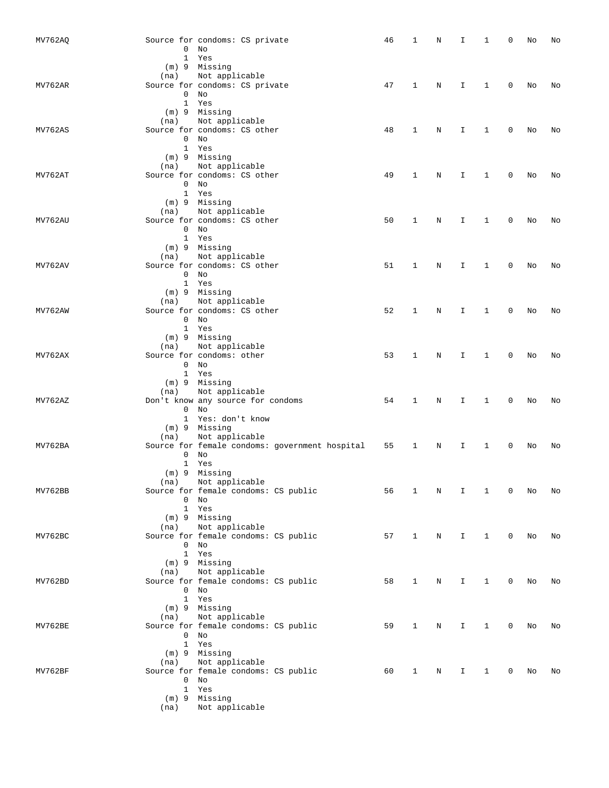| MV762AQ |      | Source for condoms: CS private<br>$0$ No<br>1 Yes                                                    | 46 | 1            | N | I.           | 1            | 0           | No | No |
|---------|------|------------------------------------------------------------------------------------------------------|----|--------------|---|--------------|--------------|-------------|----|----|
| MV762AR | (na) | (m) 9 Missing<br>Not applicable<br>Source for condoms: CS private<br>$0$ No<br>1 Yes                 | 47 | 1            | N | I.           | 1            | 0           | No | No |
| MV762AS | (na) | (m) 9 Missing<br>Not applicable<br>Source for condoms: CS other<br>$0$ No<br>1 Yes                   | 48 | $\mathbf{1}$ | Ν | I            | 1            | 0           | No | No |
| MV762AT | (na) | (m) 9 Missing<br>Not applicable<br>Source for condoms: CS other<br>$0$ No<br>1 Yes                   | 49 | 1            | N | I.           | $\mathbf{1}$ | $\mathbf 0$ | No | No |
| MV762AU | (na) | (m) 9 Missing<br>Not applicable<br>Source for condoms: CS other<br>$0$ No<br>1 Yes                   | 50 | 1            | Ν | I            | 1            | 0           | No | No |
| MV762AV | (na) | $(m)$ 9 Missing<br>Not applicable<br>Source for condoms: CS other<br>$0$ No<br>1 Yes                 | 51 | 1            | Ν | I.           | 1            | 0           | No | No |
| MV762AW | (na) | (m) 9 Missing<br>Not applicable<br>Source for condoms: CS other<br>$0$ No<br>1 Yes                   | 52 | $\mathbf{1}$ | N | I.           | 1            | 0           | No | No |
| MV762AX | (na) | (m) 9 Missing<br>Not applicable<br>Source for condoms: other<br>$0$ No<br>1 Yes                      | 53 | 1            | N | I            | $\mathbf{1}$ | 0           | No | No |
| MV762AZ | (na) | (m) 9 Missing<br>Not applicable<br>Don't know any source for condoms<br>$0$ No<br>1 Yes: don't know  | 54 | 1            | Ν | I            | $\mathbf{1}$ | 0           | No | No |
| MV762BA | (na) | (m) 9 Missing<br>Not applicable<br>Source for female condoms: government hospital<br>$0$ No<br>1 Yes | 55 | 1            | Ν | I            | 1            | 0           | No | No |
| MV762BB | (na) | (m) 9 Missing<br>Not applicable<br>Source for female condoms: CS public<br>$0$ No<br>1 Yes           | 56 | 1            | N | Ι.           | 1            | 0           | No | No |
| MV762BC | (na) | (m) 9 Missing<br>Not applicable<br>Source for female condoms: CS public<br>$0$ No<br>1 Yes           | 57 | $\mathbf{1}$ | N | I.           | $\mathbf{1}$ | 0           | No | No |
| MV762BD | (na) | (m) 9 Missing<br>Not applicable<br>Source for female condoms: CS public<br>$0$ No<br>1 Yes           | 58 | $\mathbf{1}$ | N | I.           | $\mathbf{1}$ | 0           | No | No |
| MV762BE | (na) | (m) 9 Missing<br>Not applicable<br>Source for female condoms: CS public<br>$0$ No<br>1 Yes           | 59 | $\mathbf{1}$ | N | $\mathbf{I}$ | $\mathbf{1}$ | 0           | No | No |
| MV762BF | (na) | (m) 9 Missing<br>Not applicable<br>Source for female condoms: CS public<br>$0$ No<br>1 Yes           | 60 | 1            | N | I.           | $\mathbf{1}$ | 0           | No | No |
|         | (na) | (m) 9 Missing<br>Not applicable                                                                      |    |              |   |              |              |             |    |    |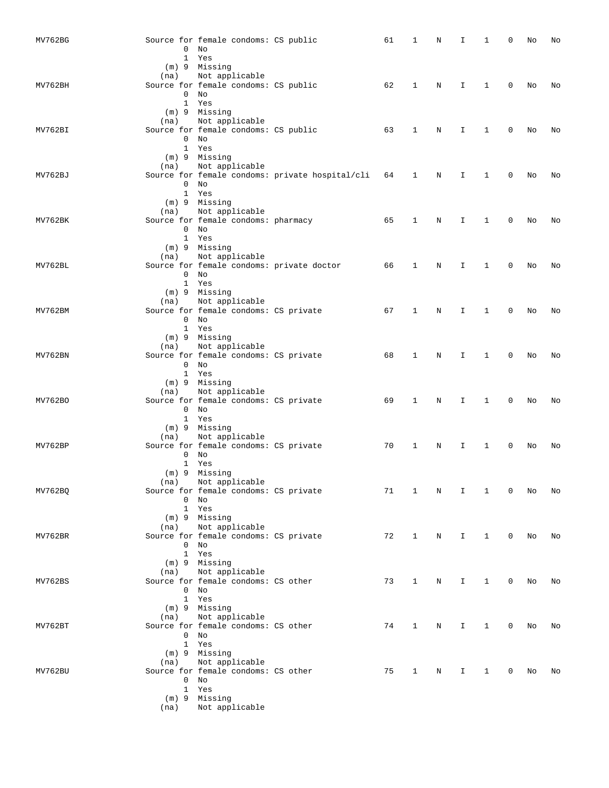| MV762BG | $\overline{0}$ | Source for female condoms: CS public<br>No                               |                                                    | 61 | 1            | Ν | Ι  | 1            | 0            | No | No |
|---------|----------------|--------------------------------------------------------------------------|----------------------------------------------------|----|--------------|---|----|--------------|--------------|----|----|
|         | (na)           | 1 Yes<br>(m) 9 Missing<br>Not applicable                                 |                                                    |    |              |   |    |              |              |    |    |
| MV762BH |                | Source for female condoms: CS public<br>$0$ No                           |                                                    | 62 | 1            | N | I. | 1            | $\mathbf 0$  | No | No |
|         | (na)           | 1 Yes<br>(m) 9 Missing<br>Not applicable                                 |                                                    |    |              |   |    |              |              |    |    |
| MV762BI |                | Source for female condoms: CS public<br>$0$ No<br>1 Yes                  |                                                    | 63 | 1            | N | I  | 1            | 0            | No | No |
| MV762BJ | (na)           | (m) 9 Missing<br>Not applicable                                          | Source for female condoms: private hospital/cli 64 |    | 1            | N | I  | 1            | 0            | No | No |
|         |                | $0$ No<br>1 Yes<br>(m) 9 Missing                                         |                                                    |    |              |   |    |              |              |    |    |
| MV762BK | (na)           | Not applicable<br>Source for female condoms: pharmacy<br>$0$ No          |                                                    | 65 | $\mathbf 1$  | N | I  | $\mathbf{1}$ | 0            | No | No |
|         |                | 1 Yes<br>$(m)$ 9 Missing                                                 |                                                    |    |              |   |    |              |              |    |    |
| MV762BL | (na)           | Not applicable<br>Source for female condoms: private doctor<br>$0$ No    |                                                    | 66 | 1            | N | I. | 1            | 0            | No | No |
|         | (na)           | 1 Yes<br>(m) 9 Missing<br>Not applicable                                 |                                                    |    |              |   |    |              |              |    |    |
| MV762BM |                | Source for female condoms: CS private<br>$0$ No<br>1 Yes                 |                                                    | 67 | 1            | N | I  | $\mathbf{1}$ | 0            | No | No |
| MV762BN | (na)           | (m) 9 Missing<br>Not applicable<br>Source for female condoms: CS private |                                                    | 68 | 1            | N | I. | 1            | $\Omega$     | No | No |
|         |                | $0$ No<br>1 Yes<br>(m) 9 Missing                                         |                                                    |    |              |   |    |              |              |    |    |
| MV762BO | (na)           | Not applicable<br>Source for female condoms: CS private<br>$0$ No        |                                                    | 69 | 1            | Ν | I  | 1            | 0            | No | No |
|         |                | 1 Yes<br>(m) 9 Missing                                                   |                                                    |    |              |   |    |              |              |    |    |
| MV762BP | (na)           | Not applicable<br>Source for female condoms: CS private<br>$0$ No        |                                                    | 70 | 1            | N | I  | 1            | 0            | No | No |
|         | (na)           | 1 Yes<br>(m) 9 Missing<br>Not applicable                                 |                                                    |    |              |   |    |              |              |    |    |
| MV762BQ |                | $0$ No<br>1 Yes                                                          | Source for female condoms: CS private              | 71 | 1            | Ν | I. | 1            | 0            | No | No |
| MV762BR | (na)           | (m) 9 Missing<br>Not applicable<br>Source for female condoms: CS private |                                                    | 72 | $\mathbf{1}$ | N | I. | $\mathbf{1}$ | 0            | No | No |
|         |                | $0$ No<br>1 Yes<br>(m) 9 Missing                                         |                                                    |    |              |   |    |              |              |    |    |
| MV762BS | (na)           | Not applicable<br>Source for female condoms: CS other<br>$0$ No          |                                                    | 73 | 1            | N | I. | $\mathbf{1}$ | $\mathbf{0}$ | No | No |
|         | (na)           | 1 Yes<br>(m) 9 Missing<br>Not applicable                                 |                                                    |    |              |   |    |              |              |    |    |
| MV762BT |                | Source for female condoms: CS other<br>$0$ No<br>1 Yes                   |                                                    | 74 | $\mathbf{1}$ | N | I. | $\mathbf{1}$ | 0            | No | No |
|         | (na)           | (m) 9 Missing<br>Not applicable                                          |                                                    |    |              |   |    |              |              |    |    |
| MV762BU |                | Source for female condoms: CS other<br>$0$ No<br>1 Yes                   |                                                    | 75 | $\mathbf{1}$ | N | I. | $\mathbf{1}$ | 0            | No | No |
|         | (na)           | (m) 9 Missing<br>Not applicable                                          |                                                    |    |              |   |    |              |              |    |    |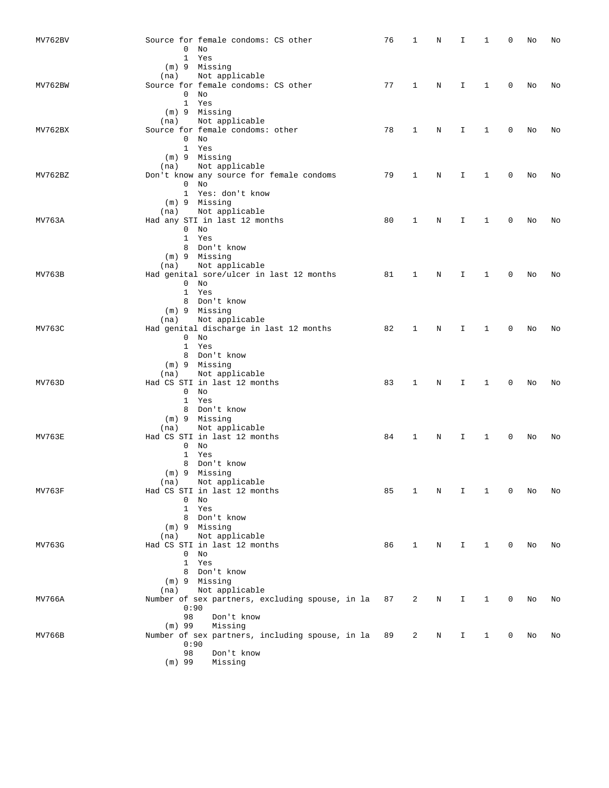| <b>MV762BV</b> | Source for female condoms: CS other<br>0<br>No<br>$\mathbf{1}$<br>Yes                                                                            | 76 | 1            | Ν | I  | 1            | 0 | No | No |
|----------------|--------------------------------------------------------------------------------------------------------------------------------------------------|----|--------------|---|----|--------------|---|----|----|
| MV762BW        | (m) 9 Missing<br>Not applicable<br>(na)<br>Source for female condoms: CS other<br>$0$ No<br>1 Yes                                                | 77 | $\mathbf{1}$ | N | I. | $\mathbf{1}$ | 0 | No | No |
| MV762BX        | (m) 9 Missing<br>Not applicable<br>(na)<br>Source for female condoms: other<br>$0$ No                                                            | 78 | $\mathbf{1}$ | Ν | I  | 1            | 0 | No | No |
| MV762BZ        | 1 Yes<br>(m) 9 Missing<br>Not applicable<br>(na)<br>Don't know any source for female condoms<br>$0$ No<br>1 Yes: don't know                      | 79 | $\mathbf{1}$ | N | I  | 1            | 0 | No | No |
| MV763A         | (m) 9 Missing<br>Not applicable<br>(na)<br>Had any STI in last 12 months<br>$0$ No<br>1 Yes                                                      | 80 | 1            | Ν | I  | 1            | 0 | No | No |
| MV763B         | 8 Don't know<br>(m) 9 Missing<br>Not applicable<br>(na)<br>Had genital sore/ulcer in last 12 months<br>$0$ No                                    | 81 | $\mathbf 1$  | N | I  | $\mathbf{1}$ | 0 | No | No |
| MV763C         | 1 Yes<br>8 Don't know<br>(m) 9 Missing<br>Not applicable<br>(na)<br>Had genital discharge in last 12 months                                      | 82 | 1            | N | I  | 1            | 0 | No | No |
|                | $0$ No<br>1 Yes<br>8 Don't know<br>(m) 9 Missing<br>Not applicable<br>(na)                                                                       |    |              |   |    |              |   |    |    |
| MV763D         | Had CS STI in last 12 months<br>$0$ No<br>1 Yes<br>8 Don't know<br>(m) 9 Missing                                                                 | 83 | $\mathbf{1}$ | N | I  | 1            | 0 | No | No |
| MV763E         | Not applicable<br>(na)<br>Had CS STI in last 12 months<br>$0$ No<br>1 Yes<br>8 Don't know                                                        | 84 | 1            | N | I  | 1            | 0 | No | No |
| MV763F         | (m) 9 Missing<br>Not applicable<br>(na)<br>Had CS STI in last 12 months<br>$\Omega$<br>No<br>1 Yes                                               | 85 | 1            | Ν | I  | 1            | 0 | No | No |
| MV763G         | 8 Don't know<br>(m) 9 Missing<br>Not applicable<br>(na)<br>Had CS STI in last 12 months<br>$0$ No<br>1 Yes                                       | 86 | $\mathbf{1}$ | N | I. | $\mathbf{1}$ | 0 | No | No |
| MV766A         | 8 Don't know<br>$(m)$ 9 Missing<br>Not applicable<br>(na)<br>Number of sex partners, excluding spouse, in la<br>0:90                             | 87 | 2            | N | I. | 1            | 0 | No | No |
| MV766B         | 98<br>Don't know<br>Missing<br>$(m)$ 99<br>Number of sex partners, including spouse, in la 89<br>0:90<br>98<br>Don't know<br>$(m)$ 99<br>Missing |    | 2            | N | I  | $\mathbf{1}$ | 0 | No | No |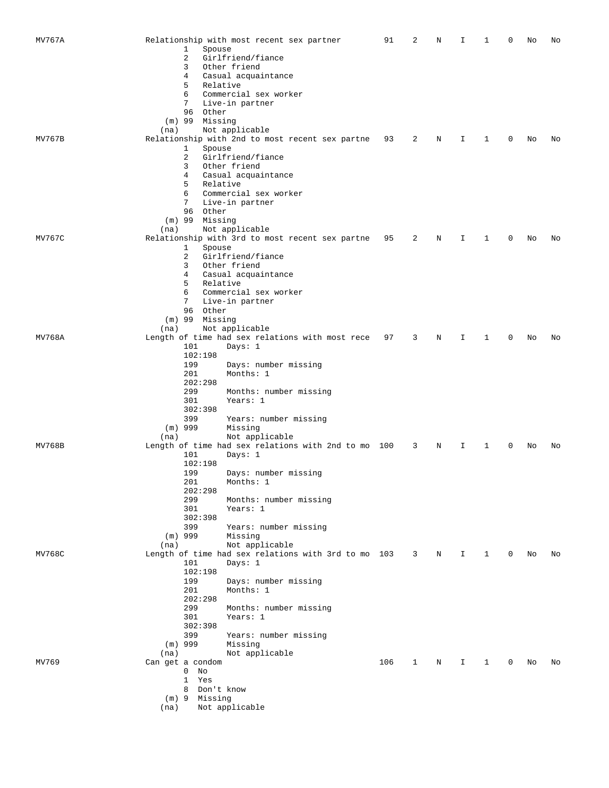| MV767A | Relationship with most recent sex partner<br>91<br>2<br>N<br>I.<br>U<br>No<br>No<br>ı.                               |
|--------|----------------------------------------------------------------------------------------------------------------------|
|        | $\mathbf{1}$<br>Spouse                                                                                               |
|        | 2<br>Girlfriend/fiance                                                                                               |
|        | 3<br>Other friend                                                                                                    |
|        | 4<br>Casual acquaintance<br>5<br>Relative                                                                            |
|        | Commercial sex worker<br>6                                                                                           |
|        | 7<br>Live-in partner                                                                                                 |
|        | 96 Other                                                                                                             |
|        | $(m)$ 99 Missing                                                                                                     |
| MV767B | Not applicable<br>(na)<br>Relationship with 2nd to most recent sex partne<br>2<br>93<br>Ν<br>I<br>0<br>No<br>1<br>No |
|        | $\mathbf{1}$<br>Spouse                                                                                               |
|        | 2<br>Girlfriend/fiance                                                                                               |
|        | 3<br>Other friend                                                                                                    |
|        | 4<br>Casual acquaintance<br>5<br>Relative                                                                            |
|        | 6<br>Commercial sex worker                                                                                           |
|        | 7<br>Live-in partner                                                                                                 |
|        | 96 Other                                                                                                             |
|        | (m) 99 Missing                                                                                                       |
| MV767C | Not applicable<br>(na)<br>Relationship with 3rd to most recent sex partne<br>95<br>2<br>Ν<br>I<br>1<br>0<br>No<br>No |
|        | $\mathbf{1}$<br>Spouse                                                                                               |
|        | 2<br>Girlfriend/fiance                                                                                               |
|        | 3<br>Other friend                                                                                                    |
|        | 4<br>Casual acquaintance                                                                                             |
|        | 5<br>Relative<br>6<br>Commercial sex worker                                                                          |
|        | 7<br>Live-in partner                                                                                                 |
|        | 96 Other                                                                                                             |
|        | $(m)$ 99 Missing                                                                                                     |
| MV768A | Not applicable<br>(na)<br>Length of time had sex relations with most rece<br>97<br>3<br>I<br>1<br>0<br>No<br>Ν<br>No |
|        | 101<br>Days: $1$                                                                                                     |
|        | 102:198                                                                                                              |
|        | 199<br>Days: number missing                                                                                          |
|        | 201<br>Months: 1                                                                                                     |
|        | 202:298<br>299<br>Months: number missing                                                                             |
|        | 301<br>Years: 1                                                                                                      |
|        | 302:398                                                                                                              |
|        | 399<br>Years: number missing                                                                                         |
|        | $(m)$ 999<br>Missing<br>Not applicable<br>(na)                                                                       |
| MV768B | Length of time had sex relations with 2nd to mo 100<br>3<br>I<br>0<br>No<br>Ν<br>1<br>No                             |
|        | 101<br>Days: 1                                                                                                       |
|        | 102:198                                                                                                              |
|        | 199<br>Days: number missing                                                                                          |
|        | 201<br>Months: 1<br>202:298                                                                                          |
|        | 299<br>Months: number missing                                                                                        |
|        | Years: 1<br>301                                                                                                      |
|        | 302:398                                                                                                              |
|        | 399<br>Years: number missing<br>$(m)$ 999<br>Missing                                                                 |
|        | Not applicable<br>(na)                                                                                               |
| MV768C | Length of time had sex relations with 3rd to mo 103<br>3<br>N<br>I<br>0<br>1<br>No<br>No                             |
|        | 101<br>Days: $1$                                                                                                     |
|        | 102:198                                                                                                              |
|        | 199<br>Days: number missing<br>201<br>Months: 1                                                                      |
|        | 202:298                                                                                                              |
|        | 299<br>Months: number missing                                                                                        |
|        | 301<br>Years: 1                                                                                                      |
|        | 302:398<br>399<br>Years: number missing                                                                              |
|        | $(m)$ 999<br>Missing                                                                                                 |
|        | Not applicable<br>(na)                                                                                               |
| MV769  | Can get a condom<br>106<br>0<br>1<br>N<br>I.<br>1<br>No<br>No                                                        |
|        | $0$ No                                                                                                               |
|        | 1 Yes<br>8 Don't know                                                                                                |
|        | $(m)$ 9 Missing                                                                                                      |
|        | Not applicable<br>(na)                                                                                               |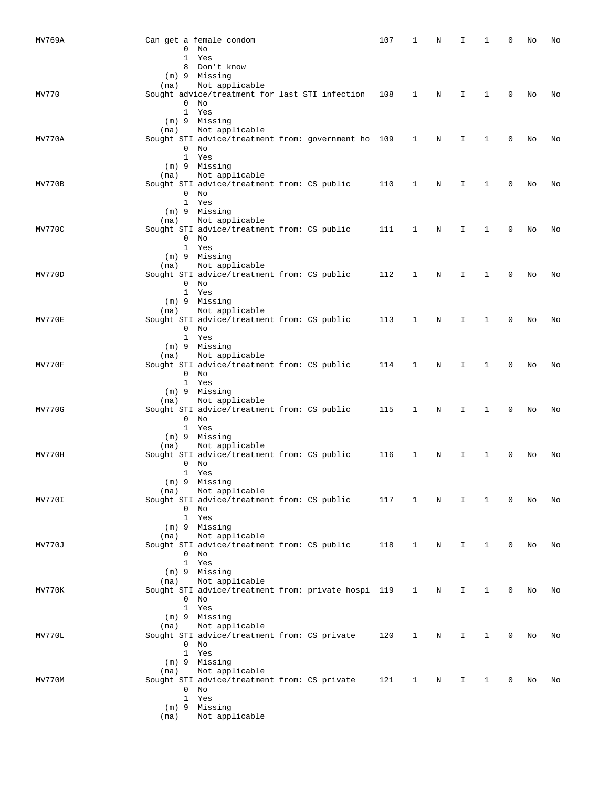| MV769A |                | Can get a female condom                                       |                                                     | 107 | 1            | N | I  | 1            | U        | No | No |
|--------|----------------|---------------------------------------------------------------|-----------------------------------------------------|-----|--------------|---|----|--------------|----------|----|----|
|        | 0              | No                                                            |                                                     |     |              |   |    |              |          |    |    |
|        | 1              | Yes                                                           |                                                     |     |              |   |    |              |          |    |    |
|        |                | 8 Don't know                                                  |                                                     |     |              |   |    |              |          |    |    |
|        | (na)           | (m) 9 Missing<br>Not applicable                               |                                                     |     |              |   |    |              |          |    |    |
| MV770  |                |                                                               | Sought advice/treatment for last STI infection 108  |     | 1            | N | I. | $\mathbf{1}$ | $\Omega$ | No | No |
|        |                | $0$ No                                                        |                                                     |     |              |   |    |              |          |    |    |
|        |                | 1 Yes                                                         |                                                     |     |              |   |    |              |          |    |    |
|        |                | (m) 9 Missing                                                 |                                                     |     |              |   |    |              |          |    |    |
| MV770A | (na)           | Not applicable                                                | Sought STI advice/treatment from: government ho 109 |     | 1            | N | I. | 1            | 0        | No | No |
|        |                | $0$ No                                                        |                                                     |     |              |   |    |              |          |    |    |
|        |                | 1 Yes                                                         |                                                     |     |              |   |    |              |          |    |    |
|        |                | (m) 9 Missing                                                 |                                                     |     |              |   |    |              |          |    |    |
|        | (na)           | Not applicable                                                |                                                     |     |              |   |    |              |          |    |    |
| MV770B |                | Sought STI advice/treatment from: CS public                   |                                                     | 110 | 1            | N | I  | 1            | 0        | No | No |
|        |                | $0$ No<br>1 Yes                                               |                                                     |     |              |   |    |              |          |    |    |
|        |                | (m) 9 Missing                                                 |                                                     |     |              |   |    |              |          |    |    |
|        | (na)           | Not applicable                                                |                                                     |     |              |   |    |              |          |    |    |
| MV770C |                | Sought STI advice/treatment from: CS public                   |                                                     | 111 | 1            | N | I. | 1            | 0        | No | No |
|        | $\overline{0}$ | No                                                            |                                                     |     |              |   |    |              |          |    |    |
|        |                | 1 Yes                                                         |                                                     |     |              |   |    |              |          |    |    |
|        | (na)           | (m) 9 Missing<br>Not applicable                               |                                                     |     |              |   |    |              |          |    |    |
| MV770D |                | Sought STI advice/treatment from: CS public                   |                                                     | 112 | 1            | N | I  | 1            | 0        | No | No |
|        |                | $0$ No                                                        |                                                     |     |              |   |    |              |          |    |    |
|        |                | 1 Yes                                                         |                                                     |     |              |   |    |              |          |    |    |
|        |                | (m) 9 Missing                                                 |                                                     |     |              |   |    |              |          |    |    |
|        | (na)           | Not applicable                                                |                                                     |     |              |   |    |              |          |    |    |
| MV770E |                | $0$ No                                                        | Sought STI advice/treatment from: CS public         | 113 | 1            | N | I  | 1            | $\Omega$ | No | No |
|        |                | 1 Yes                                                         |                                                     |     |              |   |    |              |          |    |    |
|        |                | (m) 9 Missing                                                 |                                                     |     |              |   |    |              |          |    |    |
|        | (na)           | Not applicable                                                |                                                     |     |              |   |    |              |          |    |    |
| MV770F |                |                                                               | Sought STI advice/treatment from: CS public         | 114 | 1            | N | I. | 1            | 0        | No | No |
|        |                | $0$ No                                                        |                                                     |     |              |   |    |              |          |    |    |
|        |                | 1 Yes<br>(m) 9 Missing                                        |                                                     |     |              |   |    |              |          |    |    |
|        | (na)           | Not applicable                                                |                                                     |     |              |   |    |              |          |    |    |
| MV770G |                | Sought STI advice/treatment from: CS public                   |                                                     | 115 | 1            | N | I  | 1            | 0        | No | No |
|        |                | $0$ No                                                        |                                                     |     |              |   |    |              |          |    |    |
|        |                | 1 Yes                                                         |                                                     |     |              |   |    |              |          |    |    |
|        |                | (m) 9 Missing                                                 |                                                     |     |              |   |    |              |          |    |    |
| MV770H | (na)           | Not applicable<br>Sought STI advice/treatment from: CS public |                                                     | 116 | 1            | N | I  | 1            | 0        | No | No |
|        | $\overline{0}$ | No                                                            |                                                     |     |              |   |    |              |          |    |    |
|        |                | 1 Yes                                                         |                                                     |     |              |   |    |              |          |    |    |
|        |                | (m) 9 Missing                                                 |                                                     |     |              |   |    |              |          |    |    |
|        | (na)           | Not applicable                                                |                                                     |     |              |   |    |              |          |    |    |
| MV770I |                |                                                               | Sought STI advice/treatment from: CS public         | 117 | $\mathbf{1}$ | N | Ι. | 1            | 0        | No | No |
|        |                | $0$ No<br>1 Yes                                               |                                                     |     |              |   |    |              |          |    |    |
|        |                | (m) 9 Missing                                                 |                                                     |     |              |   |    |              |          |    |    |
|        | (na)           | Not applicable                                                |                                                     |     |              |   |    |              |          |    |    |
| MV770J |                |                                                               | Sought STI advice/treatment from: CS public         | 118 | 1            | N | I. | $\mathbf{1}$ | 0        | No | No |
|        |                | $0$ No                                                        |                                                     |     |              |   |    |              |          |    |    |
|        |                | 1 Yes<br>(m) 9 Missing                                        |                                                     |     |              |   |    |              |          |    |    |
|        | (na)           | Not applicable                                                |                                                     |     |              |   |    |              |          |    |    |
| MV770K |                |                                                               | Sought STI advice/treatment from: private hospi 119 |     | $\mathbf{1}$ | N | I. | 1            | 0        | No | No |
|        |                | $0$ No                                                        |                                                     |     |              |   |    |              |          |    |    |
|        |                | 1 Yes                                                         |                                                     |     |              |   |    |              |          |    |    |
|        |                | (m) 9 Missing                                                 |                                                     |     |              |   |    |              |          |    |    |
| MV770L | (na)           | Not applicable                                                | Sought STI advice/treatment from: CS private        | 120 | 1            | N | I. | $\mathbf{1}$ | 0        | No | No |
|        |                | $0$ No                                                        |                                                     |     |              |   |    |              |          |    |    |
|        |                | 1 Yes                                                         |                                                     |     |              |   |    |              |          |    |    |
|        |                | (m) 9 Missing                                                 |                                                     |     |              |   |    |              |          |    |    |
|        | (na)           | Not applicable                                                |                                                     |     |              |   |    |              |          |    |    |
| MV770M | $\mathbf{0}$   | No                                                            | Sought STI advice/treatment from: CS private        | 121 | 1            | N | I  | 1            | 0        | No | No |
|        |                | 1 Yes                                                         |                                                     |     |              |   |    |              |          |    |    |
|        |                | (m) 9 Missing                                                 |                                                     |     |              |   |    |              |          |    |    |
|        | (na)           | Not applicable                                                |                                                     |     |              |   |    |              |          |    |    |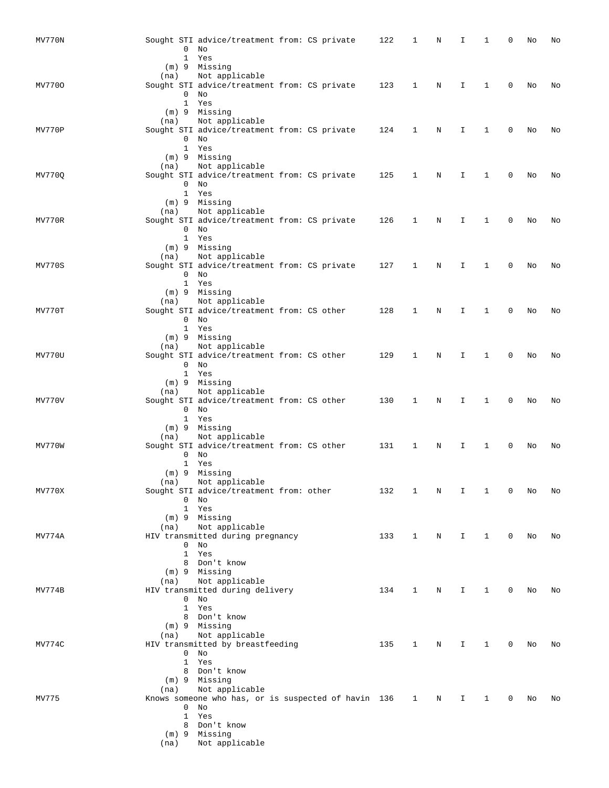| MV770N |              | Sought STI advice/treatment from: CS private                   |  | 122 | 1            | N | I           | 1            | 0        | No | No |
|--------|--------------|----------------------------------------------------------------|--|-----|--------------|---|-------------|--------------|----------|----|----|
|        | 0            | No                                                             |  |     |              |   |             |              |          |    |    |
|        |              | 1 Yes                                                          |  |     |              |   |             |              |          |    |    |
|        | (na)         | (m) 9 Missing<br>Not applicable                                |  |     |              |   |             |              |          |    |    |
| MV7700 |              | Sought STI advice/treatment from: CS private                   |  | 123 | 1            | N | I.          | 1            | 0        | No | No |
|        |              | $0$ No                                                         |  |     |              |   |             |              |          |    |    |
|        |              | 1 Yes                                                          |  |     |              |   |             |              |          |    |    |
|        |              | (m) 9 Missing                                                  |  |     |              |   |             |              |          |    |    |
| MV770P | (na)         | Not applicable<br>Sought STI advice/treatment from: CS private |  | 124 | 1            | N | I           | 1            | 0        | No | No |
|        |              | $0$ No                                                         |  |     |              |   |             |              |          |    |    |
|        |              | 1 Yes                                                          |  |     |              |   |             |              |          |    |    |
|        |              | (m) 9 Missing                                                  |  |     |              |   |             |              |          |    |    |
|        | (na)         | Not applicable<br>Sought STI advice/treatment from: CS private |  |     |              |   |             |              | 0        |    |    |
| MV770Q |              | $0$ No                                                         |  | 125 | 1            | Ν | I           | 1            |          | No | No |
|        |              | 1 Yes                                                          |  |     |              |   |             |              |          |    |    |
|        |              | (m) 9 Missing                                                  |  |     |              |   |             |              |          |    |    |
|        | (na)         | Not applicable                                                 |  |     |              |   |             |              |          |    |    |
| MV770R |              | Sought STI advice/treatment from: CS private<br>$0$ No         |  | 126 | 1            | N | I           | 1            | 0        | No | No |
|        |              | 1 Yes                                                          |  |     |              |   |             |              |          |    |    |
|        |              | (m) 9 Missing                                                  |  |     |              |   |             |              |          |    |    |
|        | (na)         | Not applicable                                                 |  |     |              |   |             |              |          |    |    |
| MV770S |              | Sought STI advice/treatment from: CS private                   |  | 127 | 1            | N | I.          | 1            | 0        | No | No |
|        |              | $0$ No<br>1 Yes                                                |  |     |              |   |             |              |          |    |    |
|        |              | (m) 9 Missing                                                  |  |     |              |   |             |              |          |    |    |
|        | (na)         | Not applicable                                                 |  |     |              |   |             |              |          |    |    |
| MV770T |              | Sought STI advice/treatment from: CS other                     |  | 128 | $\mathbf{1}$ | N | I           | 1            | 0        | No | No |
|        |              | $0$ No                                                         |  |     |              |   |             |              |          |    |    |
|        |              | 1 Yes<br>(m) 9 Missing                                         |  |     |              |   |             |              |          |    |    |
|        | (na)         | Not applicable                                                 |  |     |              |   |             |              |          |    |    |
| MV770U |              | Sought STI advice/treatment from: CS other                     |  | 129 | 1            | N | I           | 1            | $\Omega$ | No | No |
|        |              | $0$ No                                                         |  |     |              |   |             |              |          |    |    |
|        |              | 1 Yes                                                          |  |     |              |   |             |              |          |    |    |
|        | (na)         | (m) 9 Missing<br>Not applicable                                |  |     |              |   |             |              |          |    |    |
| MV770V |              | Sought STI advice/treatment from: CS other                     |  | 130 | 1            | N | I           | 1            | 0        | No | No |
|        |              | $0$ No                                                         |  |     |              |   |             |              |          |    |    |
|        |              | 1 Yes                                                          |  |     |              |   |             |              |          |    |    |
|        |              | (m) 9 Missing<br>Not applicable                                |  |     |              |   |             |              |          |    |    |
| MV770W | (na)         | Sought STI advice/treatment from: CS other                     |  | 131 | 1            | N | I           | 1            | 0        | No | No |
|        |              | $0$ No                                                         |  |     |              |   |             |              |          |    |    |
|        |              | 1 Yes                                                          |  |     |              |   |             |              |          |    |    |
|        |              | (m) 9 Missing                                                  |  |     |              |   |             |              |          |    |    |
| MV770X | (na)         | Not applicable<br>Sought STI advice/treatment from: other      |  | 132 | 1            | Ν | I           | 1            | 0        | No | No |
|        |              | $0$ No                                                         |  |     |              |   |             |              |          |    |    |
|        |              | 1 Yes                                                          |  |     |              |   |             |              |          |    |    |
|        |              | $(m)$ 9 Missing                                                |  |     |              |   |             |              |          |    |    |
| MV774A | (na)         | Not applicable<br>HIV transmitted during pregnancy             |  | 133 | 1            | N | I.          | 1            | 0        | No | No |
|        |              | $0$ No                                                         |  |     |              |   |             |              |          |    |    |
|        |              | 1 Yes                                                          |  |     |              |   |             |              |          |    |    |
|        |              | 8 Don't know                                                   |  |     |              |   |             |              |          |    |    |
|        |              | $(m)$ 9 Missing                                                |  |     |              |   |             |              |          |    |    |
| MV774B | (na)         | Not applicable<br>HIV transmitted during delivery              |  | 134 | 1            | N | $\mathbf I$ | $\mathbf{1}$ | 0        | No | No |
|        |              | $0$ No                                                         |  |     |              |   |             |              |          |    |    |
|        |              | 1 Yes                                                          |  |     |              |   |             |              |          |    |    |
|        |              | 8 Don't know                                                   |  |     |              |   |             |              |          |    |    |
|        |              | (m) 9 Missing                                                  |  |     |              |   |             |              |          |    |    |
| MV774C | (na)         | Not applicable<br>HIV transmitted by breastfeeding             |  | 135 | 1            | N | Ι           | 1            | 0        | No | No |
|        |              | $0$ No                                                         |  |     |              |   |             |              |          |    |    |
|        |              | 1 Yes                                                          |  |     |              |   |             |              |          |    |    |
|        |              | 8 Don't know                                                   |  |     |              |   |             |              |          |    |    |
|        |              | $(m)$ 9 Missing<br>Not applicable                              |  |     |              |   |             |              |          |    |    |
| MV775  | (na)         | Knows someone who has, or is suspected of havin 136            |  |     | $\mathbf{1}$ | N | I.          | 1            | 0        | No | No |
|        |              | $0$ No                                                         |  |     |              |   |             |              |          |    |    |
|        | $\mathbf{1}$ | Yes                                                            |  |     |              |   |             |              |          |    |    |
|        |              | 8 Don't know                                                   |  |     |              |   |             |              |          |    |    |
|        | (na)         | $(m)$ 9 Missing<br>Not applicable                              |  |     |              |   |             |              |          |    |    |
|        |              |                                                                |  |     |              |   |             |              |          |    |    |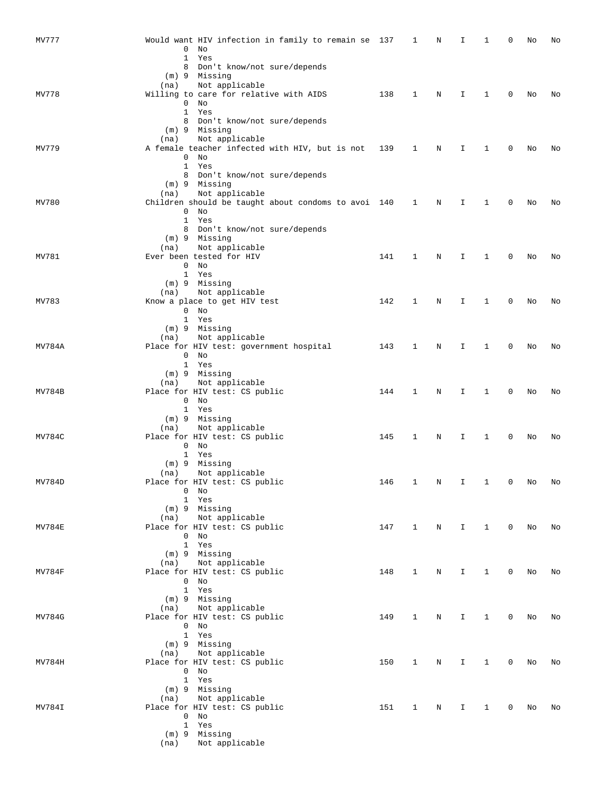| MV777  | Would want HIV infection in family to remain se 137 |     | 1            | Ν           | I            | 1            | 0                        | No      | No |
|--------|-----------------------------------------------------|-----|--------------|-------------|--------------|--------------|--------------------------|---------|----|
|        | $0$ No                                              |     |              |             |              |              |                          |         |    |
|        |                                                     |     |              |             |              |              |                          |         |    |
|        | $\mathbf{1}$<br>Yes                                 |     |              |             |              |              |                          |         |    |
|        | 8 Don't know/not sure/depends                       |     |              |             |              |              |                          |         |    |
|        | (m) 9 Missing                                       |     |              |             |              |              |                          |         |    |
|        | Not applicable<br>(na)                              |     |              |             |              |              |                          |         |    |
| MV778  | Willing to care for relative with AIDS              | 138 | 1            | N           | I            | 1            | 0                        | No      | No |
|        | $0$ No                                              |     |              |             |              |              |                          |         |    |
|        | 1 Yes                                               |     |              |             |              |              |                          |         |    |
|        | 8 Don't know/not sure/depends                       |     |              |             |              |              |                          |         |    |
|        | (m) 9 Missing                                       |     |              |             |              |              |                          |         |    |
|        | Not applicable                                      |     |              |             |              |              |                          |         |    |
|        | (na)                                                |     |              |             |              |              |                          |         |    |
| MV779  | A female teacher infected with HIV, but is not      | 139 | 1            | Ν           | I            | 1            | 0                        | No      | No |
|        | $0$ No                                              |     |              |             |              |              |                          |         |    |
|        | 1 Yes                                               |     |              |             |              |              |                          |         |    |
|        | 8 Don't know/not sure/depends                       |     |              |             |              |              |                          |         |    |
|        | (m) 9 Missing                                       |     |              |             |              |              |                          |         |    |
|        | Not applicable<br>(na)                              |     |              |             |              |              |                          |         |    |
| MV780  | Children should be taught about condoms to avoi 140 |     | 1            | N           | I            | 1            | 0                        | No      | No |
|        | $0$ No                                              |     |              |             |              |              |                          |         |    |
|        |                                                     |     |              |             |              |              |                          |         |    |
|        | 1 Yes                                               |     |              |             |              |              |                          |         |    |
|        | 8 Don't know/not sure/depends                       |     |              |             |              |              |                          |         |    |
|        | (m) 9 Missing                                       |     |              |             |              |              |                          |         |    |
|        | Not applicable<br>(na)                              |     |              |             |              |              |                          |         |    |
| MV781  | Ever been tested for HIV                            | 141 | 1            | N           | I            | 1            | 0                        | No      | No |
|        | $0$ No                                              |     |              |             |              |              |                          |         |    |
|        | 1 Yes                                               |     |              |             |              |              |                          |         |    |
|        | (m) 9 Missing                                       |     |              |             |              |              |                          |         |    |
|        |                                                     |     |              |             |              |              |                          |         |    |
|        | Not applicable<br>(na)                              |     |              |             |              |              |                          |         |    |
| MV783  | Know a place to get HIV test                        | 142 | 1            | N           | I            | 1            | 0                        | No      | No |
|        | $0$ No                                              |     |              |             |              |              |                          |         |    |
|        | 1 Yes                                               |     |              |             |              |              |                          |         |    |
|        | (m) 9 Missing                                       |     |              |             |              |              |                          |         |    |
|        | Not applicable<br>(na)                              |     |              |             |              |              |                          |         |    |
| MV784A | Place for HIV test: government hospital             | 143 | 1            | N           | I            | 1            | 0                        | No      | No |
|        | $0$ No                                              |     |              |             |              |              |                          |         |    |
|        | 1 Yes                                               |     |              |             |              |              |                          |         |    |
|        |                                                     |     |              |             |              |              |                          |         |    |
|        | (m) 9 Missing                                       |     |              |             |              |              |                          |         |    |
|        | Not applicable<br>(na)                              |     |              |             |              |              |                          |         |    |
| MV784B | Place for HIV test: CS public                       | 144 | 1            | N           | I            | 1            | 0                        | No      | No |
|        | $0$ No                                              |     |              |             |              |              |                          |         |    |
|        | 1 Yes                                               |     |              |             |              |              |                          |         |    |
|        | (m) 9 Missing                                       |     |              |             |              |              |                          |         |    |
|        | Not applicable<br>(na)                              |     |              |             |              |              |                          |         |    |
| MV784C | Place for HIV test: CS public                       | 145 | 1            | N           | I            | 1            | 0                        | No      | No |
|        |                                                     |     |              |             |              |              |                          |         |    |
|        | $0$ No                                              |     |              |             |              |              |                          |         |    |
|        | 1 Yes                                               |     |              |             |              |              |                          |         |    |
|        | (m) 9 Missing                                       |     |              |             |              |              |                          |         |    |
|        | Not applicable<br>(na)                              |     |              |             |              |              |                          |         |    |
| MV784D | Place for HIV test: CS public                       | 146 | $\mathbf{1}$ | $\mathbf N$ | Ι            | $\mathbf{1}$ | $\overline{\phantom{0}}$ | No      | No |
|        | $0$ No                                              |     |              |             |              |              |                          |         |    |
|        | 1 Yes                                               |     |              |             |              |              |                          |         |    |
|        | (m) 9 Missing                                       |     |              |             |              |              |                          |         |    |
|        |                                                     |     |              |             |              |              |                          |         |    |
|        | (na) Not applicable                                 |     |              |             |              |              |                          |         |    |
| MV784E | Place for HIV test: CS public                       | 147 |              | 1 N         |              | I 1 0 No     |                          |         | No |
|        | 0 No                                                |     |              |             |              |              |                          |         |    |
|        | 1 Yes                                               |     |              |             |              |              |                          |         |    |
|        | (m) 9 Missing                                       |     |              |             |              |              |                          |         |    |
|        | (na) Not applicable                                 |     |              |             |              |              |                          |         |    |
| MV784F | Place for HIV test: CS public                       | 148 | $1 \quad$    | $_{\rm N}$  | $\mathbf{I}$ | $\mathbf{1}$ | 0                        | No      | No |
|        | $0$ No                                              |     |              |             |              |              |                          |         |    |
|        | 1 Yes                                               |     |              |             |              |              |                          |         |    |
|        |                                                     |     |              |             |              |              |                          |         |    |
|        | (m) 9 Missing                                       |     |              |             |              |              |                          |         |    |
|        | (na) Not applicable                                 |     |              |             |              |              |                          |         |    |
| MV784G | Place for HIV test: CS public                       | 149 | $\mathbf{1}$ | $\mathbf N$ | $\mathbf{I}$ | $\mathbf{1}$ | $\overline{0}$           | No      | No |
|        | $0$ No                                              |     |              |             |              |              |                          |         |    |
|        | 1 Yes                                               |     |              |             |              |              |                          |         |    |
|        | (m) 9 Missing                                       |     |              |             |              |              |                          |         |    |
|        | (na) Not applicable                                 |     |              |             |              |              |                          |         |    |
| MV784H | Place for HIV test: CS public                       | 150 | $\mathbf{1}$ | N           | $\mathbf{I}$ | $\mathbf{1}$ | 0                        | No      | No |
|        |                                                     |     |              |             |              |              |                          |         |    |
|        | $0$ No                                              |     |              |             |              |              |                          |         |    |
|        | 1 Yes                                               |     |              |             |              |              |                          |         |    |
|        | (m) 9 Missing                                       |     |              |             |              |              |                          |         |    |
|        | (na) Not applicable                                 |     |              |             |              |              |                          |         |    |
| MV784I | Place for HIV test: CS public                       | 151 | $1 \quad$    | $\mathbb N$ |              | $1 \quad 1$  |                          | 0 No No |    |
|        | $0$ No                                              |     |              |             |              |              |                          |         |    |
|        | 1 Yes                                               |     |              |             |              |              |                          |         |    |
|        | (m) 9 Missing                                       |     |              |             |              |              |                          |         |    |
|        | (na) Not applicable                                 |     |              |             |              |              |                          |         |    |
|        |                                                     |     |              |             |              |              |                          |         |    |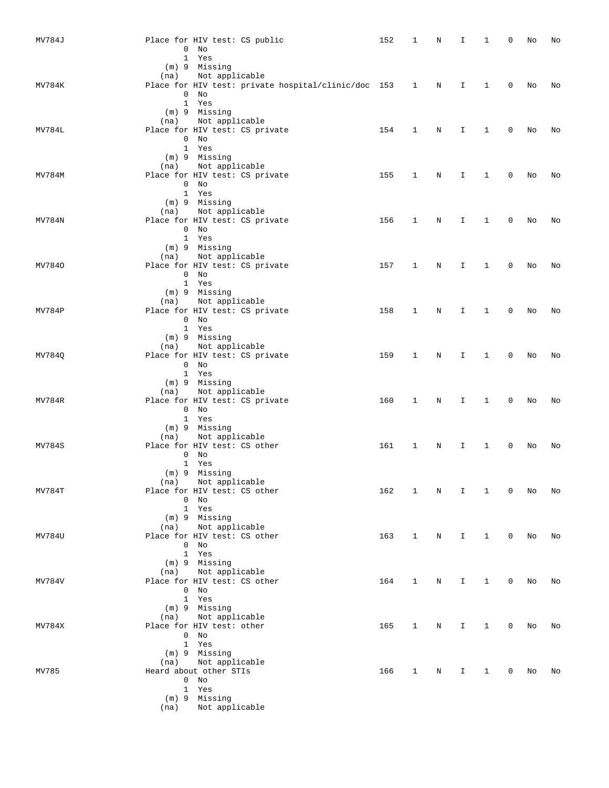| MV784J | Place for HIV test: CS public                         | 152 | 1            | N          | I  | 1            | 0            | No | No |
|--------|-------------------------------------------------------|-----|--------------|------------|----|--------------|--------------|----|----|
|        | $0$ No                                                |     |              |            |    |              |              |    |    |
|        | 1 Yes                                                 |     |              |            |    |              |              |    |    |
|        | (m) 9 Missing                                         |     |              |            |    |              |              |    |    |
|        | Not applicable<br>(na)                                |     |              |            |    |              |              |    |    |
| MV784K | Place for HIV test: private hospital/clinic/doc 153 1 |     |              | N          | I. | $\mathbf{1}$ | $\mathbf{0}$ | No | No |
|        | $0$ No                                                |     |              |            |    |              |              |    |    |
|        | 1 Yes                                                 |     |              |            |    |              |              |    |    |
|        | (m) 9 Missing<br>(na) Not applicable                  |     |              |            |    |              |              |    |    |
| MV784L | Place for HIV test: CS private                        | 154 | 1            | N          | I  | $\mathbf{1}$ | 0            | No | No |
|        | $0$ No                                                |     |              |            |    |              |              |    |    |
|        | 1 Yes                                                 |     |              |            |    |              |              |    |    |
|        | (m) 9 Missing                                         |     |              |            |    |              |              |    |    |
|        | (na) Not applicable                                   |     |              |            |    |              |              |    |    |
| MV784M | Place for HIV test: CS private                        | 155 | 1            | N          | I. | $\mathbf{1}$ | $\mathbf{0}$ | No | No |
|        | $0$ No                                                |     |              |            |    |              |              |    |    |
|        | 1 Yes                                                 |     |              |            |    |              |              |    |    |
|        | (m) 9 Missing                                         |     |              |            |    |              |              |    |    |
| MV784N | (na) Not applicable<br>Place for HIV test: CS private | 156 | $\mathbf{1}$ | N          | I. | $\mathbf{1}$ | 0            | No | No |
|        | $0$ No                                                |     |              |            |    |              |              |    |    |
|        | 1 Yes                                                 |     |              |            |    |              |              |    |    |
|        | $(m)$ 9 Missing                                       |     |              |            |    |              |              |    |    |
|        | (na) Not applicable                                   |     |              |            |    |              |              |    |    |
| MV7840 | Place for HIV test: CS private                        | 157 | $\mathbf{1}$ | N          | I. | $\mathbf{1}$ | 0            | No | No |
|        | $0$ No                                                |     |              |            |    |              |              |    |    |
|        | 1 Yes                                                 |     |              |            |    |              |              |    |    |
|        | (m) 9 Missing                                         |     |              |            |    |              |              |    |    |
|        | (na) Not applicable                                   |     |              |            |    |              |              |    |    |
| MV784P | Place for HIV test: CS private                        | 158 | 1            | N          | I. | $\mathbf{1}$ | $\mathbf 0$  | No | No |
|        | $0$ No<br>1 Yes                                       |     |              |            |    |              |              |    |    |
|        | (m) 9 Missing                                         |     |              |            |    |              |              |    |    |
|        | Not applicable<br>(na)                                |     |              |            |    |              |              |    |    |
| MV784Q | Place for HIV test: CS private                        | 159 | 1            | N          | I  | $\mathbf{1}$ | $\mathbf{0}$ | No | No |
|        | $0$ No                                                |     |              |            |    |              |              |    |    |
|        | 1 Yes                                                 |     |              |            |    |              |              |    |    |
|        | (m) 9 Missing                                         |     |              |            |    |              |              |    |    |
|        | Not applicable<br>(na)                                |     |              |            |    |              |              |    |    |
| MV784R | Place for HIV test: CS private                        | 160 | 1            | N          | I. | $\mathbf{1}$ | 0            | No | No |
|        | $0$ No                                                |     |              |            |    |              |              |    |    |
|        | 1 Yes                                                 |     |              |            |    |              |              |    |    |
|        | $(m)$ 9 Missing                                       |     |              |            |    |              |              |    |    |
| MV784S | (na) Not applicable<br>Place for HIV test: CS other   | 161 | 1            |            |    | $\mathbf{1}$ | 0            |    |    |
|        | $0$ No                                                |     |              | N          | I  |              |              | No | No |
|        | 1 Yes                                                 |     |              |            |    |              |              |    |    |
|        | $(m)$ 9 Missing                                       |     |              |            |    |              |              |    |    |
|        | Not applicable<br>(na)                                |     |              |            |    |              |              |    |    |
| MV784T | Place for HIV test: CS other                          | 162 | 1            | N          | I. | 1            | 0            | No | No |
|        | $0$ No                                                |     |              |            |    |              |              |    |    |
|        | 1 Yes                                                 |     |              |            |    |              |              |    |    |
|        | (m) 9 Missing                                         |     |              |            |    |              |              |    |    |
|        | (na) Not applicable                                   |     |              |            |    |              |              |    |    |
| MV784U | Place for HIV test: CS other<br>$0$ No                | 163 | $\mathbf{1}$ | $_{\rm N}$ | Ι. | $\mathbf{1}$ | 0            | No | No |
|        | 1 Yes                                                 |     |              |            |    |              |              |    |    |
|        | (m) 9 Missing                                         |     |              |            |    |              |              |    |    |
|        | (na) Not applicable                                   |     |              |            |    |              |              |    |    |
| MV784V | Place for HIV test: CS other                          | 164 | $\mathbf{1}$ | $_{\rm N}$ | Ι. | $\mathbf{1}$ | $\mathbf{0}$ | No | No |
|        | $0$ No                                                |     |              |            |    |              |              |    |    |
|        | 1 Yes                                                 |     |              |            |    |              |              |    |    |
|        | (m) 9 Missing                                         |     |              |            |    |              |              |    |    |
|        | (na) Not applicable                                   |     |              |            |    |              |              |    |    |
| MV784X | Place for HIV test: other                             | 165 | $\mathbf{1}$ | $_{\rm N}$ | I. | $\mathbf{1}$ | 0            | No | No |
|        | $0$ No                                                |     |              |            |    |              |              |    |    |
|        | 1 Yes<br>(m) 9 Missing                                |     |              |            |    |              |              |    |    |
|        | (na) Not applicable                                   |     |              |            |    |              |              |    |    |
| MV785  | Heard about other STIs                                | 166 | $\mathbf{1}$ | N          | Ι. | $\mathbf{1}$ | $\circ$      | No | No |
|        | $0$ No                                                |     |              |            |    |              |              |    |    |
|        | 1 Yes                                                 |     |              |            |    |              |              |    |    |
|        | (m) 9 Missing                                         |     |              |            |    |              |              |    |    |
|        | Not applicable<br>(na)                                |     |              |            |    |              |              |    |    |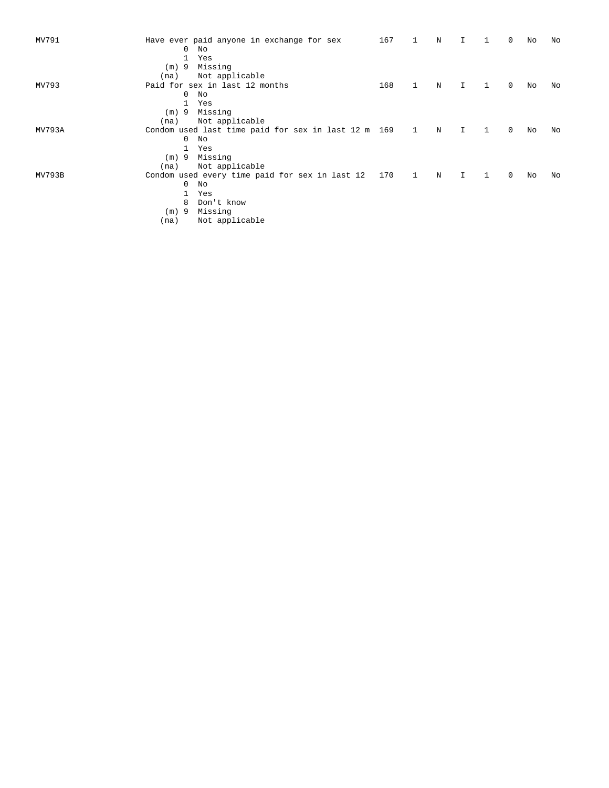| MV791  | 0<br>$\mathbf{1}$<br>$(m)$ 9 | Have ever paid anyone in exchange for sex<br>No<br>Yes<br>Missing | 167 |                | Ν | Ι           |   | 0           | No | No |
|--------|------------------------------|-------------------------------------------------------------------|-----|----------------|---|-------------|---|-------------|----|----|
| MV793  | (na)                         | Not applicable<br>Paid for sex in last 12 months                  | 168 | 1              | N | $\mathbf I$ | 1 | $\mathbf 0$ | No | No |
|        | 0                            | No                                                                |     |                |   |             |   |             |    |    |
|        | 1                            | Yes                                                               |     |                |   |             |   |             |    |    |
|        | $(m)$ 9                      | Missing                                                           |     |                |   |             |   |             |    |    |
|        | (na)                         | Not applicable                                                    |     |                |   |             |   |             |    |    |
| MV793A |                              | Condom used last time paid for sex in last 12 m 169               |     | $\overline{1}$ | N | I           | 1 | $\mathbf 0$ | No | No |
|        | 0                            | No                                                                |     |                |   |             |   |             |    |    |
|        | $\mathbf{1}$                 | Yes                                                               |     |                |   |             |   |             |    |    |
|        | $(m)$ 9                      | Missing                                                           |     |                |   |             |   |             |    |    |
|        | (na)                         | Not applicable                                                    |     |                |   |             |   |             |    |    |
| MV793B |                              | Condom used every time paid for sex in last 12                    | 170 | 1              | N | $\mathbf I$ | 1 | $\Omega$    | No | No |
|        | 0                            | No                                                                |     |                |   |             |   |             |    |    |
|        | 1                            | Yes                                                               |     |                |   |             |   |             |    |    |
|        | 8                            | Don't know                                                        |     |                |   |             |   |             |    |    |
|        | $(m)$ 9                      | Missing                                                           |     |                |   |             |   |             |    |    |
|        | (na)                         | Not applicable                                                    |     |                |   |             |   |             |    |    |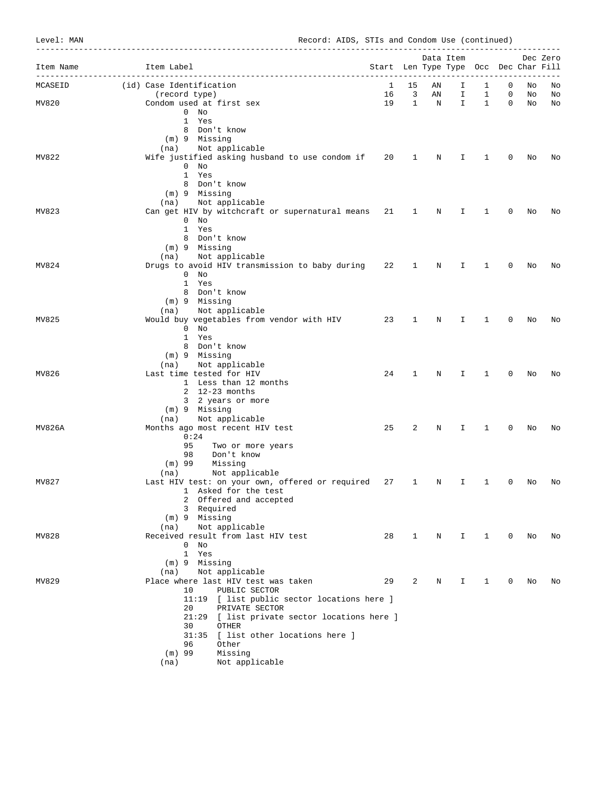Level: MAN Record: AIDS, STIs and Condom Use (continued)

| Item Name | Item Label                                                  | Start Len Type Type Occ Dec Char Fill |              |             | Data Item    |                |                |    | Dec Zero |
|-----------|-------------------------------------------------------------|---------------------------------------|--------------|-------------|--------------|----------------|----------------|----|----------|
| MCASEID   | (id) Case Identification                                    | $\mathbf{1}$                          | 15           | ΑN          | Ι.           | 1              | 0              | No | No       |
|           | (record type)                                               | 16                                    | 3            | AN          | I.           | $\mathbf{1}$   | 0              | No | No       |
| MV820     | Condom used at first sex                                    | 19                                    | $\mathbf{1}$ | $\mathbf N$ | I.           | $\mathbf{1}$   | $\mathbf 0$    | No | No       |
|           | $0$ No                                                      |                                       |              |             |              |                |                |    |          |
|           | 1 Yes<br>8 Don't know                                       |                                       |              |             |              |                |                |    |          |
|           | (m) 9 Missing                                               |                                       |              |             |              |                |                |    |          |
|           | Not applicable<br>(na)                                      |                                       |              |             |              |                |                |    |          |
| MV822     | Wife justified asking husband to use condom if 20           |                                       | 1            | N           | Ι.           | 1              | 0              | No | No       |
|           | $0$ No                                                      |                                       |              |             |              |                |                |    |          |
|           | 1 Yes                                                       |                                       |              |             |              |                |                |    |          |
|           | 8 Don't know<br>(m) 9 Missing                               |                                       |              |             |              |                |                |    |          |
|           | Not applicable<br>(na)                                      |                                       |              |             |              |                |                |    |          |
| MV823     | Can get HIV by witchcraft or supernatural means 21          |                                       | $\mathbf{1}$ | N           | Ι.           | 1              | 0              | No | No       |
|           | $0$ No                                                      |                                       |              |             |              |                |                |    |          |
|           | 1 Yes                                                       |                                       |              |             |              |                |                |    |          |
|           | 8 Don't know<br>(m) 9 Missing                               |                                       |              |             |              |                |                |    |          |
|           | Not applicable<br>(na)                                      |                                       |              |             |              |                |                |    |          |
| MV824     | Drugs to avoid HIV transmission to baby during 22           |                                       | 1            | N           | I            | 1              | 0              | No | No       |
|           | $0$ No                                                      |                                       |              |             |              |                |                |    |          |
|           | 1 Yes                                                       |                                       |              |             |              |                |                |    |          |
|           | 8 Don't know<br>(m) 9 Missing                               |                                       |              |             |              |                |                |    |          |
|           | Not applicable<br>(na)                                      |                                       |              |             |              |                |                |    |          |
| MV825     | Would buy vegetables from vendor with HIV                   | 23                                    | 1            | N           | I            | 1              | 0              | No | No       |
|           | $0$ No                                                      |                                       |              |             |              |                |                |    |          |
|           | 1 Yes                                                       |                                       |              |             |              |                |                |    |          |
|           | 8 Don't know                                                |                                       |              |             |              |                |                |    |          |
|           | (m) 9 Missing<br>Not applicable<br>(na)                     |                                       |              |             |              |                |                |    |          |
| MV826     | Last time tested for HIV                                    | 24                                    | 1            | Ν           | I            | 1              | 0              | No | No       |
|           | 1 Less than 12 months                                       |                                       |              |             |              |                |                |    |          |
|           | $2 \quad 12-23$ months                                      |                                       |              |             |              |                |                |    |          |
|           | 3 2 years or more                                           |                                       |              |             |              |                |                |    |          |
|           | (m) 9 Missing<br>Not applicable<br>(na)                     |                                       |              |             |              |                |                |    |          |
| MV826A    | Months ago most recent HIV test                             | 25                                    | 2            | N           | I.           | 1              | 0              | No | No       |
|           | 0:24                                                        |                                       |              |             |              |                |                |    |          |
|           | 95<br>Two or more years                                     |                                       |              |             |              |                |                |    |          |
|           | 98<br>Don't know                                            |                                       |              |             |              |                |                |    |          |
|           | Missing<br>$(m)$ 99<br>Not applicable<br>(na)               |                                       |              |             |              |                |                |    |          |
| MV827     | Last HIV test: on your own, offered or required 27 1        |                                       |              | N           | Ι.           | 1              | 0              | No | No       |
|           | 1 Asked for the test                                        |                                       |              |             |              |                |                |    |          |
|           | 2 Offered and accepted                                      |                                       |              |             |              |                |                |    |          |
|           | 3 Required<br>$(m)$ 9 Missing                               |                                       |              |             |              |                |                |    |          |
|           | Not applicable<br>(na)                                      |                                       |              |             |              |                |                |    |          |
| MV828     | Received result from last HIV test                          | 28                                    | $\mathbf{1}$ | N           | $\mathbf{I}$ | $\overline{1}$ | $\overline{0}$ | No | No       |
|           | $0$ No                                                      |                                       |              |             |              |                |                |    |          |
|           | 1 Yes                                                       |                                       |              |             |              |                |                |    |          |
|           | $(m)$ 9 Missing<br>Not applicable<br>(na)                   |                                       |              |             |              |                |                |    |          |
| MV829     | Place where last HIV test was taken                         | 29                                    | 2            | N           | I            | 1              | 0              | No | No       |
|           | 10 <sup>°</sup><br>PUBLIC SECTOR                            |                                       |              |             |              |                |                |    |          |
|           | 11:19 [ list public sector locations here ]                 |                                       |              |             |              |                |                |    |          |
|           | PRIVATE SECTOR<br>20                                        |                                       |              |             |              |                |                |    |          |
|           | 21:29 [ list private sector locations here ]<br>30<br>OTHER |                                       |              |             |              |                |                |    |          |
|           | 31:35 [ list other locations here ]                         |                                       |              |             |              |                |                |    |          |
|           | 96<br>Other                                                 |                                       |              |             |              |                |                |    |          |
|           | $(m)$ 99<br>Missing                                         |                                       |              |             |              |                |                |    |          |
|           | Not applicable<br>(na)                                      |                                       |              |             |              |                |                |    |          |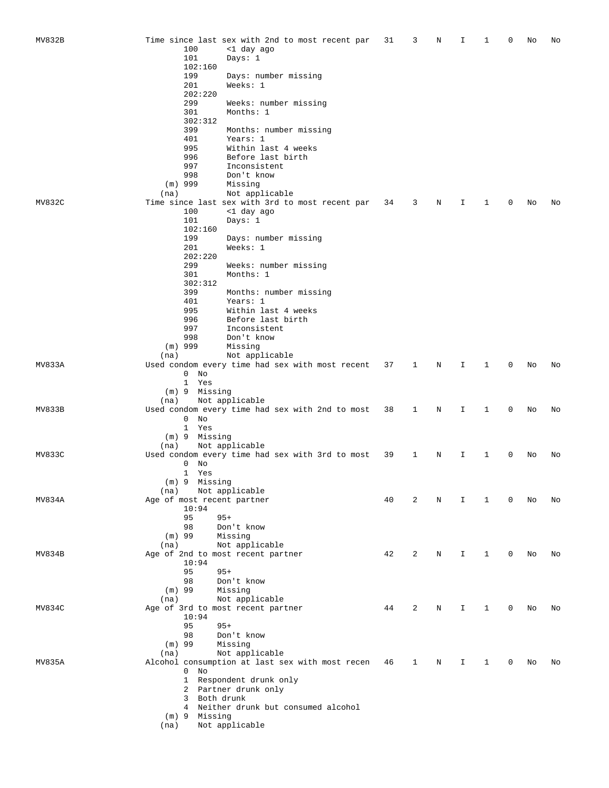| MV832B | Time since last sex with 2nd to most recent par    | 31 | 3 | Ν | Ι  | 1            | 0 | No | No |
|--------|----------------------------------------------------|----|---|---|----|--------------|---|----|----|
|        | 100<br><1 day ago                                  |    |   |   |    |              |   |    |    |
|        |                                                    |    |   |   |    |              |   |    |    |
|        | 101<br>Days: $1$                                   |    |   |   |    |              |   |    |    |
|        | 102:160                                            |    |   |   |    |              |   |    |    |
|        | 199<br>Days: number missing                        |    |   |   |    |              |   |    |    |
|        | 201<br>Weeks: 1                                    |    |   |   |    |              |   |    |    |
|        | 202:220                                            |    |   |   |    |              |   |    |    |
|        | 299<br>Weeks: number missing                       |    |   |   |    |              |   |    |    |
|        |                                                    |    |   |   |    |              |   |    |    |
|        | 301<br>Months: 1                                   |    |   |   |    |              |   |    |    |
|        | 302:312                                            |    |   |   |    |              |   |    |    |
|        | 399<br>Months: number missing                      |    |   |   |    |              |   |    |    |
|        | 401<br>Years: 1                                    |    |   |   |    |              |   |    |    |
|        | 995<br>Within last 4 weeks                         |    |   |   |    |              |   |    |    |
|        | 996<br>Before last birth                           |    |   |   |    |              |   |    |    |
|        |                                                    |    |   |   |    |              |   |    |    |
|        | 997<br>Inconsistent                                |    |   |   |    |              |   |    |    |
|        | 998<br>Don't know                                  |    |   |   |    |              |   |    |    |
|        | $(m)$ 999<br>Missing                               |    |   |   |    |              |   |    |    |
|        | Not applicable<br>(na)                             |    |   |   |    |              |   |    |    |
| MV832C | Time since last sex with 3rd to most recent par    | 34 | 3 | N | Ι. | 1            | 0 | No | No |
|        |                                                    |    |   |   |    |              |   |    |    |
|        | 100<br><1 day ago                                  |    |   |   |    |              |   |    |    |
|        | 101<br>Days: $1$                                   |    |   |   |    |              |   |    |    |
|        | 102:160                                            |    |   |   |    |              |   |    |    |
|        | 199<br>Days: number missing                        |    |   |   |    |              |   |    |    |
|        | Weeks: 1<br>201                                    |    |   |   |    |              |   |    |    |
|        | 202:220                                            |    |   |   |    |              |   |    |    |
|        |                                                    |    |   |   |    |              |   |    |    |
|        | 299<br>Weeks: number missing                       |    |   |   |    |              |   |    |    |
|        | 301<br>Months: 1                                   |    |   |   |    |              |   |    |    |
|        | 302:312                                            |    |   |   |    |              |   |    |    |
|        | 399<br>Months: number missing                      |    |   |   |    |              |   |    |    |
|        | 401<br>Years: 1                                    |    |   |   |    |              |   |    |    |
|        |                                                    |    |   |   |    |              |   |    |    |
|        | 995<br>Within last 4 weeks                         |    |   |   |    |              |   |    |    |
|        | 996<br>Before last birth                           |    |   |   |    |              |   |    |    |
|        | 997<br>Inconsistent                                |    |   |   |    |              |   |    |    |
|        | 998<br>Don't know                                  |    |   |   |    |              |   |    |    |
|        | $(m)$ 999<br>Missing                               |    |   |   |    |              |   |    |    |
|        |                                                    |    |   |   |    |              |   |    |    |
|        | Not applicable<br>(na)                             |    |   |   |    |              |   |    |    |
| MV833A | Used condom every time had sex with most recent    | 37 | 1 | N | I  | $\mathbf{1}$ | 0 | No | No |
|        | $0$ No                                             |    |   |   |    |              |   |    |    |
|        | 1 Yes                                              |    |   |   |    |              |   |    |    |
|        | $(m)$ 9 Missing                                    |    |   |   |    |              |   |    |    |
|        | Not applicable<br>(na)                             |    |   |   |    |              |   |    |    |
|        |                                                    |    |   |   |    |              |   |    |    |
| MV833B | Used condom every time had sex with 2nd to most    | 38 | 1 | N | I. | $\mathbf{1}$ | 0 | No | No |
|        | $0$ No                                             |    |   |   |    |              |   |    |    |
|        | 1 Yes                                              |    |   |   |    |              |   |    |    |
|        | (m) 9 Missing                                      |    |   |   |    |              |   |    |    |
|        | Not applicable<br>(na)                             |    |   |   |    |              |   |    |    |
|        |                                                    |    |   |   |    |              |   |    |    |
| MV833C | Used condom every time had sex with 3rd to most 39 |    | 1 | Ν | I  | 1            | 0 | No | No |
|        | $\mathbf{0}$<br>No                                 |    |   |   |    |              |   |    |    |
|        | 1 Yes                                              |    |   |   |    |              |   |    |    |
|        | (m) 9 Missing                                      |    |   |   |    |              |   |    |    |
|        | Not applicable<br>(na)                             |    |   |   |    |              |   |    |    |
| MV834A |                                                    | 40 | 2 | N | I  | 1            | 0 | No | No |
|        | Age of most recent partner                         |    |   |   |    |              |   |    |    |
|        | 10:94                                              |    |   |   |    |              |   |    |    |
|        | $95+$<br>95                                        |    |   |   |    |              |   |    |    |
|        | 98<br>Don't know                                   |    |   |   |    |              |   |    |    |
|        | $(m)$ 99<br>Missing                                |    |   |   |    |              |   |    |    |
|        | Not applicable<br>(na)                             |    |   |   |    |              |   |    |    |
|        |                                                    |    |   |   |    |              |   |    |    |
| MV834B | Age of 2nd to most recent partner                  | 42 | 2 | Ν | Ι  | 1            | 0 | No | No |
|        | 10:94                                              |    |   |   |    |              |   |    |    |
|        | 95<br>$95+$                                        |    |   |   |    |              |   |    |    |
|        | 98<br>Don't know                                   |    |   |   |    |              |   |    |    |
|        | $(m)$ 99<br>Missing                                |    |   |   |    |              |   |    |    |
|        |                                                    |    |   |   |    |              |   |    |    |
|        | Not applicable<br>(na)                             |    |   |   |    |              |   |    |    |
| MV834C | Age of 3rd to most recent partner                  | 44 | 2 | Ν | Ι  | 1            | 0 | No | No |
|        | 10:94                                              |    |   |   |    |              |   |    |    |
|        | 95<br>$95+$                                        |    |   |   |    |              |   |    |    |
|        | 98<br>Don't know                                   |    |   |   |    |              |   |    |    |
|        | $(m)$ 99                                           |    |   |   |    |              |   |    |    |
|        | Missing                                            |    |   |   |    |              |   |    |    |
|        | Not applicable<br>(na)                             |    |   |   |    |              |   |    |    |
| MV835A | Alcohol consumption at last sex with most recen    | 46 | 1 | Ν | I  | 1            | 0 | No | No |
|        | No<br>0                                            |    |   |   |    |              |   |    |    |
|        | Respondent drunk only<br>$\mathbf{1}$              |    |   |   |    |              |   |    |    |
|        | 2 Partner drunk only                               |    |   |   |    |              |   |    |    |
|        |                                                    |    |   |   |    |              |   |    |    |
|        | 3 Both drunk                                       |    |   |   |    |              |   |    |    |
|        | 4 Neither drunk but consumed alcohol               |    |   |   |    |              |   |    |    |
|        | (m) 9 Missing                                      |    |   |   |    |              |   |    |    |
|        | Not applicable<br>(na)                             |    |   |   |    |              |   |    |    |
|        |                                                    |    |   |   |    |              |   |    |    |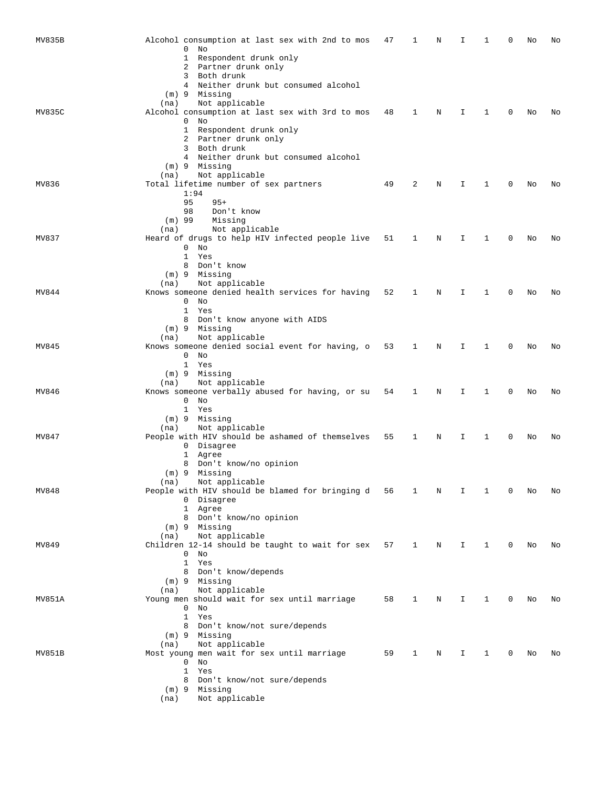| MV835B | Alcohol consumption at last sex with 2nd to mos                           | 47 | 1 | N | I  | 1 | 0           | No | No |
|--------|---------------------------------------------------------------------------|----|---|---|----|---|-------------|----|----|
|        | $0$ No                                                                    |    |   |   |    |   |             |    |    |
|        | 1 Respondent drunk only                                                   |    |   |   |    |   |             |    |    |
|        | 2 Partner drunk only                                                      |    |   |   |    |   |             |    |    |
|        | 3 Both drunk                                                              |    |   |   |    |   |             |    |    |
|        | 4 Neither drunk but consumed alcohol                                      |    |   |   |    |   |             |    |    |
|        | (m) 9 Missing                                                             |    |   |   |    |   |             |    |    |
|        | Not applicable<br>(na)                                                    |    |   |   |    |   |             |    |    |
| MV835C | Alcohol consumption at last sex with 3rd to mos<br>$0$ No                 | 48 | 1 | Ν | I  | 1 | 0           | No | No |
|        | 1 Respondent drunk only                                                   |    |   |   |    |   |             |    |    |
|        | 2 Partner drunk only                                                      |    |   |   |    |   |             |    |    |
|        | 3 Both drunk                                                              |    |   |   |    |   |             |    |    |
|        | 4 Neither drunk but consumed alcohol                                      |    |   |   |    |   |             |    |    |
|        | (m) 9 Missing                                                             |    |   |   |    |   |             |    |    |
|        | Not applicable<br>(na)                                                    |    |   |   |    |   |             |    |    |
| MV836  | Total lifetime number of sex partners                                     | 49 | 2 | Ν | I  | 1 | 0           | No | No |
|        | 1:94                                                                      |    |   |   |    |   |             |    |    |
|        | 95<br>$95+$                                                               |    |   |   |    |   |             |    |    |
|        | 98<br>Don't know                                                          |    |   |   |    |   |             |    |    |
|        | Missing<br>$(m)$ 99<br>Not applicable                                     |    |   |   |    |   |             |    |    |
| MV837  | (na)<br>Heard of drugs to help HIV infected people live                   | 51 | 1 | N | I  | 1 | $\mathbf 0$ | No | No |
|        | $0$ No                                                                    |    |   |   |    |   |             |    |    |
|        | 1<br>Yes                                                                  |    |   |   |    |   |             |    |    |
|        | 8 Don't know                                                              |    |   |   |    |   |             |    |    |
|        | (m) 9 Missing                                                             |    |   |   |    |   |             |    |    |
|        | Not applicable<br>(na)                                                    |    |   |   |    |   |             |    |    |
| MV844  | Knows someone denied health services for having                           | 52 | 1 | Ν | I  | 1 | 0           | No | No |
|        | $0$ No                                                                    |    |   |   |    |   |             |    |    |
|        | 1 Yes                                                                     |    |   |   |    |   |             |    |    |
|        | 8 Don't know anyone with AIDS                                             |    |   |   |    |   |             |    |    |
|        | (m) 9 Missing<br>Not applicable<br>(na)                                   |    |   |   |    |   |             |    |    |
| MV845  | Knows someone denied social event for having, o                           | 53 | 1 | N | I  | 1 | 0           | No | No |
|        | $0$ No                                                                    |    |   |   |    |   |             |    |    |
|        | 1 Yes                                                                     |    |   |   |    |   |             |    |    |
|        | (m) 9 Missing                                                             |    |   |   |    |   |             |    |    |
|        | Not applicable<br>(na)                                                    |    |   |   |    |   |             |    |    |
| MV846  | Knows someone verbally abused for having, or su                           | 54 | 1 | Ν | I  | 1 | 0           | No | No |
|        | $0$ No                                                                    |    |   |   |    |   |             |    |    |
|        | 1 Yes                                                                     |    |   |   |    |   |             |    |    |
|        | (m) 9 Missing                                                             |    |   |   |    |   |             |    |    |
| MV847  | Not applicable<br>(na)<br>People with HIV should be ashamed of themselves | 55 | 1 | Ν | I  | 1 | 0           | No | No |
|        | 0 Disagree                                                                |    |   |   |    |   |             |    |    |
|        | 1 Agree                                                                   |    |   |   |    |   |             |    |    |
|        | 8 Don't know/no opinion                                                   |    |   |   |    |   |             |    |    |
|        | (m) 9 Missing                                                             |    |   |   |    |   |             |    |    |
|        | Not applicable<br>(na)                                                    |    |   |   |    |   |             |    |    |
| MV848  | People with HIV should be blamed for bringing d                           | 56 | 1 | Ν | I  |   | 0           | No | No |
|        | 0 Disagree                                                                |    |   |   |    |   |             |    |    |
|        | 1 Agree                                                                   |    |   |   |    |   |             |    |    |
|        | 8 Don't know/no opinion                                                   |    |   |   |    |   |             |    |    |
|        | (m) 9 Missing<br>Not applicable                                           |    |   |   |    |   |             |    |    |
| MV849  | (na)<br>Children 12-14 should be taught to wait for sex                   | 57 | 1 | N | I. | 1 | 0           | No | No |
|        | $0$ No                                                                    |    |   |   |    |   |             |    |    |
|        | 1 Yes                                                                     |    |   |   |    |   |             |    |    |
|        | 8 Don't know/depends                                                      |    |   |   |    |   |             |    |    |
|        | $(m)$ 9 Missing                                                           |    |   |   |    |   |             |    |    |
|        | Not applicable<br>(na)                                                    |    |   |   |    |   |             |    |    |
| MV851A | Young men should wait for sex until marriage                              | 58 | 1 | N | I  | 1 | 0           | No | No |
|        | $0$ No                                                                    |    |   |   |    |   |             |    |    |
|        | 1 Yes                                                                     |    |   |   |    |   |             |    |    |
|        | 8 Don't know/not sure/depends                                             |    |   |   |    |   |             |    |    |
|        | $(m)$ 9 Missing                                                           |    |   |   |    |   |             |    |    |
|        | Not applicable<br>(na)                                                    |    |   |   |    |   |             |    |    |
| MV851B | Most young men wait for sex until marriage<br>$0$ No                      | 59 | 1 | Ν | I  | 1 | 0           | No | No |
|        | 1 Yes                                                                     |    |   |   |    |   |             |    |    |
|        | 8 Don't know/not sure/depends                                             |    |   |   |    |   |             |    |    |
|        | $(m)$ 9 Missing                                                           |    |   |   |    |   |             |    |    |
|        | Not applicable<br>(na)                                                    |    |   |   |    |   |             |    |    |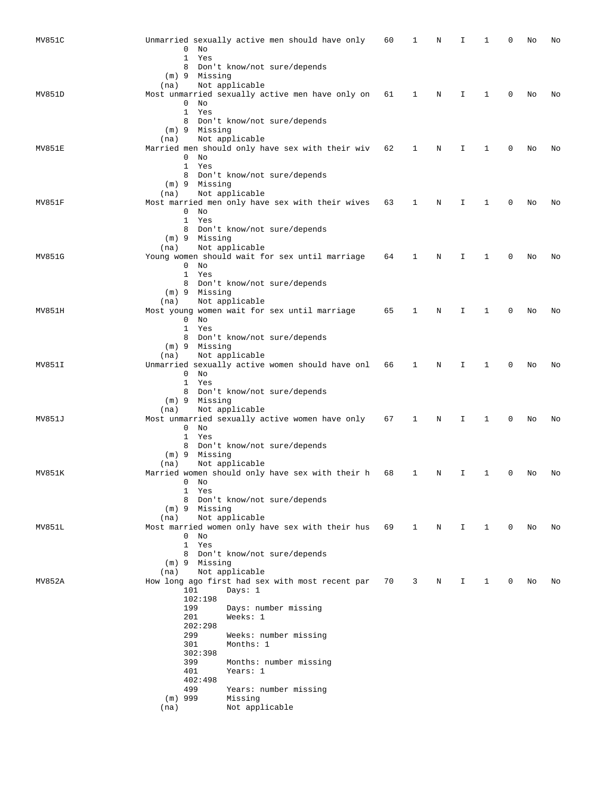| MV851C | $\mathbf 0$           | No              | Unmarried sexually active men should have only                   |  | 60 | 1 | N          | I            | 1            | 0            | No | No |
|--------|-----------------------|-----------------|------------------------------------------------------------------|--|----|---|------------|--------------|--------------|--------------|----|----|
|        | 1                     | Yes             |                                                                  |  |    |   |            |              |              |              |    |    |
|        |                       | (m) 9 Missing   | 8 Don't know/not sure/depends                                    |  |    |   |            |              |              |              |    |    |
|        | (na)                  |                 | Not applicable                                                   |  |    |   |            |              |              |              |    |    |
| MV851D | 0                     | No              | Most unmarried sexually active men have only on                  |  | 61 | 1 | N          | I            | 1            | 0            | No | No |
|        | 1                     | Yes             |                                                                  |  |    |   |            |              |              |              |    |    |
|        | 8                     | $(m)$ 9 Missing | Don't know/not sure/depends                                      |  |    |   |            |              |              |              |    |    |
|        | (na)                  |                 | Not applicable                                                   |  |    |   |            |              |              |              |    |    |
| MV851E |                       |                 | Married men should only have sex with their wiv                  |  | 62 | 1 | N          | I            | 1            | 0            | No | No |
|        | 0<br>1                | No<br>Yes       |                                                                  |  |    |   |            |              |              |              |    |    |
|        |                       |                 | 8 Don't know/not sure/depends                                    |  |    |   |            |              |              |              |    |    |
|        | (na)                  | (m) 9 Missing   | Not applicable                                                   |  |    |   |            |              |              |              |    |    |
| MV851F |                       |                 | Most married men only have sex with their wives                  |  | 63 | 1 | Ν          | I            | 1            | 0            | No | No |
|        | 1                     | $0$ No<br>Yes   |                                                                  |  |    |   |            |              |              |              |    |    |
|        | 8                     |                 | Don't know/not sure/depends                                      |  |    |   |            |              |              |              |    |    |
|        | (m) 9 Missing         |                 |                                                                  |  |    |   |            |              |              |              |    |    |
| MV851G | (na)                  |                 | Not applicable<br>Young women should wait for sex until marriage |  | 64 | 1 | Ν          | I            | 1            | 0            | No | No |
|        | 0                     | No              |                                                                  |  |    |   |            |              |              |              |    |    |
|        |                       | 1 Yes           | 8 Don't know/not sure/depends                                    |  |    |   |            |              |              |              |    |    |
|        | $(m)$ 9 Missing       |                 |                                                                  |  |    |   |            |              |              |              |    |    |
| MV851H | (na)                  |                 | Not applicable<br>Most young women wait for sex until marriage   |  | 65 | 1 | Ν          | I            | 1            | 0            | No | No |
|        |                       | $0$ No          |                                                                  |  |    |   |            |              |              |              |    |    |
|        |                       | 1 Yes           | 8 Don't know/not sure/depends                                    |  |    |   |            |              |              |              |    |    |
|        | $(m)$ 9 Missing       |                 |                                                                  |  |    |   |            |              |              |              |    |    |
|        | (na)                  |                 | Not applicable                                                   |  |    |   |            |              |              |              |    |    |
| MV851I | 0                     | No              | Unmarried sexually active women should have onl                  |  | 66 | 1 | N          | I            | 1            | 0            | No | No |
|        |                       | 1 Yes           |                                                                  |  |    |   |            |              |              |              |    |    |
|        | 8                     | (m) 9 Missing   | Don't know/not sure/depends                                      |  |    |   |            |              |              |              |    |    |
|        | (na)                  |                 | Not applicable                                                   |  |    |   |            |              |              |              |    |    |
| MV851J |                       | $0$ No          | Most unmarried sexually active women have only                   |  | 67 | 1 | Ν          | I            | 1            | 0            | No | No |
|        | 1                     | Yes             |                                                                  |  |    |   |            |              |              |              |    |    |
|        | 8                     |                 | Don't know/not sure/depends                                      |  |    |   |            |              |              |              |    |    |
|        | (m) 9 Missing<br>(na) |                 | Not applicable                                                   |  |    |   |            |              |              |              |    |    |
| MV851K |                       |                 | Married women should only have sex with their h                  |  | 68 | 1 | Ν          | I            | 1            | 0            | Νo | No |
|        |                       | $0$ No<br>1 Yes |                                                                  |  |    |   |            |              |              |              |    |    |
|        |                       |                 | 8 Don't know/not sure/depends                                    |  |    |   |            |              |              |              |    |    |
|        | (na)                  | $(m)$ 9 Missing | Not applicable                                                   |  |    |   |            |              |              |              |    |    |
| MV851L |                       |                 | Most married women only have sex with their hus 69 1             |  |    |   | $_{\rm N}$ | $\mathbf{I}$ | $\mathbf{1}$ | $\mathbf{0}$ | No | No |
|        |                       | $0$ No<br>1 Yes |                                                                  |  |    |   |            |              |              |              |    |    |
|        |                       |                 | 8 Don't know/not sure/depends                                    |  |    |   |            |              |              |              |    |    |
|        |                       | $(m)$ 9 Missing | Not applicable                                                   |  |    |   |            |              |              |              |    |    |
| MV852A | (na)                  |                 | How long ago first had sex with most recent par                  |  | 70 | 3 | N          | Ι.           | $\mathbf{1}$ | $\mathbf 0$  | No | No |
|        | 101                   |                 | $_{\rm Days}: 1$                                                 |  |    |   |            |              |              |              |    |    |
|        | 199                   | 102:198         | Days: number missing                                             |  |    |   |            |              |              |              |    |    |
|        | 201                   |                 | Weeks: 1                                                         |  |    |   |            |              |              |              |    |    |
|        | 299                   | 202:298         | Weeks: number missing                                            |  |    |   |            |              |              |              |    |    |
|        | 301                   |                 | Months: 1                                                        |  |    |   |            |              |              |              |    |    |
|        | 399                   | 302:398         | Months: number missing                                           |  |    |   |            |              |              |              |    |    |
|        | 401                   |                 | Years: 1                                                         |  |    |   |            |              |              |              |    |    |
|        |                       | 402:498         |                                                                  |  |    |   |            |              |              |              |    |    |
|        | 499<br>$(m)$ 999      |                 | Years: number missing<br>Missing                                 |  |    |   |            |              |              |              |    |    |
|        | (na)                  |                 | Not applicable                                                   |  |    |   |            |              |              |              |    |    |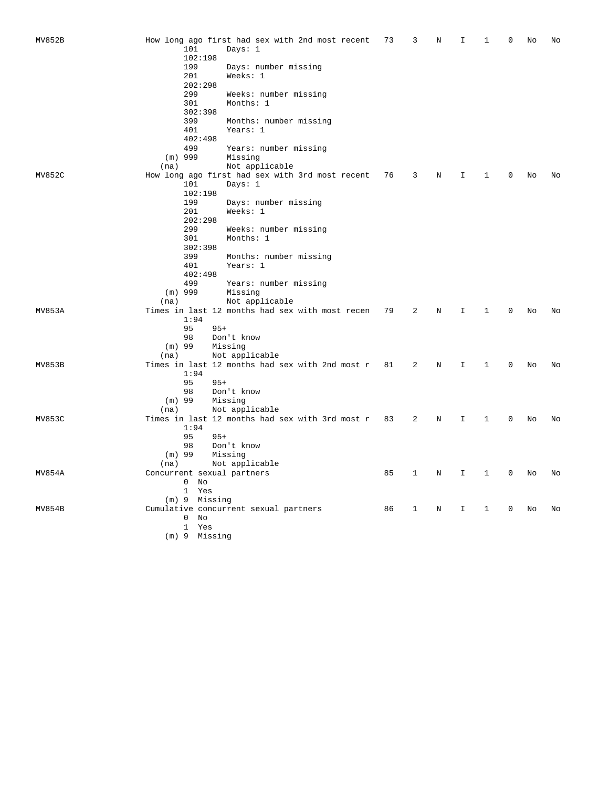| MV852B | 101<br>102:198                       | How long ago first had sex with 2nd most recent<br>Days: $1$ | 73 | 3            | Ν | I.          | $\mathbf{1}$ | 0           | No | No |
|--------|--------------------------------------|--------------------------------------------------------------|----|--------------|---|-------------|--------------|-------------|----|----|
|        | 199<br>201<br>202:298                | Days: number missing<br>Weeks: 1                             |    |              |   |             |              |             |    |    |
|        | 299<br>301<br>302:398                | Weeks: number missing<br>Months: 1                           |    |              |   |             |              |             |    |    |
|        | 399                                  | Months: number missing                                       |    |              |   |             |              |             |    |    |
|        | 401                                  | Years: 1                                                     |    |              |   |             |              |             |    |    |
|        | 402:498                              |                                                              |    |              |   |             |              |             |    |    |
|        | 499                                  | Years: number missing                                        |    |              |   |             |              |             |    |    |
|        | $(m)$ 999                            | Missing                                                      |    |              |   |             |              |             |    |    |
|        | (na)                                 | Not applicable                                               |    |              |   |             |              |             |    |    |
| MV852C |                                      | How long ago first had sex with 3rd most recent              | 76 | 3            | N | $\mathbf I$ | $\mathbf{1}$ | 0           | No | No |
|        | 101                                  | Days: $1$                                                    |    |              |   |             |              |             |    |    |
|        | 102:198<br>199                       | Days: number missing                                         |    |              |   |             |              |             |    |    |
|        | 201                                  | Weeks: 1                                                     |    |              |   |             |              |             |    |    |
|        | 202:298                              |                                                              |    |              |   |             |              |             |    |    |
|        | 299                                  | Weeks: number missing                                        |    |              |   |             |              |             |    |    |
|        | 301                                  | Months: 1                                                    |    |              |   |             |              |             |    |    |
|        | 302:398                              |                                                              |    |              |   |             |              |             |    |    |
|        | 399                                  | Months: number missing                                       |    |              |   |             |              |             |    |    |
|        | 401                                  | Years: 1                                                     |    |              |   |             |              |             |    |    |
|        | 402:498                              |                                                              |    |              |   |             |              |             |    |    |
|        | 499<br>$(m)$ 999                     | Years: number missing<br>Missing                             |    |              |   |             |              |             |    |    |
|        | (na)                                 | Not applicable                                               |    |              |   |             |              |             |    |    |
| MV853A |                                      | Times in last 12 months had sex with most recen              | 79 | 2            | N | $\mathbf I$ | $\mathbf{1}$ | $\Omega$    | No | No |
|        | 1:94                                 |                                                              |    |              |   |             |              |             |    |    |
|        | 95<br>$95+$                          |                                                              |    |              |   |             |              |             |    |    |
|        | 98                                   | Don't know                                                   |    |              |   |             |              |             |    |    |
|        | $(m)$ 99                             | Missing                                                      |    |              |   |             |              |             |    |    |
|        | (na)                                 | Not applicable                                               |    |              |   |             |              |             |    |    |
| MV853B | 1:94<br>95<br>$95+$                  | Times in last 12 months had sex with 2nd most r              | 81 | 2            | N | $\mathbf I$ | $\mathbf{1}$ | $\Omega$    | No | No |
|        | 98                                   | Don't know                                                   |    |              |   |             |              |             |    |    |
|        | $(m)$ 99                             | Missing                                                      |    |              |   |             |              |             |    |    |
|        | (na)                                 | Not applicable                                               |    |              |   |             |              |             |    |    |
| MV853C | 1:94                                 | Times in last 12 months had sex with 3rd most r              | 83 | 2            | N | $\mathbf I$ | $\mathbf{1}$ | 0           | No | No |
|        | 95<br>$95+$                          |                                                              |    |              |   |             |              |             |    |    |
|        | 98                                   | Don't know                                                   |    |              |   |             |              |             |    |    |
|        | $(m)$ 99                             | Missing                                                      |    |              |   |             |              |             |    |    |
|        | (na)                                 | Not applicable                                               |    |              |   |             |              |             |    |    |
| MV854A | Concurrent sexual partners<br>$0$ No |                                                              | 85 | $\mathbf{1}$ | N | $\mathbf I$ | $\mathbf{1}$ | 0           | No | No |
|        | 1 Yes                                |                                                              |    |              |   |             |              |             |    |    |
|        | $(m)$ 9 Missing                      |                                                              |    |              |   |             |              |             |    |    |
| MV854B |                                      | Cumulative concurrent sexual partners                        | 86 | 1            | N | I           | $\mathbf{1}$ | $\mathbf 0$ | No | No |
|        | $0$ No                               |                                                              |    |              |   |             |              |             |    |    |
|        | 1 Yes                                |                                                              |    |              |   |             |              |             |    |    |
|        | (m) 9 Missing                        |                                                              |    |              |   |             |              |             |    |    |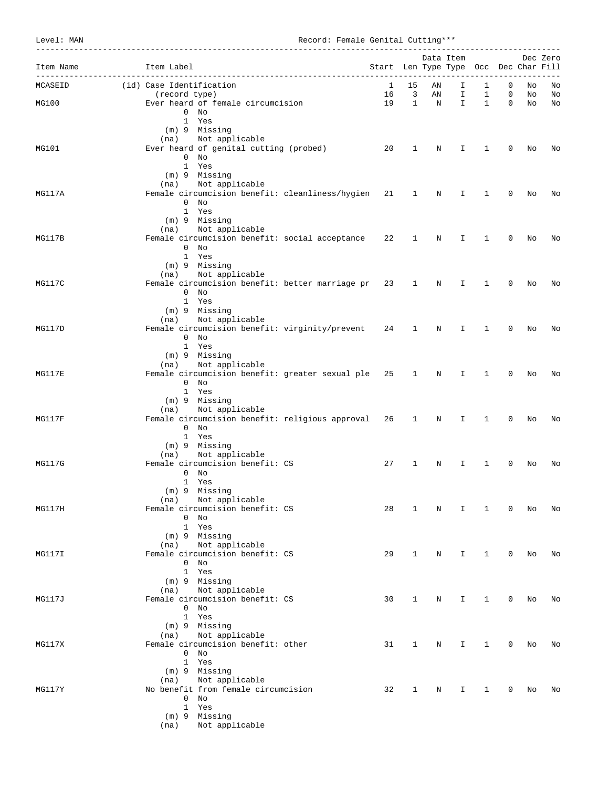Level: MAN Record: Female Genital Cutting\*\*\*

| Item Name | Item Label<br>___________________________                                   | Start Len Type Type Occ Dec Char Fill |              |             | Data Item    |                              |                |    | Dec Zero |
|-----------|-----------------------------------------------------------------------------|---------------------------------------|--------------|-------------|--------------|------------------------------|----------------|----|----------|
| MCASEID   | (id) Case Identification                                                    | $\mathbf{1}$                          | 15           | ΑN          | I.           | 1                            | 0              | No | No       |
|           | (record type)                                                               | 16                                    | 3            | AN          | $\mathbf{I}$ | $\mathbf{1}$                 | 0              | No | No       |
| MG100     | Ever heard of female circumcision<br>$0$ No                                 | 19                                    | $\mathbf{1}$ | $\mathbf N$ | $\mathbf{I}$ | $\mathbf{1}$                 | $\overline{0}$ | No | No       |
|           | 1 Yes                                                                       |                                       |              |             |              |                              |                |    |          |
|           | (m) 9 Missing                                                               |                                       |              |             |              |                              |                |    |          |
|           | (na) Not applicable                                                         |                                       |              |             |              |                              | $\mathbf 0$    |    |          |
| MG101     | Ever heard of genital cutting (probed) 20<br>$0$ No                         |                                       | $\mathbf{1}$ | N           |              | $1 \quad 1$                  |                | No | No       |
|           | 1 Yes                                                                       |                                       |              |             |              |                              |                |    |          |
|           | (m) 9 Missing                                                               |                                       |              |             |              |                              |                |    |          |
| MG117A    | (na) Not applicable<br>Female circumcision benefit: cleanliness/hygien 21 1 |                                       |              | $\mathbf N$ |              | $\mathbf{I}$<br>$\mathbf{1}$ | $\mathbf{0}$   | No | No       |
|           | 0 No                                                                        |                                       |              |             |              |                              |                |    |          |
|           | 1 Yes                                                                       |                                       |              |             |              |                              |                |    |          |
|           | (m) 9 Missing                                                               |                                       |              |             |              |                              |                |    |          |
|           | (na) Not applicable                                                         |                                       |              |             |              |                              |                |    |          |
| MG117B    | Female circumcision benefit: social acceptance 22 1<br>$0$ No               |                                       |              | N           | $\mathbf I$  | 1                            | 0              | No | No       |
|           | 1 Yes                                                                       |                                       |              |             |              |                              |                |    |          |
|           | (m) 9 Missing                                                               |                                       |              |             |              |                              |                |    |          |
|           | (na) Not applicable                                                         |                                       |              |             |              |                              |                |    |          |
| MG117C    | Female circumcision benefit: better marriage pr 23 1<br>$0$ No              |                                       |              | $_{\rm N}$  | Ι.           | 1                            | 0              | No | No       |
|           | 1 Yes                                                                       |                                       |              |             |              |                              |                |    |          |
|           | (m) 9 Missing                                                               |                                       |              |             |              |                              |                |    |          |
|           | (na) Not applicable                                                         |                                       |              |             |              |                              |                |    |          |
| MG117D    | Female circumcision benefit: virginity/prevent 24 1 N                       |                                       |              |             | $\mathbf{I}$ | $\mathbf{1}$                 | $\mathbf 0$    | No | No       |
|           | $0$ No<br>1 Yes                                                             |                                       |              |             |              |                              |                |    |          |
|           | (m) 9 Missing                                                               |                                       |              |             |              |                              |                |    |          |
|           | Not applicable<br>(na)                                                      |                                       |              |             |              |                              |                |    |          |
| MG117E    | Female circumcision benefit: greater sexual ple 25                          |                                       | $\mathbf{1}$ | $_{\rm N}$  | $\mathbf{I}$ | $\mathbf{1}$                 | 0              | No | No       |
|           | 0 No<br>1 Yes                                                               |                                       |              |             |              |                              |                |    |          |
|           | (m) 9 Missing                                                               |                                       |              |             |              |                              |                |    |          |
|           | (na) Not applicable                                                         |                                       |              |             |              |                              |                |    |          |
| MG117F    | Female circumcision benefit: religious approval 26 1                        |                                       |              | N           | $\mathbf{I}$ | $\mathbf{1}$                 | $\mathbf 0$    | No | No       |
|           | 0 No<br>1 Yes                                                               |                                       |              |             |              |                              |                |    |          |
|           | (m) 9 Missing                                                               |                                       |              |             |              |                              |                |    |          |
|           | (na) Not applicable                                                         |                                       |              |             |              |                              |                |    |          |
| MG117G    | Female circumcision benefit: CS                                             | 27                                    | 1            | Ν           | I            | 1                            | 0              | No | No       |
|           | $0$ No                                                                      |                                       |              |             |              |                              |                |    |          |
|           | 1 Yes<br>(m) 9 Missing                                                      |                                       |              |             |              |                              |                |    |          |
|           | Not applicable<br>(na)                                                      |                                       |              |             |              |                              |                |    |          |
| MG117H    | Female circumcision benefit: CS                                             | 28                                    | 1            | N           | I            | 1                            | 0              | No | No       |
|           | $0$ No                                                                      |                                       |              |             |              |                              |                |    |          |
|           | 1 Yes<br>(m) 9 Missing                                                      |                                       |              |             |              |                              |                |    |          |
|           | Not applicable<br>(na)                                                      |                                       |              |             |              |                              |                |    |          |
| MG117I    | Female circumcision benefit: CS                                             | 29                                    | $\mathbf 1$  | N           | I.           | 1                            | 0              | No | No       |
|           | $0$ No                                                                      |                                       |              |             |              |                              |                |    |          |
|           | 1 Yes<br>$(m)$ 9 Missing                                                    |                                       |              |             |              |                              |                |    |          |
|           | Not applicable<br>(na)                                                      |                                       |              |             |              |                              |                |    |          |
| MG117J    | Female circumcision benefit: CS                                             | 30                                    | 1            | N           | Ι            | 1                            | 0              | No | No       |
|           | $0$ No                                                                      |                                       |              |             |              |                              |                |    |          |
|           | 1 Yes<br>$(m)$ 9 Missing                                                    |                                       |              |             |              |                              |                |    |          |
|           | Not applicable<br>(na)                                                      |                                       |              |             |              |                              |                |    |          |
| MG117X    | Female circumcision benefit: other                                          | 31                                    | 1            | Ν           | Ι.           | 1                            | 0              | No | No       |
|           | $0$ No                                                                      |                                       |              |             |              |                              |                |    |          |
|           | 1 Yes                                                                       |                                       |              |             |              |                              |                |    |          |
|           | (m) 9 Missing<br>Not applicable<br>(na)                                     |                                       |              |             |              |                              |                |    |          |
| MG117Y    | No benefit from female circumcision                                         | 32                                    | 1            | N           | I.           | 1                            | 0              | No | No       |
|           | $0$ No                                                                      |                                       |              |             |              |                              |                |    |          |
|           | 1 Yes                                                                       |                                       |              |             |              |                              |                |    |          |
|           | (m) 9 Missing                                                               |                                       |              |             |              |                              |                |    |          |
|           | Not applicable<br>(na)                                                      |                                       |              |             |              |                              |                |    |          |